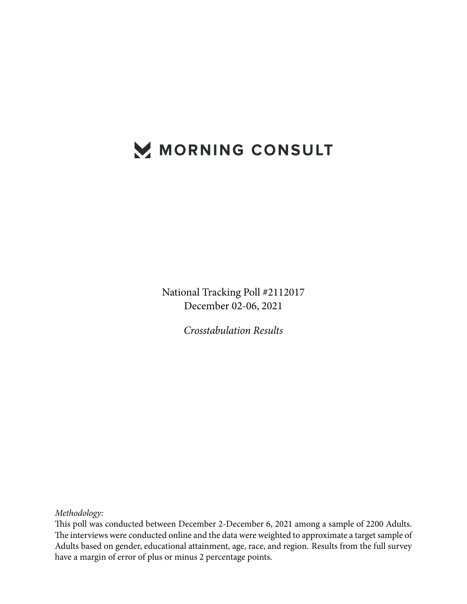# MORNING CONSULT

National Tracking Poll #2112017 December 02-06, 2021

*Crosstabulation Results*

*Methodology:*

This poll was conducted between December 2-December 6, 2021 among a sample of 2200 Adults. The interviews were conducted online and the data were weighted to approximate a target sample of Adults based on gender, educational attainment, age, race, and region. Results from the full survey have a margin of error of plus or minus 2 percentage points.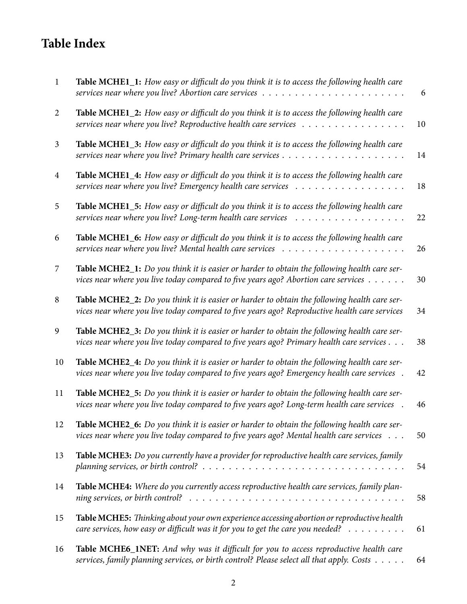## **Table Index**

| $\mathbf{1}$   | Table MCHE1_1: How easy or difficult do you think it is to access the following health care                                                                                                                          | 6  |
|----------------|----------------------------------------------------------------------------------------------------------------------------------------------------------------------------------------------------------------------|----|
| 2              | Table MCHE1_2: How easy or difficult do you think it is to access the following health care<br>services near where you live? Reproductive health care services                                                       | 10 |
| 3              | Table MCHE1_3: How easy or difficult do you think it is to access the following health care                                                                                                                          | 14 |
| $\overline{4}$ | Table MCHE1_4: How easy or difficult do you think it is to access the following health care                                                                                                                          | 18 |
| 5              | Table MCHE1_5: How easy or difficult do you think it is to access the following health care<br>services near where you live? Long-term health care services<br>.                                                     | 22 |
| 6              | Table MCHE1_6: How easy or difficult do you think it is to access the following health care                                                                                                                          | 26 |
| 7              | Table MCHE2_1: Do you think it is easier or harder to obtain the following health care ser-<br>vices near where you live today compared to five years ago? Abortion care services                                    | 30 |
| 8              | Table MCHE2_2: Do you think it is easier or harder to obtain the following health care ser-<br>vices near where you live today compared to five years ago? Reproductive health care services                         | 34 |
| 9              | Table MCHE2_3: Do you think it is easier or harder to obtain the following health care ser-<br>vices near where you live today compared to five years ago? Primary health care services                              | 38 |
| 10             | Table MCHE2_4: Do you think it is easier or harder to obtain the following health care ser-<br>vices near where you live today compared to five years ago? Emergency health care services .                          | 42 |
| 11             | Table MCHE2_5: Do you think it is easier or harder to obtain the following health care ser-<br>vices near where you live today compared to five years ago? Long-term health care services                            | 46 |
| 12             | Table MCHE2_6: Do you think it is easier or harder to obtain the following health care ser-<br>vices near where you live today compared to five years ago? Mental health care services                               | 50 |
| 13             | Table MCHE3: Do you currently have a provider for reproductive health care services, family<br>planning services, or birth control? $\ldots \ldots \ldots \ldots \ldots \ldots \ldots \ldots \ldots \ldots \ldots$   | 54 |
| 14             | Table MCHE4: Where do you currently access reproductive health care services, family plan-<br>ning services, or birth control? $\ldots \ldots \ldots \ldots \ldots \ldots \ldots \ldots \ldots \ldots \ldots \ldots$ | 58 |
| 15             | Table MCHE5: Thinking about your own experience accessing abortion or reproductive health<br>care services, how easy or difficult was it for you to get the care you needed?                                         | 61 |
| 16             | Table MCHE6_1NET: And why was it difficult for you to access reproductive health care<br>services, family planning services, or birth control? Please select all that apply. Costs                                   | 64 |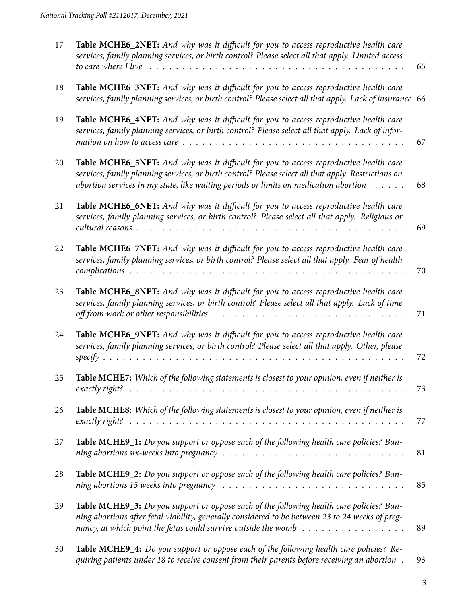| 17 | Table MCHE6_2NET: And why was it difficult for you to access reproductive health care<br>services, family planning services, or birth control? Please select all that apply. Limited access<br>to care where I live                                                                                                     | 65 |
|----|-------------------------------------------------------------------------------------------------------------------------------------------------------------------------------------------------------------------------------------------------------------------------------------------------------------------------|----|
|    |                                                                                                                                                                                                                                                                                                                         |    |
| 18 | Table MCHE6_3NET: And why was it difficult for you to access reproductive health care<br>services, family planning services, or birth control? Please select all that apply. Lack of insurance 66                                                                                                                       |    |
| 19 | Table MCHE6_4NET: And why was it difficult for you to access reproductive health care<br>services, family planning services, or birth control? Please select all that apply. Lack of infor-<br>mation on how to access care $\dots \dots \dots \dots \dots \dots \dots \dots \dots \dots \dots \dots \dots \dots \dots$ | 67 |
| 20 | Table MCHE6_5NET: And why was it difficult for you to access reproductive health care<br>services, family planning services, or birth control? Please select all that apply. Restrictions on<br>abortion services in my state, like waiting periods or limits on medication abortion                                    | 68 |
| 21 | Table MCHE6_6NET: And why was it difficult for you to access reproductive health care<br>services, family planning services, or birth control? Please select all that apply. Religious or                                                                                                                               | 69 |
| 22 | Table MCHE6_7NET: And why was it difficult for you to access reproductive health care<br>services, family planning services, or birth control? Please select all that apply. Fear of health                                                                                                                             | 70 |
| 23 | Table MCHE6_8NET: And why was it difficult for you to access reproductive health care<br>services, family planning services, or birth control? Please select all that apply. Lack of time<br>off from work or other responsibilities                                                                                    | 71 |
| 24 | Table MCHE6_9NET: And why was it difficult for you to access reproductive health care<br>services, family planning services, or birth control? Please select all that apply. Other, please                                                                                                                              | 72 |
| 25 | Table MCHE7: Which of the following statements is closest to your opinion, even if neither is                                                                                                                                                                                                                           | 73 |
| 26 | Table MCHE8: Which of the following statements is closest to your opinion, even if neither is                                                                                                                                                                                                                           | 77 |
| 27 | Table MCHE9_1: Do you support or oppose each of the following health care policies? Ban-<br>ning abortions six-weeks into pregnancy $\dots \dots \dots \dots \dots \dots \dots \dots \dots \dots \dots \dots \dots$                                                                                                     | 81 |
| 28 | <b>Table MCHE9_2:</b> Do you support or oppose each of the following health care policies? Ban-<br>ning abortions 15 weeks into pregnancy $\ldots \ldots \ldots \ldots \ldots \ldots \ldots \ldots \ldots \ldots \ldots$                                                                                                | 85 |
| 29 | Table MCHE9_3: Do you support or oppose each of the following health care policies? Ban-<br>ning abortions after fetal viability, generally considered to be between 23 to 24 weeks of preg-<br>nancy, at which point the fetus could survive outside the womb $\dots \dots \dots \dots \dots \dots$                    | 89 |
| 30 | Table MCHE9_4: Do you support or oppose each of the following health care policies? Re-<br>quiring patients under 18 to receive consent from their parents before receiving an abortion.                                                                                                                                | 93 |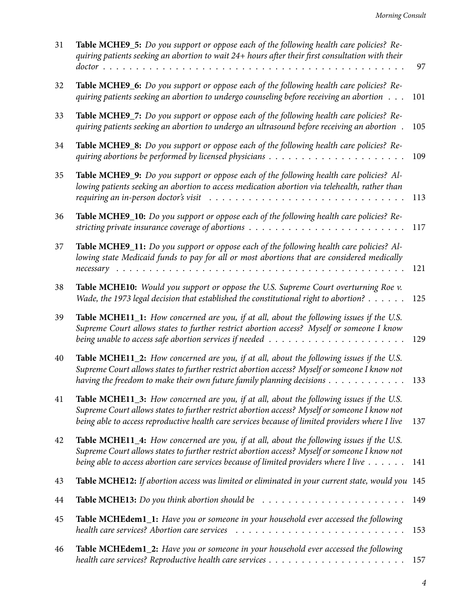| 31 | Table MCHE9_5: Do you support or oppose each of the following health care policies? Re-<br>quiring patients seeking an abortion to wait 24+ hours after their first consultation with their                                                                                                         | 97  |
|----|-----------------------------------------------------------------------------------------------------------------------------------------------------------------------------------------------------------------------------------------------------------------------------------------------------|-----|
| 32 | Table MCHE9_6: Do you support or oppose each of the following health care policies? Re-<br>quiring patients seeking an abortion to undergo counseling before receiving an abortion                                                                                                                  | 101 |
| 33 | Table MCHE9_7: Do you support or oppose each of the following health care policies? Re-<br>quiring patients seeking an abortion to undergo an ultrasound before receiving an abortion.                                                                                                              | 105 |
| 34 | Table MCHE9_8: Do you support or oppose each of the following health care policies? Re-                                                                                                                                                                                                             | 109 |
| 35 | Table MCHE9_9: Do you support or oppose each of the following health care policies? Al-<br>lowing patients seeking an abortion to access medication abortion via telehealth, rather than<br>requiring an in-person doctor's visit                                                                   | 113 |
| 36 | Table MCHE9_10: Do you support or oppose each of the following health care policies? Re-<br>stricting private insurance coverage of abortions $\ldots \ldots \ldots \ldots \ldots \ldots \ldots \ldots$                                                                                             | 117 |
| 37 | Table MCHE9_11: Do you support or oppose each of the following health care policies? Al-<br>lowing state Medicaid funds to pay for all or most abortions that are considered medically                                                                                                              | 121 |
| 38 | Table MCHE10: Would you support or oppose the U.S. Supreme Court overturning Roe v.<br>Wade, the 1973 legal decision that established the constitutional right to abortion? $\dots \dots$                                                                                                           | 125 |
| 39 | Table MCHE11_1: How concerned are you, if at all, about the following issues if the U.S.<br>Supreme Court allows states to further restrict abortion access? Myself or someone I know<br>being unable to access safe abortion services if needed $\ldots \ldots \ldots \ldots \ldots \ldots \ldots$ | 129 |
| 40 | Table MCHE11_2: How concerned are you, if at all, about the following issues if the U.S.<br>Supreme Court allows states to further restrict abortion access? Myself or someone I know not<br>having the freedom to make their own future family planning decisions                                  | 133 |
| 41 | Table MCHE11_3: How concerned are you, if at all, about the following issues if the U.S.<br>Supreme Court allows states to further restrict abortion access? Myself or someone I know not<br>being able to access reproductive health care services because of limited providers where I live       | 137 |
| 42 | Table MCHE11_4: How concerned are you, if at all, about the following issues if the U.S.<br>Supreme Court allows states to further restrict abortion access? Myself or someone I know not<br>being able to access abortion care services because of limited providers where I live                  | 141 |
| 43 | Table MCHE12: If abortion access was limited or eliminated in your current state, would you 145                                                                                                                                                                                                     |     |
| 44 | <b>Table MCHE13:</b> Do you think abortion should be $\ldots \ldots \ldots \ldots \ldots \ldots \ldots$                                                                                                                                                                                             | 149 |
| 45 | Table MCHEdem1_1: Have you or someone in your household ever accessed the following<br>health care services? Abortion care services                                                                                                                                                                 | 153 |
| 46 | Table MCHEdem1_2: Have you or someone in your household ever accessed the following                                                                                                                                                                                                                 | 157 |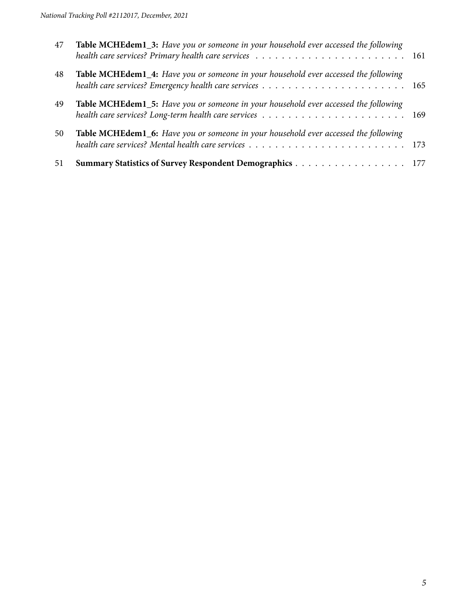| 47 | Table MCHEdem1_3: Have you or someone in your household ever accessed the following |  |
|----|-------------------------------------------------------------------------------------|--|
| 48 | Table MCHEdem1_4: Have you or someone in your household ever accessed the following |  |
| 49 | Table MCHEdem1_5: Have you or someone in your household ever accessed the following |  |
| 50 | Table MCHEdem1_6: Have you or someone in your household ever accessed the following |  |
| 51 | Summary Statistics of Survey Respondent Demographics 177                            |  |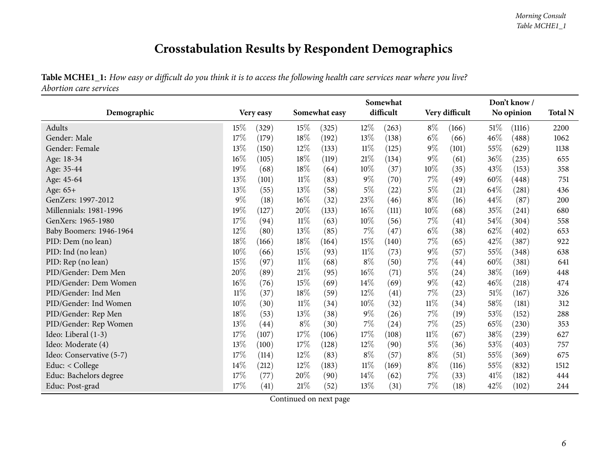## **Crosstabulation Results by Respondent Demographics**

Table MCHE1\_1: How easy or difficult do you think it is to access the following health care services near where you live? *Abortion care services*

<span id="page-5-0"></span>

|                          |        |           |        | Somewhat      | Don't know/ |           |        |                |        |            |      |
|--------------------------|--------|-----------|--------|---------------|-------------|-----------|--------|----------------|--------|------------|------|
| Demographic              |        | Very easy |        | Somewhat easy |             | difficult |        | Very difficult |        | No opinion |      |
| Adults                   | 15%    | (329)     | 15\%   | (325)         | $12\%$      | (263)     | $8\%$  | (166)          | $51\%$ | (1116)     | 2200 |
| Gender: Male             | 17%    | (179)     | 18%    | (192)         | 13%         | (138)     | $6\%$  | (66)           | 46%    | (488)      | 1062 |
| Gender: Female           | 13\%   | (150)     | $12\%$ | (133)         | $11\%$      | (125)     | $9\%$  | (101)          | 55\%   | (629)      | 1138 |
| Age: 18-34               | $16\%$ | (105)     | 18%    | (119)         | $21\%$      | (134)     | $9\%$  | (61)           | 36%    | (235)      | 655  |
| Age: 35-44               | 19%    | (68)      | 18%    | (64)          | 10%         | (37)      | 10%    | (35)           | 43\%   | (153)      | 358  |
| Age: 45-64               | 13%    | (101)     | $11\%$ | (83)          | $9\%$       | (70)      | 7%     | (49)           | 60%    | (448)      | 751  |
| Age: 65+                 | 13\%   | (55)      | 13%    | (58)          | $5\%$       | (22)      | $5\%$  | (21)           | 64\%   | (281)      | 436  |
| GenZers: 1997-2012       | $9\%$  | (18)      | $16\%$ | (32)          | 23\%        | (46)      | $8\%$  | (16)           | 44%    | (87)       | 200  |
| Millennials: 1981-1996   | 19%    | (127)     | 20%    | (133)         | 16%         | (111)     | $10\%$ | (68)           | 35%    | (241)      | 680  |
| GenXers: 1965-1980       | 17%    | (94)      | $11\%$ | (63)          | 10%         | (56)      | $7\%$  | (41)           | 54\%   | (304)      | 558  |
| Baby Boomers: 1946-1964  | $12\%$ | (80)      | $13\%$ | (85)          | 7%          | (47)      | $6\%$  | (38)           | 62%    | (402)      | 653  |
| PID: Dem (no lean)       | 18%    | (166)     | 18%    | (164)         | 15%         | (140)     | $7\%$  | (65)           | 42%    | (387)      | 922  |
| PID: Ind (no lean)       | 10%    | (66)      | 15\%   | (93)          | $11\%$      | (73)      | $9\%$  | (57)           | 55\%   | (348)      | 638  |
| PID: Rep (no lean)       | $15\%$ | (97)      | $11\%$ | (68)          | $8\%$       | (50)      | $7\%$  | (44)           | 60%    | (381)      | 641  |
| PID/Gender: Dem Men      | 20%    | (89)      | 21%    | (95)          | 16%         | (71)      | $5\%$  | (24)           | 38\%   | (169)      | 448  |
| PID/Gender: Dem Women    | 16%    | (76)      | $15\%$ | (69)          | 14\%        | (69)      | $9\%$  | (42)           | 46\%   | (218)      | 474  |
| PID/Gender: Ind Men      | $11\%$ | (37)      | 18%    | (59)          | 12%         | (41)      | $7\%$  | (23)           | 51\%   | (167)      | 326  |
| PID/Gender: Ind Women    | 10%    | (30)      | $11\%$ | (34)          | $10\%$      | (32)      | $11\%$ | (34)           | $58\%$ | (181)      | 312  |
| PID/Gender: Rep Men      | 18%    | (53)      | 13\%   | (38)          | $9\%$       | (26)      | 7%     | (19)           | 53%    | (152)      | 288  |
| PID/Gender: Rep Women    | 13%    | (44)      | $8\%$  | (30)          | $7\%$       | (24)      | $7\%$  | (25)           | 65\%   | (230)      | 353  |
| Ideo: Liberal (1-3)      | 17%    | (107)     | $17\%$ | (106)         | 17%         | (108)     | $11\%$ | (67)           | 38\%   | (239)      | 627  |
| Ideo: Moderate (4)       | 13%    | (100)     | 17%    | (128)         | $12\%$      | (90)      | $5\%$  | (36)           | 53%    | (403)      | 757  |
| Ideo: Conservative (5-7) | 17%    | (114)     | 12\%   | (83)          | $8\%$       | (57)      | $8\%$  | (51)           | 55%    | (369)      | 675  |
| Educ: < College          | $14\%$ | (212)     | 12\%   | (183)         | $11\%$      | (169)     | $8\%$  | (116)          | 55%    | (832)      | 1512 |
| Educ: Bachelors degree   | 17%    | (77)      | 20%    | (90)          | $14\%$      | (62)      | $7\%$  | (33)           | 41\%   | (182)      | 444  |
| Educ: Post-grad          | 17%    | (41)      | $21\%$ | (52)          | 13%         | (31)      | $7\%$  | (18)           | 42\%   | (102)      | 244  |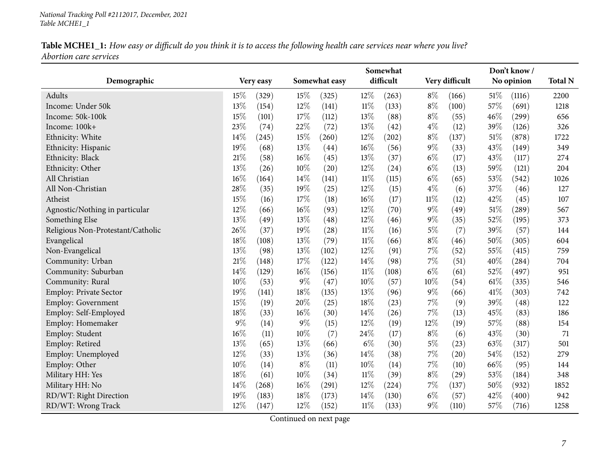#### *National Tracking Poll #2112017, December, <sup>2021</sup> Table MCHE1\_1*

### Table MCHE1\_1: How easy or difficult do you think it is to access the following health care services near where you live? *Abortion care services*

|                                   |        |           |        |               |           | Somewhat |        |                |        |            |      |
|-----------------------------------|--------|-----------|--------|---------------|-----------|----------|--------|----------------|--------|------------|------|
| Demographic                       |        | Very easy |        | Somewhat easy | difficult |          |        | Very difficult |        | No opinion |      |
| Adults                            | 15%    | (329)     | 15%    | (325)         | $12\%$    | (263)    | $8\%$  | (166)          | $51\%$ | (1116)     | 2200 |
| Income: Under 50k                 | 13%    | (154)     | 12%    | (141)         | $11\%$    | (133)    | $8\%$  | (100)          | 57%    | (691)      | 1218 |
| Income: 50k-100k                  | 15%    | (101)     | 17%    | (112)         | 13\%      | (88)     | $8\%$  | (55)           | 46\%   | (299)      | 656  |
| Income: 100k+                     | 23%    | (74)      | 22%    | (72)          | 13%       | (42)     | $4\%$  | (12)           | 39%    | (126)      | 326  |
| Ethnicity: White                  | 14%    | (245)     | 15%    | (260)         | $12\%$    | (202)    | $8\%$  | (137)          | 51%    | (878)      | 1722 |
| Ethnicity: Hispanic               | 19%    | (68)      | 13%    | (44)          | 16%       | (56)     | $9\%$  | (33)           | 43%    | (149)      | 349  |
| Ethnicity: Black                  | 21%    | (58)      | 16%    | (45)          | 13%       | (37)     | $6\%$  | (17)           | 43%    | (117)      | 274  |
| Ethnicity: Other                  | $13\%$ | (26)      | 10%    | (20)          | 12%       | (24)     | $6\%$  | (13)           | 59%    | (121)      | 204  |
| All Christian                     | 16%    | (164)     | 14%    | (141)         | $11\%$    | (115)    | $6\%$  | (65)           | 53%    | (542)      | 1026 |
| All Non-Christian                 | 28%    | (35)      | 19%    | (25)          | 12%       | (15)     | $4\%$  | (6)            | 37%    | (46)       | 127  |
| Atheist                           | 15%    | (16)      | 17%    | (18)          | 16%       | (17)     | $11\%$ | (12)           | 42%    | (45)       | 107  |
| Agnostic/Nothing in particular    | 12%    | (66)      | 16%    | (93)          | 12%       | (70)     | $9\%$  | (49)           | 51%    | (289)      | 567  |
| Something Else                    | 13%    | (49)      | 13%    | (48)          | 12%       | (46)     | $9\%$  | (35)           | 52%    | (195)      | 373  |
| Religious Non-Protestant/Catholic | 26%    | (37)      | 19%    | (28)          | 11%       | (16)     | $5\%$  | (7)            | 39%    | (57)       | 144  |
| Evangelical                       | 18%    | (108)     | 13%    | (79)          | $11\%$    | (66)     | $8\%$  | (46)           | 50%    | (305)      | 604  |
| Non-Evangelical                   | 13%    | (98)      | 13%    | (102)         | 12%       | (91)     | 7%     | (52)           | 55%    | (415)      | 759  |
| Community: Urban                  | 21%    | (148)     | 17%    | (122)         | 14%       | (98)     | $7\%$  | (51)           | 40%    | (284)      | 704  |
| Community: Suburban               | 14%    | (129)     | 16%    | (156)         | $11\%$    | (108)    | $6\%$  | (61)           | 52%    | (497)      | 951  |
| Community: Rural                  | 10%    | (53)      | 9%     | (47)          | 10%       | (57)     | 10%    | (54)           | 61%    | (335)      | 546  |
| Employ: Private Sector            | 19%    | (141)     | 18%    | (135)         | 13%       | (96)     | $9\%$  | (66)           | 41\%   | (303)      | 742  |
| Employ: Government                | 15%    | (19)      | 20%    | (25)          | 18%       | (23)     | 7%     | (9)            | 39%    | (48)       | 122  |
| Employ: Self-Employed             | 18%    | (33)      | 16%    | (30)          | 14%       | (26)     | $7\%$  | (13)           | 45%    | (83)       | 186  |
| Employ: Homemaker                 | $9\%$  | (14)      | $9\%$  | (15)          | $12\%$    | (19)     | 12%    | (19)           | 57%    | (88)       | 154  |
| Employ: Student                   | $16\%$ | (11)      | 10%    | (7)           | 24%       | (17)     | $8\%$  | (6)            | 43%    | (30)       | 71   |
| Employ: Retired                   | 13%    | (65)      | 13%    | (66)          | $6\%$     | (30)     | $5\%$  | (23)           | 63%    | (317)      | 501  |
| Employ: Unemployed                | $12\%$ | (33)      | 13%    | (36)          | 14%       | (38)     | $7\%$  | (20)           | 54%    | (152)      | 279  |
| Employ: Other                     | 10%    | (14)      | $8\%$  | (11)          | 10%       | (14)     | $7\%$  | (10)           | 66%    | (95)       | 144  |
| Military HH: Yes                  | 18%    | (61)      | 10%    | (34)          | 11%       | (39)     | $8\%$  | (29)           | 53%    | (184)      | 348  |
| Military HH: No                   | 14%    | (268)     | $16\%$ | (291)         | $12\%$    | (224)    | $7\%$  | (137)          | 50%    | (932)      | 1852 |
| RD/WT: Right Direction            | 19%    | (183)     | 18%    | (173)         | 14%       | (130)    | $6\%$  | (57)           | 42%    | (400)      | 942  |
| RD/WT: Wrong Track                | 12%    | (147)     | 12%    | (152)         | $11\%$    | (133)    | $9\%$  | (110)          | 57%    | (716)      | 1258 |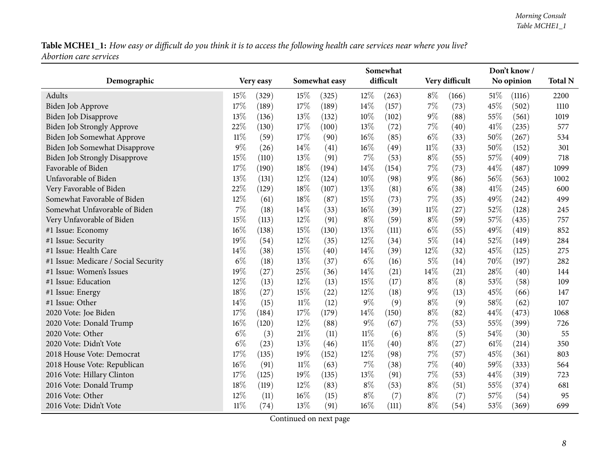|                                      |        |           |        |               |           | Somewhat |                | Don't know / |            |        |                |  |  |
|--------------------------------------|--------|-----------|--------|---------------|-----------|----------|----------------|--------------|------------|--------|----------------|--|--|
| Demographic                          |        | Very easy |        | Somewhat easy | difficult |          | Very difficult |              | No opinion |        | <b>Total N</b> |  |  |
| Adults                               | 15%    | (329)     | 15%    | (325)         | $12\%$    | (263)    | $8\%$          | (166)        | 51\%       | (1116) | 2200           |  |  |
| Biden Job Approve                    | 17%    | (189)     | 17%    | (189)         | 14%       | (157)    | 7%             | (73)         | 45%        | (502)  | 1110           |  |  |
| Biden Job Disapprove                 | 13%    | (136)     | 13%    | (132)         | 10%       | (102)    | $9\%$          | (88)         | 55%        | (561)  | 1019           |  |  |
| Biden Job Strongly Approve           | 22%    | (130)     | 17%    | (100)         | 13%       | (72)     | 7%             | (40)         | 41\%       | (235)  | 577            |  |  |
| Biden Job Somewhat Approve           | $11\%$ | (59)      | 17%    | (90)          | 16%       | (85)     | $6\%$          | (33)         | 50%        | (267)  | 534            |  |  |
| Biden Job Somewhat Disapprove        | 9%     | (26)      | 14%    | (41)          | 16%       | (49)     | $11\%$         | (33)         | 50%        | (152)  | 301            |  |  |
| <b>Biden Job Strongly Disapprove</b> | 15%    | (110)     | 13%    | (91)          | $7\%$     | (53)     | $8\%$          | (55)         | 57%        | (409)  | 718            |  |  |
| Favorable of Biden                   | 17%    | (190)     | $18\%$ | (194)         | $14\%$    | (154)    | $7\%$          | (73)         | 44%        | (487)  | 1099           |  |  |
| Unfavorable of Biden                 | 13%    | (131)     | 12%    | (124)         | 10%       | (98)     | $9\%$          | (86)         | 56%        | (563)  | 1002           |  |  |
| Very Favorable of Biden              | 22%    | (129)     | 18%    | (107)         | 13%       | (81)     | $6\%$          | (38)         | 41\%       | (245)  | 600            |  |  |
| Somewhat Favorable of Biden          | 12%    | (61)      | 18%    | (87)          | 15%       | (73)     | 7%             | (35)         | 49%        | (242)  | 499            |  |  |
| Somewhat Unfavorable of Biden        | 7%     | (18)      | 14\%   | (33)          | 16%       | (39)     | 11%            | (27)         | 52%        | (128)  | 245            |  |  |
| Very Unfavorable of Biden            | 15%    | (113)     | 12%    | (91)          | $8\%$     | (59)     | $8\%$          | (59)         | 57%        | (435)  | 757            |  |  |
| #1 Issue: Economy                    | 16%    | (138)     | 15%    | (130)         | 13%       | (111)    | $6\%$          | (55)         | 49%        | (419)  | 852            |  |  |
| #1 Issue: Security                   | 19%    | (54)      | 12%    | (35)          | 12%       | (34)     | $5\%$          | (14)         | 52%        | (149)  | 284            |  |  |
| #1 Issue: Health Care                | 14%    | (38)      | 15%    | (40)          | 14%       | (39)     | 12%            | (32)         | 45%        | (125)  | 275            |  |  |
| #1 Issue: Medicare / Social Security | $6\%$  | (18)      | 13%    | (37)          | $6\%$     | (16)     | $5\%$          | (14)         | 70%        | (197)  | 282            |  |  |
| #1 Issue: Women's Issues             | 19%    | (27)      | 25%    | (36)          | 14%       | (21)     | 14%            | (21)         | 28%        | (40)   | 144            |  |  |
| #1 Issue: Education                  | 12%    | (13)      | 12%    | (13)          | 15%       | (17)     | $8\%$          | (8)          | 53%        | (58)   | 109            |  |  |
| #1 Issue: Energy                     | 18%    | (27)      | 15%    | (22)          | 12%       | (18)     | $9\%$          | (13)         | 45%        | (66)   | 147            |  |  |
| #1 Issue: Other                      | 14%    | (15)      | $11\%$ | (12)          | 9%        | (9)      | $8\%$          | (9)          | 58%        | (62)   | 107            |  |  |
| 2020 Vote: Joe Biden                 | 17%    | (184)     | 17%    | (179)         | $14\%$    | (150)    | $8\%$          | (82)         | 44%        | (473)  | 1068           |  |  |
| 2020 Vote: Donald Trump              | 16%    | (120)     | 12%    | (88)          | $9\%$     | (67)     | 7%             | (53)         | 55%        | (399)  | 726            |  |  |
| 2020 Vote: Other                     | $6\%$  | (3)       | 21%    | (11)          | $11\%$    | (6)      | $8\%$          | (5)          | 54%        | (30)   | 55             |  |  |
| 2020 Vote: Didn't Vote               | $6\%$  | (23)      | 13%    | (46)          | $11\%$    | (40)     | $8\%$          | (27)         | 61%        | (214)  | 350            |  |  |
| 2018 House Vote: Democrat            | 17%    | (135)     | 19%    | (152)         | 12%       | (98)     | 7%             | (57)         | 45%        | (361)  | 803            |  |  |
| 2018 House Vote: Republican          | 16%    | (91)      | $11\%$ | (63)          | 7%        | (38)     | $7\%$          | (40)         | 59%        | (333)  | 564            |  |  |
| 2016 Vote: Hillary Clinton           | 17%    | (125)     | 19%    | (135)         | 13%       | (91)     | $7\%$          | (53)         | 44%        | (319)  | 723            |  |  |
| 2016 Vote: Donald Trump              | 18%    | (119)     | 12%    | (83)          | $8\%$     | (53)     | $8\%$          | (51)         | 55%        | (374)  | 681            |  |  |
| 2016 Vote: Other                     | 12%    | (11)      | 16%    | (15)          | $8\%$     | (7)      | $8\%$          | (7)          | 57%        | (54)   | 95             |  |  |
| 2016 Vote: Didn't Vote               | $11\%$ | (74)      | 13%    | (91)          | 16%       | (111)    | $8\%$          | (54)         | 53%        | (369)  | 699            |  |  |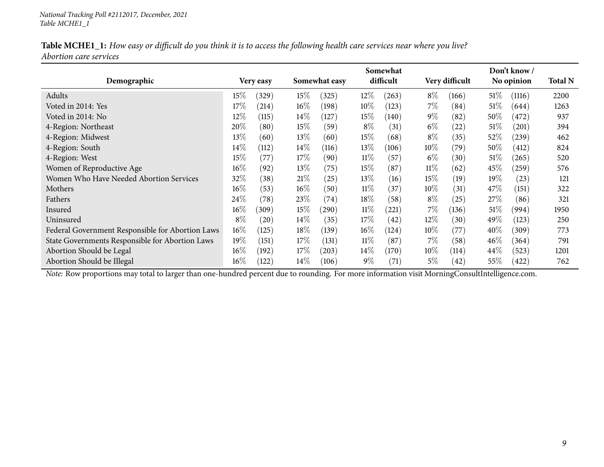|                               | Table MCHE1_1: How easy or difficult do you think it is to access the following health care services near where you live? |
|-------------------------------|---------------------------------------------------------------------------------------------------------------------------|
| <i>Abortion care services</i> |                                                                                                                           |

|                                                  |        |            |        |               |        |                    | Somewhat |                |        |                     |      |  |  |  |
|--------------------------------------------------|--------|------------|--------|---------------|--------|--------------------|----------|----------------|--------|---------------------|------|--|--|--|
| Demographic                                      |        | Very easy  |        | Somewhat easy |        | difficult          |          | Very difficult |        | No opinion          |      |  |  |  |
| Adults                                           | 15%    | (329)      | 15%    | (325)         | $12\%$ | (263)              | $8\%$    | (166)          | 51\%   | (1116)              | 2200 |  |  |  |
| Voted in 2014: Yes                               | 17%    | $^{(214)}$ | $16\%$ | (198)         | $10\%$ | (123)              | 7%       | (84)           | $51\%$ | (644)               | 1263 |  |  |  |
| Voted in 2014: No                                | $12\%$ | (115)      | $14\%$ | (127)         | $15\%$ | (140)              | $9\%$    | (82)           | $50\%$ | (472)               | 937  |  |  |  |
| 4-Region: Northeast                              | 20%    | (80)       | 15%    | (59)          | $8\%$  | (31)               | $6\%$    | (22)           | 51\%   | $\left( 201\right)$ | 394  |  |  |  |
| 4-Region: Midwest                                | 13\%   | (60)       | 13\%   | (60)          | $15\%$ | (68)               | $8\%$    | (35)           | 52\%   | $\left( 239\right)$ | 462  |  |  |  |
| 4-Region: South                                  | $14\%$ | (112)      | $14\%$ | (116)         | $13\%$ | (106)              | $10\%$   | (79)           | $50\%$ | (412)               | 824  |  |  |  |
| 4-Region: West                                   | 15%    | (77)       | 17%    | (90)          | $11\%$ | (57)               | $6\%$    | (30)           | $51\%$ | (265)               | 520  |  |  |  |
| Women of Reproductive Age                        | $16\%$ | (92)       | 13%    | (75)          | $15\%$ | (87)               | 11%      | (62)           | 45%    | (259)               | 576  |  |  |  |
| Women Who Have Needed Abortion Services          | 32%    | (38)       | 21%    | (25)          | $13\%$ | (16)               | 15%      | (19)           | $19\%$ | (23)                | 121  |  |  |  |
| Mothers                                          | $16\%$ | (53)       | $16\%$ | (50)          | $11\%$ | (37)               | $10\%$   | (31)           | 47\%   | (151)               | 322  |  |  |  |
| Fathers                                          | 24%    | (78)       | 23%    | (74)          | 18\%   | (58)               | $8\%$    | (25)           | 27%    | (86)                | 321  |  |  |  |
| Insured                                          | $16\%$ | (309)      | 15%    | $^{'}290)$    | $11\%$ | $^{(221)}$         | $7\%$    | (136)          | $51\%$ | (994)               | 1950 |  |  |  |
| Uninsured                                        | $8\%$  | (20)       | $14\%$ | (35)          | 17%    | (42)               | $12\%$   | (30)           | 49\%   | (123)               | 250  |  |  |  |
| Federal Government Responsible for Abortion Laws | $16\%$ | (125)      | $18\%$ | (139)         | $16\%$ | (124)              | $10\%$   | (77)           | $40\%$ | (309)               | 773  |  |  |  |
| State Governments Responsible for Abortion Laws  | 19%    | (151)      | 17%    | (131)         | $11\%$ | (87)               | 7%       | (58)           | $46\%$ | (364)               | 791  |  |  |  |
| Abortion Should be Legal                         | $16\%$ | (192)      | 17%    | (203)         | $14\%$ | (170)              | $10\%$   | (114)          | $44\%$ | (523)               | 1201 |  |  |  |
| Abortion Should be Illegal                       | $16\%$ | (122)      | $14\%$ | (106)         | $9\%$  | $\left( 71\right)$ | 5%       | (42)           | $55\%$ | (422)               | 762  |  |  |  |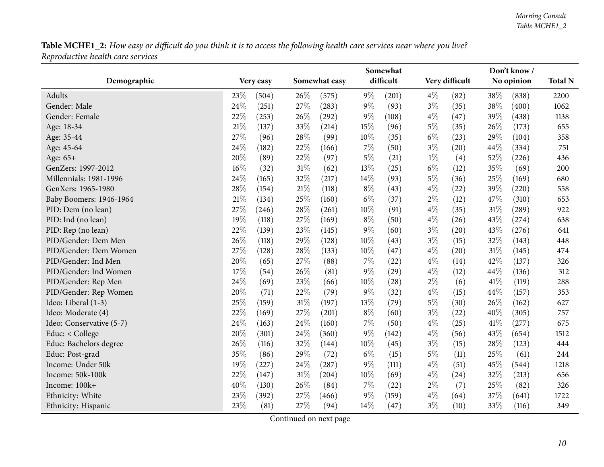<span id="page-9-0"></span>

|                          |           |       |               | Somewhat | Don't know / |           |       |                |      |            |      |
|--------------------------|-----------|-------|---------------|----------|--------------|-----------|-------|----------------|------|------------|------|
| Demographic              | Very easy |       | Somewhat easy |          |              | difficult |       | Very difficult |      | No opinion |      |
| Adults                   | 23%       | (504) | 26%           | (575)    | $9\%$        | (201)     | $4\%$ | (82)           | 38%  | (838)      | 2200 |
| Gender: Male             | 24%       | (251) | 27%           | (283)    | $9\%$        | (93)      | $3\%$ | (35)           | 38%  | (400)      | 1062 |
| Gender: Female           | 22%       | (253) | 26%           | (292)    | $9\%$        | (108)     | $4\%$ | (47)           | 39%  | (438)      | 1138 |
| Age: 18-34               | 21%       | (137) | 33%           | (214)    | 15%          | (96)      | $5\%$ | (35)           | 26\% | (173)      | 655  |
| Age: 35-44               | 27%       | (96)  | 28%           | (99)     | 10%          | (35)      | $6\%$ | (23)           | 29%  | (104)      | 358  |
| Age: 45-64               | 24%       | (182) | $22\%$        | (166)    | 7%           | (50)      | $3\%$ | (20)           | 44%  | (334)      | 751  |
| Age: 65+                 | 20%       | (89)  | 22%           | (97)     | $5\%$        | (21)      | $1\%$ | (4)            | 52%  | (226)      | 436  |
| GenZers: 1997-2012       | 16%       | (32)  | $31\%$        | (62)     | 13%          | (25)      | $6\%$ | (12)           | 35%  | (69)       | 200  |
| Millennials: 1981-1996   | 24%       | (165) | 32%           | (217)    | 14%          | (93)      | $5\%$ | (36)           | 25%  | (169)      | 680  |
| GenXers: 1965-1980       | 28%       | (154) | $21\%$        | (118)    | $8\%$        | (43)      | $4\%$ | (22)           | 39%  | (220)      | 558  |
| Baby Boomers: 1946-1964  | 21%       | (134) | 25%           | (160)    | $6\%$        | (37)      | $2\%$ | (12)           | 47%  | (310)      | 653  |
| PID: Dem (no lean)       | 27%       | (246) | 28%           | (261)    | 10%          | (91)      | $4\%$ | (35)           | 31%  | (289)      | 922  |
| PID: Ind (no lean)       | 19%       | (118) | 27%           | (169)    | $8\%$        | (50)      | $4\%$ | (26)           | 43%  | (274)      | 638  |
| PID: Rep (no lean)       | 22%       | (139) | 23%           | (145)    | $9\%$        | (60)      | $3\%$ | (20)           | 43%  | (276)      | 641  |
| PID/Gender: Dem Men      | 26%       | (118) | 29%           | (128)    | 10%          | (43)      | $3\%$ | (15)           | 32%  | (143)      | 448  |
| PID/Gender: Dem Women    | 27%       | (128) | 28%           | (133)    | 10%          | (47)      | $4\%$ | (20)           | 31%  | (145)      | 474  |
| PID/Gender: Ind Men      | 20%       | (65)  | 27%           | (88)     | 7%           | (22)      | $4\%$ | (14)           | 42\% | (137)      | 326  |
| PID/Gender: Ind Women    | 17%       | (54)  | 26%           | (81)     | 9%           | (29)      | $4\%$ | (12)           | 44%  | (136)      | 312  |
| PID/Gender: Rep Men      | 24%       | (69)  | $23\%$        | (66)     | 10%          | (28)      | $2\%$ | (6)            | 41\% | (119)      | 288  |
| PID/Gender: Rep Women    | 20%       | (71)  | 22%           | (79)     | $9\%$        | (32)      | $4\%$ | (15)           | 44%  | (157)      | 353  |
| Ideo: Liberal (1-3)      | 25%       | (159) | $31\%$        | (197)    | 13%          | (79)      | $5\%$ | (30)           | 26%  | (162)      | 627  |
| Ideo: Moderate (4)       | 22%       | (169) | 27%           | (201)    | $8\%$        | (60)      | $3\%$ | (22)           | 40%  | (305)      | 757  |
| Ideo: Conservative (5-7) | 24%       | (163) | 24\%          | (160)    | $7\%$        | (50)      | $4\%$ | (25)           | 41\% | (277)      | 675  |
| Educ: < College          | 20%       | (301) | 24\%          | (360)    | $9\%$        | (142)     | $4\%$ | (56)           | 43%  | (654)      | 1512 |
| Educ: Bachelors degree   | 26%       | (116) | 32%           | (144)    | 10%          | (45)      | $3\%$ | (15)           | 28%  | (123)      | 444  |
| Educ: Post-grad          | 35%       | (86)  | 29%           | (72)     | $6\%$        | (15)      | $5\%$ | (11)           | 25%  | (61)       | 244  |
| Income: Under 50k        | 19%       | (227) | 24%           | (287)    | $9\%$        | (111)     | $4\%$ | (51)           | 45%  | (544)      | 1218 |
| Income: 50k-100k         | 22%       | (147) | $31\%$        | (204)    | 10%          | (69)      | $4\%$ | (24)           | 32%  | (213)      | 656  |
| Income: 100k+            | 40%       | (130) | 26\%          | (84)     | $7\%$        | (22)      | $2\%$ | (7)            | 25%  | (82)       | 326  |
| Ethnicity: White         | 23%       | (392) | 27%           | (466)    | $9\%$        | (159)     | $4\%$ | (64)           | 37%  | (641)      | 1722 |
| Ethnicity: Hispanic      | 23%       | (81)  | 27%           | (94)     | 14%          | (47)      | $3\%$ | (10)           | 33%  | (116)      | 349  |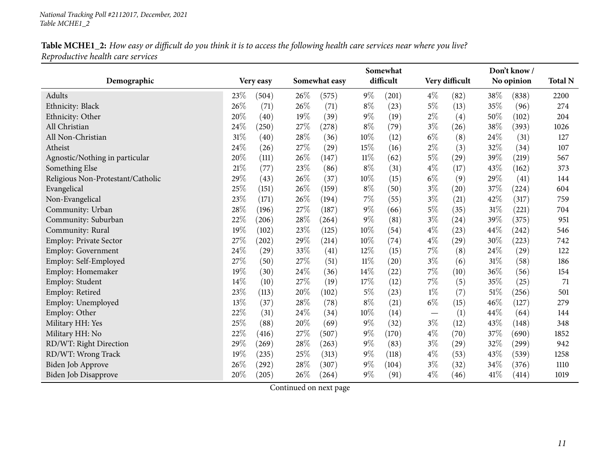|                                   |        |           |      |               |        | Somewhat  | Don't know/    |                    |            |       |                |  |  |
|-----------------------------------|--------|-----------|------|---------------|--------|-----------|----------------|--------------------|------------|-------|----------------|--|--|
| Demographic                       |        | Very easy |      | Somewhat easy |        | difficult | Very difficult |                    | No opinion |       | <b>Total N</b> |  |  |
| Adults                            | 23%    | (504)     | 26\% | (575)         | $9\%$  | (201)     | $4\%$          | (82)               | 38%        | (838) | 2200           |  |  |
| Ethnicity: Black                  | 26%    | (71)      | 26%  | (71)          | $8\%$  | (23)      | $5\%$          | (13)               | 35%        | (96)  | 274            |  |  |
| Ethnicity: Other                  | 20%    | (40)      | 19%  | (39)          | $9\%$  | (19)      | $2\%$          | (4)                | 50%        | (102) | 204            |  |  |
| All Christian                     | 24%    | (250)     | 27%  | (278)         | $8\%$  | (79)      | $3\%$          | (26)               | 38%        | (393) | 1026           |  |  |
| All Non-Christian                 | 31%    | (40)      | 28%  | (36)          | 10%    | (12)      | $6\%$          | (8)                | 24\%       | (31)  | 127            |  |  |
| Atheist                           | 24%    | (26)      | 27%  | (29)          | 15%    | (16)      | $2\%$          | (3)                | 32%        | (34)  | 107            |  |  |
| Agnostic/Nothing in particular    | 20%    | (111)     | 26%  | (147)         | $11\%$ | (62)      | $5\%$          | (29)               | 39%        | (219) | 567            |  |  |
| Something Else                    | 21%    | (77)      | 23%  | (86)          | $8\%$  | (31)      | $4\%$          | (17)               | 43%        | (162) | 373            |  |  |
| Religious Non-Protestant/Catholic | 29%    | (43)      | 26%  | (37)          | 10%    | (15)      | $6\%$          | (9)                | 29%        | (41)  | 144            |  |  |
| Evangelical                       | 25%    | (151)     | 26\% | (159)         | $8\%$  | (50)      | $3\%$          | $\left( 20\right)$ | 37%        | (224) | 604            |  |  |
| Non-Evangelical                   | 23%    | (171)     | 26%  | (194)         | $7\%$  | (55)      | $3\%$          | (21)               | 42%        | (317) | 759            |  |  |
| Community: Urban                  | $28\%$ | (196)     | 27%  | (187)         | $9\%$  | (66)      | $5\%$          | (35)               | 31\%       | (221) | 704            |  |  |
| Community: Suburban               | 22%    | (206)     | 28\% | (264)         | $9\%$  | (81)      | $3\%$          | $\left( 24\right)$ | 39%        | (375) | 951            |  |  |
| Community: Rural                  | 19%    | (102)     | 23%  | (125)         | 10%    | (54)      | $4\%$          | (23)               | 44%        | (242) | 546            |  |  |
| <b>Employ: Private Sector</b>     | 27%    | (202)     | 29%  | (214)         | 10%    | (74)      | $4\%$          | $\left( 29\right)$ | 30%        | (223) | 742            |  |  |
| <b>Employ: Government</b>         | 24%    | (29)      | 33%  | (41)          | 12%    | (15)      | 7%             | (8)                | 24%        | (29)  | 122            |  |  |
| Employ: Self-Employed             | 27%    | (50)      | 27%  | (51)          | $11\%$ | (20)      | $3\%$          | (6)                | $31\%$     | (58)  | 186            |  |  |
| Employ: Homemaker                 | 19%    | (30)      | 24%  | (36)          | 14%    | (22)      | $7\%$          | (10)               | 36%        | (56)  | 154            |  |  |
| Employ: Student                   | 14%    | (10)      | 27%  | (19)          | 17%    | (12)      | $7\%$          | (5)                | 35%        | (25)  | 71             |  |  |
| Employ: Retired                   | 23%    | (113)     | 20%  | (102)         | $5\%$  | (23)      | $1\%$          | (7)                | 51\%       | (256) | 501            |  |  |
| Employ: Unemployed                | 13%    | (37)      | 28%  | (78)          | $8\%$  | (21)      | $6\%$          | (15)               | 46\%       | (127) | 279            |  |  |
| Employ: Other                     | 22%    | (31)      | 24%  | (34)          | $10\%$ | (14)      |                | (1)                | 44\%       | (64)  | 144            |  |  |
| Military HH: Yes                  | 25%    | (88)      | 20%  | (69)          | $9\%$  | (32)      | $3\%$          | (12)               | 43%        | (148) | 348            |  |  |
| Military HH: No                   | 22%    | (416)     | 27%  | (507)         | $9\%$  | (170)     | $4\%$          | (70)               | 37%        | (690) | 1852           |  |  |
| RD/WT: Right Direction            | 29%    | (269)     | 28%  | (263)         | 9%     | (83)      | $3\%$          | (29)               | 32%        | (299) | 942            |  |  |
| RD/WT: Wrong Track                | 19%    | (235)     | 25%  | (313)         | $9\%$  | (118)     | $4\%$          | (53)               | 43%        | (539) | 1258           |  |  |
| Biden Job Approve                 | 26%    | (292)     | 28%  | (307)         | $9\%$  | (104)     | $3\%$          | (32)               | 34%        | (376) | 1110           |  |  |
| Biden Job Disapprove              | 20%    | (205)     | 26%  | (264)         | $9\%$  | (91)      | $4\%$          | (46)               | 41\%       | (414) | 1019           |  |  |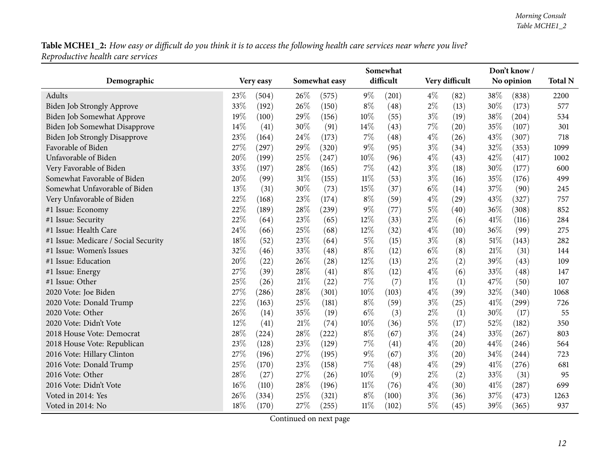|                                      |     |           |        |               |        | Somewhat  |       |                |      |            |      |
|--------------------------------------|-----|-----------|--------|---------------|--------|-----------|-------|----------------|------|------------|------|
| Demographic                          |     | Very easy |        | Somewhat easy |        | difficult |       | Very difficult |      | No opinion |      |
| Adults                               | 23% | (504)     | 26%    | (575)         | $9\%$  | (201)     | $4\%$ | (82)           | 38%  | (838)      | 2200 |
| <b>Biden Job Strongly Approve</b>    | 33% | (192)     | 26%    | (150)         | $8\%$  | (48)      | $2\%$ | (13)           | 30%  | (173)      | 577  |
| Biden Job Somewhat Approve           | 19% | (100)     | 29%    | (156)         | 10%    | (55)      | $3\%$ | (19)           | 38%  | (204)      | 534  |
| <b>Biden Job Somewhat Disapprove</b> | 14% | (41)      | 30%    | (91)          | 14%    | (43)      | $7\%$ | (20)           | 35%  | (107)      | 301  |
| <b>Biden Job Strongly Disapprove</b> | 23% | (164)     | 24\%   | (173)         | $7\%$  | (48)      | $4\%$ | (26)           | 43%  | (307)      | 718  |
| Favorable of Biden                   | 27% | (297)     | 29%    | (320)         | $9\%$  | (95)      | $3\%$ | (34)           | 32%  | (353)      | 1099 |
| Unfavorable of Biden                 | 20% | (199)     | $25\%$ | (247)         | 10%    | (96)      | $4\%$ | (43)           | 42%  | (417)      | 1002 |
| Very Favorable of Biden              | 33% | (197)     | 28%    | (165)         | $7\%$  | (42)      | $3\%$ | (18)           | 30%  | (177)      | 600  |
| Somewhat Favorable of Biden          | 20% | (99)      | 31%    | (155)         | $11\%$ | (53)      | $3\%$ | (16)           | 35%  | (176)      | 499  |
| Somewhat Unfavorable of Biden        | 13% | (31)      | 30%    | (73)          | 15%    | (37)      | $6\%$ | (14)           | 37%  | (90)       | 245  |
| Very Unfavorable of Biden            | 22% | (168)     | 23%    | (174)         | $8\%$  | (59)      | $4\%$ | (29)           | 43%  | (327)      | 757  |
| #1 Issue: Economy                    | 22% | (189)     | 28%    | (239)         | $9\%$  | (77)      | $5\%$ | (40)           | 36%  | (308)      | 852  |
| #1 Issue: Security                   | 22% | (64)      | 23%    | (65)          | 12%    | (33)      | $2\%$ | (6)            | 41\% | (116)      | 284  |
| #1 Issue: Health Care                | 24% | (66)      | 25%    | (68)          | 12%    | (32)      | $4\%$ | (10)           | 36%  | (99)       | 275  |
| #1 Issue: Medicare / Social Security | 18% | (52)      | 23%    | (64)          | $5\%$  | (15)      | $3\%$ | (8)            | 51%  | (143)      | 282  |
| #1 Issue: Women's Issues             | 32% | (46)      | 33%    | (48)          | $8\%$  | (12)      | $6\%$ | (8)            | 21%  | (31)       | 144  |
| #1 Issue: Education                  | 20% | (22)      | 26%    | (28)          | 12%    | (13)      | $2\%$ | (2)            | 39%  | (43)       | 109  |
| #1 Issue: Energy                     | 27% | (39)      | 28%    | (41)          | $8\%$  | (12)      | $4\%$ | (6)            | 33%  | (48)       | 147  |
| #1 Issue: Other                      | 25% | (26)      | 21%    | (22)          | 7%     | (7)       | $1\%$ | (1)            | 47%  | (50)       | 107  |
| 2020 Vote: Joe Biden                 | 27% | (286)     | 28%    | (301)         | 10%    | (103)     | $4\%$ | (39)           | 32%  | (340)      | 1068 |
| 2020 Vote: Donald Trump              | 22% | (163)     | 25\%   | (181)         | $8\%$  | (59)      | $3\%$ | (25)           | 41\% | (299)      | 726  |
| 2020 Vote: Other                     | 26% | (14)      | 35%    | (19)          | $6\%$  | (3)       | $2\%$ | (1)            | 30%  | (17)       | 55   |
| 2020 Vote: Didn't Vote               | 12% | (41)      | 21%    | (74)          | 10%    | (36)      | $5\%$ | (17)           | 52%  | (182)      | 350  |
| 2018 House Vote: Democrat            | 28% | (224)     | 28%    | (222)         | $8\%$  | (67)      | $3\%$ | (24)           | 33%  | (267)      | 803  |
| 2018 House Vote: Republican          | 23% | (128)     | 23%    | (129)         | $7\%$  | (41)      | $4\%$ | (20)           | 44%  | (246)      | 564  |
| 2016 Vote: Hillary Clinton           | 27% | (196)     | 27%    | (195)         | $9\%$  | (67)      | $3\%$ | (20)           | 34%  | (244)      | 723  |
| 2016 Vote: Donald Trump              | 25% | (170)     | 23%    | (158)         | 7%     | (48)      | $4\%$ | (29)           | 41\% | (276)      | 681  |
| 2016 Vote: Other                     | 28% | (27)      | 27%    | (26)          | 10%    | (9)       | $2\%$ | (2)            | 33%  | (31)       | 95   |
| 2016 Vote: Didn't Vote               | 16% | (110)     | 28\%   | (196)         | 11%    | (76)      | $4\%$ | (30)           | 41\% | (287)      | 699  |
| Voted in 2014: Yes                   | 26% | (334)     | 25%    | (321)         | $8\%$  | (100)     | $3\%$ | (36)           | 37%  | (473)      | 1263 |
| Voted in 2014: No                    | 18% | (170)     | 27%    | (255)         | $11\%$ | (102)     | $5\%$ | (45)           | 39%  | (365)      | 937  |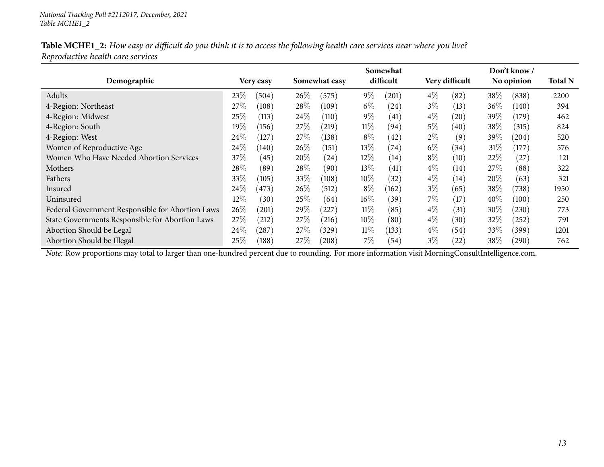| Table MCHE1_2: How easy or difficult do you think it is to access the following health care services near where you live? |  |
|---------------------------------------------------------------------------------------------------------------------------|--|
| Reproductive health care services                                                                                         |  |

|                                                  |         |              | Somewhat |               |        |                    |       | Don't know/       |        |            |      |  |
|--------------------------------------------------|---------|--------------|----------|---------------|--------|--------------------|-------|-------------------|--------|------------|------|--|
| Demographic                                      |         | Very easy    |          | Somewhat easy |        | difficult          |       | Very difficult    |        | No opinion |      |  |
| Adults                                           | $23\%$  | (504)        | $26\%$   | (575)         | $9\%$  | 201                | $4\%$ | (82)              | 38\%   | (838)      | 2200 |  |
| 4-Region: Northeast                              | 27%     | (108)        | 28\%     | (109)         | $6\%$  | (24)               | $3\%$ | (13)              | $36\%$ | (140)      | 394  |  |
| 4-Region: Midwest                                | $25\%$  | (113)        | 24%      | (110)         | $9\%$  | $\left(41\right)$  | $4\%$ | (20)              | 39\%   | (179)      | 462  |  |
| 4-Region: South                                  | 19 $\%$ | (156)        | 27\%     | $^{(219)}$    | $11\%$ | (94)               | 5%    | (40)              | $38\%$ | (315)      | 824  |  |
| 4-Region: West                                   | $24\%$  | 127          | 27\%     | (138)         | $8\%$  | (42)               | $2\%$ | (9)               | $39\%$ | (204)      | 520  |  |
| Women of Reproductive Age                        | 24\%    | (140)        | 26\%     | (151)         | $13\%$ | $\left( 74\right)$ | $6\%$ | (34)              | $31\%$ | (177)      | 576  |  |
| Women Who Have Needed Abortion Services          | $37\%$  | (45)         | 20%      | (24)          | $12\%$ | (14)               | $8\%$ | (10)              | 22\%   | (27)       | 121  |  |
| Mothers                                          | 28\%    | (89`         | 28\%     | (90)          | $13\%$ | (41)               | $4\%$ | (14)              | 27\%   | (88)       | 322  |  |
| Fathers                                          | $33\%$  | (105)        | 33\%     | (108)         | $10\%$ | (32)               | $4\%$ | (14)              | $20\%$ | (63)       | 321  |  |
| Insured                                          | $24\%$  | (473)        | $26\%$   | (512)         | $8\%$  | (162)              | $3\%$ | (65)              | 38\%   | (738)      | 1950 |  |
| Uninsured                                        | 12%     | $30^{\circ}$ | 25\%     | (64)          | $16\%$ | (39)               | 7%    | (17)              | $40\%$ | (100)      | 250  |  |
| Federal Government Responsible for Abortion Laws | 26\%    | (201)        | 29%      | $^{'}227$     | $11\%$ | (85)               | $4\%$ | $\left(31\right)$ | 30%    | (230)      | 773  |  |
| State Governments Responsible for Abortion Laws  | $27\%$  | (212)        | 27%      | (216)         | $10\%$ | (80)               | $4\%$ | (30)              | 32%    | (252)      | 791  |  |
| Abortion Should be Legal                         | $24\%$  | $^{'}287$    | 27%      | (329)         | $11\%$ | (133)              | $4\%$ | (54)              | 33\%   | (399)      | 1201 |  |
| Abortion Should be Illegal                       | $25\%$  | (188)        | 27%      | (208)         | $7\%$  | (54)               | $3\%$ | (22)              | $38\%$ | $^{(290)}$ | 762  |  |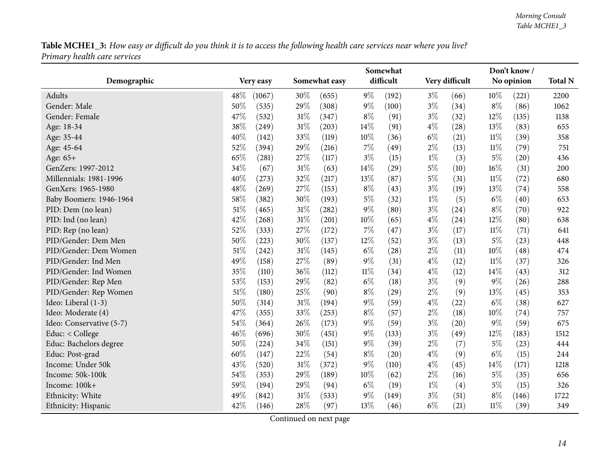<span id="page-13-0"></span>

|                          |                |                 | Somewhat       |                | Don't know /   |                |  |
|--------------------------|----------------|-----------------|----------------|----------------|----------------|----------------|--|
| Demographic              | Very easy      | Somewhat easy   | difficult      | Very difficult | No opinion     | <b>Total N</b> |  |
| Adults                   | 48\%<br>(1067) | 30%<br>(655)    | $9\%$<br>(192) | $3\%$<br>(66)  | 10%<br>(221)   | 2200           |  |
| Gender: Male             | 50%<br>(535)   | 29%<br>(308)    | $9\%$<br>(100) | $3\%$<br>(34)  | $8\%$<br>(86)  | 1062           |  |
| Gender: Female           | 47%<br>(532)   | $31\%$<br>(347) | $8\%$<br>(91)  | $3\%$<br>(32)  | 12%<br>(135)   | 1138           |  |
| Age: 18-34               | 38%<br>(249)   | $31\%$<br>(203) | 14%<br>(91)    | $4\%$<br>(28)  | 13%<br>(83)    | 655            |  |
| Age: 35-44               | 40%<br>(142)   | 33%<br>(119)    | 10%<br>(36)    | $6\%$<br>(21)  | $11\%$<br>(39) | 358            |  |
| Age: 45-64               | 52%<br>(394)   | 29%<br>(216)    | 7%<br>(49)     | $2\%$<br>(13)  | 11%<br>(79)    | 751            |  |
| Age: 65+                 | 65%<br>(281)   | 27%<br>(117)    | $3\%$<br>(15)  | $1\%$<br>(3)   | $5\%$<br>(20)  | 436            |  |
| GenZers: 1997-2012       | 34%<br>(67)    | 31%<br>(63)     | 14%<br>(29)    | $5\%$<br>(10)  | 16%<br>(31)    | 200            |  |
| Millennials: 1981-1996   | 40%<br>(273)   | 32%<br>(217)    | 13%<br>(87)    | $5\%$<br>(31)  | 11%<br>(72)    | 680            |  |
| GenXers: 1965-1980       | 48%<br>(269)   | 27%<br>(153)    | $8\%$<br>(43)  | $3\%$<br>(19)  | 13\%<br>(74)   | 558            |  |
| Baby Boomers: 1946-1964  | 58%<br>(382)   | 30%<br>(193)    | $5\%$<br>(32)  | $1\%$<br>(5)   | $6\%$<br>(40)  | 653            |  |
| PID: Dem (no lean)       | 51%<br>(465)   | 31%<br>(282)    | $9\%$<br>(80)  | $3\%$<br>(24)  | $8\%$<br>(70)  | 922            |  |
| PID: Ind (no lean)       | 42%<br>(268)   | $31\%$<br>(201) | 10%<br>(65)    | $4\%$<br>(24)  | 12%<br>(80)    | 638            |  |
| PID: Rep (no lean)       | 52%<br>(333)   | 27%<br>(172)    | 7%<br>(47)     | $3\%$<br>(17)  | $11\%$<br>(71) | 641            |  |
| PID/Gender: Dem Men      | 50%<br>(223)   | 30%<br>(137)    | 12%<br>(52)    | $3\%$<br>(13)  | $5\%$<br>(23)  | 448            |  |
| PID/Gender: Dem Women    | 51%<br>(242)   | 31%<br>(145)    | $6\%$<br>(28)  | $2\%$<br>(11)  | 10%<br>(48)    | 474            |  |
| PID/Gender: Ind Men      | 49%<br>(158)   | 27%<br>(89)     | $9\%$<br>(31)  | $4\%$<br>(12)  | $11\%$<br>(37) | 326            |  |
| PID/Gender: Ind Women    | 35%<br>(110)   | 36%<br>(112)    | $11\%$<br>(34) | $4\%$<br>(12)  | 14%<br>(43)    | 312            |  |
| PID/Gender: Rep Men      | 53%<br>(153)   | 29%<br>(82)     | $6\%$<br>(18)  | $3\%$<br>(9)   | $9\%$<br>(26)  | 288            |  |
| PID/Gender: Rep Women    | 51%<br>(180)   | $25\%$<br>(90)  | $8\%$<br>(29)  | $2\%$<br>(9)   | 13%<br>(45)    | 353            |  |
| Ideo: Liberal (1-3)      | 50%<br>(314)   | 31%<br>(194)    | $9\%$<br>(59)  | $4\%$<br>(22)  | $6\%$<br>(38)  | 627            |  |
| Ideo: Moderate (4)       | 47%<br>(355)   | 33%<br>(253)    | $8\%$<br>(57)  | $2\%$<br>(18)  | 10%<br>(74)    | 757            |  |
| Ideo: Conservative (5-7) | 54%<br>(364)   | 26%<br>(173)    | $9\%$<br>(59)  | $3\%$<br>(20)  | $9\%$<br>(59)  | 675            |  |
| Educ: < College          | 46%<br>(696)   | 30%<br>(451)    | $9\%$<br>(133) | $3\%$<br>(49)  | 12%<br>(183)   | 1512           |  |
| Educ: Bachelors degree   | 50%<br>(224)   | 34%<br>(151)    | $9\%$<br>(39)  | $2\%$<br>(7)   | $5\%$<br>(23)  | 444            |  |
| Educ: Post-grad          | 60%<br>(147)   | 22%<br>(54)     | $8\%$<br>(20)  | $4\%$<br>(9)   | $6\%$<br>(15)  | 244            |  |
| Income: Under 50k        | 43%<br>(520)   | $31\%$<br>(372) | $9\%$<br>(110) | $4\%$<br>(45)  | 14%<br>(171)   | 1218           |  |
| Income: 50k-100k         | 54%<br>(353)   | 29%<br>(189)    | $10\%$<br>(62) | $2\%$<br>(16)  | $5\%$<br>(35)  | 656            |  |
| Income: 100k+            | 59%<br>(194)   | 29%<br>(94)     | $6\%$<br>(19)  | $1\%$<br>(4)   | $5\%$<br>(15)  | 326            |  |
| Ethnicity: White         | 49%<br>(842)   | $31\%$<br>(533) | $9\%$<br>(149) | $3\%$<br>(51)  | $8\%$<br>(146) | 1722           |  |
| Ethnicity: Hispanic      | 42%<br>(146)   | 28%<br>(97)     | 13%<br>(46)    | $6\%$<br>(21)  | $11\%$<br>(39) | 349            |  |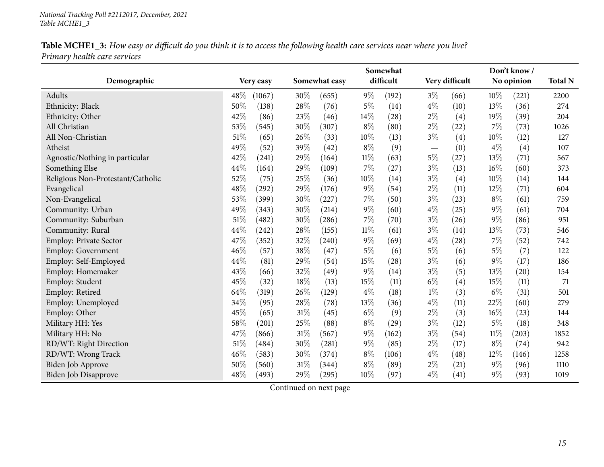|                                   |                  |                 | Somewhat |           |                                   | Don't know/    |        |            |      |
|-----------------------------------|------------------|-----------------|----------|-----------|-----------------------------------|----------------|--------|------------|------|
| Demographic                       | <b>Very easy</b> | Somewhat easy   |          | difficult |                                   | Very difficult |        | No opinion |      |
| Adults                            | 48\%<br>(1067)   | $30\%$<br>(655) | $9\%$    | (192)     | $3\%$                             | (66)           | $10\%$ | (221)      | 2200 |
| Ethnicity: Black                  | 50%<br>(138)     | 28%<br>(76)     | $5\%$    | (14)      | $4\%$                             | (10)           | 13%    | (36)       | 274  |
| Ethnicity: Other                  | 42%<br>(86)      | 23%<br>(46)     | 14\%     | (28)      | $2\%$                             | (4)            | 19%    | (39)       | 204  |
| All Christian                     | 53%<br>(545)     | 30%<br>(307)    | $8\%$    | (80)      | $2\%$                             | (22)           | 7%     | (73)       | 1026 |
| All Non-Christian                 | 51%<br>(65)      | 26%<br>(33)     | 10%      | (13)      | $3\%$                             | (4)            | $10\%$ | (12)       | 127  |
| Atheist                           | 49%<br>(52)      | 39%<br>(42)     | $8\%$    | (9)       | $\overbrace{\phantom{123221111}}$ | (0)            | $4\%$  | (4)        | 107  |
| Agnostic/Nothing in particular    | 42%<br>(241)     | 29%<br>(164)    | $11\%$   | (63)      | $5\%$                             | (27)           | 13%    | (71)       | 567  |
| Something Else                    | 44%<br>(164)     | 29%<br>(109)    | $7\%$    | (27)      | $3\%$                             | (13)           | 16%    | (60)       | 373  |
| Religious Non-Protestant/Catholic | 52%<br>(75)      | 25%<br>(36)     | 10%      | (14)      | $3\%$                             | (4)            | 10%    | (14)       | 144  |
| Evangelical                       | 48%<br>(292)     | 29%<br>(176)    | $9\%$    | (54)      | $2\%$                             | (11)           | $12\%$ | (71)       | 604  |
| Non-Evangelical                   | 53%<br>(399)     | 30%<br>(227)    | $7\%$    | (50)      | $3\%$                             | (23)           | $8\%$  | (61)       | 759  |
| Community: Urban                  | 49%<br>(343)     | 30%<br>(214)    | $9\%$    | (60)      | $4\%$                             | (25)           | $9\%$  | (61)       | 704  |
| Community: Suburban               | 51%<br>(482)     | 30%<br>(286)    | $7\%$    | (70)      | $3\%$                             | (26)           | $9\%$  | (86)       | 951  |
| Community: Rural                  | 44%<br>(242)     | 28%<br>(155)    | $11\%$   | (61)      | $3\%$                             | (14)           | 13%    | (73)       | 546  |
| <b>Employ: Private Sector</b>     | 47%<br>(352)     | 32%<br>(240)    | $9\%$    | (69)      | $4\%$                             | (28)           | 7%     | (52)       | 742  |
| <b>Employ: Government</b>         | 46%<br>(57)      | 38%<br>(47)     | $5\%$    | (6)       | $5\%$                             | (6)            | $5\%$  | (7)        | 122  |
| Employ: Self-Employed             | 44%<br>(81)      | 29%<br>(54)     | 15%      | (28)      | $3\%$                             | (6)            | $9\%$  | (17)       | 186  |
| Employ: Homemaker                 | 43%<br>(66)      | 32%<br>(49)     | $9\%$    | (14)      | $3\%$                             | (5)            | 13%    | (20)       | 154  |
| Employ: Student                   | 45%<br>(32)      | 18%<br>(13)     | 15%      | (11)      | $6\%$                             | (4)            | 15%    | (11)       | 71   |
| Employ: Retired                   | 64%<br>(319)     | 26%<br>(129)    | $4\%$    | (18)      | $1\%$                             | (3)            | $6\%$  | (31)       | 501  |
| Employ: Unemployed                | 34%<br>(95)      | 28%<br>(78)     | 13%      | (36)      | $4\%$                             | (11)           | 22%    | (60)       | 279  |
| Employ: Other                     | 45%<br>(65)      | 31%<br>(45)     | $6\%$    | (9)       | $2\%$                             | (3)            | 16%    | (23)       | 144  |
| Military HH: Yes                  | 58%<br>(201)     | 25%<br>(88)     | $8\%$    | (29)      | $3\%$                             | (12)           | $5\%$  | (18)       | 348  |
| Military HH: No                   | 47%<br>(866)     | 31%<br>(567)    | $9\%$    | (162)     | $3\%$                             | (54)           | $11\%$ | (203)      | 1852 |
| RD/WT: Right Direction            | 51%<br>(484)     | 30%<br>(281)    | $9\%$    | (85)      | $2\%$                             | (17)           | $8\%$  | (74)       | 942  |
| RD/WT: Wrong Track                | 46%<br>(583)     | 30%<br>(374)    | $8\%$    | (106)     | $4\%$                             | (48)           | 12%    | (146)      | 1258 |
| <b>Biden Job Approve</b>          | 50%<br>(560)     | 31%<br>(344)    | $8\%$    | (89)      | $2\%$                             | (21)           | $9\%$  | (96)       | 1110 |
| <b>Biden Job Disapprove</b>       | 48%<br>(493)     | 29%<br>(295)    | 10%      | (97)      | $4\%$                             | (41)           | $9\%$  | (93)       | 1019 |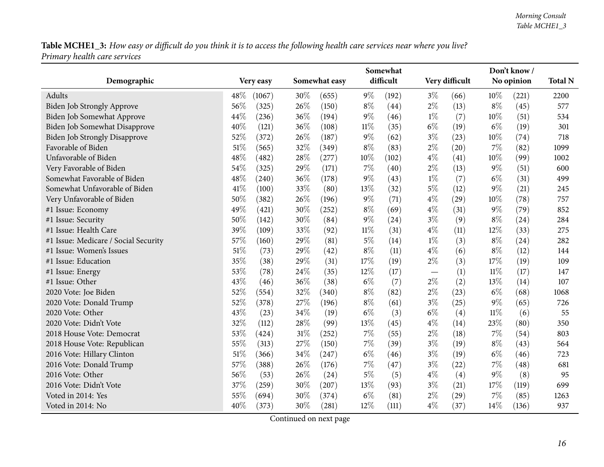|                                      |               | Somewhat |               |        |           |       |                |        | Don't know / |      |  |
|--------------------------------------|---------------|----------|---------------|--------|-----------|-------|----------------|--------|--------------|------|--|
| Demographic                          | Very easy     |          | Somewhat easy |        | difficult |       | Very difficult |        | No opinion   |      |  |
| Adults                               | 48%<br>(1067) | 30%      | (655)         | $9\%$  | (192)     | $3\%$ | (66)           | $10\%$ | (221)        | 2200 |  |
| Biden Job Strongly Approve           | 56%<br>(325)  | 26%      | (150)         | $8\%$  | (44)      | $2\%$ | (13)           | $8\%$  | (45)         | 577  |  |
| Biden Job Somewhat Approve           | 44%<br>(236)  | 36%      | (194)         | $9\%$  | (46)      | $1\%$ | (7)            | 10%    | (51)         | 534  |  |
| Biden Job Somewhat Disapprove        | 40%<br>(121)  | 36%      | (108)         | $11\%$ | (35)      | $6\%$ | (19)           | $6\%$  | (19)         | 301  |  |
| <b>Biden Job Strongly Disapprove</b> | 52%<br>(372)  | 26%      | (187)         | $9\%$  | (62)      | $3\%$ | (23)           | 10%    | (74)         | 718  |  |
| Favorable of Biden                   | 51%<br>(565)  | 32%      | (349)         | $8\%$  | (83)      | $2\%$ | (20)           | 7%     | (82)         | 1099 |  |
| Unfavorable of Biden                 | 48%<br>(482)  | 28%      | (277)         | $10\%$ | (102)     | $4\%$ | (41)           | 10%    | (99)         | 1002 |  |
| Very Favorable of Biden              | 54%<br>(325)  | 29%      | (171)         | 7%     | (40)      | $2\%$ | (13)           | 9%     | (51)         | 600  |  |
| Somewhat Favorable of Biden          | 48\%<br>(240) | 36%      | (178)         | $9\%$  | (43)      | $1\%$ | (7)            | $6\%$  | (31)         | 499  |  |
| Somewhat Unfavorable of Biden        | 41\%<br>(100) | 33%      | (80)          | 13%    | (32)      | $5\%$ | (12)           | $9\%$  | (21)         | 245  |  |
| Very Unfavorable of Biden            | 50%<br>(382)  | 26%      | (196)         | $9\%$  | (71)      | $4\%$ | (29)           | 10%    | (78)         | 757  |  |
| #1 Issue: Economy                    | 49%<br>(421)  | 30%      | (252)         | $8\%$  | (69)      | $4\%$ | (31)           | $9\%$  | (79)         | 852  |  |
| #1 Issue: Security                   | 50%<br>(142)  | 30%      | (84)          | $9\%$  | (24)      | $3\%$ | (9)            | $8\%$  | (24)         | 284  |  |
| #1 Issue: Health Care                | 39%<br>(109)  | 33%      | (92)          | $11\%$ | (31)      | $4\%$ | (11)           | 12%    | (33)         | 275  |  |
| #1 Issue: Medicare / Social Security | 57%<br>(160)  | 29%      | (81)          | $5\%$  | (14)      | $1\%$ | (3)            | $8\%$  | (24)         | 282  |  |
| #1 Issue: Women's Issues             | 51%<br>(73)   | 29%      | (42)          | $8\%$  | (11)      | $4\%$ | (6)            | $8\%$  | (12)         | 144  |  |
| #1 Issue: Education                  | 35%<br>(38)   | 29%      | (31)          | 17%    | (19)      | $2\%$ | (3)            | 17%    | (19)         | 109  |  |
| #1 Issue: Energy                     | 53%<br>(78)   | 24%      | (35)          | 12%    | (17)      |       | (1)            | $11\%$ | (17)         | 147  |  |
| #1 Issue: Other                      | 43%<br>(46)   | 36%      | (38)          | $6\%$  | (7)       | $2\%$ | (2)            | 13%    | (14)         | 107  |  |
| 2020 Vote: Joe Biden                 | 52%<br>(554)  | 32%      | (340)         | $8\%$  | (82)      | $2\%$ | (23)           | $6\%$  | (68)         | 1068 |  |
| 2020 Vote: Donald Trump              | 52%<br>(378)  | 27%      | (196)         | $8\%$  | (61)      | $3\%$ | (25)           | 9%     | (65)         | 726  |  |
| 2020 Vote: Other                     | 43%<br>(23)   | 34%      | (19)          | $6\%$  | (3)       | $6\%$ | (4)            | $11\%$ | (6)          | 55   |  |
| 2020 Vote: Didn't Vote               | 32%<br>(112)  | 28%      | (99)          | 13%    | (45)      | $4\%$ | (14)           | 23%    | (80)         | 350  |  |
| 2018 House Vote: Democrat            | 53%<br>(424)  | 31%      | (252)         | 7%     | (55)      | $2\%$ | (18)           | $7\%$  | (54)         | 803  |  |
| 2018 House Vote: Republican          | 55%<br>(313)  | 27%      | (150)         | 7%     | (39)      | $3\%$ | (19)           | $8\%$  | (43)         | 564  |  |
| 2016 Vote: Hillary Clinton           | 51%<br>(366)  | 34%      | (247)         | $6\%$  | (46)      | $3\%$ | (19)           | $6\%$  | (46)         | 723  |  |
| 2016 Vote: Donald Trump              | 57%<br>(388)  | 26%      | (176)         | 7%     | (47)      | $3\%$ | (22)           | $7\%$  | (48)         | 681  |  |
| 2016 Vote: Other                     | 56%<br>(53)   | 26%      | (24)          | $5\%$  | (5)       | $4\%$ | (4)            | $9\%$  | (8)          | 95   |  |
| 2016 Vote: Didn't Vote               | 37%<br>(259)  | 30%      | (207)         | 13\%   | (93)      | $3\%$ | (21)           | 17%    | (119)        | 699  |  |
| Voted in 2014: Yes                   | 55%<br>(694)  | 30%      | (374)         | $6\%$  | (81)      | $2\%$ | (29)           | 7%     | (85)         | 1263 |  |
| Voted in 2014: No                    | 40%<br>(373)  | 30%      | (281)         | 12%    | (111)     | $4\%$ | (37)           | 14%    | (136)        | 937  |  |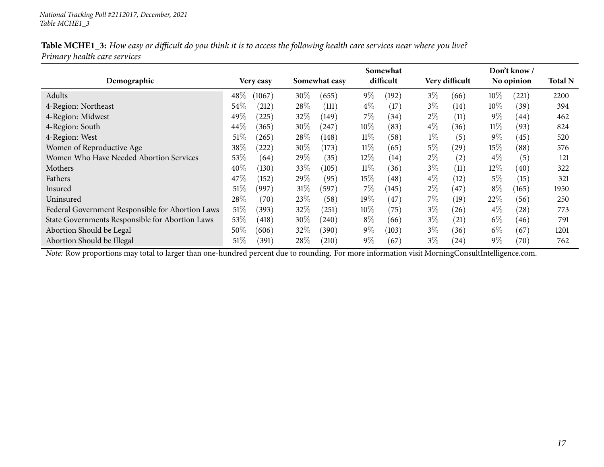|                              | Table MCHE1_3: How easy or difficult do you think it is to access the following health care services near where you live? |
|------------------------------|---------------------------------------------------------------------------------------------------------------------------|
| Primary health care services |                                                                                                                           |

|                                                  |                  |                 | Somewhat        |                | Don't know/                 |                |
|--------------------------------------------------|------------------|-----------------|-----------------|----------------|-----------------------------|----------------|
| Demographic                                      | Very easy        | Somewhat easy   | difficult       | Very difficult | No opinion                  | <b>Total N</b> |
| Adults                                           | $48\%$<br>(1067) | $30\%$<br>(655) | $9\%$<br>(192)  | $3\%$<br>(66)  | $10\%$<br>(221)             | 2200           |
| 4-Region: Northeast                              | $54\%$<br>(212)  | 28%<br>(111)    | $4\%$<br>(17)   | $3\%$<br>(14)  | $10\%$<br>(39)              | 394            |
| 4-Region: Midwest                                | $49\%$<br>(225)  | 32%<br>(149)    | $7\%$<br>(34)   | $2\%$<br>(11)  | $9\%$<br>(44)               | 462            |
| 4-Region: South                                  | 44\%<br>(365)    | 30\%<br>(247)   | $10\%$<br>(83)  | $4\%$<br>(36)  | $11\%$<br>(93)              | 824            |
| 4-Region: West                                   | 51%<br>(265)     | 28\%<br>(148)   | $11\%$<br>(58)  | $1\%$<br>(5)   | $9\%$<br>(45)               | 520            |
| Women of Reproductive Age                        | 38\%<br>(222)    | $30\%$<br>(173) | $11\%$<br>(65)  | $5\%$<br>(29)  | $15\%$<br>(88)              | 576            |
| Women Who Have Needed Abortion Services          | 53%<br>(64)      | 29%<br>(35)     | $12\%$<br>(14)  | $2\%$<br>(2)   | $4\%$<br>(5)                | 121            |
| Mothers                                          | 40%<br>(130)     | 33\%<br>(105)   | $11\%$<br>(36)  | $3\%$<br>(11)  | $12\%$<br>(40)              | 322            |
| Fathers                                          | 47\%<br>(152)    | 29%<br>(95)     | $15\%$<br>(48)  | $4\%$<br>(12)  | $5\%$<br>(15)               | 321            |
| Insured                                          | $51\%$<br>(997   | $31\%$<br>(597) | $7\%$<br>(145)  | $2\%$<br>(47)  | $8\%$<br>(165)              | 1950           |
| Uninsured                                        | 28\%<br>(70)     | 23%<br>(58)     | 19 $\%$<br>(47) | 7%<br>(19)     | 22%<br>(56)                 | 250            |
| Federal Government Responsible for Abortion Laws | 51%<br>(393)     | 32%<br>(251)    | $10\%$<br>(75)  | $3\%$<br>(26)  | $4\%$<br>(28)               | 773            |
| State Governments Responsible for Abortion Laws  | $53\%$<br>(418)  | $30\%$<br>(240) | $8\%$<br>(66)   | $3\%$<br>(21)  | $6\%$<br>(46)               | 791            |
| Abortion Should be Legal                         | $50\%$<br>(606)  | 32\%<br>(390)   | $9\%$<br>(103)  | $3\%$<br>(36)  | $6\%$<br>(67)               | 1201           |
| Abortion Should be Illegal                       | $51\%$<br>(391)  | 28\%<br>(210)   | $9\%$<br>(67)   | $3\%$<br>(24)  | $9\%$<br>$\left( 70\right)$ | 762            |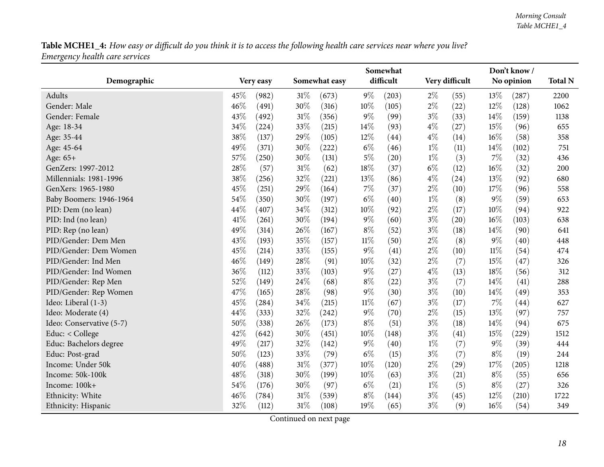<span id="page-17-0"></span>

|                          |                |                 | Somewhat       |                             | Don't know /    |                |  |
|--------------------------|----------------|-----------------|----------------|-----------------------------|-----------------|----------------|--|
| Demographic              | Very easy      | Somewhat easy   | difficult      | Very difficult              | No opinion      | <b>Total N</b> |  |
| Adults                   | 45%<br>(982)   | $31\%$<br>(673) | $9\%$<br>(203) | $2\%$<br>(55)               | $13\%$<br>(287) | 2200           |  |
| Gender: Male             | 46%<br>(491)   | 30%<br>(316)    | 10%<br>(105)   | $2\%$<br>(22)               | 12%<br>(128)    | 1062           |  |
| Gender: Female           | 43%<br>(492)   | 31%<br>(356)    | $9\%$<br>(99)  | $3\%$<br>(33)               | 14%<br>(159)    | 1138           |  |
| Age: 18-34               | 34%<br>(224)   | 33%<br>(215)    | 14%<br>(93)    | $4\%$<br>(27)               | 15%<br>(96)     | 655            |  |
| Age: 35-44               | 38%<br>(137)   | 29%<br>(105)    | 12%<br>(44)    | $4\%$<br>(14)               | 16%<br>(58)     | 358            |  |
| Age: 45-64               | 49%<br>(371)   | 30%<br>(222)    | $6\%$<br>(46)  | $1\%$<br>(11)               | 14%<br>(102)    | 751            |  |
| Age: 65+                 | 57\%<br>(250)  | 30%<br>(131)    | $5\%$<br>(20)  | $1\%$<br>(3)                | 7%<br>(32)      | 436            |  |
| GenZers: 1997-2012       | $28\%$<br>(57) | $31\%$<br>(62)  | $18\%$<br>(37) | $6\%$<br>(12)               | 16%<br>(32)     | 200            |  |
| Millennials: 1981-1996   | 38%<br>(256)   | 32%<br>(221)    | 13%<br>(86)    | $4\%$<br>(24)               | 13%<br>(92)     | 680            |  |
| GenXers: 1965-1980       | 45%<br>(251)   | 29%<br>(164)    | 7%<br>(37)     | $2\%$<br>(10)               | 17%<br>(96)     | 558            |  |
| Baby Boomers: 1946-1964  | 54%<br>(350)   | 30%<br>(197)    | $6\%$<br>(40)  | $1\%$<br>(8)                | $9\%$<br>(59)   | 653            |  |
| PID: Dem (no lean)       | 44\%<br>(407)  | 34\%<br>(312)   | 10%<br>(92)    | $2\%$<br>(17)               | 10%<br>(94)     | 922            |  |
| PID: Ind (no lean)       | 41\%<br>(261)  | 30%<br>(194)    | $9\%$<br>(60)  | $3\%$<br>(20)               | 16%<br>(103)    | 638            |  |
| PID: Rep (no lean)       | 49%<br>(314)   | 26\%<br>(167)   | $8\%$<br>(52)  | $3\%$<br>(18)               | 14%<br>(90)     | 641            |  |
| PID/Gender: Dem Men      | 43%<br>(193)   | 35%<br>(157)    | $11\%$<br>(50) | $2\%$<br>(8)                | 9%<br>(40)      | 448            |  |
| PID/Gender: Dem Women    | 45%<br>(214)   | 33%<br>(155)    | $9\%$<br>(41)  | $2\%$<br>(10)               | $11\%$<br>(54)  | 474            |  |
| PID/Gender: Ind Men      | 46%<br>(149)   | 28%<br>(91)     | 10%<br>(32)    | $2\%$<br>(7)                | 15%<br>(47)     | 326            |  |
| PID/Gender: Ind Women    | 36%<br>(112)   | 33%<br>(103)    | $9\%$<br>(27)  | $4\%$<br>(13)               | 18%<br>(56)     | 312            |  |
| PID/Gender: Rep Men      | 52%<br>(149)   | 24%<br>(68)     | $8\%$<br>(22)  | $3\%$<br>(7)                | 14\%<br>(41)    | 288            |  |
| PID/Gender: Rep Women    | 47%<br>(165)   | 28%<br>(98)     | $9\%$<br>(30)  | $3\%$<br>(10)               | 14%<br>(49)     | 353            |  |
| Ideo: Liberal (1-3)      | 45%<br>(284)   | 34\%<br>(215)   | 11%<br>(67)    | $3\%$<br>(17)               | 7%<br>(44)      | 627            |  |
| Ideo: Moderate (4)       | 44%<br>(333)   | 32%<br>(242)    | $9\%$<br>(70)  | $2\%$<br>(15)               | 13%<br>(97)     | 757            |  |
| Ideo: Conservative (5-7) | 50%<br>(338)   | 26%<br>(173)    | $8\%$<br>(51)  | $3\%$<br>(18)               | 14%<br>(94)     | 675            |  |
| Educ: < College          | 42%<br>(642)   | 30%<br>(451)    | 10%<br>(148)   | $3\%$<br>(41)               | 15%<br>(229)    | 1512           |  |
| Educ: Bachelors degree   | 49%<br>(217)   | 32%<br>(142)    | $9\%$<br>(40)  | $1\%$<br>(7)                | 9%<br>(39)      | 444            |  |
| Educ: Post-grad          | 50%<br>(123)   | 33%<br>(79)     | $6\%$<br>(15)  | $3\%$<br>(7)                | $8\%$<br>(19)   | 244            |  |
| Income: Under 50k        | 40%<br>(488)   | 31%<br>(377)    | 10%<br>(120)   | $2\%$<br>$\left( 29\right)$ | 17%<br>(205)    | 1218           |  |
| Income: 50k-100k         | 48%<br>(318)   | 30%<br>(199)    | 10%<br>(63)    | $3\%$<br>(21)               | $8\%$<br>(55)   | 656            |  |
| Income: 100k+            | 54%<br>(176)   | 30%<br>(97)     | $6\%$<br>(21)  | $1\%$<br>(5)                | $8\%$<br>(27)   | 326            |  |
| Ethnicity: White         | 46%<br>(784)   | 31%<br>(539)    | $8\%$<br>(144) | $3\%$<br>(45)               | 12%<br>(210)    | 1722           |  |
| Ethnicity: Hispanic      | 32%<br>(112)   | 31%<br>(108)    | 19%<br>(65)    | $3\%$<br>(9)                | 16%<br>(54)     | 349            |  |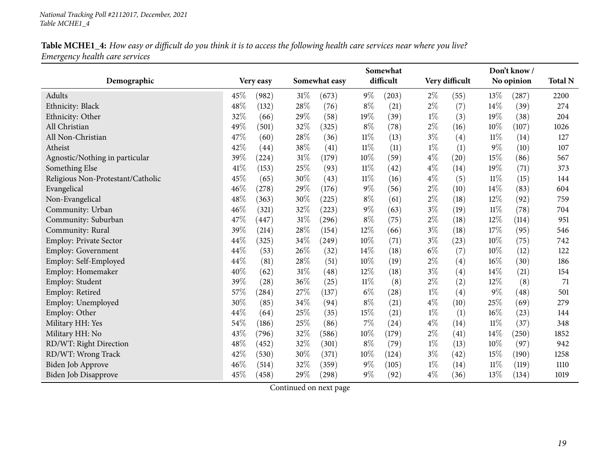|                                   |                 |        | Somewhat      |        |           |       |                | Don't know/ |            |      |
|-----------------------------------|-----------------|--------|---------------|--------|-----------|-------|----------------|-------------|------------|------|
| Demographic                       | Very easy       |        | Somewhat easy |        | difficult |       | Very difficult |             | No opinion |      |
| Adults                            | $45\%$<br>(982) | $31\%$ | (673)         | $9\%$  | (203)     | $2\%$ | (55)           | $13\%$      | (287)      | 2200 |
| Ethnicity: Black                  | 48%<br>(132)    | 28%    | (76)          | $8\%$  | (21)      | $2\%$ | (7)            | 14%         | (39)       | 274  |
| Ethnicity: Other                  | $32\%$<br>(66)  | $29\%$ | (58)          | 19%    | (39)      | $1\%$ | (3)            | 19%         | (38)       | 204  |
| All Christian                     | 49%<br>(501)    | 32%    | (325)         | $8\%$  | (78)      | $2\%$ | (16)           | 10%         | (107)      | 1026 |
| All Non-Christian                 | 47%<br>(60)     | 28%    | (36)          | $11\%$ | (13)      | $3\%$ | (4)            | $11\%$      | (14)       | 127  |
| Atheist                           | 42%<br>(44)     | 38%    | (41)          | $11\%$ | (11)      | $1\%$ | (1)            | $9\%$       | (10)       | 107  |
| Agnostic/Nothing in particular    | 39%<br>(224)    | 31%    | (179)         | 10%    | (59)      | $4\%$ | (20)           | 15%         | (86)       | 567  |
| Something Else                    | 41\%<br>(153)   | 25%    | (93)          | $11\%$ | (42)      | $4\%$ | (14)           | 19%         | (71)       | 373  |
| Religious Non-Protestant/Catholic | 45%<br>(65)     | 30%    | (43)          | $11\%$ | (16)      | $4\%$ | (5)            | $11\%$      | (15)       | 144  |
| Evangelical                       | 46%<br>(278)    | 29%    | (176)         | $9\%$  | (56)      | $2\%$ | (10)           | 14%         | (83)       | 604  |
| Non-Evangelical                   | 48%<br>(363)    | 30%    | (225)         | $8\%$  | (61)      | $2\%$ | (18)           | 12%         | (92)       | 759  |
| Community: Urban                  | 46%<br>(321)    | 32%    | (223)         | $9\%$  | (63)      | $3\%$ | (19)           | 11%         | (78)       | 704  |
| Community: Suburban               | 47%<br>(447)    | 31%    | (296)         | $8\%$  | (75)      | $2\%$ | (18)           | 12%         | (114)      | 951  |
| Community: Rural                  | 39%<br>(214)    | 28%    | (154)         | 12%    | (66)      | $3\%$ | (18)           | 17%         | (95)       | 546  |
| <b>Employ: Private Sector</b>     | 44%<br>(325)    | 34\%   | (249)         | 10%    | (71)      | $3\%$ | (23)           | 10%         | (75)       | 742  |
| <b>Employ: Government</b>         | 44%<br>(53)     | 26%    | (32)          | 14%    | (18)      | $6\%$ | (7)            | 10%         | (12)       | 122  |
| Employ: Self-Employed             | 44%<br>(81)     | 28%    | (51)          | 10%    | (19)      | $2\%$ | (4)            | 16%         | (30)       | 186  |
| Employ: Homemaker                 | 40%<br>(62)     | 31%    | (48)          | 12%    | (18)      | $3\%$ | (4)            | 14%         | (21)       | 154  |
| Employ: Student                   | 39%<br>(28)     | 36\%   | (25)          | $11\%$ | (8)       | $2\%$ | (2)            | 12%         | (8)        | 71   |
| Employ: Retired                   | 57%<br>(284)    | 27%    | (137)         | $6\%$  | (28)      | $1\%$ | (4)            | $9\%$       | (48)       | 501  |
| Employ: Unemployed                | 30%<br>(85)     | 34%    | (94)          | $8\%$  | (21)      | $4\%$ | (10)           | 25%         | (69)       | 279  |
| Employ: Other                     | 44%<br>(64)     | 25%    | (35)          | 15%    | (21)      | $1\%$ | (1)            | 16%         | (23)       | 144  |
| Military HH: Yes                  | 54%<br>(186)    | 25%    | (86)          | 7%     | (24)      | $4\%$ | (14)           | 11%         | (37)       | 348  |
| Military HH: No                   | 43%<br>(796)    | 32%    | (586)         | 10%    | (179)     | $2\%$ | (41)           | 14%         | (250)      | 1852 |
| RD/WT: Right Direction            | 48%<br>(452)    | 32%    | (301)         | $8\%$  | (79)      | $1\%$ | (13)           | 10%         | (97)       | 942  |
| RD/WT: Wrong Track                | 42%<br>(530)    | 30%    | (371)         | 10%    | (124)     | $3\%$ | (42)           | 15%         | (190)      | 1258 |
| <b>Biden Job Approve</b>          | 46%<br>(514)    | 32%    | (359)         | $9\%$  | (105)     | $1\%$ | (14)           | $11\%$      | (119)      | 1110 |
| <b>Biden Job Disapprove</b>       | 45%<br>(458)    | 29%    | (298)         | 9%     | (92)      | $4\%$ | (36)           | 13%         | (134)      | 1019 |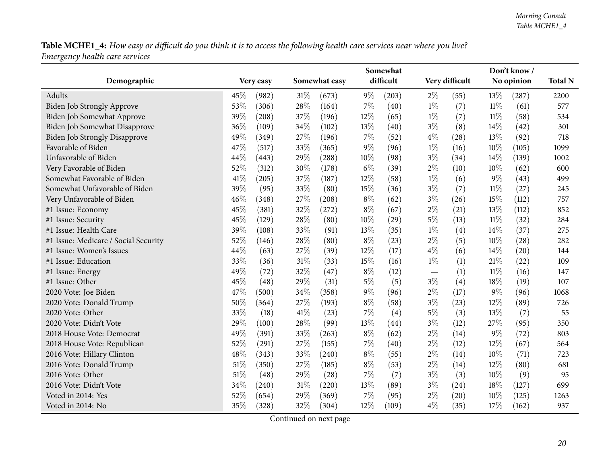|                                      |      |           | Somewhat |               |        |           |       |                | Don't know / |            |      |
|--------------------------------------|------|-----------|----------|---------------|--------|-----------|-------|----------------|--------------|------------|------|
| Demographic                          |      | Very easy |          | Somewhat easy |        | difficult |       | Very difficult |              | No opinion |      |
| Adults                               | 45%  | (982)     | 31%      | (673)         | $9\%$  | (203)     | $2\%$ | (55)           | 13\%         | (287)      | 2200 |
| Biden Job Strongly Approve           | 53%  | (306)     | 28%      | (164)         | 7%     | (40)      | $1\%$ | (7)            | $11\%$       | (61)       | 577  |
| Biden Job Somewhat Approve           | 39%  | (208)     | 37%      | (196)         | $12\%$ | (65)      | $1\%$ | (7)            | $11\%$       | (58)       | 534  |
| Biden Job Somewhat Disapprove        | 36%  | (109)     | 34\%     | (102)         | 13\%   | (40)      | $3\%$ | (8)            | 14%          | (42)       | 301  |
| <b>Biden Job Strongly Disapprove</b> | 49%  | (349)     | 27%      | (196)         | 7%     | (52)      | $4\%$ | (28)           | 13%          | (92)       | 718  |
| Favorable of Biden                   | 47%  | (517)     | 33%      | (365)         | $9\%$  | (96)      | $1\%$ | (16)           | 10%          | (105)      | 1099 |
| Unfavorable of Biden                 | 44%  | (443)     | 29%      | (288)         | 10%    | (98)      | $3\%$ | (34)           | 14%          | (139)      | 1002 |
| Very Favorable of Biden              | 52%  | (312)     | 30%      | (178)         | $6\%$  | (39)      | $2\%$ | (10)           | 10%          | (62)       | 600  |
| Somewhat Favorable of Biden          | 41\% | (205)     | 37%      | (187)         | $12\%$ | (58)      | $1\%$ | (6)            | 9%           | (43)       | 499  |
| Somewhat Unfavorable of Biden        | 39%  | (95)      | 33%      | (80)          | 15%    | (36)      | $3\%$ | (7)            | $11\%$       | (27)       | 245  |
| Very Unfavorable of Biden            | 46%  | (348)     | 27%      | (208)         | $8\%$  | (62)      | $3\%$ | (26)           | 15%          | (112)      | 757  |
| #1 Issue: Economy                    | 45%  | (381)     | 32%      | (272)         | $8\%$  | (67)      | $2\%$ | (21)           | 13%          | (112)      | 852  |
| #1 Issue: Security                   | 45%  | (129)     | 28\%     | (80)          | 10%    | (29)      | $5\%$ | (13)           | 11%          | (32)       | 284  |
| #1 Issue: Health Care                | 39%  | (108)     | 33%      | (91)          | 13%    | (35)      | $1\%$ | (4)            | 14%          | (37)       | 275  |
| #1 Issue: Medicare / Social Security | 52%  | (146)     | 28%      | (80)          | $8\%$  | (23)      | $2\%$ | (5)            | 10%          | (28)       | 282  |
| #1 Issue: Women's Issues             | 44%  | (63)      | 27%      | (39)          | 12%    | (17)      | $4\%$ | (6)            | 14%          | (20)       | 144  |
| #1 Issue: Education                  | 33%  | (36)      | 31%      | (33)          | 15%    | (16)      | $1\%$ | (1)            | $21\%$       | (22)       | 109  |
| #1 Issue: Energy                     | 49%  | (72)      | 32%      | (47)          | $8\%$  | (12)      |       | (1)            | $11\%$       | (16)       | 147  |
| #1 Issue: Other                      | 45%  | (48)      | 29%      | (31)          | $5\%$  | (5)       | $3\%$ | (4)            | 18%          | (19)       | 107  |
| 2020 Vote: Joe Biden                 | 47%  | (500)     | 34%      | (358)         | $9\%$  | (96)      | $2\%$ | (17)           | 9%           | (96)       | 1068 |
| 2020 Vote: Donald Trump              | 50%  | (364)     | 27%      | (193)         | $8\%$  | (58)      | $3\%$ | (23)           | 12%          | (89)       | 726  |
| 2020 Vote: Other                     | 33%  | (18)      | 41%      | (23)          | 7%     | (4)       | $5\%$ | (3)            | 13%          | (7)        | 55   |
| 2020 Vote: Didn't Vote               | 29%  | (100)     | 28%      | (99)          | 13%    | (44)      | $3\%$ | (12)           | 27%          | (95)       | 350  |
| 2018 House Vote: Democrat            | 49%  | (391)     | 33%      | (263)         | $8\%$  | (62)      | $2\%$ | (14)           | 9%           | (72)       | 803  |
| 2018 House Vote: Republican          | 52%  | (291)     | 27%      | (155)         | $7\%$  | (40)      | $2\%$ | (12)           | 12%          | (67)       | 564  |
| 2016 Vote: Hillary Clinton           | 48%  | (343)     | 33%      | (240)         | $8\%$  | (55)      | $2\%$ | (14)           | 10%          | (71)       | 723  |
| 2016 Vote: Donald Trump              | 51%  | (350)     | 27%      | (185)         | $8\%$  | (53)      | $2\%$ | (14)           | 12%          | (80)       | 681  |
| 2016 Vote: Other                     | 51%  | (48)      | 29%      | (28)          | 7%     | (7)       | $3\%$ | (3)            | 10%          | (9)        | 95   |
| 2016 Vote: Didn't Vote               | 34%  | (240)     | 31%      | (220)         | 13%    | (89)      | $3\%$ | (24)           | 18%          | (127)      | 699  |
| Voted in 2014: Yes                   | 52%  | (654)     | 29%      | (369)         | $7\%$  | (95)      | $2\%$ | (20)           | 10%          | (125)      | 1263 |
| Voted in 2014: No                    | 35%  | (328)     | 32%      | (304)         | 12%    | (109)     | $4\%$ | (35)           | 17%          | (162)      | 937  |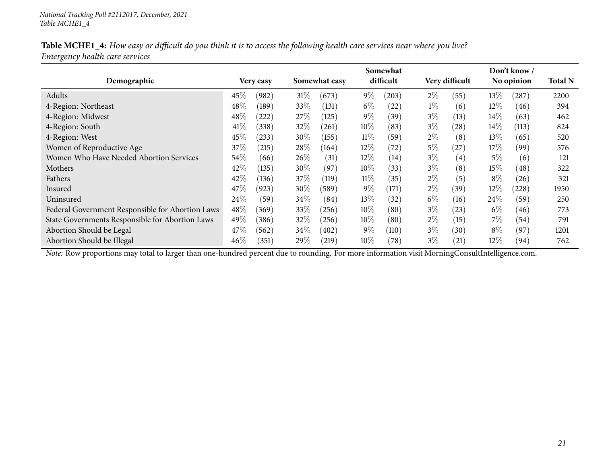|                                                  |        |           |        | Somewhat      |        |           |       |                   | Don't know / |            |      |
|--------------------------------------------------|--------|-----------|--------|---------------|--------|-----------|-------|-------------------|--------------|------------|------|
| Demographic                                      |        | Very easy |        | Somewhat easy |        | difficult |       | Very difficult    |              | No opinion |      |
| Adults                                           | 45%    | (982)     | 31%    | (673)         | $9\%$  | (203)     | $2\%$ | (55)              | 13%          | $^{'}287$  | 2200 |
| 4-Region: Northeast                              | $48\%$ | (189)     | 33\%   | (131)         | $6\%$  | (22)      | $1\%$ | (6)               | $12\%$       | (46)       | 394  |
| 4-Region: Midwest                                | 48\%   | (222)     | 27\%   | (125)         | $9\%$  | (39`      | $3\%$ | (13)              | 14%          | (63)       | 462  |
| 4-Region: South                                  | 41\%   | (338)     | 32%    | (261)         | $10\%$ | (83)      | $3\%$ | $\left(28\right)$ | $14\%$       | (113)      | 824  |
| 4-Region: West                                   | 45%    | (233)     | $30\%$ | (155)         | $11\%$ | (59)      | $2\%$ | (8)               | $13\%$       | (65)       | 520  |
| Women of Reproductive Age                        | 37%    | (215)     | 28\%   | (164)         | $12\%$ | (72)      | $5\%$ | (27)              | 17%          | (99)       | 576  |
| Women Who Have Needed Abortion Services          | $54\%$ | (66)      | 26%    | (31)          | $12\%$ | (14)      | $3\%$ | $\left( 4\right)$ | 5%           | (6)        | 121  |
| Mothers                                          | 42\%   | (135)     | $30\%$ | (97)          | $10\%$ | (33)      | $3\%$ | (8)               | $15\%$       | (48)       | 322  |
| Fathers                                          | 42\%   | (136)     | 37%    | (119)         | $11\%$ | (35)      | $2\%$ | (5)               | $8\%$        | (26)       | 321  |
| Insured                                          | 47\%   | (923)     | $30\%$ | (589)         | $9\%$  | (171)     | $2\%$ | (39)              | $12\%$       | (228)      | 1950 |
| Uninsured                                        | $24\%$ | (59)      | $34\%$ | (84)          | $13\%$ | (32)      | $6\%$ | (16)              | $24\%$       | (59)       | 250  |
| Federal Government Responsible for Abortion Laws | 48\%   | (369)     | 33%    | (256)         | $10\%$ | (80)      | $3\%$ | (23)              | $6\%$        | (46)       | 773  |
| State Governments Responsible for Abortion Laws  | 49\%   | (386)     | 32%    | (256)         | $10\%$ | (80)      | $2\%$ | (15)              | 7%           | (54)       | 791  |
| Abortion Should be Legal                         | 47\%   | (562)     | 34\%   | (402)         | $9\%$  | (110)     | $3\%$ | (30)              | $8\%$        | (97)       | 1201 |
| Abortion Should be Illegal                       | $46\%$ | (351)     | 29%    | $^{(219)}$    | $10\%$ | (78)      | $3\%$ | (21)              | $12\%$       | (94)       | 762  |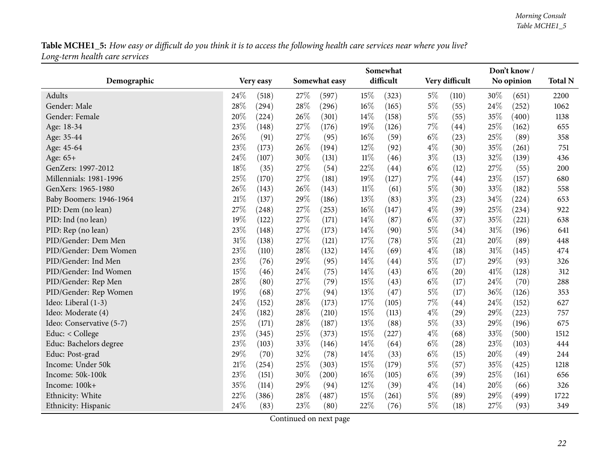<span id="page-21-0"></span>

|                          |                 |      | Somewhat      |        |           |       | Don't know /       |      |            |      |  |  |
|--------------------------|-----------------|------|---------------|--------|-----------|-------|--------------------|------|------------|------|--|--|
| Demographic              | Very easy       |      | Somewhat easy |        | difficult |       | Very difficult     |      | No opinion |      |  |  |
| Adults                   | 24\%<br>(518)   | 27\% | (597)         | 15%    | (323)     | $5\%$ | (110)              | 30%  | (651)      | 2200 |  |  |
| Gender: Male             | 28%<br>(294)    | 28%  | (296)         | 16%    | (165)     | $5\%$ | (55)               | 24%  | (252)      | 1062 |  |  |
| Gender: Female           | 20%<br>(224)    | 26%  | (301)         | 14%    | (158)     | $5\%$ | (55)               | 35%  | (400)      | 1138 |  |  |
| Age: 18-34               | 23%<br>(148)    | 27%  | (176)         | 19%    | (126)     | $7\%$ | $\left( 44\right)$ | 25%  | (162)      | 655  |  |  |
| Age: 35-44               | 26%<br>(91)     | 27%  | (95)          | 16%    | (59)      | $6\%$ | (23)               | 25%  | (89)       | 358  |  |  |
| Age: 45-64               | 23%<br>(173)    | 26%  | (194)         | 12%    | (92)      | $4\%$ | (30)               | 35%  | (261)      | 751  |  |  |
| Age: 65+                 | 24%<br>(107)    | 30%  | (131)         | 11%    | (46)      | $3\%$ | (13)               | 32%  | (139)      | 436  |  |  |
| GenZers: 1997-2012       | 18%<br>(35)     | 27%  | (54)          | 22%    | (44)      | $6\%$ | (12)               | 27%  | (55)       | 200  |  |  |
| Millennials: 1981-1996   | 25%<br>(170)    | 27%  | (181)         | 19%    | (127)     | $7\%$ | $\left( 44\right)$ | 23%  | (157)      | 680  |  |  |
| GenXers: 1965-1980       | 26%<br>(143)    | 26%  | (143)         | $11\%$ | (61)      | $5\%$ | (30)               | 33%  | (182)      | 558  |  |  |
| Baby Boomers: 1946-1964  | 21%<br>(137)    | 29%  | (186)         | 13%    | (83)      | $3\%$ | (23)               | 34%  | (224)      | 653  |  |  |
| PID: Dem (no lean)       | 27%<br>(248)    | 27\% | (253)         | 16%    | (147)     | $4\%$ | (39)               | 25%  | (234)      | 922  |  |  |
| PID: Ind (no lean)       | 19%<br>(122)    | 27%  | (171)         | 14%    | (87)      | $6\%$ | (37)               | 35%  | (221)      | 638  |  |  |
| PID: Rep (no lean)       | 23%<br>(148)    | 27\% | (173)         | 14%    | (90)      | $5\%$ | (34)               | 31%  | (196)      | 641  |  |  |
| PID/Gender: Dem Men      | $31\%$<br>(138) | 27%  | (121)         | 17%    | (78)      | $5\%$ | (21)               | 20%  | (89)       | 448  |  |  |
| PID/Gender: Dem Women    | 23%<br>(110)    | 28%  | (132)         | 14%    | (69)      | $4\%$ | (18)               | 31%  | (145)      | 474  |  |  |
| PID/Gender: Ind Men      | 23%<br>(76)     | 29%  | (95)          | 14%    | (44)      | $5\%$ | (17)               | 29%  | (93)       | 326  |  |  |
| PID/Gender: Ind Women    | 15%<br>(46)     | 24%  | (75)          | 14%    | (43)      | $6\%$ | $\left( 20\right)$ | 41\% | (128)      | 312  |  |  |
| PID/Gender: Rep Men      | 28%<br>(80)     | 27%  | (79)          | 15%    | (43)      | $6\%$ | (17)               | 24%  | (70)       | 288  |  |  |
| PID/Gender: Rep Women    | 19%<br>(68)     | 27%  | (94)          | 13%    | (47)      | $5\%$ | (17)               | 36%  | (126)      | 353  |  |  |
| Ideo: Liberal (1-3)      | 24%<br>(152)    | 28%  | (173)         | 17%    | (105)     | $7\%$ | (44)               | 24%  | (152)      | 627  |  |  |
| Ideo: Moderate (4)       | 24%<br>(182)    | 28\% | (210)         | 15%    | (113)     | $4\%$ | (29)               | 29%  | (223)      | 757  |  |  |
| Ideo: Conservative (5-7) | 25%<br>(171)    | 28%  | (187)         | 13%    | (88)      | $5\%$ | (33)               | 29%  | (196)      | 675  |  |  |
| Educ: < College          | 23%<br>(345)    | 25%  | (373)         | 15%    | (227)     | $4\%$ | (68)               | 33%  | (500)      | 1512 |  |  |
| Educ: Bachelors degree   | 23%<br>(103)    | 33%  | (146)         | 14\%   | (64)      | $6\%$ | (28)               | 23%  | (103)      | 444  |  |  |
| Educ: Post-grad          | 29%<br>(70)     | 32%  | (78)          | 14%    | (33)      | $6\%$ | (15)               | 20%  | (49)       | 244  |  |  |
| Income: Under 50k        | $21\%$<br>(254) | 25%  | (303)         | 15%    | (179)     | $5\%$ | (57)               | 35%  | (425)      | 1218 |  |  |
| Income: 50k-100k         | 23%<br>(151)    | 30%  | (200)         | 16%    | (105)     | $6\%$ | (39)               | 25%  | (161)      | 656  |  |  |
| Income: 100k+            | 35%<br>(114)    | 29%  | (94)          | 12%    | (39)      | $4\%$ | (14)               | 20%  | (66)       | 326  |  |  |
| Ethnicity: White         | 22%<br>(386)    | 28%  | (487)         | 15%    | (261)     | $5\%$ | (89)               | 29%  | (499)      | 1722 |  |  |
| Ethnicity: Hispanic      | 24%<br>(83)     | 23%  | (80)          | 22%    | (76)      | $5\%$ | (18)               | 27%  | (93)       | 349  |  |  |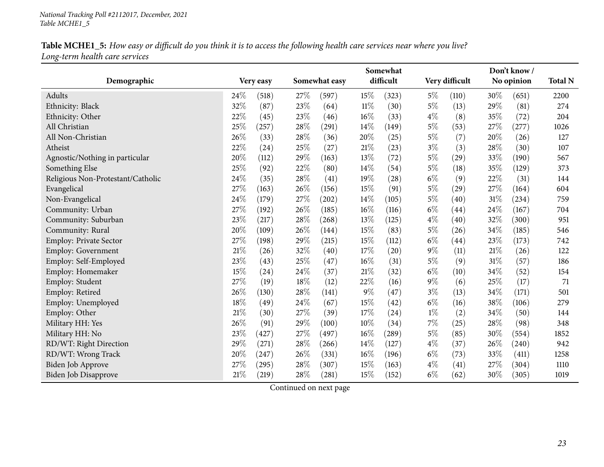|                                   | Somewhat        | Don't know/     |                 |                |                 |                |  |
|-----------------------------------|-----------------|-----------------|-----------------|----------------|-----------------|----------------|--|
| Demographic                       | Very easy       | Somewhat easy   | difficult       | Very difficult | No opinion      | <b>Total N</b> |  |
| Adults                            | 24\%<br>(518)   | 27%<br>(597)    | $15\%$<br>(323) | $5\%$<br>(110) | $30\%$<br>(651) | 2200           |  |
| Ethnicity: Black                  | 32%<br>(87)     | 23%<br>(64)     | $11\%$<br>(30)  | $5\%$<br>(13)  | 29%<br>(81)     | 274            |  |
| Ethnicity: Other                  | 22%<br>(45)     | 23%<br>(46)     | $16\%$<br>(33)  | $4\%$<br>(8)   | 35%<br>(72)     | 204            |  |
| All Christian                     | $25\%$<br>(257) | 28\%<br>(291)   | $14\%$<br>(149) | $5\%$<br>(53)  | 27%<br>(277)    | 1026           |  |
| All Non-Christian                 | 26%<br>(33)     | 28%<br>(36)     | 20%<br>(25)     | $5\%$<br>(7)   | 20%<br>(26)     | 127            |  |
| Atheist                           | 22%<br>(24)     | 25%<br>(27)     | 21%<br>(23)     | $3\%$<br>(3)   | 28%<br>(30)     | 107            |  |
| Agnostic/Nothing in particular    | 20%<br>(112)    | 29%<br>(163)    | 13%<br>(72)     | $5\%$<br>(29)  | 33%<br>(190)    | 567            |  |
| Something Else                    | 25%<br>(92)     | 22%<br>(80)     | 14%<br>(54)     | $5\%$<br>(18)  | 35%<br>(129)    | 373            |  |
| Religious Non-Protestant/Catholic | 24%<br>(35)     | 28%<br>(41)     | 19%<br>(28)     | $6\%$<br>(9)   | 22%<br>(31)     | 144            |  |
| Evangelical                       | 27%<br>(163)    | 26%<br>(156)    | 15%<br>(91)     | $5\%$<br>(29)  | 27%<br>(164)    | 604            |  |
| Non-Evangelical                   | 24%<br>(179)    | $27\%$<br>(202) | 14\%<br>(105)   | $5\%$<br>(40)  | $31\%$<br>(234) | 759            |  |
| Community: Urban                  | 27%<br>(192)    | 26%<br>(185)    | 16%<br>(116)    | $6\%$<br>(44)  | 24%<br>(167)    | 704            |  |
| Community: Suburban               | 23%<br>(217)    | 28%<br>(268)    | 13\%<br>(125)   | $4\%$<br>(40)  | 32%<br>(300)    | 951            |  |
| Community: Rural                  | 20%<br>(109)    | 26%<br>(144)    | 15%<br>(83)     | $5\%$<br>(26)  | 34%<br>(185)    | 546            |  |
| <b>Employ: Private Sector</b>     | 27%<br>(198)    | 29%<br>(215)    | 15%<br>(112)    | $6\%$<br>(44)  | 23%<br>(173)    | 742            |  |
| <b>Employ: Government</b>         | $21\%$<br>(26)  | 32%<br>(40)     | 17%<br>(20)     | $9\%$<br>(11)  | 21%<br>(26)     | 122            |  |
| Employ: Self-Employed             | 23%<br>(43)     | 25%<br>(47)     | $16\%$<br>(31)  | $5\%$<br>(9)   | $31\%$<br>(57)  | 186            |  |
| Employ: Homemaker                 | $15\%$<br>(24)  | 24%<br>(37)     | 21%<br>(32)     | $6\%$<br>(10)  | 34\%<br>(52)    | 154            |  |
| Employ: Student                   | 27%<br>(19)     | 18%<br>(12)     | 22%<br>(16)     | $9\%$<br>(6)   | 25%<br>(17)     | 71             |  |
| Employ: Retired                   | 26%<br>(130)    | 28%<br>(141)    | $9\%$<br>(47)   | $3\%$<br>(13)  | 34%<br>(171)    | 501            |  |
| Employ: Unemployed                | 18%<br>(49)     | 24%<br>(67)     | 15%<br>(42)     | $6\%$<br>(16)  | 38%<br>(106)    | 279            |  |
| Employ: Other                     | 21%<br>(30)     | 27%<br>(39)     | 17%<br>(24)     | $1\%$<br>(2)   | 34%<br>(50)     | 144            |  |
| Military HH: Yes                  | 26%<br>(91)     | 29%<br>(100)    | 10%<br>(34)     | 7%<br>(25)     | 28%<br>(98)     | 348            |  |
| Military HH: No                   | 23%<br>(427)    | 27%<br>(497)    | 16%<br>(289)    | $5\%$<br>(85)  | 30%<br>(554)    | 1852           |  |
| RD/WT: Right Direction            | 29%<br>(271)    | 28%<br>(266)    | 14%<br>(127)    | $4\%$<br>(37)  | 26%<br>(240)    | 942            |  |
| RD/WT: Wrong Track                | 20%<br>(247)    | 26%<br>(331)    | 16%<br>(196)    | $6\%$<br>(73)  | 33%<br>(411)    | 1258           |  |
| <b>Biden Job Approve</b>          | 27%<br>(295)    | 28%<br>(307)    | 15%<br>(163)    | $4\%$<br>(41)  | 27%<br>(304)    | 1110           |  |
| Biden Job Disapprove              | 21%<br>(219)    | 28\%<br>(281)   | 15%<br>(152)    | $6\%$<br>(62)  | 30%<br>(305)    | 1019           |  |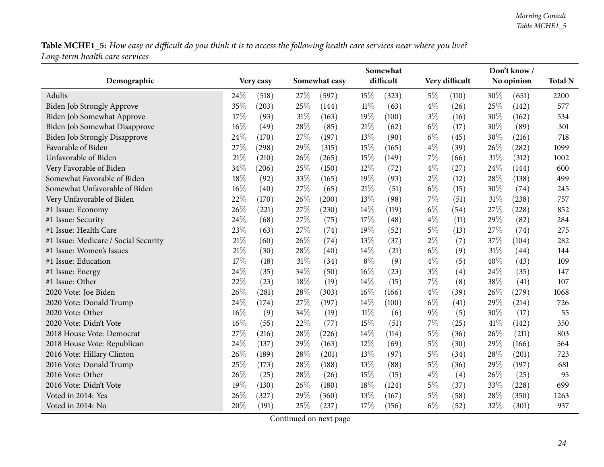|                                      | Don't know /<br>Somewhat |           |        |               |        |           |       |                |      |            |                |
|--------------------------------------|--------------------------|-----------|--------|---------------|--------|-----------|-------|----------------|------|------------|----------------|
| Demographic                          |                          | Very easy |        | Somewhat easy |        | difficult |       | Very difficult |      | No opinion | <b>Total N</b> |
| Adults                               | 24%                      | (518)     | 27\%   | (597)         | 15%    | (323)     | $5\%$ | (110)          | 30%  | (651)      | 2200           |
| <b>Biden Job Strongly Approve</b>    | 35%                      | (203)     | 25%    | (144)         | $11\%$ | (63)      | $4\%$ | (26)           | 25%  | (142)      | 577            |
| Biden Job Somewhat Approve           | 17%                      | (93)      | $31\%$ | (163)         | 19%    | (100)     | $3\%$ | (16)           | 30%  | (162)      | 534            |
| <b>Biden Job Somewhat Disapprove</b> | 16%                      | (49)      | 28%    | (85)          | 21%    | (62)      | $6\%$ | (17)           | 30%  | (89)       | 301            |
| <b>Biden Job Strongly Disapprove</b> | 24\%                     | (170)     | 27\%   | (197)         | 13%    | (90)      | $6\%$ | (45)           | 30%  | (216)      | 718            |
| Favorable of Biden                   | 27%                      | (298)     | 29%    | (315)         | 15%    | (165)     | $4\%$ | (39)           | 26%  | (282)      | 1099           |
| Unfavorable of Biden                 | 21%                      | (210)     | 26%    | (265)         | 15%    | (149)     | 7%    | (66)           | 31%  | (312)      | 1002           |
| Very Favorable of Biden              | $34\%$                   | (206)     | 25%    | (150)         | 12%    | (72)      | $4\%$ | (27)           | 24%  | (144)      | 600            |
| Somewhat Favorable of Biden          | 18%                      | (92)      | 33%    | (165)         | 19%    | (93)      | $2\%$ | (12)           | 28%  | (138)      | 499            |
| Somewhat Unfavorable of Biden        | 16%                      | (40)      | 27%    | (65)          | 21%    | (51)      | $6\%$ | (15)           | 30%  | (74)       | 245            |
| Very Unfavorable of Biden            | 22%                      | (170)     | 26%    | (200)         | 13%    | (98)      | $7\%$ | (51)           | 31%  | (238)      | 757            |
| #1 Issue: Economy                    | 26%                      | (221)     | 27%    | (230)         | 14%    | (119)     | $6\%$ | (54)           | 27%  | (228)      | 852            |
| #1 Issue: Security                   | 24%                      | (68)      | 27%    | (75)          | 17%    | (48)      | $4\%$ | (11)           | 29%  | (82)       | 284            |
| #1 Issue: Health Care                | 23%                      | (63)      | 27%    | (74)          | 19%    | (52)      | $5\%$ | (13)           | 27%  | (74)       | 275            |
| #1 Issue: Medicare / Social Security | 21%                      | (60)      | 26%    | (74)          | 13%    | (37)      | $2\%$ | (7)            | 37%  | (104)      | 282            |
| #1 Issue: Women's Issues             | 21%                      | (30)      | 28%    | (40)          | 14%    | (21)      | $6\%$ | (9)            | 31%  | (44)       | 144            |
| #1 Issue: Education                  | 17%                      | (18)      | $31\%$ | (34)          | $8\%$  | (9)       | $4\%$ | (5)            | 40%  | (43)       | 109            |
| #1 Issue: Energy                     | 24%                      | (35)      | 34\%   | (50)          | 16%    | (23)      | $3\%$ | (4)            | 24%  | (35)       | 147            |
| #1 Issue: Other                      | 22%                      | (23)      | $18\%$ | (19)          | 14\%   | (15)      | $7\%$ | (8)            | 38%  | (41)       | 107            |
| 2020 Vote: Joe Biden                 | 26%                      | (281)     | 28%    | (303)         | $16\%$ | (166)     | $4\%$ | (39)           | 26%  | (279)      | 1068           |
| 2020 Vote: Donald Trump              | 24%                      | (174)     | 27\%   | (197)         | 14%    | (100)     | $6\%$ | (41)           | 29%  | (214)      | 726            |
| 2020 Vote: Other                     | 16%                      | (9)       | 34%    | (19)          | $11\%$ | (6)       | $9\%$ | (5)            | 30%  | (17)       | 55             |
| 2020 Vote: Didn't Vote               | 16%                      | (55)      | 22%    | (77)          | 15%    | (51)      | 7%    | (25)           | 41\% | (142)      | 350            |
| 2018 House Vote: Democrat            | 27%                      | (216)     | 28%    | (226)         | 14%    | (114)     | $5\%$ | (36)           | 26%  | (211)      | 803            |
| 2018 House Vote: Republican          | 24%                      | (137)     | 29%    | (163)         | 12%    | (69)      | $5\%$ | (30)           | 29%  | (166)      | 564            |
| 2016 Vote: Hillary Clinton           | 26%                      | (189)     | 28%    | (201)         | 13%    | (97)      | $5\%$ | (34)           | 28%  | (201)      | 723            |
| 2016 Vote: Donald Trump              | 25%                      | (173)     | 28%    | (188)         | 13%    | (88)      | $5\%$ | (36)           | 29%  | (197)      | 681            |
| 2016 Vote: Other                     | 26%                      | (25)      | 28%    | (26)          | 15%    | (15)      | $4\%$ | (4)            | 26%  | (25)       | 95             |
| 2016 Vote: Didn't Vote               | 19%                      | (130)     | 26\%   | (180)         | 18%    | (124)     | $5\%$ | (37)           | 33%  | (228)      | 699            |
| Voted in 2014: Yes                   | 26%                      | (327)     | 29%    | (360)         | 13%    | (167)     | $5\%$ | (58)           | 28%  | (350)      | 1263           |
| Voted in 2014: No                    | 20%                      | (191)     | 25%    | (237)         | 17%    | (156)     | $6\%$ | (52)           | 32%  | (301)      | 937            |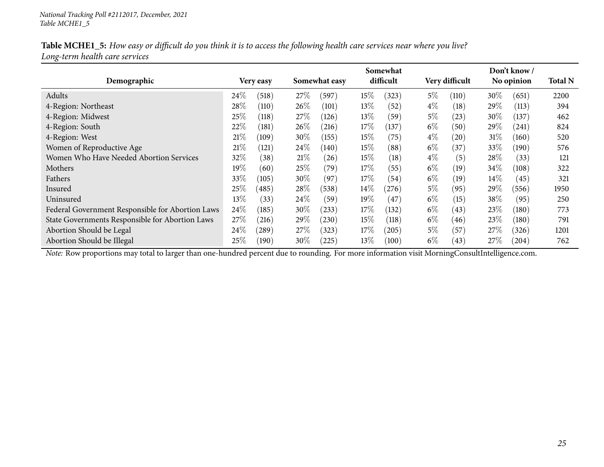|                                                  |        |                | Somewhat |               |        |           |       | Don't know /   |        |            |                |
|--------------------------------------------------|--------|----------------|----------|---------------|--------|-----------|-------|----------------|--------|------------|----------------|
| Demographic                                      |        | Very easy      |          | Somewhat easy |        | difficult |       | Very difficult |        | No opinion | <b>Total N</b> |
| Adults                                           | 24%    | (518)          | 27%      | (597)         | $15\%$ | (323)     | $5\%$ | (110)          | 30\%   | (651)      | 2200           |
| 4-Region: Northeast                              | 28\%   | (110)          | 26%      | (101)         | $13\%$ | (52)      | $4\%$ | (18)           | $29\%$ | (113)      | 394            |
| 4-Region: Midwest                                | 25\%   | (118)          | 27%      | (126)         | $13\%$ | (59`      | $5\%$ | (23)           | 30%    | (137)      | 462            |
| 4-Region: South                                  | 22%    | $^{\prime}181$ | 26%      | (216)         | 17%    | (137)     | $6\%$ | (50)           | 29\%   | (241)      | 824            |
| 4-Region: West                                   | 21%    | (109)          | $30\%$   | (155)         | $15\%$ | (75)      | $4\%$ | (20)           | 31%    | (160)      | 520            |
| Women of Reproductive Age                        | 21%    | 121            | 24\%     | (140)         | $15\%$ | (88)      | $6\%$ | (37)           | 33\%   | (190)      | 576            |
| Women Who Have Needed Abortion Services          | 32\%   | (38)           | 21%      | (26)          | $15\%$ | (18)      | $4\%$ | (5)            | 28%    | (33)       | 121            |
| Mothers                                          | $19\%$ | (60)           | 25%      | (79)          | 17%    | (55)      | $6\%$ | (19)           | 34\%   | (108)      | 322            |
| Fathers                                          | 33%    | (105)          | $30\%$   | (97)          | $17\%$ | (54)      | $6\%$ | (19)           | $14\%$ | (45)       | 321            |
| Insured                                          | $25\%$ | (485)          | 28\%     | (538)         | $14\%$ | (276)     | $5\%$ | (95)           | $29\%$ | (556)      | 1950           |
| Uninsured                                        | 13\%   | (33)           | 24\%     | (59`          | $19\%$ | (47       | $6\%$ | (15)           | 38\%   | (95)       | 250            |
| Federal Government Responsible for Abortion Laws | 24\%   | (185)          | $30\%$   | (233)         | $17\%$ | (132)     | $6\%$ | (43)           | 23\%   | (180)      | 773            |
| State Governments Responsible for Abortion Laws  | 27%    | (216)          | 29%      | (230)         | $15\%$ | (118)     | $6\%$ | (46)           | 23%    | (180)      | 791            |
| Abortion Should be Legal                         | 24\%   | (289)          | 27%      | (323)         | $17\%$ | (205)     | $5\%$ | (57            | 27%    | (326)      | 1201           |
| Abortion Should be Illegal                       | $25\%$ | (190)          | $30\%$   | (225)         | $13\%$ | (100)     | $6\%$ | (43)           | 27%    | (204)      | 762            |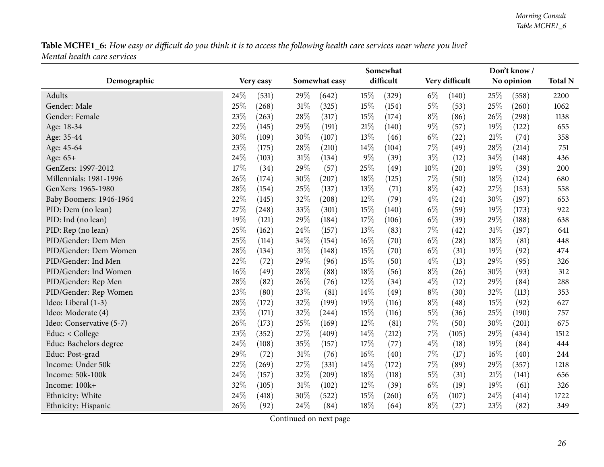<span id="page-25-0"></span>

|                          | Don't know /<br>Somewhat |       |        |               |        |           |       |                    |      |            |                |
|--------------------------|--------------------------|-------|--------|---------------|--------|-----------|-------|--------------------|------|------------|----------------|
| Demographic              | Very easy                |       |        | Somewhat easy |        | difficult |       | Very difficult     |      | No opinion | <b>Total N</b> |
| Adults                   | 24%                      | (531) | 29%    | (642)         | 15%    | (329)     | $6\%$ | (140)              | 25%  | (558)      | 2200           |
| Gender: Male             | 25%                      | (268) | 31%    | (325)         | 15%    | (154)     | $5\%$ | (53)               | 25%  | (260)      | 1062           |
| Gender: Female           | 23%                      | (263) | 28%    | (317)         | 15%    | (174)     | $8\%$ | (86)               | 26\% | (298)      | 1138           |
| Age: 18-34               | 22%                      | (145) | 29%    | (191)         | $21\%$ | (140)     | $9\%$ | (57)               | 19%  | (122)      | 655            |
| Age: 35-44               | 30%                      | (109) | 30%    | (107)         | 13%    | (46)      | $6\%$ | (22)               | 21\% | (74)       | 358            |
| Age: 45-64               | 23%                      | (175) | 28\%   | (210)         | $14\%$ | (104)     | 7%    | (49)               | 28%  | (214)      | 751            |
| Age: 65+                 | 24%                      | (103) | 31%    | (134)         | $9\%$  | (39)      | $3\%$ | (12)               | 34%  | (148)      | 436            |
| GenZers: 1997-2012       | 17%                      | (34)  | 29%    | (57)          | 25%    | (49)      | 10%   | (20)               | 19%  | (39)       | 200            |
| Millennials: 1981-1996   | $26\%$                   | (174) | 30%    | (207)         | 18%    | (125)     | $7\%$ | (50)               | 18%  | (124)      | 680            |
| GenXers: 1965-1980       | 28\%                     | (154) | 25%    | (137)         | 13\%   | (71)      | $8\%$ | (42)               | 27%  | (153)      | 558            |
| Baby Boomers: 1946-1964  | 22%                      | (145) | 32%    | (208)         | 12%    | (79)      | $4\%$ | (24)               | 30%  | (197)      | 653            |
| PID: Dem (no lean)       | 27%                      | (248) | 33%    | (301)         | 15%    | (140)     | $6\%$ | (59)               | 19%  | (173)      | 922            |
| PID: Ind (no lean)       | 19%                      | (121) | 29%    | (184)         | 17%    | (106)     | $6\%$ | (39)               | 29%  | (188)      | 638            |
| PID: Rep (no lean)       | 25%                      | (162) | 24\%   | (157)         | 13%    | (83)      | $7\%$ | $\left( 42\right)$ | 31%  | (197)      | 641            |
| PID/Gender: Dem Men      | 25%                      | (114) | 34%    | (154)         | $16\%$ | (70)      | $6\%$ | (28)               | 18%  | (81)       | 448            |
| PID/Gender: Dem Women    | 28%                      | (134) | 31%    | (148)         | 15%    | (70)      | $6\%$ | (31)               | 19%  | (92)       | 474            |
| PID/Gender: Ind Men      | 22%                      | (72)  | 29%    | (96)          | 15%    | (50)      | $4\%$ | (13)               | 29%  | (95)       | 326            |
| PID/Gender: Ind Women    | 16%                      | (49)  | 28%    | (88)          | 18%    | (56)      | $8\%$ | (26)               | 30%  | (93)       | 312            |
| PID/Gender: Rep Men      | 28%                      | (82)  | 26%    | (76)          | $12\%$ | (34)      | $4\%$ | (12)               | 29%  | (84)       | 288            |
| PID/Gender: Rep Women    | 23%                      | (80)  | 23%    | (81)          | 14%    | (49)      | $8\%$ | (30)               | 32%  | (113)      | 353            |
| Ideo: Liberal (1-3)      | 28%                      | (172) | 32%    | (199)         | 19%    | (116)     | $8\%$ | (48)               | 15%  | (92)       | 627            |
| Ideo: Moderate (4)       | 23%                      | (171) | 32%    | (244)         | 15%    | (116)     | $5\%$ | (36)               | 25%  | (190)      | 757            |
| Ideo: Conservative (5-7) | 26%                      | (173) | 25%    | (169)         | 12%    | (81)      | 7%    | (50)               | 30%  | (201)      | 675            |
| Educ: < College          | 23%                      | (352) | 27%    | (409)         | 14\%   | (212)     | $7\%$ | (105)              | 29%  | (434)      | 1512           |
| Educ: Bachelors degree   | 24%                      | (108) | 35%    | (157)         | 17%    | (77)      | $4\%$ | (18)               | 19%  | (84)       | 444            |
| Educ: Post-grad          | 29%                      | (72)  | $31\%$ | (76)          | $16\%$ | (40)      | $7\%$ | (17)               | 16%  | (40)       | 244            |
| Income: Under 50k        | 22%                      | (269) | 27%    | (331)         | 14%    | (172)     | $7\%$ | (89)               | 29%  | (357)      | 1218           |
| Income: 50k-100k         | 24%                      | (157) | 32%    | (209)         | 18%    | (118)     | $5\%$ | (31)               | 21%  | (141)      | 656            |
| Income: 100k+            | 32%                      | (105) | $31\%$ | (102)         | 12%    | (39)      | $6\%$ | (19)               | 19%  | (61)       | 326            |
| Ethnicity: White         | 24%                      | (418) | 30%    | (522)         | 15%    | (260)     | $6\%$ | (107)              | 24\% | (414)      | 1722           |
| Ethnicity: Hispanic      | 26%                      | (92)  | 24%    | (84)          | 18%    | (64)      | $8\%$ | (27)               | 23%  | (82)       | 349            |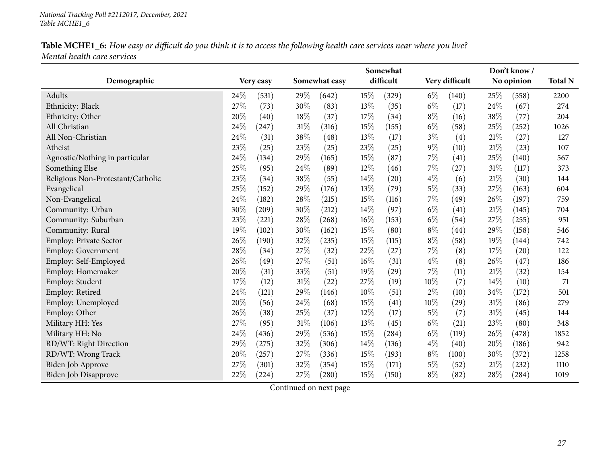|                                   |                 |                | Somewhat        | Don't know /                |               |                |  |  |
|-----------------------------------|-----------------|----------------|-----------------|-----------------------------|---------------|----------------|--|--|
| Demographic                       | Very easy       | Somewhat easy  | difficult       | Very difficult              | No opinion    | <b>Total N</b> |  |  |
| Adults                            | 24%<br>(531)    | 29%<br>(642)   | 15%<br>(329)    | $6\%$<br>(140)              | 25\%<br>(558) | 2200           |  |  |
| Ethnicity: Black                  | 27%<br>(73)     | 30%<br>(83)    | 13%<br>(35)     | $6\%$<br>(17)               | 24%<br>(67)   | 274            |  |  |
| Ethnicity: Other                  | 20%<br>(40)     | 18%<br>(37)    | 17%<br>(34)     | $8\%$<br>(16)               | 38%<br>(77)   | 204            |  |  |
| All Christian                     | 24%<br>(247)    | 31%<br>(316)   | 15%<br>(155)    | $6\%$<br>(58)               | 25%<br>(252)  | 1026           |  |  |
| All Non-Christian                 | 24%<br>(31)     | $38\%$<br>(48) | 13%<br>(17)     | $3\%$<br>(4)                | 21%<br>(27)   | 127            |  |  |
| Atheist                           | 23%<br>(25)     | 23%<br>(25)    | 23%<br>(25)     | $9\%$<br>(10)               | 21%<br>(23)   | 107            |  |  |
| Agnostic/Nothing in particular    | 24%<br>(134)    | 29%<br>(165)   | 15%<br>(87)     | 7%<br>(41)                  | 25%<br>(140)  | 567            |  |  |
| Something Else                    | 25%<br>(95)     | 24%<br>(89)    | 12%<br>(46)     | 7%<br>(27)                  | 31%<br>(117)  | 373            |  |  |
| Religious Non-Protestant/Catholic | 23%<br>(34)     | 38%<br>(55)    | 14%<br>(20)     | $4\%$<br>(6)                | 21%<br>(30)   | 144            |  |  |
| Evangelical                       | 25%<br>(152)    | 29%<br>(176)   | 13\%<br>(79)    | $5\%$<br>(33)               | 27%<br>(163)  | 604            |  |  |
| Non-Evangelical                   | 24%<br>(182)    | 28%<br>(215)   | 15%<br>(116)    | $7\%$<br>(49)               | 26%<br>(197)  | 759            |  |  |
| Community: Urban                  | 30%<br>(209)    | 30%<br>(212)   | $14\%$<br>(97)  | $6\%$<br>(41)               | 21%<br>(145)  | 704            |  |  |
| Community: Suburban               | 23%<br>(221)    | 28%<br>(268)   | $16\%$<br>(153) | $6\%$<br>(54)               | 27%<br>(255)  | 951            |  |  |
| Community: Rural                  | 19%<br>(102)    | 30%<br>(162)   | 15%<br>(80)     | $8\%$<br>$\left( 44\right)$ | 29%<br>(158)  | 546            |  |  |
| Employ: Private Sector            | 26%<br>(190)    | 32%<br>(235)   | 15%<br>(115)    | $8\%$<br>(58)               | 19%<br>(144)  | 742            |  |  |
| Employ: Government                | 28%<br>(34)     | 27%<br>(32)    | 22%<br>(27)     | 7%<br>(8)                   | 17%<br>(20)   | 122            |  |  |
| Employ: Self-Employed             | 26%<br>(49)     | 27%<br>(51)    | 16%<br>(31)     | $4\%$<br>(8)                | 26%<br>(47)   | 186            |  |  |
| Employ: Homemaker                 | 20%<br>(31)     | 33%<br>(51)    | 19%<br>(29)     | 7%<br>(11)                  | 21%<br>(32)   | 154            |  |  |
| Employ: Student                   | 17%<br>(12)     | 31%<br>(22)    | 27%<br>(19)     | 10%<br>(7)                  | 14%<br>(10)   | 71             |  |  |
| Employ: Retired                   | $24\%$<br>(121) | 29%<br>(146)   | 10%<br>(51)     | $2\%$<br>(10)               | 34%<br>(172)  | 501            |  |  |
| Employ: Unemployed                | 20%<br>(56)     | 24%<br>(68)    | 15%<br>(41)     | 10%<br>(29)                 | 31%<br>(86)   | 279            |  |  |
| Employ: Other                     | 26%<br>(38)     | 25%<br>(37)    | 12%<br>(17)     | 5%<br>(7)                   | 31%<br>(45)   | 144            |  |  |
| Military HH: Yes                  | 27%<br>(95)     | 31%<br>(106)   | 13%<br>(45)     | $6\%$<br>(21)               | 23%<br>(80)   | 348            |  |  |
| Military HH: No                   | 24%<br>(436)    | 29%<br>(536)   | 15%<br>(284)    | $6\%$<br>(119)              | 26%<br>(478)  | 1852           |  |  |
| RD/WT: Right Direction            | 29%<br>(275)    | 32%<br>(306)   | 14%<br>(136)    | $4\%$<br>(40)               | 20%<br>(186)  | 942            |  |  |
| RD/WT: Wrong Track                | 20%<br>(257)    | 27%<br>(336)   | 15%<br>(193)    | $8\%$<br>(100)              | 30%<br>(372)  | 1258           |  |  |
| Biden Job Approve                 | 27%<br>(301)    | 32%<br>(354)   | 15%<br>(171)    | $5\%$<br>(52)               | 21%<br>(232)  | 1110           |  |  |
| <b>Biden Job Disapprove</b>       | 22%<br>(224)    | 27%<br>(280)   | 15%<br>(150)    | $8\%$<br>(82)               | 28%<br>(284)  | 1019           |  |  |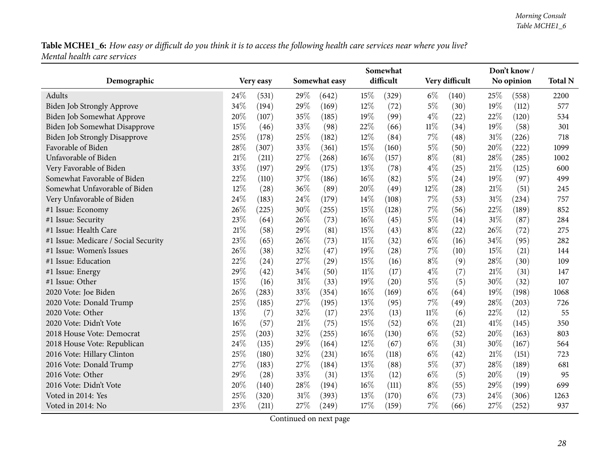|                                      | Don't know /<br>Somewhat |      |               |        |           |        |                |      |            |                |
|--------------------------------------|--------------------------|------|---------------|--------|-----------|--------|----------------|------|------------|----------------|
| Demographic                          | Very easy                |      | Somewhat easy |        | difficult |        | Very difficult |      | No opinion | <b>Total N</b> |
| Adults                               | 24\%<br>(531)            | 29%  | (642)         | 15%    | (329)     | $6\%$  | (140)          | 25%  | (558)      | 2200           |
| Biden Job Strongly Approve           | 34%<br>(194)             | 29%  | (169)         | 12%    | (72)      | $5\%$  | (30)           | 19%  | (112)      | 577            |
| Biden Job Somewhat Approve           | 20%<br>(107)             | 35%  | (185)         | 19%    | (99)      | $4\%$  | (22)           | 22%  | (120)      | 534            |
| Biden Job Somewhat Disapprove        | 15%<br>(46)              | 33%  | (98)          | 22%    | (66)      | $11\%$ | (34)           | 19%  | (58)       | 301            |
| <b>Biden Job Strongly Disapprove</b> | 25%<br>(178)             | 25%  | (182)         | 12%    | (84)      | 7%     | (48)           | 31%  | (226)      | 718            |
| Favorable of Biden                   | 28\%<br>(307)            | 33%  | (361)         | 15%    | (160)     | 5%     | (50)           | 20%  | (222)      | 1099           |
| Unfavorable of Biden                 | 21%<br>(211)             | 27%  | (268)         | 16%    | (157)     | $8\%$  | (81)           | 28%  | (285)      | 1002           |
| Very Favorable of Biden              | 33%<br>(197)             | 29%  | (175)         | 13\%   | (78)      | $4\%$  | (25)           | 21%  | (125)      | 600            |
| Somewhat Favorable of Biden          | 22%<br>(110)             | 37%  | (186)         | 16%    | (82)      | $5\%$  | (24)           | 19%  | (97)       | 499            |
| Somewhat Unfavorable of Biden        | 12%<br>(28)              | 36%  | (89)          | 20%    | (49)      | 12%    | (28)           | 21%  | (51)       | 245            |
| Very Unfavorable of Biden            | 24%<br>(183)             | 24\% | (179)         | 14%    | (108)     | 7%     | (53)           | 31%  | (234)      | 757            |
| #1 Issue: Economy                    | 26%<br>(225)             | 30%  | (255)         | 15%    | (128)     | 7%     | (56)           | 22%  | (189)      | 852            |
| #1 Issue: Security                   | 23%<br>(64)              | 26%  | (73)          | 16%    | (45)      | $5\%$  | (14)           | 31%  | (87)       | 284            |
| #1 Issue: Health Care                | 21%<br>(58)              | 29%  | (81)          | 15%    | (43)      | $8\%$  | (22)           | 26%  | (72)       | 275            |
| #1 Issue: Medicare / Social Security | 23%<br>(65)              | 26%  | (73)          | $11\%$ | (32)      | $6\%$  | (16)           | 34%  | (95)       | 282            |
| #1 Issue: Women's Issues             | 26%<br>(38)              | 32%  | (47)          | 19%    | (28)      | 7%     | (10)           | 15%  | (21)       | 144            |
| #1 Issue: Education                  | 22%<br>(24)              | 27%  | (29)          | 15%    | (16)      | $8\%$  | (9)            | 28%  | (30)       | 109            |
| #1 Issue: Energy                     | 29%<br>(42)              | 34%  | (50)          | $11\%$ | (17)      | $4\%$  | (7)            | 21%  | (31)       | 147            |
| #1 Issue: Other                      | 15%<br>(16)              | 31%  | (33)          | 19%    | (20)      | $5\%$  | (5)            | 30%  | (32)       | 107            |
| 2020 Vote: Joe Biden                 | 26%<br>(283)             | 33%  | (354)         | 16%    | (169)     | $6\%$  | (64)           | 19%  | (198)      | 1068           |
| 2020 Vote: Donald Trump              | 25%<br>(185)             | 27%  | (195)         | 13%    | (95)      | 7%     | (49)           | 28%  | (203)      | 726            |
| 2020 Vote: Other                     | 13%<br>(7)               | 32%  | (17)          | 23%    | (13)      | $11\%$ | (6)            | 22%  | (12)       | 55             |
| 2020 Vote: Didn't Vote               | 16%<br>(57)              | 21%  | (75)          | 15%    | (52)      | $6\%$  | (21)           | 41\% | (145)      | 350            |
| 2018 House Vote: Democrat            | 25%<br>(203)             | 32%  | (255)         | 16%    | (130)     | $6\%$  | (52)           | 20%  | (163)      | 803            |
| 2018 House Vote: Republican          | 24%<br>(135)             | 29%  | (164)         | 12%    | (67)      | $6\%$  | (31)           | 30%  | (167)      | 564            |
| 2016 Vote: Hillary Clinton           | $25\%$<br>(180)          | 32%  | (231)         | 16%    | (118)     | $6\%$  | (42)           | 21%  | (151)      | 723            |
| 2016 Vote: Donald Trump              | 27%<br>(183)             | 27%  | (184)         | 13%    | (88)      | $5\%$  | (37)           | 28%  | (189)      | 681            |
| 2016 Vote: Other                     | 29%<br>(28)              | 33%  | (31)          | 13%    | (12)      | $6\%$  | (5)            | 20%  | (19)       | 95             |
| 2016 Vote: Didn't Vote               | 20%<br>(140)             | 28%  | (194)         | 16%    | (111)     | $8\%$  | (55)           | 29%  | (199)      | 699            |
| Voted in 2014: Yes                   | 25%<br>(320)             | 31%  | (393)         | 13%    | (170)     | $6\%$  | (73)           | 24%  | (306)      | 1263           |
| Voted in 2014: No                    | 23%<br>(211)             | 27\% | (249)         | 17%    | (159)     | 7%     | (66)           | 27%  | (252)      | 937            |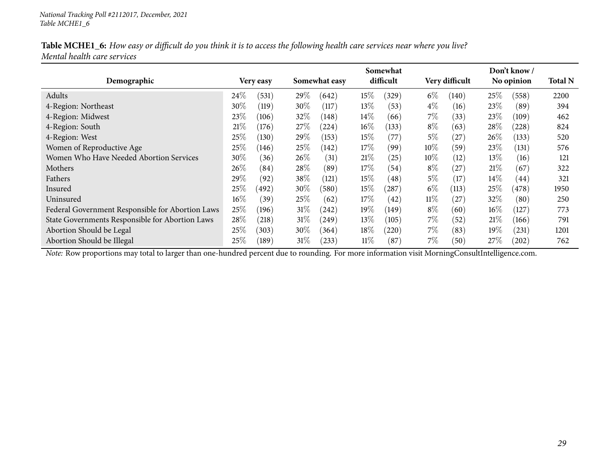|                             | Table MCHE1_6: How easy or difficult do you think it is to access the following health care services near where you live? |
|-----------------------------|---------------------------------------------------------------------------------------------------------------------------|
| Mental health care services |                                                                                                                           |

|                                                  |        |               | Somewhat |               |         |           |        | Don't know/    |        |            |                |
|--------------------------------------------------|--------|---------------|----------|---------------|---------|-----------|--------|----------------|--------|------------|----------------|
| Demographic                                      |        | Very easy     |          | Somewhat easy |         | difficult |        | Very difficult |        | No opinion | <b>Total N</b> |
| Adults                                           | $24\%$ | (531)         | 29\%     | (642)         | $15\%$  | (329)     | $6\%$  | (140)          | 25%    | (558)      | 2200           |
| 4-Region: Northeast                              | 30%    | (119)         | 30%      | (117)         | $13\%$  | (53)      | $4\%$  | (16)           | 23\%   | (89)       | 394            |
| 4-Region: Midwest                                | $23\%$ | (106)         | 32%      | (148)         | $14\%$  | (66)      | 7%     | (33)           | 23%    | (109)      | 462            |
| 4-Region: South                                  | 21%    | (176)         | 27\%     | (224)         | $16\%$  | (133)     | $8\%$  | (63)           | 28\%   | (228)      | 824            |
| 4-Region: West                                   | $25\%$ | (130)         | 29\%     | (153)         | $15\%$  | (77)      | 5%     | (27)           | $26\%$ | (133)      | 520            |
| Women of Reproductive Age                        | $25\%$ | (146)         | 25%      | (142)         | $17\%$  | (99)      | $10\%$ | (59)           | 23\%   | (131)      | 576            |
| Women Who Have Needed Abortion Services          | $30\%$ | (36)          | $26\%$   | (31)          | 21%     | (25)      | $10\%$ | (12)           | $13\%$ | (16)       | 121            |
| Mothers                                          | 26%    | (84)          | 28\%     | (89)          | $17\%$  | (54)      | $8\%$  | (27)           | 21%    | (67)       | 322            |
| Fathers                                          | 29\%   | (92)          | 38\%     | (121)         | $15\%$  | (48)      | 5%     | (17)           | $14\%$ | (44)       | 321            |
| Insured                                          | $25\%$ | (492)         | $30\%$   | (580)         | $15\%$  | (287)     | $6\%$  | (113)          | 25%    | (478)      | 1950           |
| Uninsured                                        | $16\%$ | $^{\prime}39$ | 25%      | (62)          | $17\%$  | (42)      | $11\%$ | (27)           | 32%    | (80)       | 250            |
| Federal Government Responsible for Abortion Laws | 25\%   | (196)         | $31\%$   | (242)         | 19 $\%$ | (149)     | $8\%$  | (60)           | $16\%$ | (127)      | 773            |
| State Governments Responsible for Abortion Laws  | 28%    | (218)         | 31%      | (249)         | $13\%$  | (105)     | 7%     | (52)           | 21\%   | (166)      | 791            |
| Abortion Should be Legal                         | $25\%$ | (303)         | $30\%$   | (364)         | $18\%$  | (220)     | 7%     | (83)           | $19\%$ | (231)      | 1201           |
| Abortion Should be Illegal                       | $25\%$ | (189)         | 31%      | (233)         | $11\%$  | (87)      | 7%     | (50)           | 27%    | (202)      | 762            |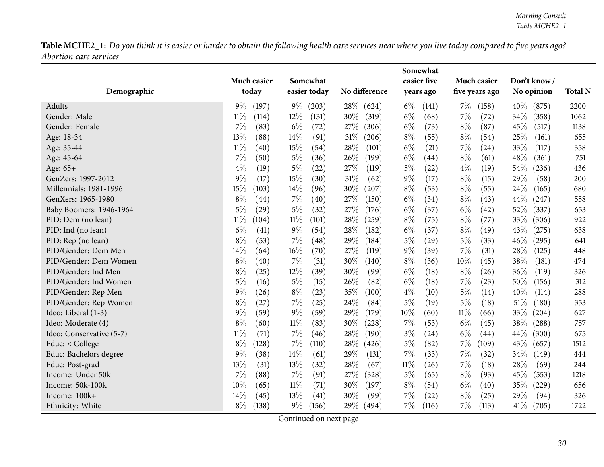Table MCHE2\_1: Do you think it is easier or harder to obtain the following health care services near where you live today compared to five years ago? *Abortion care services*

<span id="page-29-0"></span>

|                          |                 |                 |                            | Somewhat       |                |                 |                |  |
|--------------------------|-----------------|-----------------|----------------------------|----------------|----------------|-----------------|----------------|--|
|                          | Much easier     | Somewhat        |                            | easier five    | Much easier    | Don't know /    |                |  |
| Demographic              | today           | easier today    | No difference              | years ago      | five years ago | No opinion      | <b>Total N</b> |  |
| Adults                   | $9\%$<br>(197)  | $9\%$<br>(203)  | 28\%<br>(624)              | $6\%$<br>(141) | $7\%$<br>(158) | $40\%$<br>(875) | 2200           |  |
| Gender: Male             | $11\%$<br>(114) | 12%<br>(131)    | 30%<br>(319)               | $6\%$<br>(68)  | $7\%$<br>(72)  | 34\%<br>(358)   | 1062           |  |
| Gender: Female           | 7%<br>(83)      | $6\%$<br>(72)   | 27%<br>(306)               | $6\%$<br>(73)  | $8\%$<br>(87)  | 45%<br>(517)    | 1138           |  |
| Age: 18-34               | 13%<br>(88)     | 14%<br>(91)     | 31%<br>(206)               | $8\%$<br>(55)  | $8\%$<br>(54)  | 25%<br>(161)    | 655            |  |
| Age: 35-44               | $11\%$<br>(40)  | 15%<br>(54)     | 28%<br>(101)               | $6\%$<br>(21)  | 7%<br>(24)     | 33%<br>(117)    | 358            |  |
| Age: 45-64               | 7%<br>(50)      | $5\%$<br>(36)   | 26%<br>(199)               | $6\%$<br>(44)  | $8\%$<br>(61)  | 48%<br>(361)    | 751            |  |
| Age: 65+                 | $4\%$<br>(19)   | $5\%$<br>(22)   | 27%<br>(119)               | $5\%$<br>(22)  | $4\%$<br>(19)  | 54\%<br>(236)   | 436            |  |
| GenZers: 1997-2012       | $9\%$<br>(17)   | 15%<br>(30)     | 31%<br>(62)                | $9\%$<br>(17)  | $8\%$<br>(15)  | 29%<br>(58)     | 200            |  |
| Millennials: 1981-1996   | 15%<br>(103)    | 14%<br>(96)     | 30%<br>(207)               | $8\%$<br>(53)  | $8\%$<br>(55)  | 24%<br>(165)    | 680            |  |
| GenXers: 1965-1980       | $8\%$<br>(44)   | 7%<br>(40)      | 27%<br>(150)               | $6\%$<br>(34)  | $8\%$<br>(43)  | 44\%<br>(247)   | 558            |  |
| Baby Boomers: 1946-1964  | 5%<br>(29)      | $5\%$<br>(32)   | 27%<br>(176)               | $6\%$<br>(37)  | $6\%$<br>(42)  | 52%<br>(337)    | 653            |  |
| PID: Dem (no lean)       | $11\%$<br>(104) | $11\%$<br>(101) | 28%<br>$\left( 259\right)$ | $8\%$<br>(75)  | $8\%$<br>(77)  | 33%<br>(306)    | 922            |  |
| PID: Ind (no lean)       | $6\%$<br>(41)   | $9\%$<br>(54)   | 28%<br>(182)               | $6\%$<br>(37)  | $8\%$<br>(49)  | 43%<br>(275)    | 638            |  |
| PID: Rep (no lean)       | $8\%$<br>(53)   | 7%<br>(48)      | 29%<br>(184)               | $5\%$<br>(29)  | $5\%$<br>(33)  | 46\%<br>(295)   | 641            |  |
| PID/Gender: Dem Men      | 14%<br>(64)     | 16%<br>(70)     | 27%<br>(119)               | $9\%$<br>(39)  | $7\%$<br>(31)  | 28%<br>(125)    | 448            |  |
| PID/Gender: Dem Women    | $8\%$<br>(40)   | 7%<br>(31)      | 30%<br>(140)               | $8\%$<br>(36)  | 10%<br>(45)    | 38%<br>(181)    | 474            |  |
| PID/Gender: Ind Men      | $8\%$<br>(25)   | 12%<br>(39)     | 30%<br>(99)                | $6\%$<br>(18)  | $8\%$<br>(26)  | 36%<br>(119)    | 326            |  |
| PID/Gender: Ind Women    | $5\%$<br>(16)   | $5\%$<br>(15)   | 26%<br>(82)                | $6\%$<br>(18)  | $7\%$<br>(23)  | 50%<br>(156)    | 312            |  |
| PID/Gender: Rep Men      | 9%<br>(26)      | $8\%$<br>(23)   | 35%<br>(100)               | $4\%$<br>(10)  | $5\%$<br>(14)  | 40%<br>(114)    | 288            |  |
| PID/Gender: Rep Women    | $8\%$<br>(27)   | 7%<br>(25)      | 24%<br>(84)                | $5\%$<br>(19)  | $5\%$<br>(18)  | 51%<br>(180)    | 353            |  |
| Ideo: Liberal (1-3)      | $9\%$<br>(59)   | $9\%$<br>(59)   | 29%<br>(179)               | $10\%$<br>(60) | $11\%$<br>(66) | 33%<br>(204)    | 627            |  |
| Ideo: Moderate (4)       | $8\%$<br>(60)   | $11\%$<br>(83)  | 30%<br>(228)               | 7%<br>(53)     | $6\%$<br>(45)  | 38%<br>(288)    | 757            |  |
| Ideo: Conservative (5-7) | $11\%$<br>(71)  | 7%<br>(46)      | 28%<br>(190)               | $3\%$<br>(24)  | $6\%$<br>(44)  | 44\%<br>(300)   | 675            |  |
| Educ: < College          | $8\%$<br>(128)  | 7%<br>(110)     | 28%<br>(426)               | $5\%$<br>(82)  | 7%<br>(109)    | 43%<br>(657)    | 1512           |  |
| Educ: Bachelors degree   | $9\%$<br>(38)   | 14%<br>(61)     | 29%<br>(131)               | 7%<br>(33)     | $7\%$<br>(32)  | 34%<br>(149)    | 444            |  |
| Educ: Post-grad          | 13%<br>(31)     | 13%<br>(32)     | 28%<br>(67)                | $11\%$<br>(26) | 7%<br>(18)     | 28%<br>(69)     | 244            |  |
| Income: Under 50k        | $7\%$<br>(88)   | 7%<br>(91)      | 27%<br>(328)               | $5\%$<br>(65)  | $8\%$<br>(93)  | 45%<br>(553)    | 1218           |  |
| Income: 50k-100k         | 10%<br>(65)     | 11%<br>(71)     | 30%<br>(197)               | $8\%$<br>(54)  | $6\%$<br>(40)  | 35%<br>(229)    | 656            |  |
| Income: 100k+            | 14%<br>(45)     | 13%<br>(41)     | 30%<br>(99)                | 7%<br>(22)     | $8\%$<br>(25)  | 29%<br>(94)     | 326            |  |
| Ethnicity: White         | $8\%$<br>(138)  | $9\%$<br>(156)  | 29\%<br>(494)              | 7%<br>(116)    | $7\%$<br>(113) | 41\%<br>(705)   | 1722           |  |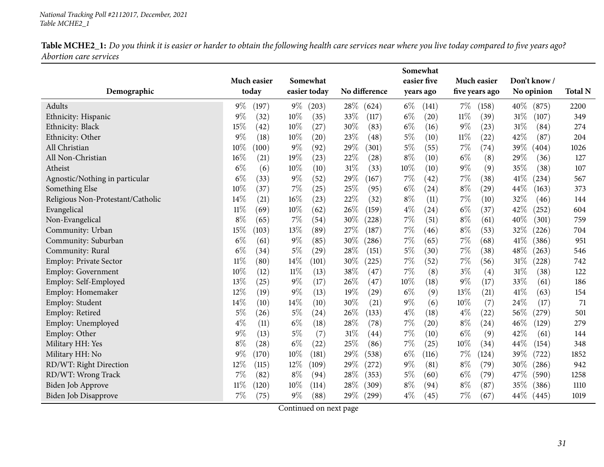Table MCHE2\_1: Do you think it is easier or harder to obtain the following health care services near where you live today compared to five years ago? *Abortion care services*

|                                   |                 |                 |               | Somewhat       |                |                 |                |
|-----------------------------------|-----------------|-----------------|---------------|----------------|----------------|-----------------|----------------|
|                                   | Much easier     | Somewhat        |               | easier five    | Much easier    | Don't know/     |                |
| Demographic                       | today           | easier today    | No difference | years ago      | five years ago | No opinion      | <b>Total N</b> |
| Adults                            | $9\%$<br>(197)  | $9\%$<br>(203)  | 28\%<br>(624) | $6\%$<br>(141) | $7\%$<br>(158) | 40%<br>(875)    | 2200           |
| Ethnicity: Hispanic               | $9\%$<br>(32)   | $10\%$<br>(35)  | 33%<br>(117)  | $6\%$<br>(20)  | $11\%$<br>(39) | $31\%$<br>(107) | 349            |
| Ethnicity: Black                  | 15%<br>(42)     | 10%<br>(27)     | 30%<br>(83)   | $6\%$<br>(16)  | $9\%$<br>(23)  | 31%<br>(84)     | 274            |
| Ethnicity: Other                  | $9\%$<br>(18)   | 10%<br>(20)     | 23%<br>(48)   | $5\%$<br>(10)  | 11%<br>(22)    | 42%<br>(87)     | 204            |
| All Christian                     | 10%<br>(100)    | $9\%$<br>(92)   | 29%<br>(301)  | $5\%$<br>(55)  | 7%<br>(74)     | 39%<br>(404)    | 1026           |
| All Non-Christian                 | 16%<br>(21)     | 19%<br>(23)     | 22%<br>(28)   | $8\%$<br>(10)  | $6\%$<br>(8)   | 29%<br>(36)     | 127            |
| Atheist                           | $6\%$<br>(6)    | $10\%$<br>(10)  | 31%<br>(33)   | 10%<br>(10)    | $9\%$<br>(9)   | 35%<br>(38)     | 107            |
| Agnostic/Nothing in particular    | $6\%$<br>(33)   | $9\%$<br>(52)   | 29%<br>(167)  | 7%<br>(42)     | 7%<br>(38)     | 41\%<br>(234)   | 567            |
| Something Else                    | 10%<br>(37)     | $7\%$<br>(25)   | 25%<br>(95)   | $6\%$<br>(24)  | $8\%$<br>(29)  | 44%<br>(163)    | 373            |
| Religious Non-Protestant/Catholic | 14%<br>(21)     | $16\%$<br>(23)  | 22%<br>(32)   | $8\%$<br>(11)  | $7\%$<br>(10)  | 32%<br>(46)     | 144            |
| Evangelical                       | $11\%$<br>(69)  | 10%<br>(62)     | 26\%<br>(159) | $4\%$<br>(24)  | $6\%$<br>(37)  | 42%<br>(252)    | 604            |
| Non-Evangelical                   | $8\%$<br>(65)   | 7%<br>(54)      | 30%<br>(228)  | 7%<br>(51)     | $8\%$<br>(61)  | 40%<br>(301)    | 759            |
| Community: Urban                  | 15%<br>(103)    | 13%<br>(89)     | 27\%<br>(187) | 7%<br>(46)     | $8\%$<br>(53)  | 32%<br>(226)    | 704            |
| Community: Suburban               | $6\%$<br>(61)   | $9\%$<br>(85)   | 30%<br>(286)  | 7%<br>(65)     | 7%<br>(68)     | 41\%<br>(386)   | 951            |
| Community: Rural                  | $6\%$<br>(34)   | 5%<br>(29)      | 28%<br>(151)  | $5\%$<br>(30)  | 7%<br>(38)     | 48%<br>(263)    | 546            |
| Employ: Private Sector            | $11\%$<br>(80)  | 14%<br>(101)    | 30%<br>(225)  | 7%<br>(52)     | 7%<br>(56)     | 31%<br>(228)    | 742            |
| Employ: Government                | 10%<br>(12)     | $11\%$<br>(13)  | 38%<br>(47)   | 7%<br>(8)      | $3\%$<br>(4)   | 31%<br>(38)     | 122            |
| Employ: Self-Employed             | 13%<br>(25)     | $9\%$<br>(17)   | 26%<br>(47)   | 10%<br>(18)    | $9\%$<br>(17)  | 33%<br>(61)     | 186            |
| Employ: Homemaker                 | 12%<br>(19)     | $9\%$<br>(13)   | 19%<br>(29)   | $6\%$<br>(9)   | 13%<br>(21)    | 41%<br>(63)     | 154            |
| Employ: Student                   | 14%<br>(10)     | 14\%<br>(10)    | 30%<br>(21)   | $9\%$<br>(6)   | 10%<br>(7)     | 24%<br>(17)     | 71             |
| Employ: Retired                   | $5\%$<br>(26)   | $5\%$<br>(24)   | 26%<br>(133)  | $4\%$<br>(18)  | $4\%$<br>(22)  | 56\%<br>(279)   | 501            |
| Employ: Unemployed                | $4\%$<br>(11)   | $6\%$<br>(18)   | 28%<br>(78)   | 7%<br>(20)     | $8\%$<br>(24)  | 46%<br>(129)    | 279            |
| Employ: Other                     | $9\%$<br>(13)   | $5\%$<br>(7)    | 31%<br>(44)   | 7%<br>(10)     | $6\%$<br>(9)   | 42%<br>(61)     | 144            |
| Military HH: Yes                  | $8\%$<br>(28)   | $6\%$<br>(22)   | 25%<br>(86)   | 7%<br>(25)     | 10%<br>(34)    | 44%<br>(154)    | 348            |
| Military HH: No                   | $9\%$<br>(170)  | $10\%$<br>(181) | 29%<br>(538)  | $6\%$<br>(116) | 7%<br>(124)    | 39%<br>(722)    | 1852           |
| RD/WT: Right Direction            | 12%<br>(115)    | 12%<br>(109)    | 29%<br>(272)  | $9\%$<br>(81)  | $8\%$<br>(79)  | 30%<br>(286)    | 942            |
| RD/WT: Wrong Track                | $7\%$<br>(82)   | $8\%$<br>(94)   | 28\%<br>(353) | $5\%$<br>(60)  | $6\%$<br>(79)  | 47%<br>(590)    | 1258           |
| Biden Job Approve                 | $11\%$<br>(120) | 10%<br>(114)    | 28%<br>(309)  | $8\%$<br>(94)  | $8\%$<br>(87)  | 35%<br>(386)    | 1110           |
| Biden Job Disapprove              | $7\%$<br>(75)   | $9\%$<br>(88)   | 29\%<br>(299) | $4\%$<br>(45)  | 7%<br>(67)     | $44\%$<br>(445) | 1019           |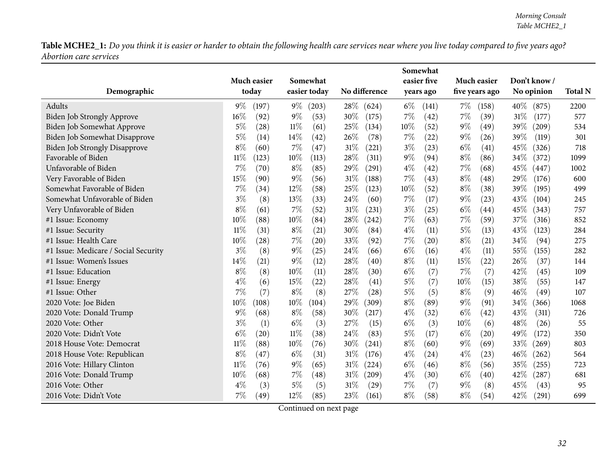Table MCHE2\_1: Do you think it is easier or harder to obtain the following health care services near where you live today compared to five years ago? *Abortion care services*

|                                      | Much easier |       |        | Somewhat     |        |               |       | easier five |        | Much easier    |        | Don't know/ |                |
|--------------------------------------|-------------|-------|--------|--------------|--------|---------------|-------|-------------|--------|----------------|--------|-------------|----------------|
| Demographic                          | today       |       |        | easier today |        | No difference |       | years ago   |        | five years ago |        | No opinion  | <b>Total N</b> |
| Adults                               | 9%          | (197) | $9\%$  | (203)        | 28\%   | (624)         | $6\%$ | (141)       | $7\%$  | (158)          | $40\%$ | (875)       | 2200           |
| Biden Job Strongly Approve           | 16%         | (92)  | $9\%$  | (53)         | 30%    | (175)         | $7\%$ | (42)        | 7%     | (39)           | $31\%$ | (177)       | 577            |
| Biden Job Somewhat Approve           | $5\%$       | (28)  | 11%    | (61)         | 25%    | (134)         | 10%   | (52)        | $9\%$  | (49)           | 39%    | (209)       | 534            |
| Biden Job Somewhat Disapprove        | 5%          | (14)  | 14%    | (42)         | 26%    | (78)          | 7%    | (22)        | $9\%$  | (26)           | 39%    | (119)       | 301            |
| <b>Biden Job Strongly Disapprove</b> | $8\%$       | (60)  | 7%     | (47)         | 31%    | (221)         | $3\%$ | (23)        | $6\%$  | (41)           | 45%    | (326)       | 718            |
| Favorable of Biden                   | 11%         | (123) | 10%    | (113)        | 28%    | (311)         | $9\%$ | (94)        | $8\%$  | (86)           | 34\%   | (372)       | 1099           |
| Unfavorable of Biden                 | 7%          | (70)  | $8\%$  | (85)         | 29%    | (291)         | $4\%$ | (42)        | 7%     | (68)           | 45%    | (447)       | 1002           |
| Very Favorable of Biden              | 15%         | (90)  | $9\%$  | (56)         | 31%    | (188)         | 7%    | (43)        | $8\%$  | (48)           | 29%    | (176)       | 600            |
| Somewhat Favorable of Biden          | 7%          | (34)  | 12%    | (58)         | 25%    | (123)         | 10%   | (52)        | $8\%$  | (38)           | 39%    | (195)       | 499            |
| Somewhat Unfavorable of Biden        | $3\%$       | (8)   | 13%    | (33)         | 24%    | (60)          | $7\%$ | (17)        | $9\%$  | (23)           | 43%    | (104)       | 245            |
| Very Unfavorable of Biden            | 8%          | (61)  | 7%     | (52)         | 31%    | (231)         | $3\%$ | (25)        | $6\%$  | (44)           | 45%    | (343)       | 757            |
| #1 Issue: Economy                    | 10%         | (88)  | 10%    | (84)         | 28%    | (242)         | 7%    | (63)        | 7%     | (59)           | 37%    | (316)       | 852            |
| #1 Issue: Security                   | $11\%$      | (31)  | $8\%$  | (21)         | 30%    | (84)          | $4\%$ | (11)        | $5\%$  | (13)           | 43%    | (123)       | 284            |
| #1 Issue: Health Care                | 10%         | (28)  | 7%     | (20)         | 33%    | (92)          | 7%    | (20)        | $8\%$  | (21)           | 34%    | (94)        | 275            |
| #1 Issue: Medicare / Social Security | $3\%$       | (8)   | $9\%$  | (25)         | 24%    | (66)          | $6\%$ | (16)        | $4\%$  | (11)           | 55%    | (155)       | 282            |
| #1 Issue: Women's Issues             | 14%         | (21)  | $9\%$  | (12)         | 28%    | (40)          | $8\%$ | (11)        | 15%    | (22)           | 26%    | (37)        | 144            |
| #1 Issue: Education                  | $8\%$       | (8)   | 10%    | (11)         | 28%    | (30)          | $6\%$ | (7)         | 7%     | (7)            | 42%    | (45)        | 109            |
| #1 Issue: Energy                     | $4\%$       | (6)   | 15%    | (22)         | 28%    | (41)          | $5\%$ | (7)         | $10\%$ | (15)           | 38%    | (55)        | 147            |
| #1 Issue: Other                      | 7%          | (7)   | $8\%$  | (8)          | 27%    | (28)          | $5\%$ | (5)         | $8\%$  | (9)            | 46%    | (49)        | 107            |
| 2020 Vote: Joe Biden                 | 10%         | (108) | 10%    | (104)        | 29%    | (309)         | $8\%$ | (89)        | $9\%$  | (91)           | 34\%   | (366)       | 1068           |
| 2020 Vote: Donald Trump              | 9%          | (68)  | $8\%$  | (58)         | 30%    | (217)         | $4\%$ | (32)        | $6\%$  | (42)           | 43%    | (311)       | 726            |
| 2020 Vote: Other                     | $3\%$       | (1)   | $6\%$  | (3)          | 27%    | (15)          | $6\%$ | (3)         | $10\%$ | (6)            | 48%    | (26)        | 55             |
| 2020 Vote: Didn't Vote               | $6\%$       | (20)  | $11\%$ | (38)         | 24%    | (83)          | 5%    | (17)        | $6\%$  | (20)           | 49%    | (172)       | 350            |
| 2018 House Vote: Democrat            | $11\%$      | (88)  | 10%    | (76)         | 30%    | (241)         | $8\%$ | (60)        | $9\%$  | (69)           | 33%    | (269)       | 803            |
| 2018 House Vote: Republican          | $8\%$       | (47)  | $6\%$  | (31)         | 31%    | (176)         | $4\%$ | (24)        | $4\%$  | (23)           | 46%    | (262)       | 564            |
| 2016 Vote: Hillary Clinton           | $11\%$      | (76)  | $9\%$  | (65)         | 31%    | (224)         | $6\%$ | (46)        | $8\%$  | (56)           | 35%    | (255)       | 723            |
| 2016 Vote: Donald Trump              | 10%         | (68)  | $7\%$  | (48)         | $31\%$ | (209)         | $4\%$ | (30)        | $6\%$  | (40)           | 42\%   | (287)       | 681            |
| 2016 Vote: Other                     | $4\%$       | (3)   | 5%     | (5)          | 31%    | (29)          | 7%    | (7)         | 9%     | (8)            | 45%    | (43)        | 95             |
| 2016 Vote: Didn't Vote               | 7%          | (49)  | 12%    | (85)         | 23%    | (161)         | $8\%$ | (58)        | $8\%$  | (54)           | 42%    | (291)       | 699            |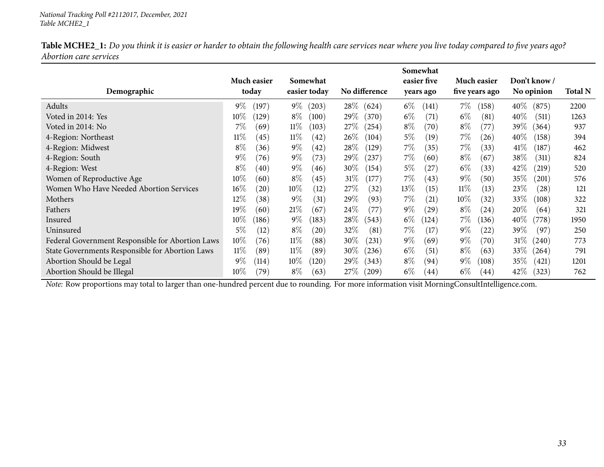| Table MCHE2_1: Do you think it is easier or harder to obtain the following health care services near where you live today compared to five years ago? |  |  |
|-------------------------------------------------------------------------------------------------------------------------------------------------------|--|--|
| <i>Abortion care services</i>                                                                                                                         |  |  |

|                                                  |                 |                 |                 | Somewhat       |                             |                             |                |
|--------------------------------------------------|-----------------|-----------------|-----------------|----------------|-----------------------------|-----------------------------|----------------|
|                                                  | Much easier     | Somewhat        |                 | easier five    | Much easier                 | Don't know /                |                |
| Demographic                                      | today           | easier today    | No difference   | years ago      | five years ago              | No opinion                  | <b>Total N</b> |
| Adults                                           | $9\%$<br>(197)  | $9\%$<br>(203)  | $28\%$<br>(624) | $6\%$<br>(141) | 7%<br>(158)                 | $40\%$<br>(875)             | 2200           |
| Voted in 2014: Yes                               | $10\%$<br>(129) | $8\%$<br>(100)  | $29\%$<br>(370) | $6\%$<br>(71)  | $6\%$<br>(81)               | $40\%$<br>(511)             | 1263           |
| Voted in 2014: No                                | 7%<br>(69)      | $11\%$<br>(103) | 27\%<br>(254)   | $8\%$<br>(70)  | $8\%$<br>(77)               | 39%<br>(364)                | 937            |
| 4-Region: Northeast                              | $11\%$<br>(45)  | $11\%$<br>(42)  | $26\%$<br>(104) | $5\%$<br>(19)  | 7%<br>(26)                  | $40\%$<br>(158)             | 394            |
| 4-Region: Midwest                                | $8\%$<br>(36)   | $9\%$<br>(42)   | 28\%<br>(129)   | $7\%$<br>(35)  | 7%<br>(33)                  | $41\%$<br>(187)             | 462            |
| 4-Region: South                                  | $9\%$<br>(76)   | $9\%$<br>(73)   | 29\%<br>(237)   | $7\%$<br>(60)  | $8\%$<br>(67)               | 38\%<br>(311)               | 824            |
| 4-Region: West                                   | $8\%$<br>(40)   | $9\%$<br>(46)   | $30\%$<br>(154) | $5\%$<br>(27)  | $6\%$<br>(33)               | $42\%$<br>(219)             | 520            |
| Women of Reproductive Age                        | 10%<br>(60)     | $8\%$<br>(45)   | 31%<br>(177)    | $7\%$<br>(43)  | $9\%$<br>(50)               | 35\%<br>$\left( 201\right)$ | 576            |
| Women Who Have Needed Abortion Services          | $16\%$<br>(20)  | $10\%$<br>(12)  | 27%<br>(32)     | $13\%$<br>(15) | $11\%$<br>(13)              | 23\%<br>(28)                | 121            |
| Mothers                                          | 12%<br>(38)     | $9\%$<br>(31)   | $29\%$<br>(93)  | $7\%$<br>(21)  | $10\%$<br>(32)              | 33\%<br>(108)               | 322            |
| Fathers                                          | 19%<br>(60)     | 21%<br>(67      | 24\%<br>(77)    | $9\%$<br>(29)  | $8\%$<br>(24)               | $20\%$<br>(64)              | 321            |
| Insured                                          | $10\%$<br>(186) | $9\%$<br>(183)  | 28\%<br>(543)   | $6\%$<br>(124) | 7%<br>(136)                 | $40\%$<br>(778)             | 1950           |
| Uninsured                                        | 5%<br>(12)      | $8\%$<br>(20)   | $32\%$<br>(81)  | $7\%$<br>(17)  | $9\%$<br>$\left( 22\right)$ | $39\%$<br>(97)              | 250            |
| Federal Government Responsible for Abortion Laws | $10\%$<br>(76)  | $11\%$<br>(88)  | 30\%<br>(231)   | $9\%$<br>(69)  | $9\%$<br>(70)               | $31\%$<br>(240)             | 773            |
| State Governments Responsible for Abortion Laws  | $11\%$<br>(89)  | $11\%$<br>(89)  | 30\%<br>(236)   | $6\%$<br>(51)  | $8\%$<br>(63)               | $33\%$<br>(264)             | 791            |
| Abortion Should be Legal                         | $9\%$<br>(114)  | $10\%$<br>(120) | $29\%$<br>(343) | $8\%$<br>(94)  | $9\%$<br>(108)              | $35\%$<br>(421)             | 1201           |
| Abortion Should be Illegal                       | $10\%$<br>(79)  | $8\%$<br>(63)   | $27\%$<br>(209) | $6\%$<br>(44)  | $6\%$<br>(44)               | $42\%$<br>(323)             | 762            |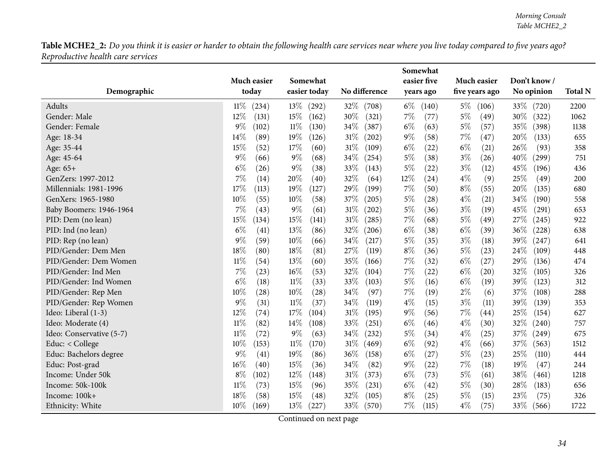Table MCHE2\_2: Do you think it is easier or harder to obtain the following health care services near where you live today compared to five years ago? *Reproductive health care services*

<span id="page-33-0"></span>

|                          | Much easier<br>today | Somewhat        | No difference   | Somewhat<br>easier five | Much easier    | Don't know /  | <b>Total N</b> |
|--------------------------|----------------------|-----------------|-----------------|-------------------------|----------------|---------------|----------------|
| Demographic              |                      | easier today    |                 | years ago               | five years ago | No opinion    |                |
| Adults                   | $11\%$<br>(234)      | $13\%$<br>(292) | 32%<br>(708)    | $6\%$<br>(140)          | $5\%$<br>(106) | 33\%<br>(720) | 2200           |
| Gender: Male             | 12%<br>(131)         | 15%<br>(162)    | 30%<br>(321)    | 7%<br>(77)              | 5%<br>(49)     | 30%<br>(322)  | 1062           |
| Gender: Female           | $9\%$<br>(102)       | $11\%$<br>(130) | 34%<br>(387)    | $6\%$<br>(63)           | $5\%$<br>(57)  | 35%<br>(398)  | 1138           |
| Age: 18-34               | 14%<br>(89)          | 19%<br>(126)    | 31%<br>(202)    | $9\%$<br>(58)           | $7\%$<br>(47)  | 20%<br>(133)  | 655            |
| Age: 35-44               | 15%<br>(52)          | 17%<br>(60)     | $31\%$<br>(109) | $6\%$<br>(22)           | $6\%$<br>(21)  | 26%<br>(93)   | 358            |
| Age: 45-64               | 9%<br>(66)           | $9\%$<br>(68)   | 34%<br>(254)    | $5\%$<br>(38)           | $3\%$<br>(26)  | 40%<br>(299)  | 751            |
| Age: 65+                 | $6\%$<br>(26)        | $9\%$<br>(38)   | 33%<br>(143)    | $5\%$<br>(22)           | $3\%$<br>(12)  | 45%<br>(196)  | 436            |
| GenZers: 1997-2012       | 7%<br>(14)           | 20%<br>(40)     | 32%<br>(64)     | 12%<br>(24)             | $4\%$<br>(9)   | 25%<br>(49)   | 200            |
| Millennials: 1981-1996   | 17%<br>(113)         | 19%<br>(127)    | 29%<br>(199)    | $7\%$<br>(50)           | $8\%$<br>(55)  | 20%<br>(135)  | 680            |
| GenXers: 1965-1980       | $10\%$<br>(55)       | 10%<br>(58)     | 37%<br>(205)    | $5\%$<br>(28)           | $4\%$<br>(21)  | 34%<br>(190)  | 558            |
| Baby Boomers: 1946-1964  | 7%<br>(43)           | $9\%$<br>(61)   | 31%<br>(202)    | $5\%$<br>(36)           | $3\%$<br>(19)  | 45%<br>(291)  | 653            |
| PID: Dem (no lean)       | 15%<br>(134)         | 15%<br>(141)    | 31%<br>(285)    | $7\%$<br>(68)           | $5\%$<br>(49)  | 27\%<br>(245) | 922            |
| PID: Ind (no lean)       | $6\%$<br>(41)        | 13%<br>(86)     | 32%<br>(206)    | $6\%$<br>(38)           | $6\%$<br>(39)  | 36\%<br>(228) | 638            |
| PID: Rep (no lean)       | 9%<br>(59)           | 10%<br>(66)     | 34%<br>(217)    | $5\%$<br>(35)           | $3\%$<br>(18)  | 39%<br>(247)  | 641            |
| PID/Gender: Dem Men      | 18%<br>(80)          | 18%<br>(81)     | 27%<br>(119)    | $8\%$<br>(36)           | $5\%$<br>(23)  | 24%<br>(109)  | 448            |
| PID/Gender: Dem Women    | $11\%$<br>(54)       | 13%<br>(60)     | 35%<br>(166)    | $7\%$<br>(32)           | $6\%$<br>(27)  | 29%<br>(136)  | 474            |
| PID/Gender: Ind Men      | $7\%$<br>(23)        | 16%<br>(53)     | 32%<br>(104)    | 7%<br>(22)              | $6\%$<br>(20)  | 32%<br>(105)  | 326            |
| PID/Gender: Ind Women    | $6\%$<br>(18)        | $11\%$<br>(33)  | 33%<br>(103)    | $5\%$<br>(16)           | $6\%$<br>(19)  | 39%<br>(123)  | 312            |
| PID/Gender: Rep Men      | 10%<br>(28)          | 10%<br>(28)     | 34%<br>(97)     | 7%<br>(19)              | $2\%$<br>(6)   | 37%<br>(108)  | 288            |
| PID/Gender: Rep Women    | $9\%$<br>(31)        | $11\%$<br>(37)  | 34%<br>(119)    | $4\%$<br>(15)           | $3\%$<br>(11)  | 39%<br>(139)  | 353            |
| Ideo: Liberal (1-3)      | 12%<br>(74)          | 17%<br>(104)    | 31%<br>(195)    | $9\%$<br>(56)           | $7\%$<br>(44)  | 25%<br>(154)  | 627            |
| Ideo: Moderate (4)       | $11\%$<br>(82)       | 14%<br>(108)    | 33%<br>(251)    | $6\%$<br>(46)           | $4\%$<br>(30)  | 32%<br>(240)  | 757            |
| Ideo: Conservative (5-7) | $11\%$<br>(72)       | 9%<br>(63)      | 34%<br>(232)    | $5\%$<br>(34)           | $4\%$<br>(25)  | 37%<br>(249)  | 675            |
| Educ: < College          | 10%<br>(153)         | $11\%$<br>(170) | 31%<br>(469)    | $6\%$<br>(92)           | $4\%$<br>(66)  | 37%<br>(563)  | 1512           |
| Educ: Bachelors degree   | 9%<br>(41)           | 19%<br>(86)     | 36%<br>(158)    | $6\%$<br>(27)           | $5\%$<br>(23)  | 25%<br>(110)  | 444            |
| Educ: Post-grad          | 16%<br>(40)          | 15%<br>(36)     | 34%<br>(82)     | $9\%$<br>(22)           | $7\%$<br>(18)  | 19%<br>(47)   | 244            |
| Income: Under 50k        | $8\%$<br>(102)       | 12%<br>(148)    | 31%<br>(373)    | $6\%$<br>(73)           | $5\%$<br>(61)  | 38%<br>(461)  | 1218           |
| Income: 50k-100k         | $11\%$<br>(73)       | 15%<br>(96)     | 35%<br>(231)    | $6\%$<br>(42)           | $5\%$<br>(30)  | 28%<br>(183)  | 656            |
| Income: 100k+            | 18%<br>(58)          | 15%<br>(48)     | 32%<br>(105)    | $8\%$<br>(25)           | $5\%$<br>(15)  | 23%<br>(75)   | 326            |
| Ethnicity: White         | $10\%$<br>(169)      | 13%<br>(227)    | 33%<br>(570)    | 7%<br>(115)             | $4\%$<br>(75)  | 33\%<br>(566) | 1722           |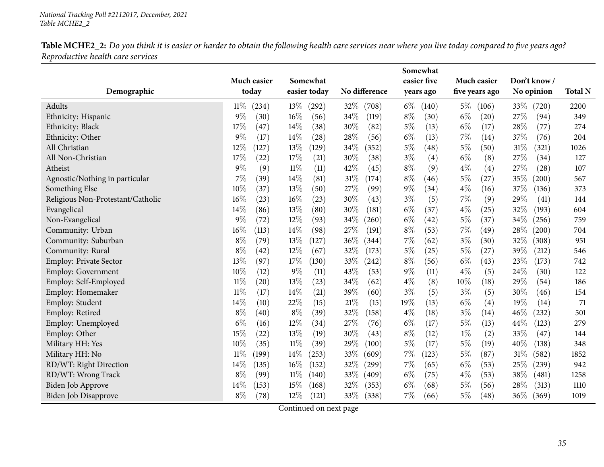Table MCHE2\_2: Do you think it is easier or harder to obtain the following health care services near where you live today compared to five years ago? *Reproductive health care services*

|                                   |                      |                 |               | Somewhat       |                |                 |                |
|-----------------------------------|----------------------|-----------------|---------------|----------------|----------------|-----------------|----------------|
|                                   | Much easier          | Somewhat        |               | easier five    | Much easier    | Don't know /    |                |
| Demographic                       | today                | easier today    | No difference | years ago      | five years ago | No opinion      | <b>Total N</b> |
| Adults                            | 11%<br>(234)         | $13\%$<br>(292) | 32\%<br>(708) | $6\%$<br>(140) | $5\%$<br>(106) | 33\%<br>(720)   | 2200           |
| Ethnicity: Hispanic               | 9%<br>(30)           | $16\%$<br>(56)  | 34%<br>(119)  | $8\%$<br>(30)  | $6\%$<br>(20)  | 27\%<br>(94)    | 349            |
| Ethnicity: Black                  | 17%<br>(47)          | 14%<br>(38)     | 30%<br>(82)   | $5\%$<br>(13)  | $6\%$<br>(17)  | 28%<br>(77)     | 274            |
| Ethnicity: Other                  | 9%<br>(17)           | 14%<br>(28)     | 28%<br>(56)   | $6\%$<br>(13)  | 7%<br>(14)     | 37%<br>(76)     | 204            |
| All Christian                     | 12%<br>(127)         | 13%<br>(129)    | 34%<br>(352)  | $5\%$<br>(48)  | $5\%$<br>(50)  | 31%<br>(321)    | 1026           |
| All Non-Christian                 | 17%<br>(22)          | 17%<br>(21)     | 30%<br>(38)   | $3\%$<br>(4)   | $6\%$<br>(8)   | 27%<br>(34)     | 127            |
| Atheist                           | 9%<br>(9)            | $11\%$<br>(11)  | 42%<br>(45)   | $8\%$<br>(9)   | $4\%$<br>(4)   | 27%<br>(28)     | 107            |
| Agnostic/Nothing in particular    | 7%<br>(39)           | 14%<br>(81)     | 31%<br>(174)  | $8\%$<br>(46)  | $5\%$<br>(27)  | 35%<br>(200)    | 567            |
| Something Else                    | 10%<br>(37)          | 13%<br>(50)     | 27%<br>(99)   | $9\%$<br>(34)  | $4\%$<br>(16)  | 37%<br>(136)    | 373            |
| Religious Non-Protestant/Catholic | 16%<br>(23)          | 16%<br>(23)     | 30%<br>(43)   | $3\%$<br>(5)   | 7%<br>(9)      | 29%<br>(41)     | 144            |
| Evangelical                       | 14%<br>(86)          | 13%<br>(80)     | 30%<br>(181)  | $6\%$<br>(37)  | $4\%$<br>(25)  | 32%<br>(193)    | 604            |
| Non-Evangelical                   | 9%<br>(72)           | 12%<br>(93)     | 34%<br>(260)  | $6\%$<br>(42)  | $5\%$<br>(37)  | 34%<br>(256)    | 759            |
| Community: Urban                  | $16\%$<br>(113)      | 14%<br>(98)     | 27%<br>(191)  | $8\%$<br>(53)  | 7%<br>(49)     | $28\%$<br>(200) | 704            |
| Community: Suburban               | $8\%$<br>(79)        | 13%<br>(127)    | 36%<br>(344)  | 7%<br>(62)     | $3\%$<br>(30)  | 32%<br>(308)    | 951            |
| Community: Rural                  | $8\%$<br>(42)        | 12%<br>(67)     | 32%<br>(173)  | $5\%$<br>(25)  | $5\%$<br>(27)  | 39%<br>(212)    | 546            |
| Employ: Private Sector            | 13%<br>(97)          | 17%<br>(130)    | 33%<br>(242)  | $8\%$<br>(56)  | $6\%$<br>(43)  | 23%<br>(173)    | 742            |
| Employ: Government                | 10%<br>(12)          | $9\%$<br>(11)   | 43%<br>(53)   | $9\%$<br>(11)  | $4\%$<br>(5)   | 24%<br>(30)     | 122            |
| Employ: Self-Employed             | $11\%$<br>(20)       | 13%<br>(23)     | 34%<br>(62)   | $4\%$<br>(8)   | 10%<br>(18)    | 29%<br>(54)     | 186            |
| Employ: Homemaker                 | $11\%$<br>(17)       | 14%<br>(21)     | 39%<br>(60)   | $3\%$<br>(5)   | $3\%$<br>(5)   | 30%<br>(46)     | 154            |
| Employ: Student                   | 14%<br>(10)          | 22%<br>(15)     | 21%<br>(15)   | 19%<br>(13)    | $6\%$<br>(4)   | 19%<br>(14)     | 71             |
| Employ: Retired                   | $8\%$<br>(40)        | $8\%$<br>(39)   | 32%<br>(158)  | $4\%$<br>(18)  | $3\%$<br>(14)  | 46%<br>(232)    | 501            |
| Employ: Unemployed                | $6\%$<br>(16)        | 12%<br>(34)     | 27%<br>(76)   | $6\%$<br>(17)  | $5\%$<br>(13)  | 44%<br>(123)    | 279            |
| Employ: Other                     | 15%<br>(22)          | 13%<br>(19)     | 30%<br>(43)   | $8\%$<br>(12)  | $1\%$<br>(2)   | 33%<br>(47)     | 144            |
| Military HH: Yes                  | 10%<br>(35)          | $11\%$<br>(39)  | 29%<br>(100)  | $5\%$<br>(17)  | $5\%$<br>(19)  | 40%<br>(138)    | 348            |
| Military HH: No                   | $11\%$<br>$^{'}199)$ | 14%<br>(253)    | 33%<br>(609)  | 7%<br>(123)    | $5\%$<br>(87)  | $31\%$<br>(582) | 1852           |
| RD/WT: Right Direction            | 14%<br>(135)         | 16%<br>(152)    | 32%<br>(299)  | 7%<br>(65)     | $6\%$<br>(53)  | 25%<br>(239)    | 942            |
| RD/WT: Wrong Track                | $8\%$<br>(99)        | $11\%$<br>(140) | 33\%<br>(409) | $6\%$<br>(75)  | $4\%$<br>(53)  | 38%<br>(481)    | 1258           |
| Biden Job Approve                 | 14%<br>(153)         | 15%<br>(168)    | 32%<br>(353)  | $6\%$<br>(68)  | $5\%$<br>(56)  | 28%<br>(313)    | 1110           |
| Biden Job Disapprove              | $8\%$<br>(78)        | $12\%$<br>(121) | 33\%<br>(338) | $7\%$<br>(66)  | $5\%$<br>(48)  | 36\%<br>(369)   | 1019           |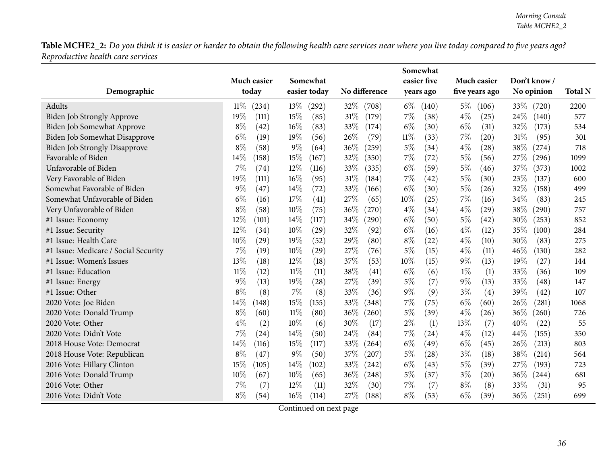Table MCHE2\_2: Do you think it is easier or harder to obtain the following health care services near where you live today compared to five years ago? *Reproductive health care services*

|                                      |                 |                 |               | Somewhat       |                |               |                |
|--------------------------------------|-----------------|-----------------|---------------|----------------|----------------|---------------|----------------|
|                                      | Much easier     | Somewhat        |               | easier five    | Much easier    | Don't know/   |                |
| Demographic                          | today           | easier today    | No difference | years ago      | five years ago | No opinion    | <b>Total N</b> |
| <b>Adults</b>                        | $11\%$<br>(234) | $13\%$<br>(292) | 32\%<br>(708) | $6\%$<br>(140) | $5\%$<br>(106) | 33\% (720)    | 2200           |
| Biden Job Strongly Approve           | 19%<br>(111)    | 15%<br>(85)     | 31%<br>(179)  | $7\%$<br>(38)  | $4\%$<br>(25)  | 24\%<br>(140) | 577            |
| Biden Job Somewhat Approve           | $8\%$<br>(42)   | 16%<br>(83)     | 33\%<br>(174) | $6\%$<br>(30)  | $6\%$<br>(31)  | 32%<br>(173)  | 534            |
| Biden Job Somewhat Disapprove        | $6\%$<br>(19)   | 19%<br>(56)     | 26%<br>(79)   | $11\%$<br>(33) | 7%<br>(20)     | 31%<br>(95)   | 301            |
| <b>Biden Job Strongly Disapprove</b> | $8\%$<br>(58)   | $9\%$<br>(64)   | 36%<br>(259)  | $5\%$<br>(34)  | $4\%$<br>(28)  | 38%<br>(274)  | 718            |
| Favorable of Biden                   | 14%<br>(158)    | 15%<br>(167)    | 32%<br>(350)  | 7%<br>(72)     | $5\%$<br>(56)  | 27%<br>(296)  | 1099           |
| Unfavorable of Biden                 | 7%<br>(74)      | 12%<br>(116)    | 33%<br>(335)  | $6\%$<br>(59)  | $5\%$<br>(46)  | 37%<br>(373)  | 1002           |
| Very Favorable of Biden              | 19%<br>(111)    | 16%<br>(95)     | 31%<br>(184)  | 7%<br>(42)     | $5\%$<br>(30)  | 23%<br>(137)  | 600            |
| Somewhat Favorable of Biden          | 9%<br>(47)      | 14%<br>(72)     | 33%<br>(166)  | $6\%$<br>(30)  | $5\%$<br>(26)  | 32%<br>(158)  | 499            |
| Somewhat Unfavorable of Biden        | $6\%$<br>(16)   | 17%<br>(41)     | 27%<br>(65)   | 10%<br>(25)    | 7%<br>(16)     | 34%<br>(83)   | 245            |
| Very Unfavorable of Biden            | $8\%$<br>(58)   | 10%<br>(75)     | 36%<br>(270)  | $4\%$<br>(34)  | $4\%$<br>(29)  | 38%<br>(290)  | 757            |
| #1 Issue: Economy                    | 12%<br>(101)    | 14%<br>(117)    | 34%<br>(290)  | $6\%$<br>(50)  | $5\%$<br>(42)  | 30%<br>(253)  | 852            |
| #1 Issue: Security                   | 12%<br>(34)     | 10%<br>(29)     | 32%<br>(92)   | $6\%$<br>(16)  | $4\%$<br>(12)  | 35%<br>(100)  | 284            |
| #1 Issue: Health Care                | 10%<br>(29)     | 19%<br>(52)     | 29%<br>(80)   | $8\%$<br>(22)  | $4\%$<br>(10)  | 30%<br>(83)   | 275            |
| #1 Issue: Medicare / Social Security | 7%<br>(19)      | 10%<br>(29)     | 27%<br>(76)   | $5\%$<br>(15)  | $4\%$<br>(11)  | 46%<br>(130)  | 282            |
| #1 Issue: Women's Issues             | 13%<br>(18)     | 12%<br>(18)     | 37%<br>(53)   | 10%<br>(15)    | $9\%$<br>(13)  | 19%<br>(27)   | 144            |
| #1 Issue: Education                  | $11\%$<br>(12)  | 11%<br>(11)     | 38%<br>(41)   | $6\%$<br>(6)   | $1\%$<br>(1)   | 33%<br>(36)   | 109            |
| #1 Issue: Energy                     | 9%<br>(13)      | 19%<br>(28)     | 27%<br>(39)   | 5%<br>(7)      | $9\%$<br>(13)  | 33%<br>(48)   | 147            |
| #1 Issue: Other                      | $8\%$<br>(8)    | 7%<br>(8)       | 33%<br>(36)   | $9\%$<br>(9)   | $3\%$<br>(4)   | 39%<br>(42)   | 107            |
| 2020 Vote: Joe Biden                 | 14%<br>(148)    | 15%<br>(155)    | 33%<br>(348)  | 7%<br>(75)     | $6\%$<br>(60)  | 26%<br>(281)  | 1068           |
| 2020 Vote: Donald Trump              | $8\%$<br>(60)   | $11\%$<br>(80)  | 36\%<br>(260) | $5\%$<br>(39)  | $4\%$<br>(26)  | 36%<br>(260)  | 726            |
| 2020 Vote: Other                     | $4\%$<br>(2)    | 10%<br>(6)      | 30%<br>(17)   | $2\%$<br>(1)   | 13%<br>(7)     | 40%<br>(22)   | 55             |
| 2020 Vote: Didn't Vote               | 7%<br>(24)      | 14%<br>(50)     | 24%<br>(84)   | 7%<br>(24)     | $4\%$<br>(12)  | 44%<br>(155)  | 350            |
| 2018 House Vote: Democrat            | 14%<br>(116)    | 15%<br>(117)    | 33%<br>(264)  | $6\%$<br>(49)  | $6\%$<br>(45)  | 26%<br>(213)  | 803            |
| 2018 House Vote: Republican          | $8\%$<br>(47)   | 9%<br>(50)      | 37%<br>(207)  | 5%<br>(28)     | $3\%$<br>(18)  | 38%<br>(214)  | 564            |
| 2016 Vote: Hillary Clinton           | 15%<br>(105)    | 14\%<br>(102)   | 33%<br>(242)  | $6\%$<br>(43)  | $5\%$<br>(39)  | 27%<br>(193)  | 723            |
| 2016 Vote: Donald Trump              | 10%<br>(67)     | 10%<br>(65)     | 36\%<br>(248) | $5\%$<br>(37)  | $3\%$<br>(20)  | 36%<br>(244)  | 681            |
| 2016 Vote: Other                     | 7%<br>(7)       | 12%<br>(11)     | 32%<br>(30)   | 7%<br>(7)      | $8\%$<br>(8)   | 33%<br>(31)   | 95             |
| 2016 Vote: Didn't Vote               | $8\%$<br>(54)   | $16\%$<br>(114) | 27\%<br>(188) | $8\%$<br>(53)  | $6\%$<br>(39)  | 36%<br>(251)  | 699            |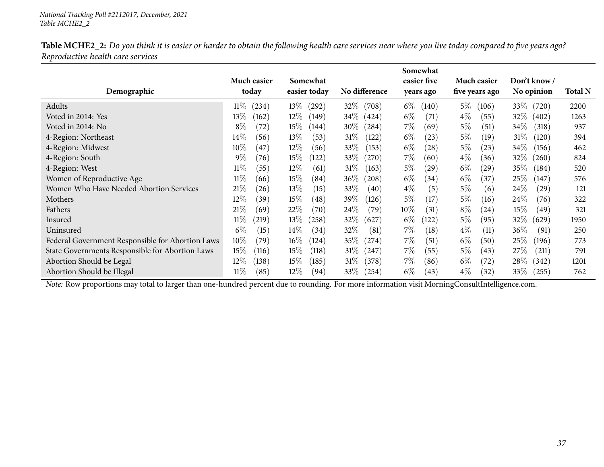| Table MCHE2_2: Do you think it is easier or harder to obtain the following health care services near where you live today compared to five years ago? |  |
|-------------------------------------------------------------------------------------------------------------------------------------------------------|--|
| Reproductive health care services                                                                                                                     |  |

|                                                  |                 |                 |                             | Somewhat       |                             |                 |                |
|--------------------------------------------------|-----------------|-----------------|-----------------------------|----------------|-----------------------------|-----------------|----------------|
|                                                  | Much easier     | Somewhat        |                             | easier five    | Much easier                 | Don't know /    |                |
| Demographic                                      | today           | easier today    | No difference               | years ago      | five years ago              | No opinion      | <b>Total N</b> |
| Adults                                           | $11\%$<br>(234) | $13\%$<br>(292) | 32\%<br>$\left( 708\right)$ | $6\%$<br>(140) | $5\%$<br>(106)              | 33\%<br>(720)   | 2200           |
| Voted in 2014: Yes                               | $13\%$<br>(162) | $12\%$<br>(149) | $34\%$<br>(424)             | $6\%$<br>(71)  | $4\%$<br>(55)               | $32\%$<br>(402) | 1263           |
| Voted in 2014: No                                | $8\%$<br>(72)   | $15\%$<br>(144) | $30\%$<br>(284)             | 7%<br>(69)     | $5\%$<br>(51)               | $34\%$<br>(318) | 937            |
| 4-Region: Northeast                              | $14\%$<br>(56)  | $13\%$<br>(53)  | 31%<br>(122)                | $6\%$<br>(23)  | $5\%$<br>(19)               | 31%<br>(120)    | 394            |
| 4-Region: Midwest                                | $10\%$<br>(47)  | $12\%$<br>(56)  | 33\%<br>(153)               | $6\%$<br>(28)  | $5\%$<br>(23)               | 34\%<br>(156)   | 462            |
| 4-Region: South                                  | $9\%$<br>(76)   | $15\%$<br>(122) | 33\%<br>(270)               | 7%<br>(60)     | $4\%$<br>(36)               | 32%<br>(260)    | 824            |
| 4-Region: West                                   | $11\%$<br>(55)  | $12\%$<br>(61)  | 31%<br>(163)                | $5\%$<br>(29)  | $6\%$<br>$\left( 29\right)$ | 35%<br>(184)    | 520            |
| Women of Reproductive Age                        | $11\%$<br>(66)  | $15\%$<br>(84)  | $36\%$<br>(208)             | $6\%$<br>(34)  | $6\%$<br>(37)               | $25\%$<br>(147) | 576            |
| Women Who Have Needed Abortion Services          | $21\%$<br>(26)  | $13\%$<br>(15)  | $33\%$<br>(40)              | $4\%$<br>(5)   | $5\%$<br>(6)                | 24\%<br>(29)    | 121            |
| Mothers                                          | 12%<br>(39)     | $15\%$<br>(48)  | 39\%<br>(126)               | $5\%$<br>(17)  | $5\%$<br>(16)               | 24\%<br>(76)    | 322            |
| Fathers                                          | $21\%$<br>(69)  | $22\%$<br>(70)  | $24\%$<br>(79`              | $10\%$<br>(31) | $8\%$<br>(24)               | $15\%$<br>(49)  | 321            |
| Insured                                          | $11\%$<br>(219) | $13\%$<br>(258) | $32\%$<br>(627)             | $6\%$<br>(122) | $5\%$<br>(95)               | $32\%$<br>(629) | 1950           |
| Uninsured                                        | $6\%$<br>(15)   | $14\%$<br>(34)  | 32\%<br>(81)                | $7\%$<br>(18)  | $4\%$<br>(11)               | 36%<br>(91)     | 250            |
| Federal Government Responsible for Abortion Laws | $10\%$<br>(79)  | $16\%$<br>(124) | 35%<br>(274)                | $7\%$<br>(51)  | $6\%$<br>(50)               | 25\%<br>(196)   | 773            |
| State Governments Responsible for Abortion Laws  | $15\%$<br>(116) | $15\%$<br>(118) | $31\%$<br>(247)             | $7\%$<br>(55)  | $5\%$<br>(43)               | 27\%<br>(211)   | 791            |
| Abortion Should be Legal                         | 12%<br>(138)    | $15\%$<br>(185) | $31\%$<br>(378)             | 7%<br>(86)     | $6\%$<br>(72)               | 28\%<br>(342)   | 1201           |
| Abortion Should be Illegal                       | $11\%$<br>(85)  | $12\%$<br>(94)  | $33\%$<br>(254)             | $6\%$<br>(43)  | $4\%$<br>(32)               | $33\%$<br>(255) | 762            |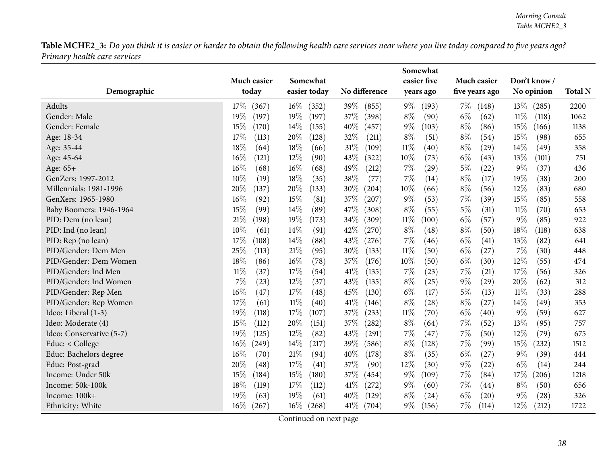|                          |                 |                 |               | Somewhat        |                |                 |                |
|--------------------------|-----------------|-----------------|---------------|-----------------|----------------|-----------------|----------------|
|                          | Much easier     | Somewhat        |               | easier five     | Much easier    | Don't know/     |                |
| Demographic              | today           | easier today    | No difference | years ago       | five years ago | No opinion      | <b>Total N</b> |
| Adults                   | 17\%<br>(367)   | $16\%$<br>(352) | 39%<br>(855)  | $9\%$<br>(193)  | $7\%$<br>(148) | 13\%<br>(285)   | 2200           |
| Gender: Male             | 19%<br>(197)    | 19%<br>(197)    | 37%<br>(398)  | $8\%$<br>(90)   | $6\%$<br>(62)  | $11\%$<br>(118) | 1062           |
| Gender: Female           | 15%<br>(170)    | $14\%$<br>(155) | 40%<br>(457)  | $9\%$<br>(103)  | $8\%$<br>(86)  | 15\%<br>(166)   | 1138           |
| Age: 18-34               | 17%<br>(113)    | 20%<br>(128)    | 32%<br>(211)  | $8\%$<br>(51)   | $8\%$<br>(54)  | 15%<br>(98)     | 655            |
| Age: 35-44               | 18%<br>(64)     | 18%<br>(66)     | 31%<br>(109)  | $11\%$<br>(40)  | $8\%$<br>(29)  | 14\%<br>(49)    | 358            |
| Age: 45-64               | 16%<br>(121)    | 12%<br>(90)     | 43%<br>(322)  | 10%<br>(73)     | $6\%$<br>(43)  | 13%<br>(101)    | 751            |
| Age: 65+                 | 16%<br>(68)     | 16%<br>(68)     | 49%<br>(212)  | 7%<br>(29)      | $5\%$<br>(22)  | $9\%$<br>(37)   | 436            |
| GenZers: 1997-2012       | 10%<br>(19)     | 18%<br>(35)     | 38%<br>(77)   | 7%<br>(14)      | $8\%$<br>(17)  | 19%<br>(38)     | 200            |
| Millennials: 1981-1996   | 20%<br>(137)    | 20%<br>(133)    | 30%<br>(204)  | 10%<br>(66)     | $8\%$<br>(56)  | 12%<br>(83)     | 680            |
| GenXers: 1965-1980       | 16%<br>(92)     | 15%<br>(81)     | 37%<br>(207)  | $9\%$<br>(53)   | $7\%$<br>(39)  | 15%<br>(85)     | 558            |
| Baby Boomers: 1946-1964  | 15%<br>(99)     | 14%<br>(89)     | 47%<br>(308)  | $8\%$<br>(55)   | $5\%$<br>(31)  | $11\%$<br>(70)  | 653            |
| PID: Dem (no lean)       | 21%<br>(198)    | 19%<br>(173)    | 34%<br>(309)  | $11\%$<br>(100) | $6\%$<br>(57)  | $9\%$<br>(85)   | 922            |
| PID: Ind (no lean)       | 10%<br>(61)     | 14%<br>(91)     | 42%<br>(270)  | $8\%$<br>(48)   | $8\%$<br>(50)  | 18%<br>(118)    | 638            |
| PID: Rep (no lean)       | 17%<br>(108)    | 14%<br>(88)     | 43%<br>(276)  | 7%<br>(46)      | $6\%$<br>(41)  | 13%<br>(82)     | 641            |
| PID/Gender: Dem Men      | 25%<br>(113)    | 21\%<br>(95)    | 30%<br>(133)  | $11\%$<br>(50)  | $6\%$<br>(27)  | 7%<br>(30)      | 448            |
| PID/Gender: Dem Women    | 18%<br>(86)     | 16%<br>(78)     | 37%<br>(176)  | $10\%$<br>(50)  | $6\%$<br>(30)  | 12%<br>(55)     | 474            |
| PID/Gender: Ind Men      | $11\%$<br>(37)  | 17%<br>(54)     | 41\%<br>(135) | $7\%$<br>(23)   | $7\%$<br>(21)  | 17%<br>(56)     | 326            |
| PID/Gender: Ind Women    | $7\%$<br>(23)   | 12%<br>(37)     | 43\%<br>(135) | $8\%$<br>(25)   | $9\%$<br>(29)  | 20%<br>(62)     | 312            |
| PID/Gender: Rep Men      | 16%<br>(47)     | 17%<br>(48)     | 45%<br>(130)  | $6\%$<br>(17)   | $5\%$<br>(13)  | $11\%$<br>(33)  | 288            |
| PID/Gender: Rep Women    | 17%<br>(61)     | $11\%$<br>(40)  | 41\%<br>(146) | $8\%$<br>(28)   | $8\%$<br>(27)  | 14\%<br>(49)    | 353            |
| Ideo: Liberal (1-3)      | 19%<br>(118)    | $17\%$<br>(107) | 37%<br>(233)  | $11\%$<br>(70)  | $6\%$<br>(40)  | $9\%$<br>(59)   | 627            |
| Ideo: Moderate (4)       | 15%<br>(112)    | 20%<br>(151)    | 37%<br>(282)  | $8\%$<br>(64)   | 7%<br>(52)     | 13%<br>(95)     | 757            |
| Ideo: Conservative (5-7) | 19%<br>(125)    | 12%<br>(82)     | 43%<br>(291)  | 7%<br>(47)      | $7\%$<br>(50)  | 12%<br>(79)     | 675            |
| Educ: < College          | $16\%$<br>(249) | 14%<br>(217)    | 39%<br>(586)  | $8\%$<br>(128)  | 7%<br>(99)     | 15%<br>(232)    | 1512           |
| Educ: Bachelors degree   | $16\%$<br>(70)  | 21%<br>(94)     | 40%<br>(178)  | $8\%$<br>(35)   | $6\%$<br>(27)  | $9\%$<br>(39)   | 444            |
| Educ: Post-grad          | 20%<br>(48)     | 17%<br>(41)     | 37%<br>(90)   | 12%<br>(30)     | $9\%$<br>(22)  | $6\%$<br>(14)   | 244            |
| Income: Under 50k        | 15%<br>(184)    | 15%<br>(180)    | 37%<br>(454)  | $9\%$<br>(109)  | $7\%$<br>(84)  | 17%<br>(206)    | 1218           |
| Income: 50k-100k         | 18%<br>(119)    | 17\%<br>(112)   | 41\%<br>(272) | $9\%$<br>(60)   | $7\%$<br>(44)  | $8\%$<br>(50)   | 656            |
| Income: 100k+            | 19%<br>(63)     | 19%<br>(61)     | 40%<br>(129)  | $8\%$<br>(24)   | $6\%$<br>(20)  | $9\%$<br>(28)   | 326            |
| Ethnicity: White         | $16\%$<br>(267) | $16\%$<br>(268) | 41%<br>(704)  | $9\%$<br>(156)  | $7\%$<br>(114) | 12\%<br>(212)   | 1722           |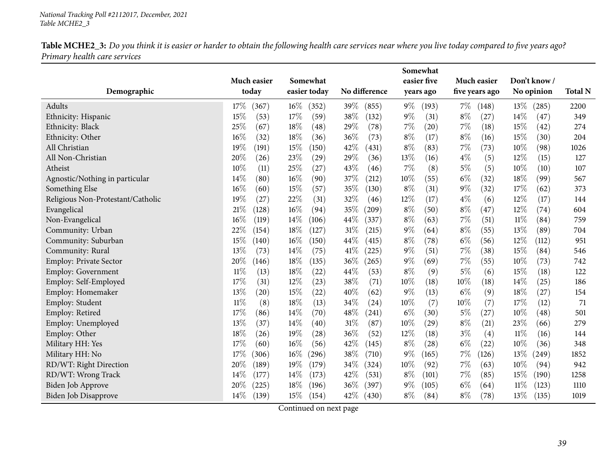|                                   |               |                 |                 | Somewhat       |                |                |                |
|-----------------------------------|---------------|-----------------|-----------------|----------------|----------------|----------------|----------------|
|                                   | Much easier   | Somewhat        |                 | easier five    | Much easier    | Don't know /   |                |
| Demographic                       | today         | easier today    | No difference   | years ago      | five years ago | No opinion     | <b>Total N</b> |
| Adults                            | 17%<br>(367)  | $16\%$<br>(352) | 39%<br>(855)    | $9\%$<br>(193) | $7\%$<br>(148) | 13%<br>(285)   | 2200           |
| Ethnicity: Hispanic               | 15%<br>(53)   | 17%<br>(59)     | 38%<br>(132)    | $9\%$<br>(31)  | $8\%$<br>(27)  | 14%<br>(47)    | 349            |
| Ethnicity: Black                  | 25%<br>(67)   | 18%<br>(48)     | 29%<br>(78)     | 7%<br>(20)     | 7%<br>(18)     | 15%<br>(42)    | 274            |
| Ethnicity: Other                  | 16%<br>(32)   | 18%<br>(36)     | 36%<br>(73)     | $8\%$<br>(17)  | $8\%$<br>(16)  | 15%<br>(30)    | 204            |
| All Christian                     | 19%<br>(191)  | 15%<br>(150)    | 42%<br>(431)    | $8\%$<br>(83)  | 7%<br>(73)     | 10%<br>(98)    | 1026           |
| All Non-Christian                 | 20%<br>(26)   | 23\%<br>(29)    | 29%<br>(36)     | 13%<br>(16)    | $4\%$<br>(5)   | 12%<br>(15)    | 127            |
| Atheist                           | 10%<br>(11)   | 25%<br>(27)     | 43%<br>(46)     | 7%<br>(8)      | $5\%$<br>(5)   | 10%<br>(10)    | 107            |
| Agnostic/Nothing in particular    | 14%<br>(80)   | 16%<br>(90)     | 37%<br>(212)    | 10%<br>(55)    | $6\%$<br>(32)  | 18%<br>(99)    | 567            |
| Something Else                    | 16%<br>(60)   | 15%<br>(57)     | 35%<br>(130)    | $8\%$<br>(31)  | $9\%$<br>(32)  | 17%<br>(62)    | 373            |
| Religious Non-Protestant/Catholic | 19%<br>(27)   | 22%<br>(31)     | 32%<br>(46)     | 12%<br>(17)    | $4\%$<br>(6)   | 12%<br>(17)    | 144            |
| Evangelical                       | 21%<br>(128)  | 16%<br>(94)     | 35%<br>(209)    | $8\%$<br>(50)  | $8\%$<br>(47)  | 12%<br>(74)    | 604            |
| Non-Evangelical                   | 16%<br>(119)  | 14\%<br>(106)   | 44%<br>(337)    | $8\%$<br>(63)  | 7%<br>(51)     | $11\%$<br>(84) | 759            |
| Community: Urban                  | 22%<br>(154)  | $18\%$<br>(127) | 31%<br>(215)    | 9%<br>(64)     | $8\%$<br>(55)  | 13%<br>(89)    | 704            |
| Community: Suburban               | 15%<br>(140)  | 16%<br>(150)    | 44%<br>(415)    | $8\%$<br>(78)  | $6\%$<br>(56)  | 12%<br>(112)   | 951            |
| Community: Rural                  | 13%<br>(73)   | 14%<br>(75)     | 41\%<br>(225)   | 9%<br>(51)     | 7%<br>(38)     | 15%<br>(84)    | 546            |
| <b>Employ: Private Sector</b>     | 20%<br>(146)  | 18%<br>(135)    | 36%<br>(265)    | 9%<br>(69)     | 7%<br>(55)     | $10\%$<br>(73) | 742            |
| <b>Employ: Government</b>         | 11%<br>(13)   | 18%<br>(22)     | 44%<br>(53)     | $8\%$<br>(9)   | $5\%$<br>(6)   | 15%<br>(18)    | 122            |
| Employ: Self-Employed             | 17%<br>(31)   | 12%<br>(23)     | 38%<br>(71)     | 10%<br>(18)    | 10%<br>(18)    | 14%<br>(25)    | 186            |
| Employ: Homemaker                 | 13%<br>(20)   | 15%<br>(22)     | 40%<br>(62)     | $9\%$<br>(13)  | $6\%$<br>(9)   | 18%<br>(27)    | 154            |
| Employ: Student                   | $11\%$<br>(8) | 18%<br>(13)     | 34%<br>(24)     | 10%<br>(7)     | 10%<br>(7)     | 17%<br>(12)    | 71             |
| Employ: Retired                   | 17%<br>(86)   | 14%<br>(70)     | 48%<br>(241)    | $6\%$<br>(30)  | $5\%$<br>(27)  | 10%<br>(48)    | 501            |
| Employ: Unemployed                | 13%<br>(37)   | 14%<br>(40)     | 31%<br>(87)     | 10%<br>(29)    | $8\%$<br>(21)  | 23%<br>(66)    | 279            |
| Employ: Other                     | 18%<br>(26)   | 19%<br>(28)     | 36%<br>(52)     | 12%<br>(18)    | $3\%$<br>(4)   | $11\%$<br>(16) | 144            |
| Military HH: Yes                  | 17%<br>(60)   | $16\%$<br>(56)  | 42%<br>(145)    | $8\%$<br>(28)  | $6\%$<br>(22)  | 10%<br>(36)    | 348            |
| Military HH: No                   | 17%<br>(306)  | $16\%$<br>(296) | 38%<br>(710)    | $9\%$<br>(165) | $7\%$<br>(126) | 13%<br>(249)   | 1852           |
| RD/WT: Right Direction            | 20%<br>(189)  | $19\%$<br>(179) | 34\%<br>(324)   | 10%<br>(92)    | 7%<br>(63)     | 10%<br>(94)    | 942            |
| RD/WT: Wrong Track                | 14%<br>(177)  | 14\%<br>(173)   | 42%<br>(531)    | $8\%$<br>(101) | 7%<br>(85)     | 15%<br>(190)   | 1258           |
| Biden Job Approve                 | 20%<br>(225)  | 18%<br>(196)    | 36\%<br>(397)   | $9\%$<br>(105) | $6\%$<br>(64)  | 11%<br>(123)   | 1110           |
| Biden Job Disapprove              | 14%<br>(139)  | 15%<br>(154)    | $42\%$<br>(430) | $8\%$<br>(84)  | $8\%$<br>(78)  | 13%<br>(135)   | 1019           |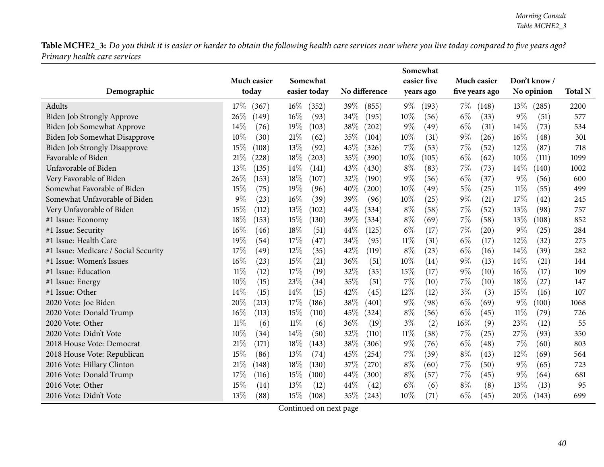|                                      |                   |                 |               | Somewhat       |                |                 |                |
|--------------------------------------|-------------------|-----------------|---------------|----------------|----------------|-----------------|----------------|
|                                      | Much easier       | Somewhat        |               | easier five    | Much easier    | Don't know/     |                |
| Demographic                          | today             | easier today    | No difference | years ago      | five years ago | No opinion      | <b>Total N</b> |
| Adults                               | 17%<br>(367)      | $16\%$<br>(352) | 39%<br>(855)  | $9\%$<br>(193) | $7\%$<br>(148) | $13\%$<br>(285) | 2200           |
| Biden Job Strongly Approve           | 26%<br>(149)      | $16\%$<br>(93)  | 34%<br>(195)  | 10%<br>(56)    | $6\%$<br>(33)  | $9\%$<br>(51)   | 577            |
| Biden Job Somewhat Approve           | 14%<br>(76)       | 19%<br>(103)    | 38%<br>(202)  | $9\%$<br>(49)  | $6\%$<br>(31)  | 14%<br>(73)     | 534            |
| Biden Job Somewhat Disapprove        | 10%<br>(30)       | 21\%<br>(62)    | 35%<br>(104)  | 10%<br>(31)    | 9%<br>(26)     | 16%<br>(48)     | 301            |
| <b>Biden Job Strongly Disapprove</b> | 15%<br>(108)      | 13%<br>(92)     | 45%<br>(326)  | 7%<br>(53)     | 7%<br>(52)     | 12%<br>(87)     | 718            |
| Favorable of Biden                   | 21%<br>$^{(228)}$ | 18%<br>(203)    | 35%<br>(390)  | 10%<br>(105)   | $6\%$<br>(62)  | 10%<br>(111)    | 1099           |
| Unfavorable of Biden                 | 13%<br>(135)      | 14%<br>(141)    | 43\%<br>(430) | $8\%$<br>(83)  | 7%<br>(73)     | 14%<br>(140)    | 1002           |
| Very Favorable of Biden              | 26%<br>(153)      | 18%<br>(107)    | 32%<br>(190)  | $9\%$<br>(56)  | $6\%$<br>(37)  | $9\%$<br>(56)   | 600            |
| Somewhat Favorable of Biden          | 15%<br>(75)       | 19%<br>(96)     | 40%<br>(200)  | 10%<br>(49)    | $5\%$<br>(25)  | $11\%$<br>(55)  | 499            |
| Somewhat Unfavorable of Biden        | 9%<br>(23)        | 16%<br>(39)     | 39%<br>(96)   | 10%<br>(25)    | $9\%$<br>(21)  | 17%<br>(42)     | 245            |
| Very Unfavorable of Biden            | 15%<br>(112)      | 13%<br>(102)    | 44%<br>(334)  | $8\%$<br>(58)  | 7%<br>(52)     | 13%<br>(98)     | 757            |
| #1 Issue: Economy                    | 18%<br>(153)      | 15%<br>(130)    | 39%<br>(334)  | $8\%$<br>(69)  | 7%<br>(58)     | 13%<br>(108)    | 852            |
| #1 Issue: Security                   | 16%<br>(46)       | 18%<br>(51)     | 44\%<br>(125) | $6\%$<br>(17)  | 7%<br>(20)     | $9\%$<br>(25)   | 284            |
| #1 Issue: Health Care                | 19%<br>(54)       | 17%<br>(47)     | 34%<br>(95)   | $11\%$<br>(31) | $6\%$<br>(17)  | 12%<br>(32)     | 275            |
| #1 Issue: Medicare / Social Security | 17%<br>(49)       | 12%<br>(35)     | 42%<br>(119)  | $8\%$<br>(23)  | $6\%$<br>(16)  | 14%<br>(39)     | 282            |
| #1 Issue: Women's Issues             | 16%<br>(23)       | 15%<br>(21)     | 36%<br>(51)   | 10%<br>(14)    | $9\%$<br>(13)  | 14\%<br>(21)    | 144            |
| #1 Issue: Education                  | $11\%$<br>(12)    | 17%<br>(19)     | 32%<br>(35)   | 15%<br>(17)    | 9%<br>(10)     | 16%<br>(17)     | 109            |
| #1 Issue: Energy                     | 10%<br>(15)       | 23%<br>(34)     | 35%<br>(51)   | 7%<br>(10)     | 7%<br>(10)     | 18%<br>(27)     | 147            |
| #1 Issue: Other                      | 14%<br>(15)       | 14\%<br>(15)    | 42%<br>(45)   | 12%<br>(12)    | $3\%$<br>(3)   | 15%<br>(16)     | 107            |
| 2020 Vote: Joe Biden                 | 20%<br>(213)      | 17%<br>(186)    | 38%<br>(401)  | $9\%$<br>(98)  | $6\%$<br>(69)  | $9\%$<br>(100)  | 1068           |
| 2020 Vote: Donald Trump              | 16%<br>(113)      | 15%<br>(110)    | 45\%<br>(324) | $8\%$<br>(56)  | $6\%$<br>(45)  | $11\%$<br>(79)  | 726            |
| 2020 Vote: Other                     | $11\%$<br>(6)     | $11\%$<br>(6)   | 36%<br>(19)   | $3\%$<br>(2)   | 16%<br>(9)     | 23%<br>(12)     | 55             |
| 2020 Vote: Didn't Vote               | 10%<br>(34)       | 14%<br>(50)     | 32%<br>(110)  | $11\%$<br>(38) | $7\%$<br>(25)  | 27%<br>(93)     | 350            |
| 2018 House Vote: Democrat            | 21%<br>(171)      | 18%<br>(143)    | 38\%<br>(306) | $9\%$<br>(76)  | $6\%$<br>(48)  | 7%<br>(60)      | 803            |
| 2018 House Vote: Republican          | 15%<br>(86)       | 13%<br>(74)     | 45%<br>(254)  | 7%<br>(39)     | $8\%$<br>(43)  | 12%<br>(69)     | 564            |
| 2016 Vote: Hillary Clinton           | 21%<br>(148)      | 18%<br>(130)    | 37%<br>(270)  | $8\%$<br>(60)  | 7%<br>(50)     | $9\%$<br>(65)   | 723            |
| 2016 Vote: Donald Trump              | 17%<br>(116)      | 15%<br>(100)    | 44\%<br>(300) | $8\%$<br>(57)  | $7\%$<br>(45)  | $9\%$<br>(64)   | 681            |
| 2016 Vote: Other                     | 15%<br>(14)       | 13%<br>(12)     | 44%<br>(42)   | $6\%$<br>(6)   | $8\%$<br>(8)   | 13%<br>(13)     | 95             |
| 2016 Vote: Didn't Vote               | 13%<br>(88)       | 15%<br>(108)    | 35\%<br>(243) | 10%<br>(71)    | $6\%$<br>(45)  | 20%<br>(143)    | 699            |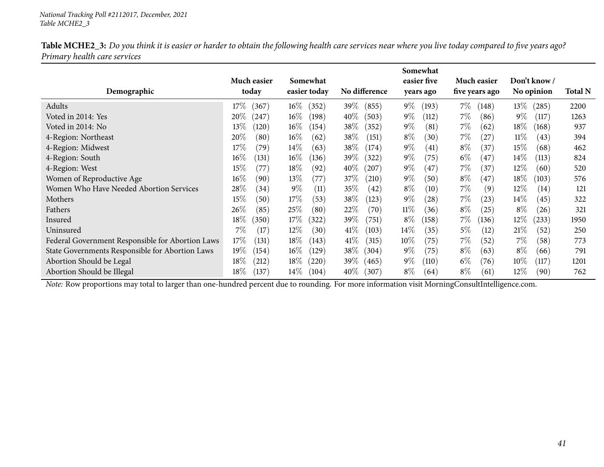| Table MCHE2_3: Do you think it is easier or harder to obtain the following health care services near where you live today compared to five years ago? |  |
|-------------------------------------------------------------------------------------------------------------------------------------------------------|--|
| Primary health care services                                                                                                                          |  |

|                                                  |                 |                 |                 | Somewhat       |                |                 |                |
|--------------------------------------------------|-----------------|-----------------|-----------------|----------------|----------------|-----------------|----------------|
|                                                  | Much easier     | Somewhat        |                 | easier five    | Much easier    | Don't know /    |                |
| Demographic                                      | today           | easier today    | No difference   | years ago      | five years ago | No opinion      | <b>Total N</b> |
| Adults                                           | 17%<br>(367)    | $16\%$<br>(352) | 39%<br>(855)    | $9\%$<br>(193) | 7%<br>(148)    | $13\%$<br>(285) | 2200           |
| Voted in 2014: Yes                               | $20\%$<br>(247) | $16\%$<br>(198) | $40\%$<br>(503) | $9\%$<br>(112) | $7\%$<br>(86)  | $9\%$<br>(117)  | 1263           |
| Voted in 2014: No                                | $13\%$<br>(120) | $16\%$<br>(154) | $38\%$<br>(352) | $9\%$<br>(81)  | $7\%$<br>(62)  | $18\%$<br>(168) | 937            |
| 4-Region: Northeast                              | 20%<br>(80)     | $16\%$<br>(62)  | 38\%<br>(151)   | $8\%$<br>(30)  | $7\%$<br>(27)  | $11\%$<br>(43)  | 394            |
| 4-Region: Midwest                                | 17%<br>(79)     | $14\%$<br>(63)  | 38\%<br>(174)   | $9\%$<br>(41)  | $8\%$<br>(37)  | 15\%<br>(68)    | 462            |
| 4-Region: South                                  | $16\%$<br>(131) | $16\%$<br>(136) | $39\%$<br>(322) | $9\%$<br>(75)  | $6\%$<br>(47)  | $14\%$<br>(113) | 824            |
| 4-Region: West                                   | $15\%$<br>(77)  | $18\%$<br>(92)  | $40\%$<br>(207) | $9\%$<br>(47   | $7\%$<br>(37)  | $12\%$<br>(60)  | 520            |
| Women of Reproductive Age                        | $16\%$<br>(90)  | $13\%$<br>(77)  | 37\%<br>(210)   | $9\%$<br>(50)  | $8\%$<br>(47)  | $18\%$<br>(103) | 576            |
| Women Who Have Needed Abortion Services          | 28\%<br>(34)    | $9\%$<br>(11)   | 35%<br>(42)     | $8\%$<br>(10)  | $7\%$<br>(9)   | 12\%<br>(14)    | 121            |
| Mothers                                          | 15%<br>(50)     | $17\%$<br>(53)  | $38\%$<br>(123) | $9\%$<br>(28)  | $7\%$<br>(23)  | $14\%$<br>(45)  | 322            |
| Fathers                                          | $26\%$<br>(85)  | 25%<br>(80)     | $22\%$<br>(70)  | $11\%$<br>(36) | $8\%$<br>(25)  | $8\%$<br>(26)   | 321            |
| Insured                                          | 18%<br>(350)    | $17\%$<br>(322) | $39\%$<br>(751) | $8\%$<br>(158) | $7\%$<br>(136) | 12%<br>(233)    | 1950           |
| Uninsured                                        | 7%<br>(17)      | $12\%$<br>(30)  | $41\%$<br>(103) | $14\%$<br>(35) | $5\%$<br>(12)  | 21\%<br>(52)    | 250            |
| Federal Government Responsible for Abortion Laws | 17\%<br>(131)   | $18\%$<br>(143) | 41%<br>(315)    | $10\%$<br>(75) | $7\%$<br>(52)  | $7\%$<br>(58)   | 773            |
| State Governments Responsible for Abortion Laws  | $19\%$<br>(154) | $16\%$<br>(129) | $38\%$<br>(304) | $9\%$<br>(75)  | $8\%$<br>(63)  | $8\%$<br>(66)   | 791            |
| Abortion Should be Legal                         | $18\%$<br>(212) | $18\%$<br>(220) | $39\%$<br>(465) | $9\%$<br>(110) | $6\%$<br>(76)  | $10\%$<br>(117) | 1201           |
| Abortion Should be Illegal                       | 18%<br>(137)    | $14\%$<br>(104) | $40\%$<br>(307) | $8\%$<br>(64)  | $8\%$<br>(61)  | 12%<br>(90)     | 762            |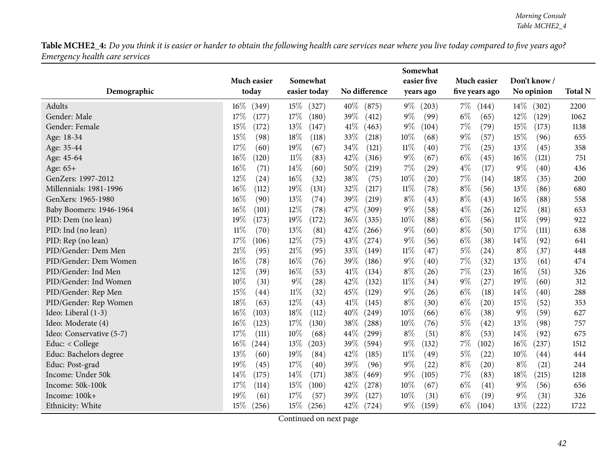|                          |                 |                 |               | Somewhat       |                |                 |                |
|--------------------------|-----------------|-----------------|---------------|----------------|----------------|-----------------|----------------|
|                          | Much easier     | Somewhat        |               | easier five    | Much easier    | Don't know/     |                |
| Demographic              | today           | easier today    | No difference | years ago      | five years ago | No opinion      | <b>Total N</b> |
| Adults                   | $16\%$<br>(349) | $15\%$<br>(327) | 40\%<br>(875) | $9\%$<br>(203) | $7\%$<br>(144) | $14\%$<br>(302) | 2200           |
| Gender: Male             | 17%<br>(177)    | $17\%$<br>(180) | 39%<br>(412)  | $9\%$<br>(99)  | $6\%$<br>(65)  | 12%<br>(129)    | 1062           |
| Gender: Female           | 15%<br>(172)    | 13%<br>(147)    | 41\%<br>(463) | $9\%$<br>(104) | $7\%$<br>(79)  | 15%<br>(173)    | 1138           |
| Age: 18-34               | 15%<br>(98)     | 18\%<br>(118)   | 33%<br>(218)  | $10\%$<br>(68) | $9\%$<br>(57)  | 15%<br>(96)     | 655            |
| Age: 35-44               | 17%<br>(60)     | 19%<br>(67)     | 34%<br>(121)  | $11\%$<br>(40) | $7\%$<br>(25)  | 13%<br>(45)     | 358            |
| Age: 45-64               | 16%<br>(120)    | $11\%$<br>(83)  | 42%<br>(316)  | $9\%$<br>(67)  | $6\%$<br>(45)  | 16%<br>(121)    | 751            |
| Age: 65+                 | 16%<br>(71)     | 14%<br>(60)     | 50%<br>(219)  | 7%<br>(29)     | $4\%$<br>(17)  | $9\%$<br>(40)   | 436            |
| GenZers: 1997-2012       | 12%<br>(24)     | 16%<br>(32)     | 38%<br>(75)   | $10\%$<br>(20) | $7\%$<br>(14)  | 18%<br>(35)     | 200            |
| Millennials: 1981-1996   | $16\%$<br>(112) | 19%<br>(131)    | 32%<br>(217)  | $11\%$<br>(78) | $8\%$<br>(56)  | 13%<br>(86)     | 680            |
| GenXers: 1965-1980       | 16%<br>(90)     | 13%<br>(74)     | 39%<br>(219)  | $8\%$<br>(43)  | $8\%$<br>(43)  | 16%<br>(88)     | 558            |
| Baby Boomers: 1946-1964  | 16%<br>(101)    | 12%<br>(78)     | 47%<br>(309)  | $9\%$<br>(58)  | $4\%$<br>(26)  | 12%<br>(81)     | 653            |
| PID: Dem (no lean)       | 19%<br>(173)    | 19%<br>(172)    | 36%<br>(335)  | $10\%$<br>(88) | $6\%$<br>(56)  | $11\%$<br>(99)  | 922            |
| PID: Ind (no lean)       | $11\%$<br>(70)  | 13%<br>(81)     | 42%<br>(266)  | $9\%$<br>(60)  | $8\%$<br>(50)  | 17%<br>(111)    | 638            |
| PID: Rep (no lean)       | 17%<br>(106)    | 12%<br>(75)     | 43%<br>(274)  | $9\%$<br>(56)  | $6\%$<br>(38)  | 14%<br>(92)     | 641            |
| PID/Gender: Dem Men      | 21%<br>(95)     | 21%<br>(95)     | 33%<br>(149)  | 11%<br>(47)    | $5\%$<br>(24)  | $8\%$<br>(37)   | 448            |
| PID/Gender: Dem Women    | 16%<br>(78)     | 16%<br>(76)     | 39%<br>(186)  | $9\%$<br>(40)  | 7%<br>(32)     | 13%<br>(61)     | 474            |
| PID/Gender: Ind Men      | 12%<br>(39)     | 16%<br>(53)     | 41\%<br>(134) | $8\%$<br>(26)  | $7\%$<br>(23)  | $16\%$<br>(51)  | 326            |
| PID/Gender: Ind Women    | $10\%$<br>(31)  | 9%<br>(28)      | 42%<br>(132)  | $11\%$<br>(34) | $9\%$<br>(27)  | 19%<br>(60)     | 312            |
| PID/Gender: Rep Men      | 15%<br>(44)     | $11\%$<br>(32)  | 45%<br>(129)  | $9\%$<br>(26)  | $6\%$<br>(18)  | 14%<br>(40)     | 288            |
| PID/Gender: Rep Women    | 18%<br>(63)     | 12%<br>(43)     | 41\%<br>(145) | $8\%$<br>(30)  | $6\%$<br>(20)  | 15%<br>(52)     | 353            |
| Ideo: Liberal (1-3)      | 16%<br>(103)    | 18%<br>(112)    | 40%<br>(249)  | 10%<br>(66)    | $6\%$<br>(38)  | $9\%$<br>(59)   | 627            |
| Ideo: Moderate (4)       | 16%<br>(123)    | 17\%<br>(130)   | 38%<br>(288)  | $10\%$<br>(76) | $5\%$<br>(42)  | 13%<br>(98)     | 757            |
| Ideo: Conservative (5-7) | 17%<br>(111)    | 10%<br>(68)     | 44%<br>(299)  | $8\%$<br>(51)  | $8\%$<br>(53)  | 14%<br>(92)     | 675            |
| Educ: < College          | $16\%$<br>(244) | 13%<br>(203)    | 39%<br>(594)  | $9\%$<br>(132) | $7\%$<br>(102) | 16%<br>(237)    | 1512           |
| Educ: Bachelors degree   | 13%<br>(60)     | 19%<br>(84)     | 42%<br>(185)  | $11\%$<br>(49) | $5\%$<br>(22)  | 10%<br>(44)     | 444            |
| Educ: Post-grad          | 19%<br>(45)     | 17%<br>(40)     | 39%<br>(96)   | $9\%$<br>(22)  | $8\%$<br>(20)  | $8\%$<br>(21)   | 244            |
| Income: Under 50k        | 14%<br>(175)    | 14%<br>(171)    | 38%<br>(469)  | $9\%$<br>(105) | $7\%$<br>(83)  | 18%<br>(215)    | 1218           |
| Income: 50k-100k         | 17%<br>(114)    | 15%<br>(100)    | 42%<br>(278)  | $10\%$<br>(67) | $6\%$<br>(41)  | $9\%$<br>(56)   | 656            |
| Income: 100k+            | 19%<br>(61)     | 17%<br>(57)     | 39%<br>(127)  | 10%<br>(31)    | $6\%$<br>(19)  | $9\%$<br>(31)   | 326            |
| Ethnicity: White         | 15\%<br>(256)   | 15%<br>(256)    | 42%<br>(724)  | $9\%$<br>(159) | $6\%$<br>(104) | $13\%$<br>(222) | 1722           |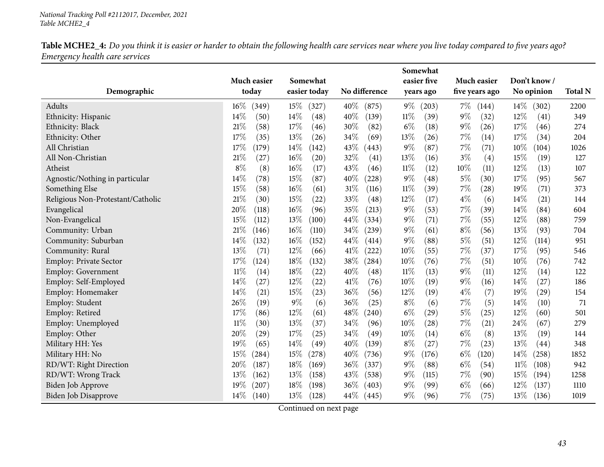|                                                  |                      |                          |                             | Somewhat                    |                               |                           |                |
|--------------------------------------------------|----------------------|--------------------------|-----------------------------|-----------------------------|-------------------------------|---------------------------|----------------|
| Demographic                                      | Much easier<br>today | Somewhat<br>easier today | No difference               | easier five<br>years ago    | Much easier<br>five years ago | Don't know/<br>No opinion | <b>Total N</b> |
| Adults                                           | $16\%$<br>(349)      | $15\%$<br>(327)          | 40%<br>(875)                | $9\%$<br>(203)              | $7\%$<br>(144)                | 14%<br>(302)              | 2200           |
| Ethnicity: Hispanic                              | 14%<br>(50)          | 14%<br>(48)              | 40%<br>(139)                | $11\%$<br>(39)              | $9\%$<br>(32)                 | 12%<br>(41)               | 349            |
| Ethnicity: Black                                 | 21%<br>(58)          | 17%<br>(46)              | 30%<br>(82)                 | $6\%$<br>(18)               | $9\%$<br>(26)                 | 17%<br>(46)               | 274            |
| Ethnicity: Other                                 | 17%<br>(35)          | 13%<br>(26)              | 34%<br>(69)                 | 13%<br>(26)                 | $7\%$<br>(14)                 | 17%<br>(34)               | 204            |
| All Christian                                    | 17%<br>(179)         | 14%<br>(142)             | 43%<br>(443)                | $9\%$<br>(87)               | 7%<br>(71)                    | 10%<br>(104)              | 1026           |
| All Non-Christian                                | 21%<br>(27)          | 16%<br>(20)              | 32%<br>(41)                 | 13%<br>(16)                 | $3\%$<br>(4)                  | 15%<br>(19)               | 127            |
| Atheist                                          | $8\%$<br>(8)         | 16%<br>(17)              | 43%<br>(46)                 | $11\%$<br>(12)              | 10%<br>(11)                   | 12%<br>(13)               | 107            |
|                                                  | 14%<br>(78)          | 15%<br>(87)              | 40%<br>(228)                | $9\%$<br>(48)               | $5\%$<br>(30)                 | 17%<br>(95)               | 567            |
| Agnostic/Nothing in particular<br>Something Else | 15%<br>(58)          | 16%<br>(61)              | 31%<br>(116)                | 11%<br>(39)                 | 7%<br>$\left( 28\right)$      | 19%<br>(71)               | 373            |
| Religious Non-Protestant/Catholic                | 21%<br>(30)          | 15%<br>(22)              | 33%<br>(48)                 | 12%<br>(17)                 | $4\%$<br>(6)                  | 14%<br>(21)               | 144            |
|                                                  | 20%<br>(118)         | $16\%$<br>(96)           | 35%<br>(213)                | $9\%$<br>(53)               | 7%<br>(39)                    | 14%<br>(84)               | 604            |
| Evangelical<br>Non-Evangelical                   | 15%<br>(112)         | 13%<br>(100)             | 44%<br>(334)                | $9\%$<br>(71)               | $7\%$<br>(55)                 | 12%<br>(88)               | 759            |
| Community: Urban                                 | 21%<br>(146)         | 16%<br>(110)             | 34\%<br>$\left( 239\right)$ | $9\%$<br>(61)               | $8\%$<br>(56)                 | 13%<br>(93)               | 704            |
| Community: Suburban                              | 14%<br>(132)         | 16%<br>(152)             | 44%<br>(414)                | 9%<br>(88)                  | $5\%$<br>(51)                 | 12%<br>(114)              | 951            |
| Community: Rural                                 | 13%<br>(71)          | 12%<br>(66)              | 41\%                        | 10%<br>(55)                 | 7%<br>(37)                    | 17%<br>(95)               | 546            |
| Employ: Private Sector                           | 17%                  | 18%                      | (222)<br>38%                | 10%<br>(76)                 | $7\%$<br>(51)                 | 10%<br>(76)               | 742            |
|                                                  | (124)<br>$11\%$      | (132)<br>18%             | $^{'}284)$<br>40%           | $11\%$                      | $9\%$                         | 12%                       | 122            |
| Employ: Government<br>Employ: Self-Employed      | (14)<br>14%<br>(27)  | (22)<br>12%              | (48)<br>41\%                | (13)<br>10%                 | (11)<br>$9\%$<br>(16)         | (14)<br>14%               | 186            |
|                                                  | 14%                  | (22)<br>15%              | (76)<br>36%                 | (19)<br>12%                 |                               | (27)                      |                |
| Employ: Homemaker                                | (21)<br>26%          | (23)<br>$9\%$            | (56)<br>36%                 | (19)<br>$8\%$               | $4\%$<br>(7)<br>7%            | 19%<br>(29)<br>14%        | 154<br>71      |
| Employ: Student                                  | (19)                 | (6)                      | (25)                        | (6)                         | (5)                           | (10)                      |                |
| Employ: Retired                                  | 17%<br>(86)          | 12%<br>(61)              | 48\%<br>(240)               | $6\%$<br>$\left( 29\right)$ | 5%<br>(25)                    | 12%<br>(60)               | 501            |
| Employ: Unemployed                               | $11\%$<br>(30)       | 13%<br>(37)              | 34%<br>(96)                 | 10%<br>(28)                 | 7%<br>(21)                    | 24%<br>(67)               | 279            |
| Employ: Other                                    | 20%<br>(29)          | 17%<br>(25)              | 34%<br>(49)                 | 10%<br>(14)                 | $6\%$<br>(8)                  | 13%<br>(19)               | 144            |
| Military HH: Yes                                 | 19%<br>(65)          | 14%<br>(49)              | 40%<br>(139)                | $8\%$<br>(27)               | $7\%$<br>(23)                 | 13%<br>(44)               | 348            |
| Military HH: No                                  | 15%<br>(284)         | 15%<br>(278)             | 40%<br>(736)                | $9\%$<br>(176)              | $6\%$<br>(120)                | 14%<br>(258)              | 1852           |
| RD/WT: Right Direction                           | 20%<br>(187)         | 18%<br>(169)             | 36%<br>(337)                | $9\%$<br>(88)               | $6\%$<br>(54)                 | $11\%$<br>(108)           | 942            |
| RD/WT: Wrong Track                               | 13%<br>(162)         | 13%<br>(158)             | 43%<br>(538)                | 9%<br>(115)                 | 7%<br>(90)                    | 15%<br>(194)              | 1258           |
| Biden Job Approve                                | 19%<br>(207)         | 18%<br>(198)             | 36\%<br>(403)               | 9%<br>(99)                  | $6\%$<br>(66)                 | 12%<br>(137)              | 1110           |
| Biden Job Disapprove                             | 14%<br>(140)         | $13\%$<br>(128)          | $44\%$<br>(445)             | $9\%$<br>(96)               | 7%<br>(75)                    | 13\%<br>(136)             | 1019           |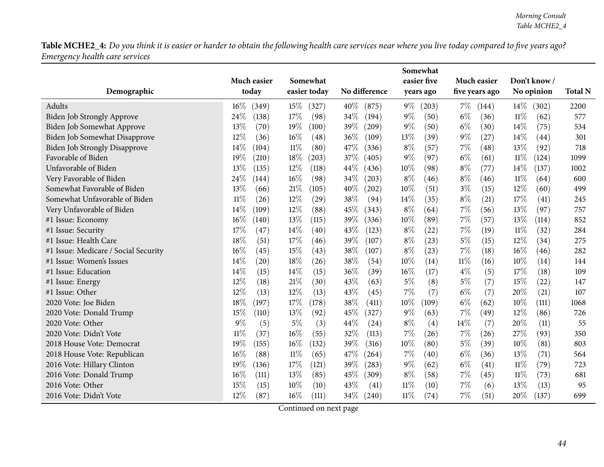|                                      |                |                 |               | Somewhat       |                |                 |                |
|--------------------------------------|----------------|-----------------|---------------|----------------|----------------|-----------------|----------------|
|                                      | Much easier    | Somewhat        |               | easier five    | Much easier    | Don't know/     |                |
| Demographic                          | today          | easier today    | No difference | years ago      | five years ago | No opinion      | <b>Total N</b> |
| Adults                               | 16%<br>(349)   | $15\%$<br>(327) | 40%<br>(875)  | $9\%$<br>(203) | $7\%$<br>(144) | $14\%$<br>(302) | 2200           |
| Biden Job Strongly Approve           | 24%<br>(138)   | 17\%<br>(98)    | 34%<br>(194)  | $9\%$<br>(50)  | $6\%$<br>(36)  | $11\%$<br>(62)  | 577            |
| Biden Job Somewhat Approve           | 13%<br>(70)    | 19%<br>(100)    | 39%<br>(209)  | $9\%$<br>(50)  | $6\%$<br>(30)  | 14\%<br>(75)    | 534            |
| Biden Job Somewhat Disapprove        | 12%<br>(36)    | 16%<br>(48)     | 36%<br>(109)  | 13%<br>(39)    | $9\%$<br>(27)  | 14%<br>(44)     | 301            |
| <b>Biden Job Strongly Disapprove</b> | 14%<br>(104)   | $11\%$<br>(80)  | 47%<br>(336)  | $8\%$<br>(57)  | 7%<br>(48)     | 13%<br>(92)     | 718            |
| Favorable of Biden                   | 19%<br>(210)   | 18\%<br>(203)   | 37\%<br>(405) | $9\%$<br>(97)  | $6\%$<br>(61)  | $11\%$<br>(124) | 1099           |
| Unfavorable of Biden                 | 13%<br>(135)   | 12%<br>(118)    | 44%<br>(436)  | 10%<br>(98)    | $8\%$<br>(77)  | 14%<br>(137)    | 1002           |
| Very Favorable of Biden              | 24%<br>(144)   | 16%<br>(98)     | 34%<br>(203)  | $8\%$<br>(46)  | $8\%$<br>(46)  | $11\%$<br>(64)  | 600            |
| Somewhat Favorable of Biden          | 13%<br>(66)    | 21%<br>(105)    | 40%<br>(202)  | 10%<br>(51)    | $3\%$<br>(15)  | 12%<br>(60)     | 499            |
| Somewhat Unfavorable of Biden        | $11\%$<br>(26) | 12%<br>(29)     | 38%<br>(94)   | 14%<br>(35)    | $8\%$<br>(21)  | 17%<br>(41)     | 245            |
| Very Unfavorable of Biden            | 14%<br>(109)   | 12%<br>(88)     | 45%<br>(343)  | $8\%$<br>(64)  | 7%<br>(56)     | 13%<br>(97)     | 757            |
| #1 Issue: Economy                    | 16%<br>(140)   | 13%<br>(115)    | 39%<br>(336)  | 10%<br>(89)    | 7%<br>(57)     | 13%<br>(114)    | 852            |
| #1 Issue: Security                   | 17%<br>(47)    | 14%<br>(40)     | 43%<br>(123)  | $8\%$<br>(22)  | 7%<br>(19)     | $11\%$<br>(32)  | 284            |
| #1 Issue: Health Care                | 18%<br>(51)    | 17%<br>(46)     | 39%<br>(107)  | $8\%$<br>(23)  | $5\%$<br>(15)  | 12%<br>(34)     | 275            |
| #1 Issue: Medicare / Social Security | $16\%$<br>(45) | 15%<br>(43)     | 38%<br>(107)  | $8\%$<br>(23)  | 7%<br>(18)     | 16%<br>(46)     | 282            |
| #1 Issue: Women's Issues             | 14%<br>(20)    | 18%<br>(26)     | 38%<br>(54)   | 10%<br>(14)    | $11\%$<br>(16) | 10%<br>(14)     | 144            |
| #1 Issue: Education                  | 14%<br>(15)    | 14%<br>(15)     | 36%<br>(39)   | $16\%$<br>(17) | $4\%$<br>(5)   | 17%<br>(18)     | 109            |
| #1 Issue: Energy                     | 12%<br>(18)    | 21%<br>(30)     | 43%<br>(63)   | $5\%$<br>(8)   | $5\%$<br>(7)   | 15%<br>(22)     | 147            |
| #1 Issue: Other                      | $12\%$<br>(13) | 12%<br>(13)     | 43%<br>(45)   | 7%<br>(7)      | (7)<br>$6\%$   | 20%<br>(21)     | 107            |
| 2020 Vote: Joe Biden                 | 18%<br>(197)   | 17%<br>(178)    | 38%<br>(411)  | 10%<br>(109)   | $6\%$<br>(62)  | 10%<br>(111)    | 1068           |
| 2020 Vote: Donald Trump              | 15%<br>(110)   | 13%<br>(92)     | 45\%<br>(327) | $9\%$<br>(63)  | $7\%$<br>(49)  | 12%<br>(86)     | 726            |
| 2020 Vote: Other                     | 9%<br>(5)      | $5\%$<br>(3)    | 44%<br>(24)   | $8\%$<br>(4)   | (7)<br>14\%    | 20%<br>(11)     | 55             |
| 2020 Vote: Didn't Vote               | $11\%$<br>(37) | 16%<br>(55)     | 32%<br>(113)  | 7%<br>(26)     | $7\%$<br>(26)  | 27%<br>(93)     | 350            |
| 2018 House Vote: Democrat            | 19%<br>(155)   | 16%<br>(132)    | 39%<br>(316)  | 10%<br>(80)    | $5\%$<br>(39)  | 10%<br>(81)     | 803            |
| 2018 House Vote: Republican          | $16\%$<br>(88) | $11\%$<br>(65)  | 47%<br>(264)  | 7%<br>(40)     | $6\%$<br>(36)  | 13%<br>(71)     | 564            |
| 2016 Vote: Hillary Clinton           | 19%<br>(136)   | 17%<br>(121)    | 39%<br>(283)  | $9\%$<br>(62)  | $6\%$<br>(41)  | $11\%$<br>(79)  | 723            |
| 2016 Vote: Donald Trump              | 16%<br>(111)   | 13%<br>(85)     | 45\%<br>(309) | $8\%$<br>(58)  | $7\%$<br>(45)  | $11\%$<br>(73)  | 681            |
| 2016 Vote: Other                     | 15%<br>(15)    | 10%<br>(10)     | 43%<br>(41)   | 11%<br>(10)    | 7%<br>(6)      | 13%<br>(13)     | 95             |
| 2016 Vote: Didn't Vote               | 12%<br>(87)    | 16%<br>(111)    | 34\%<br>(240) | $11\%$<br>(74) | 7%<br>(51)     | 20%<br>(137)    | 699            |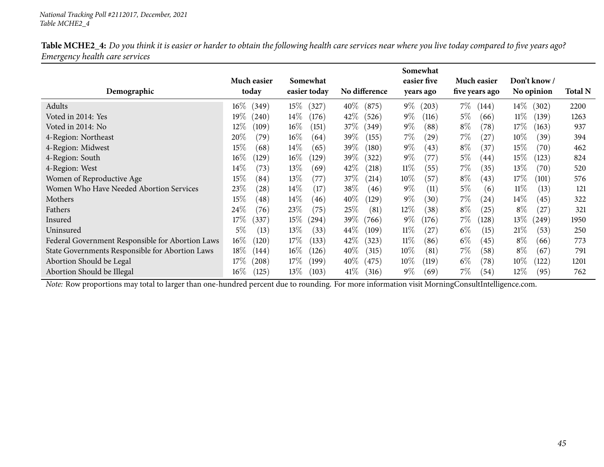| Table MCHE2_4: Do you think it is easier or harder to obtain the following health care services near where you live today compared to five years ago? |  |
|-------------------------------------------------------------------------------------------------------------------------------------------------------|--|
| Emergency health care services                                                                                                                        |  |

|                                                  |                 |                 |                 | Somewhat        |                |                 |                |
|--------------------------------------------------|-----------------|-----------------|-----------------|-----------------|----------------|-----------------|----------------|
|                                                  | Much easier     | Somewhat        |                 | easier five     | Much easier    | Don't know /    |                |
| Demographic                                      | today           | easier today    | No difference   | years ago       | five years ago | No opinion      | <b>Total N</b> |
| Adults                                           | $16\%$<br>(349) | $15\%$<br>(327) | $40\%$<br>(875) | $9\%$<br>(203)  | $7\%$<br>(144) | $14\%$<br>(302) | 2200           |
| Voted in 2014: Yes                               | $19\%$<br>(240) | $14\%$<br>(176) | $42\%$<br>(526) | $9\%$<br>(116)  | $5\%$<br>(66)  | $11\%$<br>(139) | 1263           |
| Voted in 2014: No                                | 12%<br>(109)    | $16\%$<br>(151) | $37\%$<br>(349) | $9\%$<br>(88)   | $8\%$<br>(78)  | 17\%<br>(163)   | 937            |
| 4-Region: Northeast                              | 20%<br>(79`     | $16\%$<br>(64)  | $39\%$<br>(155) | $7\%$<br>(29)   | $7\%$<br>(27)  | $10\%$<br>(39)  | 394            |
| 4-Region: Midwest                                | 15%<br>(68)     | $14\%$<br>(65)  | $39\%$<br>(180) | $9\%$<br>(43)   | $8\%$<br>(37)  | 15\%<br>(70)    | 462            |
| 4-Region: South                                  | $16\%$<br>(129) | $16\%$<br>(129) | $39\%$<br>(322) | $9\%$<br>(77)   | $5\%$<br>(44)  | 15%<br>(123)    | 824            |
| 4-Region: West                                   | $14\%$<br>(73)  | $13\%$<br>(69)  | $42\%$<br>(218) | $11\%$<br>(55)  | $7\%$<br>(35)  | $13\%$<br>(70)  | 520            |
| Women of Reproductive Age                        | 15%<br>(84)     | $13\%$<br>(77)  | 37%<br>(214)    | $10\%$<br>(57)  | $8\%$<br>(43)  | 17\%<br>(101)   | 576            |
| Women Who Have Needed Abortion Services          | 23\%<br>(28)    | $14\%$<br>(17)  | 38\%<br>(46)    | $9\%$<br>(11)   | $5\%$<br>(6)   | $11\%$<br>(13)  | 121            |
| Mothers                                          | 15%<br>(48)     | $14\%$<br>(46)  | $40\%$<br>(129) | $9\%$<br>(30)   | $7\%$<br>(24)  | $14\%$<br>(45)  | 322            |
| Fathers                                          | 24%<br>(76)     | 23\%<br>(75)    | 25\%<br>(81)    | $12\%$<br>(38)  | $8\%$<br>(25)  | $8\%$<br>(27)   | 321            |
| Insured                                          | $17\%$<br>(337) | $15\%$<br>(294) | $39\%$<br>(766) | $9\%$<br>(176)  | $7\%$<br>(128) | $13\%$<br>(249) | 1950           |
| Uninsured                                        | $5\%$<br>(13)   | $13\%$<br>(33)  | $44\%$<br>(109) | $11\%$<br>(27)  | $6\%$<br>(15)  | 21\%<br>(53)    | 250            |
| Federal Government Responsible for Abortion Laws | $16\%$<br>(120) | $17\%$<br>(133) | 42\%<br>(323)   | $11\%$<br>(86)  | $6\%$<br>(45)  | $8\%$<br>(66)   | 773            |
| State Governments Responsible for Abortion Laws  | 18%<br>(144)    | $16\%$<br>(126) | $40\%$<br>(315) | $10\%$<br>(81)  | $7\%$<br>(58)  | $8\%$<br>(67)   | 791            |
| Abortion Should be Legal                         | 17%<br>(208)    | $17\%$<br>(199) | $40\%$<br>(475) | $10\%$<br>(119) | $6\%$<br>(78)  | $10\%$<br>(122) | 1201           |
| Abortion Should be Illegal                       | $16\%$<br>(125) | $13\%$<br>(103) | $41\%$<br>(316) | $9\%$<br>(69)   | $7\%$<br>(54)  | 12%<br>(95)     | 762            |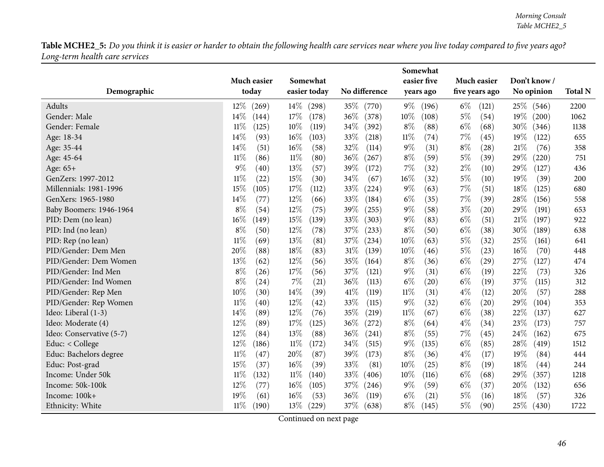|                          |                 |                 |                 | Somewhat        |                |                 |                |
|--------------------------|-----------------|-----------------|-----------------|-----------------|----------------|-----------------|----------------|
|                          | Much easier     | Somewhat        |                 | easier five     | Much easier    | Don't know/     |                |
| Demographic              | today           | easier today    | No difference   | years ago       | five years ago | No opinion      | <b>Total N</b> |
| Adults                   | 12\%<br>(269)   | $14\%$<br>(298) | 35\%<br>(770)   | $9\%$<br>(196)  | $6\%$<br>(121) | 25\%<br>(546)   | 2200           |
| Gender: Male             | 14%<br>(144)    | 17%<br>(178)    | 36%<br>(378)    | 10%<br>(108)    | $5\%$<br>(54)  | $19\%$<br>(200) | 1062           |
| Gender: Female           | $11\%$<br>(125) | 10%<br>(119)    | 34%<br>(392)    | $8\%$<br>(88)   | $6\%$<br>(68)  | $30\%$<br>(346) | 1138           |
| Age: 18-34               | 14%<br>(93)     | $16\%$<br>(103) | 33%<br>(218)    | $11\%$<br>(74)  | $7\%$<br>(45)  | 19%<br>(122)    | 655            |
| Age: 35-44               | 14%<br>(51)     | 16%<br>(58)     | $32\%$<br>(114) | $9\%$<br>(31)   | $8\%$<br>(28)  | $21\%$<br>(76)  | 358            |
| Age: 45-64               | $11\%$<br>(86)  | $11\%$<br>(80)  | 36%<br>(267)    | $8\%$<br>(59)   | $5\%$<br>(39)  | 29%<br>(220)    | 751            |
| Age: 65+                 | 9%<br>(40)      | 13%<br>(57)     | 39%<br>(172)    | 7%<br>(32)      | $2\%$<br>(10)  | 29%<br>(127)    | 436            |
| GenZers: 1997-2012       | $11\%$<br>(22)  | 15%<br>(30)     | 34%<br>(67)     | $16\%$<br>(32)  | $5\%$<br>(10)  | 19%<br>(39)     | 200            |
| Millennials: 1981-1996   | 15%<br>(105)    | 17%<br>(112)    | 33%<br>(224)    | $9\%$<br>(63)   | $7\%$<br>(51)  | 18%<br>(125)    | 680            |
| GenXers: 1965-1980       | 14%<br>(77)     | 12%<br>(66)     | 33%<br>(184)    | $6\%$<br>(35)   | $7\%$<br>(39)  | 28%<br>(156)    | 558            |
| Baby Boomers: 1946-1964  | $8\%$<br>(54)   | 12%<br>(75)     | 39%<br>(255)    | $9\%$<br>(58)   | $3\%$<br>(20)  | 29%<br>(191)    | 653            |
| PID: Dem (no lean)       | 16%<br>(149)    | 15%<br>(139)    | 33%<br>(303)    | $9\%$<br>(83)   | $6\%$<br>(51)  | $21\%$<br>(197) | 922            |
| PID: Ind (no lean)       | $8\%$<br>(50)   | 12%<br>(78)     | 37%<br>(233)    | $8\%$<br>(50)   | $6\%$<br>(38)  | $30\%$<br>(189) | 638            |
| PID: Rep (no lean)       | $11\%$<br>(69)  | 13%<br>(81)     | 37%<br>(234)    | $10\%$<br>(63)  | $5\%$<br>(32)  | 25%<br>(161)    | 641            |
| PID/Gender: Dem Men      | 20%<br>(88)     | 18%<br>(83)     | 31%<br>(139)    | 10%<br>(46)     | $5\%$<br>(23)  | $16\%$<br>(70)  | 448            |
| PID/Gender: Dem Women    | 13%<br>(62)     | 12%<br>(56)     | 35%<br>(164)    | $8\%$<br>(36)   | $6\%$<br>(29)  | 27%<br>(127)    | 474            |
| PID/Gender: Ind Men      | $8\%$<br>(26)   | 17%<br>(56)     | 37%<br>(121)    | $9\%$<br>(31)   | $6\%$<br>(19)  | 22%<br>(73)     | 326            |
| PID/Gender: Ind Women    | $8\%$<br>(24)   | 7%<br>(21)      | 36%<br>(113)    | $6\%$<br>(20)   | $6\%$<br>(19)  | 37%<br>(115)    | 312            |
| PID/Gender: Rep Men      | 10%<br>(30)     | 14%<br>(39)     | 41\%<br>(119)   | $11\%$<br>(31)  | $4\%$<br>(12)  | 20%<br>(57)     | 288            |
| PID/Gender: Rep Women    | $11\%$<br>(40)  | 12%<br>(42)     | 33%<br>(115)    | $9\%$<br>(32)   | $6\%$<br>(20)  | 29%<br>(104)    | 353            |
| Ideo: Liberal (1-3)      | 14%<br>(89)     | 12%<br>(76)     | 35%<br>(219)    | $11\%$<br>(67)  | $6\%$<br>(38)  | 22%<br>(137)    | 627            |
| Ideo: Moderate (4)       | 12%<br>(89)     | 17%<br>(125)    | 36%<br>(272)    | $8\%$<br>(64)   | $4\%$<br>(34)  | 23%<br>(173)    | 757            |
| Ideo: Conservative (5-7) | 12%<br>(84)     | 13%<br>(88)     | 36%<br>(241)    | $8\%$<br>(55)   | $7\%$<br>(45)  | 24\%<br>(162)   | 675            |
| Educ: < College          | 12%<br>(186)    | $11\%$<br>(172) | 34%<br>(515)    | $9\%$<br>(135)  | $6\%$<br>(85)  | 28%<br>(419)    | 1512           |
| Educ: Bachelors degree   | $11\%$<br>(47)  | 20%<br>(87)     | 39%<br>(173)    | $8\%$<br>(36)   | $4\%$<br>(17)  | 19%<br>(84)     | 444            |
| Educ: Post-grad          | 15%<br>(37)     | 16%<br>(39)     | 33%<br>(81)     | 10%<br>(25)     | $8\%$<br>(19)  | 18%<br>(44)     | 244            |
| Income: Under 50k        | $11\%$<br>(132) | $11\%$<br>(140) | 33%<br>(406)    | $10\%$<br>(116) | $6\%$<br>(68)  | 29%<br>(357)    | 1218           |
| Income: 50k-100k         | 12%<br>(77)     | 16%<br>(105)    | 37%<br>(246)    | $9\%$<br>(59)   | $6\%$<br>(37)  | 20%<br>(132)    | 656            |
| Income: 100k+            | 19%<br>(61)     | 16%<br>(53)     | 36%<br>(119)    | $6\%$<br>(21)   | $5\%$<br>(16)  | 18%<br>(57)     | 326            |
| Ethnicity: White         | $11\%$<br>(190) | 13\%<br>(229)   | 37%<br>(638)    | $8\%$<br>(145)  | $5\%$<br>(90)  | 25\%<br>(430)   | 1722           |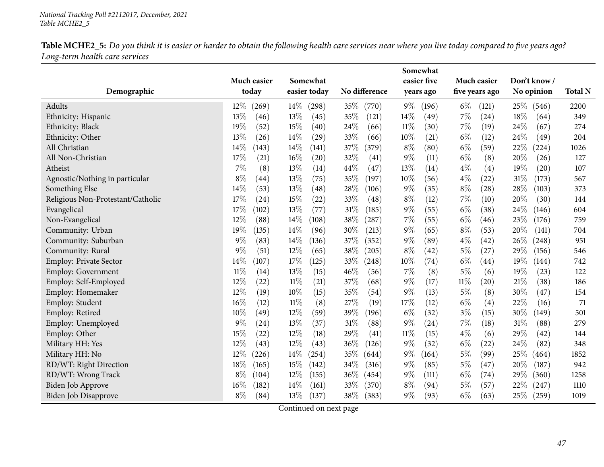|                                   |                      |                          |                 | Somewhat                 |                               |                           |                |
|-----------------------------------|----------------------|--------------------------|-----------------|--------------------------|-------------------------------|---------------------------|----------------|
| Demographic                       | Much easier<br>today | Somewhat<br>easier today | No difference   | easier five<br>years ago | Much easier<br>five years ago | Don't know/<br>No opinion | <b>Total N</b> |
| Adults                            | 12%<br>(269)         | 14\%<br>(298)            | 35%<br>(770)    | 9%<br>(196)              | $6\%$<br>(121)                | 25\%<br>(546)             | 2200           |
| Ethnicity: Hispanic               | 13%<br>(46)          | 13%<br>(45)              | 35%<br>(121)    | 14%<br>(49)              | 7%<br>(24)                    | 18%<br>(64)               | 349            |
| Ethnicity: Black                  | 19%<br>(52)          | 15%<br>(40)              | 24\%<br>(66)    | 11%<br>(30)              | $7\%$<br>(19)                 | 24%<br>(67)               | 274            |
| Ethnicity: Other                  | 13%<br>(26)          | 14%<br>(29)              | 33%<br>(66)     | 10%<br>(21)              | $6\%$<br>(12)                 | 24%<br>(49)               | 204            |
| All Christian                     | 14%<br>(143)         | 14%<br>(141)             | 37%<br>(379)    | $8\%$<br>(80)            | $6\%$<br>(59)                 | 22%<br>(224)              | 1026           |
| All Non-Christian                 | 17%<br>(21)          | $16\%$<br>(20)           | 32%<br>(41)     | 9%<br>(11)               | $6\%$<br>(8)                  | 20%<br>(26)               | 127            |
| Atheist                           | $7\%$<br>(8)         | 13%<br>(14)              | 44%<br>(47)     | 13%<br>(14)              | $4\%$<br>(4)                  | 19%<br>(20)               | 107            |
| Agnostic/Nothing in particular    | $8\%$<br>(44)        | 13%<br>(75)              | 35%<br>(197)    | 10%<br>(56)              | $4\%$<br>(22)                 | 31%<br>(173)              | 567            |
| Something Else                    | 14%<br>(53)          | 13%<br>(48)              | 28\%<br>(106)   | 9%<br>(35)               | $8\%$<br>(28)                 | 28%<br>(103)              | 373            |
| Religious Non-Protestant/Catholic | 17%<br>(24)          | 15%<br>(22)              | 33%<br>(48)     | $8\%$<br>(12)            | $7\%$<br>(10)                 | 20%<br>(30)               | 144            |
| Evangelical                       | 17%<br>(102)         | 13%<br>(77)              | 31%<br>(185)    | $9\%$<br>(55)            | $6\%$<br>(38)                 | 24%<br>(146)              | 604            |
| Non-Evangelical                   | 12%<br>(88)          | 14%<br>(108)             | 38%<br>(287)    | 7%<br>(55)               | $6\%$<br>(46)                 | 23%<br>(176)              | 759            |
| Community: Urban                  | 19%<br>(135)         | 14%<br>(96)              | $30\%$<br>(213) | $9\%$<br>(65)            | $8\%$<br>(53)                 | 20%<br>(141)              | 704            |
| Community: Suburban               | $9\%$<br>(83)        | 14%<br>(136)             | 37%<br>(352)    | 9%<br>(89)               | $4\%$<br>(42)                 | 26%<br>(248)              | 951            |
| Community: Rural                  | $9\%$<br>(51)        | 12%<br>(65)              | 38%<br>(205)    | $8\%$<br>(42)            | $5\%$<br>(27)                 | 29%<br>(156)              | 546            |
| Employ: Private Sector            | 14%<br>(107)         | 17%<br>(125)             | 33%<br>(248)    | 10%<br>(74)              | $6\%$<br>(44)                 | 19%<br>(144)              | 742            |
| Employ: Government                | $11\%$<br>(14)       | $13\%$<br>(15)           | 46%<br>(56)     | 7%<br>(8)                | $5\%$<br>(6)                  | 19%<br>(23)               | 122            |
| Employ: Self-Employed             | $12\%$<br>(22)       | $11\%$<br>(21)           | 37%<br>(68)     | $9\%$<br>(17)            | $11\%$<br>(20)                | $21\%$<br>(38)            | 186            |
| Employ: Homemaker                 | 12%<br>(19)          | 10%<br>(15)              | 35%<br>(54)     | 9%<br>(13)               | 5%<br>(8)                     | 30%<br>(47)               | 154            |
| Employ: Student                   | 16%<br>(12)          | $11\%$<br>(8)            | 27\%<br>(19)    | 17%<br>(12)              | $6\%$<br>(4)                  | 22%<br>(16)               | 71             |
| Employ: Retired                   | 10%<br>(49)          | 12%<br>(59)              | 39%<br>(196)    | $6\%$<br>(32)            | $3\%$<br>(15)                 | 30%<br>(149)              | 501            |
| Employ: Unemployed                | $9\%$<br>(24)        | 13%<br>(37)              | 31%<br>(88)     | $9\%$<br>(24)            | 7%<br>(18)                    | $31\%$<br>(88)            | 279            |
| Employ: Other                     | 15%<br>(22)          | 12%<br>(18)              | 29%<br>(41)     | 11%<br>(15)              | $4\%$<br>(6)                  | 29%<br>(42)               | 144            |
| Military HH: Yes                  | 12%<br>(43)          | 12%<br>(43)              | 36%<br>(126)    | 9%<br>(32)               | $6\%$<br>(22)                 | 24%<br>(82)               | 348            |
| Military HH: No                   | 12%<br>(226)         | 14\%<br>(254)            | 35%<br>(644)    | $9\%$<br>(164)           | $5\%$<br>(99)                 | 25%<br>(464)              | 1852           |
| RD/WT: Right Direction            | 18%<br>(165)         | 15%<br>(142)             | 34\%<br>(316)   | $9\%$<br>(85)            | 5%<br>(47)                    | 20%<br>(187)              | 942            |
| RD/WT: Wrong Track                | $8\%$<br>(104)       | 12%<br>(155)             | 36%<br>(454)    | $9\%$<br>(111)           | $6\%$<br>(74)                 | 29%<br>(360)              | 1258           |
| Biden Job Approve                 | $16\%$<br>(182)      | 14%<br>(161)             | 33%<br>(370)    | $8\%$<br>(94)            | $5\%$<br>(57)                 | 22%<br>(247)              | 1110           |
| <b>Biden Job Disapprove</b>       | $8\%$<br>(84)        | 13\%<br>(137)            | 38\%<br>(383)   | $9\%$<br>(93)            | $6\%$<br>(63)                 | 25%<br>(259)              | 1019           |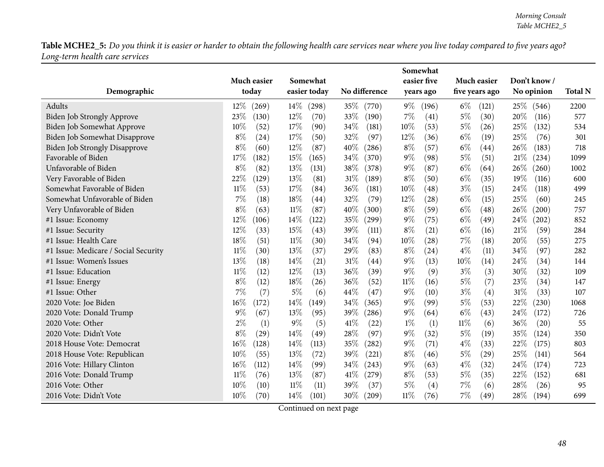|                                      |                 |                 |                            | Somewhat       |                |                |                |
|--------------------------------------|-----------------|-----------------|----------------------------|----------------|----------------|----------------|----------------|
|                                      | Much easier     | Somewhat        |                            | easier five    | Much easier    | Don't know/    |                |
| Demographic                          | today           | easier today    | No difference              | years ago      | five years ago | No opinion     | <b>Total N</b> |
| Adults                               | $12\%$<br>(269) | $14\%$<br>(298) | 35\%<br>(770)              | $9\%$<br>(196) | $6\%$<br>(121) | 25\%<br>(546)  | 2200           |
| Biden Job Strongly Approve           | 23%<br>(130)    | $12\%$<br>(70)  | 33%<br>(190)               | $7\%$<br>(41)  | $5\%$<br>(30)  | 20%<br>(116)   | 577            |
| Biden Job Somewhat Approve           | 10%<br>(52)     | 17%<br>(90)     | 34%<br>(181)               | 10%<br>(53)    | $5\%$<br>(26)  | 25%<br>(132)   | 534            |
| Biden Job Somewhat Disapprove        | $8\%$<br>(24)   | 17%<br>(50)     | 32%<br>(97)                | 12%<br>(36)    | $6\%$<br>(19)  | 25%<br>(76)    | 301            |
| <b>Biden Job Strongly Disapprove</b> | $8\%$<br>(60)   | 12%<br>(87)     | 40%<br>(286)               | $8\%$<br>(57)  | $6\%$<br>(44)  | 26%<br>(183)   | 718            |
| Favorable of Biden                   | 17%<br>(182)    | 15%<br>(165)    | 34%<br>(370)               | $9\%$<br>(98)  | $5\%$<br>(51)  | 21%<br>(234)   | 1099           |
| Unfavorable of Biden                 | $8\%$<br>(82)   | 13%<br>(131)    | 38%<br>(378)               | $9\%$<br>(87)  | $6\%$<br>(64)  | 26%<br>(260)   | 1002           |
| Very Favorable of Biden              | 22%<br>(129)    | 13%<br>(81)     | 31%<br>(189)               | $8\%$<br>(50)  | $6\%$<br>(35)  | 19%<br>(116)   | 600            |
| Somewhat Favorable of Biden          | $11\%$<br>(53)  | 17%<br>(84)     | 36%<br>(181)               | 10%<br>(48)    | $3\%$<br>(15)  | 24%<br>(118)   | 499            |
| Somewhat Unfavorable of Biden        | 7%<br>(18)      | 18%<br>(44)     | 32%<br>(79)                | 12%<br>(28)    | $6\%$<br>(15)  | 25%<br>(60)    | 245            |
| Very Unfavorable of Biden            | $8\%$<br>(63)   | $11\%$<br>(87)  | 40%<br>(300)               | $8\%$<br>(59)  | $6\%$<br>(48)  | 26%<br>(200)   | 757            |
| #1 Issue: Economy                    | 12%<br>(106)    | 14%<br>(122)    | 35%<br>(299)               | $9\%$<br>(75)  | $6\%$<br>(49)  | 24%<br>(202)   | 852            |
| #1 Issue: Security                   | 12%<br>(33)     | 15%<br>(43)     | 39%<br>(111)               | $8\%$<br>(21)  | $6\%$<br>(16)  | $21\%$<br>(59) | 284            |
| #1 Issue: Health Care                | 18%<br>(51)     | $11\%$<br>(30)  | 34%<br>(94)                | 10%<br>(28)    | 7%<br>(18)     | 20%<br>(55)    | 275            |
| #1 Issue: Medicare / Social Security | $11\%$<br>(30)  | 13%<br>(37)     | 29%<br>(83)                | $8\%$<br>(24)  | $4\%$<br>(11)  | 34%<br>(97)    | 282            |
| #1 Issue: Women's Issues             | 13%<br>(18)     | 14\%<br>(21)    | 31%<br>(44)                | $9\%$<br>(13)  | $10\%$<br>(14) | 24%<br>(34)    | 144            |
| #1 Issue: Education                  | $11\%$<br>(12)  | 12%<br>(13)     | 36%<br>(39)                | $9\%$<br>(9)   | $3\%$<br>(3)   | 30%<br>(32)    | 109            |
| #1 Issue: Energy                     | $8\%$<br>(12)   | 18%<br>(26)     | 36%<br>(52)                | $11\%$<br>(16) | $5\%$<br>(7)   | 23%<br>(34)    | 147            |
| #1 Issue: Other                      | 7%<br>(7)       | $5\%$<br>(6)    | 44%<br>(47)                | $9\%$<br>(10)  | $3\%$<br>(4)   | 31%<br>(33)    | 107            |
| 2020 Vote: Joe Biden                 | 16%<br>(172)    | 14%<br>(149)    | 34%<br>(365)               | $9\%$<br>(99)  | $5\%$<br>(53)  | 22%<br>(230)   | 1068           |
| 2020 Vote: Donald Trump              | 9%<br>(67)      | 13%<br>(95)     | 39%<br>(286)               | $9\%$<br>(64)  | $6\%$<br>(43)  | 24\%<br>(172)  | 726            |
| 2020 Vote: Other                     | $2\%$<br>(1)    | 9%<br>(5)       | 41\%<br>(22)               | $1\%$<br>(1)   | $11\%$<br>(6)  | 36%<br>(20)    | 55             |
| 2020 Vote: Didn't Vote               | 8%<br>(29)      | 14%<br>(49)     | 28%<br>(97)                | $9\%$<br>(32)  | $5\%$<br>(19)  | 35%<br>(124)   | 350            |
| 2018 House Vote: Democrat            | 16%<br>(128)    | 14\%<br>(113)   | 35%<br>$\left( 282\right)$ | $9\%$<br>(71)  | $4\%$<br>(33)  | 22%<br>(175)   | 803            |
| 2018 House Vote: Republican          | 10%<br>(55)     | 13%<br>(72)     | 39%<br>(221)               | $8\%$<br>(46)  | $5\%$<br>(29)  | 25%<br>(141)   | 564            |
| 2016 Vote: Hillary Clinton           | 16%<br>(112)    | 14%<br>(99)     | 34%<br>(243)               | $9\%$<br>(63)  | $4\%$<br>(32)  | 24%<br>(174)   | 723            |
| 2016 Vote: Donald Trump              | $11\%$<br>(76)  | 13%<br>(87)     | 41%<br>(279)               | $8\%$<br>(53)  | $5\%$<br>(35)  | 22%<br>(152)   | 681            |
| 2016 Vote: Other                     | 10%<br>(10)     | $11\%$<br>(11)  | 39%<br>(37)                | $5\%$<br>(4)   | 7%<br>(6)      | 28%<br>(26)    | 95             |
| 2016 Vote: Didn't Vote               | 10%<br>(70)     | 14\%<br>(101)   | 30\%<br>(209)              | $11\%$<br>(76) | $7\%$<br>(49)  | 28\%<br>(194)  | 699            |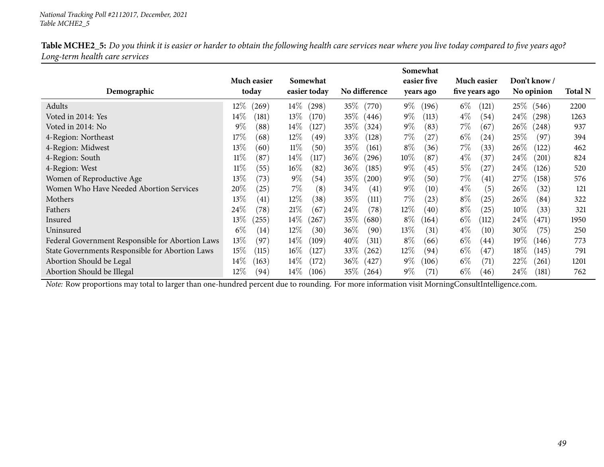| Table MCHE2_5: Do you think it is easier or harder to obtain the following health care services near where you live today compared to five years ago? |  |
|-------------------------------------------------------------------------------------------------------------------------------------------------------|--|
| Long-term health care services                                                                                                                        |  |

|                                                  |                            |                 |                 | Somewhat       |                |                 |                |
|--------------------------------------------------|----------------------------|-----------------|-----------------|----------------|----------------|-----------------|----------------|
|                                                  | Much easier                | Somewhat        |                 | easier five    | Much easier    | Don't know /    |                |
| Demographic                                      | today                      | easier today    | No difference   | years ago      | five years ago | No opinion      | <b>Total N</b> |
| Adults                                           | $12\%$<br>(269)            | $14\%$<br>(298) | $35\%$<br>(770) | $9\%$<br>(196) | $6\%$<br>(121) | $25\%$<br>(546) | 2200           |
| Voted in 2014: Yes                               | $14\%$<br>(181)            | $13\%$<br>(170) | 35\% (446)      | $9\%$<br>(113) | $4\%$<br>(54)  | $24\%$<br>(298) | 1263           |
| Voted in 2014: No                                | $9\%$<br>(88)              | $14\%$<br>(127) | $35\%$<br>(324) | $9\%$<br>(83)  | $7\%$<br>(67)  | 26\%<br>(248)   | 937            |
| 4-Region: Northeast                              | $17\%$<br>(68)             | $12\%$<br>(49)  | 33\%<br>(128)   | $7\%$<br>(27)  | $6\%$<br>(24)  | 25\%<br>(97)    | 394            |
| 4-Region: Midwest                                | $13\%$<br>(60)             | $11\%$<br>(50)  | 35%<br>(161)    | $8\%$<br>(36)  | $7\%$<br>(33)  | $26\%$<br>(122) | 462            |
| 4-Region: South                                  | $11\%$<br>(87)             | $14\%$<br>(117) | $36\%$<br>(296) | $10\%$<br>(87) | $4\%$<br>(37)  | 24\%<br>(201)   | 824            |
| 4-Region: West                                   | $11\%$<br>(55)             | $16\%$<br>(82)  | $36\%$<br>(185) | $9\%$<br>(45)  | $5\%$<br>(27)  | 24%<br>(126)    | 520            |
| Women of Reproductive Age                        | $13\%$<br>(73)             | $9\%$<br>(54)   | $35\%$<br>(200) | $9\%$<br>(50)  | $7\%$<br>(41)  | 27%<br>(158)    | 576            |
| Women Who Have Needed Abortion Services          | $20\%$<br>(25)             | $7\%$<br>(8)    | $34\%$<br>(41)  | $9\%$<br>(10)  | $4\%$<br>(5)   | $26\%$<br>(32)  | 121            |
| Mothers                                          | 13\%<br>$\left( 41\right)$ | $12\%$<br>(38)  | 35%<br>(111)    | $7\%$<br>(23)  | $8\%$<br>(25)  | $26\%$<br>(84)  | 322            |
| Fathers                                          | 24\%<br>(78)               | 21%<br>(67)     | $24\%$<br>(78)  | $12\%$<br>(40) | $8\%$<br>(25)  | $10\%$<br>(33)  | 321            |
| Insured                                          | $13\%$<br>(255)            | $14\%$<br>(267) | $35\%$<br>(680) | $8\%$<br>(164) | $6\%$<br>(112) | 24%<br>(471)    | 1950           |
| Uninsured                                        | $6\%$<br>(14)              | $12\%$<br>(30)  | $36\%$<br>(90)  | $13\%$<br>(31) | $4\%$<br>(10)  | $30\%$<br>(75)  | 250            |
| Federal Government Responsible for Abortion Laws | 13\%<br>(97)               | $14\%$<br>(109) | 40\%<br>(311)   | $8\%$<br>(66)  | $6\%$<br>(44)  | 19%<br>(146)    | 773            |
| State Governments Responsible for Abortion Laws  | 15\%<br>(115)              | $16\%$<br>(127) | 33\%<br>(262)   | $12\%$<br>(94) | $6\%$<br>(47)  | 18%<br>(145)    | 791            |
| Abortion Should be Legal                         | 14%<br>(163)               | $14\%$<br>(172) | $36\%$<br>(427) | $9\%$<br>(106) | $6\%$<br>(71)  | 22\%<br>(261)   | 1201           |
| Abortion Should be Illegal                       | $12\%$<br>(94)             | $14\%$<br>(106) | $35\%$<br>(264) | $9\%$<br>(71)  | $6\%$<br>(46)  | $24\%$<br>(181) | 762            |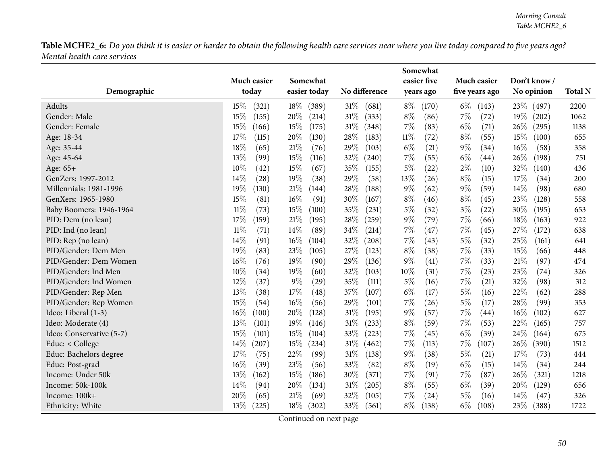|                          |                |                 |                 | Somewhat       |                |                |                |
|--------------------------|----------------|-----------------|-----------------|----------------|----------------|----------------|----------------|
|                          | Much easier    | Somewhat        |                 | easier five    | Much easier    | Don't know/    |                |
| Demographic              | today          | easier today    | No difference   | years ago      | five years ago | No opinion     | <b>Total N</b> |
| Adults                   | 15%<br>(321)   | $18\%$<br>(389) | 31%<br>(681)    | $8\%$<br>(170) | $6\%$<br>(143) | 23\%<br>(497)  | 2200           |
| Gender: Male             | 15%<br>(155)   | 20%<br>(214)    | $31\%$<br>(333) | $8\%$<br>(86)  | 7%<br>(72)     | 19%<br>(202)   | 1062           |
| Gender: Female           | 15%<br>(166)   | 15%<br>(175)    | 31%<br>(348)    | $7\%$<br>(83)  | $6\%$<br>(71)  | 26\%<br>(295)  | 1138           |
| Age: 18-34               | 17%<br>(115)   | $20\%$<br>(130) | 28%<br>(183)    | $11\%$<br>(72) | $8\%$<br>(55)  | 15%<br>(100)   | 655            |
| Age: 35-44               | 18%<br>(65)    | 21%<br>(76)     | $29\%$<br>(103) | $6\%$<br>(21)  | $9\%$<br>(34)  | $16\%$<br>(58) | 358            |
| Age: 45-64               | 13%<br>(99)    | 15%<br>(116)    | 32%<br>(240)    | 7%<br>(55)     | $6\%$<br>(44)  | 26%<br>(198)   | 751            |
| Age: 65+                 | 10%<br>(42)    | 15%<br>(67)     | 35%<br>(155)    | $5\%$<br>(22)  | $2\%$<br>(10)  | 32%<br>(140)   | 436            |
| GenZers: 1997-2012       | 14%<br>(28)    | 19%<br>(38)     | 29%<br>(58)     | 13\%<br>(26)   | $8\%$<br>(15)  | 17\%<br>(34)   | 200            |
| Millennials: 1981-1996   | 19%<br>(130)   | 21%<br>(144)    | 28%<br>(188)    | $9\%$<br>(62)  | $9\%$<br>(59)  | 14%<br>(98)    | 680            |
| GenXers: 1965-1980       | 15%<br>(81)    | 16%<br>(91)     | 30%<br>(167)    | $8\%$<br>(46)  | $8\%$<br>(45)  | 23%<br>(128)   | 558            |
| Baby Boomers: 1946-1964  | $11\%$<br>(73) | 15%<br>(100)    | 35%<br>(231)    | $5\%$<br>(32)  | $3\%$<br>(22)  | 30%<br>(195)   | 653            |
| PID: Dem (no lean)       | 17%<br>(159)   | $21\%$<br>(195) | 28%<br>(259)    | $9\%$<br>(79)  | $7\%$<br>(66)  | 18%<br>(163)   | 922            |
| PID: Ind (no lean)       | $11\%$<br>(71) | 14%<br>(89)     | 34%<br>(214)    | $7\%$<br>(47)  | $7\%$<br>(45)  | 27%<br>(172)   | 638            |
| PID: Rep (no lean)       | 14%<br>(91)    | 16%<br>(104)    | 32%<br>(208)    | $7\%$<br>(43)  | $5\%$<br>(32)  | 25%<br>(161)   | 641            |
| PID/Gender: Dem Men      | 19%<br>(83)    | 23%<br>(105)    | 27%<br>(123)    | $8\%$<br>(38)  | $7\%$<br>(33)  | 15%<br>(66)    | 448            |
| PID/Gender: Dem Women    | 16%<br>(76)    | 19%<br>(90)     | 29%<br>(136)    | $9\%$<br>(41)  | 7%<br>(33)     | 21%<br>(97)    | 474            |
| PID/Gender: Ind Men      | 10%<br>(34)    | 19%<br>(60)     | 32%<br>(103)    | $10\%$<br>(31) | $7\%$<br>(23)  | 23%<br>(74)    | 326            |
| PID/Gender: Ind Women    | 12%<br>(37)    | $9\%$<br>(29)   | 35%<br>(111)    | $5\%$<br>(16)  | $7\%$<br>(21)  | 32%<br>(98)    | 312            |
| PID/Gender: Rep Men      | 13%<br>(38)    | 17%<br>(48)     | 37%<br>(107)    | $6\%$<br>(17)  | $5\%$<br>(16)  | 22%<br>(62)    | 288            |
| PID/Gender: Rep Women    | 15%<br>(54)    | 16%<br>(56)     | 29%<br>(101)    | 7%<br>(26)     | $5\%$<br>(17)  | 28%<br>(99)    | 353            |
| Ideo: Liberal (1-3)      | 16%<br>(100)   | 20%<br>(128)    | 31%<br>(195)    | $9\%$<br>(57)  | $7\%$<br>(44)  | 16%<br>(102)   | 627            |
| Ideo: Moderate (4)       | 13%<br>(101)   | 19%<br>(146)    | 31%<br>(233)    | $8\%$<br>(59)  | $7\%$<br>(53)  | 22%<br>(165)   | 757            |
| Ideo: Conservative (5-7) | 15%<br>(101)   | 15%<br>(104)    | 33%<br>(223)    | 7%<br>(45)     | $6\%$<br>(39)  | 24\%<br>(164)  | 675            |
| Educ: < College          | 14%<br>(207)   | 15%<br>(234)    | 31%<br>(462)    | 7%<br>(113)    | 7%<br>(107)    | 26\%<br>(390)  | 1512           |
| Educ: Bachelors degree   | 17%<br>(75)    | 22%<br>(99)     | 31%<br>(138)    | $9\%$<br>(38)  | 5%<br>(21)     | 17%<br>(73)    | 444            |
| Educ: Post-grad          | 16%<br>(39)    | 23%<br>(56)     | 33%<br>(82)     | $8\%$<br>(19)  | $6\%$<br>(15)  | 14%<br>(34)    | 244            |
| Income: Under 50k        | 13%<br>(162)   | 15%<br>(186)    | 30%<br>(371)    | $7\%$<br>(91)  | $7\%$<br>(87)  | 26%<br>(321)   | 1218           |
| Income: 50k-100k         | 14%<br>(94)    | 20%<br>(134)    | 31%<br>(205)    | $8\%$<br>(55)  | $6\%$<br>(39)  | 20%<br>(129)   | 656            |
| Income: 100k+            | 20%<br>(65)    | 21%<br>(69)     | 32%<br>(105)    | 7%<br>(24)     | $5\%$<br>(16)  | 14%<br>(47)    | 326            |
| Ethnicity: White         | 13%<br>(225)   | 18\%<br>(302)   | 33%<br>(561)    | $8\%$<br>(138) | $6\%$<br>(108) | 23\%<br>(388)  | 1722           |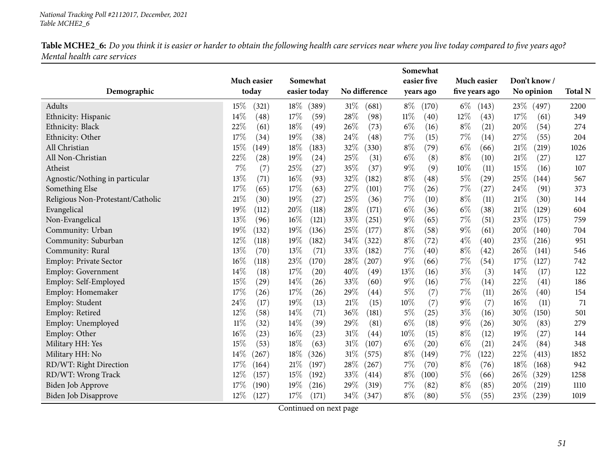|                                   |                      |                          |                           | Somewhat                 |                               |                           |                |
|-----------------------------------|----------------------|--------------------------|---------------------------|--------------------------|-------------------------------|---------------------------|----------------|
| Demographic                       | Much easier<br>today | Somewhat<br>easier today | No difference             | easier five<br>years ago | Much easier<br>five years ago | Don't know/<br>No opinion | <b>Total N</b> |
|                                   |                      |                          |                           |                          |                               |                           |                |
| Adults                            | 15%<br>(321)         | 18%<br>(389)             | 31%<br>(681)              | $8\%$<br>(170)           | $6\%$<br>(143)                | 23%<br>(497)              | 2200           |
| Ethnicity: Hispanic               | 14%<br>(48)          | 17%<br>(59)              | 28%<br>(98)               | $11\%$<br>(40)           | 12%<br>(43)                   | 17%<br>(61)               | 349            |
| Ethnicity: Black                  | 22%<br>(61)          | 18%<br>(49)              | 26\%<br>(73)              | $6\%$<br>(16)            | $8\%$<br>(21)                 | 20%<br>(54)               | 274            |
| Ethnicity: Other                  | 17%<br>(34)          | 19%<br>(38)              | 24%<br>(48)               | 7%<br>(15)               | 7%<br>(14)                    | 27%<br>(55)               | 204            |
| All Christian                     | 15%<br>(149)         | 18%<br>(183)             | 32%<br>(330)              | $8\%$<br>(79)            | $6\%$<br>(66)                 | 21%<br>(219)              | 1026           |
| All Non-Christian                 | 22%<br>(28)          | 19%<br>(24)              | 25%<br>(31)               | $6\%$<br>(8)             | $8\%$<br>(10)                 | 21%<br>(27)               | 127            |
| Atheist                           | $7\%$<br>(7)         | 25%<br>(27)              | 35%<br>(37)               | $9\%$<br>(9)             | 10%<br>(11)                   | 15%<br>(16)               | 107            |
| Agnostic/Nothing in particular    | 13%<br>(71)          | 16%<br>(93)              | 32%<br>(182)              | $8\%$<br>(48)            | $5\%$<br>(29)                 | 25%<br>(144)              | 567            |
| Something Else                    | 17%<br>(65)          | 17%<br>(63)              | 27%<br>(101)              | 7%<br>(26)               | $7\%$<br>(27)                 | 24%<br>(91)               | 373            |
| Religious Non-Protestant/Catholic | 21%<br>(30)          | 19%<br>(27)              | 25%<br>(36)               | 7%<br>(10)               | $8\%$<br>(11)                 | 21%<br>(30)               | 144            |
| Evangelical                       | 19%<br>(112)         | 20%<br>(118)             | 28%<br>(171)              | $6\%$<br>(36)            | $6\%$<br>(38)                 | $21\%$<br>(129)           | 604            |
| Non-Evangelical                   | 13%<br>(96)          | 16%<br>(121)             | 33%<br>(251)              | 9%<br>(65)               | $7\%$<br>(51)                 | 23%<br>(175)              | 759            |
| Community: Urban                  | 19%<br>(132)         | 19%<br>(136)             | 25%<br>(177)              | $8\%$<br>(58)            | $9\%$<br>(61)                 | 20%<br>(140)              | 704            |
| Community: Suburban               | 12%<br>(118)         | 19%<br>(182)             | 34%<br>(322)              | $8\%$<br>(72)            | $4\%$<br>(40)                 | 23%<br>(216)              | 951            |
| Community: Rural                  | 13%<br>(70)          | 13%<br>(71)              | 33%<br>(182)              | 7%<br>(40)               | $8\%$<br>(42)                 | 26%<br>(141)              | 546            |
| Employ: Private Sector            | 16%<br>(118)         | 23%<br>(170)             | 28%<br>(207)              | $9\%$<br>(66)            | 7%<br>(54)                    | 17%<br>(127)              | 742            |
| Employ: Government                | 14\%<br>(18)         | 17%<br>(20)              | 40%<br>(49)               | 13%<br>(16)              | $3\%$<br>(3)                  | 14\%<br>(17)              | 122            |
| Employ: Self-Employed             | 15%<br>(29)          | 14%<br>(26)              | 33%<br>(60)               | $9\%$<br>(16)            | 7%<br>(14)                    | 22%<br>(41)               | 186            |
| Employ: Homemaker                 | 17%<br>(26)          | 17%<br>(26)              | 29%<br>$\left( 44\right)$ | $5\%$<br>(7)             | $7\%$<br>(11)                 | 26%<br>(40)               | 154            |
| Employ: Student                   | 24%<br>(17)          | 19%<br>(13)              | 21%<br>(15)               | 10%<br>(7)               | $9\%$<br>(7)                  | 16%<br>(11)               | 71             |
| Employ: Retired                   | 12%<br>(58)          | 14%<br>(71)              | 36%<br>(181)              | $5\%$<br>(25)            | $3\%$<br>(16)                 | 30%<br>(150)              | 501            |
| Employ: Unemployed                | $11\%$<br>(32)       | 14%<br>(39)              | 29%<br>(81)               | $6\%$<br>(18)            | $9\%$<br>(26)                 | 30%<br>(83)               | 279            |
| Employ: Other                     | 16%<br>(23)          | 16%<br>(23)              | 31%<br>(44)               | 10%<br>(15)              | $8\%$<br>(12)                 | 19%<br>(27)               | 144            |
| Military HH: Yes                  | 15%<br>(53)          | 18%<br>(63)              | 31%<br>(107)              | $6\%$<br>(20)            | $6\%$<br>(21)                 | 24%<br>(84)               | 348            |
| Military HH: No                   | 14%<br>(267)         | 18%<br>(326)             | 31%<br>(575)              | $8\%$<br>(149)           | 7%<br>(122)                   | 22%<br>(413)              | 1852           |
| RD/WT: Right Direction            | 17%<br>(164)         | 21%<br>(197)             | 28\%<br>(267)             | 7%<br>(70)               | $8\%$<br>(76)                 | 18%<br>(168)              | 942            |
| RD/WT: Wrong Track                | 12%<br>(157)         | 15%<br>(192)             | 33%<br>(414)              | $8\%$<br>(100)           | $5\%$<br>(66)                 | 26%<br>(329)              | 1258           |
| Biden Job Approve                 | 17%<br>(190)         | 19%<br>$^{'}216)$        | 29%<br>(319)              | 7%<br>(82)               | $8\%$<br>(85)                 | 20%<br>(219)              | 1110           |
| <b>Biden Job Disapprove</b>       | 12%<br>(127)         | 17%<br>(171)             | 34\%<br>(347)             | $8\%$<br>(80)            | $5\%$<br>(55)                 | 23%<br>(239)              | 1019           |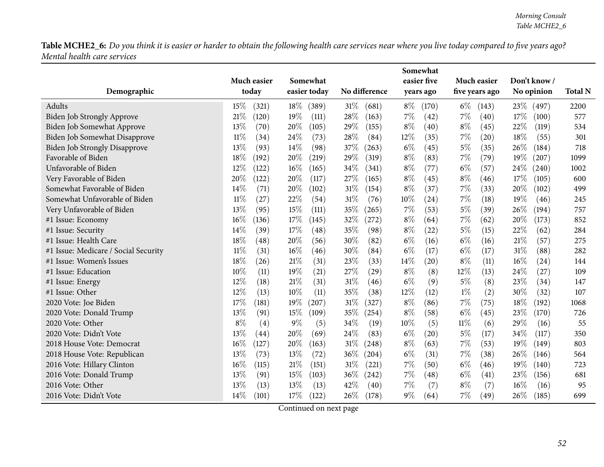|                                      |                |                 |                 | Somewhat       |                |                 |                |
|--------------------------------------|----------------|-----------------|-----------------|----------------|----------------|-----------------|----------------|
|                                      | Much easier    | Somewhat        |                 | easier five    | Much easier    | Don't know/     |                |
| Demographic                          | today          | easier today    | No difference   | years ago      | five years ago | No opinion      | <b>Total N</b> |
| Adults                               | 15%<br>(321)   | $18\%$<br>(389) | $31\%$<br>(681) | $8\%$<br>(170) | $6\%$<br>(143) | 23\%<br>(497)   | 2200           |
| Biden Job Strongly Approve           | 21%<br>(120)   | 19%<br>(111)    | 28%<br>(163)    | $7\%$<br>(42)  | 7%<br>(40)     | 17\%<br>(100)   | 577            |
| Biden Job Somewhat Approve           | 13%<br>(70)    | 20%<br>(105)    | 29%<br>(155)    | $8\%$<br>(40)  | $8\%$<br>(45)  | 22%<br>(119)    | 534            |
| Biden Job Somewhat Disapprove        | $11\%$<br>(34) | 24%<br>(73)     | 28%<br>(84)     | 12%<br>(35)    | 7%<br>(20)     | 18%<br>(55)     | 301            |
| Biden Job Strongly Disapprove        | 13%<br>(93)    | 14%<br>(98)     | 37%<br>(263)    | $6\%$<br>(45)  | $5\%$<br>(35)  | 26%<br>(184)    | 718            |
| Favorable of Biden                   | 18%<br>(192)   | 20%<br>(219)    | 29%<br>(319)    | $8\%$<br>(83)  | $7\%$<br>(79)  | 19%<br>(207)    | 1099           |
| Unfavorable of Biden                 | 12%<br>(122)   | 16%<br>(165)    | 34%<br>(341)    | $8\%$<br>(77)  | $6\%$<br>(57)  | 24\%<br>(240)   | 1002           |
| Very Favorable of Biden              | 20%<br>(122)   | 20%<br>(117)    | 27%<br>(165)    | $8\%$<br>(45)  | $8\%$<br>(46)  | 17\%<br>(105)   | 600            |
| Somewhat Favorable of Biden          | 14%<br>(71)    | 20%<br>(102)    | 31%<br>(154)    | $8\%$<br>(37)  | 7%<br>(33)     | 20%<br>(102)    | 499            |
| Somewhat Unfavorable of Biden        | $11\%$<br>(27) | 22%<br>(54)     | 31%<br>(76)     | 10%<br>(24)    | 7%<br>(18)     | 19%<br>(46)     | 245            |
| Very Unfavorable of Biden            | 13%<br>(95)    | 15%<br>(111)    | 35%<br>(265)    | 7%<br>(53)     | $5\%$<br>(39)  | 26%<br>(194)    | 757            |
| #1 Issue: Economy                    | 16%<br>(136)   | 17%<br>(145)    | 32%<br>(272)    | $8\%$<br>(64)  | 7%<br>(62)     | 20%<br>(173)    | 852            |
| #1 Issue: Security                   | 14%<br>(39)    | 17%<br>(48)     | 35%<br>(98)     | $8\%$<br>(22)  | $5\%$<br>(15)  | 22%<br>(62)     | 284            |
| #1 Issue: Health Care                | 18%<br>(48)    | 20%<br>(56)     | 30%<br>(82)     | $6\%$<br>(16)  | $6\%$<br>(16)  | 21%<br>(57)     | 275            |
| #1 Issue: Medicare / Social Security | $11\%$<br>(31) | 16%<br>(46)     | 30%<br>(84)     | $6\%$<br>(17)  | $6\%$<br>(17)  | 31%<br>(88)     | 282            |
| #1 Issue: Women's Issues             | 18%<br>(26)    | 21%<br>(31)     | 23%<br>(33)     | 14\%<br>(20)   | $8\%$<br>(11)  | 16%<br>(24)     | 144            |
| #1 Issue: Education                  | 10%<br>(11)    | 19%<br>(21)     | 27%<br>(29)     | $8\%$<br>(8)   | 12%<br>(13)    | 24%<br>(27)     | 109            |
| #1 Issue: Energy                     | 12%<br>(18)    | 21%<br>(31)     | 31%<br>(46)     | $6\%$<br>(9)   | $5\%$<br>(8)   | 23%<br>(34)     | 147            |
| #1 Issue: Other                      | 12%<br>(13)    | 10%<br>(11)     | 35%<br>(38)     | 12%<br>(12)    | $1\%$<br>(2)   | 30%<br>(32)     | 107            |
| 2020 Vote: Joe Biden                 | 17%<br>(181)   | 19%<br>(207)    | 31%<br>(327)    | $8\%$<br>(86)  | $7\%$<br>(75)  | $18\%$<br>(192) | 1068           |
| 2020 Vote: Donald Trump              | 13%<br>(91)    | 15%<br>(109)    | 35\%<br>(254)   | $8\%$<br>(58)  | $6\%$<br>(45)  | 23%<br>(170)    | 726            |
| 2020 Vote: Other                     | 8%<br>(4)      | 9%<br>(5)       | 34%<br>(19)     | 10%<br>(5)     | $11\%$<br>(6)  | 29%<br>(16)     | 55             |
| 2020 Vote: Didn't Vote               | 13%<br>(44)    | 20%<br>(69)     | 24%<br>(83)     | $6\%$<br>(20)  | $5\%$<br>(17)  | 34%<br>(117)    | 350            |
| 2018 House Vote: Democrat            | 16%<br>(127)   | 20%<br>(163)    | 31%<br>(248)    | $8\%$<br>(63)  | $7\%$<br>(53)  | 19%<br>(149)    | 803            |
| 2018 House Vote: Republican          | 13%<br>(73)    | 13%<br>(72)     | 36%<br>(204)    | $6\%$<br>(31)  | 7%<br>(38)     | 26%<br>(146)    | 564            |
| 2016 Vote: Hillary Clinton           | 16%<br>(115)   | 21%<br>(151)    | 31%<br>(221)    | 7%<br>(50)     | $6\%$<br>(46)  | 19%<br>(140)    | 723            |
| 2016 Vote: Donald Trump              | 13%<br>(91)    | 15%<br>(103)    | 36\%<br>(242)   | 7%<br>(48)     | $6\%$<br>(41)  | 23%<br>(156)    | 681            |
| 2016 Vote: Other                     | 13%<br>(13)    | 13%<br>(13)     | 42%<br>(40)     | 7%<br>(7)      | $8\%$<br>(7)   | 16%<br>(16)     | 95             |
| 2016 Vote: Didn't Vote               | 14%<br>(101)   | 17%<br>(122)    | 26\%<br>(178)   | $9\%$<br>(64)  | $7\%$<br>(49)  | 26%<br>(185)    | 699            |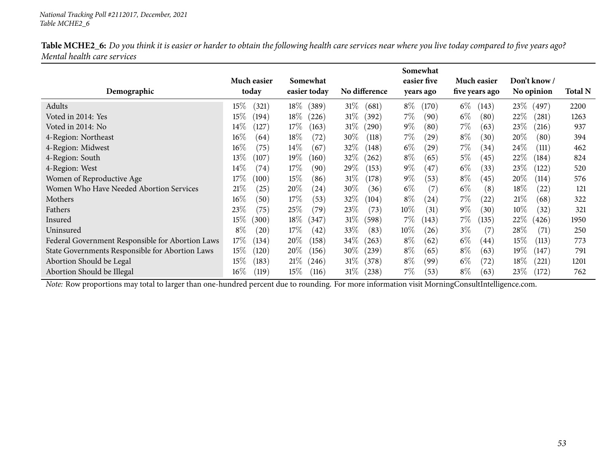|                                                  |                 |                 |                 | Somewhat       |                |                  |                |
|--------------------------------------------------|-----------------|-----------------|-----------------|----------------|----------------|------------------|----------------|
|                                                  | Much easier     | Somewhat        |                 | easier five    | Much easier    | Don't know /     |                |
| Demographic                                      | today           | easier today    | No difference   | years ago      | five years ago | No opinion       | <b>Total N</b> |
| Adults                                           | 15%<br>(321)    | $18\%$<br>(389) | $31\%$<br>(681) | $8\%$<br>(170) | $6\%$<br>(143) | 23\%<br>(497)    | 2200           |
| Voted in 2014: Yes                               | $15\%$<br>(194) | $18\%$<br>(226) | $31\%$<br>(392) | $7\%$<br>(90)  | $6\%$<br>(80)  | 22%<br>(281)     | 1263           |
| Voted in 2014: No                                | $14\%$<br>(127) | $17\%$<br>(163) | $31\%$<br>(290) | $9\%$<br>(80)  | $7\%$<br>(63)  | 23\%<br>(216)    | 937            |
| 4-Region: Northeast                              | $16\%$<br>(64)  | 18\%<br>(72)    | $30\%$<br>(118) | $7\%$<br>(29)  | $8\%$<br>(30)  | 20%<br>(80)      | 394            |
| 4-Region: Midwest                                | $16\%$<br>(75)  | $14\%$<br>(67)  | $32\%$<br>(148) | $6\%$<br>(29)  | $7\%$<br>(34)  | 24%<br>(111)     | 462            |
| 4-Region: South                                  | 13\%<br>(107)   | $19\%$<br>(160) | $32\%$<br>(262) | $8\%$<br>(65)  | $5\%$<br>(45)  | 22%<br>(184)     | 824            |
| 4-Region: West                                   | $14\%$<br>(74)  | $17\%$<br>(90)  | 29\%<br>(153)   | $9\%$<br>(47)  | $6\%$<br>(33)  | 23\%<br>(122)    | 520            |
| Women of Reproductive Age                        | $17\%$<br>(100) | $15\%$<br>(86)  | $31\%$<br>(178) | $9\%$<br>(53)  | $8\%$<br>(45)  | $20\%$<br>(114)  | 576            |
| Women Who Have Needed Abortion Services          | 21%<br>(25)     | 20%<br>(24)     | $30\%$<br>(36)  | $6\%$<br>(7)   | $6\%$<br>(8)   | $18\%$<br>(22)   | 121            |
| Mothers                                          | $16\%$<br>(50)  | 17%<br>(53)     | 32\%<br>(104)   | $8\%$<br>(24)  | $7\%$<br>(22)  | 21\%<br>(68)     | 322            |
| Fathers                                          | 23\%<br>(75)    | 25\%<br>(79`    | 23%<br>(73)     | $10\%$<br>(31) | $9\%$<br>(30)  | $10\%$<br>(32)   | 321            |
| Insured                                          | $15\%$<br>(300) | $18\%$<br>(347) | $31\%$<br>(598) | 7%<br>(143)    | 7%<br>(135)    | 22%<br>(426)     | 1950           |
| Uninsured                                        | $8\%$<br>(20)   | $17\%$<br>(42)  | 33\%<br>(83)    | $10\%$<br>(26) | $3\%$<br>(7)   | $28\%$<br>(71)   | 250            |
| Federal Government Responsible for Abortion Laws | 17\%<br>(134)   | $20\%$<br>(158) | $34\%$<br>(263) | $8\%$<br>(62)  | $6\%$<br>(44)  | $15\%$<br>(113)  | 773            |
| State Governments Responsible for Abortion Laws  | $15\%$<br>(120) | $20\%$<br>(156) | $30\%$<br>(239) | $8\%$<br>(65)  | $8\%$<br>(63)  | 19 $\%$<br>(147) | 791            |
| Abortion Should be Legal                         | $15\%$<br>(183) | $21\%$<br>(246) | $31\%$<br>(378) | $8\%$<br>(99)  | $6\%$<br>(72)  | 18%<br>(221)     | 1201           |
| Abortion Should be Illegal                       | $16\%$<br>(119) | $15\%$<br>(116) | $31\%$<br>(238) | 7%<br>(53)     | $8\%$<br>(63)  | 23\%<br>(172)    | 762            |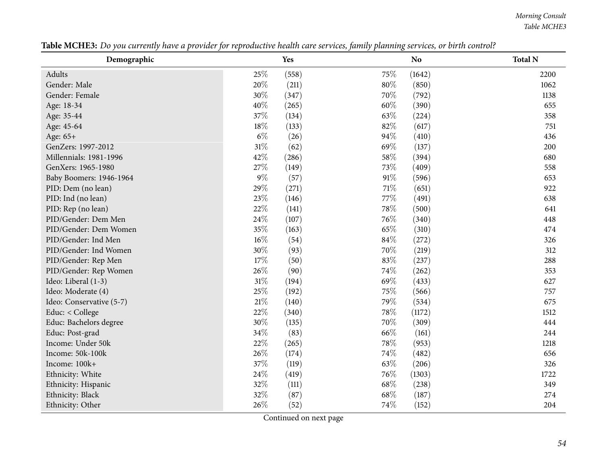*Morning Consult Table MCHE3*

| Demographic              |        | Yes   |        | N <sub>o</sub> | <b>Total N</b> |
|--------------------------|--------|-------|--------|----------------|----------------|
| Adults                   | 25%    | (558) | 75%    | (1642)         | 2200           |
| Gender: Male             | 20%    | (211) | $80\%$ | (850)          | 1062           |
| Gender: Female           | 30%    | (347) | 70%    | (792)          | 1138           |
| Age: 18-34               | 40%    | (265) | 60%    | (390)          | 655            |
| Age: 35-44               | 37%    | (134) | 63%    | (224)          | 358            |
| Age: 45-64               | 18%    | (133) | 82%    | (617)          | 751            |
| Age: 65+                 | $6\%$  | (26)  | 94%    | (410)          | 436            |
| GenZers: 1997-2012       | $31\%$ | (62)  | 69%    | (137)          | 200            |
| Millennials: 1981-1996   | 42%    | (286) | 58%    | (394)          | 680            |
| GenXers: 1965-1980       | $27\%$ | (149) | 73%    | (409)          | 558            |
| Baby Boomers: 1946-1964  | $9\%$  | (57)  | 91%    | (596)          | 653            |
| PID: Dem (no lean)       | 29%    | (271) | 71%    | (651)          | 922            |
| PID: Ind (no lean)       | 23%    | (146) | 77%    | (491)          | 638            |
| PID: Rep (no lean)       | 22%    | (141) | 78%    | (500)          | 641            |
| PID/Gender: Dem Men      | 24%    | (107) | 76%    | (340)          | 448            |
| PID/Gender: Dem Women    | 35%    | (163) | 65%    | (310)          | 474            |
| PID/Gender: Ind Men      | 16%    | (54)  | 84%    | (272)          | 326            |
| PID/Gender: Ind Women    | 30%    | (93)  | 70%    | (219)          | 312            |
| PID/Gender: Rep Men      | $17\%$ | (50)  | 83%    | (237)          | 288            |
| PID/Gender: Rep Women    | 26%    | (90)  | 74%    | (262)          | 353            |
| Ideo: Liberal (1-3)      | $31\%$ | (194) | 69%    | (433)          | 627            |
| Ideo: Moderate (4)       | 25%    | (192) | 75%    | (566)          | 757            |
| Ideo: Conservative (5-7) | 21%    | (140) | 79%    | (534)          | 675            |
| Educ: < College          | 22%    | (340) | 78%    | (1172)         | 1512           |
| Educ: Bachelors degree   | 30%    | (135) | 70%    | (309)          | 444            |
| Educ: Post-grad          | 34%    | (83)  | 66\%   | (161)          | 244            |
| Income: Under 50k        | 22%    | (265) | 78%    | (953)          | 1218           |
| Income: 50k-100k         | 26%    | (174) | 74%    | (482)          | 656            |
| Income: 100k+            | 37%    | (119) | 63%    | (206)          | 326            |
| Ethnicity: White         | 24%    | (419) | 76%    | (1303)         | 1722           |
| Ethnicity: Hispanic      | 32%    | (111) | 68\%   | (238)          | 349            |
| Ethnicity: Black         | 32%    | (87)  | 68\%   | (187)          | 274            |
| Ethnicity: Other         | 26%    | (52)  | 74%    | (152)          | 204            |

Table MCHE3: Do you currently have a provider for reproductive health care services, family planning services, or birth control?

l,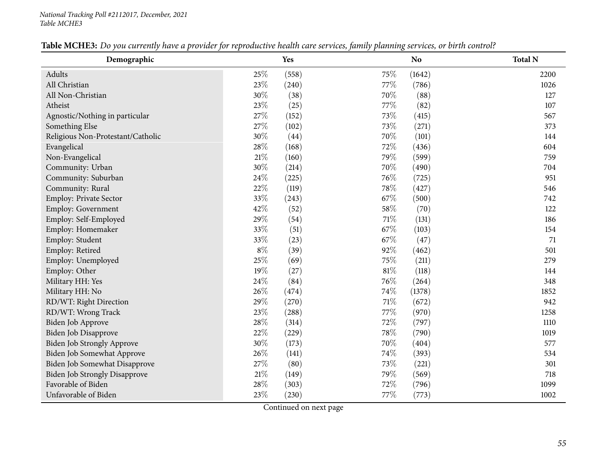Employ: Unemployed

RD/WT: Right Direction

RD/WT: Wrong Track

Favorable of Biden

Unfavorable of Biden

Military HH: No

| Demographic                       |       | Yes                |        | <b>No</b> | <b>Total N</b> |
|-----------------------------------|-------|--------------------|--------|-----------|----------------|
| Adults                            | 25\%  | (558)              | $75\%$ | (1642)    | 2200           |
| All Christian                     | 23\%  | (240)              | 77\%   | (786)     | 1026           |
| All Non-Christian                 | 30\%  | (38)               | 70\%   | (88)      | 127            |
| Atheist                           | 23\%  | (25)               | 77%    | (82)      | 107            |
| Agnostic/Nothing in particular    | 27\%  | (152)              | 73\%   | (415)     | 567            |
| Something Else                    | 27\%  | (102)              | 73\%   | (271)     | 373            |
| Religious Non-Protestant/Catholic | 30\%  | $\left( 44\right)$ | 70\%   | (101)     | 144            |
| Evangelical                       | 28\%  | (168)              | 72\%   | (436)     | 604            |
| Non-Evangelical                   | 21%   | (160)              | 79%    | (599)     | 759            |
| Community: Urban                  | 30\%  | (214)              | 70\%   | (490)     | 704            |
| Community: Suburban               | 24\%  | (225)              | 76\%   | (725)     | 951            |
| Community: Rural                  | 22\%  | (119)              | $78\%$ | (427)     | 546            |
| <b>Employ: Private Sector</b>     | 33\%  | (243)              | 67\%   | (500)     | 742            |
| <b>Employ: Government</b>         | 42\%  | (52)               | 58\%   | (70)      | 122            |
| Employ: Self-Employed             | 29%   | (54)               | 71\%   | (131)     | 186            |
| Employ: Homemaker                 | 33\%  | (51)               | 67%    | (103)     | 154            |
| Employ: Student                   | 33\%  | (23)               | 67\%   | (47)      | 71             |
| Employ: Retired                   | $8\%$ | (39)               | 92%    | (462)     | 501            |
|                                   |       |                    |        |           |                |

## Table MCHE3: Do you currently have a provider for reproductive health care services family planning services or hirth control?

Continued on next page

Employ: Other 19% (27)  $81\%$  (118)  $144$ 

Military HH: Yes 24%  $24\%$  (84)  $76\%$  (264)  $348$ 

Biden Job Approve 28% (314)  $28\%$  (314)  $72\%$  (797) 1110

Biden Job Strongly Approve  $30\%$  (173)  $70\%$  (404) 577<br>Biden Job Somewhat Approve  $26\%$  (141)  $74\%$  (393) 534

Biden Job Somewhat Disapprove 27% (80) 73% (221) 301<br>Biden Job Strongly Disapprove 21% (149) 79% (569) 718 Biden Job Strongly Disapprove 21% (149) 21% (149) 79% (569) 718<br>
Favorable of Biden 28% (303) 72% (796) 7099

Biden Job Disapprove 22% (229)  $78\%$  (790)<br>Biden Job Strongly Approve  $30\%$  (173)  $70\%$  (404)

Biden Job Somewhat Approve 26% (141) 74% (393)<br>Biden Job Somewhat Disapprove 27% (80) 73% (221)

d  $25\%$  (69)  $75\%$  (211)  $279$ 

n 29%  $(270)$  71%  $(672)$  942

**23**% (288)  $77\%$  (970)  $1258$ 

n 28% (303)  $(303)$  72% (796)  $(796)$ 

n 23% (230)  $77\%$  (773)  $1002$ 

 $26\%$  (474)  $74\%$  (1378) 1852

348

1019

577

301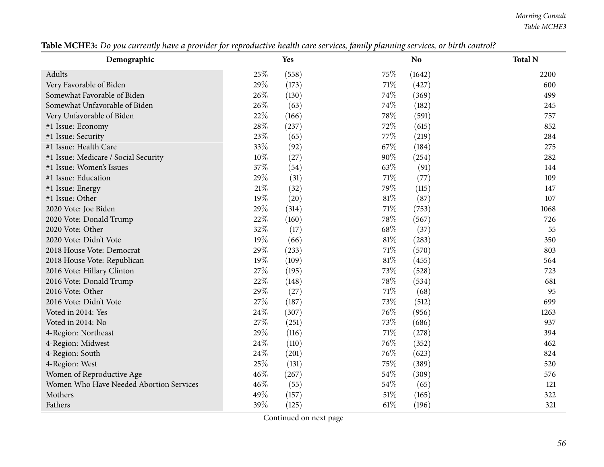*Morning Consult Table MCHE3*

| Demographic                             |      | Yes   |        | 0<br>N <sub>o</sub> | <b>Total N</b> |
|-----------------------------------------|------|-------|--------|---------------------|----------------|
| Adults                                  | 25%  | (558) | 75%    | (1642)              | 2200           |
| Very Favorable of Biden                 | 29%  | (173) | 71\%   | (427)               | 600            |
| Somewhat Favorable of Biden             | 26%  | (130) | 74%    | (369)               | 499            |
| Somewhat Unfavorable of Biden           | 26%  | (63)  | 74%    | (182)               | 245            |
| Very Unfavorable of Biden               | 22%  | (166) | 78%    | (591)               | 757            |
| #1 Issue: Economy                       | 28%  | (237) | 72%    | (615)               | 852            |
| #1 Issue: Security                      | 23%  | (65)  | 77\%   | (219)               | 284            |
| #1 Issue: Health Care                   | 33%  | (92)  | 67\%   | (184)               | 275            |
| #1 Issue: Medicare / Social Security    | 10%  | (27)  | 90%    | (254)               | 282            |
| #1 Issue: Women's Issues                | 37%  | (54)  | 63%    | (91)                | 144            |
| #1 Issue: Education                     | 29%  | (31)  | 71%    | (77)                | 109            |
| #1 Issue: Energy                        | 21\% | (32)  | 79%    | (115)               | 147            |
| #1 Issue: Other                         | 19%  | (20)  | 81%    | (87)                | 107            |
| 2020 Vote: Joe Biden                    | 29%  | (314) | 71%    | (753)               | 1068           |
| 2020 Vote: Donald Trump                 | 22%  | (160) | 78%    | (567)               | 726            |
| 2020 Vote: Other                        | 32%  | (17)  | 68%    | (37)                | 55             |
| 2020 Vote: Didn't Vote                  | 19%  | (66)  | 81%    | (283)               | 350            |
| 2018 House Vote: Democrat               | 29%  | (233) | $71\%$ | (570)               | 803            |
| 2018 House Vote: Republican             | 19%  | (109) | 81%    | (455)               | 564            |
| 2016 Vote: Hillary Clinton              | 27%  | (195) | 73%    | (528)               | 723            |
| 2016 Vote: Donald Trump                 | 22%  | (148) | 78%    | (534)               | 681            |
| 2016 Vote: Other                        | 29%  | (27)  | 71%    | (68)                | 95             |
| 2016 Vote: Didn't Vote                  | 27%  | (187) | 73%    | (512)               | 699            |
| Voted in 2014: Yes                      | 24%  | (307) | 76%    | (956)               | 1263           |
| Voted in 2014: No                       | 27%  | (251) | 73%    | (686)               | 937            |
| 4-Region: Northeast                     | 29%  | (116) | 71%    | (278)               | 394            |
| 4-Region: Midwest                       | 24\% | (110) | 76%    | (352)               | 462            |
| 4-Region: South                         | 24\% | (201) | 76%    | (623)               | 824            |
| 4-Region: West                          | 25%  | (131) | 75%    | (389)               | 520            |
| Women of Reproductive Age               | 46%  | (267) | 54%    | (309)               | 576            |
| Women Who Have Needed Abortion Services | 46%  | (55)  | 54%    | (65)                | 121            |
| Mothers                                 | 49%  | (157) | 51%    | (165)               | 322            |
| Fathers                                 | 39%  | (125) | 61\%   | (196)               | 321            |

Table MCHE3: Do you currently have a provider for reproductive health care services, family planning services, or birth control?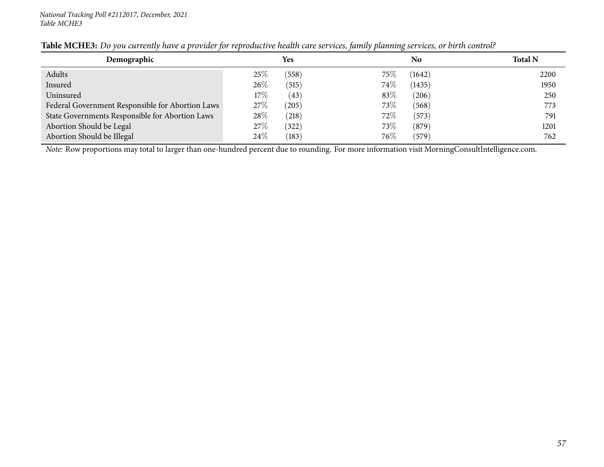| Demographic                                      |        | Yes   |        | No     | <b>Total N</b> |
|--------------------------------------------------|--------|-------|--------|--------|----------------|
| Adults                                           | 25%    | (558) | $75\%$ | (1642) | 2200           |
| Insured                                          | 26\%   | (515) | 74\%   | (1435) | 1950           |
| Uninsured                                        | $17\%$ | (43)  | 83\%   | (206)  | 250            |
| Federal Government Responsible for Abortion Laws | 27\%   | (205) | 73\%   | (568)  | 773            |
| State Governments Responsible for Abortion Laws  | 28%    | (218) | $72\%$ | (573)  | 791            |
| Abortion Should be Legal                         | 27%    | (322) | 73\%   | (879)  | 1201           |
| Abortion Should be Illegal                       | 24%    | (183) | 76\%   | (579)  | 762            |

## Table MCHE3: Do you currently have a provider for reproductive health care services, family planning services, or birth control?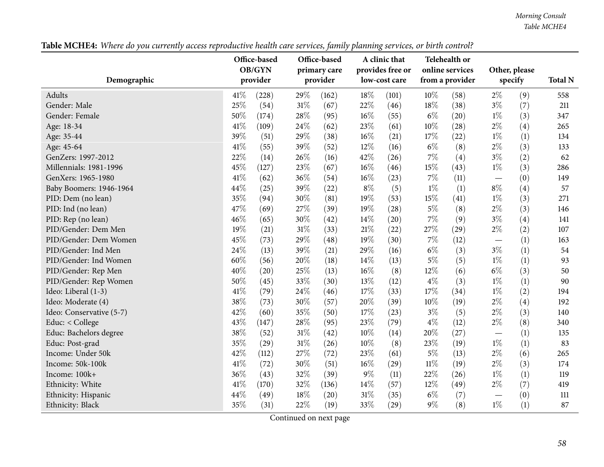*Morning Consult Table MCHE4*

Table MCHE4: Where do you currently access reproductive health care services, family planning services, or birth control?

| Demographic              |      | Office-based<br>OB/GYN<br>provider |        | Office-based<br>primary care<br>provider |        | A clinic that<br>provides free or<br>low-cost care |        | Telehealth or<br>online services<br>from a provider |       | Other, please<br>specify | <b>Total N</b> |
|--------------------------|------|------------------------------------|--------|------------------------------------------|--------|----------------------------------------------------|--------|-----------------------------------------------------|-------|--------------------------|----------------|
| Adults                   | 41\% | (228)                              | 29%    | (162)                                    | 18%    | (101)                                              | 10%    | (58)                                                | $2\%$ | (9)                      | 558            |
| Gender: Male             | 25%  | (54)                               | 31%    | (67)                                     | 22%    | (46)                                               | 18%    | (38)                                                | $3\%$ | (7)                      | 211            |
| Gender: Female           | 50%  | (174)                              | 28\%   | (95)                                     | 16%    | (55)                                               | $6\%$  | (20)                                                | $1\%$ | (3)                      | 347            |
| Age: 18-34               | 41%  | (109)                              | 24%    | (62)                                     | 23%    | (61)                                               | 10%    | (28)                                                | $2\%$ | (4)                      | 265            |
| Age: 35-44               | 39%  | (51)                               | 29%    | (38)                                     | 16%    | (21)                                               | 17%    | (22)                                                | $1\%$ | (1)                      | 134            |
| Age: 45-64               | 41\% | (55)                               | 39%    | (52)                                     | 12%    | (16)                                               | $6\%$  | (8)                                                 | $2\%$ | (3)                      | 133            |
| GenZers: 1997-2012       | 22%  | (14)                               | 26\%   | (16)                                     | 42%    | (26)                                               | $7\%$  | (4)                                                 | $3\%$ | (2)                      | 62             |
| Millennials: 1981-1996   | 45%  | (127)                              | 23%    | (67)                                     | 16%    | (46)                                               | 15%    | (43)                                                | $1\%$ | (3)                      | 286            |
| GenXers: 1965-1980       | 41%  | (62)                               | 36%    | (54)                                     | 16%    | (23)                                               | $7\%$  | (11)                                                |       | (0)                      | 149            |
| Baby Boomers: 1946-1964  | 44%  | (25)                               | 39%    | (22)                                     | $8\%$  | (5)                                                | $1\%$  | (1)                                                 | $8\%$ | (4)                      | 57             |
| PID: Dem (no lean)       | 35%  | (94)                               | 30%    | (81)                                     | 19%    | (53)                                               | 15%    | (41)                                                | $1\%$ | (3)                      | 271            |
| PID: Ind (no lean)       | 47%  | (69)                               | 27%    | (39)                                     | 19%    | (28)                                               | $5\%$  | (8)                                                 | $2\%$ | (3)                      | 146            |
| PID: Rep (no lean)       | 46%  | (65)                               | 30%    | (42)                                     | 14%    | (20)                                               | 7%     | (9)                                                 | $3\%$ | (4)                      | 141            |
| PID/Gender: Dem Men      | 19%  | (21)                               | $31\%$ | (33)                                     | 21%    | (22)                                               | 27%    | (29)                                                | $2\%$ | (2)                      | 107            |
| PID/Gender: Dem Women    | 45%  | (73)                               | 29%    | (48)                                     | 19%    | (30)                                               | $7\%$  | (12)                                                |       | (1)                      | 163            |
| PID/Gender: Ind Men      | 24%  | (13)                               | 39%    | (21)                                     | 29%    | (16)                                               | $6\%$  | (3)                                                 | $3\%$ | (1)                      | 54             |
| PID/Gender: Ind Women    | 60%  | (56)                               | 20%    | (18)                                     | 14%    | (13)                                               | $5\%$  | (5)                                                 | $1\%$ | (1)                      | 93             |
| PID/Gender: Rep Men      | 40%  | (20)                               | 25%    | (13)                                     | 16%    | (8)                                                | 12%    | (6)                                                 | $6\%$ | (3)                      | 50             |
| PID/Gender: Rep Women    | 50%  | (45)                               | 33%    | (30)                                     | 13%    | (12)                                               | $4\%$  | (3)                                                 | $1\%$ | (1)                      | 90             |
| Ideo: Liberal (1-3)      | 41%  | (79)                               | 24%    | (46)                                     | 17%    | (33)                                               | 17%    | (34)                                                | $1\%$ | (2)                      | 194            |
| Ideo: Moderate (4)       | 38%  | (73)                               | 30%    | (57)                                     | 20%    | (39)                                               | 10%    | (19)                                                | $2\%$ | (4)                      | 192            |
| Ideo: Conservative (5-7) | 42%  | (60)                               | 35%    | (50)                                     | 17%    | (23)                                               | $3\%$  | (5)                                                 | $2\%$ | (3)                      | 140            |
| Educ: < College          | 43%  | (147)                              | 28%    | (95)                                     | 23%    | (79)                                               | $4\%$  | (12)                                                | $2\%$ | (8)                      | 340            |
| Educ: Bachelors degree   | 38%  | (52)                               | 31%    | (42)                                     | 10%    | (14)                                               | 20%    | (27)                                                |       | (1)                      | 135            |
| Educ: Post-grad          | 35%  | (29)                               | 31%    | (26)                                     | 10%    | (8)                                                | 23%    | (19)                                                | $1\%$ | (1)                      | 83             |
| Income: Under 50k        | 42%  | (112)                              | 27\%   | (72)                                     | 23%    | (61)                                               | $5\%$  | (13)                                                | $2\%$ | (6)                      | 265            |
| Income: 50k-100k         | 41%  | (72)                               | 30%    | (51)                                     | $16\%$ | (29)                                               | $11\%$ | (19)                                                | $2\%$ | (3)                      | 174            |
| Income: 100k+            | 36%  | (43)                               | 32%    | (39)                                     | $9\%$  | (11)                                               | 22%    | (26)                                                | $1\%$ | (1)                      | 119            |
| Ethnicity: White         | 41%  | (170)                              | 32%    | (136)                                    | 14%    | (57)                                               | 12%    | (49)                                                | $2\%$ | (7)                      | 419            |
| Ethnicity: Hispanic      | 44%  | (49)                               | 18%    | (20)                                     | 31%    | (35)                                               | $6\%$  | (7)                                                 |       | (0)                      | 111            |
| Ethnicity: Black         | 35%  | (31)                               | 22%    | (19)                                     | 33%    | (29)                                               | $9\%$  | (8)                                                 | $1\%$ | (1)                      | 87             |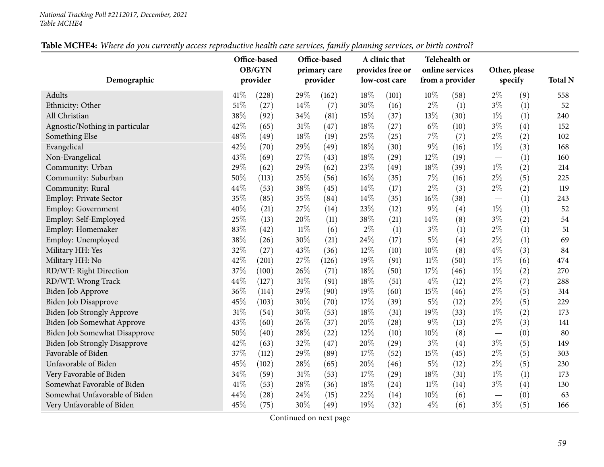## *National Tracking Poll #2112017, December, <sup>2021</sup> Table MCHE4*

| Table MCHE4: Where do you currently access reproductive health care services, family planning services, or birth control? |  |
|---------------------------------------------------------------------------------------------------------------------------|--|
|---------------------------------------------------------------------------------------------------------------------------|--|

| Demographic                          |      | Office-based<br>OB/GYN<br>provider |        | Office-based<br>primary care<br>provider |       | A clinic that<br>provides free or<br>low-cost care |        | Telehealth or<br>online services<br>from a provider |                                 | Other, please<br>specify | <b>Total N</b> |
|--------------------------------------|------|------------------------------------|--------|------------------------------------------|-------|----------------------------------------------------|--------|-----------------------------------------------------|---------------------------------|--------------------------|----------------|
|                                      |      |                                    |        |                                          |       |                                                    |        |                                                     |                                 |                          |                |
| Adults                               | 41\% | (228)                              | 29%    | (162)                                    | 18%   | (101)                                              | 10%    | (58)                                                | $2\%$                           | (9)                      | 558            |
| Ethnicity: Other                     | 51%  | (27)                               | 14\%   | (7)                                      | 30%   | (16)                                               | $2\%$  | (1)                                                 | $3\%$                           | (1)                      | 52             |
| All Christian                        | 38%  | (92)                               | 34%    | (81)                                     | 15%   | (37)                                               | 13%    | (30)                                                | $1\%$                           | (1)                      | 240            |
| Agnostic/Nothing in particular       | 42%  | (65)                               | 31%    | (47)                                     | 18%   | (27)                                               | $6\%$  | (10)                                                | $3\%$                           | (4)                      | 152            |
| Something Else                       | 48%  | (49)                               | 18%    | (19)                                     | 25%   | (25)                                               | $7\%$  | (7)                                                 | $2\%$                           | (2)                      | 102            |
| Evangelical                          | 42%  | (70)                               | 29%    | (49)                                     | 18%   | (30)                                               | $9\%$  | (16)                                                | $1\%$                           | (3)                      | 168            |
| Non-Evangelical                      | 43%  | (69)                               | 27%    | (43)                                     | 18%   | (29)                                               | 12%    | (19)                                                | $\qquad \qquad -$               | (1)                      | 160            |
| Community: Urban                     | 29%  | (62)                               | 29%    | (62)                                     | 23%   | (49)                                               | 18%    | (39)                                                | $1\%$                           | (2)                      | 214            |
| Community: Suburban                  | 50%  | (113)                              | 25%    | (56)                                     | 16%   | (35)                                               | $7\%$  | (16)                                                | $2\%$                           | (5)                      | 225            |
| Community: Rural                     | 44%  | (53)                               | 38%    | (45)                                     | 14%   | (17)                                               | $2\%$  | (3)                                                 | $2\%$                           | (2)                      | 119            |
| Employ: Private Sector               | 35%  | (85)                               | 35%    | (84)                                     | 14%   | (35)                                               | $16\%$ | (38)                                                | $\hspace{0.1mm}-\hspace{0.1mm}$ | (1)                      | 243            |
| Employ: Government                   | 40%  | (21)                               | 27%    | (14)                                     | 23%   | (12)                                               | $9\%$  | (4)                                                 | $1\%$                           | (1)                      | 52             |
| Employ: Self-Employed                | 25%  | (13)                               | 20%    | (11)                                     | 38%   | (21)                                               | 14\%   | (8)                                                 | $3\%$                           | (2)                      | 54             |
| Employ: Homemaker                    | 83%  | (42)                               | $11\%$ | (6)                                      | $2\%$ | (1)                                                | $3\%$  | (1)                                                 | $2\%$                           | (1)                      | 51             |
| Employ: Unemployed                   | 38%  | (26)                               | 30%    | (21)                                     | 24%   | (17)                                               | $5\%$  | (4)                                                 | $2\%$                           | (1)                      | 69             |
| Military HH: Yes                     | 32%  | (27)                               | 43%    | (36)                                     | 12%   | (10)                                               | 10%    | (8)                                                 | $4\%$                           | (3)                      | 84             |
| Military HH: No                      | 42%  | (201)                              | 27%    | (126)                                    | 19%   | (91)                                               | $11\%$ | (50)                                                | $1\%$                           | (6)                      | 474            |
| RD/WT: Right Direction               | 37%  | (100)                              | 26%    | (71)                                     | 18%   | (50)                                               | 17%    | (46)                                                | $1\%$                           | (2)                      | 270            |
| RD/WT: Wrong Track                   | 44%  | (127)                              | 31%    | (91)                                     | 18%   | (51)                                               | $4\%$  | (12)                                                | $2\%$                           | (7)                      | 288            |
| Biden Job Approve                    | 36%  | (114)                              | 29%    | (90)                                     | 19%   | (60)                                               | 15%    | (46)                                                | $2\%$                           | (5)                      | 314            |
| Biden Job Disapprove                 | 45%  | (103)                              | 30%    | (70)                                     | 17%   | (39)                                               | $5\%$  | (12)                                                | $2\%$                           | (5)                      | 229            |
| <b>Biden Job Strongly Approve</b>    | 31%  | (54)                               | 30%    | (53)                                     | 18%   | (31)                                               | 19%    | (33)                                                | $1\%$                           | (2)                      | 173            |
| Biden Job Somewhat Approve           | 43%  | (60)                               | 26%    | (37)                                     | 20%   | (28)                                               | $9\%$  | (13)                                                | $2\%$                           | (3)                      | 141            |
| Biden Job Somewhat Disapprove        | 50%  | (40)                               | 28%    | (22)                                     | 12%   | (10)                                               | 10%    | (8)                                                 | $\hspace{0.1mm}-\hspace{0.1mm}$ | (0)                      | 80             |
| <b>Biden Job Strongly Disapprove</b> | 42%  | (63)                               | 32%    | (47)                                     | 20%   | (29)                                               | $3\%$  | (4)                                                 | $3\%$                           | (5)                      | 149            |
| Favorable of Biden                   | 37%  | (112)                              | 29%    | (89)                                     | 17%   | (52)                                               | 15%    | (45)                                                | $2\%$                           | (5)                      | 303            |
| Unfavorable of Biden                 | 45%  | (102)                              | 28%    | (65)                                     | 20%   | (46)                                               | $5\%$  | (12)                                                | $2\%$                           | (5)                      | 230            |
| Very Favorable of Biden              | 34%  | (59)                               | $31\%$ | (53)                                     | 17%   | (29)                                               | $18\%$ | (31)                                                | $1\%$                           | (1)                      | 173            |
| Somewhat Favorable of Biden          | 41\% | (53)                               | 28%    | (36)                                     | 18%   | (24)                                               | $11\%$ | (14)                                                | $3\%$                           | (4)                      | 130            |
| Somewhat Unfavorable of Biden        | 44%  | (28)                               | 24%    | (15)                                     | 22%   | (14)                                               | $10\%$ | (6)                                                 |                                 | (0)                      | 63             |
| Very Unfavorable of Biden            | 45%  | (75)                               | 30%    | (49)                                     | 19%   | (32)                                               | $4\%$  | (6)                                                 | $3\%$                           | (5)                      | 166            |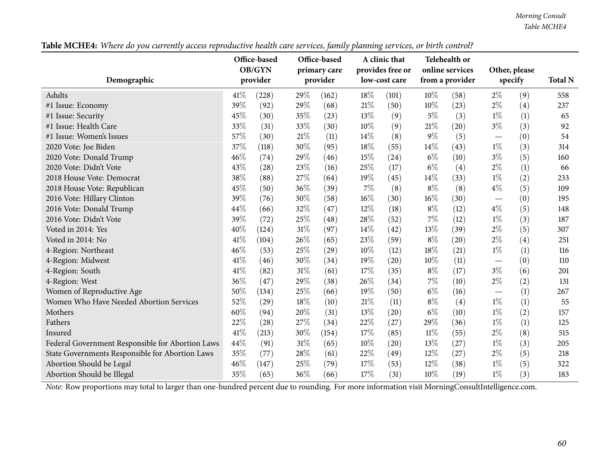*Morning Consult Table MCHE4*

Table MCHE4: Where do you currently access reproductive health care services, family planning services, or birth control?

| Demographic                                      |        | Office-based<br>OB/GYN<br>provider |     | Office-based<br>primary care<br>provider |        | A clinic that<br>provides free or<br>low-cost care |        | Telehealth or<br>online services<br>from a provider |                                   | Other, please<br>specify | <b>Total N</b> |
|--------------------------------------------------|--------|------------------------------------|-----|------------------------------------------|--------|----------------------------------------------------|--------|-----------------------------------------------------|-----------------------------------|--------------------------|----------------|
| Adults                                           | 41\%   | (228)                              | 29% | (162)                                    | 18\%   | (101)                                              | $10\%$ | (58)                                                | $2\%$                             | (9)                      | 558            |
| #1 Issue: Economy                                | 39%    | (92)                               | 29% | (68)                                     | 21%    | (50)                                               | 10%    | (23)                                                | $2\%$                             | (4)                      | 237            |
| #1 Issue: Security                               | 45%    | (30)                               | 35% | (23)                                     | 13\%   | (9)                                                | $5\%$  | (3)                                                 | $1\%$                             | (1)                      | 65             |
| #1 Issue: Health Care                            | 33%    | (31)                               | 33% | (30)                                     | 10%    | (9)                                                | 21%    | (20)                                                | $3\%$                             | (3)                      | 92             |
| #1 Issue: Women's Issues                         | 57%    | (30)                               | 21% | (11)                                     | 14\%   | (8)                                                | $9\%$  | (5)                                                 |                                   | (0)                      | 54             |
| 2020 Vote: Joe Biden                             | 37%    | (118)                              | 30% | (95)                                     | 18%    | (55)                                               | $14\%$ | (43)                                                | $1\%$                             | (3)                      | 314            |
| 2020 Vote: Donald Trump                          | 46%    | (74)                               | 29% | (46)                                     | 15%    | (24)                                               | $6\%$  | (10)                                                | $3\%$                             | (5)                      | 160            |
| 2020 Vote: Didn't Vote                           | 43%    | (28)                               | 23% | (16)                                     | 25%    | (17)                                               | $6\%$  | (4)                                                 | $2\%$                             | (1)                      | 66             |
| 2018 House Vote: Democrat                        | 38%    | (88)                               | 27% | (64)                                     | $19\%$ | (45)                                               | 14\%   | (33)                                                | $1\%$                             | (2)                      | 233            |
| 2018 House Vote: Republican                      | 45%    | (50)                               | 36% | (39)                                     | 7%     | (8)                                                | $8\%$  | (8)                                                 | $4\%$                             | (5)                      | 109            |
| 2016 Vote: Hillary Clinton                       | 39%    | (76)                               | 30% | (58)                                     | 16%    | (30)                                               | $16\%$ | (30)                                                |                                   | (0)                      | 195            |
| 2016 Vote: Donald Trump                          | 44%    | (66)                               | 32% | (47)                                     | $12\%$ | (18)                                               | $8\%$  | (12)                                                | $4\%$                             | (5)                      | 148            |
| 2016 Vote: Didn't Vote                           | 39%    | (72)                               | 25% | (48)                                     | 28%    | (52)                                               | 7%     | (12)                                                | $1\%$                             | (3)                      | 187            |
| Voted in 2014: Yes                               | $40\%$ | (124)                              | 31% | (97)                                     | 14\%   | (42)                                               | $13\%$ | (39)                                                | $2\%$                             | (5)                      | 307            |
| Voted in 2014: No                                | 41\%   | (104)                              | 26% | (65)                                     | 23%    | (59)                                               | $8\%$  | (20)                                                | $2\%$                             | (4)                      | 251            |
| 4-Region: Northeast                              | 46%    | (53)                               | 25% | (29)                                     | 10%    | (12)                                               | 18%    | (21)                                                | $1\%$                             | (1)                      | 116            |
| 4-Region: Midwest                                | 41%    | (46)                               | 30% | (34)                                     | 19%    | (20)                                               | 10%    | (11)                                                | $\overbrace{\phantom{123221111}}$ | (0)                      | 110            |
| 4-Region: South                                  | 41\%   | (82)                               | 31% | (61)                                     | 17%    | (35)                                               | $8\%$  | (17)                                                | $3\%$                             | (6)                      | 201            |
| 4-Region: West                                   | 36%    | (47)                               | 29% | (38)                                     | 26%    | (34)                                               | $7\%$  | (10)                                                | $2\%$                             | (2)                      | 131            |
| Women of Reproductive Age                        | 50%    | (134)                              | 25% | (66)                                     | 19%    | (50)                                               | $6\%$  | (16)                                                |                                   | (1)                      | 267            |
| Women Who Have Needed Abortion Services          | 52%    | (29)                               | 18% | (10)                                     | 21%    | (11)                                               | $8\%$  | (4)                                                 | $1\%$                             | (1)                      | 55             |
| Mothers                                          | 60%    | (94)                               | 20% | (31)                                     | 13%    | (20)                                               | $6\%$  | (10)                                                | $1\%$                             | (2)                      | 157            |
| Fathers                                          | 22%    | (28)                               | 27% | (34)                                     | 22%    | (27)                                               | 29%    | (36)                                                | $1\%$                             | (1)                      | 125            |
| Insured                                          | 41\%   | (213)                              | 30% | (154)                                    | 17%    | (85)                                               | 11%    | (55)                                                | $2\%$                             | (8)                      | 515            |
| Federal Government Responsible for Abortion Laws | 44%    | (91)                               | 31% | (65)                                     | 10%    | (20)                                               | 13%    | (27)                                                | $1\%$                             | (3)                      | 205            |
| State Governments Responsible for Abortion Laws  | 35%    | (77)                               | 28% | (61)                                     | 22%    | (49)                                               | 12%    | (27)                                                | $2\%$                             | (5)                      | 218            |
| Abortion Should be Legal                         | 46%    | (147)                              | 25% | (79)                                     | 17%    | (53)                                               | 12%    | (38)                                                | $1\%$                             | (5)                      | 322            |
| Abortion Should be Illegal                       | 35%    | (65)                               | 36% | (66)                                     | 17%    | (31)                                               | 10%    | (19)                                                | $1\%$                             | (3)                      | 183            |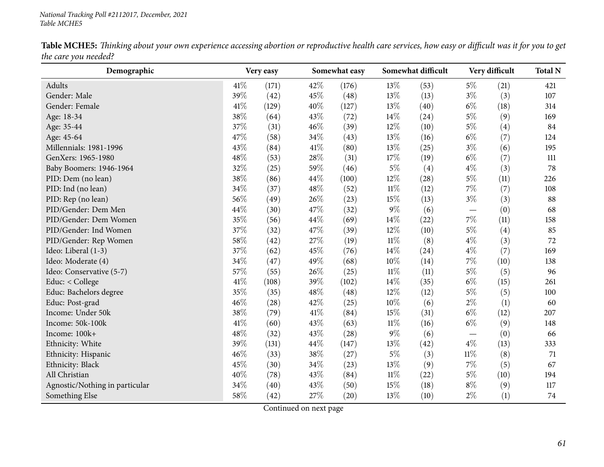Table MCHE5: Thinking about your own experience accessing abortion or reproductive health care services, how easy or difficult was it for you to get *the care you needed?*

| Demographic                    |      | Very easy |        | Somewhat easy |        | Somewhat difficult |                          | Very difficult | <b>Total N</b> |
|--------------------------------|------|-----------|--------|---------------|--------|--------------------|--------------------------|----------------|----------------|
| Adults                         | 41\% | (171)     | 42%    | (176)         | 13%    | (53)               | $5\%$                    | (21)           | 421            |
| Gender: Male                   | 39%  | (42)      | 45%    | (48)          | 13%    | (13)               | $3\%$                    | (3)            | 107            |
| Gender: Female                 | 41\% | (129)     | 40%    | (127)         | 13%    | (40)               | $6\%$                    | (18)           | 314            |
| Age: 18-34                     | 38%  | (64)      | 43%    | (72)          | 14%    | (24)               | $5\%$                    | (9)            | 169            |
| Age: 35-44                     | 37%  | (31)      | 46%    | (39)          | 12%    | (10)               | $5\%$                    | (4)            | 84             |
| Age: 45-64                     | 47%  | (58)      | 34%    | (43)          | 13%    | (16)               | $6\%$                    | (7)            | 124            |
| Millennials: 1981-1996         | 43%  | (84)      | 41\%   | (80)          | 13%    | (25)               | $3\%$                    | (6)            | 195            |
| GenXers: 1965-1980             | 48%  | (53)      | $28\%$ | (31)          | 17%    | (19)               | $6\%$                    | (7)            | 111            |
| Baby Boomers: 1946-1964        | 32%  | (25)      | 59%    | (46)          | $5\%$  | (4)                | $4\%$                    | (3)            | 78             |
| PID: Dem (no lean)             | 38%  | (86)      | 44%    | (100)         | 12%    | (28)               | $5\%$                    | (11)           | 226            |
| PID: Ind (no lean)             | 34%  | (37)      | 48%    | (52)          | $11\%$ | (12)               | $7\%$                    | (7)            | 108            |
| PID: Rep (no lean)             | 56%  | (49)      | 26%    | (23)          | 15%    | (13)               | $3\%$                    | (3)            | 88             |
| PID/Gender: Dem Men            | 44%  | (30)      | 47%    | (32)          | 9%     | (6)                | $\overline{\phantom{m}}$ | (0)            | 68             |
| PID/Gender: Dem Women          | 35%  | (56)      | 44%    | (69)          | 14%    | (22)               | $7\%$                    | (11)           | 158            |
| PID/Gender: Ind Women          | 37%  | (32)      | 47%    | (39)          | 12%    | (10)               | $5\%$                    | (4)            | 85             |
| PID/Gender: Rep Women          | 58%  | (42)      | 27%    | (19)          | $11\%$ | (8)                | $4\%$                    | (3)            | 72             |
| Ideo: Liberal (1-3)            | 37%  | (62)      | 45%    | (76)          | 14%    | (24)               | $4\%$                    | (7)            | 169            |
| Ideo: Moderate (4)             | 34%  | (47)      | 49%    | (68)          | 10%    | (14)               | $7\%$                    | (10)           | 138            |
| Ideo: Conservative (5-7)       | 57%  | (55)      | 26%    | (25)          | $11\%$ | (11)               | $5\%$                    | (5)            | 96             |
| Educ: < College                | 41\% | (108)     | 39%    | (102)         | 14%    | (35)               | $6\%$                    | (15)           | 261            |
| Educ: Bachelors degree         | 35%  | (35)      | 48%    | (48)          | 12%    | (12)               | $5\%$                    | (5)            | 100            |
| Educ: Post-grad                | 46%  | (28)      | 42%    | (25)          | 10%    | (6)                | $2\%$                    | (1)            | 60             |
| Income: Under 50k              | 38%  | (79)      | 41\%   | (84)          | 15%    | (31)               | $6\%$                    | (12)           | 207            |
| Income: 50k-100k               | 41\% | (60)      | 43%    | (63)          | $11\%$ | (16)               | $6\%$                    | (9)            | 148            |
| Income: 100k+                  | 48%  | (32)      | 43%    | (28)          | 9%     | (6)                |                          | (0)            | 66             |
| Ethnicity: White               | 39%  | (131)     | 44%    | (147)         | $13\%$ | (42)               | $4\%$                    | (13)           | 333            |
| Ethnicity: Hispanic            | 46%  | (33)      | 38%    | (27)          | 5%     | (3)                | $11\%$                   | (8)            | 71             |
| Ethnicity: Black               | 45%  | (30)      | 34%    | (23)          | 13%    | (9)                | $7\%$                    | (5)            | 67             |
| All Christian                  | 40%  | (78)      | 43%    | (84)          | $11\%$ | (22)               | $5\%$                    | (10)           | 194            |
| Agnostic/Nothing in particular | 34%  | (40)      | 43%    | (50)          | 15%    | (18)               | $8\%$                    | (9)            | 117            |
| Something Else                 | 58%  | (42)      | 27%    | (20)          | 13%    | (10)               | $2\%$                    | (1)            | 74             |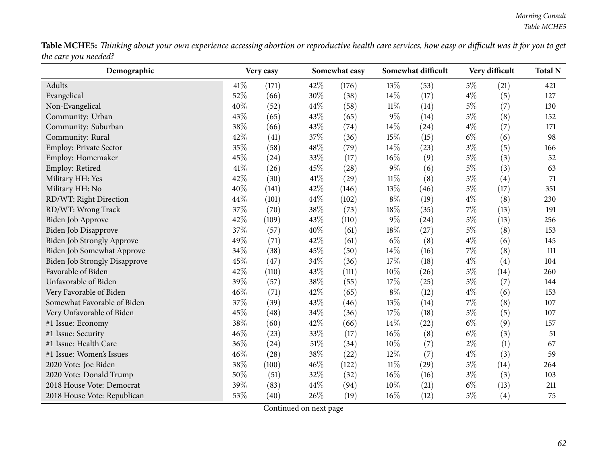Table MCHE5: Thinking about your own experience accessing abortion or reproductive health care services, how easy or difficult was it for you to get *the care you needed?*

| Demographic                          |      | Very easy |        | Somewhat easy |        | Somewhat difficult |       | Very difficult | <b>Total N</b> |
|--------------------------------------|------|-----------|--------|---------------|--------|--------------------|-------|----------------|----------------|
| Adults                               | 41\% | (171)     | 42%    | (176)         | 13%    | (53)               | $5\%$ | (21)           | 421            |
| Evangelical                          | 52%  | (66)      | 30%    | (38)          | 14\%   | (17)               | $4\%$ | (5)            | 127            |
| Non-Evangelical                      | 40%  | (52)      | 44%    | (58)          | $11\%$ | (14)               | $5\%$ | (7)            | 130            |
| Community: Urban                     | 43%  | (65)      | 43%    | (65)          | $9\%$  | (14)               | $5\%$ | (8)            | 152            |
| Community: Suburban                  | 38%  | (66)      | 43%    | (74)          | $14\%$ | (24)               | $4\%$ | (7)            | 171            |
| Community: Rural                     | 42%  | (41)      | 37%    | (36)          | 15%    | (15)               | $6\%$ | (6)            | 98             |
| Employ: Private Sector               | 35%  | (58)      | 48\%   | (79)          | 14\%   | (23)               | $3\%$ | (5)            | 166            |
| Employ: Homemaker                    | 45%  | (24)      | 33%    | (17)          | 16%    | (9)                | $5\%$ | (3)            | 52             |
| Employ: Retired                      | 41\% | (26)      | 45%    | (28)          | $9\%$  | (6)                | $5\%$ | (3)            | 63             |
| Military HH: Yes                     | 42%  | (30)      | 41\%   | (29)          | $11\%$ | (8)                | $5\%$ | (4)            | 71             |
| Military HH: No                      | 40%  | (141)     | 42%    | (146)         | 13%    | (46)               | $5\%$ | (17)           | 351            |
| RD/WT: Right Direction               | 44%  | (101)     | 44%    | (102)         | $8\%$  | (19)               | $4\%$ | (8)            | 230            |
| RD/WT: Wrong Track                   | 37%  | (70)      | 38%    | (73)          | $18\%$ | (35)               | $7\%$ | (13)           | 191            |
| Biden Job Approve                    | 42%  | (109)     | 43%    | (110)         | $9\%$  | (24)               | $5\%$ | (13)           | 256            |
| Biden Job Disapprove                 | 37%  | (57)      | 40%    | (61)          | 18%    | (27)               | $5\%$ | (8)            | 153            |
| Biden Job Strongly Approve           | 49%  | (71)      | 42%    | (61)          | $6\%$  | (8)                | $4\%$ | (6)            | 145            |
| Biden Job Somewhat Approve           | 34%  | (38)      | 45%    | (50)          | 14\%   | (16)               | $7\%$ | (8)            | 111            |
| <b>Biden Job Strongly Disapprove</b> | 45%  | (47)      | 34%    | (36)          | 17%    | (18)               | $4\%$ | (4)            | 104            |
| Favorable of Biden                   | 42%  | (110)     | 43%    | (111)         | 10%    | (26)               | $5\%$ | (14)           | 260            |
| Unfavorable of Biden                 | 39%  | (57)      | 38%    | (55)          | 17%    | (25)               | $5\%$ | (7)            | 144            |
| Very Favorable of Biden              | 46%  | (71)      | 42%    | (65)          | $8\%$  | (12)               | $4\%$ | (6)            | 153            |
| Somewhat Favorable of Biden          | 37%  | (39)      | 43%    | (46)          | 13%    | (14)               | 7%    | (8)            | 107            |
| Very Unfavorable of Biden            | 45%  | (48)      | 34%    | (36)          | 17%    | (18)               | $5\%$ | (5)            | 107            |
| #1 Issue: Economy                    | 38%  | (60)      | 42%    | (66)          | 14\%   | (22)               | $6\%$ | (9)            | 157            |
| #1 Issue: Security                   | 46%  | (23)      | 33%    | (17)          | $16\%$ | (8)                | $6\%$ | (3)            | 51             |
| #1 Issue: Health Care                | 36%  | (24)      | $51\%$ | (34)          | $10\%$ | (7)                | $2\%$ | (1)            | 67             |
| #1 Issue: Women's Issues             | 46%  | (28)      | $38\%$ | (22)          | $12\%$ | (7)                | $4\%$ | (3)            | 59             |
| 2020 Vote: Joe Biden                 | 38%  | (100)     | 46%    | (122)         | $11\%$ | (29)               | $5\%$ | (14)           | 264            |
| 2020 Vote: Donald Trump              | 50%  | (51)      | 32%    | (32)          | $16\%$ | (16)               | $3\%$ | (3)            | 103            |
| 2018 House Vote: Democrat            | 39%  | (83)      | 44\%   | (94)          | 10%    | (21)               | $6\%$ | (13)           | 211            |
| 2018 House Vote: Republican          | 53%  | (40)      | 26\%   | (19)          | 16%    | (12)               | $5\%$ | (4)            | 75             |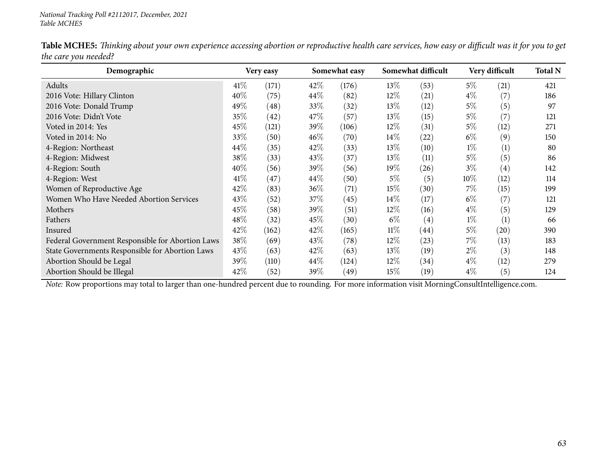Table MCHE5: Thinking about your own experience accessing abortion or reproductive health care services, how easy or difficult was it for you to get *the care you needed?*

| Demographic                                      |        | Very easy |        | Somewhat easy |        | Somewhat difficult |        | Very difficult    | <b>Total N</b> |
|--------------------------------------------------|--------|-----------|--------|---------------|--------|--------------------|--------|-------------------|----------------|
| Adults                                           | $41\%$ | (171)     | 42%    | (176)         | $13\%$ | (53)               | $5\%$  | (21)              | 421            |
| 2016 Vote: Hillary Clinton                       | 40%    | (75)      | $44\%$ | (82)          | $12\%$ | (21)               | $4\%$  | (7)               | 186            |
| 2016 Vote: Donald Trump                          | 49%    | (48)      | 33\%   | (32)          | 13\%   | (12)               | $5\%$  | (5)               | 97             |
| 2016 Vote: Didn't Vote                           | 35%    | (42)      | 47\%   | (57)          | 13%    | (15)               | $5\%$  | (7)               | 121            |
| Voted in 2014: Yes                               | 45\%   | (121)     | 39\%   | (106)         | $12\%$ | (31)               | $5\%$  | (12)              | 271            |
| Voted in 2014: No                                | 33\%   | (50)      | 46\%   | (70)          | $14\%$ | (22)               | $6\%$  | (9)               | 150            |
| 4-Region: Northeast                              | 44\%   | (35)      | 42\%   | (33)          | 13\%   | (10)               | $1\%$  | (1)               | 80             |
| 4-Region: Midwest                                | 38\%   | (33)      | 43\%   | (37)          | 13\%   | (11)               | $5\%$  | (5)               | 86             |
| 4-Region: South                                  | 40%    | (56)      | 39\%   | (56)          | 19%    | (26)               | $3\%$  | $\left( 4\right)$ | 142            |
| 4-Region: West                                   | 41\%   | (47)      | 44\%   | (50)          | $5\%$  | (5)                | $10\%$ | (12)              | 114            |
| Women of Reproductive Age                        | 42\%   | (83)      | $36\%$ | (71)          | 15%    | (30)               | $7\%$  | (15)              | 199            |
| Women Who Have Needed Abortion Services          | 43\%   | (52)      | 37\%   | (45)          | $14\%$ | (17)               | $6\%$  | (7)               | 121            |
| Mothers                                          | 45\%   | (58)      | 39\%   | (51)          | $12\%$ | (16)               | $4\%$  | (5)               | 129            |
| Fathers                                          | $48\%$ | (32)      | 45\%   | (30)          | $6\%$  | $\left( 4\right)$  | $1\%$  | (1)               | 66             |
| Insured                                          | 42\%   | (162)     | 42\%   | (165)         | $11\%$ | $\left( 44\right)$ | $5\%$  | (20)              | 390            |
| Federal Government Responsible for Abortion Laws | 38%    | (69)      | 43\%   | (78)          | $12\%$ | (23)               | $7\%$  | (13)              | 183            |
| State Governments Responsible for Abortion Laws  | 43\%   | (63)      | 42%    | (63)          | 13\%   | (19)               | $2\%$  | (3)               | 148            |
| Abortion Should be Legal                         | 39%    | (110)     | $44\%$ | (124)         | 12%    | (34)               | $4\%$  | (12)              | 279            |
| Abortion Should be Illegal                       | 42\%   | (52)      | 39\%   | (49)          | 15%    | (19)               | $4\%$  | (5)               | 124            |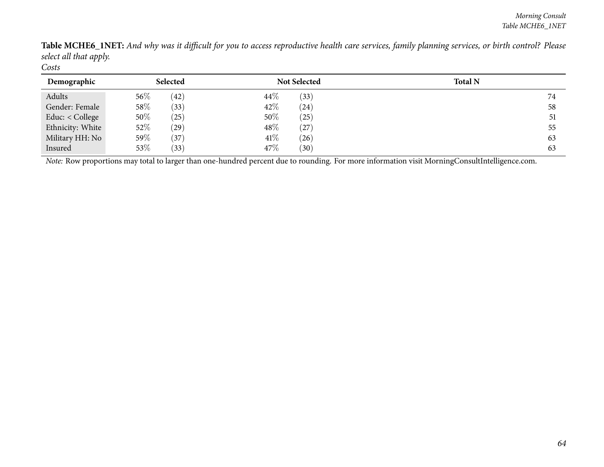Table MCHE6\_INET: And why was it difficult for you to access reproductive health care services, family planning services, or birth control? Please *select all that apply. Costs*

| Demographic      | Selected          | <b>Not Selected</b> | <b>Total N</b> |
|------------------|-------------------|---------------------|----------------|
| Adults           | $56\%$<br>(42)    | 44\%<br>(33)        | 74             |
| Gender: Female   | 58\%<br>(33)      | 42%<br>(24)         | 58             |
| Educ: < College  | 50%<br>$^{'}25)$  | 50%<br>(25)         | 51             |
| Ethnicity: White | 52\%<br>$^{(29)}$ | 48\%<br>(27)        | 55             |
| Military HH: No  | 59%<br>37         | 41\%<br>(26)        | 63             |
| Insured          | 53%<br>(33)       | 47%<br>(30)         | 63             |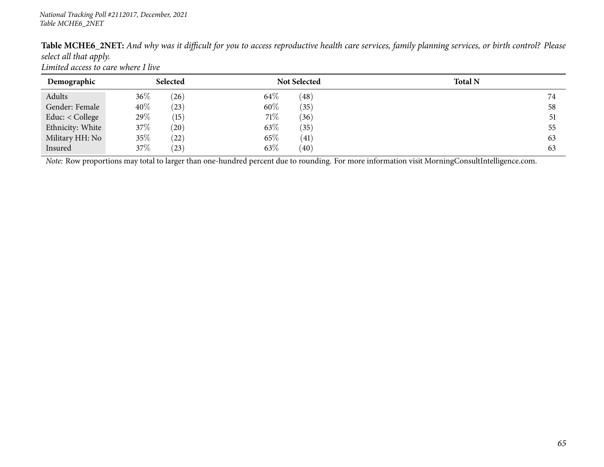|                        |                                     | Table MCHE6_2NET: And why was it difficult for you to access reproductive health care services, family planning services, or birth control? Please |  |  |  |
|------------------------|-------------------------------------|----------------------------------------------------------------------------------------------------------------------------------------------------|--|--|--|
| select all that apply. |                                     |                                                                                                                                                    |  |  |  |
|                        | Limited access to care where I live |                                                                                                                                                    |  |  |  |

| Demographic       | Selected         | <b>Not Selected</b>        | <b>Total N</b> |
|-------------------|------------------|----------------------------|----------------|
| Adults            | $36\%$<br>(26)   | 64\%<br>$\left( 48\right)$ |                |
| Gender: Female    | $40\%$<br>(23)   | 60\%<br>(35)               | 58             |
| Educ: $<$ College | 29%<br>(15)      | 71%<br>(36)                | 51             |
| Ethnicity: White  | 37\%<br>(20)     | 63\%<br>(35)               | 55             |
| Military HH: No   | 35%<br>$^{'}22)$ | 65%<br>(41)                | 63             |
| Insured           | 37%<br>(23)      | 63\%<br>(40)               | 63             |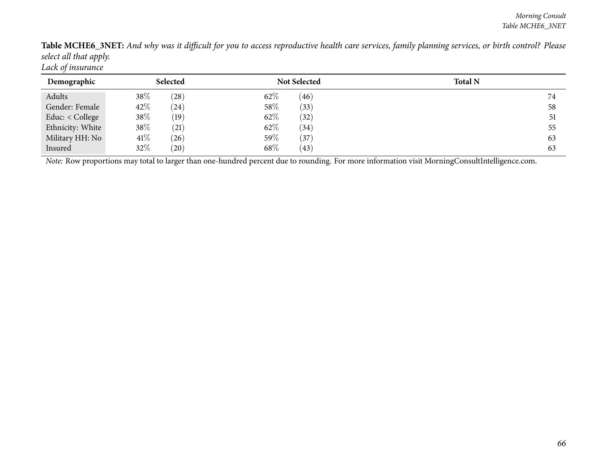Table MCHE6\_3NET: And why was it difficult for you to access reproductive health care services, family planning services, or birth control? Please *select all that apply. Lack of insurance*

**Demographic Selected Not Selected Total <sup>N</sup>**AdultsAdults 38% (28)<br>Gender: Female 42% (24)  $62\%$   $(46)$  74 58 Gender: Female  $42\%$   $(24)$  58%  $(33)$  58%  $(35)$ Educ: < College  $38\%$  (19) 62% (32) 51 Ethnicity: White  $38\%$  (21) 62% (34) 55 Military HH: Noo 41% (26) 59% (37) 63 Insuredd  $32\%$  (20)  $68\%$  (43) 63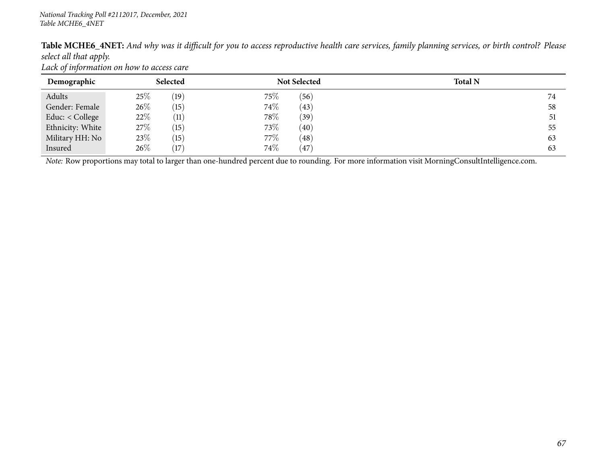Table MCHE6\_4NET: And why was it difficult for you to access reproductive health care services, family planning services, or birth control? Please *select all that apply.*

*Lack of information on how to access care*

| Demographic       | <b>Selected</b> | <b>Not Selected</b> | <b>Total N</b> |
|-------------------|-----------------|---------------------|----------------|
| Adults            | 25\%<br>(19)    | 75%<br>(56)         | 74             |
| Gender: Female    | 26\%<br>(15)    | 74%<br>(43)         | 58             |
| Educ: $<$ College | 22%<br>(11)     | 78%<br>(39)         | 51             |
| Ethnicity: White  | 27\%<br>(15)    | 73%<br>(40)         | 55             |
| Military HH: No   | 23\%<br>(15)    | 77%<br>(48)         | 63             |
| Insured           | 26%<br>17       | 74%<br>(47)         | 63             |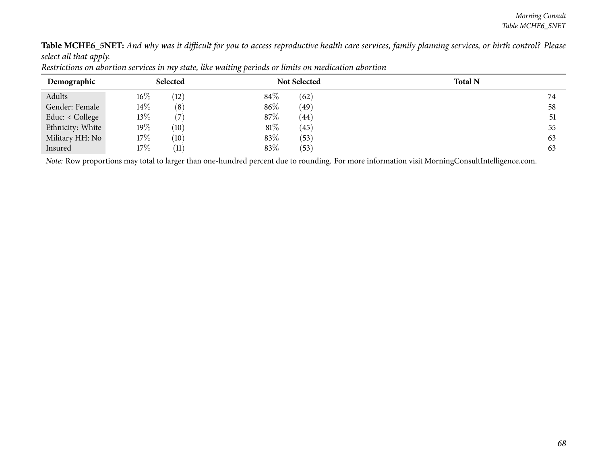Table MCHE6\_5NET: And why was it difficult for you to access reproductive health care services, family planning services, or birth control? Please *select all that apply.*

| Demographic      |        | Selected          |      | <b>Not Selected</b> | <b>Total N</b> |
|------------------|--------|-------------------|------|---------------------|----------------|
| Adults           | $16\%$ | (12)              | 84\% | (62)                | 74             |
| Gender: Female   | $14\%$ | $\left(8\right)$  | 86%  | (49)                | 58             |
| Educ: < College  | 13\%   |                   | 87%  | (44)                | 51             |
| Ethnicity: White | $19\%$ | $\left(10\right)$ | 81%  | (45)                | 55             |
| Military HH: No  | $17\%$ | $\left(10\right)$ | 83%  | (53)                | 63             |
| Insured          | 17%    | (11)              | 83%  | (53)                | 63             |

Restrictions on abortion services in my state, like waiting periods or limits on medication abortion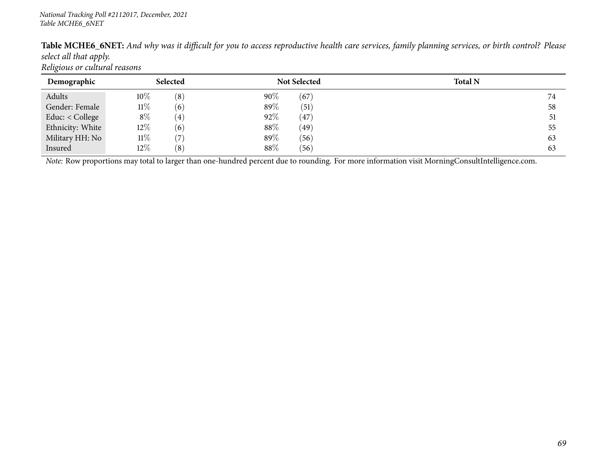| <b>Table MCHE6_6NET:</b> And why was it difficult for you to access reproductive health care services, family planning services, or birth control? Please |  |
|-----------------------------------------------------------------------------------------------------------------------------------------------------------|--|
| select all that apply.                                                                                                                                    |  |
| Religious or cultural reasons                                                                                                                             |  |

| Demographic       | Selected                   | <b>Not Selected</b> | <b>Total N</b> |
|-------------------|----------------------------|---------------------|----------------|
| Adults            | $10\%$<br>(8)              | $90\%$<br>(67)      | 74             |
| Gender: Female    | $11\%$<br>(6)              | 89%<br>(51)         | 58             |
| Educ: $<$ College | $8\%$<br>$\left( 4\right)$ | 92%<br>(47)         | 51             |
| Ethnicity: White  | 12%<br>(6)                 | 88%<br>(49)         | 55             |
| Military HH: No   | $11\%$<br>7                | 89%<br>(56)         | 63             |
| Insured           | $12\%$<br>(8)              | 88%<br>(56)         | 63             |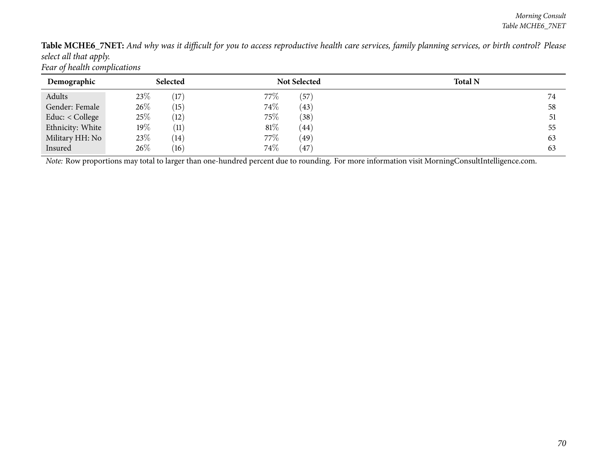Table MCHE6\_7NET: And why was it difficult for you to access reproductive health care services, family planning services, or birth control? Please *select all that apply. Fear of health complications*

| Demographic      | Selected                | <b>Not Selected</b> | <b>Total N</b> |
|------------------|-------------------------|---------------------|----------------|
| Adults           | 23%<br>(17)             | 77\%<br>$^{'}57)$   | 74             |
| Gender: Female   | 26\%<br>(15)            | 74%<br>(43)         | 58             |
| Educ: < College  | 25\%<br>(12)            | 75%<br>(38)         | 51             |
| Ethnicity: White | $19\%$<br>(11)          | $81\%$<br>(44)      | 55             |
| Military HH: No  | 23\%<br>$^{\prime} 14)$ | 77%<br>(49)         | 63             |
| Insured          | $26\%$<br>(16)          | 74%<br>(47)         | 63             |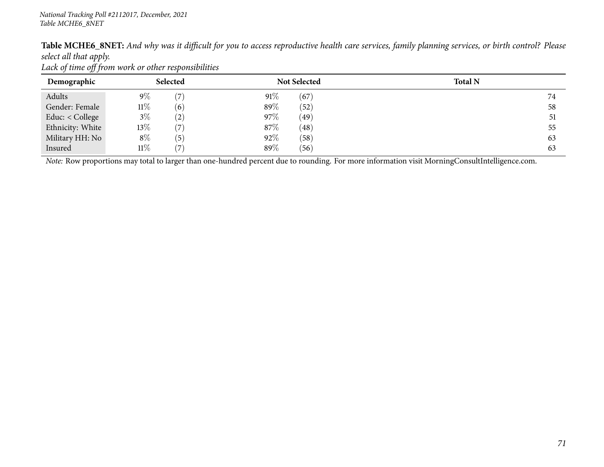Table MCHE6\_8NET: And why was it difficult for you to access reproductive health care services, family planning services, or birth control? Please *select all that apply.*

*Lack of time off from work or other responsibilities*

| Demographic       | Selected                   | <b>Not Selected</b> | <b>Total N</b> |
|-------------------|----------------------------|---------------------|----------------|
| Adults            | $9\%$<br>(7)               | 91%<br>(67)         |                |
| Gender: Female    | $11\%$<br>(6)              | 89%<br>(52)         | 58             |
| Educ: $<$ College | $3\%$<br>$\left( 2\right)$ | 97%<br>(49)         | 51             |
| Ethnicity: White  | $13\%$<br>(7               | 87\%<br>(48)        | 55             |
| Military HH: No   | $8\%$<br>$\left(5\right)$  | 92%<br>(58)         | 63             |
| Insured           | 11%<br>7                   | 89%<br>(56)         | 63             |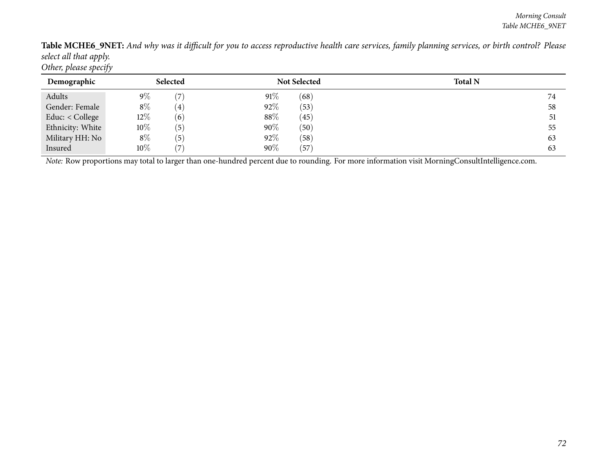Table MCHE6\_9NET: And why was it difficult for you to access reproductive health care services, family planning services, or birth control? Please *select all that apply. Other, <sup>p</sup>lease specify*

| Demographic      | Selected                   |     | <b>Not Selected</b> | <b>Total N</b> |
|------------------|----------------------------|-----|---------------------|----------------|
| Adults           | $9\%$<br>$\left( \right.$  | 91% | (68)                | 74             |
| Gender: Female   | $8\%$<br>4)                | 92% | (53)                | 58             |
| Educ: < College  | $12\%$<br>(6)              | 88% | (45)                | 51             |
| Ethnicity: White | $10\%$<br>$\left(5\right)$ | 90% | (50)                | 55             |
| Military HH: No  | $8\%$<br>$\left(5\right)$  | 92% | (58)                | 63             |
| Insured          | $10\%$<br>$\overline{ }$   | 90% | (57)                | 63             |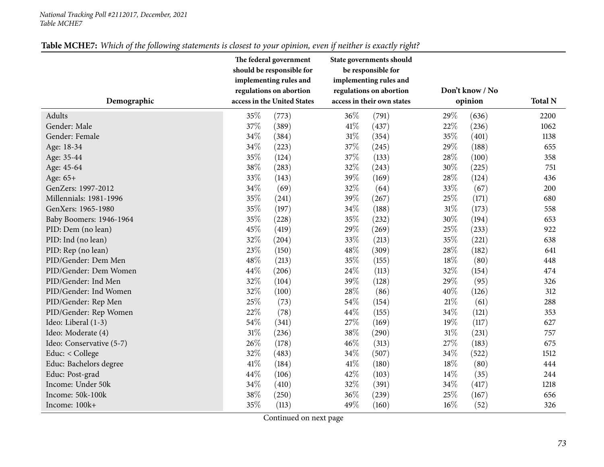#### *National Tracking Poll #2112017, December, <sup>2021</sup> Table MCHE7*

|                          | The federal government<br>should be responsible for<br>implementing rules and<br>regulations on abortion |                             |                            | State governments should<br>be responsible for<br>implementing rules and<br>regulations on abortion |         | Don't know / No |                |
|--------------------------|----------------------------------------------------------------------------------------------------------|-----------------------------|----------------------------|-----------------------------------------------------------------------------------------------------|---------|-----------------|----------------|
| Demographic              |                                                                                                          | access in the United States | access in their own states |                                                                                                     | opinion |                 | <b>Total N</b> |
| Adults                   | 35%                                                                                                      | (773)                       | 36%                        | (791)                                                                                               | 29%     | (636)           | 2200           |
| Gender: Male             | 37%                                                                                                      | (389)                       | 41\%                       | (437)                                                                                               | 22%     | (236)           | 1062           |
| Gender: Female           | 34%                                                                                                      | (384)                       | $31\%$                     | (354)                                                                                               | 35%     | (401)           | 1138           |
| Age: 18-34               | 34%                                                                                                      | (223)                       | 37%                        | (245)                                                                                               | 29%     | (188)           | 655            |
| Age: 35-44               | 35%                                                                                                      | (124)                       | 37%                        | (133)                                                                                               | 28%     | (100)           | 358            |
| Age: 45-64               | 38\%                                                                                                     | (283)                       | 32%                        | (243)                                                                                               | 30%     | (225)           | 751            |
| Age: 65+                 | 33%                                                                                                      | (143)                       | 39%                        | (169)                                                                                               | 28%     | (124)           | 436            |
| GenZers: 1997-2012       | $34\%$                                                                                                   | (69)                        | 32%                        | (64)                                                                                                | 33%     | (67)            | 200            |
| Millennials: 1981-1996   | 35%                                                                                                      | (241)                       | 39%                        | (267)                                                                                               | 25%     | (171)           | 680            |
| GenXers: 1965-1980       | 35%                                                                                                      | (197)                       | 34%                        | (188)                                                                                               | 31%     | (173)           | 558            |
| Baby Boomers: 1946-1964  | 35%                                                                                                      | (228)                       | 35%                        | (232)                                                                                               | 30%     | (194)           | 653            |
| PID: Dem (no lean)       | 45%                                                                                                      | (419)                       | 29%                        | (269)                                                                                               | 25%     | (233)           | 922            |
| PID: Ind (no lean)       | 32%                                                                                                      | (204)                       | 33%                        | (213)                                                                                               | 35%     | (221)           | 638            |
| PID: Rep (no lean)       | 23%                                                                                                      | (150)                       | 48%                        | (309)                                                                                               | 28\%    | (182)           | 641            |
| PID/Gender: Dem Men      | 48%                                                                                                      | (213)                       | 35%                        | (155)                                                                                               | 18%     | (80)            | 448            |
| PID/Gender: Dem Women    | 44%                                                                                                      | (206)                       | 24\%                       | (113)                                                                                               | 32%     | (154)           | 474            |
| PID/Gender: Ind Men      | 32%                                                                                                      | (104)                       | 39%                        | (128)                                                                                               | 29%     | (95)            | 326            |
| PID/Gender: Ind Women    | 32%                                                                                                      | (100)                       | 28%                        | (86)                                                                                                | 40%     | (126)           | 312            |
| PID/Gender: Rep Men      | 25%                                                                                                      | (73)                        | 54%                        | (154)                                                                                               | $21\%$  | (61)            | 288            |
| PID/Gender: Rep Women    | 22%                                                                                                      | (78)                        | 44%                        | (155)                                                                                               | 34%     | (121)           | 353            |
| Ideo: Liberal (1-3)      | 54%                                                                                                      | (341)                       | 27%                        | (169)                                                                                               | 19%     | (117)           | 627            |
| Ideo: Moderate (4)       | $31\%$                                                                                                   | (236)                       | 38%                        | (290)                                                                                               | $31\%$  | (231)           | 757            |
| Ideo: Conservative (5-7) | 26%                                                                                                      | (178)                       | 46%                        | (313)                                                                                               | 27%     | (183)           | 675            |
| Educ: < College          | 32%                                                                                                      | (483)                       | 34%                        | (507)                                                                                               | 34%     | (522)           | 1512           |
| Educ: Bachelors degree   | 41\%                                                                                                     | (184)                       | 41\%                       | (180)                                                                                               | 18%     | (80)            | 444            |
| Educ: Post-grad          | 44%                                                                                                      | (106)                       | 42%                        | (103)                                                                                               | 14%     | (35)            | 244            |
| Income: Under 50k        | 34%                                                                                                      | (410)                       | 32%                        | (391)                                                                                               | 34%     | (417)           | 1218           |
| Income: 50k-100k         | 38%                                                                                                      | (250)                       | 36%                        | (239)                                                                                               | 25%     | (167)           | 656            |
| Income: 100k+            | 35%                                                                                                      | (113)                       | 49%                        | (160)                                                                                               | 16%     | (52)            | 326            |

#### Table MCHE7: Which of the following statements is closest to your opinion, even if neither is exactly right?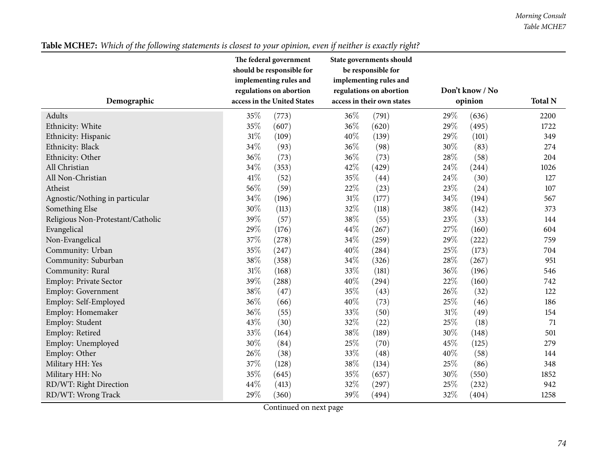|                                   | The federal government<br>should be responsible for<br>implementing rules and |       |        | State governments should<br>be responsible for<br>implementing rules and |                            |                |      |
|-----------------------------------|-------------------------------------------------------------------------------|-------|--------|--------------------------------------------------------------------------|----------------------------|----------------|------|
| Demographic                       | regulations on abortion<br>access in the United States                        |       |        | regulations on abortion<br>access in their own states                    | Don't know / No<br>opinion | <b>Total N</b> |      |
| <b>Adults</b>                     | 35%                                                                           | (773) | 36%    | (791)                                                                    | 29%                        | (636)          | 2200 |
| Ethnicity: White                  | 35%                                                                           | (607) | 36%    | (620)                                                                    | 29%                        | (495)          | 1722 |
| Ethnicity: Hispanic               | $31\%$                                                                        | (109) | 40%    | (139)                                                                    | 29%                        | (101)          | 349  |
| Ethnicity: Black                  | 34%                                                                           | (93)  | 36%    | (98)                                                                     | 30%                        | (83)           | 274  |
| Ethnicity: Other                  | 36%                                                                           | (73)  | 36%    | (73)                                                                     | 28%                        | (58)           | 204  |
| All Christian                     | 34%                                                                           | (353) | 42%    | (429)                                                                    | 24\%                       | (244)          | 1026 |
| All Non-Christian                 | 41%                                                                           | (52)  | 35%    | (44)                                                                     | 24\%                       | (30)           | 127  |
| Atheist                           | 56%                                                                           | (59)  | 22%    | (23)                                                                     | 23%                        | (24)           | 107  |
| Agnostic/Nothing in particular    | 34%                                                                           | (196) | $31\%$ | (177)                                                                    | 34%                        | (194)          | 567  |
| Something Else                    | 30%                                                                           | (113) | 32%    | (118)                                                                    | 38%                        | (142)          | 373  |
| Religious Non-Protestant/Catholic | 39%                                                                           | (57)  | 38%    | (55)                                                                     | 23%                        | (33)           | 144  |
| Evangelical                       | 29%                                                                           | (176) | 44\%   | (267)                                                                    | 27\%                       | (160)          | 604  |
| Non-Evangelical                   | 37%                                                                           | (278) | 34%    | (259)                                                                    | 29%                        | (222)          | 759  |
| Community: Urban                  | 35%                                                                           | (247) | 40%    | (284)                                                                    | 25%                        | (173)          | 704  |
| Community: Suburban               | 38%                                                                           | (358) | 34%    | (326)                                                                    | 28%                        | (267)          | 951  |
| Community: Rural                  | $31\%$                                                                        | (168) | 33%    | (181)                                                                    | 36%                        | (196)          | 546  |
| <b>Employ: Private Sector</b>     | 39%                                                                           | (288) | 40%    | (294)                                                                    | 22%                        | (160)          | 742  |
| <b>Employ: Government</b>         | 38%                                                                           | (47)  | 35%    | (43)                                                                     | 26%                        | (32)           | 122  |
| Employ: Self-Employed             | 36%                                                                           | (66)  | 40%    | (73)                                                                     | 25%                        | (46)           | 186  |
| Employ: Homemaker                 | 36%                                                                           | (55)  | 33%    | (50)                                                                     | $31\%$                     | (49)           | 154  |
| Employ: Student                   | 43%                                                                           | (30)  | 32%    | (22)                                                                     | 25%                        | (18)           | 71   |
| Employ: Retired                   | 33%                                                                           | (164) | 38%    | (189)                                                                    | 30%                        | (148)          | 501  |
| Employ: Unemployed                | 30%                                                                           | (84)  | 25%    | (70)                                                                     | 45%                        | (125)          | 279  |
| Employ: Other                     | 26%                                                                           | (38)  | 33%    | (48)                                                                     | 40%                        | (58)           | 144  |
| Military HH: Yes                  | 37%                                                                           | (128) | 38%    | (134)                                                                    | $25\%$                     | (86)           | 348  |
| Military HH: No                   | 35%                                                                           | (645) | $35\%$ | (657)                                                                    | $30\%$                     | (550)          | 1852 |
| RD/WT: Right Direction            | 44%                                                                           | (413) | 32%    | (297)                                                                    | 25%                        | (232)          | 942  |
| RD/WT: Wrong Track                | 29%                                                                           | (360) | 39%    | (494)                                                                    | 32%                        | (404)          | 1258 |

# Table MCHE7: Which of the following statements is closest to your opinion, even if neither is exactly right?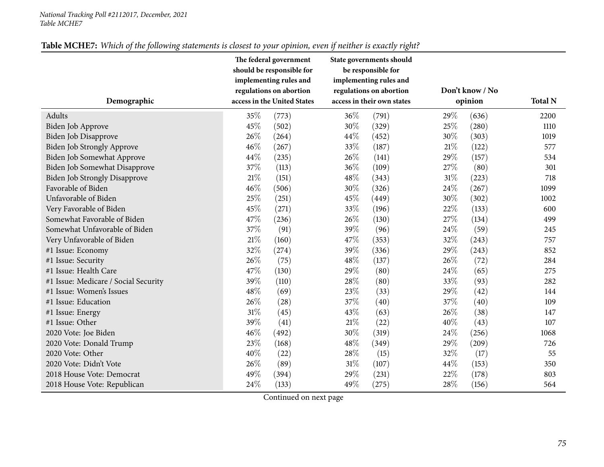#### *National Tracking Poll #2112017, December, <sup>2021</sup> Table MCHE7*

| Demographic                          | The federal government<br>should be responsible for<br>implementing rules and<br>regulations on abortion<br>access in the United States |       |        | State governments should<br>be responsible for<br>implementing rules and<br>regulations on abortion<br>access in their own states | Don't know / No<br>opinion | <b>Total N</b> |      |
|--------------------------------------|-----------------------------------------------------------------------------------------------------------------------------------------|-------|--------|-----------------------------------------------------------------------------------------------------------------------------------|----------------------------|----------------|------|
|                                      |                                                                                                                                         |       |        |                                                                                                                                   |                            |                |      |
| Adults                               | 35%                                                                                                                                     | (773) | 36%    | (791)                                                                                                                             | 29%                        | (636)          | 2200 |
| Biden Job Approve                    | 45%                                                                                                                                     | (502) | 30%    | (329)                                                                                                                             | 25%                        | (280)          | 1110 |
| Biden Job Disapprove                 | 26%                                                                                                                                     | (264) | 44%    | (452)                                                                                                                             | 30%                        | (303)          | 1019 |
| Biden Job Strongly Approve           | 46%                                                                                                                                     | (267) | 33\%   | (187)                                                                                                                             | 21%                        | (122)          | 577  |
| Biden Job Somewhat Approve           | 44%                                                                                                                                     | (235) | 26\%   | (141)                                                                                                                             | 29%                        | (157)          | 534  |
| Biden Job Somewhat Disapprove        | 37%                                                                                                                                     | (113) | 36%    | (109)                                                                                                                             | 27%                        | (80)           | 301  |
| <b>Biden Job Strongly Disapprove</b> | $21\%$                                                                                                                                  | (151) | 48\%   | (343)                                                                                                                             | 31%                        | (223)          | 718  |
| Favorable of Biden                   | 46%                                                                                                                                     | (506) | 30%    | (326)                                                                                                                             | 24%                        | (267)          | 1099 |
| Unfavorable of Biden                 | 25%                                                                                                                                     | (251) | 45%    | (449)                                                                                                                             | 30%                        | (302)          | 1002 |
| Very Favorable of Biden              | 45%                                                                                                                                     | (271) | 33%    | (196)                                                                                                                             | 22%                        | (133)          | 600  |
| Somewhat Favorable of Biden          | 47%                                                                                                                                     | (236) | 26\%   | (130)                                                                                                                             | 27%                        | (134)          | 499  |
| Somewhat Unfavorable of Biden        | 37%                                                                                                                                     | (91)  | 39%    | (96)                                                                                                                              | 24%                        | (59)           | 245  |
| Very Unfavorable of Biden            | $21\%$                                                                                                                                  | (160) | 47\%   | (353)                                                                                                                             | 32%                        | (243)          | 757  |
| #1 Issue: Economy                    | 32%                                                                                                                                     | (274) | 39%    | (336)                                                                                                                             | 29%                        | (243)          | 852  |
| #1 Issue: Security                   | 26%                                                                                                                                     | (75)  | 48\%   | (137)                                                                                                                             | 26\%                       | (72)           | 284  |
| #1 Issue: Health Care                | 47%                                                                                                                                     | (130) | 29%    | (80)                                                                                                                              | 24\%                       | (65)           | 275  |
| #1 Issue: Medicare / Social Security | 39%                                                                                                                                     | (110) | 28%    | (80)                                                                                                                              | 33%                        | (93)           | 282  |
| #1 Issue: Women's Issues             | 48%                                                                                                                                     | (69)  | 23%    | (33)                                                                                                                              | 29%                        | (42)           | 144  |
| #1 Issue: Education                  | 26%                                                                                                                                     | (28)  | 37%    | (40)                                                                                                                              | 37%                        | (40)           | 109  |
| #1 Issue: Energy                     | 31%                                                                                                                                     | (45)  | 43\%   | (63)                                                                                                                              | 26%                        | (38)           | 147  |
| #1 Issue: Other                      | 39%                                                                                                                                     | (41)  | $21\%$ | (22)                                                                                                                              | 40%                        | (43)           | 107  |
| 2020 Vote: Joe Biden                 | 46%                                                                                                                                     | (492) | 30%    | (319)                                                                                                                             | 24%                        | (256)          | 1068 |
| 2020 Vote: Donald Trump              | 23%                                                                                                                                     | (168) | 48\%   | (349)                                                                                                                             | 29%                        | (209)          | 726  |
| 2020 Vote: Other                     | 40%                                                                                                                                     | (22)  | 28\%   | (15)                                                                                                                              | 32%                        | (17)           | 55   |
| 2020 Vote: Didn't Vote               | 26%                                                                                                                                     | (89)  | $31\%$ | (107)                                                                                                                             | 44%                        | (153)          | 350  |
| 2018 House Vote: Democrat            | 49%                                                                                                                                     | (394) | 29%    | (231)                                                                                                                             | 22%                        | (178)          | 803  |
| 2018 House Vote: Republican          | 24%                                                                                                                                     | (133) | 49%    | (275)                                                                                                                             | 28%                        | (156)          | 564  |

# Table MCHE7: Which of the following statements is closest to your opinion, even if neither is exactly right?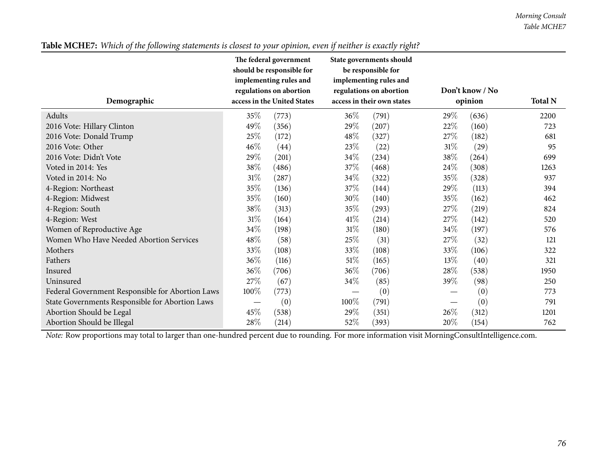|                                                  | The federal government<br>should be responsible for<br>implementing rules and<br>regulations on abortion |                             |                            | State governments should<br>be responsible for<br>implementing rules and<br>regulations on abortion | Don't know / No |       |                |
|--------------------------------------------------|----------------------------------------------------------------------------------------------------------|-----------------------------|----------------------------|-----------------------------------------------------------------------------------------------------|-----------------|-------|----------------|
| Demographic                                      |                                                                                                          | access in the United States | access in their own states |                                                                                                     | opinion         |       | <b>Total N</b> |
| Adults                                           | 35\%                                                                                                     | (773)                       | $36\%$                     | (791)                                                                                               | 29%             | (636) | 2200           |
| 2016 Vote: Hillary Clinton                       | 49%                                                                                                      | (356)                       | 29\%                       | (207)                                                                                               | 22\%            | (160) | 723            |
| 2016 Vote: Donald Trump                          | 25%                                                                                                      | (172)                       | $48\%$                     | (327)                                                                                               | 27\%            | (182) | 681            |
| 2016 Vote: Other                                 | 46\%                                                                                                     | (44)                        | 23\%                       | (22)                                                                                                | 31%             | (29)  | 95             |
| 2016 Vote: Didn't Vote                           | 29%                                                                                                      | (201)                       | 34\%                       | (234)                                                                                               | 38\%            | (264) | 699            |
| Voted in 2014: Yes                               | 38\%                                                                                                     | (486)                       | 37%                        | (468)                                                                                               | 24\%            | (308) | 1263           |
| Voted in 2014: No                                | $31\%$                                                                                                   | (287)                       | $34\%$                     | (322)                                                                                               | 35%             | (328) | 937            |
| 4-Region: Northeast                              | 35%                                                                                                      | (136)                       | 37\%                       | (144)                                                                                               | 29%             | (113) | 394            |
| 4-Region: Midwest                                | 35%                                                                                                      | (160)                       | 30%                        | (140)                                                                                               | 35%             | (162) | 462            |
| 4-Region: South                                  | 38%                                                                                                      | (313)                       | 35\%                       | (293)                                                                                               | 27\%            | (219) | 824            |
| 4-Region: West                                   | $31\%$                                                                                                   | (164)                       | 41\%                       | (214)                                                                                               | 27\%            | (142) | 520            |
| Women of Reproductive Age                        | 34\%                                                                                                     | (198)                       | $31\%$                     | (180)                                                                                               | 34\%            | (197) | 576            |
| Women Who Have Needed Abortion Services          | 48\%                                                                                                     | (58)                        | 25%                        | (31)                                                                                                | 27%             | (32)  | 121            |
| Mothers                                          | 33\%                                                                                                     | (108)                       | 33\%                       | (108)                                                                                               | 33\%            | (106) | 322            |
| Fathers                                          | 36\%                                                                                                     | (116)                       | 51%                        | (165)                                                                                               | $13\%$          | (40)  | 321            |
| Insured                                          | 36\%                                                                                                     | (706)                       | $36\%$                     | (706)                                                                                               | 28\%            | (538) | 1950           |
| Uninsured                                        | 27\%                                                                                                     | (67)                        | 34\%                       | (85)                                                                                                | 39\%            | (98)  | 250            |
| Federal Government Responsible for Abortion Laws | 100%                                                                                                     | (773)                       |                            | (0)                                                                                                 |                 | (0)   | 773            |
| State Governments Responsible for Abortion Laws  |                                                                                                          | (0)                         | 100%                       | (791)                                                                                               |                 | (0)   | 791            |
| Abortion Should be Legal                         | 45\%                                                                                                     | (538)                       | 29\%                       | (351)                                                                                               | 26%             | (312) | 1201           |
| Abortion Should be Illegal                       | 28\%                                                                                                     | (214)                       | 52\%                       | (393)                                                                                               | 20%             | (154) | 762            |

#### Table MCHE7: Which of the following statements is closest to your opinion, even if neither is exactly right?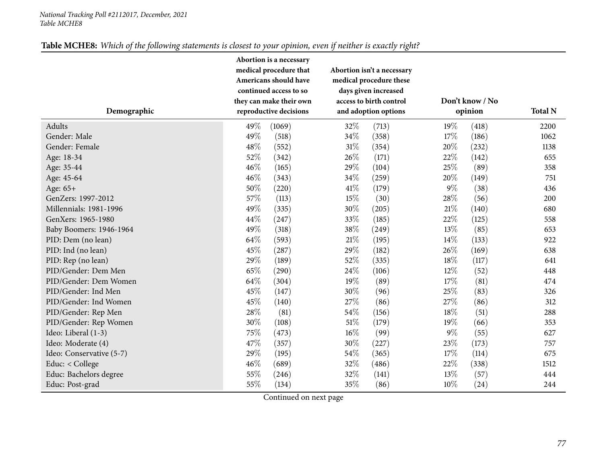#### *National Tracking Poll #2112017, December, <sup>2021</sup> Table MCHE8*

| Table MCHE8: Which of the following statements is closest to your opinion, even if neither is exactly right? |  |
|--------------------------------------------------------------------------------------------------------------|--|
|--------------------------------------------------------------------------------------------------------------|--|

|                          |      | Abortion is a necessary |        |                            |                 |                |      |
|--------------------------|------|-------------------------|--------|----------------------------|-----------------|----------------|------|
|                          |      | medical procedure that  |        | Abortion isn't a necessary |                 |                |      |
|                          |      | Americans should have   |        | medical procedure these    |                 |                |      |
|                          |      | continued access to so  |        | days given increased       |                 |                |      |
|                          |      | they can make their own |        | access to birth control    | Don't know / No |                |      |
| Demographic              |      | reproductive decisions  |        | and adoption options       | opinion         | <b>Total N</b> |      |
| Adults                   | 49\% | (1069)                  | 32%    | (713)                      | 19%             | (418)          | 2200 |
| Gender: Male             | 49%  | (518)                   | 34%    | (358)                      | 17%             | (186)          | 1062 |
| Gender: Female           | 48%  | (552)                   | $31\%$ | (354)                      | 20%             | (232)          | 1138 |
| Age: 18-34               | 52%  | (342)                   | 26%    | (171)                      | 22%             | (142)          | 655  |
| Age: 35-44               | 46%  | (165)                   | 29%    | (104)                      | 25%             | (89)           | 358  |
| Age: 45-64               | 46%  | (343)                   | 34%    | (259)                      | 20%             | (149)          | 751  |
| Age: 65+                 | 50%  | (220)                   | 41\%   | (179)                      | $9\%$           | (38)           | 436  |
| GenZers: 1997-2012       | 57%  | (113)                   | 15%    | (30)                       | 28%             | (56)           | 200  |
| Millennials: 1981-1996   | 49%  | (335)                   | 30%    | (205)                      | $21\%$          | (140)          | 680  |
| GenXers: 1965-1980       | 44%  | (247)                   | 33%    | (185)                      | 22%             | (125)          | 558  |
| Baby Boomers: 1946-1964  | 49%  | (318)                   | 38%    | (249)                      | 13%             | (85)           | 653  |
| PID: Dem (no lean)       | 64%  | (593)                   | $21\%$ | (195)                      | 14\%            | (133)          | 922  |
| PID: Ind (no lean)       | 45%  | (287)                   | 29%    | (182)                      | 26%             | (169)          | 638  |
| PID: Rep (no lean)       | 29%  | (189)                   | 52%    | (335)                      | 18%             | (117)          | 641  |
| PID/Gender: Dem Men      | 65%  | (290)                   | 24\%   | (106)                      | 12%             | (52)           | 448  |
| PID/Gender: Dem Women    | 64%  | (304)                   | 19%    | (89)                       | 17%             | (81)           | 474  |
| PID/Gender: Ind Men      | 45%  | (147)                   | 30%    | (96)                       | 25%             | (83)           | 326  |
| PID/Gender: Ind Women    | 45%  | (140)                   | 27%    | (86)                       | 27%             | (86)           | 312  |
| PID/Gender: Rep Men      | 28%  | (81)                    | 54\%   | (156)                      | 18%             | (51)           | 288  |
| PID/Gender: Rep Women    | 30%  | (108)                   | $51\%$ | (179)                      | 19%             | (66)           | 353  |
| Ideo: Liberal (1-3)      | 75%  | (473)                   | $16\%$ | (99)                       | $9\%$           | (55)           | 627  |
| Ideo: Moderate (4)       | 47%  | (357)                   | $30\%$ | (227)                      | 23%             | (173)          | 757  |
| Ideo: Conservative (5-7) | 29%  | (195)                   | 54%    | (365)                      | 17%             | (114)          | 675  |
| Educ: < College          | 46%  | (689)                   | 32%    | (486)                      | 22%             | (338)          | 1512 |
| Educ: Bachelors degree   | 55%  | (246)                   | 32%    | (141)                      | 13%             | (57)           | 444  |
| Educ: Post-grad          | 55%  | (134)                   | 35%    | (86)                       | 10%             | (24)           | 244  |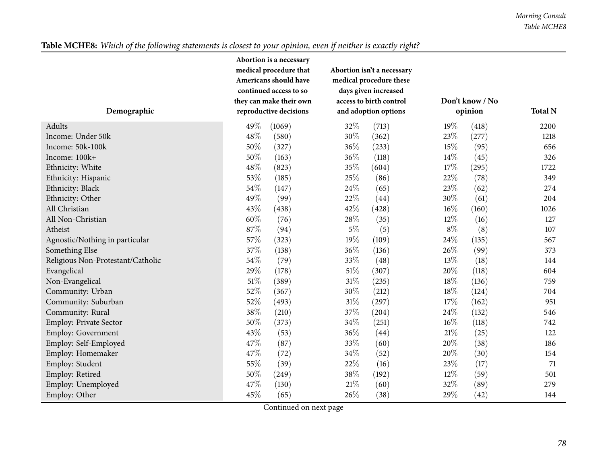| Table MCHE8: Which of the following statements is closest to your opinion, even if neither is exactly right? |  |
|--------------------------------------------------------------------------------------------------------------|--|
|--------------------------------------------------------------------------------------------------------------|--|

|                                   |     | Abortion is a necessary |        |                            |                 |       |                |
|-----------------------------------|-----|-------------------------|--------|----------------------------|-----------------|-------|----------------|
|                                   |     | medical procedure that  |        | Abortion isn't a necessary |                 |       |                |
|                                   |     | Americans should have   |        | medical procedure these    |                 |       |                |
|                                   |     | continued access to so  |        | days given increased       |                 |       |                |
|                                   |     | they can make their own |        | access to birth control    | Don't know / No |       |                |
| Demographic                       |     | reproductive decisions  |        | and adoption options       | opinion         |       | <b>Total N</b> |
| Adults                            | 49% | (1069)                  | 32%    | (713)                      | 19%             | (418) | 2200           |
| Income: Under 50k                 | 48% | (580)                   | 30%    | (362)                      | 23%             | (277) | 1218           |
| Income: 50k-100k                  | 50% | (327)                   | 36%    | (233)                      | 15%             | (95)  | 656            |
| Income: 100k+                     | 50% | (163)                   | 36%    | (118)                      | $14\%$          | (45)  | 326            |
| Ethnicity: White                  | 48% | (823)                   | 35%    | (604)                      | 17%             | (295) | 1722           |
| Ethnicity: Hispanic               | 53% | (185)                   | 25%    | (86)                       | $22\%$          | (78)  | 349            |
| Ethnicity: Black                  | 54% | (147)                   | 24%    | (65)                       | 23%             | (62)  | 274            |
| Ethnicity: Other                  | 49% | (99)                    | 22%    | (44)                       | 30%             | (61)  | 204            |
| All Christian                     | 43% | (438)                   | 42%    | (428)                      | 16%             | (160) | 1026           |
| All Non-Christian                 | 60% | (76)                    | 28\%   | (35)                       | 12%             | (16)  | 127            |
| Atheist                           | 87% | (94)                    | $5\%$  | (5)                        | $8\%$           | (8)   | 107            |
| Agnostic/Nothing in particular    | 57% | (323)                   | 19%    | (109)                      | 24%             | (135) | 567            |
| Something Else                    | 37% | (138)                   | 36%    | (136)                      | 26%             | (99)  | 373            |
| Religious Non-Protestant/Catholic | 54% | (79)                    | 33%    | (48)                       | 13%             | (18)  | 144            |
| Evangelical                       | 29% | (178)                   | $51\%$ | (307)                      | 20%             | (118) | 604            |
| Non-Evangelical                   | 51% | (389)                   | $31\%$ | (235)                      | $18\%$          | (136) | 759            |
| Community: Urban                  | 52% | (367)                   | 30%    | (212)                      | 18%             | (124) | 704            |
| Community: Suburban               | 52% | (493)                   | 31%    | (297)                      | 17%             | (162) | 951            |
| Community: Rural                  | 38% | (210)                   | 37%    | (204)                      | 24%             | (132) | 546            |
| <b>Employ: Private Sector</b>     | 50% | (373)                   | 34\%   | (251)                      | 16%             | (118) | 742            |
| <b>Employ: Government</b>         | 43% | (53)                    | 36%    | (44)                       | $21\%$          | (25)  | 122            |
| Employ: Self-Employed             | 47% | (87)                    | 33%    | (60)                       | 20%             | (38)  | 186            |
| Employ: Homemaker                 | 47% | (72)                    | 34\%   | (52)                       | 20%             | (30)  | 154            |
| Employ: Student                   | 55% | (39)                    | 22%    | (16)                       | 23%             | (17)  | 71             |
| Employ: Retired                   | 50% | (249)                   | 38%    | (192)                      | 12%             | (59)  | 501            |
| Employ: Unemployed                | 47% | (130)                   | 21%    | (60)                       | 32%             | (89)  | 279            |
| Employ: Other                     | 45% | (65)                    | 26%    | (38)                       | 29%             | (42)  | 144            |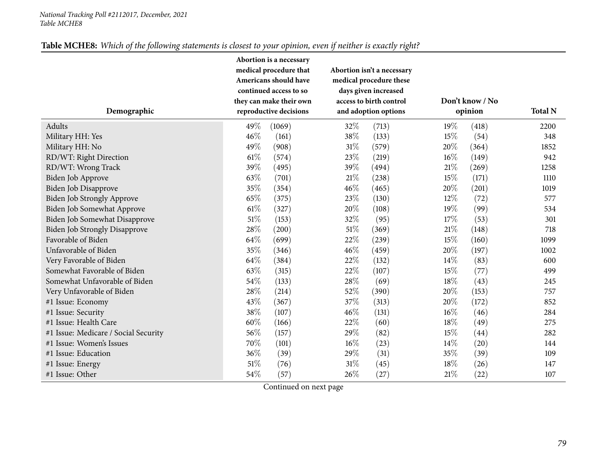#### *National Tracking Poll #2112017, December, <sup>2021</sup> Table MCHE8*

| Table MCHE8: Which of the following statements is closest to your opinion, even if neither is exactly right? |  |
|--------------------------------------------------------------------------------------------------------------|--|
|--------------------------------------------------------------------------------------------------------------|--|

|                                      |                        | Abortion is a necessary |        |                            |                 |       |                |  |  |
|--------------------------------------|------------------------|-------------------------|--------|----------------------------|-----------------|-------|----------------|--|--|
|                                      |                        | medical procedure that  |        | Abortion isn't a necessary |                 |       |                |  |  |
|                                      |                        | Americans should have   |        | medical procedure these    |                 |       |                |  |  |
|                                      |                        | continued access to so  |        | days given increased       |                 |       |                |  |  |
|                                      |                        | they can make their own |        | access to birth control    | Don't know / No |       |                |  |  |
| Demographic                          | reproductive decisions |                         |        | and adoption options       | opinion         |       | <b>Total N</b> |  |  |
| Adults                               | 49%                    | (1069)                  | 32%    | (713)                      | 19%             | (418) | 2200           |  |  |
| Military HH: Yes                     | 46%                    | (161)                   | 38%    | (133)                      | 15%             | (54)  | 348            |  |  |
| Military HH: No                      | 49%                    | (908)                   | $31\%$ | (579)                      | 20%             | (364) | 1852           |  |  |
| RD/WT: Right Direction               | 61\%                   | (574)                   | 23%    | (219)                      | 16%             | (149) | 942            |  |  |
| RD/WT: Wrong Track                   | 39%                    | (495)                   | 39%    | (494)                      | $21\%$          | (269) | 1258           |  |  |
| Biden Job Approve                    | 63%                    | (701)                   | 21%    | (238)                      | 15%             | (171) | 1110           |  |  |
| Biden Job Disapprove                 | 35%                    | (354)                   | 46%    | (465)                      | 20%             | (201) | 1019           |  |  |
| Biden Job Strongly Approve           | 65%                    | (375)                   | 23%    | (130)                      | 12%             | (72)  | 577            |  |  |
| Biden Job Somewhat Approve           | 61\%                   | (327)                   | 20%    | (108)                      | 19%             | (99)  | 534            |  |  |
| Biden Job Somewhat Disapprove        | $51\%$                 | (153)                   | 32%    | (95)                       | 17%             | (53)  | 301            |  |  |
| <b>Biden Job Strongly Disapprove</b> | 28%                    | (200)                   | $51\%$ | (369)                      | $21\%$          | (148) | 718            |  |  |
| Favorable of Biden                   | 64%                    | (699)                   | 22%    | (239)                      | 15%             | (160) | 1099           |  |  |
| Unfavorable of Biden                 | 35%                    | (346)                   | 46%    | (459)                      | 20%             | (197) | 1002           |  |  |
| Very Favorable of Biden              | 64%                    | (384)                   | 22%    | (132)                      | 14%             | (83)  | 600            |  |  |
| Somewhat Favorable of Biden          | 63%                    | (315)                   | 22%    | (107)                      | 15%             | (77)  | 499            |  |  |
| Somewhat Unfavorable of Biden        | 54%                    | (133)                   | 28%    | (69)                       | 18%             | (43)  | 245            |  |  |
| Very Unfavorable of Biden            | 28%                    | (214)                   | 52%    | (390)                      | 20%             | (153) | 757            |  |  |
| #1 Issue: Economy                    | 43%                    | (367)                   | 37%    | (313)                      | 20%             | (172) | 852            |  |  |
| #1 Issue: Security                   | 38%                    | (107)                   | 46\%   | (131)                      | 16%             | (46)  | 284            |  |  |
| #1 Issue: Health Care                | 60%                    | (166)                   | 22%    | (60)                       | 18%             | (49)  | 275            |  |  |
| #1 Issue: Medicare / Social Security | 56%                    | (157)                   | 29%    | (82)                       | 15%             | (44)  | 282            |  |  |
| #1 Issue: Women's Issues             | 70%                    | (101)                   | 16%    | (23)                       | 14%             | (20)  | 144            |  |  |
| #1 Issue: Education                  | 36%                    | (39)                    | 29%    | (31)                       | 35%             | (39)  | 109            |  |  |
| #1 Issue: Energy                     | 51%                    | (76)                    | $31\%$ | (45)                       | 18%             | (26)  | 147            |  |  |
| #1 Issue: Other                      | 54%                    | (57)                    | 26%    | (27)                       | $21\%$          | (22)  | 107            |  |  |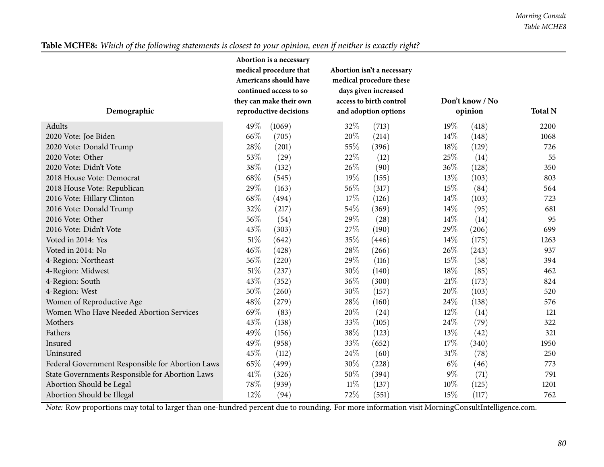| Demographic                                      | Abortion is a necessary<br>medical procedure that<br>Americans should have<br>continued access to so<br>they can make their own<br>reproductive decisions |        |        | Abortion isn't a necessary<br>medical procedure these<br>days given increased<br>access to birth control<br>and adoption options | Don't know / No<br>opinion | <b>Total N</b> |      |
|--------------------------------------------------|-----------------------------------------------------------------------------------------------------------------------------------------------------------|--------|--------|----------------------------------------------------------------------------------------------------------------------------------|----------------------------|----------------|------|
| Adults                                           | 49%                                                                                                                                                       | (1069) | 32%    | (713)                                                                                                                            | 19%                        | (418)          | 2200 |
| 2020 Vote: Joe Biden                             | 66%                                                                                                                                                       | (705)  | 20%    | (214)                                                                                                                            | 14\%                       | (148)          | 1068 |
| 2020 Vote: Donald Trump                          | 28%                                                                                                                                                       | (201)  | 55%    | (396)                                                                                                                            | 18%                        | (129)          | 726  |
| 2020 Vote: Other                                 | 53%                                                                                                                                                       | (29)   | 22%    | (12)                                                                                                                             | 25%                        | (14)           | 55   |
| 2020 Vote: Didn't Vote                           | 38%                                                                                                                                                       | (132)  | 26%    | (90)                                                                                                                             | $36\%$                     | (128)          | 350  |
| 2018 House Vote: Democrat                        | 68%                                                                                                                                                       | (545)  | 19%    | (155)                                                                                                                            | 13%                        | (103)          | 803  |
| 2018 House Vote: Republican                      | 29%                                                                                                                                                       | (163)  | 56%    | (317)                                                                                                                            | 15%                        | (84)           | 564  |
| 2016 Vote: Hillary Clinton                       | 68%                                                                                                                                                       | (494)  | 17%    | (126)                                                                                                                            | 14\%                       | (103)          | 723  |
| 2016 Vote: Donald Trump                          | 32%                                                                                                                                                       | (217)  | 54%    | (369)                                                                                                                            | 14\%                       | (95)           | 681  |
| 2016 Vote: Other                                 | 56%                                                                                                                                                       | (54)   | 29%    | (28)                                                                                                                             | 14%                        | (14)           | 95   |
| 2016 Vote: Didn't Vote                           | 43%                                                                                                                                                       | (303)  | 27%    | (190)                                                                                                                            | 29%                        | (206)          | 699  |
| Voted in 2014: Yes                               | 51%                                                                                                                                                       | (642)  | 35%    | (446)                                                                                                                            | 14\%                       | (175)          | 1263 |
| Voted in 2014: No                                | 46%                                                                                                                                                       | (428)  | 28%    | (266)                                                                                                                            | 26%                        | (243)          | 937  |
| 4-Region: Northeast                              | 56%                                                                                                                                                       | (220)  | 29%    | (116)                                                                                                                            | 15%                        | (58)           | 394  |
| 4-Region: Midwest                                | 51%                                                                                                                                                       | (237)  | 30%    | (140)                                                                                                                            | $18\%$                     | (85)           | 462  |
| 4-Region: South                                  | 43%                                                                                                                                                       | (352)  | 36%    | (300)                                                                                                                            | $21\%$                     | (173)          | 824  |
| 4-Region: West                                   | 50%                                                                                                                                                       | (260)  | 30%    | (157)                                                                                                                            | 20%                        | (103)          | 520  |
| Women of Reproductive Age                        | 48%                                                                                                                                                       | (279)  | 28%    | (160)                                                                                                                            | 24\%                       | (138)          | 576  |
| Women Who Have Needed Abortion Services          | 69%                                                                                                                                                       | (83)   | 20%    | (24)                                                                                                                             | 12%                        | (14)           | 121  |
| Mothers                                          | 43%                                                                                                                                                       | (138)  | 33%    | (105)                                                                                                                            | 24\%                       | (79)           | 322  |
| Fathers                                          | 49%                                                                                                                                                       | (156)  | 38%    | (123)                                                                                                                            | 13%                        | (42)           | 321  |
| Insured                                          | 49%                                                                                                                                                       | (958)  | 33%    | (652)                                                                                                                            | 17%                        | (340)          | 1950 |
| Uninsured                                        | 45%                                                                                                                                                       | (112)  | 24\%   | (60)                                                                                                                             | $31\%$                     | (78)           | 250  |
| Federal Government Responsible for Abortion Laws | 65%                                                                                                                                                       | (499)  | 30%    | (228)                                                                                                                            | $6\%$                      | (46)           | 773  |
| State Governments Responsible for Abortion Laws  | 41%                                                                                                                                                       | (326)  | 50%    | (394)                                                                                                                            | $9\%$                      | (71)           | 791  |
| Abortion Should be Legal                         | 78%                                                                                                                                                       | (939)  | $11\%$ | (137)                                                                                                                            | 10%                        | (125)          | 1201 |
| Abortion Should be Illegal                       | 12%                                                                                                                                                       | (94)   | 72%    | (551)                                                                                                                            | 15%                        | (117)          | 762  |

# Table MCHE8: Which of the following statements is closest to your opinion, even if neither is exactly right?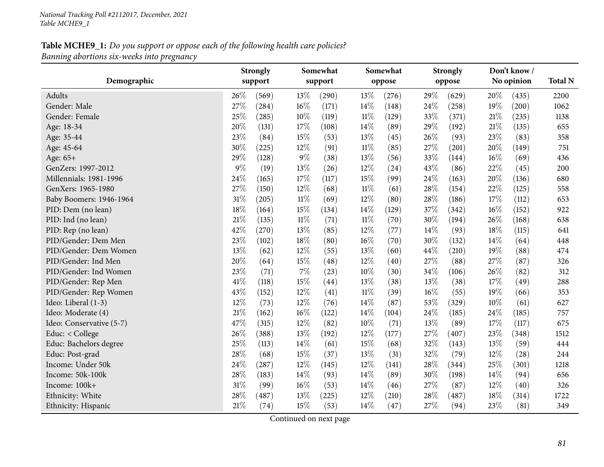|                          |        | <b>Strongly</b> |        | Somewhat |        | Somewhat |        | <b>Strongly</b> |     | Don't know / |                |
|--------------------------|--------|-----------------|--------|----------|--------|----------|--------|-----------------|-----|--------------|----------------|
| Demographic              |        | support         |        | support  |        | oppose   |        | oppose          |     | No opinion   | <b>Total N</b> |
| Adults                   | 26%    | (569)           | 13%    | (290)    | 13%    | (276)    | 29%    | (629)           | 20% | (435)        | 2200           |
| Gender: Male             | 27%    | (284)           | 16%    | (171)    | 14%    | (148)    | 24\%   | (258)           | 19% | (200)        | 1062           |
| Gender: Female           | 25%    | (285)           | 10%    | (119)    | $11\%$ | (129)    | 33%    | (371)           | 21% | (235)        | 1138           |
| Age: 18-34               | 20%    | (131)           | 17%    | (108)    | 14%    | (89)     | 29%    | (192)           | 21% | (135)        | 655            |
| Age: 35-44               | 23%    | (84)            | 15%    | (53)     | 13%    | (45)     | 26%    | (93)            | 23% | (83)         | 358            |
| Age: 45-64               | 30%    | (225)           | 12%    | (91)     | $11\%$ | (85)     | 27%    | (201)           | 20% | (149)        | 751            |
| Age: 65+                 | 29%    | (128)           | $9\%$  | (38)     | 13%    | (56)     | 33%    | (144)           | 16% | (69)         | 436            |
| GenZers: 1997-2012       | 9%     | (19)            | 13%    | (26)     | 12%    | (24)     | 43%    | (86)            | 22% | (45)         | 200            |
| Millennials: 1981-1996   | 24%    | (165)           | 17%    | (117)    | 15%    | (99)     | 24\%   | (163)           | 20% | (136)        | 680            |
| GenXers: 1965-1980       | 27%    | (150)           | 12%    | (68)     | $11\%$ | (61)     | 28%    | (154)           | 22% | (125)        | 558            |
| Baby Boomers: 1946-1964  | 31%    | (205)           | $11\%$ | (69)     | 12%    | (80)     | 28\%   | (186)           | 17% | (112)        | 653            |
| PID: Dem (no lean)       | 18%    | (164)           | 15%    | (134)    | 14%    | (129)    | 37%    | (342)           | 16% | (152)        | 922            |
| PID: Ind (no lean)       | 21%    | (135)           | $11\%$ | (71)     | 11%    | (70)     | 30%    | (194)           | 26% | (168)        | 638            |
| PID: Rep (no lean)       | 42%    | (270)           | 13%    | (85)     | $12\%$ | (77)     | $14\%$ | (93)            | 18% | (115)        | 641            |
| PID/Gender: Dem Men      | 23%    | (102)           | 18%    | (80)     | 16%    | (70)     | 30%    | (132)           | 14% | (64)         | 448            |
| PID/Gender: Dem Women    | 13%    | (62)            | 12%    | (55)     | 13%    | (60)     | 44%    | (210)           | 19% | (88)         | 474            |
| PID/Gender: Ind Men      | 20%    | (64)            | 15%    | (48)     | 12%    | (40)     | 27%    | (88)            | 27% | (87)         | 326            |
| PID/Gender: Ind Women    | 23%    | (71)            | $7\%$  | (23)     | 10%    | (30)     | 34%    | (106)           | 26% | (82)         | 312            |
| PID/Gender: Rep Men      | 41%    | (118)           | 15%    | (44)     | 13\%   | (38)     | 13%    | (38)            | 17% | (49)         | 288            |
| PID/Gender: Rep Women    | 43%    | (152)           | 12%    | (41)     | $11\%$ | (39)     | $16\%$ | (55)            | 19% | (66)         | 353            |
| Ideo: Liberal (1-3)      | $12\%$ | (73)            | 12%    | (76)     | 14%    | (87)     | 53%    | (329)           | 10% | (61)         | 627            |
| Ideo: Moderate (4)       | 21%    | (162)           | 16%    | (122)    | 14%    | (104)    | 24\%   | (185)           | 24% | (185)        | 757            |
| Ideo: Conservative (5-7) | 47%    | (315)           | $12\%$ | (82)     | 10%    | (71)     | 13%    | (89)            | 17% | (117)        | 675            |
| Educ: < College          | 26%    | (388)           | 13%    | (192)    | 12%    | (177)    | 27%    | (407)           | 23% | (348)        | 1512           |
| Educ: Bachelors degree   | 25%    | (113)           | 14\%   | (61)     | 15%    | (68)     | 32%    | (143)           | 13% | (59)         | 444            |
| Educ: Post-grad          | 28%    | (68)            | 15%    | (37)     | 13%    | (31)     | 32%    | (79)            | 12% | (28)         | 244            |
| Income: Under 50k        | 24%    | (287)           | 12%    | (145)    | 12%    | (141)    | 28\%   | (344)           | 25% | (301)        | 1218           |
| Income: 50k-100k         | 28%    | (183)           | 14%    | (93)     | 14%    | (89)     | 30%    | (198)           | 14% | (94)         | 656            |
| Income: 100k+            | 31%    | (99)            | 16%    | (53)     | 14\%   | (46)     | 27%    | (87)            | 12% | (40)         | 326            |
| Ethnicity: White         | 28%    | (487)           | 13%    | (225)    | 12%    | (210)    | 28%    | (487)           | 18% | (314)        | 1722           |
| Ethnicity: Hispanic      | 21%    | (74)            | 15%    | (53)     | 14%    | (47)     | 27%    | (94)            | 23% | (81)         | 349            |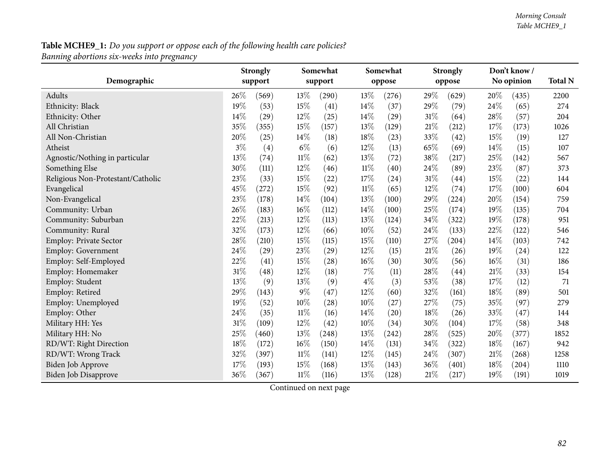| Demographic                       |       | <b>Strongly</b><br>support |        | Somewhat<br>support |        | Somewhat<br>oppose |        | <b>Strongly</b><br>oppose |        | Don't know/<br>No opinion | <b>Total N</b> |
|-----------------------------------|-------|----------------------------|--------|---------------------|--------|--------------------|--------|---------------------------|--------|---------------------------|----------------|
| Adults                            | 26\%  | (569)                      | 13%    | (290)               | 13%    | (276)              | 29%    | (629)                     | 20%    | (435)                     | 2200           |
| Ethnicity: Black                  | 19%   | (53)                       | 15%    | (41)                | 14%    | (37)               | 29%    | (79)                      | 24%    | (65)                      | 274            |
| Ethnicity: Other                  | 14%   | (29)                       | 12%    | (25)                | 14%    | (29)               | 31%    | (64)                      | 28%    | (57)                      | 204            |
| All Christian                     | 35%   | (355)                      | 15%    | (157)               | 13%    | (129)              | $21\%$ | (212)                     | 17%    | (173)                     | 1026           |
| All Non-Christian                 | 20%   | (25)                       | 14\%   | (18)                | 18%    | (23)               | 33%    | (42)                      | 15%    | (19)                      | 127            |
| Atheist                           | $3\%$ | (4)                        | $6\%$  | (6)                 | 12%    | (13)               | 65%    | (69)                      | 14%    | (15)                      | 107            |
| Agnostic/Nothing in particular    | 13%   | (74)                       | $11\%$ | (62)                | 13%    | (72)               | 38%    | (217)                     | 25%    | (142)                     | 567            |
| Something Else                    | 30%   | (111)                      | 12%    | (46)                | $11\%$ | (40)               | 24\%   | (89)                      | 23%    | (87)                      | 373            |
| Religious Non-Protestant/Catholic | 23%   | (33)                       | 15%    | (22)                | 17%    | (24)               | $31\%$ | (44)                      | 15%    | (22)                      | 144            |
| Evangelical                       | 45%   | (272)                      | 15%    | (92)                | $11\%$ | (65)               | 12%    | (74)                      | 17%    | (100)                     | 604            |
| Non-Evangelical                   | 23%   | (178)                      | 14%    | (104)               | 13%    | (100)              | 29%    | (224)                     | 20%    | (154)                     | 759            |
| Community: Urban                  | 26%   | (183)                      | 16%    | (112)               | 14%    | (100)              | 25%    | (174)                     | 19%    | (135)                     | 704            |
| Community: Suburban               | 22%   | (213)                      | 12%    | (113)               | 13%    | (124)              | 34%    | (322)                     | 19%    | (178)                     | 951            |
| Community: Rural                  | 32%   | (173)                      | 12%    | (66)                | 10%    | (52)               | 24\%   | (133)                     | 22%    | (122)                     | 546            |
| Employ: Private Sector            | 28%   | (210)                      | 15%    | (115)               | 15%    | (110)              | 27%    | (204)                     | 14%    | (103)                     | 742            |
| Employ: Government                | 24%   | (29)                       | 23%    | (29)                | $12\%$ | (15)               | $21\%$ | (26)                      | 19%    | (24)                      | 122            |
| Employ: Self-Employed             | 22%   | (41)                       | 15%    | (28)                | 16%    | (30)               | 30%    | (56)                      | 16%    | (31)                      | 186            |
| Employ: Homemaker                 | 31%   | (48)                       | 12%    | (18)                | $7\%$  | (11)               | 28%    | (44)                      | $21\%$ | (33)                      | 154            |
| Employ: Student                   | 13%   | (9)                        | 13%    | (9)                 | $4\%$  | (3)                | 53%    | (38)                      | 17%    | (12)                      | 71             |
| Employ: Retired                   | 29%   | (143)                      | $9\%$  | (47)                | 12%    | (60)               | 32%    | (161)                     | 18%    | (89)                      | 501            |
| Employ: Unemployed                | 19%   | (52)                       | 10%    | $\left( 28\right)$  | 10%    | (27)               | 27%    | (75)                      | 35%    | (97)                      | 279            |
| Employ: Other                     | 24%   | (35)                       | $11\%$ | (16)                | 14%    | (20)               | 18%    | (26)                      | 33%    | (47)                      | 144            |
| Military HH: Yes                  | 31%   | (109)                      | 12%    | (42)                | 10%    | (34)               | 30%    | (104)                     | 17%    | (58)                      | 348            |
| Military HH: No                   | 25%   | (460)                      | 13%    | (248)               | 13%    | (242)              | 28%    | (525)                     | 20%    | (377)                     | 1852           |
| RD/WT: Right Direction            | 18%   | (172)                      | 16%    | (150)               | 14\%   | (131)              | 34\%   | (322)                     | 18%    | (167)                     | 942            |
| RD/WT: Wrong Track                | 32%   | (397)                      | 11%    | (141)               | 12%    | (145)              | 24%    | (307)                     | $21\%$ | (268)                     | 1258           |
| Biden Job Approve                 | 17%   | (193)                      | 15%    | (168)               | 13%    | (143)              | 36\%   | (401)                     | 18%    | (204)                     | 1110           |
| <b>Biden Job Disapprove</b>       | 36%   | (367)                      | $11\%$ | (116)               | 13%    | (128)              | $21\%$ | (217)                     | 19%    | (191)                     | 1019           |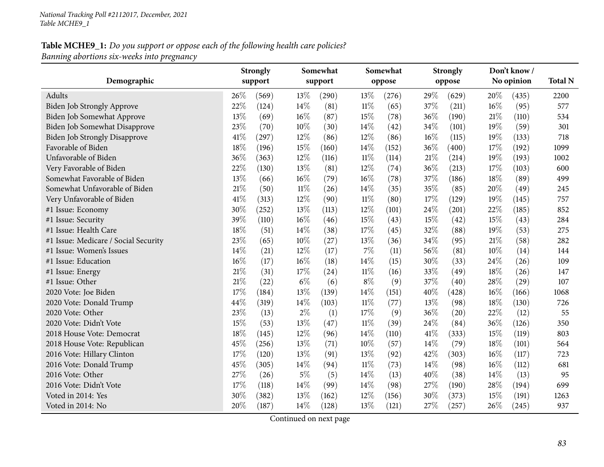**DemographicStrongly supportSomewhatsupportSomewhatopposeStrongly opposeDon't know / No opinion Total <sup>N</sup>**Adults**s** 26% (569)  $)$  13 $\%$  (290) 13 $\%$  (276) 29 $\%$  (629) 20 $\%$  (435) 2200 577 Biden Job Strongly Approve<br>
Biden Job Somewhat Approve<br>
22% (124) 14% (81) 11% (65) 37% (211) 16% (95)<br>
36% (190) 21% (110) Biden Job Somewhat Approve<br>
Biden Job Somewhat Disapprove 23% (70) 10% (30) 14% (42) 34% (101) 19% (59) 301 301 Biden Job Somewhat Disapprove 23% (70)  $10\%$  (30)  $14\%$  (42)  $34\%$  (101)  $19\%$  (59) 301<br>Biden Job Strongly Disapprove 41% (297)  $12\%$  (86)  $12\%$  (86)  $16\%$  (115)  $19\%$  (133) 718 Biden Job Strongly Disapprove 41% (297)  $12\%$  (86)  $12\%$  (86)  $16\%$  (115)  $19\%$  (133) 718<br>
Favorable of Biden 18% (196)  $15\%$  (160)  $14\%$  (152)  $36\%$  (400)  $17\%$  (192) 1099 Favorable of Biden18% (196) 15% (160) 14% (152) 36% (400) 17% (192) 1099 Unfavorable of Biden $\text{n}$  36% (363) 12% (116) 11% (114) 21% (214) 19% (193) 1002 Very Favorable of Bidenn 13% (130)  $13\%$  (81)  $12\%$  (74)  $36\%$  (213)  $17\%$  (103) 600 Somewhat Favorable of Biden $13\%$  (66)  $16\%$  (79)  $16\%$  (78)  $37\%$  (186)  $18\%$  (89) 499 Somewhat Unfavorable of Bidenn 21% (50)  $11\%$  (26)  $14\%$  (35)  $35\%$  (85)  $20\%$  (49) 245 Very Unfavorable of Biden $\ln$  41% (313)  $12\%$  (90)  $11\%$  (80)  $17\%$  (129)  $19\%$  (145) 757 #1 Issue: Economy <sup>30</sup>% (252) <sup>13</sup>% (113) <sup>12</sup>% (101) <sup>24</sup>% (201) <sup>22</sup>% (185) <sup>852</sup> #1 Issue: Security <sup>39</sup>% (110) <sup>16</sup>% (46) <sup>15</sup>% (43) <sup>15</sup>% (42) <sup>15</sup>% (43) <sup>284</sup>275 #1 Issue: Health Care <sup>18</sup>% (51) <sup>14</sup>% (38) <sup>17</sup>% (45) <sup>32</sup>% (88) <sup>19</sup>% (53) <sup>275</sup> #1 Issue: Medicare / Social Security <sup>23</sup>% (65) <sup>10</sup>% (27) <sup>13</sup>% (36) <sup>34</sup>% (95) <sup>21</sup>% (58) <sup>282</sup> #1 Issue: Women's Issues 214% (21)  $14\%$  (21)  $12\%$  (17)  $7\%$  (11)  $56\%$  (81)  $10\%$  (14)  $144$ 109 #1 Issue: Education<br>#1 Issue: Energy  $16\%$   $(17)$   $16\%$   $(18)$   $14\%$   $(15)$   $30\%$   $(33)$   $24\%$   $(26)$   $109$ #1 Issue: Energy <sup>21</sup>% (31) <sup>17</sup>% (24) <sup>11</sup>% (16) <sup>33</sup>% (49) <sup>18</sup>% (26) <sup>147</sup> #1 Issue: Other 21<sup>%</sup> (22) 6<sup>%</sup> (6) 8<sup>%</sup> (9) 37<sup>%</sup> (40) 28<sup>%</sup> (29) 107 <sup>2020</sup> Vote: Joe Biden $17\%$  (184)  $13\%$  (139)  $14\%$  (151)  $40\%$  (428)  $16\%$  (166)  $1068$ <sup>2020</sup> Vote: Donald Trump $p \hspace{1.5cm} 44\% \hspace{1.5cm} (319) \hspace{1.5cm} 14\% \hspace{1.5cm} (103) \hspace{1.5cm} 11\% \hspace{1.5cm} (77) \hspace{1.5cm} 13\% \hspace{1.5cm} (98) \hspace{1.5cm} 18\% \hspace{1.5cm} (130) \hspace{1.5cm} 726$ 2020 Vote: Other 23% (13) 2% (1)  $17\%$  (9)  $36\%$  (20)  $22\%$  (12) 55 2020 Vote: Didn't Vote 15% (53)  $13\%$  (47)  $11\%$  (39)  $24\%$  (84)  $36\%$  (126) 350 803 2018 House Vote: Democrat 18% (145) 12% (96) 14% (110) 41% (333) 15% (119)<br>2018 House Vote: Republican 15% (256) 13% (71) 10% (57) 14% (79) 18% (101) <sup>2018</sup> House Vote: Republican $\ln$  14% (256)  $13\%$  (71)  $10\%$  (57)  $14\%$  (79)  $18\%$  (101) 564 <sup>2016</sup> Vote: Hillary Clinton $17\%$  (120)  $13\%$  (91)  $13\%$  (92)  $42\%$  (303)  $16\%$  (117) 723 <sup>2016</sup> Vote: Donald Trump $p \hspace{1.5cm} 45\% \hspace{.2cm} (305) \hspace{.2cm} 14\% \hspace{.2cm} (94) \hspace{.2cm} 11\% \hspace{.2cm} (73) \hspace{.2cm} 14\% \hspace{.2cm} (98) \hspace{.2cm} 16\% \hspace{.2cm} (112) \hspace{.2cm} 681$ 2016 Vote: Other 27% (26) 5% (5)  $14\%$  (13)  $40\%$  (38)  $14\%$  (13) 95 2016 Vote: Didn't Vote 17% (118)  $17\%$  (118)  $14\%$  (99)  $14\%$  (98)  $27\%$  (190)  $28\%$  (194) 699 1263 Voted in 2014: Yes <sup>30</sup>% (382) <sup>13</sup>% (162) <sup>12</sup>% (156) <sup>30</sup>% (373) <sup>15</sup>% (191) <sup>1263</sup> Voted in 2014: No $20\%$  (187)  $14\%$  (128)  $13\%$  (121)  $27\%$  (257)  $26\%$  (245) 937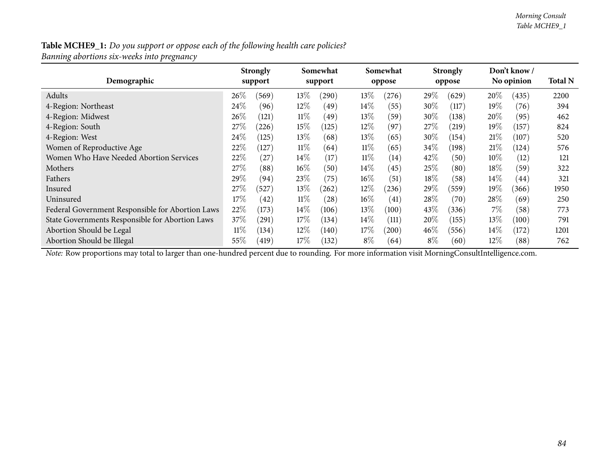*Banning abortions six-weeks into pregnancy*

| Demographic                                      |        | <b>Strongly</b><br>support |        | Somewhat<br>support |        | Somewhat<br>oppose |        | <b>Strongly</b><br>oppose |        | Don't know /<br>No opinion | <b>Total N</b> |
|--------------------------------------------------|--------|----------------------------|--------|---------------------|--------|--------------------|--------|---------------------------|--------|----------------------------|----------------|
| Adults                                           | $26\%$ | (569)                      | $13\%$ | (290)               | $13\%$ | (276)              | $29\%$ | (629)                     | 20%    | (435)                      | 2200           |
| 4-Region: Northeast                              | $24\%$ | (96)                       | 12%    | (49`                | $14\%$ | (55)               | 30%    | (117)                     | $19\%$ | (76)                       | 394            |
| 4-Region: Midwest                                | 26%    | (121)                      | $11\%$ | (49`                | $13\%$ | (59)               | 30\%   | (138)                     | $20\%$ | (95)                       | 462            |
| 4-Region: South                                  | 27\%   | (226)                      | 15%    | (125)               | $12\%$ | (97)               | 27\%   | (219)                     | $19\%$ | (157)                      | 824            |
| 4-Region: West                                   | $24\%$ | (125)                      | $13\%$ | (68)                | $13\%$ | (65)               | 30\%   | (154)                     | 21%    | (107)                      | 520            |
| Women of Reproductive Age                        | 22%    | (127)                      | $11\%$ | (64)                | $11\%$ | (65)               | 34\%   | (198)                     | 21%    | (124)                      | 576            |
| Women Who Have Needed Abortion Services          | 22%    | 27                         | $14\%$ | (17)                | $11\%$ | (14)               | 42%    | (50)                      | $10\%$ | (12)                       | 121            |
| Mothers                                          | 27%    | (88)                       | $16\%$ | (50)                | $14\%$ | (45)               | 25%    | (80)                      | $18\%$ | (59)                       | 322            |
| Fathers                                          | 29\%   | (94)                       | 23%    | (75)                | $16\%$ | (51)               | 18\%   | (58)                      | $14\%$ | (44)                       | 321            |
| Insured                                          | 27\%   | (527)                      | 13\%   | (262)               | $12\%$ | (236)              | 29%    | (559)                     | $19\%$ | (366)                      | 1950           |
| Uninsured                                        | 17%    | $42^{\circ}$               | $11\%$ | (28)                | $16\%$ | (41)               | 28\%   | (70)                      | 28\%   | (69)                       | 250            |
| Federal Government Responsible for Abortion Laws | 22%    | (173)                      | $14\%$ | (106)               | $13\%$ | (100)              | 43\%   | (336)                     | 7%     | (58)                       | 773            |
| State Governments Responsible for Abortion Laws  | 37%    | (291)                      | 17\%   | (134)               | $14\%$ | (111)              | 20%    | (155)                     | 13\%   | (100)                      | 791            |
| Abortion Should be Legal                         | $11\%$ | (134)                      | 12\%   | (140)               | $17\%$ | (200)              | $46\%$ | (556)                     | $14\%$ | (172)                      | 1201           |
| Abortion Should be Illegal                       | 55%    | (419)                      | $17\%$ | (132)               | $8\%$  | (64)               | $8\%$  | (60)                      | $12\%$ | (88)                       | 762            |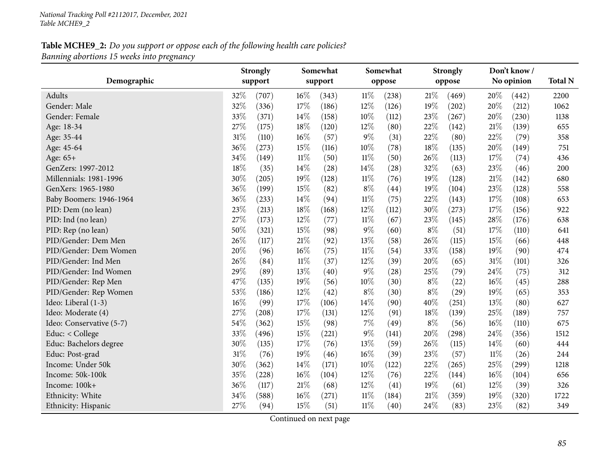|                          |     | <b>Strongly</b> |        | Somewhat |        | Somewhat |        | <b>Strongly</b> |        | Don't know / |                |
|--------------------------|-----|-----------------|--------|----------|--------|----------|--------|-----------------|--------|--------------|----------------|
| Demographic              |     | support         |        | support  |        | oppose   |        | oppose          |        | No opinion   | <b>Total N</b> |
| Adults                   | 32% | (707)           | 16%    | (343)    | $11\%$ | (238)    | $21\%$ | (469)           | 20%    | (442)        | 2200           |
| Gender: Male             | 32% | (336)           | 17%    | (186)    | 12%    | (126)    | 19%    | (202)           | 20%    | (212)        | 1062           |
| Gender: Female           | 33% | (371)           | 14\%   | (158)    | 10%    | (112)    | 23%    | (267)           | 20%    | (230)        | 1138           |
| Age: 18-34               | 27% | (175)           | 18%    | (120)    | $12\%$ | (80)     | $22\%$ | (142)           | 21\%   | (139)        | 655            |
| Age: 35-44               | 31% | (110)           | 16%    | (57)     | $9\%$  | (31)     | 22%    | (80)            | 22%    | (79)         | 358            |
| Age: 45-64               | 36% | (273)           | 15%    | (116)    | 10%    | (78)     | 18%    | (135)           | 20%    | (149)        | 751            |
| Age: 65+                 | 34% | (149)           | $11\%$ | (50)     | $11\%$ | (50)     | 26%    | (113)           | 17%    | (74)         | 436            |
| GenZers: 1997-2012       | 18% | (35)            | 14%    | (28)     | 14%    | (28)     | 32%    | (63)            | 23%    | (46)         | 200            |
| Millennials: 1981-1996   | 30% | (205)           | 19%    | (128)    | 11%    | (76)     | 19%    | (128)           | 21\%   | (142)        | 680            |
| GenXers: 1965-1980       | 36% | (199)           | 15%    | (82)     | $8\%$  | (44)     | 19%    | (104)           | 23%    | (128)        | 558            |
| Baby Boomers: 1946-1964  | 36% | (233)           | 14\%   | (94)     | $11\%$ | (75)     | 22%    | (143)           | 17%    | (108)        | 653            |
| PID: Dem (no lean)       | 23% | (213)           | 18%    | (168)    | 12%    | (112)    | 30%    | (273)           | 17%    | (156)        | 922            |
| PID: Ind (no lean)       | 27% | (173)           | 12%    | (77)     | $11\%$ | (67)     | 23%    | (145)           | 28%    | (176)        | 638            |
| PID: Rep (no lean)       | 50% | (321)           | 15%    | (98)     | $9\%$  | (60)     | $8\%$  | (51)            | 17%    | (110)        | 641            |
| PID/Gender: Dem Men      | 26% | (117)           | 21%    | (92)     | 13%    | (58)     | 26%    | (115)           | 15%    | (66)         | 448            |
| PID/Gender: Dem Women    | 20% | (96)            | 16%    | (75)     | $11\%$ | (54)     | 33%    | (158)           | 19%    | (90)         | 474            |
| PID/Gender: Ind Men      | 26% | (84)            | $11\%$ | (37)     | 12%    | (39)     | 20%    | (65)            | $31\%$ | (101)        | 326            |
| PID/Gender: Ind Women    | 29% | (89)            | 13%    | (40)     | $9\%$  | (28)     | 25%    | (79)            | 24%    | (75)         | 312            |
| PID/Gender: Rep Men      | 47% | (135)           | 19%    | (56)     | 10%    | (30)     | $8\%$  | (22)            | 16%    | (45)         | 288            |
| PID/Gender: Rep Women    | 53% | (186)           | 12%    | (42)     | $8\%$  | (30)     | $8\%$  | (29)            | 19%    | (65)         | 353            |
| Ideo: Liberal (1-3)      | 16% | (99)            | 17%    | (106)    | 14\%   | (90)     | 40%    | (251)           | 13%    | (80)         | 627            |
| Ideo: Moderate (4)       | 27% | (208)           | 17%    | (131)    | 12%    | (91)     | 18%    | (139)           | $25\%$ | (189)        | 757            |
| Ideo: Conservative (5-7) | 54% | (362)           | $15\%$ | (98)     | 7%     | (49)     | $8\%$  | (56)            | 16%    | (110)        | 675            |
| Educ: < College          | 33% | (496)           | 15%    | (221)    | $9\%$  | (141)    | 20%    | (298)           | 24%    | (356)        | 1512           |
| Educ: Bachelors degree   | 30% | (135)           | 17%    | (76)     | 13%    | (59)     | 26%    | (115)           | 14%    | (60)         | 444            |
| Educ: Post-grad          | 31% | (76)            | 19%    | (46)     | 16%    | (39)     | 23%    | (57)            | $11\%$ | (26)         | 244            |
| Income: Under 50k        | 30% | (362)           | 14%    | (171)    | 10%    | (122)    | 22%    | (265)           | 25%    | (299)        | 1218           |
| Income: 50k-100k         | 35% | (228)           | 16%    | (104)    | 12%    | (76)     | 22%    | (144)           | 16%    | (104)        | 656            |
| Income: 100k+            | 36% | (117)           | 21%    | (68)     | $12\%$ | (41)     | 19%    | (61)            | $12\%$ | (39)         | 326            |
| Ethnicity: White         | 34% | (588)           | 16%    | (271)    | $11\%$ | (184)    | $21\%$ | (359)           | 19%    | (320)        | 1722           |
| Ethnicity: Hispanic      | 27% | (94)            | 15%    | (51)     | $11\%$ | (40)     | 24%    | (83)            | 23%    | (82)         | 349            |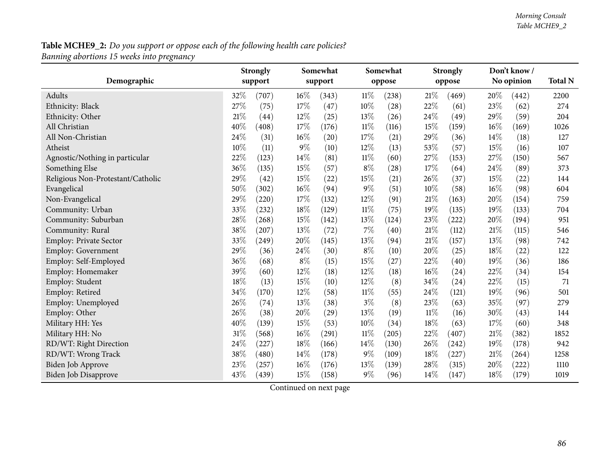| Demographic                       |        | <b>Strongly</b><br>support |       | Somewhat<br>support |        | Somewhat<br>oppose |        | <b>Strongly</b><br>oppose |        | Don't know /<br>No opinion | <b>Total N</b> |
|-----------------------------------|--------|----------------------------|-------|---------------------|--------|--------------------|--------|---------------------------|--------|----------------------------|----------------|
| Adults                            | 32%    | (707)                      | 16%   | (343)               | 11%    | (238)              | 21\%   | (469)                     | 20\%   | (442)                      | 2200           |
| Ethnicity: Black                  | 27%    | (75)                       | 17%   | (47)                | 10%    | (28)               | 22%    | (61)                      | 23%    | (62)                       | 274            |
| Ethnicity: Other                  | 21%    | (44)                       | 12%   | (25)                | 13%    | (26)               | 24%    | (49)                      | 29%    | (59)                       | 204            |
| All Christian                     | 40%    | $\left( 408\right)$        | 17%   | (176)               | $11\%$ | (116)              | 15%    | (159)                     | 16%    | (169)                      | 1026           |
| All Non-Christian                 | 24%    | (31)                       | 16%   | (20)                | 17%    | (21)               | 29%    | (36)                      | 14%    | (18)                       | 127            |
| Atheist                           | 10%    | (11)                       | $9\%$ | (10)                | 12%    | (13)               | 53%    | (57)                      | 15%    | (16)                       | 107            |
| Agnostic/Nothing in particular    | 22%    | (123)                      | 14%   | (81)                | $11\%$ | (60)               | 27%    | (153)                     | 27%    | (150)                      | 567            |
| Something Else                    | 36%    | (135)                      | 15%   | (57)                | $8\%$  | (28)               | 17%    | (64)                      | 24%    | (89)                       | 373            |
| Religious Non-Protestant/Catholic | 29%    | (42)                       | 15%   | (22)                | 15%    | (21)               | 26%    | (37)                      | 15%    | (22)                       | 144            |
| Evangelical                       | 50%    | (302)                      | 16%   | (94)                | 9%     | (51)               | 10%    | (58)                      | $16\%$ | (98)                       | 604            |
| Non-Evangelical                   | 29%    | (220)                      | 17%   | (132)               | 12%    | (91)               | 21%    | (163)                     | 20%    | (154)                      | 759            |
| Community: Urban                  | 33%    | (232)                      | 18%   | (129)               | $11\%$ | (75)               | 19%    | (135)                     | 19%    | (133)                      | 704            |
| Community: Suburban               | 28%    | (268)                      | 15%   | (142)               | 13%    | (124)              | 23%    | (222)                     | 20%    | (194)                      | 951            |
| Community: Rural                  | 38%    | (207)                      | 13%   | (72)                | 7%     | (40)               | $21\%$ | (112)                     | $21\%$ | (115)                      | 546            |
| <b>Employ: Private Sector</b>     | 33%    | (249)                      | 20%   | (145)               | 13%    | (94)               | 21%    | (157)                     | 13%    | (98)                       | 742            |
| Employ: Government                | 29%    | (36)                       | 24%   | (30)                | $8\%$  | (10)               | 20%    | (25)                      | 18%    | (22)                       | 122            |
| Employ: Self-Employed             | 36%    | (68)                       | $8\%$ | (15)                | 15%    | (27)               | 22%    | (40)                      | 19%    | (36)                       | 186            |
| Employ: Homemaker                 | 39%    | (60)                       | 12%   | (18)                | 12%    | (18)               | 16%    | (24)                      | 22%    | (34)                       | 154            |
| Employ: Student                   | 18%    | (13)                       | 15%   | (10)                | 12%    | (8)                | 34%    | (24)                      | 22%    | (15)                       | 71             |
| Employ: Retired                   | $34\%$ | (170)                      | 12%   | (58)                | $11\%$ | (55)               | 24%    | (121)                     | 19%    | (96)                       | 501            |
| Employ: Unemployed                | 26%    | (74)                       | 13%   | (38)                | $3\%$  | (8)                | 23%    | (63)                      | 35%    | (97)                       | 279            |
| Employ: Other                     | 26%    | (38)                       | 20%   | (29)                | 13%    | (19)               | $11\%$ | (16)                      | 30%    | (43)                       | 144            |
| Military HH: Yes                  | 40%    | (139)                      | 15%   | (53)                | 10%    | (34)               | 18%    | (63)                      | 17%    | (60)                       | 348            |
| Military HH: No                   | 31%    | (568)                      | 16%   | (291)               | $11\%$ | (205)              | 22%    | (407)                     | 21%    | (382)                      | 1852           |
| RD/WT: Right Direction            | 24%    | (227)                      | 18%   | (166)               | 14%    | (130)              | 26%    | (242)                     | 19%    | (178)                      | 942            |
| RD/WT: Wrong Track                | 38%    | $\left( 480\right)$        | 14%   | (178)               | 9%     | (109)              | 18%    | (227)                     | 21%    | (264)                      | 1258           |
| Biden Job Approve                 | 23%    | (257)                      | 16%   | (176)               | 13%    | (139)              | 28%    | (315)                     | 20%    | (222)                      | 1110           |
| <b>Biden Job Disapprove</b>       | 43%    | (439)                      | 15%   | (158)               | 9%     | (96)               | 14%    | (147)                     | 18%    | (179)                      | 1019           |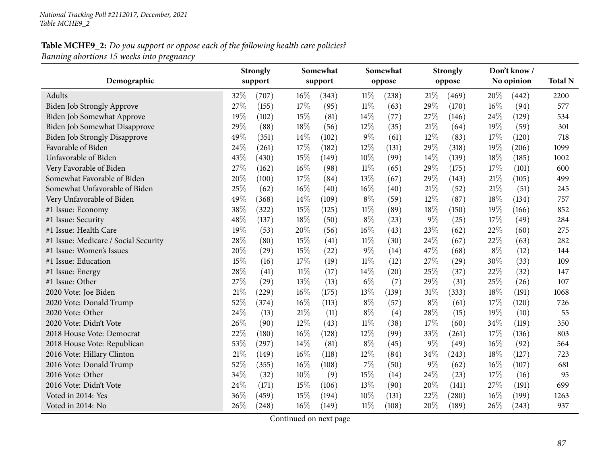|                                      |     | <b>Strongly</b> |        | Somewhat |        | Somewhat |       | <b>Strongly</b>    |       | Don't know/ |                |
|--------------------------------------|-----|-----------------|--------|----------|--------|----------|-------|--------------------|-------|-------------|----------------|
| Demographic                          |     | support         |        | support  |        | oppose   |       | oppose             |       | No opinion  | <b>Total N</b> |
| Adults                               | 32% | (707)           | 16%    | (343)    | $11\%$ | (238)    | 21%   | (469)              | 20%   | (442)       | 2200           |
| <b>Biden Job Strongly Approve</b>    | 27% | (155)           | 17%    | (95)     | $11\%$ | (63)     | 29%   | (170)              | 16%   | (94)        | 577            |
| Biden Job Somewhat Approve           | 19% | (102)           | 15%    | (81)     | 14%    | (77)     | 27\%  | (146)              | 24%   | (129)       | 534            |
| Biden Job Somewhat Disapprove        | 29% | (88)            | 18%    | (56)     | 12%    | (35)     | 21%   | (64)               | 19%   | (59)        | 301            |
| <b>Biden Job Strongly Disapprove</b> | 49% | (351)           | 14%    | (102)    | 9%     | (61)     | 12%   | (83)               | 17%   | (120)       | 718            |
| Favorable of Biden                   | 24% | (261)           | 17%    | (182)    | 12%    | (131)    | 29%   | (318)              | 19%   | (206)       | 1099           |
| Unfavorable of Biden                 | 43% | (430)           | 15%    | (149)    | 10%    | (99)     | 14\%  | (139)              | 18%   | (185)       | 1002           |
| Very Favorable of Biden              | 27% | (162)           | 16%    | (98)     | $11\%$ | (65)     | 29%   | (175)              | 17%   | (101)       | 600            |
| Somewhat Favorable of Biden          | 20% | (100)           | 17%    | (84)     | 13%    | (67)     | 29%   | (143)              | 21%   | (105)       | 499            |
| Somewhat Unfavorable of Biden        | 25% | (62)            | 16%    | (40)     | 16%    | (40)     | 21%   | (52)               | 21%   | (51)        | 245            |
| Very Unfavorable of Biden            | 49% | (368)           | 14%    | (109)    | $8\%$  | (59)     | 12%   | (87)               | 18%   | (134)       | 757            |
| #1 Issue: Economy                    | 38% | (322)           | 15%    | (125)    | $11\%$ | (89)     | 18%   | (150)              | 19%   | (166)       | 852            |
| #1 Issue: Security                   | 48% | (137)           | 18%    | (50)     | $8\%$  | (23)     | $9\%$ | (25)               | 17%   | (49)        | 284            |
| #1 Issue: Health Care                | 19% | (53)            | 20%    | (56)     | 16%    | (43)     | 23%   | (62)               | 22%   | (60)        | 275            |
| #1 Issue: Medicare / Social Security | 28% | (80)            | 15%    | (41)     | $11\%$ | (30)     | 24%   | (67)               | 22%   | (63)        | 282            |
| #1 Issue: Women's Issues             | 20% | (29)            | 15%    | (22)     | 9%     | (14)     | 47%   | (68)               | $8\%$ | (12)        | 144            |
| #1 Issue: Education                  | 15% | (16)            | 17%    | (19)     | $11\%$ | (12)     | 27%   | $\left( 29\right)$ | 30%   | (33)        | 109            |
| #1 Issue: Energy                     | 28% | (41)            | $11\%$ | (17)     | 14%    | (20)     | 25%   | (37)               | 22%   | (32)        | 147            |
| #1 Issue: Other                      | 27% | (29)            | 13%    | (13)     | $6\%$  | (7)      | 29%   | (31)               | 25%   | (26)        | 107            |
| 2020 Vote: Joe Biden                 | 21% | (229)           | 16%    | (175)    | 13%    | (139)    | 31%   | (333)              | 18%   | (191)       | 1068           |
| 2020 Vote: Donald Trump              | 52% | (374)           | 16%    | (113)    | $8\%$  | (57)     | $8\%$ | (61)               | 17%   | (120)       | 726            |
| 2020 Vote: Other                     | 24% | (13)            | 21%    | (11)     | $8\%$  | (4)      | 28%   | (15)               | 19%   | (10)        | 55             |
| 2020 Vote: Didn't Vote               | 26% | (90)            | 12%    | (43)     | $11\%$ | (38)     | 17%   | (60)               | 34%   | (119)       | 350            |
| 2018 House Vote: Democrat            | 22% | (180)           | 16%    | (128)    | 12%    | (99)     | 33%   | (261)              | 17\%  | (136)       | 803            |
| 2018 House Vote: Republican          | 53% | (297)           | 14%    | (81)     | $8\%$  | (45)     | $9\%$ | (49)               | 16%   | (92)        | 564            |
| 2016 Vote: Hillary Clinton           | 21% | (149)           | 16%    | (118)    | 12%    | (84)     | 34%   | (243)              | 18%   | (127)       | 723            |
| 2016 Vote: Donald Trump              | 52% | (355)           | 16%    | (108)    | 7%     | (50)     | $9\%$ | (62)               | 16%   | (107)       | 681            |
| 2016 Vote: Other                     | 34% | (32)            | 10%    | (9)      | 15%    | (14)     | 24\%  | (23)               | 17%   | (16)        | 95             |
| 2016 Vote: Didn't Vote               | 24% | (171)           | 15%    | (106)    | 13%    | (90)     | 20%   | (141)              | 27%   | (191)       | 699            |
| Voted in 2014: Yes                   | 36% | (459)           | 15%    | (194)    | 10%    | (131)    | 22%   | (280)              | 16%   | (199)       | 1263           |
| Voted in 2014: No                    | 26% | (248)           | 16%    | (149)    | $11\%$ | (108)    | 20%   | (189)              | 26%   | (243)       | 937            |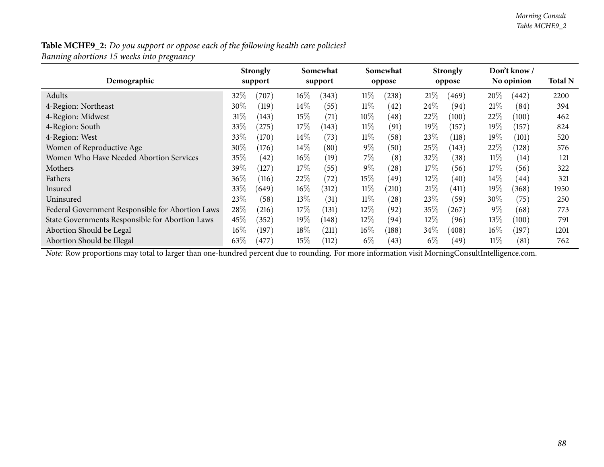| Demographic                                      |        | <b>Strongly</b><br>support |        | Somewhat<br>support |        | Somewhat<br>oppose |        | <b>Strongly</b><br>oppose |        | Don't know /<br>No opinion | <b>Total N</b> |
|--------------------------------------------------|--------|----------------------------|--------|---------------------|--------|--------------------|--------|---------------------------|--------|----------------------------|----------------|
| Adults                                           | 32\%   | (707)                      | $16\%$ | (343)               | $11\%$ | (238)              | 21%    | (469)                     | 20%    | (442)                      | 2200           |
| 4-Region: Northeast                              | $30\%$ | (119)                      | $14\%$ | (55)                | $11\%$ | (42)               | 24\%   | (94)                      | 21%    | (84)                       | 394            |
| 4-Region: Midwest                                | 31%    | (143)                      | 15%    | (71)                | $10\%$ | (48)               | 22\%   | (100)                     | 22%    | (100)                      | 462            |
| 4-Region: South                                  | 33%    | (275)                      | 17%    | (143)               | $11\%$ | (91)               | 19%    | (157)                     | $19\%$ | (157)                      | 824            |
| 4-Region: West                                   | 33%    | (170)                      | $14\%$ | (73)                | $11\%$ | (58)               | 23\%   | (118)                     | $19\%$ | (101)                      | 520            |
| Women of Reproductive Age                        | 30\%   | (176)                      | $14\%$ | (80)                | $9\%$  | (50)               | 25%    | (143)                     | 22%    | (128)                      | 576            |
| Women Who Have Needed Abortion Services          | $35\%$ | (42)                       | $16\%$ | (19)                | $7\%$  | (8)                | 32\%   | (38)                      | $11\%$ | (14)                       | 121            |
| Mothers                                          | 39%    | (127)                      | 17%    | (55)                | $9\%$  | (28)               | 17%    | (56)                      | $17\%$ | (56)                       | 322            |
| Fathers                                          | $36\%$ | (116)                      | 22%    | (72)                | 15%    | (49)               | $12\%$ | (40)                      | $14\%$ | $\left(44\right)$          | 321            |
| Insured                                          | 33%    | (649)                      | $16\%$ | (312)               | $11\%$ | (210)              | 21%    | $\left(411\right)$        | $19\%$ | (368)                      | 1950           |
| Uninsured                                        | 23%    | (58)                       | 13\%   | (31)                | $11\%$ | (28)               | 23%    | (59                       | 30\%   | (75)                       | 250            |
| Federal Government Responsible for Abortion Laws | 28%    | (216)                      | 17%    | (131)               | $12\%$ | (92)               | 35%    | (267)                     | $9\%$  | (68)                       | 773            |
| State Governments Responsible for Abortion Laws  | 45%    | (352)                      | 19%    | (148)               | $12\%$ | (94)               | $12\%$ | (96)                      | $13\%$ | (100)                      | 791            |
| Abortion Should be Legal                         | 16%    | (197)                      | 18%    | (211)               | $16\%$ | (188)              | 34\%   | $\left( 408\right)$       | $16\%$ | (197)                      | 1201           |
| Abortion Should be Illegal                       | 63\%   | (477)                      | 15%    | (112)               | $6\%$  | (43)               | $6\%$  | (49                       | $11\%$ | (81)                       | 762            |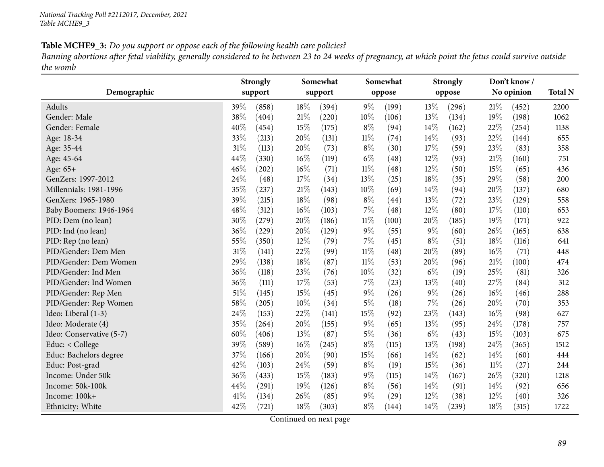Banning abortions after fetal viability, generally considered to be between 23 to 24 weeks of pregnancy, at which point the fetus could survive outside *the womb*

| Demographic              | Strongly<br>support |                 | Somewhat<br>support |        | Somewhat<br>oppose |       | <b>Strongly</b><br>oppose |        | Don't know/<br>No opinion | <b>Total N</b> |
|--------------------------|---------------------|-----------------|---------------------|--------|--------------------|-------|---------------------------|--------|---------------------------|----------------|
| Adults                   | 39%                 | 18%<br>(858)    | (394)               | $9\%$  | (199)              | 13%   | (296)                     | 21%    | (452)                     | 2200           |
| Gender: Male             | 38%                 | 21%<br>(404)    | (220)               | 10%    | (106)              | 13%   | (134)                     | 19%    | (198)                     | 1062           |
| Gender: Female           | $40\%$              | 15%<br>(454)    | (175)               | $8\%$  | (94)               | 14%   | (162)                     | 22%    | (254)                     | 1138           |
| Age: 18-34               | 33%                 | 20%<br>(213)    | (131)               | $11\%$ | (74)               | 14%   | (93)                      | 22%    | (144)                     | 655            |
| Age: 35-44               | 31%                 | 20%<br>(113)    | (73)                | $8\%$  | (30)               | 17%   | (59)                      | 23%    | (83)                      | 358            |
| Age: 45-64               | 44%                 | 16%<br>(330)    | (119)               | $6\%$  | (48)               | 12%   | (93)                      | $21\%$ | (160)                     | 751            |
| Age: 65+                 | 46%                 | $16\%$<br>(202) | (71)                | 11%    | (48)               | 12%   | (50)                      | 15%    | (65)                      | 436            |
| GenZers: 1997-2012       | 24%                 | 17%<br>(48)     | (34)                | 13%    | (25)               | 18%   | (35)                      | 29%    | (58)                      | 200            |
| Millennials: 1981-1996   | 35%                 | 21%<br>(237)    | (143)               | 10%    | (69)               | 14%   | (94)                      | 20%    | (137)                     | 680            |
| GenXers: 1965-1980       | 39%                 | 18%<br>(215)    | (98)                | $8\%$  | (44)               | 13%   | (72)                      | 23%    | (129)                     | 558            |
| Baby Boomers: 1946-1964  | 48%                 | 16%<br>(312)    | (103)               | 7%     | (48)               | 12%   | (80)                      | 17%    | (110)                     | 653            |
| PID: Dem (no lean)       | 30%                 | 20%<br>(279)    | (186)               | $11\%$ | (100)              | 20%   | (185)                     | 19%    | (171)                     | 922            |
| PID: Ind (no lean)       | 36%                 | 20%<br>(229)    | (129)               | 9%     | (55)               | $9\%$ | (60)                      | 26%    | (165)                     | 638            |
| PID: Rep (no lean)       | 55%                 | 12%<br>(350)    | (79)                | 7%     | (45)               | $8\%$ | (51)                      | 18%    | (116)                     | 641            |
| PID/Gender: Dem Men      | 31%                 | 22%<br>(141)    | (99)                | $11\%$ | (48)               | 20%   | (89)                      | 16%    | (71)                      | 448            |
| PID/Gender: Dem Women    | 29%                 | 18%<br>(138)    | (87)                | $11\%$ | (53)               | 20%   | (96)                      | 21\%   | (100)                     | 474            |
| PID/Gender: Ind Men      | 36%                 | 23%<br>(118)    | (76)                | 10%    | (32)               | $6\%$ | (19)                      | 25%    | (81)                      | 326            |
| PID/Gender: Ind Women    | 36%                 | 17%<br>(111)    | (53)                | 7%     | (23)               | 13%   | (40)                      | 27%    | (84)                      | 312            |
| PID/Gender: Rep Men      | 51%                 | 15%<br>(145)    | (45)                | $9\%$  | (26)               | $9\%$ | (26)                      | 16%    | (46)                      | 288            |
| PID/Gender: Rep Women    | $58\%$              | 10%<br>(205)    | (34)                | 5%     | (18)               | $7\%$ | (26)                      | 20%    | (70)                      | 353            |
| Ideo: Liberal (1-3)      | 24%                 | 22\%<br>(153)   | (141)               | 15%    | (92)               | 23%   | (143)                     | 16%    | (98)                      | 627            |
| Ideo: Moderate (4)       | 35%                 | 20%<br>(264)    | (155)               | $9\%$  | (65)               | 13%   | (95)                      | 24%    | (178)                     | 757            |
| Ideo: Conservative (5-7) | 60%                 | $13\%$<br>(406) | (87)                | $5\%$  | (36)               | $6\%$ | (43)                      | 15%    | (103)                     | 675            |
| Educ: < College          | 39%                 | $16\%$<br>(589) | (245)               | $8\%$  | (115)              | 13%   | (198)                     | 24%    | (365)                     | 1512           |
| Educ: Bachelors degree   | 37%                 | 20%<br>(166)    | (90)                | 15%    | (66)               | 14%   | (62)                      | 14\%   | (60)                      | 444            |
| Educ: Post-grad          | 42%                 | 24\%<br>(103)   | (59)                | $8\%$  | (19)               | 15%   | (36)                      | $11\%$ | (27)                      | 244            |
| Income: Under 50k        | 36%                 | 15%<br>(433)    | (183)               | $9\%$  | (115)              | 14%   | (167)                     | 26\%   | (320)                     | 1218           |
| Income: 50k-100k         | 44%                 | 19%<br>(291)    | (126)               | $8\%$  | (56)               | 14%   | (91)                      | 14%    | (92)                      | 656            |
| Income: 100k+            | 41\%                | 26%<br>(134)    | (85)                | $9\%$  | (29)               | 12%   | (38)                      | $12\%$ | (40)                      | 326            |
| Ethnicity: White         | 42%                 | $18\%$<br>(721) | (303)               | $8\%$  | (144)              | 14%   | (239)                     | $18\%$ | (315)                     | 1722           |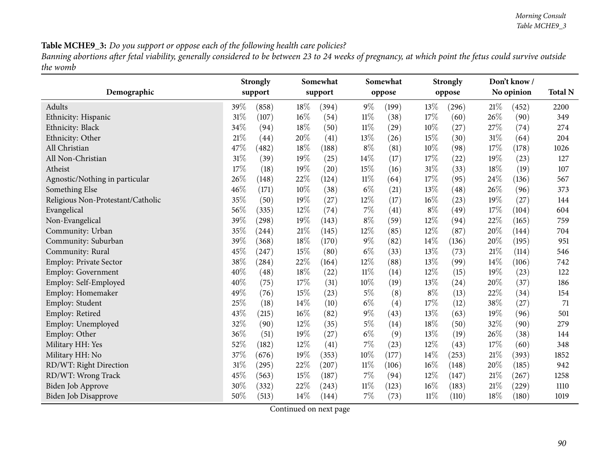Banning abortions after fetal viability, generally considered to be between 23 to 24 weeks of pregnancy, at which point the fetus could survive outside *the womb*

| Demographic                       |      | <b>Strongly</b><br>support |        | Somewhat<br>support |        | Somewhat<br>oppose |        | <b>Strongly</b><br>oppose |        | Don't know/<br>No opinion | <b>Total N</b> |
|-----------------------------------|------|----------------------------|--------|---------------------|--------|--------------------|--------|---------------------------|--------|---------------------------|----------------|
|                                   |      |                            |        |                     |        |                    |        |                           |        |                           |                |
| Adults                            | 39\% | (858)                      | 18\%   | (394)               | $9\%$  | (199)              | 13%    | (296)                     | 21%    | (452)                     | 2200           |
| Ethnicity: Hispanic               | 31%  | (107)                      | $16\%$ | (54)                | $11\%$ | (38)               | 17%    | (60)                      | 26%    | (90)                      | 349            |
| Ethnicity: Black                  | 34%  | (94)                       | 18%    | (50)                | $11\%$ | (29)               | 10%    | (27)                      | 27%    | (74)                      | 274            |
| Ethnicity: Other                  | 21%  | (44)                       | $20\%$ | (41)                | 13%    | (26)               | 15%    | (30)                      | $31\%$ | (64)                      | 204            |
| All Christian                     | 47%  | (482)                      | 18%    | (188)               | $8\%$  | (81)               | 10%    | (98)                      | 17%    | (178)                     | 1026           |
| All Non-Christian                 | 31%  | (39)                       | 19%    | (25)                | 14%    | (17)               | 17%    | (22)                      | 19%    | (23)                      | 127            |
| Atheist                           | 17%  | (18)                       | 19%    | (20)                | 15%    | (16)               | $31\%$ | (33)                      | 18%    | (19)                      | 107            |
| Agnostic/Nothing in particular    | 26%  | (148)                      | 22%    | (124)               | $11\%$ | (64)               | 17%    | (95)                      | 24%    | (136)                     | 567            |
| Something Else                    | 46%  | (171)                      | 10%    | (38)                | $6\%$  | (21)               | 13%    | (48)                      | 26%    | (96)                      | 373            |
| Religious Non-Protestant/Catholic | 35%  | (50)                       | 19%    | (27)                | 12%    | (17)               | 16%    | (23)                      | 19%    | (27)                      | 144            |
| Evangelical                       | 56%  | (335)                      | 12%    | (74)                | 7%     | (41)               | $8\%$  | (49)                      | 17%    | (104)                     | 604            |
| Non-Evangelical                   | 39%  | (298)                      | 19%    | (143)               | $8\%$  | (59)               | 12%    | (94)                      | 22%    | (165)                     | 759            |
| Community: Urban                  | 35%  | (244)                      | $21\%$ | (145)               | 12%    | (85)               | 12%    | (87)                      | 20%    | (144)                     | 704            |
| Community: Suburban               | 39%  | (368)                      | 18%    | (170)               | $9\%$  | (82)               | 14%    | (136)                     | 20%    | (195)                     | 951            |
| Community: Rural                  | 45%  | (247)                      | 15%    | (80)                | $6\%$  | (33)               | 13%    | (73)                      | 21\%   | (114)                     | 546            |
| <b>Employ: Private Sector</b>     | 38%  | (284)                      | 22%    | (164)               | 12%    | (88)               | 13%    | (99)                      | 14%    | (106)                     | 742            |
| <b>Employ: Government</b>         | 40%  | (48)                       | 18%    | (22)                | 11%    | (14)               | 12%    | (15)                      | 19%    | (23)                      | 122            |
| Employ: Self-Employed             | 40%  | (75)                       | 17%    | (31)                | 10%    | (19)               | 13%    | (24)                      | 20%    | (37)                      | 186            |
| Employ: Homemaker                 | 49%  | (76)                       | 15%    | (23)                | $5\%$  | (8)                | $8\%$  | (13)                      | 22%    | (34)                      | 154            |
| Employ: Student                   | 25%  | (18)                       | 14%    | (10)                | $6\%$  | (4)                | 17%    | (12)                      | 38%    | (27)                      | 71             |
| Employ: Retired                   | 43%  | (215)                      | $16\%$ | (82)                | 9%     | (43)               | 13%    | (63)                      | 19%    | (96)                      | 501            |
| Employ: Unemployed                | 32%  | (90)                       | 12%    | (35)                | $5\%$  | (14)               | 18%    | (50)                      | 32%    | (90)                      | 279            |
| Employ: Other                     | 36%  | (51)                       | 19%    | (27)                | $6\%$  | (9)                | 13%    | (19)                      | 26%    | (38)                      | 144            |
| Military HH: Yes                  | 52%  | (182)                      | $12\%$ | (41)                | 7%     | (23)               | 12%    | (43)                      | 17%    | (60)                      | 348            |
| Military HH: No                   | 37%  | (676)                      | 19%    | (353)               | 10%    | (177)              | 14%    | (253)                     | $21\%$ | (393)                     | 1852           |
| RD/WT: Right Direction            | 31%  | (295)                      | 22%    | (207)               | $11\%$ | (106)              | $16\%$ | (148)                     | 20%    | (185)                     | 942            |
| RD/WT: Wrong Track                | 45%  | (563)                      | 15%    | (187)               | 7%     | (94)               | 12%    | (147)                     | 21%    | (267)                     | 1258           |
| Biden Job Approve                 | 30%  | (332)                      | 22%    | (243)               | $11\%$ | (123)              | 16%    | (183)                     | 21\%   | (229)                     | 1110           |
| <b>Biden Job Disapprove</b>       | 50%  | (513)                      | 14%    | (144)               | 7%     | (73)               | $11\%$ | (110)                     | 18%    | (180)                     | 1019           |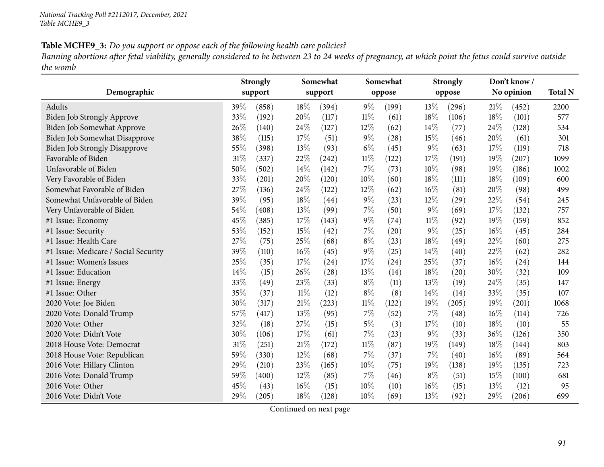Banning abortions after fetal viability, generally considered to be between 23 to 24 weeks of pregnancy, at which point the fetus could survive outside *the womb*

| Demographic                          |     | <b>Strongly</b><br>support |     | Somewhat<br>support |        | Somewhat<br>oppose |        | <b>Strongly</b><br>oppose |        | Don't know/<br>No opinion | <b>Total N</b> |
|--------------------------------------|-----|----------------------------|-----|---------------------|--------|--------------------|--------|---------------------------|--------|---------------------------|----------------|
|                                      |     |                            |     |                     |        |                    |        |                           |        |                           |                |
| Adults                               | 39% | (858)                      | 18% | (394)               | $9\%$  | (199)              | 13\%   | (296)                     | 21%    | (452)                     | 2200           |
| <b>Biden Job Strongly Approve</b>    | 33% | (192)                      | 20% | (117)               | $11\%$ | (61)               | 18%    | (106)                     | 18%    | (101)                     | 577            |
| Biden Job Somewhat Approve           | 26% | (140)                      | 24% | (127)               | $12\%$ | (62)               | 14\%   | (77)                      | 24\%   | (128)                     | 534            |
| Biden Job Somewhat Disapprove        | 38% | (115)                      | 17% | (51)                | $9\%$  | (28)               | 15%    | (46)                      | 20%    | (61)                      | 301            |
| <b>Biden Job Strongly Disapprove</b> | 55% | (398)                      | 13% | (93)                | $6\%$  | (45)               | $9\%$  | (63)                      | 17%    | (119)                     | 718            |
| Favorable of Biden                   | 31% | (337)                      | 22% | (242)               | 11%    | (122)              | 17%    | (191)                     | 19%    | (207)                     | 1099           |
| Unfavorable of Biden                 | 50% | (502)                      | 14% | (142)               | $7\%$  | (73)               | 10%    | (98)                      | 19%    | (186)                     | 1002           |
| Very Favorable of Biden              | 33% | (201)                      | 20% | (120)               | 10%    | (60)               | 18%    | (111)                     | 18%    | (109)                     | 600            |
| Somewhat Favorable of Biden          | 27% | (136)                      | 24% | (122)               | $12\%$ | (62)               | 16%    | (81)                      | 20%    | (98)                      | 499            |
| Somewhat Unfavorable of Biden        | 39% | (95)                       | 18% | (44)                | $9\%$  | (23)               | 12%    | (29)                      | 22%    | (54)                      | 245            |
| Very Unfavorable of Biden            | 54% | (408)                      | 13% | (99)                | $7\%$  | (50)               | $9\%$  | (69)                      | 17%    | (132)                     | 757            |
| #1 Issue: Economy                    | 45% | (385)                      | 17% | (143)               | $9\%$  | (74)               | $11\%$ | (92)                      | 19%    | (159)                     | 852            |
| #1 Issue: Security                   | 53% | (152)                      | 15% | (42)                | $7\%$  | (20)               | $9\%$  | (25)                      | $16\%$ | (45)                      | 284            |
| #1 Issue: Health Care                | 27% | (75)                       | 25% | (68)                | $8\%$  | (23)               | $18\%$ | (49)                      | 22%    | (60)                      | 275            |
| #1 Issue: Medicare / Social Security | 39% | (110)                      | 16% | (45)                | $9\%$  | (25)               | 14%    | (40)                      | 22%    | (62)                      | 282            |
| #1 Issue: Women's Issues             | 25% | (35)                       | 17% | (24)                | 17%    | (24)               | 25%    | (37)                      | $16\%$ | (24)                      | 144            |
| #1 Issue: Education                  | 14% | (15)                       | 26% | (28)                | 13%    | (14)               | 18%    | (20)                      | 30%    | (32)                      | 109            |
| #1 Issue: Energy                     | 33% | (49)                       | 23% | (33)                | $8\%$  | (11)               | 13%    | (19)                      | 24%    | (35)                      | 147            |
| #1 Issue: Other                      | 35% | (37)                       | 11% | (12)                | $8\%$  | (8)                | 14%    | (14)                      | 33%    | (35)                      | 107            |
| 2020 Vote: Joe Biden                 | 30% | (317)                      | 21% | (223)               | $11\%$ | (122)              | 19%    | (205)                     | 19%    | (201)                     | 1068           |
| 2020 Vote: Donald Trump              | 57% | (417)                      | 13% | (95)                | $7\%$  | (52)               | $7\%$  | (48)                      | 16%    | (114)                     | 726            |
| 2020 Vote: Other                     | 32% | (18)                       | 27% | (15)                | $5\%$  | (3)                | 17%    | (10)                      | 18%    | (10)                      | 55             |
| 2020 Vote: Didn't Vote               | 30% | (106)                      | 17% | (61)                | $7\%$  | (23)               | $9\%$  | (33)                      | 36%    | (126)                     | 350            |
| 2018 House Vote: Democrat            | 31% | (251)                      | 21% | (172)               | $11\%$ | (87)               | 19%    | (149)                     | 18%    | (144)                     | 803            |
| 2018 House Vote: Republican          | 59% | (330)                      | 12% | (68)                | $7\%$  | (37)               | $7\%$  | (40)                      | $16\%$ | (89)                      | 564            |
| 2016 Vote: Hillary Clinton           | 29% | (210)                      | 23% | (165)               | 10%    | (75)               | 19%    | (138)                     | 19%    | (135)                     | 723            |
| 2016 Vote: Donald Trump              | 59% | (400)                      | 12% | (85)                | $7\%$  | (46)               | $8\%$  | (51)                      | 15%    | (100)                     | 681            |
| 2016 Vote: Other                     | 45% | (43)                       | 16% | (15)                | 10%    | (10)               | $16\%$ | (15)                      | 13%    | (12)                      | 95             |
| 2016 Vote: Didn't Vote               | 29% | (205)                      | 18% | (128)               | 10%    | (69)               | 13%    | (92)                      | 29%    | (206)                     | 699            |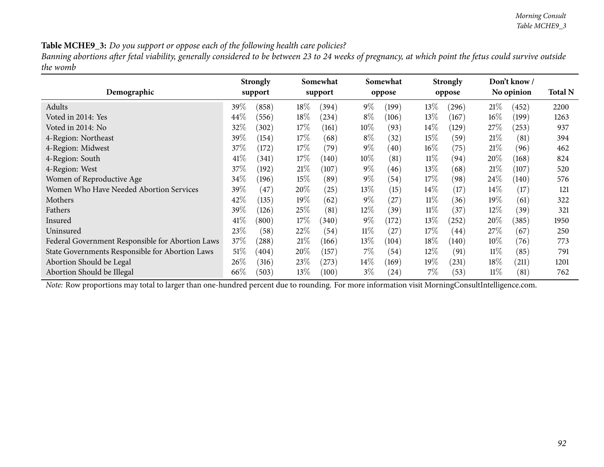Banning abortions after fetal viability, generally considered to be between 23 to 24 weeks of pregnancy, at which point the fetus could survive outside *the womb*

|                                                  |         | <b>Strongly</b> |        | Somewhat |        | Somewhat |        | <b>Strongly</b> |        | Don't know/ |                |
|--------------------------------------------------|---------|-----------------|--------|----------|--------|----------|--------|-----------------|--------|-------------|----------------|
| Demographic                                      |         | support         |        | support  |        | oppose   |        | oppose          |        | No opinion  | <b>Total N</b> |
| Adults                                           | 39%     | (858)           | $18\%$ | (394)    | $9\%$  | (199)    | $13\%$ | (296)           | 21%    | (452)       | 2200           |
| Voted in 2014: Yes                               | 44\%    | (556)           | $18\%$ | (234)    | $8\%$  | (106)    | 13\%   | (167)           | $16\%$ | (199)       | 1263           |
| Voted in 2014: No                                | 32%     | (302)           | $17\%$ | (161)    | $10\%$ | (93)     | 14%    | (129)           | $27\%$ | (253)       | 937            |
| 4-Region: Northeast                              | 39%     | (154)           | $17\%$ | (68)     | $8\%$  | (32)     | 15%    | (59)            | 21%    | (81)        | 394            |
| 4-Region: Midwest                                | 37\%    | (172)           | $17\%$ | (79)     | $9\%$  | (40)     | $16\%$ | (75)            | 21%    | (96)        | 462            |
| 4-Region: South                                  | $41\%$  | (341)           | $17\%$ | (140)    | $10\%$ | (81)     | 11%    | (94)            | $20\%$ | (168)       | 824            |
| 4-Region: West                                   | 37\%    | (192)           | 21%    | (107)    | $9\%$  | (46)     | 13%    | (68)            | 21%    | (107)       | 520            |
| Women of Reproductive Age                        | 34\%    | (196)           | 15%    | (89`     | $9\%$  | (54)     | 17\%   | (98)            | $24\%$ | (140)       | 576            |
| Women Who Have Needed Abortion Services          | 39 $\%$ | (47)            | 20%    | (25)     | $13\%$ | (15)     | $14\%$ | (17)            | 14\%   | (17)        | 121            |
| Mothers                                          | 42\%    | (135)           | 19%    | (62)     | $9\%$  | (27)     | $11\%$ | (36)            | $19\%$ | (61)        | 322            |
| Fathers                                          | 39\%    | (126)           | 25\%   | (81)     | $12\%$ | (39)     | $11\%$ | (37)            | $12\%$ | (39)        | 321            |
| Insured                                          | 41\%    | (800)           | $17\%$ | (340)    | $9\%$  | (172)    | $13\%$ | (252)           | 20%    | (385)       | 1950           |
| Uninsured                                        | 23\%    | (58)            | 22%    | (54)     | $11\%$ | (27)     | 17%    | (44)            | 27%    | (67)        | 250            |
| Federal Government Responsible for Abortion Laws | 37\%    | (288)           | 21%    | (166)    | $13\%$ | (104)    | $18\%$ | (140)           | $10\%$ | (76)        | 773            |
| State Governments Responsible for Abortion Laws  | $51\%$  | (404)           | 20%    | (157)    | $7\%$  | (54)     | 12%    | (91)            | $11\%$ | (85)        | 791            |
| Abortion Should be Legal                         | $26\%$  | (316)           | 23\%   | (273)    | $14\%$ | (169)    | $19\%$ | (231)           | $18\%$ | (211)       | 1201           |
| Abortion Should be Illegal                       | 66\%    | (503)           | 13\%   | (100)    | $3\%$  | (24)     | 7%     | (53)            | $11\%$ | (81)        | 762            |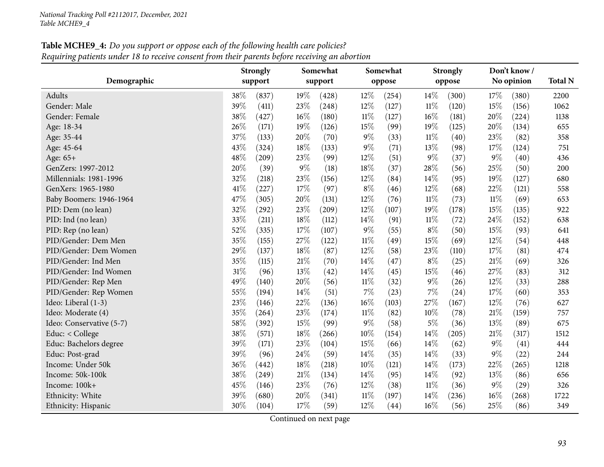# **Table MCHE9\_4:** Do you support or oppose each of the following health care policies? Requiring patients under 18 to receive consent from their parents before receiving an abortion

|                          |        | <b>Strongly</b> |        | Somewhat |        | Somewhat |        | <b>Strongly</b> |        | Don't know/ |                |
|--------------------------|--------|-----------------|--------|----------|--------|----------|--------|-----------------|--------|-------------|----------------|
| Demographic              |        | support         |        | support  |        | oppose   |        | oppose          |        | No opinion  | <b>Total N</b> |
| Adults                   | 38%    | (837)           | 19%    | (428)    | 12%    | (254)    | 14%    | (300)           | 17%    | (380)       | 2200           |
| Gender: Male             | 39%    | (411)           | 23%    | (248)    | 12%    | (127)    | $11\%$ | (120)           | 15%    | (156)       | 1062           |
| Gender: Female           | 38%    | (427)           | $16\%$ | (180)    | $11\%$ | (127)    | $16\%$ | (181)           | 20%    | (224)       | 1138           |
| Age: 18-34               | 26%    | (171)           | 19%    | (126)    | 15%    | (99)     | 19%    | (125)           | 20%    | (134)       | 655            |
| Age: 35-44               | 37%    | (133)           | 20%    | (70)     | $9\%$  | (33)     | $11\%$ | (40)            | 23%    | (82)        | 358            |
| Age: 45-64               | 43%    | (324)           | 18%    | (133)    | 9%     | (71)     | 13%    | (98)            | 17%    | (124)       | 751            |
| Age: 65+                 | 48%    | (209)           | 23%    | (99)     | $12\%$ | (51)     | $9\%$  | (37)            | $9\%$  | (40)        | 436            |
| GenZers: 1997-2012       | 20%    | (39)            | $9\%$  | (18)     | 18%    | (37)     | 28\%   | (56)            | 25%    | (50)        | 200            |
| Millennials: 1981-1996   | 32%    | (218)           | 23%    | (156)    | 12%    | (84)     | 14%    | (95)            | 19%    | (127)       | 680            |
| GenXers: 1965-1980       | 41\%   | (227)           | 17%    | (97)     | $8\%$  | (46)     | 12%    | (68)            | 22%    | (121)       | 558            |
| Baby Boomers: 1946-1964  | 47%    | (305)           | 20%    | (131)    | 12%    | (76)     | $11\%$ | (73)            | $11\%$ | (69)        | 653            |
| PID: Dem (no lean)       | $32\%$ | (292)           | 23\%   | (209)    | $12\%$ | (107)    | 19%    | (178)           | 15%    | (135)       | 922            |
| PID: Ind (no lean)       | 33%    | (211)           | 18%    | (112)    | 14%    | (91)     | $11\%$ | (72)            | 24%    | (152)       | 638            |
| PID: Rep (no lean)       | 52%    | (335)           | 17%    | (107)    | 9%     | (55)     | $8\%$  | (50)            | 15%    | (93)        | 641            |
| PID/Gender: Dem Men      | 35%    | (155)           | 27%    | (122)    | $11\%$ | (49)     | 15%    | (69)            | 12%    | (54)        | 448            |
| PID/Gender: Dem Women    | 29%    | (137)           | 18%    | (87)     | 12%    | (58)     | 23%    | (110)           | 17%    | (81)        | 474            |
| PID/Gender: Ind Men      | 35%    | (115)           | 21%    | (70)     | 14%    | (47)     | $8\%$  | (25)            | 21%    | (69)        | 326            |
| PID/Gender: Ind Women    | 31%    | (96)            | 13%    | (42)     | 14%    | (45)     | $15\%$ | (46)            | 27%    | (83)        | 312            |
| PID/Gender: Rep Men      | 49%    | (140)           | 20%    | (56)     | $11\%$ | (32)     | $9\%$  | (26)            | 12%    | (33)        | 288            |
| PID/Gender: Rep Women    | 55%    | (194)           | 14%    | (51)     | 7%     | (23)     | $7\%$  | (24)            | 17%    | (60)        | 353            |
| Ideo: Liberal (1-3)      | 23%    | (146)           | 22%    | (136)    | 16%    | (103)    | 27%    | (167)           | 12%    | (76)        | 627            |
| Ideo: Moderate (4)       | 35%    | (264)           | 23%    | (174)    | $11\%$ | (82)     | 10%    | (78)            | 21%    | (159)       | 757            |
| Ideo: Conservative (5-7) | 58%    | (392)           | 15%    | (99)     | $9\%$  | (58)     | $5\%$  | (36)            | 13%    | (89)        | 675            |
| Educ: < College          | 38%    | (571)           | 18%    | (266)    | 10%    | (154)    | 14%    | (205)           | 21%    | (317)       | 1512           |
| Educ: Bachelors degree   | 39%    | (171)           | 23%    | (104)    | 15%    | (66)     | 14%    | (62)            | $9\%$  | (41)        | 444            |
| Educ: Post-grad          | 39%    | (96)            | 24%    | (59)     | 14%    | (35)     | 14%    | (33)            | $9\%$  | (22)        | 244            |
| Income: Under 50k        | 36%    | (442)           | 18%    | (218)    | 10%    | (121)    | 14%    | (173)           | 22\%   | (265)       | 1218           |
| Income: 50k-100k         | 38%    | (249)           | 21%    | (134)    | 14%    | (95)     | 14%    | (92)            | 13%    | (86)        | 656            |
| Income: 100k+            | 45%    | (146)           | 23%    | (76)     | 12%    | (38)     | $11\%$ | (36)            | $9\%$  | (29)        | 326            |
| Ethnicity: White         | 39%    | (680)           | 20%    | (341)    | $11\%$ | (197)    | 14\%   | (236)           | 16%    | (268)       | 1722           |
| Ethnicity: Hispanic      | 30%    | (104)           | 17%    | (59)     | 12%    | (44)     | 16%    | (56)            | 25%    | (86)        | 349            |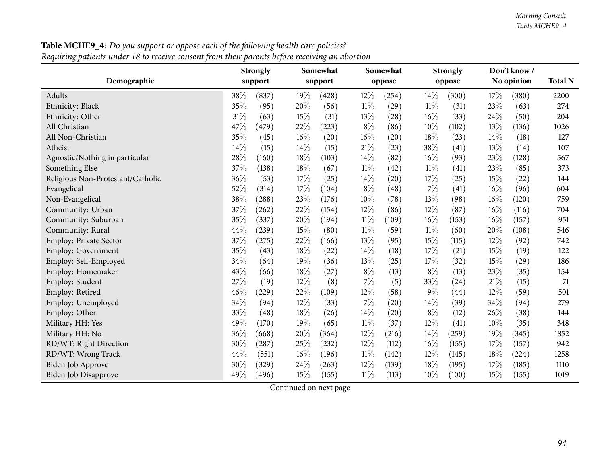| Demographic       | <b>Strongly</b> | Somewhat | Somewhat  | <b>Strongly</b>   |
|-------------------|-----------------|----------|-----------|-------------------|
|                   | support         | support  | oppose    | oppose            |
| Adults            | 38%             | 19%      | 12%       | $14\%$            |
|                   | (837)           | (428)    | (254)     | (300)             |
| Ethnicity: Black  | 35\%            | 20%      | $11\%$    | $11\%$            |
|                   | (95)            | (56)     | $^{'}29$  | (31)              |
| Ethnicity: Other  | 31%             | 15%      | 13%       | 16%               |
|                   | (63)            | (31)     | $^{'}28)$ | (33)              |
| All Christian     | 47\%            | 22%      | $8\%$     | $10\%$            |
|                   | (479)           | (223)    | (86)      | (102)             |
| All Non-Christian | 35%             | 16%      | $16\%$    | 18%               |
|                   | (45)            | (20)     | $^{'}20)$ | (23)              |
| Atheist           | $14\%$          | 14%      | 21%       | 38%               |
|                   | (15)            | (15)     | (23)      | $\left(41\right)$ |

Table MCHE9\_4: Do you support or oppose each of the following health care policies?

|                                   |         | <b>Strongly</b> |        | Somewhat |        | Somewhat           |        | <b>Strongly</b> |     | Don't know/ |                |
|-----------------------------------|---------|-----------------|--------|----------|--------|--------------------|--------|-----------------|-----|-------------|----------------|
| Demographic                       | support |                 |        | support  |        | oppose             |        | oppose          |     | No opinion  | <b>Total N</b> |
| Adults                            | 38%     | (837)           | 19%    | (428)    | $12\%$ | (254)              | 14%    | (300)           | 17% | (380)       | 2200           |
| Ethnicity: Black                  | 35%     | (95)            | 20%    | (56)     | $11\%$ | (29)               | $11\%$ | (31)            | 23% | (63)        | 274            |
| Ethnicity: Other                  | 31%     | (63)            | 15%    | (31)     | 13%    | (28)               | 16%    | (33)            | 24% | (50)        | 204            |
| All Christian                     | 47%     | (479)           | 22%    | (223)    | $8\%$  | (86)               | 10%    | (102)           | 13% | (136)       | 1026           |
| All Non-Christian                 | 35%     | (45)            | 16%    | (20)     | 16%    | $\left( 20\right)$ | 18%    | (23)            | 14% | (18)        | 127            |
| Atheist                           | 14%     | (15)            | 14\%   | (15)     | $21\%$ | (23)               | 38%    | (41)            | 13% | (14)        | 107            |
| Agnostic/Nothing in particular    | 28%     | (160)           | $18\%$ | (103)    | 14%    | (82)               | 16%    | (93)            | 23% | (128)       | 567            |
| Something Else                    | 37%     | (138)           | 18%    | (67)     | $11\%$ | (42)               | $11\%$ | (41)            | 23% | (85)        | 373            |
| Religious Non-Protestant/Catholic | 36%     | (53)            | $17\%$ | (25)     | 14%    | (20)               | 17%    | (25)            | 15% | (22)        | 144            |
| Evangelical                       | 52%     | (314)           | 17%    | (104)    | $8\%$  | (48)               | $7\%$  | (41)            | 16% | (96)        | 604            |
| Non-Evangelical                   | 38%     | (288)           | 23%    | (176)    | 10%    | (78)               | 13%    | (98)            | 16% | (120)       | 759            |
| Community: Urban                  | 37%     | (262)           | 22%    | (154)    | 12%    | (86)               | $12\%$ | (87)            | 16% | (116)       | 704            |
| Community: Suburban               | 35%     | (337)           | 20%    | (194)    | 11%    | (109)              | $16\%$ | (153)           | 16% | (157)       | 951            |
| Community: Rural                  | 44%     | (239)           | 15%    | (80)     | $11\%$ | (59)               | $11\%$ | (60)            | 20% | (108)       | 546            |
| Employ: Private Sector            | 37%     | (275)           | 22%    | (166)    | 13%    | (95)               | 15%    | (115)           | 12% | (92)        | 742            |
| <b>Employ: Government</b>         | 35%     | (43)            | $18\%$ | (22)     | 14\%   | (18)               | 17\%   | (21)            | 15% | (19)        | 122            |
| Employ: Self-Employed             | 34%     | (64)            | 19%    | (36)     | 13%    | (25)               | 17%    | (32)            | 15% | (29)        | 186            |
| Employ: Homemaker                 | 43%     | (66)            | $18\%$ | (27)     | $8\%$  | (13)               | $8\%$  | (13)            | 23% | (35)        | 154            |
| Employ: Student                   | 27%     | (19)            | $12\%$ | (8)      | $7\%$  | (5)                | 33%    | (24)            | 21% | (15)        | 71             |
| Employ: Retired                   | 46%     | (229)           | 22%    | (109)    | 12%    | (58)               | $9\%$  | (44)            | 12% | (59)        | 501            |
| Employ: Unemployed                | 34%     | (94)            | $12\%$ | (33)     | $7\%$  | (20)               | $14\%$ | (39)            | 34% | (94)        | 279            |
| Employ: Other                     | 33%     | (48)            | 18%    | (26)     | 14%    | (20)               | $8\%$  | (12)            | 26% | (38)        | 144            |
| Military HH: Yes                  | 49%     | (170)           | 19%    | (65)     | 11%    | (37)               | 12%    | (41)            | 10% | (35)        | 348            |
| Military HH: No                   | 36%     | (668)           | 20%    | (364)    | 12%    | (216)              | 14%    | (259)           | 19% | (345)       | 1852           |
| RD/WT: Right Direction            | 30%     | (287)           | 25\%   | (232)    | $12\%$ | (112)              | $16\%$ | (155)           | 17% | (157)       | 942            |
| RD/WT: Wrong Track                | 44%     | (551)           | $16\%$ | (196)    | $11\%$ | (142)              | $12\%$ | (145)           | 18% | (224)       | 1258           |
| Biden Job Approve                 | 30%     | (329)           | 24\%   | (263)    | $12\%$ | (139)              | $18\%$ | (195)           | 17% | (185)       | 1110           |
| <b>Biden Job Disapprove</b>       | 49%     | (496)           | 15\%   | (155)    | $11\%$ | (113)              | 10%    | (100)           | 15% | (155)       | 1019           |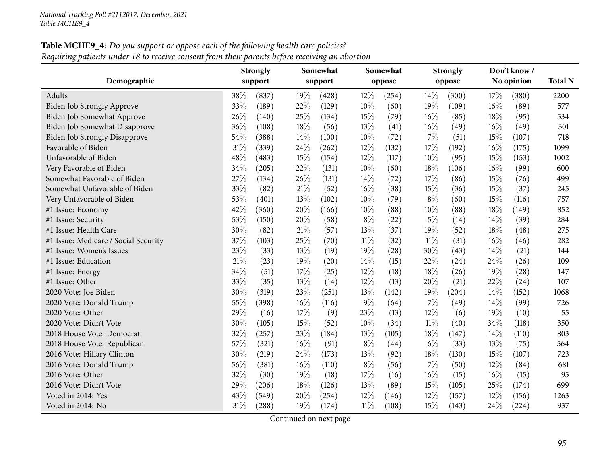# **Table MCHE9\_4:** Do you support or oppose each of the following health care policies? Requiring patients under 18 to receive consent from their parents before receiving an abortion

|                                      |        | <b>Strongly</b> |        | Somewhat |        | Somewhat |        | <b>Strongly</b> |     | Don't know / |                |
|--------------------------------------|--------|-----------------|--------|----------|--------|----------|--------|-----------------|-----|--------------|----------------|
| Demographic                          |        | support         |        | support  |        | oppose   |        | oppose          |     | No opinion   | <b>Total N</b> |
| Adults                               | 38%    | (837)           | 19%    | (428)    | 12%    | (254)    | 14%    | (300)           | 17% | (380)        | 2200           |
| <b>Biden Job Strongly Approve</b>    | 33%    | (189)           | 22%    | (129)    | 10%    | (60)     | 19%    | (109)           | 16% | (89)         | 577            |
| Biden Job Somewhat Approve           | 26%    | (140)           | 25%    | (134)    | 15%    | (79)     | $16\%$ | (85)            | 18% | (95)         | 534            |
| Biden Job Somewhat Disapprove        | 36%    | (108)           | 18%    | (56)     | 13%    | (41)     | $16\%$ | (49)            | 16% | (49)         | 301            |
| <b>Biden Job Strongly Disapprove</b> | 54%    | (388)           | 14%    | (100)    | 10%    | (72)     | $7\%$  | (51)            | 15% | (107)        | 718            |
| Favorable of Biden                   | $31\%$ | (339)           | 24%    | (262)    | 12%    | (132)    | 17%    | (192)           | 16% | (175)        | 1099           |
| Unfavorable of Biden                 | $48\%$ | (483)           | 15%    | (154)    | 12%    | (117)    | 10%    | (95)            | 15% | (153)        | 1002           |
| Very Favorable of Biden              | 34%    | (205)           | 22%    | (131)    | 10%    | (60)     | 18%    | (106)           | 16% | (99)         | 600            |
| Somewhat Favorable of Biden          | 27%    | (134)           | 26%    | (131)    | 14%    | (72)     | 17%    | (86)            | 15% | (76)         | 499            |
| Somewhat Unfavorable of Biden        | 33%    | (82)            | 21%    | (52)     | 16%    | (38)     | 15%    | (36)            | 15% | (37)         | 245            |
| Very Unfavorable of Biden            | 53%    | (401)           | 13%    | (102)    | 10%    | (79)     | $8\%$  | (60)            | 15% | (116)        | 757            |
| #1 Issue: Economy                    | 42%    | (360)           | 20%    | (166)    | 10%    | (88)     | $10\%$ | (88)            | 18% | (149)        | 852            |
| #1 Issue: Security                   | 53%    | (150)           | 20%    | (58)     | $8\%$  | (22)     | $5\%$  | (14)            | 14% | (39)         | 284            |
| #1 Issue: Health Care                | 30%    | (82)            | 21%    | (57)     | 13%    | (37)     | 19%    | (52)            | 18% | (48)         | 275            |
| #1 Issue: Medicare / Social Security | 37%    | (103)           | 25%    | (70)     | $11\%$ | (32)     | $11\%$ | (31)            | 16% | (46)         | 282            |
| #1 Issue: Women's Issues             | 23%    | (33)            | 13%    | (19)     | 19%    | (28)     | 30%    | (43)            | 14% | (21)         | 144            |
| #1 Issue: Education                  | 21%    | (23)            | 19%    | (20)     | 14%    | (15)     | 22%    | (24)            | 24% | (26)         | 109            |
| #1 Issue: Energy                     | 34%    | (51)            | 17%    | (25)     | 12%    | (18)     | 18%    | (26)            | 19% | (28)         | 147            |
| #1 Issue: Other                      | 33%    | (35)            | 13%    | (14)     | 12%    | (13)     | 20%    | (21)            | 22% | (24)         | 107            |
| 2020 Vote: Joe Biden                 | 30%    | (319)           | 23%    | (251)    | 13%    | (142)    | 19%    | (204)           | 14% | (152)        | 1068           |
| 2020 Vote: Donald Trump              | 55%    | (398)           | $16\%$ | (116)    | 9%     | (64)     | 7%     | (49)            | 14% | (99)         | 726            |
| 2020 Vote: Other                     | 29%    | (16)            | 17%    | (9)      | 23%    | (13)     | $12\%$ | (6)             | 19% | (10)         | 55             |
| 2020 Vote: Didn't Vote               | 30%    | (105)           | 15%    | (52)     | 10%    | (34)     | $11\%$ | (40)            | 34% | (118)        | 350            |
| 2018 House Vote: Democrat            | 32%    | (257)           | 23%    | (184)    | 13%    | (105)    | 18%    | (147)           | 14% | (110)        | 803            |
| 2018 House Vote: Republican          | 57%    | (321)           | 16%    | (91)     | $8\%$  | (44)     | $6\%$  | (33)            | 13% | (75)         | 564            |
| 2016 Vote: Hillary Clinton           | 30%    | (219)           | 24\%   | (173)    | 13%    | (92)     | 18%    | (130)           | 15% | (107)        | 723            |
| 2016 Vote: Donald Trump              | 56%    | (381)           | 16%    | (110)    | $8\%$  | (56)     | $7\%$  | (50)            | 12% | (84)         | 681            |
| 2016 Vote: Other                     | 32%    | (30)            | 19%    | (18)     | 17%    | (16)     | 16%    | (15)            | 16% | (15)         | 95             |
| 2016 Vote: Didn't Vote               | 29%    | (206)           | 18%    | (126)    | 13%    | (89)     | 15%    | (105)           | 25% | (174)        | 699            |
| Voted in 2014: Yes                   | 43%    | (549)           | 20%    | (254)    | 12%    | (146)    | 12%    | (157)           | 12% | (156)        | 1263           |
| Voted in 2014: No                    | 31%    | (288)           | 19%    | (174)    | $11\%$ | (108)    | 15%    | (143)           | 24% | (224)        | 937            |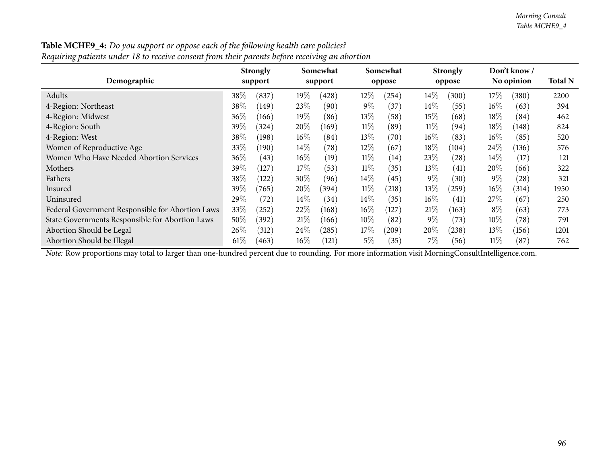$Total N$ 

394

462

576

121

321

| Requiring patients under 18 to receive consent from their parents before receiving an abortion |                            |                     |                    |                           |                             |       |
|------------------------------------------------------------------------------------------------|----------------------------|---------------------|--------------------|---------------------------|-----------------------------|-------|
| Demographic                                                                                    | <b>Strongly</b><br>support | Somewhat<br>support | Somewhat<br>oppose | <b>Strongly</b><br>oppose | Don't know /<br>No opinion  | Total |
| Adults                                                                                         | 38\%<br>(837)              | $19\%$<br>(428)     | $12\%$<br>(254)    | $14\%$<br>(300)           | 17%<br>(380)                | 2200  |
| 4-Region: Northeast                                                                            | 38\%<br>(149)              | 23\%<br>(90)        | $9\%$<br>(37)      | $14\%$<br>(55)            | $16\%$<br>(63)              | 394   |
| 4-Region: Midwest                                                                              | $36\%$<br>(166)            | $19\%$<br>(86)      | $13\%$<br>(58)     | $15\%$<br>(68)            | $18\%$<br>(84)              | 462   |
| 4-Region: South                                                                                | 39%<br>(324)               | $20\%$<br>(169)     | $11\%$<br>(89)     | $11\%$<br>(94)            | $18\%$<br>(148)             | 824   |
| 4-Region: West                                                                                 | 38\%<br>(198)              | $16\%$<br>(84)      | $13\%$<br>(70)     | $16\%$<br>(83)            | $16\%$<br>(85)              | 520   |
| Women of Reproductive Age                                                                      | 33\%<br>(190)              | $14\%$<br>(78)      | $12\%$<br>(67)     | $18\%$<br>(104)           | 24\%<br>(136)               | 576   |
| Women Who Have Needed Abortion Services                                                        | 36\%<br>(43)               | $16\%$<br>(19)      | $11\%$<br>(14)     | 23\%<br>(28)              | 14\%<br>(17)                | 121   |
| Mothers                                                                                        | 39\%<br>(127)              | $17\%$<br>(53)      | $11\%$<br>(35)     | 13\%<br>(41)              | 20%<br>(66)                 | 322   |
| Fathers                                                                                        | 38%<br>(122)               | 30\%<br>(96)        | $14\%$<br>(45)     | $9\%$<br>(30)             | $9\%$<br>$\left( 28\right)$ | 321   |
| Insured                                                                                        | 39\%<br>(765)              | 20%<br>(394)        | $11\%$<br>(218)    | $13\%$<br>(259)           | $16\%$<br>(314)             | 1950  |
| Uninsured                                                                                      | 29%<br>$^{\prime}72)$      | $14\%$<br>(34)      | $14\%$<br>(35)     | $16\%$<br>(41)            | 27\%<br>(67)                | 250   |

Table MCHE9\_4: Do you support or oppose each of the following health care policies?

Abortion Should be Illegal

*Note:* Row proportions may total to larger than one-hundred percen<sup>t</sup> due to rounding. For more information visit [MorningConsultIntelligence.com](https://morningconsultintelligence.com).

d  $29\%$   $(72)$   $14\%$   $(34)$   $14\%$   $(35)$   $16\%$   $(41)$   $27\%$   $(67)$   $250$ 

Federal Government Responsible for Abortion Laws 33% (252) 22% (168) 16% (127) 21% (163) 8% (63) 773<br>State Governments Responsible for Abortion Laws 50% (392) 21% (166) 10% (82) 9% (73) 10% (78) 791 State Governments Responsible for Abortion Laws 50% (392) 21% (166) 10% (82) 9% (73) 10% (78) 791<br>Abortion Should be Legal 26% (312) 24% (285) 17% (209) 20% (238) 13% (156) 1201 Abortion Should be Legal 26% (312) 24% (285) 17% (209) 20% (238) 13% (156) 1201<br>Abortion Should be Illegal 61% (463) 16% (121) 5% (35) 7% (56) 11% (87) 762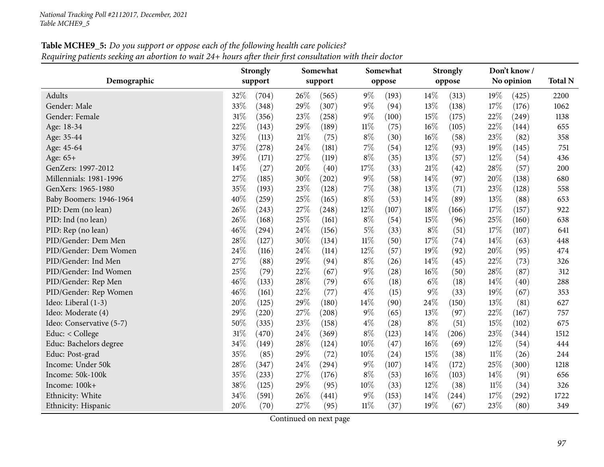| <b>Table MCHE9_5:</b> Do you support or oppose each of the following health care policies?                |  |
|-----------------------------------------------------------------------------------------------------------|--|
| Requiring patients seeking an abortion to wait 24+ hours after their first consultation with their doctor |  |

|                          |        | <b>Strongly</b> |     | Somewhat |        | Somewhat |        | <b>Strongly</b> |        | Don't know/ |                |
|--------------------------|--------|-----------------|-----|----------|--------|----------|--------|-----------------|--------|-------------|----------------|
| Demographic              |        | support         |     | support  |        | oppose   |        | oppose          |        | No opinion  | <b>Total N</b> |
| Adults                   | 32%    | (704)           | 26% | (565)    | $9\%$  | (193)    | 14%    | (313)           | 19%    | (425)       | 2200           |
| Gender: Male             | 33%    | (348)           | 29% | (307)    | 9%     | (94)     | 13%    | (138)           | 17%    | (176)       | 1062           |
| Gender: Female           | 31%    | (356)           | 23% | (258)    | 9%     | (100)    | 15%    | (175)           | 22%    | (249)       | 1138           |
| Age: 18-34               | 22%    | (143)           | 29% | (189)    | $11\%$ | (75)     | $16\%$ | (105)           | 22%    | (144)       | 655            |
| Age: 35-44               | 32%    | (113)           | 21% | (75)     | $8\%$  | (30)     | $16\%$ | (58)            | 23%    | (82)        | 358            |
| Age: 45-64               | 37%    | (278)           | 24% | (181)    | 7%     | (54)     | 12%    | (93)            | 19%    | (145)       | 751            |
| Age: 65+                 | 39%    | (171)           | 27% | (119)    | $8\%$  | (35)     | 13%    | (57)            | 12%    | (54)        | 436            |
| GenZers: 1997-2012       | 14%    | (27)            | 20% | (40)     | 17%    | (33)     | $21\%$ | (42)            | 28%    | (57)        | 200            |
| Millennials: 1981-1996   | 27%    | (185)           | 30% | (202)    | $9\%$  | (58)     | 14%    | (97)            | 20%    | (138)       | 680            |
| GenXers: 1965-1980       | 35%    | (193)           | 23% | (128)    | 7%     | (38)     | 13%    | (71)            | 23%    | (128)       | 558            |
| Baby Boomers: 1946-1964  | 40%    | (259)           | 25% | (165)    | $8\%$  | (53)     | 14%    | (89)            | 13%    | (88)        | 653            |
| PID: Dem (no lean)       | $26\%$ | (243)           | 27% | (248)    | 12%    | (107)    | 18%    | (166)           | 17%    | (157)       | 922            |
| PID: Ind (no lean)       | 26%    | (168)           | 25% | (161)    | $8\%$  | (54)     | 15%    | (96)            | 25%    | (160)       | 638            |
| PID: Rep (no lean)       | 46%    | (294)           | 24% | (156)    | $5\%$  | (33)     | $8\%$  | (51)            | 17%    | (107)       | 641            |
| PID/Gender: Dem Men      | 28%    | (127)           | 30% | (134)    | $11\%$ | (50)     | 17%    | (74)            | 14%    | (63)        | 448            |
| PID/Gender: Dem Women    | 24%    | (116)           | 24% | (114)    | 12%    | (57)     | 19%    | (92)            | 20%    | (95)        | 474            |
| PID/Gender: Ind Men      | 27%    | (88)            | 29% | (94)     | $8\%$  | (26)     | 14%    | (45)            | 22%    | (73)        | 326            |
| PID/Gender: Ind Women    | $25\%$ | (79)            | 22% | (67)     | $9\%$  | (28)     | $16\%$ | (50)            | 28%    | (87)        | 312            |
| PID/Gender: Rep Men      | 46%    | (133)           | 28% | (79)     | $6\%$  | (18)     | $6\%$  | (18)            | 14%    | (40)        | 288            |
| PID/Gender: Rep Women    | 46%    | (161)           | 22% | (77)     | $4\%$  | (15)     | $9\%$  | (33)            | 19%    | (67)        | 353            |
| Ideo: Liberal (1-3)      | 20%    | (125)           | 29% | (180)    | 14\%   | (90)     | 24\%   | (150)           | 13%    | (81)        | 627            |
| Ideo: Moderate (4)       | 29%    | (220)           | 27% | (208)    | 9%     | (65)     | 13%    | (97)            | 22%    | (167)       | 757            |
| Ideo: Conservative (5-7) | 50%    | (335)           | 23% | (158)    | $4\%$  | (28)     | $8\%$  | (51)            | 15%    | (102)       | 675            |
| Educ: < College          | 31%    | (470)           | 24% | (369)    | $8\%$  | (123)    | 14%    | (206)           | 23%    | (344)       | 1512           |
| Educ: Bachelors degree   | 34%    | (149)           | 28% | (124)    | 10%    | (47)     | 16%    | (69)            | 12%    | (54)        | 444            |
| Educ: Post-grad          | 35%    | (85)            | 29% | (72)     | 10%    | (24)     | 15%    | (38)            | $11\%$ | (26)        | 244            |
| Income: Under 50k        | $28\%$ | (347)           | 24% | (294)    | 9%     | (107)    | 14%    | (172)           | 25%    | (300)       | 1218           |
| Income: 50k-100k         | 35%    | (233)           | 27% | (176)    | $8\%$  | (53)     | $16\%$ | (103)           | 14\%   | (91)        | 656            |
| Income: 100k+            | 38%    | (125)           | 29% | (95)     | 10%    | (33)     | 12%    | (38)            | $11\%$ | (34)        | 326            |
| Ethnicity: White         | 34%    | (591)           | 26% | (441)    | $9\%$  | (153)    | 14\%   | (244)           | 17%    | (292)       | 1722           |
| Ethnicity: Hispanic      | 20%    | (70)            | 27% | (95)     | $11\%$ | (37)     | 19%    | (67)            | 23%    | (80)        | 349            |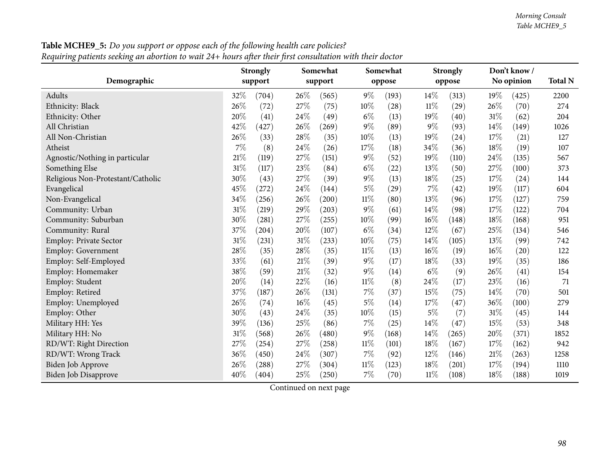| oι<br>0                           |        | <b>Strongly</b>     |      | Somewhat |        | Somewhat |        | <b>Strongly</b> |        | Don't know / |                |
|-----------------------------------|--------|---------------------|------|----------|--------|----------|--------|-----------------|--------|--------------|----------------|
| Demographic                       |        | support             |      | support  |        | oppose   |        | oppose          |        | No opinion   | <b>Total N</b> |
| Adults                            | 32%    | (704)               | 26\% | (565)    | $9\%$  | (193)    | 14\%   | (313)           | 19%    | (425)        | 2200           |
| Ethnicity: Black                  | 26%    | (72)                | 27%  | (75)     | 10%    | (28)     | $11\%$ | (29)            | 26%    | (70)         | 274            |
| Ethnicity: Other                  | 20%    | (41)                | 24%  | (49)     | $6\%$  | (13)     | 19%    | (40)            | 31%    | (62)         | 204            |
| All Christian                     | 42%    | (427)               | 26%  | (269)    | $9\%$  | (89)     | $9\%$  | (93)            | 14%    | (149)        | 1026           |
| All Non-Christian                 | 26%    | (33)                | 28%  | (35)     | 10%    | (13)     | 19%    | (24)            | 17%    | (21)         | 127            |
| Atheist                           | 7%     | (8)                 | 24%  | (26)     | 17%    | (18)     | 34%    | (36)            | 18%    | (19)         | 107            |
| Agnostic/Nothing in particular    | 21%    | (119)               | 27%  | (151)    | $9\%$  | (52)     | 19%    | (110)           | 24\%   | (135)        | 567            |
| Something Else                    | $31\%$ | (117)               | 23%  | (84)     | $6\%$  | (22)     | 13%    | (50)            | 27%    | (100)        | 373            |
| Religious Non-Protestant/Catholic | 30%    | (43)                | 27%  | (39)     | $9\%$  | (13)     | 18%    | (25)            | 17%    | (24)         | 144            |
| Evangelical                       | 45%    | (272)               | 24%  | (144)    | $5\%$  | (29)     | 7%     | (42)            | 19%    | (117)        | 604            |
| Non-Evangelical                   | 34%    | (256)               | 26%  | (200)    | $11\%$ | (80)     | 13%    | (96)            | 17%    | (127)        | 759            |
| Community: Urban                  | 31%    | (219)               | 29%  | (203)    | $9\%$  | (61)     | 14%    | (98)            | 17%    | (122)        | 704            |
| Community: Suburban               | 30%    | (281)               | 27%  | (255)    | 10%    | (99)     | $16\%$ | (148)           | 18%    | (168)        | 951            |
| Community: Rural                  | 37%    | $\left( 204\right)$ | 20%  | (107)    | $6\%$  | (34)     | 12%    | (67)            | 25%    | (134)        | 546            |
| <b>Employ: Private Sector</b>     | 31%    | (231)               | 31%  | (233)    | 10%    | (75)     | 14%    | (105)           | 13%    | (99)         | 742            |
| Employ: Government                | 28%    | (35)                | 28%  | (35)     | $11\%$ | (13)     | 16%    | (19)            | 16%    | (20)         | 122            |
| Employ: Self-Employed             | 33%    | (61)                | 21%  | (39)     | $9\%$  | (17)     | 18%    | (33)            | 19%    | (35)         | 186            |
| Employ: Homemaker                 | 38%    | (59)                | 21%  | (32)     | $9\%$  | (14)     | $6\%$  | (9)             | 26%    | (41)         | 154            |
| Employ: Student                   | 20%    | (14)                | 22%  | (16)     | $11\%$ | (8)      | 24%    | (17)            | 23%    | (16)         | 71             |
| Employ: Retired                   | 37%    | (187)               | 26%  | (131)    | 7%     | (37)     | $15\%$ | (75)            | 14%    | (70)         | 501            |
| Employ: Unemployed                | 26%    | (74)                | 16%  | (45)     | $5\%$  | (14)     | 17%    | (47)            | 36%    | (100)        | 279            |
| Employ: Other                     | 30%    | (43)                | 24%  | (35)     | $10\%$ | (15)     | $5\%$  | (7)             | 31%    | (45)         | 144            |
| Military HH: Yes                  | 39%    | (136)               | 25%  | (86)     | $7\%$  | (25)     | 14%    | (47)            | 15%    | (53)         | 348            |
| Military HH: No                   | 31%    | (568)               | 26%  | (480)    | $9\%$  | (168)    | 14%    | (265)           | 20%    | (371)        | 1852           |
| RD/WT: Right Direction            | 27%    | (254)               | 27%  | (258)    | $11\%$ | (101)    | 18%    | (167)           | 17%    | (162)        | 942            |
| RD/WT: Wrong Track                | 36%    | (450)               | 24%  | (307)    | 7%     | (92)     | 12%    | (146)           | $21\%$ | (263)        | 1258           |
| Biden Job Approve                 | 26%    | (288)               | 27%  | (304)    | 11%    | (123)    | 18%    | (201)           | 17%    | (194)        | 1110           |
| <b>Biden Job Disapprove</b>       | 40%    | (404)               | 25%  | (250)    | 7%     | (70)     | $11\%$ | (108)           | 18%    | (188)        | 1019           |

Table MCHE9\_5: Do you support or oppose each of the following health care policies? Requiring patients seeking an abortion to wait  $24+$  hours after their first consultation with their doctor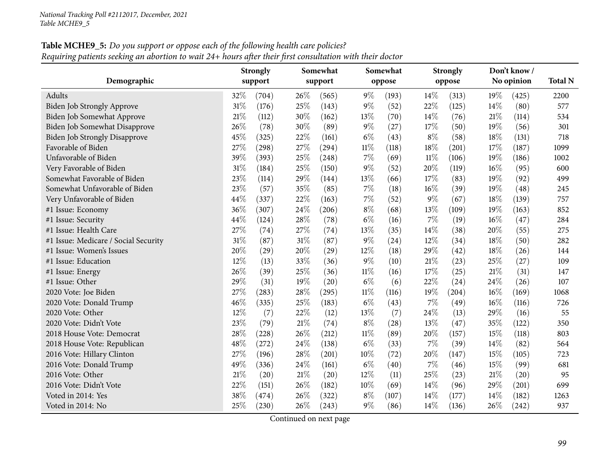#### Table MCHE9\_5: Do you support or oppose each of the following health care policies? Requiring patients seeking an abortion to wait 24+ hours after their first consultation with their doctor

|                                      |     | <b>Strongly</b> |        | Somewhat |        | Somewhat |        | <b>Strongly</b> |        | Don't know/ |                |
|--------------------------------------|-----|-----------------|--------|----------|--------|----------|--------|-----------------|--------|-------------|----------------|
| Demographic                          |     | support         |        | support  |        | oppose   |        | oppose          |        | No opinion  | <b>Total N</b> |
| Adults                               | 32% | (704)           | 26%    | (565)    | $9\%$  | (193)    | 14%    | (313)           | 19%    | (425)       | 2200           |
| Biden Job Strongly Approve           | 31% | (176)           | 25%    | (143)    | 9%     | (52)     | 22%    | (125)           | $14\%$ | (80)        | 577            |
| Biden Job Somewhat Approve           | 21% | (112)           | 30%    | (162)    | 13%    | (70)     | 14%    | (76)            | $21\%$ | (114)       | 534            |
| <b>Biden Job Somewhat Disapprove</b> | 26% | (78)            | 30%    | (89)     | $9\%$  | (27)     | 17%    | (50)            | 19%    | (56)        | 301            |
| <b>Biden Job Strongly Disapprove</b> | 45% | (325)           | 22%    | (161)    | $6\%$  | (43)     | $8\%$  | (58)            | 18%    | (131)       | 718            |
| Favorable of Biden                   | 27% | (298)           | 27%    | (294)    | $11\%$ | (118)    | $18\%$ | (201)           | 17%    | (187)       | 1099           |
| Unfavorable of Biden                 | 39% | (393)           | 25%    | (248)    | 7%     | (69)     | $11\%$ | (106)           | 19%    | (186)       | 1002           |
| Very Favorable of Biden              | 31% | (184)           | 25%    | (150)    | $9\%$  | (52)     | 20%    | (119)           | 16%    | (95)        | 600            |
| Somewhat Favorable of Biden          | 23% | (114)           | 29%    | (144)    | 13%    | (66)     | 17%    | (83)            | 19%    | (92)        | 499            |
| Somewhat Unfavorable of Biden        | 23% | (57)            | 35%    | (85)     | $7\%$  | (18)     | $16\%$ | (39)            | 19%    | (48)        | 245            |
| Very Unfavorable of Biden            | 44% | (337)           | 22%    | (163)    | $7\%$  | (52)     | $9\%$  | (67)            | 18%    | (139)       | 757            |
| #1 Issue: Economy                    | 36% | (307)           | 24%    | (206)    | $8\%$  | (68)     | 13%    | (109)           | 19%    | (163)       | 852            |
| #1 Issue: Security                   | 44% | (124)           | $28\%$ | (78)     | $6\%$  | (16)     | $7\%$  | (19)            | 16%    | (47)        | 284            |
| #1 Issue: Health Care                | 27% | (74)            | 27%    | (74)     | 13%    | (35)     | 14%    | (38)            | 20%    | (55)        | 275            |
| #1 Issue: Medicare / Social Security | 31% | (87)            | 31%    | (87)     | 9%     | (24)     | 12%    | (34)            | 18%    | (50)        | 282            |
| #1 Issue: Women's Issues             | 20% | (29)            | 20%    | (29)     | 12%    | (18)     | 29%    | (42)            | $18\%$ | (26)        | 144            |
| #1 Issue: Education                  | 12% | (13)            | 33%    | (36)     | $9\%$  | (10)     | 21\%   | (23)            | 25%    | (27)        | 109            |
| #1 Issue: Energy                     | 26% | (39)            | 25%    | (36)     | $11\%$ | (16)     | 17%    | (25)            | 21\%   | (31)        | 147            |
| #1 Issue: Other                      | 29% | (31)            | 19%    | (20)     | $6\%$  | (6)      | 22%    | (24)            | 24%    | (26)        | 107            |
| 2020 Vote: Joe Biden                 | 27% | (283)           | 28%    | (295)    | $11\%$ | (116)    | 19%    | (204)           | 16%    | (169)       | 1068           |
| 2020 Vote: Donald Trump              | 46% | (335)           | 25%    | (183)    | $6\%$  | (43)     | 7%     | (49)            | 16%    | (116)       | 726            |
| 2020 Vote: Other                     | 12% | (7)             | $22\%$ | (12)     | 13%    | (7)      | 24%    | (13)            | 29%    | (16)        | 55             |
| 2020 Vote: Didn't Vote               | 23% | (79)            | 21%    | (74)     | $8\%$  | (28)     | 13%    | (47)            | 35%    | (122)       | 350            |
| 2018 House Vote: Democrat            | 28% | (228)           | 26%    | (212)    | $11\%$ | (89)     | 20%    | (157)           | 15%    | (118)       | 803            |
| 2018 House Vote: Republican          | 48% | (272)           | 24%    | (138)    | $6\%$  | (33)     | $7\%$  | (39)            | 14%    | (82)        | 564            |
| 2016 Vote: Hillary Clinton           | 27% | (196)           | 28%    | (201)    | 10%    | (72)     | 20%    | (147)           | 15%    | (105)       | 723            |
| 2016 Vote: Donald Trump              | 49% | (336)           | 24%    | (161)    | $6\%$  | (40)     | $7\%$  | (46)            | 15%    | (99)        | 681            |
| 2016 Vote: Other                     | 21% | (20)            | 21%    | (20)     | 12%    | (11)     | 25%    | (23)            | $21\%$ | (20)        | 95             |
| 2016 Vote: Didn't Vote               | 22% | (151)           | 26%    | (182)    | 10%    | (69)     | 14%    | (96)            | 29%    | (201)       | 699            |
| Voted in 2014: Yes                   | 38% | (474)           | 26%    | (322)    | $8\%$  | (107)    | 14%    | (177)           | 14\%   | (182)       | 1263           |
| Voted in 2014: No                    | 25% | (230)           | 26%    | (243)    | $9\%$  | (86)     | 14%    | (136)           | 26%    | (242)       | 937            |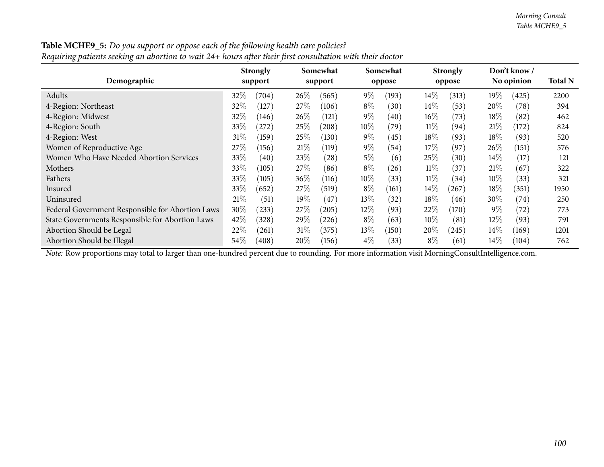| ″″o r                                            |        | <b>Strongly</b> |        | Somewhat |        | Somewhat |        | <b>Strongly</b> |        | Don't know / |                |
|--------------------------------------------------|--------|-----------------|--------|----------|--------|----------|--------|-----------------|--------|--------------|----------------|
| Demographic                                      |        | support         |        | support  |        | oppose   |        | oppose          |        | No opinion   | <b>Total N</b> |
| Adults                                           | 32\%   | (704)           | 26%    | (565)    | $9\%$  | (193)    | $14\%$ | (313)           | $19\%$ | (425)        | 2200           |
| 4-Region: Northeast                              | 32\%   | (127)           | 27\%   | (106)    | $8\%$  | (30)     | 14%    | (53)            | $20\%$ | (78)         | 394            |
| 4-Region: Midwest                                | 32%    | (146)           | 26%    | (121)    | $9\%$  | (40)     | $16\%$ | (73)            | 18%    | (82)         | 462            |
| 4-Region: South                                  | 33\%   | (272)           | 25\%   | (208)    | $10\%$ | (79)     | $11\%$ | (94)            | 21%    | (172)        | 824            |
| 4-Region: West                                   | $31\%$ | (159)           | 25\%   | (130)    | $9\%$  | (45)     | $18\%$ | (93)            | $18\%$ | (93)         | 520            |
| Women of Reproductive Age                        | 27\%   | (156)           | 21%    | (119)    | $9\%$  | (54)     | $17\%$ | (97)            | $26\%$ | (151)        | 576            |
| Women Who Have Needed Abortion Services          | 33\%   | (40)            | 23\%   | (28)     | $5\%$  | (6)      | 25%    | (30)            | $14\%$ | (17)         | 121            |
| Mothers                                          | 33\%   | (105)           | 27\%   | (86)     | $8\%$  | (26)     | $11\%$ | (37)            | 21%    | (67)         | 322            |
| Fathers                                          | 33\%   | (105)           | $36\%$ | (116)    | $10\%$ | (33)     | $11\%$ | (34)            | $10\%$ | (33)         | 321            |
| Insured                                          | 33\%   | (652)           | 27\%   | (519)    | $8\%$  | (161)    | 14%    | (267)           | $18\%$ | (351)        | 1950           |
| Uninsured                                        | 21%    | (51)            | $19\%$ | (47)     | $13\%$ | (32)     | $18\%$ | (46)            | 30\%   | (74)         | 250            |
| Federal Government Responsible for Abortion Laws | 30\%   | (233)           | 27\%   | (205)    | $12\%$ | (93)     | 22%    | (170)           | $9\%$  | (72)         | 773            |
| State Governments Responsible for Abortion Laws  | 42\%   | (328)           | 29\%   | (226)    | $8\%$  | (63)     | $10\%$ | (81)            | $12\%$ | (93)         | 791            |
| Abortion Should be Legal                         | 22\%   | (261)           | $31\%$ | (375)    | $13\%$ | (150)    | 20%    | (245)           | $14\%$ | (169)        | 1201           |
| Abortion Should be Illegal                       | $54\%$ | (408)           | $20\%$ | (156)    | $4\%$  | (33)     | $8\%$  | (61)            | $14\%$ | (104)        | 762            |

Table MCHE9\_5: Do you support or oppose each of the following health care policies? Requiring patients seeking an abortion to wait  $24+$  hours after their first consultation with their doctor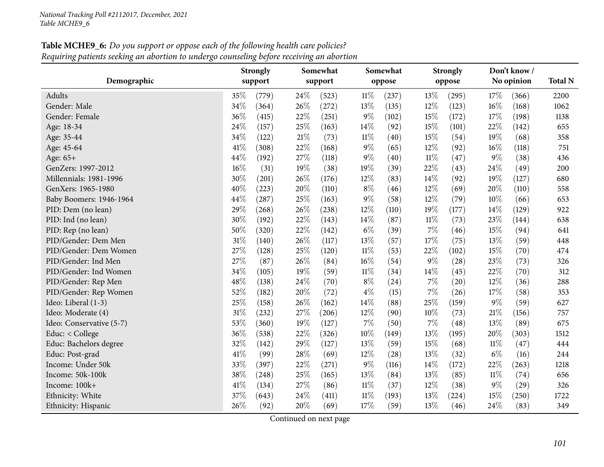# **Table MCHE9\_6:** Do you support or oppose each of the following health care policies? Requiring patients seeking an abortion to undergo counseling before receiving an abortion

|                          | <b>Strongly</b> |       |        | Somewhat |        | Somewhat |        | <b>Strongly</b> |        | Don't know / |                |
|--------------------------|-----------------|-------|--------|----------|--------|----------|--------|-----------------|--------|--------------|----------------|
| Demographic              | support         |       |        | support  |        | oppose   |        | oppose          |        | No opinion   | <b>Total N</b> |
| Adults                   | 35%             | (779) | 24\%   | (523)    | $11\%$ | (237)    | 13%    | (295)           | 17%    | (366)        | 2200           |
| Gender: Male             | 34%             | (364) | 26\%   | (272)    | 13%    | (135)    | 12%    | (123)           | 16%    | (168)        | 1062           |
| Gender: Female           | 36%             | (415) | 22%    | (251)    | $9\%$  | (102)    | 15%    | (172)           | 17%    | (198)        | 1138           |
| Age: 18-34               | 24%             | (157) | 25%    | (163)    | 14%    | (92)     | 15%    | (101)           | 22%    | (142)        | 655            |
| Age: 35-44               | 34%             | (122) | 21%    | (73)     | $11\%$ | (40)     | 15%    | (54)            | 19%    | (68)         | 358            |
| Age: 45-64               | 41\%            | (308) | 22%    | (168)    | $9\%$  | (65)     | 12%    | (92)            | 16%    | (118)        | 751            |
| Age: 65+                 | 44%             | (192) | 27%    | (118)    | $9\%$  | (40)     | $11\%$ | (47)            | $9\%$  | (38)         | 436            |
| GenZers: 1997-2012       | 16%             | (31)  | 19%    | (38)     | 19%    | (39)     | 22%    | (43)            | 24%    | (49)         | 200            |
| Millennials: 1981-1996   | 30%             | (201) | 26%    | (176)    | 12%    | (83)     | 14%    | (92)            | 19%    | (127)        | 680            |
| GenXers: 1965-1980       | 40%             | (223) | 20%    | (110)    | $8\%$  | (46)     | 12%    | (69)            | 20%    | (110)        | 558            |
| Baby Boomers: 1946-1964  | 44%             | (287) | 25%    | (163)    | $9\%$  | (58)     | 12%    | (79)            | 10%    | (66)         | 653            |
| PID: Dem (no lean)       | 29%             | (268) | 26%    | (238)    | 12%    | (110)    | 19%    | (177)           | 14%    | (129)        | 922            |
| PID: Ind (no lean)       | 30%             | (192) | 22%    | (143)    | 14%    | (87)     | $11\%$ | (73)            | 23%    | (144)        | 638            |
| PID: Rep (no lean)       | 50%             | (320) | $22\%$ | (142)    | $6\%$  | (39)     | 7%     | (46)            | 15%    | (94)         | 641            |
| PID/Gender: Dem Men      | 31%             | (140) | 26%    | (117)    | 13%    | (57)     | 17%    | (75)            | 13%    | (59)         | 448            |
| PID/Gender: Dem Women    | 27%             | (128) | 25%    | (120)    | $11\%$ | (53)     | 22%    | (102)           | 15%    | (70)         | 474            |
| PID/Gender: Ind Men      | 27%             | (87)  | 26%    | (84)     | 16%    | (54)     | $9\%$  | (28)            | 23%    | (73)         | 326            |
| PID/Gender: Ind Women    | 34%             | (105) | 19%    | (59)     | $11\%$ | (34)     | 14%    | (45)            | 22%    | (70)         | 312            |
| PID/Gender: Rep Men      | 48%             | (138) | 24%    | (70)     | $8\%$  | (24)     | $7\%$  | (20)            | 12%    | (36)         | 288            |
| PID/Gender: Rep Women    | 52%             | (182) | 20%    | (72)     | $4\%$  | (15)     | 7%     | (26)            | 17%    | (58)         | 353            |
| Ideo: Liberal (1-3)      | 25%             | (158) | 26%    | (162)    | 14%    | (88)     | 25%    | (159)           | $9\%$  | (59)         | 627            |
| Ideo: Moderate (4)       | 31%             | (232) | 27%    | (206)    | 12%    | (90)     | 10%    | (73)            | $21\%$ | (156)        | 757            |
| Ideo: Conservative (5-7) | 53%             | (360) | 19%    | (127)    | 7%     | (50)     | 7%     | (48)            | 13%    | (89)         | 675            |
| Educ: < College          | 36%             | (538) | 22%    | (326)    | 10%    | (149)    | 13%    | (195)           | 20%    | (303)        | 1512           |
| Educ: Bachelors degree   | 32%             | (142) | 29%    | (127)    | 13%    | (59)     | 15%    | (68)            | $11\%$ | (47)         | 444            |
| Educ: Post-grad          | 41%             | (99)  | 28%    | (69)     | 12%    | (28)     | 13%    | (32)            | $6\%$  | (16)         | 244            |
| Income: Under 50k        | 33%             | (397) | 22%    | (271)    | $9\%$  | (116)    | 14%    | (172)           | 22%    | (263)        | 1218           |
| Income: 50k-100k         | 38%             | (248) | 25%    | (165)    | 13%    | (84)     | 13%    | (85)            | $11\%$ | (74)         | 656            |
| Income: 100k+            | 41%             | (134) | 27%    | (86)     | $11\%$ | (37)     | 12%    | (38)            | $9\%$  | (29)         | 326            |
| Ethnicity: White         | 37%             | (643) | 24%    | (411)    | $11\%$ | (193)    | 13%    | (224)           | 15%    | (250)        | 1722           |
| Ethnicity: Hispanic      | 26%             | (92)  | 20%    | (69)     | 17%    | (59)     | 13%    | (46)            | 24%    | (83)         | 349            |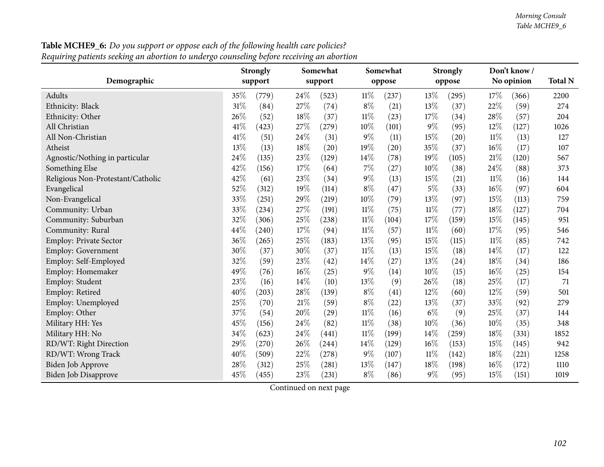$Total N$ 

274

204

1026

567

604

759

704

742

71

348

1019

| ັ້                                |        |                            |        |                     |        |                    |        |                           |                            |              |      |
|-----------------------------------|--------|----------------------------|--------|---------------------|--------|--------------------|--------|---------------------------|----------------------------|--------------|------|
| Demographic                       |        | <b>Strongly</b><br>support |        | Somewhat<br>support |        | Somewhat<br>oppose |        | <b>Strongly</b><br>oppose | Don't know /<br>No opinion | <b>Total</b> |      |
| <b>Adults</b>                     | $35\%$ | (779)                      | 24\%   | (523)               | $11\%$ | (237)              | 13\%   | (295)                     | 17%                        | (366)        | 2200 |
| Ethnicity: Black                  | $31\%$ | (84)                       | 27\%   | (74)                | $8\%$  | (21)               | 13\%   | (37)                      | 22\%                       | (59)         | 274  |
| Ethnicity: Other                  | 26\%   | (52)                       | $18\%$ | (37)                | $11\%$ | (23)               | 17\%   | (34)                      | 28\%                       | (57)         | 204  |
| All Christian                     | 41\%   | (423)                      | 27\%   | (279)               | $10\%$ | (101)              | $9\%$  | (95)                      | $12\%$                     | (127)        | 1026 |
| All Non-Christian                 | 41\%   | (51)                       | 24%    | (31)                | $9\%$  | (11)               | $15\%$ | (20)                      | $11\%$                     | (13)         | 127  |
| Atheist                           | 13\%   | (13)                       | 18%    | (20)                | 19%    | (20)               | 35%    | (37)                      | $16\%$                     | (17)         | 107  |
| Agnostic/Nothing in particular    | 24\%   | (135)                      | 23\%   | (129)               | $14\%$ | (78)               | 19%    | (105)                     | $21\%$                     | (120)        | 567  |
| Something Else                    | 42\%   | (156)                      | 17\%   | (64)                | $7\%$  | (27)               | 10%    | (38)                      | 24\%                       | (88)         | 373  |
| Religious Non-Protestant/Catholic | 42\%   | (61)                       | 23%    | (34)                | $9\%$  | (13)               | 15%    | (21)                      | $11\%$                     | (16)         | 144  |
| Evangelical                       | 52%    | (312)                      | 19%    | (114)               | $8\%$  | (47)               | $5\%$  | (33)                      | $16\%$                     | (97)         | 604  |
| Non-Evangelical                   | 33\%   | (251)                      | 29%    | (219)               | $10\%$ | (79)               | $13\%$ | (97)                      | 15\%                       | (113)        | 759  |
| Community: Urban                  | 33\%   | (234)                      | 27%    | (191)               | $11\%$ | (75)               | $11\%$ | (77)                      | $18\%$                     | (127)        | 704  |
| Community: Suburban               | 32%    | (306)                      | 25%    | (238)               | $11\%$ | (104)              | $17\%$ | (159)                     | 15\%                       | (145)        | 951  |
| Community: Rural                  | 44\%   | (240)                      | 17\%   | (94)                | $11\%$ | (57)               | $11\%$ | (60)                      | 17\%                       | (95)         | 546  |
| Employ: Private Sector            | 36\%   | (265)                      | 25%    | (183)               | $13\%$ | (95)               | 15\%   | (115)                     | $11\%$                     | (85)         | 742  |
| <b>Employ: Government</b>         | 30%    | (37)                       | 30%    | (37)                | $11\%$ | (13)               | 15\%   | (18)                      | 14\%                       | (17)         | 122  |
| Employ: Self-Employed             | 32%    | (59)                       | 23%    | (42)                | $14\%$ | (27)               | $13\%$ | (24)                      | $18\%$                     | (34)         | 186  |
| Employ: Homemaker                 | 49%    | (76)                       | $16\%$ | (25)                | $9\%$  | (14)               | $10\%$ | (15)                      | $16\%$                     | (25)         | 154  |
| Employ: Student                   | 23%    | (16)                       | 14%    | (10)                | $13\%$ | (9)                | 26\%   | (18)                      | 25\%                       | (17)         | 71   |
| Employ: Retired                   | 40\%   | (203)                      | 28\%   | (139)               | $8\%$  | (41)               | 12\%   | (60)                      | $12\%$                     | (59)         | 501  |
| Employ: Unemployed                | 25%    | (70)                       | $21\%$ | (59)                | $8\%$  | (22)               | 13%    | (37)                      | 33%                        | (92)         | 279  |
| Employ: Other                     | 37%    | (54)                       | 20%    | (29)                | $11\%$ | (16)               | $6\%$  | (9)                       | 25\%                       | (37)         | 144  |
| Military HH: Yes                  | 45%    | (156)                      | 24\%   | (82)                | $11\%$ | (38)               | $10\%$ | (36)                      | $10\%$                     | (35)         | 348  |
| Military HH: No                   | 34\%   | (623)                      | 24\%   | (441)               | $11\%$ | (199)              | $14\%$ | (259)                     | $18\%$                     | (331)        | 1852 |
| RD/WT: Right Direction            | 29%    | (270)                      | 26%    | (244)               | $14\%$ | (129)              | 16%    | (153)                     | $15\%$                     | (145)        | 942  |
|                                   |        |                            |        |                     |        |                    |        |                           |                            |              |      |

Table MCHE9\_6: Do you support or oppose each of the following health care policies? Requiring patients seeking an abortion to undergo counseling before receiving an abortion

RD/WT: Wrong Track

Continued on next page

Biden Job Approve <sup>28</sup>% (312) <sup>25</sup>% (281) <sup>13</sup>% (147) <sup>18</sup>% (198) <sup>16</sup>% (172) <sup>1110</sup>

Biden Job Disapprove 45% (455) 23% (231) 8% (86) 9% (95) 15% (151)

k  $40\%$  (509)  $22\%$  (278)  $9\%$  (107)  $11\%$  (142)  $18\%$  (221)  $1258$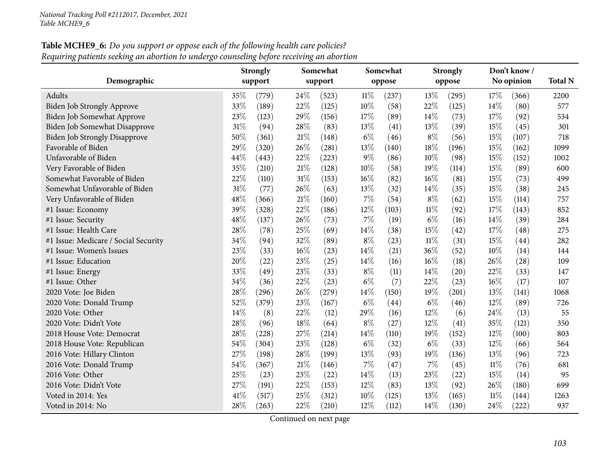# **Table MCHE9\_6:** Do you support or oppose each of the following health care policies? Requiring patients seeking an abortion to undergo counseling before receiving an abortion

|                                      |        | <b>Strongly</b> |        | Somewhat |        | Somewhat |        | <b>Strongly</b> |        | Don't know / |                |
|--------------------------------------|--------|-----------------|--------|----------|--------|----------|--------|-----------------|--------|--------------|----------------|
| Demographic                          |        | support         |        | support  |        | oppose   |        | oppose          |        | No opinion   | <b>Total N</b> |
| Adults                               | 35%    | (779)           | 24\%   | (523)    | $11\%$ | (237)    | 13%    | (295)           | 17\%   | (366)        | 2200           |
| <b>Biden Job Strongly Approve</b>    | 33%    | (189)           | 22%    | (125)    | 10%    | (58)     | 22%    | (125)           | 14%    | (80)         | 577            |
| Biden Job Somewhat Approve           | 23%    | (123)           | 29%    | (156)    | 17%    | (89)     | 14\%   | (73)            | 17%    | (92)         | 534            |
| Biden Job Somewhat Disapprove        | 31%    | (94)            | 28%    | (83)     | 13\%   | (41)     | 13%    | (39)            | 15%    | (45)         | 301            |
| <b>Biden Job Strongly Disapprove</b> | 50%    | (361)           | 21%    | (148)    | $6\%$  | (46)     | $8\%$  | (56)            | 15%    | (107)        | 718            |
| Favorable of Biden                   | 29%    | (320)           | 26%    | (281)    | 13%    | (140)    | 18%    | (196)           | 15%    | (162)        | 1099           |
| Unfavorable of Biden                 | 44%    | (443)           | 22%    | (223)    | 9%     | (86)     | 10%    | (98)            | 15%    | (152)        | 1002           |
| Very Favorable of Biden              | 35%    | (210)           | 21%    | (128)    | 10%    | (58)     | 19%    | (114)           | 15%    | (89)         | 600            |
| Somewhat Favorable of Biden          | 22%    | (110)           | $31\%$ | (153)    | 16%    | (82)     | 16%    | (81)            | 15%    | (73)         | 499            |
| Somewhat Unfavorable of Biden        | 31%    | (77)            | 26%    | (63)     | 13\%   | (32)     | 14\%   | (35)            | 15%    | (38)         | 245            |
| Very Unfavorable of Biden            | 48%    | (366)           | 21%    | (160)    | 7%     | (54)     | $8\%$  | (62)            | 15%    | (114)        | 757            |
| #1 Issue: Economy                    | 39%    | (328)           | 22%    | (186)    | 12%    | (103)    | $11\%$ | (92)            | 17%    | (143)        | 852            |
| #1 Issue: Security                   | 48%    | (137)           | 26%    | (73)     | 7%     | (19)     | $6\%$  | (16)            | 14%    | (39)         | 284            |
| #1 Issue: Health Care                | 28%    | (78)            | 25%    | (69)     | 14%    | (38)     | 15%    | (42)            | 17%    | (48)         | 275            |
| #1 Issue: Medicare / Social Security | 34%    | (94)            | 32%    | (89)     | $8\%$  | (23)     | $11\%$ | (31)            | 15%    | (44)         | 282            |
| #1 Issue: Women's Issues             | 23%    | (33)            | $16\%$ | (23)     | 14%    | (21)     | 36%    | (52)            | 10%    | (14)         | 144            |
| #1 Issue: Education                  | $20\%$ | (22)            | 23%    | (25)     | 14%    | (16)     | $16\%$ | (18)            | 26%    | (28)         | 109            |
| #1 Issue: Energy                     | 33%    | (49)            | 23%    | (33)     | $8\%$  | (11)     | 14%    | (20)            | 22%    | (33)         | 147            |
| #1 Issue: Other                      | 34%    | (36)            | 22%    | (23)     | $6\%$  | (7)      | 22%    | (23)            | 16%    | (17)         | 107            |
| 2020 Vote: Joe Biden                 | 28%    | (296)           | 26%    | (279)    | 14%    | (150)    | 19%    | (201)           | 13%    | (141)        | 1068           |
| 2020 Vote: Donald Trump              | 52%    | (379)           | 23%    | (167)    | $6\%$  | (44)     | $6\%$  | (46)            | 12%    | (89)         | 726            |
| 2020 Vote: Other                     | 14%    | (8)             | $22\%$ | (12)     | 29%    | (16)     | 12%    | (6)             | 24%    | (13)         | 55             |
| 2020 Vote: Didn't Vote               | 28%    | (96)            | 18%    | (64)     | $8\%$  | (27)     | 12%    | (41)            | 35%    | (121)        | 350            |
| 2018 House Vote: Democrat            | 28%    | (228)           | 27%    | (214)    | 14%    | (110)    | 19%    | (152)           | 12%    | (100)        | 803            |
| 2018 House Vote: Republican          | 54%    | (304)           | 23%    | (128)    | $6\%$  | (32)     | $6\%$  | (33)            | 12%    | (66)         | 564            |
| 2016 Vote: Hillary Clinton           | $27\%$ | (198)           | 28%    | (199)    | 13%    | (93)     | 19%    | (136)           | 13%    | (96)         | 723            |
| 2016 Vote: Donald Trump              | 54%    | (367)           | 21%    | (146)    | 7%     | (47)     | $7\%$  | (45)            | $11\%$ | (76)         | 681            |
| 2016 Vote: Other                     | 25%    | (23)            | 23%    | (22)     | 14%    | (13)     | 23%    | (22)            | 15%    | (14)         | 95             |
| 2016 Vote: Didn't Vote               | 27%    | (191)           | 22%    | (153)    | 12%    | (83)     | 13%    | (92)            | 26%    | (180)        | 699            |
| Voted in 2014: Yes                   | 41\%   | (517)           | 25%    | (312)    | 10%    | (125)    | 13%    | (165)           | $11\%$ | (144)        | 1263           |
| Voted in 2014: No                    | 28%    | (263)           | 22%    | (210)    | 12%    | (112)    | 14%    | (130)           | 24%    | (222)        | 937            |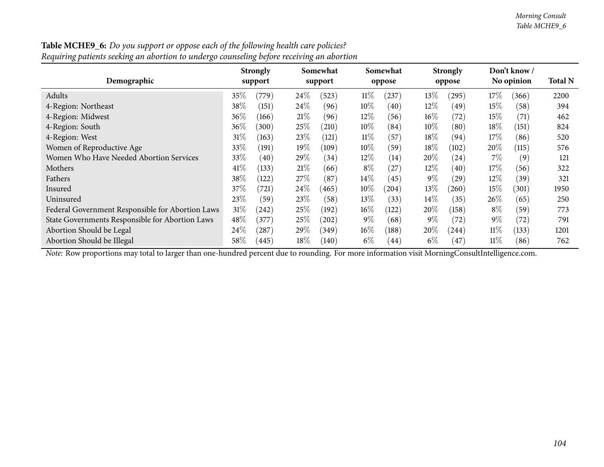| Requiring patients seeking an abortion to undergo counseling before receiving an abortion |        |                 |        |          |        |          |        |                 |        |                    |                |
|-------------------------------------------------------------------------------------------|--------|-----------------|--------|----------|--------|----------|--------|-----------------|--------|--------------------|----------------|
|                                                                                           |        | <b>Strongly</b> |        | Somewhat |        | Somewhat |        | <b>Strongly</b> |        | Don't know /       |                |
| Demographic                                                                               |        | support         |        | support  |        | oppose   |        | oppose          |        | No opinion         | <b>Total N</b> |
| Adults                                                                                    | 35%    | (779)           | $24\%$ | (523)    | $11\%$ | (237)    | $13\%$ | (295)           | $17\%$ | (366)              | 2200           |
| 4-Region: Northeast                                                                       | 38\%   | (151)           | $24\%$ | (96)     | $10\%$ | (40)     | $12\%$ | (49             | $15\%$ | (58)               | 394            |
| 4-Region: Midwest                                                                         | 36\%   | (166)           | 21%    | (96)     | $12\%$ | (56)     | $16\%$ | (72)            | $15\%$ | (71)               | 462            |
| 4-Region: South                                                                           | 36\%   | (300)           | $25\%$ | (210)    | $10\%$ | (84)     | $10\%$ | (80)            | $18\%$ | (151)              | 824            |
| 4-Region: West                                                                            | $31\%$ | (163)           | $23\%$ | (121)    | $11\%$ | (57)     | 18%    | (94)            | $17\%$ | (86)               | 520            |
| Women of Reproductive Age                                                                 | 33\%   | (191)           | $19\%$ | (109)    | $10\%$ | (59)     | 18%    | (102)           | 20%    | (115)              | 576            |
| Women Who Have Needed Abortion Services                                                   | 33%    | (40)            | 29\%   | (34)     | $12\%$ | (14)     | $20\%$ | (24)            | $7\%$  | (9)                | 121            |
| Mothers                                                                                   | 41\%   | (133)           | 21%    | (66)     | $8\%$  | $^{'}27$ | $12\%$ | (40)            | $17\%$ | (56)               | 322            |
| Fathers                                                                                   | 38\%   | (122)           | 27%    | (87)     | $14\%$ | (45)     | $9\%$  | (29)            | $12\%$ | (39)               | 321            |
| Insured                                                                                   | 37%    | (721)           | $24\%$ | (465)    | $10\%$ | (204)    | 13\%   | (260)           | $15\%$ | (301)              | 1950           |
| Uninsured                                                                                 | 23\%   | (59`            | 23\%   | (58)     | 13\%   | (33)     | $14\%$ | (35)            | $26\%$ | (65)               | 250            |
| Federal Government Responsible for Abortion Laws                                          | 31%    | (242)           | 25%    | (192)    | $16\%$ | (122)    | $20\%$ | (158)           | $8\%$  | (59)               | 773            |
| State Governments Responsible for Abortion Laws                                           | 48\%   | (377)           | $25\%$ | (202)    | $9\%$  | (68)     | $9\%$  | (72)            | $9\%$  | $\left( 72\right)$ | 791            |
| Abortion Should be Legal                                                                  | $24\%$ | $^{'}287)$      | 29%    | (349)    | $16\%$ | (188)    | $20\%$ | (244)           | $11\%$ | (133)              | 1201           |
| Abortion Should be Illegal                                                                | $58\%$ | (445)           | $18\%$ | (140)    | $6\%$  | (44)     | $6\%$  | (47)            | $11\%$ | (86)               | 762            |

**Table MCHE9\_6:** Do you support or oppose each of the following health care policies?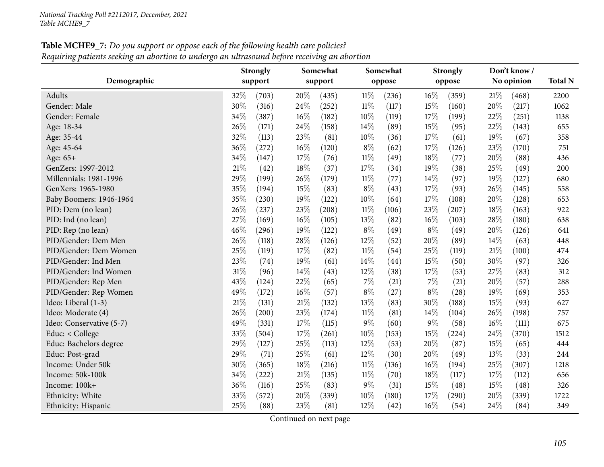# **Table MCHE9\_7:** Do you support or oppose each of the following health care policies? Requiring patients seeking an abortion to undergo an ultrasound before receiving an abortion

|                          | <b>Strongly</b> |         |        | Somewhat |        | Somewhat |        | <b>Strongly</b> |     | Don't know / |      |
|--------------------------|-----------------|---------|--------|----------|--------|----------|--------|-----------------|-----|--------------|------|
| Demographic              |                 | support |        | support  |        | oppose   |        | oppose          |     | No opinion   |      |
| Adults                   | 32%             | (703)   | 20%    | (435)    | $11\%$ | (236)    | 16%    | (359)           | 21% | (468)        | 2200 |
| Gender: Male             | 30%             | (316)   | 24\%   | (252)    | $11\%$ | (117)    | 15%    | (160)           | 20% | (217)        | 1062 |
| Gender: Female           | 34%             | (387)   | $16\%$ | (182)    | 10%    | (119)    | 17%    | (199)           | 22% | (251)        | 1138 |
| Age: 18-34               | 26%             | (171)   | 24%    | (158)    | 14%    | (89)     | 15%    | (95)            | 22% | (143)        | 655  |
| Age: 35-44               | 32%             | (113)   | 23%    | (81)     | 10%    | (36)     | 17%    | (61)            | 19% | (67)         | 358  |
| Age: 45-64               | 36%             | (272)   | 16%    | (120)    | $8\%$  | (62)     | 17%    | (126)           | 23% | (170)        | 751  |
| Age: 65+                 | 34%             | (147)   | 17%    | (76)     | $11\%$ | (49)     | 18%    | (77)            | 20% | (88)         | 436  |
| GenZers: 1997-2012       | 21%             | (42)    | $18\%$ | (37)     | 17\%   | (34)     | 19%    | (38)            | 25% | (49)         | 200  |
| Millennials: 1981-1996   | 29%             | (199)   | 26%    | (179)    | $11\%$ | (77)     | 14%    | (97)            | 19% | (127)        | 680  |
| GenXers: 1965-1980       | 35%             | (194)   | 15%    | (83)     | $8\%$  | (43)     | 17%    | (93)            | 26% | (145)        | 558  |
| Baby Boomers: 1946-1964  | 35%             | (230)   | 19%    | (122)    | 10%    | (64)     | 17%    | (108)           | 20% | (128)        | 653  |
| PID: Dem (no lean)       | 26%             | (237)   | 23%    | (208)    | $11\%$ | (106)    | 23%    | (207)           | 18% | (163)        | 922  |
| PID: Ind (no lean)       | 27%             | (169)   | $16\%$ | (105)    | 13%    | (82)     | $16\%$ | (103)           | 28% | (180)        | 638  |
| PID: Rep (no lean)       | 46%             | (296)   | 19%    | (122)    | 8%     | (49)     | $8\%$  | (49)            | 20% | (126)        | 641  |
| PID/Gender: Dem Men      | 26%             | (118)   | 28%    | (126)    | 12%    | (52)     | 20%    | (89)            | 14% | (63)         | 448  |
| PID/Gender: Dem Women    | 25%             | (119)   | 17%    | (82)     | $11\%$ | (54)     | 25%    | (119)           | 21% | (100)        | 474  |
| PID/Gender: Ind Men      | 23%             | (74)    | 19%    | (61)     | 14%    | (44)     | 15%    | (50)            | 30% | (97)         | 326  |
| PID/Gender: Ind Women    | 31%             | (96)    | 14%    | (43)     | 12%    | (38)     | 17%    | (53)            | 27% | (83)         | 312  |
| PID/Gender: Rep Men      | 43%             | (124)   | 22%    | (65)     | $7\%$  | (21)     | $7\%$  | (21)            | 20% | (57)         | 288  |
| PID/Gender: Rep Women    | 49%             | (172)   | 16%    | (57)     | $8\%$  | (27)     | $8\%$  | (28)            | 19% | (69)         | 353  |
| Ideo: Liberal (1-3)      | 21%             | (131)   | $21\%$ | (132)    | 13%    | (83)     | 30%    | (188)           | 15% | (93)         | 627  |
| Ideo: Moderate (4)       | 26%             | (200)   | 23%    | (174)    | $11\%$ | (81)     | 14%    | (104)           | 26% | (198)        | 757  |
| Ideo: Conservative (5-7) | 49%             | (331)   | 17%    | (115)    | $9\%$  | (60)     | $9\%$  | (58)            | 16% | (111)        | 675  |
| Educ: < College          | 33%             | (504)   | 17%    | (261)    | 10%    | (153)    | 15%    | (224)           | 24% | (370)        | 1512 |
| Educ: Bachelors degree   | 29%             | (127)   | 25%    | (113)    | 12%    | (53)     | 20%    | (87)            | 15% | (65)         | 444  |
| Educ: Post-grad          | $29\%$          | (71)    | 25%    | (61)     | 12%    | (30)     | 20%    | (49)            | 13% | (33)         | 244  |
| Income: Under 50k        | 30%             | (365)   | 18%    | (216)    | $11\%$ | (136)    | $16\%$ | (194)           | 25% | (307)        | 1218 |
| Income: 50k-100k         | 34%             | (222)   | $21\%$ | (135)    | $11\%$ | (70)     | 18%    | (117)           | 17% | (112)        | 656  |
| Income: 100k+            | 36%             | (116)   | 25%    | (83)     | $9\%$  | (31)     | 15%    | (48)            | 15% | (48)         | 326  |
| Ethnicity: White         | 33%             | (572)   | 20%    | (339)    | 10%    | (180)    | 17%    | (290)           | 20% | (339)        | 1722 |
| Ethnicity: Hispanic      | 25%             | (88)    | 23%    | (81)     | 12%    | (42)     | 16%    | (54)            | 24% | (84)         | 349  |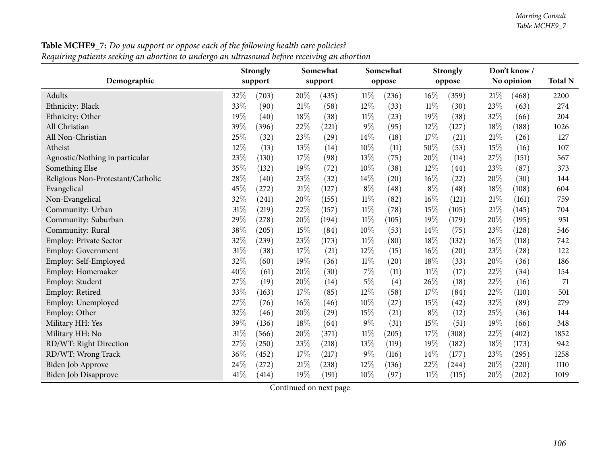| Demographic                       |        | <b>Strongly</b><br>support |      | Somewhat<br>support |        | Somewhat<br>oppose |        | <b>Strongly</b><br>oppose | Don't know /<br>No opinion |       | <b>Total N</b> |  |
|-----------------------------------|--------|----------------------------|------|---------------------|--------|--------------------|--------|---------------------------|----------------------------|-------|----------------|--|
| Adults                            | 32%    | (703)                      | 20%  | (435)               | $11\%$ | (236)              | 16%    | (359)                     | 21%                        | (468) | 2200           |  |
| Ethnicity: Black                  | 33%    | (90)                       | 21%  | (58)                | 12%    | (33)               | $11\%$ | (30)                      | 23%                        | (63)  | 274            |  |
| Ethnicity: Other                  | 19%    | (40)                       | 18%  | (38)                | 11%    | (23)               | 19%    | (38)                      | 32%                        | (66)  | 204            |  |
| All Christian                     | 39%    | (396)                      | 22%  | (221)               | 9%     | (95)               | 12%    | (127)                     | 18%                        | (188) | 1026           |  |
| All Non-Christian                 | 25%    | (32)                       | 23%  | (29)                | 14\%   | (18)               | 17%    | (21)                      | 21%                        | (26)  | 127            |  |
| Atheist                           | $12\%$ | (13)                       | 13%  | (14)                | 10%    | (11)               | 50%    | (53)                      | 15%                        | (16)  | 107            |  |
| Agnostic/Nothing in particular    | 23%    | (130)                      | 17%  | (98)                | 13%    | (75)               | 20%    | (114)                     | 27%                        | (151) | 567            |  |
| Something Else                    | 35%    | (132)                      | 19%  | (72)                | 10%    | (38)               | 12%    | (44)                      | 23%                        | (87)  | 373            |  |
| Religious Non-Protestant/Catholic | 28%    | (40)                       | 23%  | (32)                | 14%    | (20)               | 16%    | (22)                      | 20%                        | (30)  | 144            |  |
| Evangelical                       | 45%    | (272)                      | 21%  | (127)               | $8\%$  | (48)               | $8\%$  | (48)                      | 18%                        | (108) | 604            |  |
| Non-Evangelical                   | 32%    | (241)                      | 20%  | (155)               | $11\%$ | (82)               | 16%    | (121)                     | 21%                        | (161) | 759            |  |
| Community: Urban                  | 31%    | (219)                      | 22%  | (157)               | $11\%$ | (78)               | 15%    | (105)                     | 21%                        | (145) | 704            |  |
| Community: Suburban               | 29%    | (278)                      | 20%  | (194)               | $11\%$ | (105)              | 19%    | (179)                     | 20%                        | (195) | 951            |  |
| Community: Rural                  | 38%    | (205)                      | 15%  | (84)                | 10%    | (53)               | 14%    | (75)                      | 23%                        | (128) | 546            |  |
| Employ: Private Sector            | 32%    | (239)                      | 23%  | (173)               | $11\%$ | (80)               | 18%    | (132)                     | 16%                        | (118) | 742            |  |
| <b>Employ: Government</b>         | 31%    | (38)                       | 17\% | (21)                | $12\%$ | (15)               | $16\%$ | (20)                      | 23%                        | (28)  | 122            |  |
| Employ: Self-Employed             | 32%    | (60)                       | 19%  | (36)                | $11\%$ | (20)               | 18%    | (33)                      | 20%                        | (36)  | 186            |  |
| Employ: Homemaker                 | 40%    | (61)                       | 20%  | (30)                | $7\%$  | (11)               | $11\%$ | (17)                      | 22%                        | (34)  | 154            |  |
| Employ: Student                   | 27%    | (19)                       | 20%  | (14)                | $5\%$  | (4)                | 26%    | (18)                      | 22%                        | (16)  | 71             |  |
| Employ: Retired                   | 33%    | (163)                      | 17%  | (85)                | 12%    | (58)               | 17%    | (84)                      | 22%                        | (110) | 501            |  |
| Employ: Unemployed                | 27%    | (76)                       | 16%  | (46)                | 10%    | (27)               | 15%    | (42)                      | 32%                        | (89)  | 279            |  |
| Employ: Other                     | 32%    | (46)                       | 20%  | $\left( 29\right)$  | 15%    | (21)               | $8\%$  | (12)                      | 25%                        | (36)  | 144            |  |
| Military HH: Yes                  | 39%    | (136)                      | 18%  | (64)                | $9\%$  | (31)               | 15%    | (51)                      | 19%                        | (66)  | 348            |  |
| Military HH: No                   | $31\%$ | (566)                      | 20%  | (371)               | $11\%$ | (205)              | 17%    | (308)                     | 22%                        | (402) | 1852           |  |
| RD/WT: Right Direction            | 27%    | (250)                      | 23%  | (218)               | 13%    | (119)              | 19%    | (182)                     | 18%                        | (173) | 942            |  |
| RD/WT: Wrong Track                | 36%    | (452)                      | 17\% | (217)               | $9\%$  | (116)              | 14%    | (177)                     | 23%                        | (295) | 1258           |  |
| Biden Job Approve                 | 24%    | (272)                      | 21%  | (238)               | $12\%$ | (136)              | 22%    | (244)                     | 20%                        | (220) | 1110           |  |
| Biden Job Disapprove              | 41%    | (414)                      | 19%  | (191)               | 10%    | (97)               | $11\%$ | (115)                     | 20%                        | (202) | 1019           |  |

**Table MCHE9\_7:** Do you support or oppose each of the following health care policies?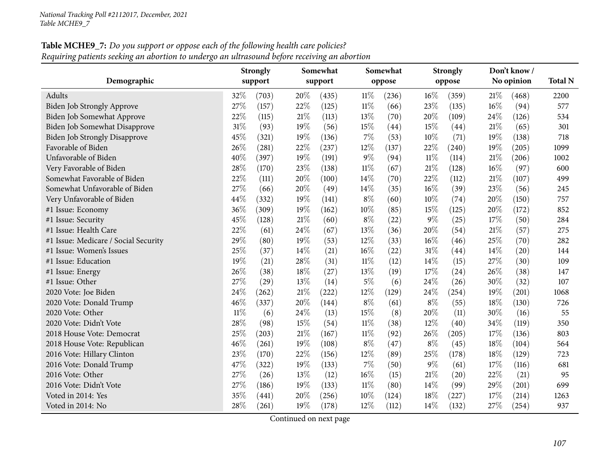# **Table MCHE9\_7:** Do you support or oppose each of the following health care policies? Requiring patients seeking an abortion to undergo an ultrasound before receiving an abortion

|                                      | <b>Strongly</b> |         |      | Somewhat |        | Somewhat |        | <b>Strongly</b> |     | Don't know/ |      |  |
|--------------------------------------|-----------------|---------|------|----------|--------|----------|--------|-----------------|-----|-------------|------|--|
| Demographic                          |                 | support |      | support  |        | oppose   |        | oppose          |     | No opinion  |      |  |
| <b>Adults</b>                        | 32%             | (703)   | 20%  | (435)    | $11\%$ | (236)    | 16%    | (359)           | 21% | (468)       | 2200 |  |
| <b>Biden Job Strongly Approve</b>    | 27%             | (157)   | 22%  | (125)    | $11\%$ | (66)     | 23%    | (135)           | 16% | (94)        | 577  |  |
| <b>Biden Job Somewhat Approve</b>    | 22%             | (115)   | 21%  | (113)    | 13\%   | (70)     | 20%    | (109)           | 24% | (126)       | 534  |  |
| <b>Biden Job Somewhat Disapprove</b> | 31%             | (93)    | 19%  | (56)     | 15%    | (44)     | 15%    | (44)            | 21% | (65)        | 301  |  |
| <b>Biden Job Strongly Disapprove</b> | 45%             | (321)   | 19%  | (136)    | 7%     | (53)     | 10%    | (71)            | 19% | (138)       | 718  |  |
| Favorable of Biden                   | 26%             | (281)   | 22%  | (237)    | 12%    | (137)    | 22%    | (240)           | 19% | (205)       | 1099 |  |
| Unfavorable of Biden                 | 40%             | (397)   | 19%  | (191)    | 9%     | (94)     | $11\%$ | (114)           | 21% | (206)       | 1002 |  |
| Very Favorable of Biden              | 28%             | (170)   | 23%  | (138)    | $11\%$ | (67)     | 21\%   | (128)           | 16% | (97)        | 600  |  |
| Somewhat Favorable of Biden          | 22%             | (111)   | 20%  | (100)    | 14%    | (70)     | 22%    | (112)           | 21% | (107)       | 499  |  |
| Somewhat Unfavorable of Biden        | 27%             | (66)    | 20%  | (49)     | 14\%   | (35)     | 16%    | (39)            | 23% | (56)        | 245  |  |
| Very Unfavorable of Biden            | 44%             | (332)   | 19%  | (141)    | $8\%$  | (60)     | 10%    | (74)            | 20% | (150)       | 757  |  |
| #1 Issue: Economy                    | 36%             | (309)   | 19%  | (162)    | 10%    | (85)     | 15%    | (125)           | 20% | (172)       | 852  |  |
| #1 Issue: Security                   | 45%             | (128)   | 21%  | (60)     | $8\%$  | (22)     | $9\%$  | (25)            | 17% | (50)        | 284  |  |
| #1 Issue: Health Care                | 22%             | (61)    | 24%  | (67)     | 13%    | (36)     | 20%    | (54)            | 21% | (57)        | 275  |  |
| #1 Issue: Medicare / Social Security | 29%             | (80)    | 19%  | (53)     | 12%    | (33)     | $16\%$ | (46)            | 25% | (70)        | 282  |  |
| #1 Issue: Women's Issues             | 25%             | (37)    | 14\% | (21)     | 16%    | (22)     | $31\%$ | (44)            | 14% | (20)        | 144  |  |
| #1 Issue: Education                  | 19%             | (21)    | 28%  | (31)     | $11\%$ | (12)     | 14%    | (15)            | 27% | (30)        | 109  |  |
| #1 Issue: Energy                     | 26%             | (38)    | 18%  | (27)     | 13%    | (19)     | 17%    | (24)            | 26% | (38)        | 147  |  |
| #1 Issue: Other                      | 27%             | (29)    | 13%  | (14)     | $5\%$  | (6)      | 24%    | (26)            | 30% | (32)        | 107  |  |
| 2020 Vote: Joe Biden                 | 24%             | (262)   | 21%  | (222)    | 12%    | (129)    | 24\%   | (254)           | 19% | (201)       | 1068 |  |
| 2020 Vote: Donald Trump              | 46%             | (337)   | 20%  | (144)    | $8\%$  | (61)     | $8\%$  | (55)            | 18% | (130)       | 726  |  |
| 2020 Vote: Other                     | $11\%$          | (6)     | 24%  | (13)     | 15%    | (8)      | 20%    | (11)            | 30% | (16)        | 55   |  |
| 2020 Vote: Didn't Vote               | $28\%$          | (98)    | 15%  | (54)     | $11\%$ | (38)     | 12%    | (40)            | 34% | (119)       | 350  |  |
| 2018 House Vote: Democrat            | 25%             | (203)   | 21%  | (167)    | $11\%$ | (92)     | 26%    | (205)           | 17% | (136)       | 803  |  |
| 2018 House Vote: Republican          | $46\%$          | (261)   | 19%  | (108)    | $8\%$  | (47)     | $8\%$  | (45)            | 18% | (104)       | 564  |  |
| 2016 Vote: Hillary Clinton           | 23%             | (170)   | 22%  | (156)    | 12%    | (89)     | 25%    | (178)           | 18% | (129)       | 723  |  |
| 2016 Vote: Donald Trump              | 47%             | (322)   | 19%  | (133)    | $7\%$  | (50)     | $9\%$  | (61)            | 17% | (116)       | 681  |  |
| 2016 Vote: Other                     | 27%             | (26)    | 13%  | (12)     | 16%    | (15)     | $21\%$ | (20)            | 22% | (21)        | 95   |  |
| 2016 Vote: Didn't Vote               | 27%             | (186)   | 19%  | (133)    | $11\%$ | (80)     | 14\%   | (99)            | 29% | (201)       | 699  |  |
| Voted in 2014: Yes                   | 35%             | (441)   | 20%  | (256)    | 10%    | (124)    | 18%    | (227)           | 17% | (214)       | 1263 |  |
| Voted in 2014: No                    | 28%             | (261)   | 19%  | (178)    | 12%    | (112)    | 14%    | (132)           | 27% | (254)       | 937  |  |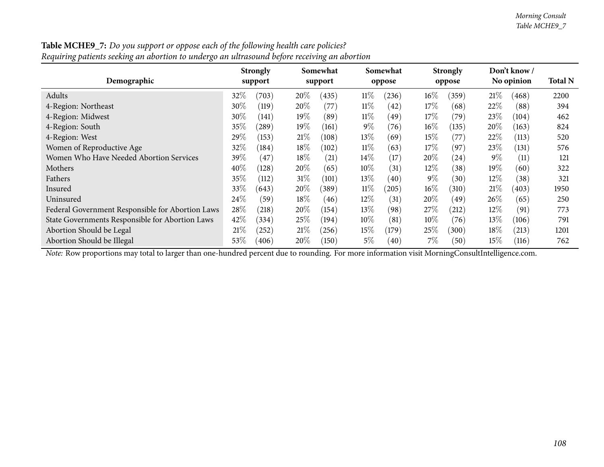| Requiring patients seeking an abortion to undergo an ultrasound before receiving an abortion |        |                            |        |                     |        |                    |        |                           |        |                            |      |
|----------------------------------------------------------------------------------------------|--------|----------------------------|--------|---------------------|--------|--------------------|--------|---------------------------|--------|----------------------------|------|
| Demographic                                                                                  |        | <b>Strongly</b><br>support |        | Somewhat<br>support |        | Somewhat<br>oppose |        | <b>Strongly</b><br>oppose |        | Don't know /<br>No opinion |      |
| Adults                                                                                       | 32\%   | (703)                      | $20\%$ | (435)               | $11\%$ | (236)              | $16\%$ | (359)                     | 21%    | (468)                      | 2200 |
| 4-Region: Northeast                                                                          | $30\%$ | (119)                      | $20\%$ | (77)                | $11\%$ | (42)               | $17\%$ | (68)                      | 22%    | (88)                       | 394  |
| 4-Region: Midwest                                                                            | 30%    | (141)                      | 19%    | (89)                | $11\%$ | (49)               | 17%    | (79)                      | 23\%   | (104)                      | 462  |
| 4-Region: South                                                                              | 35\%   | $^{(289)}$                 | $19\%$ | (161)               | $9\%$  | (76)               | $16\%$ | (135)                     | $20\%$ | (163)                      | 824  |
| 4-Region: West                                                                               | 29%    | (153)                      | 21%    | (108)               | $13\%$ | (69)               | 15%    | (77)                      | 22%    | (113)                      | 520  |
| Women of Reproductive Age                                                                    | 32%    | (184)                      | $18\%$ | (102)               | $11\%$ | (63)               | 17\%   | (97)                      | 23\%   | (131)                      | 576  |
| Women Who Have Needed Abortion Services                                                      | 39\%   | (47)                       | $18\%$ | (21)                | $14\%$ | (17)               | $20\%$ | (24)                      | $9\%$  | (11)                       | 121  |
| Mothers                                                                                      | 40%    | (128)                      | 20\%   | (65)                | $10\%$ | (31)               | 12\%   | (38)                      | $19\%$ | (60)                       | 322  |
| Fathers                                                                                      | $35\%$ | (112)                      | 31%    | (101)               | $13\%$ | (40)               | $9\%$  | (30)                      | $12\%$ | (38)                       | 321  |
| Insured                                                                                      | 33\%   | (643)                      | $20\%$ | (389)               | $11\%$ | (205)              | $16\%$ | (310)                     | 21%    | (403)                      | 1950 |
| Uninsured                                                                                    | 24\%   | (59)                       | 18%    | (46)                | $12\%$ | (31)               | $20\%$ | (49`                      | 26\%   | (65)                       | 250  |
| Federal Government Responsible for Abortion Laws                                             | 28\%   | (218)                      | $20\%$ | (154)               | $13\%$ | (98)               | 27%    | (212)                     | $12\%$ | (91)                       | 773  |
| State Governments Responsible for Abortion Laws                                              | 42\%   | (334)                      | 25%    | (194)               | $10\%$ | (81)               | $10\%$ | (76)                      | $13\%$ | (106)                      | 791  |
| Abortion Should be Legal                                                                     | 21%    | (252)                      | 21%    | (256)               | $15\%$ | (179)              | 25%    | (300)                     | $18\%$ | (213)                      | 1201 |
| Abortion Should be Illegal                                                                   | $53\%$ | (406)                      | $20\%$ | (150)               | $5\%$  | (40)               | $7\%$  | (50)                      | $15\%$ | (116)                      | 762  |

**Table MCHE9\_7:** Do you support or oppose each of the following health care policies?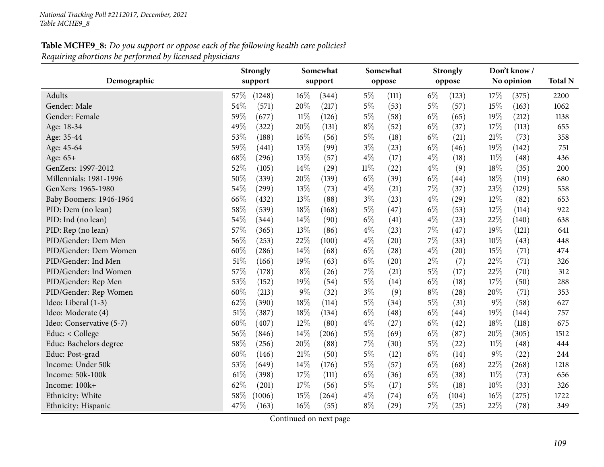|                          | Somewhat<br><b>Strongly</b> |                 | Somewhat       | <b>Strongly</b> | Don't know /   |                |
|--------------------------|-----------------------------|-----------------|----------------|-----------------|----------------|----------------|
| Demographic              | support                     | support         | oppose         | oppose          | No opinion     | <b>Total N</b> |
| Adults                   | 57\%<br>(1248)              | 16%<br>(344)    | $5\%$<br>(111) | $6\%$<br>(123)  | 17%<br>(375)   | 2200           |
| Gender: Male             | 54%<br>(571)                | 20%<br>(217)    | $5\%$<br>(53)  | $5\%$<br>(57)   | 15%<br>(163)   | 1062           |
| Gender: Female           | 59%<br>(677)                | $11\%$<br>(126) | $5\%$<br>(58)  | $6\%$<br>(65)   | 19%<br>(212)   | 1138           |
| Age: 18-34               | 49%<br>(322)                | 20%<br>(131)    | $8\%$<br>(52)  | $6\%$<br>(37)   | 17%<br>(113)   | 655            |
| Age: 35-44               | 53%<br>(188)                | 16%<br>(56)     | $5\%$<br>(18)  | $6\%$<br>(21)   | 21%<br>(73)    | 358            |
| Age: 45-64               | 59%<br>(441)                | 13%<br>(99)     | $3\%$<br>(23)  | $6\%$<br>(46)   | 19%<br>(142)   | 751            |
| Age: 65+                 | 68%<br>(296)                | 13%<br>(57)     | $4\%$<br>(17)  | $4\%$<br>(18)   | $11\%$<br>(48) | 436            |
| GenZers: 1997-2012       | 52%<br>(105)                | 14%<br>(29)     | $11\%$<br>(22) | $4\%$<br>(9)    | 18%<br>(35)    | 200            |
| Millennials: 1981-1996   | 50%<br>(339)                | $20\%$<br>(139) | $6\%$<br>(39)  | $6\%$<br>(44)   | 18%<br>(119)   | 680            |
| GenXers: 1965-1980       | 54%<br>(299)                | 13%<br>(73)     | $4\%$<br>(21)  | $7\%$<br>(37)   | 23%<br>(129)   | 558            |
| Baby Boomers: 1946-1964  | 66%<br>(432)                | 13%<br>(88)     | $3\%$<br>(23)  | $4\%$<br>(29)   | 12%<br>(82)    | 653            |
| PID: Dem (no lean)       | 58%<br>(539)                | 18%<br>(168)    | $5\%$<br>(47)  | $6\%$<br>(53)   | 12%<br>(114)   | 922            |
| PID: Ind (no lean)       | 54%<br>(344)                | 14%<br>(90)     | $6\%$<br>(41)  | $4\%$<br>(23)   | 22%<br>(140)   | 638            |
| PID: Rep (no lean)       | 57%<br>(365)                | 13\%<br>(86)    | $4\%$<br>(23)  | $7\%$<br>(47)   | 19%<br>(121)   | 641            |
| PID/Gender: Dem Men      | 56%<br>(253)                | 22%<br>(100)    | $4\%$<br>(20)  | 7%<br>(33)      | 10%<br>(43)    | 448            |
| PID/Gender: Dem Women    | 60%<br>(286)                | 14%<br>(68)     | $6\%$<br>(28)  | $4\%$<br>(20)   | $15\%$<br>(71) | 474            |
| PID/Gender: Ind Men      | $51\%$<br>(166)             | 19%<br>(63)     | $6\%$<br>(20)  | $2\%$<br>(7)    | 22%<br>(71)    | 326            |
| PID/Gender: Ind Women    | 57%<br>(178)                | $8\%$<br>(26)   | $7\%$<br>(21)  | $5\%$<br>(17)   | 22%<br>(70)    | 312            |
| PID/Gender: Rep Men      | 53%<br>(152)                | 19%<br>(54)     | $5\%$<br>(14)  | $6\%$<br>(18)   | 17%<br>(50)    | 288            |
| PID/Gender: Rep Women    | 60%<br>(213)                | $9\%$<br>(32)   | $3\%$<br>(9)   | $8\%$<br>(28)   | 20%<br>(71)    | 353            |
| Ideo: Liberal (1-3)      | 62%<br>(390)                | 18%<br>(114)    | $5\%$<br>(34)  | $5\%$<br>(31)   | 9%<br>(58)     | 627            |
| Ideo: Moderate (4)       | $51\%$<br>(387)             | 18%<br>(134)    | $6\%$<br>(48)  | $6\%$<br>(44)   | 19%<br>(144)   | 757            |
| Ideo: Conservative (5-7) | 60%<br>(407)                | $12\%$<br>(80)  | $4\%$<br>(27)  | $6\%$<br>(42)   | 18%<br>(118)   | 675            |
| Educ: $<$ College        | 56%<br>(846)                | 14%<br>(206)    | $5\%$<br>(69)  | $6\%$<br>(87)   | 20%<br>(305)   | 1512           |
| Educ: Bachelors degree   | 58%<br>(256)                | 20%<br>(88)     | $7\%$<br>(30)  | $5\%$<br>(22)   | $11\%$<br>(48) | 444            |
| Educ: Post-grad          | 60%<br>(146)                | $21\%$<br>(50)  | $5\%$<br>(12)  | $6\%$<br>(14)   | 9%<br>(22)     | 244            |
| Income: Under 50k        | 53%<br>(649)                | $14\%$<br>(176) | $5\%$<br>(57)  | $6\%$<br>(68)   | 22\%<br>(268)  | 1218           |
| Income: 50k-100k         | 61\%<br>(398)               | $17\%$<br>(111) | $6\%$<br>(36)  | $6\%$<br>(38)   | $11\%$<br>(73) | 656            |
| Income: 100k+            | 62%<br>(201)                | 17%<br>(56)     | $5\%$<br>(17)  | $5\%$<br>(18)   | 10%<br>(33)    | 326            |
| Ethnicity: White         | 58%<br>(1006)               | 15%<br>(264)    | $4\%$<br>(74)  | $6\%$<br>(104)  | 16%<br>(275)   | 1722           |
| Ethnicity: Hispanic      | 47%<br>(163)                | 16%<br>(55)     | $8\%$<br>(29)  | 7%<br>(25)      | 22%<br>(78)    | 349            |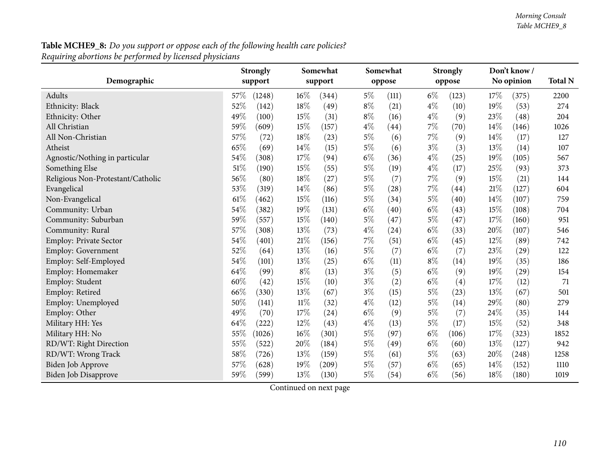| Demographic                       | <b>Strongly</b><br>support | Somewhat<br>support | Somewhat<br>oppose | <b>Strongly</b><br>oppose | Don't know /<br>No opinion | <b>Total N</b> |
|-----------------------------------|----------------------------|---------------------|--------------------|---------------------------|----------------------------|----------------|
| Adults                            | 57\%<br>(1248)             | 16%<br>(344)        | $5\%$<br>(111)     | $6\%$<br>(123)            | 17%                        | 2200           |
|                                   | 52%<br>(142)               | 18%                 | $8\%$<br>(21)      | $4\%$<br>(10)             | (375)<br>19%<br>(53)       | 274            |
| Ethnicity: Black                  |                            | (49)                |                    |                           |                            |                |
| Ethnicity: Other                  | 49%<br>(100)               | 15%<br>(31)         | $8\%$<br>(16)      | $4\%$<br>(9)              | 23%<br>(48)                | 204            |
| All Christian                     | 59%<br>(609)               | 15%<br>(157)        | $4\%$<br>(44)      | $7\%$<br>(70)             | 14%<br>(146)               | 1026           |
| All Non-Christian                 | 57%<br>(72)                | 18%<br>(23)         | $5\%$<br>(6)       | 7%<br>(9)                 | 14%<br>(17)                | 127            |
| Atheist                           | 65%<br>(69)                | 14\%<br>(15)        | $5\%$<br>(6)       | $3\%$<br>(3)              | 13%<br>(14)                | 107            |
| Agnostic/Nothing in particular    | 54%<br>(308)               | 17%<br>(94)         | $6\%$<br>(36)      | $4\%$<br>(25)             | 19%<br>(105)               | 567            |
| Something Else                    | 51%<br>(190)               | 15%<br>(55)         | $5\%$<br>(19)      | $4\%$<br>(17)             | 25%<br>(93)                | 373            |
| Religious Non-Protestant/Catholic | 56%<br>(80)                | 18%<br>(27)         | $5\%$<br>(7)       | 7%<br>(9)                 | 15%<br>(21)                | 144            |
| Evangelical                       | 53%<br>(319)               | 14%<br>(86)         | $5\%$<br>(28)      | $7\%$<br>(44)             | 21\%<br>(127)              | 604            |
| Non-Evangelical                   | 61\%<br>(462)              | 15%<br>(116)        | $5\%$<br>(34)      | $5\%$<br>(40)             | 14%<br>(107)               | 759            |
| Community: Urban                  | 54%<br>(382)               | 19%<br>(131)        | $6\%$<br>(40)      | $6\%$<br>(43)             | 15%<br>(108)               | 704            |
| Community: Suburban               | 59%<br>(557)               | 15%<br>(140)        | $5\%$<br>(47)      | $5\%$<br>(47)             | 17%<br>(160)               | 951            |
| Community: Rural                  | 57%<br>(308)               | 13%<br>(73)         | $4\%$<br>(24)      | $6\%$<br>(33)             | 20%<br>(107)               | 546            |
| Employ: Private Sector            | 54%<br>(401)               | 21%<br>(156)        | $7\%$<br>(51)      | $6\%$<br>(45)             | 12%<br>(89)                | 742            |
| Employ: Government                | 52%<br>(64)                | 13%<br>(16)         | $5\%$<br>(7)       | $6\%$<br>(7)              | 23%<br>(29)                | 122            |
| Employ: Self-Employed             | 54%<br>(101)               | 13%<br>(25)         | $6\%$<br>(11)      | $8\%$<br>(14)             | 19%<br>(35)                | 186            |
| Employ: Homemaker                 | 64%<br>(99)                | $8\%$<br>(13)       | $3\%$<br>(5)       | $6\%$<br>(9)              | 19%<br>(29)                | 154            |
| Employ: Student                   | 60%<br>(42)                | 15%<br>(10)         | $3\%$<br>(2)       | $6\%$<br>(4)              | 17%<br>(12)                | 71             |
| Employ: Retired                   | 66%<br>(330)               | 13%<br>(67)         | $3\%$<br>(15)      | $5\%$<br>(23)             | 13%<br>(67)                | 501            |
| Employ: Unemployed                | 50%<br>(141)               | $11\%$<br>(32)      | $4\%$<br>(12)      | $5\%$<br>(14)             | 29%<br>(80)                | 279            |
| Employ: Other                     | 49%<br>(70)                | 17%<br>(24)         | $6\%$<br>(9)       | $5\%$<br>(7)              | 24%<br>(35)                | 144            |
| Military HH: Yes                  | 64%<br>(222)               | 12%<br>(43)         | $4\%$<br>(13)      | $5\%$<br>(17)             | 15%<br>(52)                | 348            |
| Military HH: No                   | 55%<br>(1026)              | 16%<br>(301)        | $5\%$<br>(97)      | $6\%$<br>(106)            | 17%<br>(323)               | 1852           |
| RD/WT: Right Direction            | 55%<br>(522)               | 20%<br>(184)        | $5\%$<br>(49)      | $6\%$<br>(60)             | 13%<br>(127)               | 942            |
| RD/WT: Wrong Track                | 58%<br>(726)               | 13%<br>(159)        | $5\%$<br>(61)      | $5\%$<br>(63)             | 20%<br>(248)               | 1258           |
| Biden Job Approve                 | 57%<br>(628)               | 19%<br>(209)        | $5\%$<br>(57)      | $6\%$<br>(65)             | 14\%<br>(152)              | 1110           |
| Biden Job Disapprove              | 59%<br>(599)               | 13%<br>(130)        | $5\%$<br>(54)      | $6\%$<br>(56)             | 18%<br>(180)               | 1019           |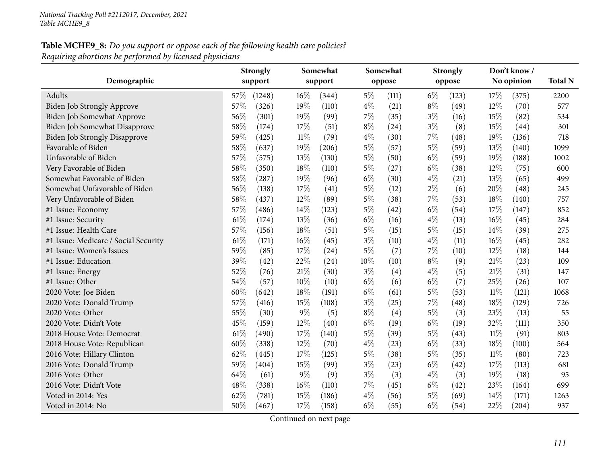|                                      | Somewhat<br><b>Strongly</b> |         |        | Somewhat |       | <b>Strongly</b> |       | Don't know / |        |            |      |  |
|--------------------------------------|-----------------------------|---------|--------|----------|-------|-----------------|-------|--------------|--------|------------|------|--|
| Demographic                          |                             | support |        | support  |       | oppose          |       | oppose       |        | No opinion |      |  |
| Adults                               | 57\%                        | (1248)  | 16%    | (344)    | $5\%$ | (111)           | $6\%$ | (123)        | 17\%   | (375)      | 2200 |  |
| Biden Job Strongly Approve           | 57%                         | (326)   | 19%    | (110)    | $4\%$ | (21)            | $8\%$ | (49)         | 12%    | (70)       | 577  |  |
| Biden Job Somewhat Approve           | 56%                         | (301)   | 19%    | (99)     | $7\%$ | (35)            | $3\%$ | (16)         | 15%    | (82)       | 534  |  |
| Biden Job Somewhat Disapprove        | 58%                         | (174)   | 17%    | (51)     | $8\%$ | (24)            | $3\%$ | (8)          | 15%    | (44)       | 301  |  |
| <b>Biden Job Strongly Disapprove</b> | 59%                         | (425)   | $11\%$ | (79)     | $4\%$ | (30)            | $7\%$ | (48)         | 19%    | (136)      | 718  |  |
| Favorable of Biden                   | 58%                         | (637)   | 19%    | (206)    | $5\%$ | (57)            | $5\%$ | (59)         | 13%    | (140)      | 1099 |  |
| Unfavorable of Biden                 | 57%                         | (575)   | 13%    | (130)    | $5\%$ | (50)            | $6\%$ | (59)         | 19%    | (188)      | 1002 |  |
| Very Favorable of Biden              | 58%                         | (350)   | 18%    | (110)    | $5\%$ | (27)            | $6\%$ | (38)         | 12%    | (75)       | 600  |  |
| Somewhat Favorable of Biden          | 58%                         | (287)   | 19%    | (96)     | $6\%$ | (30)            | $4\%$ | (21)         | 13%    | (65)       | 499  |  |
| Somewhat Unfavorable of Biden        | 56%                         | (138)   | 17%    | (41)     | $5\%$ | (12)            | $2\%$ | (6)          | 20%    | (48)       | 245  |  |
| Very Unfavorable of Biden            | 58%                         | (437)   | $12\%$ | (89)     | $5\%$ | (38)            | $7\%$ | (53)         | 18%    | (140)      | 757  |  |
| #1 Issue: Economy                    | 57%                         | (486)   | 14%    | (123)    | $5\%$ | (42)            | $6\%$ | (54)         | 17%    | (147)      | 852  |  |
| #1 Issue: Security                   | 61\%                        | (174)   | 13%    | (36)     | $6\%$ | (16)            | $4\%$ | (13)         | 16%    | (45)       | 284  |  |
| #1 Issue: Health Care                | 57%                         | (156)   | 18%    | (51)     | $5\%$ | (15)            | $5\%$ | (15)         | 14%    | (39)       | 275  |  |
| #1 Issue: Medicare / Social Security | 61%                         | (171)   | 16%    | (45)     | $3\%$ | (10)            | $4\%$ | (11)         | 16%    | (45)       | 282  |  |
| #1 Issue: Women's Issues             | 59%                         | (85)    | 17%    | (24)     | 5%    | (7)             | $7\%$ | (10)         | 12%    | (18)       | 144  |  |
| #1 Issue: Education                  | 39%                         | (42)    | 22%    | (24)     | 10%   | (10)            | $8\%$ | (9)          | 21%    | (23)       | 109  |  |
| #1 Issue: Energy                     | 52%                         | (76)    | 21%    | (30)     | $3\%$ | (4)             | $4\%$ | (5)          | 21%    | (31)       | 147  |  |
| #1 Issue: Other                      | 54%                         | (57)    | 10%    | (10)     | $6\%$ | (6)             | $6\%$ | (7)          | 25%    | (26)       | 107  |  |
| 2020 Vote: Joe Biden                 | 60%                         | (642)   | 18%    | (191)    | $6\%$ | (61)            | $5\%$ | (53)         | $11\%$ | (121)      | 1068 |  |
| 2020 Vote: Donald Trump              | 57%                         | (416)   | 15%    | (108)    | $3\%$ | (25)            | $7\%$ | (48)         | 18%    | (129)      | 726  |  |
| 2020 Vote: Other                     | 55%                         | (30)    | $9\%$  | (5)      | $8\%$ | (4)             | $5\%$ | (3)          | 23%    | (13)       | 55   |  |
| 2020 Vote: Didn't Vote               | 45%                         | (159)   | 12%    | (40)     | $6\%$ | (19)            | $6\%$ | (19)         | 32%    | (111)      | 350  |  |
| 2018 House Vote: Democrat            | 61\%                        | (490)   | 17%    | (140)    | $5\%$ | (39)            | $5\%$ | (43)         | $11\%$ | (91)       | 803  |  |
| 2018 House Vote: Republican          | 60%                         | (338)   | 12%    | (70)     | $4\%$ | (23)            | $6\%$ | (33)         | 18%    | (100)      | 564  |  |
| 2016 Vote: Hillary Clinton           | 62%                         | (445)   | 17%    | (125)    | $5\%$ | (38)            | $5\%$ | (35)         | $11\%$ | (80)       | 723  |  |
| 2016 Vote: Donald Trump              | 59%                         | (404)   | 15%    | (99)     | $3\%$ | (23)            | $6\%$ | (42)         | 17%    | (113)      | 681  |  |
| 2016 Vote: Other                     | 64%                         | (61)    | $9\%$  | (9)      | $3\%$ | (3)             | $4\%$ | (3)          | 19%    | (18)       | 95   |  |
| 2016 Vote: Didn't Vote               | 48%                         | (338)   | 16%    | (110)    | $7\%$ | (45)            | $6\%$ | (42)         | 23%    | (164)      | 699  |  |
| Voted in 2014: Yes                   | 62%                         | (781)   | 15%    | (186)    | $4\%$ | (56)            | $5\%$ | (69)         | 14\%   | (171)      | 1263 |  |
| Voted in 2014: No                    | 50%                         | (467)   | 17%    | (158)    | $6\%$ | (55)            | $6\%$ | (54)         | 22%    | (204)      | 937  |  |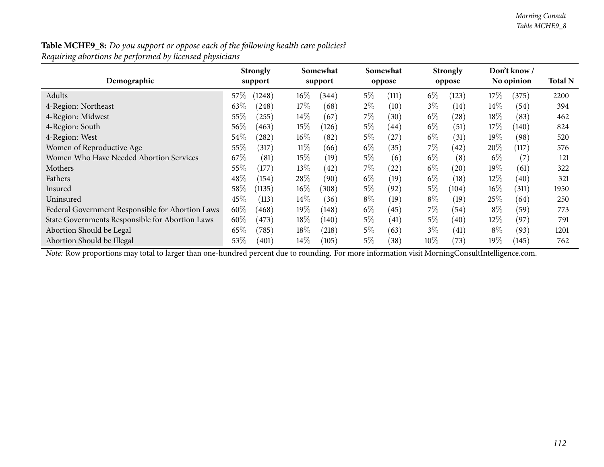| Demographic                                      | <b>Strongly</b><br>support |        | Somewhat<br>support |       | Somewhat<br>oppose |        | <b>Strongly</b><br>oppose |        | Don't know /<br>No opinion |      |
|--------------------------------------------------|----------------------------|--------|---------------------|-------|--------------------|--------|---------------------------|--------|----------------------------|------|
| Adults                                           | 57%<br>(1248)              | $16\%$ | (344)               | $5\%$ | (111)              | $6\%$  | (123)                     | $17\%$ | (375)                      | 2200 |
| 4-Region: Northeast                              | $63\%$<br>(248)            | 17%    | (68)                | $2\%$ | (10)               | $3\%$  | (14)                      | $14\%$ | (54)                       | 394  |
| 4-Region: Midwest                                | 55\%<br>(255)              | $14\%$ | (67)                | $7\%$ | (30)               | $6\%$  | (28)                      | 18%    | (83)                       | 462  |
| 4-Region: South                                  | 56\%<br>(463)              | $15\%$ | (126)               | $5\%$ | (44)               | $6\%$  | (51)                      | 17\%   | (140)                      | 824  |
| 4-Region: West                                   | $54\%$<br>(282)            | $16\%$ | (82)                | $5\%$ | (27)               | $6\%$  | (31)                      | $19\%$ | (98)                       | 520  |
| Women of Reproductive Age                        | 55\%<br>(317)              | $11\%$ | (66)                | $6\%$ | (35)               | 7%     | (42)                      | $20\%$ | (117)                      | 576  |
| Women Who Have Needed Abortion Services          | 67%<br>(81)                | 15%    | (19)                | $5\%$ | (6)                | $6\%$  | (8)                       | $6\%$  | (7)                        | 121  |
| Mothers                                          | 55%<br>(177)               | 13\%   | (42)                | $7\%$ | (22)               | $6\%$  | (20)                      | $19\%$ | (61)                       | 322  |
| Fathers                                          | $48\%$<br>(154)            | 28%    | (90)                | $6\%$ | (19)               | $6\%$  | (18)                      | $12\%$ | (40)                       | 321  |
| Insured                                          | 58%<br>(1135)              | $16\%$ | (308)               | 5%    | (92)               | $5\%$  | (104)                     | $16\%$ | (311)                      | 1950 |
| Uninsured                                        | 45\%<br>(113)              | $14\%$ | (36)                | $8\%$ | (19)               | $8\%$  | (19)                      | 25\%   | (64)                       | 250  |
| Federal Government Responsible for Abortion Laws | 60%<br>(468)               | 19%    | (148)               | $6\%$ | (45)               | 7%     | (54)                      | $8\%$  | (59)                       | 773  |
| State Governments Responsible for Abortion Laws  | 60%<br>(473)               | 18%    | (140)               | $5\%$ | (41)               | $5\%$  | $\left( 40\right)$        | $12\%$ | (97                        | 791  |
| Abortion Should be Legal                         | $65\%$<br>(785)            | $18\%$ | (218)               | $5\%$ | (63)               | $3\%$  | (41)                      | $8\%$  | (93)                       | 1201 |
| Abortion Should be Illegal                       | 53%<br>(401)               | $14\%$ | (105)               | $5\%$ | (38)               | $10\%$ | (73)                      | $19\%$ | (145)                      | 762  |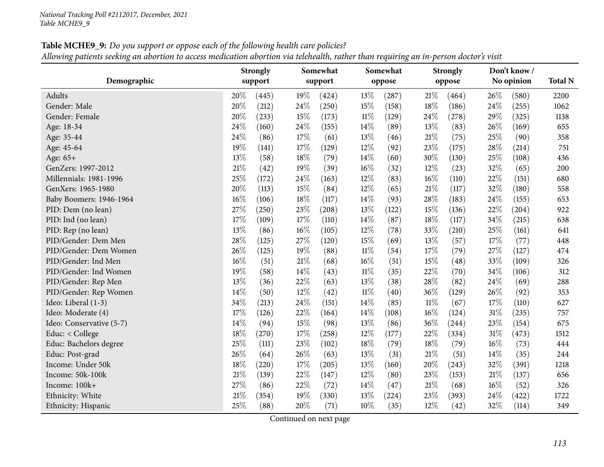| Table MCHE9_9: Do you support or oppose each of the following health care policies?                                                   |
|---------------------------------------------------------------------------------------------------------------------------------------|
| Allowing patients seeking an abortion to access medication abortion via telehealth, rather than requiring an in-person doctor's visit |

|                          | <b>Strongly</b> |         | Somewhat | Somewhat |        | <b>Strongly</b> |        | Don't know/ | <b>Total N</b> |            |      |  |
|--------------------------|-----------------|---------|----------|----------|--------|-----------------|--------|-------------|----------------|------------|------|--|
| Demographic              |                 | support |          | support  |        | oppose          |        | oppose      |                | No opinion |      |  |
| Adults                   | 20%             | (445)   | 19%      | (424)    | 13%    | (287)           | 21\%   | (464)       | 26\%           | (580)      | 2200 |  |
| Gender: Male             | 20%             | (212)   | 24%      | (250)    | 15%    | (158)           | 18%    | (186)       | 24%            | (255)      | 1062 |  |
| Gender: Female           | 20%             | (233)   | 15%      | (173)    | $11\%$ | (129)           | 24\%   | (278)       | 29%            | (325)      | 1138 |  |
| Age: 18-34               | 24%             | (160)   | 24%      | (155)    | 14\%   | (89)            | $13\%$ | (83)        | 26%            | (169)      | 655  |  |
| Age: 35-44               | 24%             | (86)    | 17\%     | (61)     | 13%    | (46)            | 21\%   | (75)        | 25%            | (90)       | 358  |  |
| Age: 45-64               | 19%             | (141)   | 17%      | (129)    | 12%    | (92)            | 23%    | (175)       | 28%            | (214)      | 751  |  |
| Age: 65+                 | 13%             | (58)    | 18%      | (79)     | 14%    | (60)            | 30%    | (130)       | 25%            | (108)      | 436  |  |
| GenZers: 1997-2012       | 21%             | (42)    | 19%      | (39)     | 16%    | (32)            | 12%    | (23)        | 32%            | (65)       | 200  |  |
| Millennials: 1981-1996   | 25%             | (172)   | 24%      | (163)    | $12\%$ | (83)            | 16%    | (110)       | 22%            | (151)      | 680  |  |
| GenXers: 1965-1980       | 20%             | (113)   | 15%      | (84)     | 12%    | (65)            | $21\%$ | (117)       | 32%            | (180)      | 558  |  |
| Baby Boomers: 1946-1964  | 16%             | (106)   | 18%      | (117)    | 14%    | (93)            | 28%    | (183)       | 24%            | (155)      | 653  |  |
| PID: Dem (no lean)       | 27%             | (250)   | 23%      | (208)    | 13\%   | (122)           | 15%    | (136)       | 22%            | (204)      | 922  |  |
| PID: Ind (no lean)       | 17%             | (109)   | 17%      | (110)    | 14%    | (87)            | 18%    | (117)       | 34%            | (215)      | 638  |  |
| PID: Rep (no lean)       | 13%             | (86)    | 16%      | (105)    | 12%    | (78)            | 33%    | (210)       | 25%            | (161)      | 641  |  |
| PID/Gender: Dem Men      | 28%             | (125)   | 27\%     | (120)    | 15%    | (69)            | 13%    | (57)        | 17%            | (77)       | 448  |  |
| PID/Gender: Dem Women    | 26%             | (125)   | 19%      | (88)     | $11\%$ | (54)            | 17%    | (79)        | 27%            | (127)      | 474  |  |
| PID/Gender: Ind Men      | 16%             | (51)    | 21%      | (68)     | 16%    | (51)            | 15%    | (48)        | 33%            | (109)      | 326  |  |
| PID/Gender: Ind Women    | 19%             | (58)    | 14%      | (43)     | $11\%$ | (35)            | 22%    | (70)        | 34%            | (106)      | 312  |  |
| PID/Gender: Rep Men      | 13%             | (36)    | 22%      | (63)     | 13%    | (38)            | 28%    | (82)        | 24%            | (69)       | 288  |  |
| PID/Gender: Rep Women    | 14%             | (50)    | 12%      | (42)     | $11\%$ | (40)            | 36%    | (129)       | 26\%           | (92)       | 353  |  |
| Ideo: Liberal (1-3)      | 34%             | (213)   | 24%      | (151)    | 14%    | (85)            | $11\%$ | (67)        | 17%            | (110)      | 627  |  |
| Ideo: Moderate (4)       | 17%             | (126)   | 22%      | (164)    | 14%    | (108)           | $16\%$ | (124)       | $31\%$         | (235)      | 757  |  |
| Ideo: Conservative (5-7) | 14%             | (94)    | 15%      | (98)     | 13\%   | (86)            | 36%    | (244)       | 23%            | (154)      | 675  |  |
| Educ: < College          | 18%             | (270)   | 17\%     | (258)    | $12\%$ | (177)           | 22%    | (334)       | $31\%$         | (473)      | 1512 |  |
| Educ: Bachelors degree   | 25%             | (111)   | 23%      | (102)    | 18%    | (79)            | 18%    | (79)        | 16%            | (73)       | 444  |  |
| Educ: Post-grad          | 26%             | (64)    | 26%      | (63)     | 13%    | (31)            | $21\%$ | (51)        | 14%            | (35)       | 244  |  |
| Income: Under 50k        | 18%             | (220)   | 17\%     | (205)    | 13%    | (160)           | 20%    | (243)       | 32%            | (391)      | 1218 |  |
| Income: 50k-100k         | 21%             | (139)   | 22%      | (147)    | $12\%$ | (80)            | 23%    | (153)       | 21%            | (137)      | 656  |  |
| Income: 100k+            | 27%             | (86)    | 22%      | (72)     | 14%    | (47)            | $21\%$ | (68)        | 16%            | (52)       | 326  |  |
| Ethnicity: White         | 21%             | (354)   | 19%      | (330)    | 13%    | (224)           | 23%    | (393)       | 24\%           | (422)      | 1722 |  |
| Ethnicity: Hispanic      | 25%             | (88)    | 20%      | (71)     | 10%    | (35)            | 12%    | (42)        | 32%            | (114)      | 349  |  |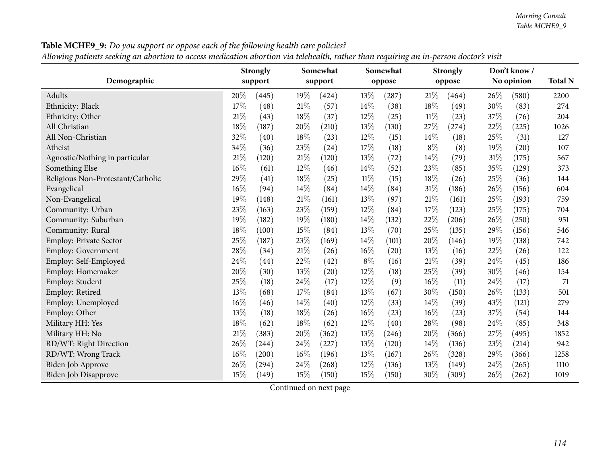| $\cdots$ or<br>$\cdots$<br>a measured to move a momental measured and concentrating current number of the may use the |     | <b>Strongly</b> |     | Somewhat |        | Somewhat |        | <b>Strongly</b> |            | Don't know/ |                |  |
|-----------------------------------------------------------------------------------------------------------------------|-----|-----------------|-----|----------|--------|----------|--------|-----------------|------------|-------------|----------------|--|
| Demographic                                                                                                           |     | support         |     | support  |        | oppose   | oppose |                 | No opinion |             | <b>Total N</b> |  |
| Adults                                                                                                                | 20% | (445)           | 19% | (424)    | 13\%   | (287)    | 21\%   | (464)           | 26\%       | (580)       | 2200           |  |
| Ethnicity: Black                                                                                                      | 17% | (48)            | 21% | (57)     | 14%    | (38)     | 18%    | (49)            | 30%        | (83)        | 274            |  |
| Ethnicity: Other                                                                                                      | 21% | (43)            | 18% | (37)     | 12%    | (25)     | $11\%$ | (23)            | 37%        | (76)        | 204            |  |
| All Christian                                                                                                         | 18% | (187)           | 20% | (210)    | 13%    | (130)    | 27%    | (274)           | 22%        | (225)       | 1026           |  |
| All Non-Christian                                                                                                     | 32% | (40)            | 18% | (23)     | 12%    | (15)     | 14%    | (18)            | 25%        | (31)        | 127            |  |
| Atheist                                                                                                               | 34% | (36)            | 23% | (24)     | 17%    | (18)     | $8\%$  | (8)             | 19%        | (20)        | 107            |  |
| Agnostic/Nothing in particular                                                                                        | 21% | (120)           | 21% | (120)    | 13%    | (72)     | 14%    | (79)            | $31\%$     | (175)       | 567            |  |
| Something Else                                                                                                        | 16% | (61)            | 12% | (46)     | 14%    | (52)     | 23%    | (85)            | 35%        | (129)       | 373            |  |
| Religious Non-Protestant/Catholic                                                                                     | 29% | (41)            | 18% | (25)     | $11\%$ | (15)     | 18%    | (26)            | 25%        | (36)        | 144            |  |
| Evangelical                                                                                                           | 16% | (94)            | 14% | (84)     | 14%    | (84)     | 31%    | (186)           | 26\%       | (156)       | 604            |  |
| Non-Evangelical                                                                                                       | 19% | (148)           | 21% | (161)    | 13%    | (97)     | $21\%$ | (161)           | 25%        | (193)       | 759            |  |
| Community: Urban                                                                                                      | 23% | (163)           | 23% | (159)    | 12%    | (84)     | 17%    | (123)           | 25%        | (175)       | 704            |  |
| Community: Suburban                                                                                                   | 19% | (182)           | 19% | (180)    | 14%    | (132)    | 22%    | (206)           | 26%        | (250)       | 951            |  |
| Community: Rural                                                                                                      | 18% | (100)           | 15% | (84)     | 13%    | (70)     | 25%    | (135)           | 29%        | (156)       | 546            |  |
| Employ: Private Sector                                                                                                | 25% | (187)           | 23% | (169)    | 14%    | (101)    | 20%    | (146)           | 19%        | (138)       | 742            |  |
| Employ: Government                                                                                                    | 28% | (34)            | 21% | (26)     | 16%    | (20)     | 13%    | (16)            | 22%        | (26)        | 122            |  |
| Employ: Self-Employed                                                                                                 | 24% | (44)            | 22% | (42)     | $8\%$  | (16)     | 21\%   | (39)            | 24\%       | (45)        | 186            |  |
| Employ: Homemaker                                                                                                     | 20% | (30)            | 13% | (20)     | 12%    | (18)     | 25%    | (39)            | 30%        | (46)        | 154            |  |
| Employ: Student                                                                                                       | 25% | (18)            | 24% | (17)     | 12%    | (9)      | 16%    | (11)            | 24%        | (17)        | 71             |  |
| Employ: Retired                                                                                                       | 13% | (68)            | 17% | (84)     | 13%    | (67)     | 30%    | (150)           | 26%        | (133)       | 501            |  |
| Employ: Unemployed                                                                                                    | 16% | (46)            | 14% | (40)     | 12%    | (33)     | 14%    | (39)            | 43%        | (121)       | 279            |  |
| Employ: Other                                                                                                         | 13% | (18)            | 18% | (26)     | 16%    | (23)     | 16%    | (23)            | 37%        | (54)        | 144            |  |
| Military HH: Yes                                                                                                      | 18% | (62)            | 18% | (62)     | 12%    | (40)     | 28%    | (98)            | 24\%       | (85)        | 348            |  |
| Military HH: No                                                                                                       | 21% | (383)           | 20% | (362)    | 13%    | (246)    | 20%    | (366)           | 27%        | (495)       | 1852           |  |
| RD/WT: Right Direction                                                                                                | 26% | (244)           | 24% | (227)    | 13%    | (120)    | 14%    | (136)           | 23%        | (214)       | 942            |  |
| RD/WT: Wrong Track                                                                                                    | 16% | (200)           | 16% | (196)    | 13%    | (167)    | 26%    | (328)           | 29%        | (366)       | 1258           |  |
| Biden Job Approve                                                                                                     | 26% | (294)           | 24% | (268)    | 12%    | (136)    | 13%    | (149)           | 24\%       | (265)       | 1110           |  |
| <b>Biden Job Disapprove</b>                                                                                           | 15% | (149)           | 15% | (150)    | 15%    | (150)    | 30%    | (309)           | 26\%       | (262)       | 1019           |  |

Table MCHE9\_9: Do you support or oppose each of the following health care policies?

Allowing patients seeking an abortion to access medication abortion via telehealth, rather than requiring an in-person doctor's visit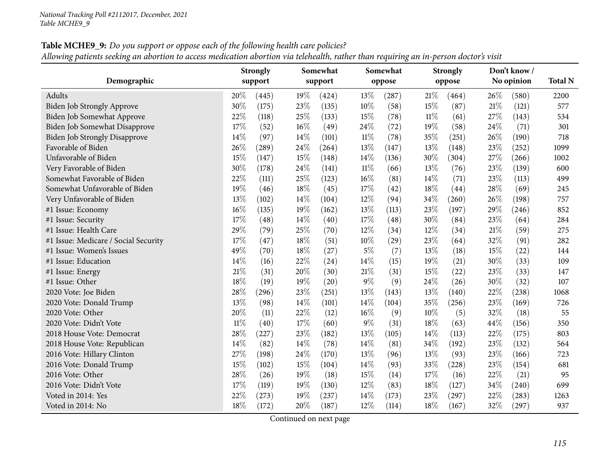### Table MCHE9\_9: Do you support or oppose each of the following health care policies? Allowing patients seeking an abortion to access medication abortion via telehealth, rather than requiring an in-person doctor's visit

|                                      | Somewhat<br><b>Strongly</b> |         |      | Somewhat |        | <b>Strongly</b> |        | Don't know/ |     |            |      |  |
|--------------------------------------|-----------------------------|---------|------|----------|--------|-----------------|--------|-------------|-----|------------|------|--|
| Demographic                          |                             | support |      | support  |        | oppose          |        | oppose      |     | No opinion |      |  |
| Adults                               | 20%                         | (445)   | 19%  | (424)    | 13%    | (287)           | 21\%   | (464)       | 26% | (580)      | 2200 |  |
| Biden Job Strongly Approve           | 30%                         | (175)   | 23\% | (135)    | 10%    | (58)            | 15%    | (87)        | 21% | (121)      | 577  |  |
| Biden Job Somewhat Approve           | 22%                         | (118)   | 25%  | (133)    | 15%    | (78)            | $11\%$ | (61)        | 27% | (143)      | 534  |  |
| <b>Biden Job Somewhat Disapprove</b> | 17%                         | (52)    | 16%  | (49)     | 24%    | (72)            | 19%    | (58)        | 24% | (71)       | 301  |  |
| <b>Biden Job Strongly Disapprove</b> | 14%                         | (97)    | 14%  | (101)    | $11\%$ | (78)            | 35%    | (251)       | 26% | (190)      | 718  |  |
| Favorable of Biden                   | 26%                         | (289)   | 24%  | (264)    | 13%    | (147)           | 13%    | (148)       | 23% | (252)      | 1099 |  |
| Unfavorable of Biden                 | 15%                         | (147)   | 15%  | (148)    | 14\%   | (136)           | 30%    | (304)       | 27% | (266)      | 1002 |  |
| Very Favorable of Biden              | 30%                         | (178)   | 24%  | (141)    | $11\%$ | (66)            | 13%    | (76)        | 23% | (139)      | 600  |  |
| Somewhat Favorable of Biden          | 22%                         | (111)   | 25%  | (123)    | 16%    | (81)            | 14%    | (71)        | 23% | (113)      | 499  |  |
| Somewhat Unfavorable of Biden        | 19%                         | (46)    | 18%  | (45)     | 17%    | (42)            | 18%    | (44)        | 28% | (69)       | 245  |  |
| Very Unfavorable of Biden            | 13%                         | (102)   | 14%  | (104)    | 12%    | (94)            | 34%    | (260)       | 26% | (198)      | 757  |  |
| #1 Issue: Economy                    | 16%                         | (135)   | 19%  | (162)    | 13%    | (113)           | 23%    | (197)       | 29% | (246)      | 852  |  |
| #1 Issue: Security                   | 17%                         | (48)    | 14%  | (40)     | 17%    | (48)            | 30%    | (84)        | 23% | (64)       | 284  |  |
| #1 Issue: Health Care                | 29%                         | (79)    | 25%  | (70)     | 12%    | (34)            | 12%    | (34)        | 21% | (59)       | 275  |  |
| #1 Issue: Medicare / Social Security | 17%                         | (47)    | 18%  | (51)     | 10%    | (29)            | 23%    | (64)        | 32% | (91)       | 282  |  |
| #1 Issue: Women's Issues             | 49%                         | (70)    | 18%  | (27)     | $5\%$  | (7)             | 13%    | (18)        | 15% | (22)       | 144  |  |
| #1 Issue: Education                  | 14%                         | (16)    | 22%  | (24)     | 14%    | (15)            | 19%    | (21)        | 30% | (33)       | 109  |  |
| #1 Issue: Energy                     | 21%                         | (31)    | 20%  | (30)     | 21%    | (31)            | 15%    | (22)        | 23% | (33)       | 147  |  |
| #1 Issue: Other                      | 18%                         | (19)    | 19%  | (20)     | $9\%$  | (9)             | 24%    | (26)        | 30% | (32)       | 107  |  |
| 2020 Vote: Joe Biden                 | 28%                         | (296)   | 23%  | (251)    | 13%    | (143)           | 13%    | (140)       | 22% | (238)      | 1068 |  |
| 2020 Vote: Donald Trump              | 13%                         | (98)    | 14%  | (101)    | 14%    | (104)           | 35%    | (256)       | 23% | (169)      | 726  |  |
| 2020 Vote: Other                     | 20%                         | (11)    | 22%  | (12)     | 16%    | (9)             | 10%    | (5)         | 32% | (18)       | 55   |  |
| 2020 Vote: Didn't Vote               | $11\%$                      | (40)    | 17\% | (60)     | $9\%$  | (31)            | 18%    | (63)        | 44% | (156)      | 350  |  |
| 2018 House Vote: Democrat            | 28%                         | (227)   | 23%  | (182)    | 13%    | (105)           | 14%    | (113)       | 22% | (175)      | 803  |  |
| 2018 House Vote: Republican          | 14%                         | (82)    | 14%  | (78)     | 14%    | (81)            | 34%    | (192)       | 23% | (132)      | 564  |  |
| 2016 Vote: Hillary Clinton           | 27%                         | (198)   | 24%  | (170)    | 13%    | (96)            | 13%    | (93)        | 23% | (166)      | 723  |  |
| 2016 Vote: Donald Trump              | 15%                         | (102)   | 15%  | (104)    | 14%    | (93)            | 33%    | (228)       | 23% | (154)      | 681  |  |
| 2016 Vote: Other                     | 28%                         | (26)    | 19%  | (18)     | 15%    | (14)            | 17%    | (16)        | 22% | (21)       | 95   |  |
| 2016 Vote: Didn't Vote               | 17%                         | (119)   | 19%  | (130)    | 12%    | (83)            | 18%    | (127)       | 34% | (240)      | 699  |  |
| Voted in 2014: Yes                   | 22%                         | (273)   | 19%  | (237)    | 14%    | (173)           | 23%    | (297)       | 22% | (283)      | 1263 |  |
| Voted in 2014: No                    | 18%                         | (172)   | 20%  | (187)    | 12%    | (114)           | 18%    | (167)       | 32% | (297)      | 937  |  |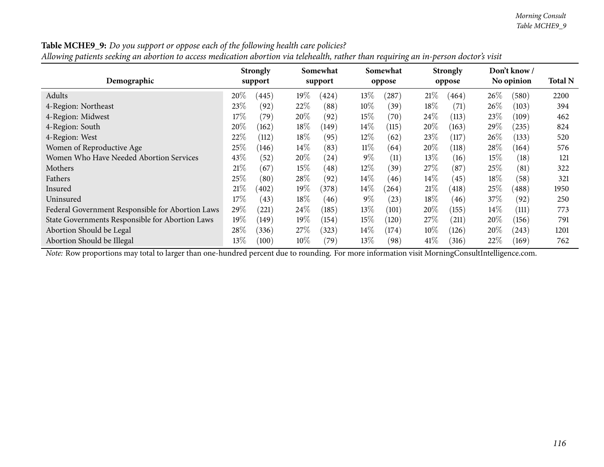| Auowing patients seeking an abortion to access meatcation abortion via telenealth, rather than requiring an in-person aoctor's visit |        |                 |        |          |        |          |        |                 |        |                            |                |  |
|--------------------------------------------------------------------------------------------------------------------------------------|--------|-----------------|--------|----------|--------|----------|--------|-----------------|--------|----------------------------|----------------|--|
| Demographic                                                                                                                          |        | <b>Strongly</b> |        | Somewhat |        | Somewhat |        | <b>Strongly</b> |        | Don't know /<br>No opinion | <b>Total N</b> |  |
|                                                                                                                                      |        | support         |        | support  |        | oppose   |        | oppose          |        |                            |                |  |
| Adults                                                                                                                               | 20%    | (445)           | $19\%$ | (424)    | $13\%$ | (287)    | 21%    | (464)           | $26\%$ | (580)                      | 2200           |  |
| 4-Region: Northeast                                                                                                                  | $23\%$ | (92)            | 22%    | (88)     | $10\%$ | (39)     | $18\%$ | (71)            | $26\%$ | (103)                      | 394            |  |
| 4-Region: Midwest                                                                                                                    | 17%    | (79)            | 20%    | (92)     | 15%    | (70)     | 24\%   | (113)           | 23\%   | (109)                      | 462            |  |
| 4-Region: South                                                                                                                      | 20\%   | (162)           | $18\%$ | (149)    | $14\%$ | (115)    | $20\%$ | (163)           | 29\%   | (235)                      | 824            |  |
| 4-Region: West                                                                                                                       | $22\%$ | (112)           | $18\%$ | (95)     | $12\%$ | (62)     | 23\%   | (117)           | $26\%$ | (133)                      | 520            |  |
| Women of Reproductive Age                                                                                                            | $25\%$ | (146)           | $14\%$ | (83)     | $11\%$ | (64)     | 20%    | (118)           | 28\%   | (164)                      | 576            |  |
| Women Who Have Needed Abortion Services                                                                                              | 43\%   | (52)            | $20\%$ | (24)     | $9\%$  | (11)     | 13\%   | (16)            | $15\%$ | (18)                       | 121            |  |
| Mothers                                                                                                                              | 21%    | (67)            | 15%    | (48)     | $12\%$ | (39)     | 27%    | (87)            | 25%    | (81)                       | 322            |  |
| Fathers                                                                                                                              | $25\%$ | (80)            | $28\%$ | (92)     | $14\%$ | (46)     | $14\%$ | (45)            | $18\%$ | (58)                       | 321            |  |
| Insured                                                                                                                              | 21%    | (402)           | $19\%$ | (378)    | $14\%$ | (264)    | 21%    | (418)           | 25%    | (488)                      | 1950           |  |
| Uninsured                                                                                                                            | $17\%$ | (43)            | $18\%$ | (46)     | $9\%$  | (23)     | $18\%$ | (46)            | 37%    | (92)                       | 250            |  |
| Federal Government Responsible for Abortion Laws                                                                                     | 29\%   | (221)           | 24%    | (185)    | $13\%$ | (101)    | 20%    | (155)           | $14\%$ | (111)                      | 773            |  |
| State Governments Responsible for Abortion Laws                                                                                      | $19\%$ | (149)           | $19\%$ | (154)    | 15%    | (120)    | 27%    | (211)           | $20\%$ | (156)                      | 791            |  |
| Abortion Should be Legal                                                                                                             | 28\%   | (336)           | 27%    | (323)    | $14\%$ | (174)    | $10\%$ | (126)           | $20\%$ | (243)                      | 1201           |  |
| Abortion Should be Illegal                                                                                                           | $13\%$ | (100)           | $10\%$ | (79)     | $13\%$ | (98)     | 41%    | (316)           | 22%    | (169)                      | 762            |  |

**Table MCHE9\_9:** Do you support or oppose each of the following health care policies?

Allowing patients seeking an abortion to access medication abortion via telehealth, rather than requiring an in-person doctor's visit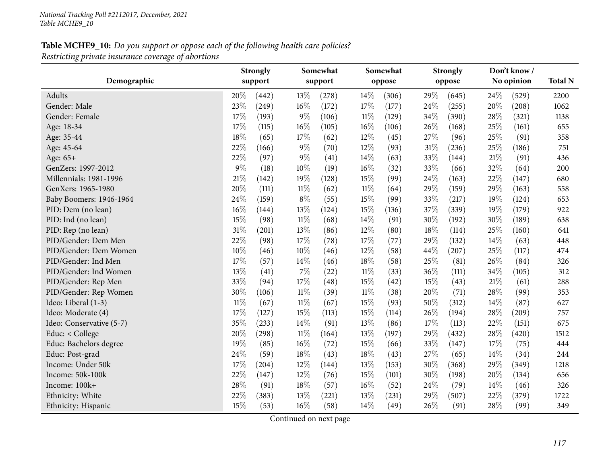|                          |        | <b>Strongly</b> | Somewhat |         |        | Somewhat |        | <b>Strongly</b> |        | Don't know / |      |
|--------------------------|--------|-----------------|----------|---------|--------|----------|--------|-----------------|--------|--------------|------|
| Demographic              |        | support         |          | support |        | oppose   |        | oppose          |        | No opinion   |      |
| Adults                   | 20%    | (442)           | 13\%     | (278)   | 14%    | (306)    | 29%    | (645)           | 24\%   | (529)        | 2200 |
| Gender: Male             | 23%    | (249)           | 16%      | (172)   | 17%    | (177)    | 24%    | (255)           | 20%    | (208)        | 1062 |
| Gender: Female           | 17%    | (193)           | $9\%$    | (106)   | $11\%$ | (129)    | $34\%$ | (390)           | 28%    | (321)        | 1138 |
| Age: 18-34               | 17%    | (115)           | $16\%$   | (105)   | 16%    | (106)    | 26%    | (168)           | 25%    | (161)        | 655  |
| Age: 35-44               | 18%    | (65)            | 17%      | (62)    | 12%    | (45)     | 27%    | (96)            | 25%    | (91)         | 358  |
| Age: 45-64               | 22%    | (166)           | $9\%$    | (70)    | 12%    | (93)     | 31%    | (236)           | $25\%$ | (186)        | 751  |
| Age: $65+$               | 22%    | (97)            | $9\%$    | (41)    | 14%    | (63)     | 33%    | (144)           | $21\%$ | (91)         | 436  |
| GenZers: 1997-2012       | $9\%$  | (18)            | 10%      | (19)    | 16%    | (32)     | 33%    | (66)            | 32%    | (64)         | 200  |
| Millennials: 1981-1996   | 21%    | (142)           | 19%      | (128)   | 15%    | (99)     | 24%    | (163)           | 22%    | (147)        | 680  |
| GenXers: 1965-1980       | 20%    | (111)           | $11\%$   | (62)    | $11\%$ | (64)     | 29%    | (159)           | 29%    | (163)        | 558  |
| Baby Boomers: 1946-1964  | 24%    | (159)           | $8\%$    | (55)    | 15%    | (99)     | 33%    | (217)           | 19%    | (124)        | 653  |
| PID: Dem (no lean)       | 16%    | (144)           | 13%      | (124)   | 15%    | (136)    | 37%    | (339)           | 19%    | (179)        | 922  |
| PID: Ind (no lean)       | 15%    | (98)            | $11\%$   | (68)    | 14%    | (91)     | 30%    | (192)           | 30%    | (189)        | 638  |
| PID: Rep (no lean)       | 31%    | (201)           | 13%      | (86)    | 12%    | (80)     | 18%    | (114)           | 25%    | (160)        | 641  |
| PID/Gender: Dem Men      | 22%    | (98)            | 17%      | (78)    | 17%    | (77)     | 29%    | (132)           | 14%    | (63)         | 448  |
| PID/Gender: Dem Women    | 10%    | (46)            | $10\%$   | (46)    | 12%    | (58)     | 44%    | (207)           | 25%    | (117)        | 474  |
| PID/Gender: Ind Men      | 17%    | (57)            | 14%      | (46)    | 18%    | (58)     | 25%    | (81)            | 26%    | (84)         | 326  |
| PID/Gender: Ind Women    | 13%    | (41)            | 7%       | (22)    | $11\%$ | (33)     | 36%    | (111)           | 34%    | (105)        | 312  |
| PID/Gender: Rep Men      | 33%    | (94)            | 17%      | (48)    | 15%    | (42)     | 15%    | (43)            | 21\%   | (61)         | 288  |
| PID/Gender: Rep Women    | 30%    | (106)           | $11\%$   | (39)    | $11\%$ | (38)     | 20%    | (71)            | 28%    | (99)         | 353  |
| Ideo: Liberal (1-3)      | $11\%$ | (67)            | $11\%$   | (67)    | 15%    | (93)     | 50%    | (312)           | 14%    | (87)         | 627  |
| Ideo: Moderate (4)       | 17%    | (127)           | 15%      | (113)   | 15%    | (114)    | 26%    | (194)           | 28%    | (209)        | 757  |
| Ideo: Conservative (5-7) | 35%    | (233)           | 14%      | (91)    | 13%    | (86)     | 17%    | (113)           | 22%    | (151)        | 675  |
| Educ: < College          | 20%    | (298)           | $11\%$   | (164)   | 13%    | (197)    | 29%    | (432)           | 28%    | (420)        | 1512 |
| Educ: Bachelors degree   | 19%    | (85)            | 16%      | (72)    | 15%    | (66)     | 33%    | (147)           | 17%    | (75)         | 444  |
| Educ: Post-grad          | 24%    | (59)            | $18\%$   | (43)    | 18%    | (43)     | 27%    | (65)            | 14%    | (34)         | 244  |
| Income: Under 50k        | 17%    | (204)           | 12%      | (144)   | 13%    | (153)    | 30%    | (368)           | 29%    | (349)        | 1218 |
| Income: 50k-100k         | 22%    | (147)           | 12%      | (76)    | 15%    | (101)    | 30%    | (198)           | 20%    | (134)        | 656  |
| Income: 100k+            | 28%    | (91)            | 18%      | (57)    | 16%    | (52)     | 24%    | (79)            | 14%    | (46)         | 326  |
| Ethnicity: White         | 22%    | (383)           | 13\%     | (221)   | 13%    | (231)    | 29%    | (507)           | 22%    | (379)        | 1722 |
| Ethnicity: Hispanic      | 15%    | (53)            | 16%      | (58)    | 14%    | (49)     | 26%    | (91)            | 28%    | (99)         | 349  |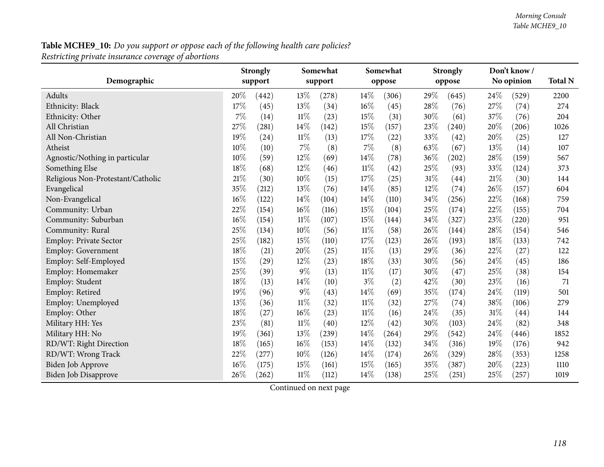|                                   | <b>Strongly</b><br>support |       |        | Somewhat<br>support |        | Somewhat |        | <b>Strongly</b><br>oppose |        | Don't know/<br>No opinion |                |
|-----------------------------------|----------------------------|-------|--------|---------------------|--------|----------|--------|---------------------------|--------|---------------------------|----------------|
| Demographic                       |                            |       |        |                     |        | oppose   |        |                           |        |                           | <b>Total N</b> |
| Adults                            | 20%                        | (442) | 13%    | (278)               | 14\%   | (306)    | 29%    | (645)                     | 24\%   | (529)                     | 2200           |
| Ethnicity: Black                  | 17%                        | (45)  | 13%    | (34)                | $16\%$ | (45)     | 28%    | (76)                      | 27%    | (74)                      | 274            |
| Ethnicity: Other                  | 7%                         | (14)  | $11\%$ | (23)                | 15%    | (31)     | $30\%$ | (61)                      | 37%    | (76)                      | 204            |
| All Christian                     | 27%                        | (281) | 14%    | (142)               | 15%    | (157)    | 23%    | (240)                     | 20%    | (206)                     | 1026           |
| All Non-Christian                 | 19%                        | (24)  | $11\%$ | (13)                | 17%    | (22)     | 33%    | (42)                      | 20%    | (25)                      | 127            |
| Atheist                           | 10%                        | (10)  | 7%     | (8)                 | 7%     | (8)      | 63%    | (67)                      | 13%    | (14)                      | 107            |
| Agnostic/Nothing in particular    | 10%                        | (59)  | 12%    | (69)                | 14%    | (78)     | $36\%$ | (202)                     | 28%    | (159)                     | 567            |
| Something Else                    | 18%                        | (68)  | 12%    | (46)                | $11\%$ | (42)     | 25%    | (93)                      | 33%    | (124)                     | 373            |
| Religious Non-Protestant/Catholic | 21%                        | (30)  | 10%    | (15)                | 17%    | (25)     | $31\%$ | (44)                      | $21\%$ | (30)                      | 144            |
| Evangelical                       | 35%                        | (212) | $13\%$ | (76)                | 14%    | (85)     | 12%    | (74)                      | 26%    | (157)                     | 604            |
| Non-Evangelical                   | 16%                        | (122) | 14%    | (104)               | 14%    | (110)    | 34%    | (256)                     | 22%    | (168)                     | 759            |
| Community: Urban                  | $22\%$                     | (154) | 16%    | (116)               | 15%    | (104)    | 25%    | (174)                     | 22%    | (155)                     | 704            |
| Community: Suburban               | 16%                        | (154) | $11\%$ | (107)               | 15%    | (144)    | 34%    | (327)                     | 23%    | (220)                     | 951            |
| Community: Rural                  | 25%                        | (134) | 10%    | (56)                | $11\%$ | (58)     | 26%    | (144)                     | 28%    | (154)                     | 546            |
| Employ: Private Sector            | 25%                        | (182) | 15%    | (110)               | 17%    | (123)    | $26\%$ | (193)                     | 18%    | (133)                     | 742            |
| Employ: Government                | 18%                        | (21)  | 20%    | (25)                | $11\%$ | (13)     | 29%    | (36)                      | 22%    | (27)                      | 122            |
| Employ: Self-Employed             | 15%                        | (29)  | 12%    | (23)                | 18%    | (33)     | 30%    | (56)                      | 24%    | (45)                      | 186            |
| Employ: Homemaker                 | 25%                        | (39)  | $9\%$  | (13)                | $11\%$ | (17)     | 30%    | (47)                      | 25%    | (38)                      | 154            |
| Employ: Student                   | 18%                        | (13)  | 14%    | (10)                | $3\%$  | (2)      | 42%    | (30)                      | 23%    | (16)                      | 71             |
| Employ: Retired                   | 19%                        | (96)  | $9\%$  | (43)                | 14%    | (69)     | 35%    | (174)                     | 24%    | (119)                     | 501            |
| Employ: Unemployed                | 13%                        | (36)  | $11\%$ | (32)                | $11\%$ | (32)     | 27%    | (74)                      | 38%    | (106)                     | 279            |
| Employ: Other                     | 18%                        | (27)  | 16%    | (23)                | $11\%$ | (16)     | 24%    | (35)                      | 31%    | (44)                      | 144            |
| Military HH: Yes                  | 23%                        | (81)  | $11\%$ | (40)                | 12%    | (42)     | 30%    | (103)                     | 24%    | (82)                      | 348            |
| Military HH: No                   | 19%                        | (361) | 13%    | (239)               | 14\%   | (264)    | 29%    | (542)                     | 24\%   | (446)                     | 1852           |
| RD/WT: Right Direction            | 18%                        | (165) | 16%    | (153)               | 14\%   | (132)    | 34%    | (316)                     | 19%    | (176)                     | 942            |
| RD/WT: Wrong Track                | 22%                        | (277) | 10%    | (126)               | 14%    | (174)    | 26%    | (329)                     | 28%    | (353)                     | 1258           |
| Biden Job Approve                 | 16%                        | (175) | 15%    | (161)               | 15%    | (165)    | 35%    | (387)                     | 20%    | (223)                     | 1110           |
| Biden Job Disapprove              | 26%                        | (262) | $11\%$ | (112)               | 14%    | (138)    | 25%    | (251)                     | 25%    | (257)                     | 1019           |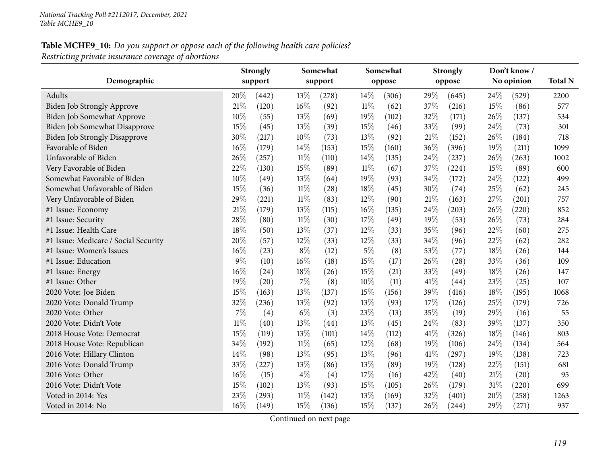|                                      |        | Somewhat<br><b>Strongly</b> |        |                   | Somewhat |        | <b>Strongly</b> |        | Don't know / |            |      |  |
|--------------------------------------|--------|-----------------------------|--------|-------------------|----------|--------|-----------------|--------|--------------|------------|------|--|
| Demographic                          |        | support                     |        | support           |          | oppose |                 | oppose |              | No opinion |      |  |
| Adults                               | 20%    | (442)                       | 13\%   | (278)             | 14\%     | (306)  | 29%             | (645)  | 24\%         | (529)      | 2200 |  |
| <b>Biden Job Strongly Approve</b>    | 21%    | (120)                       | $16\%$ | (92)              | $11\%$   | (62)   | 37%             | (216)  | 15%          | (86)       | 577  |  |
| Biden Job Somewhat Approve           | 10%    | (55)                        | 13%    | (69)              | 19%      | (102)  | 32%             | (171)  | 26%          | (137)      | 534  |  |
| <b>Biden Job Somewhat Disapprove</b> | 15%    | (45)                        | 13%    | (39)              | 15%      | (46)   | 33%             | (99)   | 24\%         | (73)       | 301  |  |
| <b>Biden Job Strongly Disapprove</b> | 30%    | (217)                       | $10\%$ | (73)              | 13%      | (92)   | 21\%            | (152)  | 26\%         | (184)      | 718  |  |
| Favorable of Biden                   | 16%    | (179)                       | 14%    | (153)             | 15%      | (160)  | 36%             | (396)  | 19%          | (211)      | 1099 |  |
| Unfavorable of Biden                 | 26%    | (257)                       | $11\%$ | (110)             | 14%      | (135)  | 24%             | (237)  | 26%          | (263)      | 1002 |  |
| Very Favorable of Biden              | 22%    | (130)                       | 15%    | (89)              | $11\%$   | (67)   | 37%             | (224)  | 15%          | (89)       | 600  |  |
| Somewhat Favorable of Biden          | 10%    | (49)                        | 13%    | (64)              | 19%      | (93)   | 34%             | (172)  | 24%          | (122)      | 499  |  |
| Somewhat Unfavorable of Biden        | 15%    | (36)                        | $11\%$ | (28)              | 18%      | (45)   | 30%             | (74)   | 25%          | (62)       | 245  |  |
| Very Unfavorable of Biden            | 29%    | (221)                       | $11\%$ | (83)              | 12%      | (90)   | 21%             | (163)  | 27%          | (201)      | 757  |  |
| #1 Issue: Economy                    | 21\%   | (179)                       | 13%    | (115)             | 16%      | (135)  | 24%             | (203)  | 26%          | (220)      | 852  |  |
| #1 Issue: Security                   | 28%    | (80)                        | $11\%$ | (30)              | 17%      | (49)   | 19%             | (53)   | 26\%         | (73)       | 284  |  |
| #1 Issue: Health Care                | 18%    | (50)                        | 13%    | (37)              | 12%      | (33)   | 35%             | (96)   | 22%          | (60)       | 275  |  |
| #1 Issue: Medicare / Social Security | 20%    | (57)                        | 12%    | (33)              | 12%      | (33)   | 34%             | (96)   | 22%          | (62)       | 282  |  |
| #1 Issue: Women's Issues             | 16%    | (23)                        | $8\%$  | (12)              | $5\%$    | (8)    | 53%             | (77)   | 18%          | (26)       | 144  |  |
| #1 Issue: Education                  | $9\%$  | (10)                        | 16%    | (18)              | 15%      | (17)   | 26%             | (28)   | 33%          | (36)       | 109  |  |
| #1 Issue: Energy                     | 16%    | (24)                        | 18%    | (26)              | 15%      | (21)   | 33%             | (49)   | 18%          | (26)       | 147  |  |
| #1 Issue: Other                      | 19%    | (20)                        | $7\%$  | (8)               | 10%      | (11)   | 41\%            | (44)   | 23%          | (25)       | 107  |  |
| 2020 Vote: Joe Biden                 | 15%    | (163)                       | 13%    | (137)             | 15%      | (156)  | 39%             | (416)  | 18%          | (195)      | 1068 |  |
| 2020 Vote: Donald Trump              | 32%    | (236)                       | $13\%$ | (92)              | 13%      | (93)   | 17%             | (126)  | 25%          | (179)      | 726  |  |
| 2020 Vote: Other                     | $7\%$  | (4)                         | $6\%$  | (3)               | 23%      | (13)   | 35%             | (19)   | 29%          | (16)       | 55   |  |
| 2020 Vote: Didn't Vote               | $11\%$ | (40)                        | 13%    | (44)              | 13%      | (45)   | 24%             | (83)   | 39%          | (137)      | 350  |  |
| 2018 House Vote: Democrat            | $15\%$ | (119)                       | 13%    | (101)             | 14\%     | (112)  | 41\%            | (326)  | 18%          | (146)      | 803  |  |
| 2018 House Vote: Republican          | 34%    | (192)                       | $11\%$ | (65)              | 12%      | (68)   | 19%             | (106)  | 24%          | (134)      | 564  |  |
| 2016 Vote: Hillary Clinton           | 14%    | (98)                        | 13%    | (95)              | 13%      | (96)   | 41%             | (297)  | 19%          | (138)      | 723  |  |
| 2016 Vote: Donald Trump              | 33%    | (227)                       | 13%    | (86)              | 13%      | (89)   | 19%             | (128)  | 22%          | (151)      | 681  |  |
| 2016 Vote: Other                     | 16%    | (15)                        | $4\%$  | $\left( 4\right)$ | 17%      | (16)   | 42%             | (40)   | 21%          | (20)       | 95   |  |
| 2016 Vote: Didn't Vote               | 15%    | (102)                       | 13%    | (93)              | 15%      | (105)  | 26%             | (179)  | 31%          | (220)      | 699  |  |
| Voted in 2014: Yes                   | 23%    | (293)                       | $11\%$ | (142)             | 13%      | (169)  | 32%             | (401)  | 20%          | (258)      | 1263 |  |
| Voted in 2014: No                    | 16%    | (149)                       | 15%    | (136)             | 15%      | (137)  | 26%             | (244)  | 29%          | (271)      | 937  |  |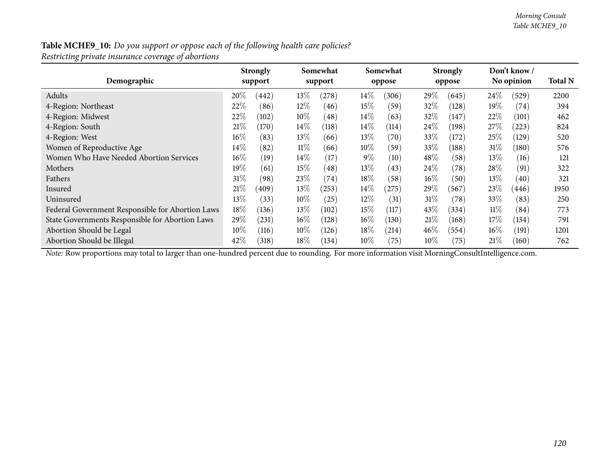| Demographic                                      |        | <b>Strongly</b><br>support |        | Somewhat<br>support |        | Somewhat<br>oppose |        | <b>Strongly</b><br>oppose |        | Don't know /<br>No opinion | <b>Total N</b> |
|--------------------------------------------------|--------|----------------------------|--------|---------------------|--------|--------------------|--------|---------------------------|--------|----------------------------|----------------|
| Adults                                           | 20%    | (442)                      | 13\%   | (278)               | $14\%$ | (306)              | 29\%   | (645)                     | $24\%$ | (529)                      | 2200           |
| 4-Region: Northeast                              | 22%    | (86)                       | 12%    | (46)                | $15\%$ | (59)               | 32\%   | (128)                     | $19\%$ | (74)                       | 394            |
| 4-Region: Midwest                                | 22%    | (102)                      | $10\%$ | (48)                | $14\%$ | (63)               | 32\%   | (147)                     | 22\%   | (101)                      | 462            |
| 4-Region: South                                  | 21%    | (170)                      | $14\%$ | (118)               | $14\%$ | (114)              | $24\%$ | (198)                     | $27\%$ | (223)                      | 824            |
| 4-Region: West                                   | $16\%$ | (83)                       | 13\%   | (66)                | $13\%$ | $\left( 70\right)$ | 33%    | (172)                     | 25%    | (129)                      | 520            |
| Women of Reproductive Age                        | $14\%$ | (82)                       | $11\%$ | (66)                | $10\%$ | (59)               | 33\%   | (188)                     | $31\%$ | $^{\prime}180)$            | 576            |
| Women Who Have Needed Abortion Services          | $16\%$ | (19)                       | $14\%$ | (17)                | $9\%$  | (10)               | 48%    | (58)                      | $13\%$ | (16)                       | 121            |
| Mothers                                          | $19\%$ | (61)                       | 15%    | (48)                | $13\%$ | (43)               | 24\%   | (78)                      | 28\%   | (91)                       | 322            |
| Fathers                                          | $31\%$ | (98)                       | 23\%   | (74)                | $18\%$ | (58)               | $16\%$ | (50)                      | $13\%$ | (40)                       | 321            |
| Insured                                          | $21\%$ | (409)                      | 13%    | (253)               | $14\%$ | (275)              | 29%    | (567                      | 23\%   | (446)                      | 1950           |
| Uninsured                                        | $13\%$ | (33)                       | $10\%$ | (25)                | $12\%$ | (31)               | 31%    | (78)                      | 33%    | (83)                       | 250            |
| Federal Government Responsible for Abortion Laws | $18\%$ | (136)                      | 13%    | (102)               | $15\%$ | (117)              | 43\%   | (334)                     | $11\%$ | (84)                       | 773            |
| State Governments Responsible for Abortion Laws  | 29%    | (231)                      | $16\%$ | (128)               | $16\%$ | (130)              | 21%    | (168)                     | 17\%   | (134)                      | 791            |
| Abortion Should be Legal                         | $10\%$ | (116)                      | $10\%$ | (126)               | $18\%$ | (214)              | 46%    | (554)                     | $16\%$ | (191)                      | 1201           |
| Abortion Should be Illegal                       | 42\%   | (318)                      | $18\%$ | (134)               | $10\%$ | (75)               | $10\%$ | (75)                      | 21%    | (160)                      | 762            |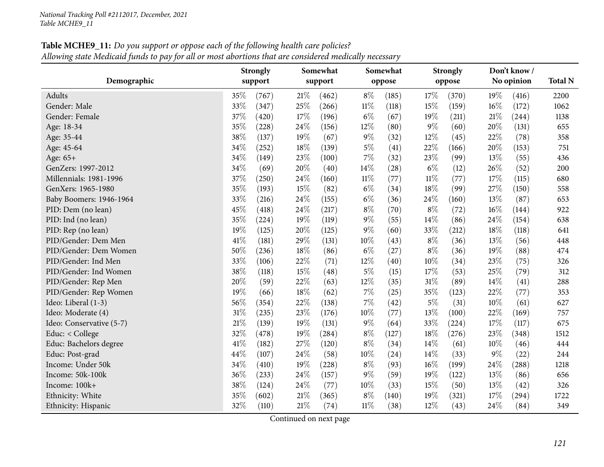| Demographic              | <b>Strongly</b><br>support |       | Somewhat<br>support |       |        | Somewhat<br>oppose |        | <b>Strongly</b><br>oppose |        | Don't know/<br>No opinion | <b>Total N</b> |
|--------------------------|----------------------------|-------|---------------------|-------|--------|--------------------|--------|---------------------------|--------|---------------------------|----------------|
| Adults                   | 35%                        | (767) | 21%                 | (462) | $8\%$  | (185)              | 17%    | (370)                     | 19%    | (416)                     | 2200           |
| Gender: Male             | 33%                        | (347) | 25%                 | (266) | 11%    | (118)              | 15%    | (159)                     | 16%    | (172)                     | 1062           |
| Gender: Female           | 37%                        | (420) | 17%                 | (196) | $6\%$  | (67)               | 19%    | (211)                     | $21\%$ | (244)                     | 1138           |
| Age: 18-34               | 35%                        | (228) | 24\%                | (156) | 12%    | (80)               | $9\%$  | (60)                      | 20%    | (131)                     | 655            |
| Age: 35-44               | 38%                        | (137) | 19%                 | (67)  | $9\%$  | (32)               | 12%    | (45)                      | 22%    | (78)                      | 358            |
| Age: 45-64               | 34%                        | (252) | 18%                 | (139) | $5\%$  | (41)               | 22%    | (166)                     | 20%    | (153)                     | 751            |
| Age: 65+                 | 34%                        | (149) | 23%                 | (100) | 7%     | (32)               | 23%    | (99)                      | 13%    | (55)                      | 436            |
| GenZers: 1997-2012       | 34%                        | (69)  | 20%                 | (40)  | 14%    | (28)               | $6\%$  | (12)                      | 26%    | (52)                      | 200            |
| Millennials: 1981-1996   | 37%                        | (250) | $24\%$              | (160) | $11\%$ | (77)               | $11\%$ | (77)                      | 17%    | (115)                     | 680            |
| GenXers: 1965-1980       | 35%                        | (193) | 15%                 | (82)  | $6\%$  | (34)               | 18%    | (99)                      | 27%    | (150)                     | 558            |
| Baby Boomers: 1946-1964  | 33%                        | (216) | 24\%                | (155) | $6\%$  | (36)               | 24\%   | (160)                     | 13%    | (87)                      | 653            |
| PID: Dem (no lean)       | 45%                        | (418) | 24\%                | (217) | $8\%$  | (70)               | $8\%$  | (72)                      | 16%    | (144)                     | 922            |
| PID: Ind (no lean)       | 35%                        | (224) | 19%                 | (119) | $9\%$  | (55)               | 14\%   | (86)                      | 24\%   | (154)                     | 638            |
| PID: Rep (no lean)       | 19%                        | (125) | 20%                 | (125) | 9%     | (60)               | 33%    | (212)                     | 18%    | (118)                     | 641            |
| PID/Gender: Dem Men      | 41%                        | (181) | 29%                 | (131) | 10%    | (43)               | $8\%$  | (36)                      | 13%    | (56)                      | 448            |
| PID/Gender: Dem Women    | 50%                        | (236) | 18%                 | (86)  | $6\%$  | (27)               | $8\%$  | (36)                      | 19%    | (88)                      | 474            |
| PID/Gender: Ind Men      | 33%                        | (106) | 22%                 | (71)  | 12%    | (40)               | $10\%$ | (34)                      | 23%    | (75)                      | 326            |
| PID/Gender: Ind Women    | 38%                        | (118) | 15%                 | (48)  | $5\%$  | (15)               | 17%    | (53)                      | 25%    | (79)                      | 312            |
| PID/Gender: Rep Men      | 20%                        | (59)  | 22%                 | (63)  | 12%    | (35)               | $31\%$ | (89)                      | 14%    | (41)                      | 288            |
| PID/Gender: Rep Women    | 19%                        | (66)  | 18%                 | (62)  | 7%     | (25)               | 35%    | (123)                     | 22%    | (77)                      | 353            |
| Ideo: Liberal (1-3)      | 56%                        | (354) | 22%                 | (138) | 7%     | (42)               | $5\%$  | (31)                      | 10%    | (61)                      | 627            |
| Ideo: Moderate (4)       | 31%                        | (235) | 23%                 | (176) | 10%    | (77)               | 13%    | (100)                     | 22%    | (169)                     | 757            |
| Ideo: Conservative (5-7) | 21%                        | (139) | 19%                 | (131) | 9%     | (64)               | 33%    | (224)                     | 17%    | (117)                     | 675            |
| Educ: $<$ College        | $32\%$                     | (478) | 19%                 | (284) | $8\%$  | (127)              | 18%    | (276)                     | 23%    | (348)                     | 1512           |
| Educ: Bachelors degree   | 41\%                       | (182) | 27\%                | (120) | $8\%$  | (34)               | 14\%   | (61)                      | 10%    | (46)                      | 444            |
| Educ: Post-grad          | 44%                        | (107) | 24%                 | (58)  | 10%    | (24)               | 14%    | (33)                      | $9\%$  | (22)                      | 244            |
| Income: Under 50k        | 34%                        | (410) | 19%                 | (228) | $8\%$  | (93)               | 16%    | (199)                     | 24%    | (288)                     | 1218           |
| Income: 50k-100k         | 36%                        | (233) | 24\%                | (157) | $9\%$  | (59)               | 19%    | (122)                     | 13%    | (86)                      | 656            |
| Income: 100k+            | 38%                        | (124) | 24\%                | (77)  | 10%    | (33)               | 15%    | (50)                      | 13%    | (42)                      | 326            |
| Ethnicity: White         | 35%                        | (602) | 21%                 | (365) | $8\%$  | (140)              | 19%    | (321)                     | 17%    | (294)                     | 1722           |
| Ethnicity: Hispanic      | 32%                        | (110) | 21%                 | (74)  | 11%    | (38)               | 12%    | (43)                      | 24%    | (84)                      | 349            |

**Table MCHE9\_11:** Do you support or oppose each of the following health care policies?  $\,$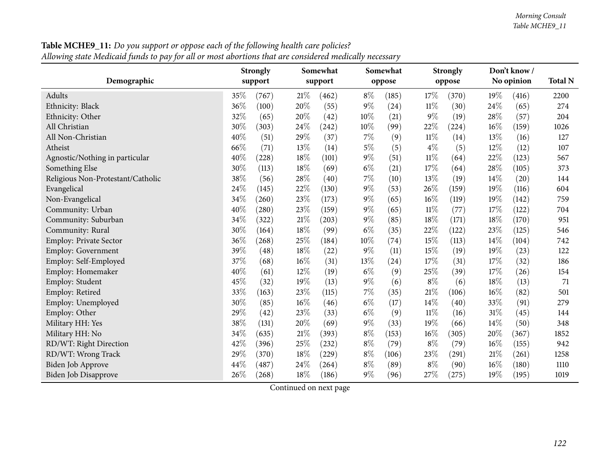|                                   |     | <b>Strongly</b> |        | Somewhat |       | Somewhat |        | <b>Strongly</b> |        | Don't know / |                |
|-----------------------------------|-----|-----------------|--------|----------|-------|----------|--------|-----------------|--------|--------------|----------------|
| Demographic                       |     | support         |        | support  |       | oppose   |        | oppose          |        | No opinion   | <b>Total N</b> |
| Adults                            | 35% | (767)           | 21%    | (462)    | $8\%$ | (185)    | 17%    | (370)           | 19%    | (416)        | 2200           |
| Ethnicity: Black                  | 36% | (100)           | 20%    | (55)     | $9\%$ | (24)     | $11\%$ | (30)            | 24%    | (65)         | 274            |
| Ethnicity: Other                  | 32% | (65)            | 20%    | (42)     | 10%   | (21)     | $9\%$  | (19)            | 28%    | (57)         | 204            |
| All Christian                     | 30% | (303)           | 24%    | (242)    | 10%   | (99)     | 22%    | (224)           | 16%    | (159)        | 1026           |
| All Non-Christian                 | 40% | (51)            | 29%    | (37)     | $7\%$ | (9)      | $11\%$ | (14)            | 13%    | (16)         | 127            |
| Atheist                           | 66% | (71)            | 13%    | (14)     | $5\%$ | (5)      | $4\%$  | (5)             | $12\%$ | (12)         | 107            |
| Agnostic/Nothing in particular    | 40% | (228)           | 18%    | (101)    | $9\%$ | (51)     | $11\%$ | (64)            | 22%    | (123)        | 567            |
| Something Else                    | 30% | (113)           | 18%    | (69)     | $6\%$ | (21)     | 17%    | (64)            | 28%    | (105)        | 373            |
| Religious Non-Protestant/Catholic | 38% | (56)            | 28%    | (40)     | $7\%$ | (10)     | 13%    | (19)            | 14%    | (20)         | 144            |
| Evangelical                       | 24% | (145)           | 22%    | (130)    | $9\%$ | (53)     | 26\%   | (159)           | 19%    | (116)        | 604            |
| Non-Evangelical                   | 34% | (260)           | 23%    | (173)    | $9\%$ | (65)     | 16%    | (119)           | 19%    | (142)        | 759            |
| Community: Urban                  | 40% | (280)           | 23%    | (159)    | $9\%$ | (65)     | $11\%$ | (77)            | 17%    | (122)        | 704            |
| Community: Suburban               | 34% | (322)           | $21\%$ | (203)    | $9\%$ | (85)     | 18%    | (171)           | 18%    | (170)        | 951            |
| Community: Rural                  | 30% | (164)           | 18%    | (99)     | $6\%$ | (35)     | 22%    | (122)           | 23%    | (125)        | 546            |
| Employ: Private Sector            | 36% | (268)           | 25%    | (184)    | 10%   | (74)     | 15%    | (113)           | 14%    | (104)        | 742            |
| Employ: Government                | 39% | (48)            | 18%    | (22)     | $9\%$ | (11)     | 15%    | (19)            | 19%    | (23)         | 122            |
| Employ: Self-Employed             | 37% | (68)            | 16%    | (31)     | 13%   | (24)     | 17%    | (31)            | 17%    | (32)         | 186            |
| Employ: Homemaker                 | 40% | (61)            | 12%    | (19)     | $6\%$ | (9)      | 25%    | (39)            | 17%    | (26)         | 154            |
| Employ: Student                   | 45% | (32)            | 19%    | (13)     | $9\%$ | (6)      | $8\%$  | (6)             | 18%    | (13)         | 71             |
| Employ: Retired                   | 33% | (163)           | 23%    | (115)    | $7\%$ | (35)     | 21%    | (106)           | 16%    | (82)         | 501            |
| Employ: Unemployed                | 30% | (85)            | 16%    | (46)     | $6\%$ | (17)     | 14%    | (40)            | 33%    | (91)         | 279            |
| Employ: Other                     | 29% | (42)            | 23%    | (33)     | $6\%$ | (9)      | 11%    | (16)            | 31%    | (45)         | 144            |
| Military HH: Yes                  | 38% | (131)           | 20%    | (69)     | $9\%$ | (33)     | 19%    | (66)            | 14%    | (50)         | 348            |
| Military HH: No                   | 34% | (635)           | 21%    | (393)    | $8\%$ | (153)    | $16\%$ | (305)           | 20%    | (367)        | 1852           |
| RD/WT: Right Direction            | 42% | (396)           | 25%    | (232)    | $8\%$ | (79)     | $8\%$  | (79)            | 16%    | (155)        | 942            |
| RD/WT: Wrong Track                | 29% | (370)           | 18%    | (229)    | $8\%$ | (106)    | 23%    | (291)           | 21\%   | (261)        | 1258           |
| Biden Job Approve                 | 44% | (487)           | 24\%   | (264)    | $8\%$ | (89)     | $8\%$  | (90)            | 16%    | (180)        | 1110           |
| <b>Biden Job Disapprove</b>       | 26% | (268)           | 18%    | (186)    | $9\%$ | (96)     | 27%    | (275)           | 19%    | (195)        | 1019           |

Table MCHE9\_11: Do you support or oppose each of the following health care policies? Allowing state Medicaid funds to pay for all or most abortions that are considered medically necessary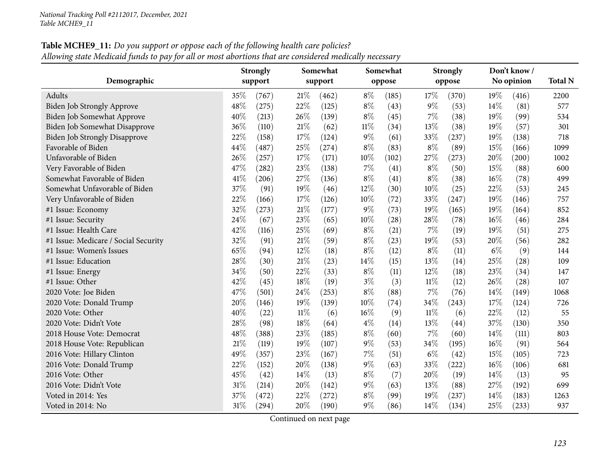| Table MCHE9_11: Do you support or oppose each of the following health care policies?                   |  |
|--------------------------------------------------------------------------------------------------------|--|
| Allowing state Medicaid funds to pay for all or most abortions that are considered medically necessary |  |

|                                      |     | <b>Strongly</b> |     | Somewhat |        | Somewhat |        | <b>Strongly</b> |       | Don't know / |                |
|--------------------------------------|-----|-----------------|-----|----------|--------|----------|--------|-----------------|-------|--------------|----------------|
| Demographic                          |     | support         |     | support  |        | oppose   |        | oppose          |       | No opinion   | <b>Total N</b> |
| Adults                               | 35% | (767)           | 21% | (462)    | $8\%$  | (185)    | 17%    | (370)           | 19%   | (416)        | 2200           |
| <b>Biden Job Strongly Approve</b>    | 48% | (275)           | 22% | (125)    | $8\%$  | (43)     | $9\%$  | (53)            | 14%   | (81)         | 577            |
| Biden Job Somewhat Approve           | 40% | (213)           | 26% | (139)    | $8\%$  | (45)     | $7\%$  | (38)            | 19%   | (99)         | 534            |
| Biden Job Somewhat Disapprove        | 36% | (110)           | 21% | (62)     | $11\%$ | (34)     | 13%    | (38)            | 19%   | (57)         | 301            |
| <b>Biden Job Strongly Disapprove</b> | 22% | (158)           | 17% | (124)    | 9%     | (61)     | 33%    | (237)           | 19%   | (138)        | 718            |
| Favorable of Biden                   | 44% | (487)           | 25% | (274)    | $8\%$  | (83)     | $8\%$  | (89)            | 15%   | (166)        | 1099           |
| Unfavorable of Biden                 | 26% | (257)           | 17% | (171)    | 10%    | (102)    | 27%    | (273)           | 20%   | (200)        | 1002           |
| Very Favorable of Biden              | 47% | (282)           | 23% | (138)    | 7%     | (41)     | $8\%$  | (50)            | 15%   | (88)         | 600            |
| Somewhat Favorable of Biden          | 41% | (206)           | 27% | (136)    | $8\%$  | (41)     | $8\%$  | (38)            | 16%   | (78)         | 499            |
| Somewhat Unfavorable of Biden        | 37% | (91)            | 19% | (46)     | 12%    | (30)     | 10%    | (25)            | 22%   | (53)         | 245            |
| Very Unfavorable of Biden            | 22% | (166)           | 17% | (126)    | 10%    | (72)     | 33%    | (247)           | 19%   | (146)        | 757            |
| #1 Issue: Economy                    | 32% | (273)           | 21% | (177)    | 9%     | (73)     | 19%    | (165)           | 19%   | (164)        | 852            |
| #1 Issue: Security                   | 24% | (67)            | 23% | (65)     | 10%    | (28)     | 28%    | (78)            | 16%   | (46)         | 284            |
| #1 Issue: Health Care                | 42% | (116)           | 25% | (69)     | $8\%$  | (21)     | $7\%$  | (19)            | 19%   | (51)         | 275            |
| #1 Issue: Medicare / Social Security | 32% | (91)            | 21% | (59)     | $8\%$  | (23)     | 19%    | (53)            | 20%   | (56)         | 282            |
| #1 Issue: Women's Issues             | 65% | (94)            | 12% | (18)     | $8\%$  | (12)     | $8\%$  | (11)            | $6\%$ | (9)          | 144            |
| #1 Issue: Education                  | 28% | (30)            | 21% | (23)     | 14%    | (15)     | 13%    | (14)            | 25%   | (28)         | 109            |
| #1 Issue: Energy                     | 34% | (50)            | 22% | (33)     | $8\%$  | (11)     | 12%    | (18)            | 23%   | (34)         | 147            |
| #1 Issue: Other                      | 42% | (45)            | 18% | (19)     | $3\%$  | (3)      | $11\%$ | (12)            | 26%   | (28)         | 107            |
| 2020 Vote: Joe Biden                 | 47% | (501)           | 24% | (253)    | $8\%$  | (88)     | $7\%$  | (76)            | 14%   | (149)        | 1068           |
| 2020 Vote: Donald Trump              | 20% | (146)           | 19% | (139)    | 10%    | (74)     | 34%    | (243)           | 17%   | (124)        | 726            |
| 2020 Vote: Other                     | 40% | (22)            | 11% | (6)      | 16%    | (9)      | 11%    | (6)             | 22%   | (12)         | 55             |
| 2020 Vote: Didn't Vote               | 28% | (98)            | 18% | (64)     | $4\%$  | (14)     | 13%    | (44)            | 37%   | (130)        | 350            |
| 2018 House Vote: Democrat            | 48% | (388)           | 23% | (185)    | $8\%$  | (60)     | 7%     | (60)            | 14%   | (111)        | 803            |
| 2018 House Vote: Republican          | 21% | (119)           | 19% | (107)    | $9\%$  | (53)     | 34\%   | (195)           | 16%   | (91)         | 564            |
| 2016 Vote: Hillary Clinton           | 49% | (357)           | 23% | (167)    | 7%     | (51)     | $6\%$  | (42)            | 15%   | (105)        | 723            |
| 2016 Vote: Donald Trump              | 22% | (152)           | 20% | (138)    | $9\%$  | (63)     | 33%    | (222)           | 16%   | (106)        | 681            |
| 2016 Vote: Other                     | 45% | (42)            | 14% | (13)     | $8\%$  | (7)      | 20%    | (19)            | 14%   | (13)         | 95             |
| 2016 Vote: Didn't Vote               | 31% | (214)           | 20% | (142)    | $9\%$  | (63)     | 13%    | (88)            | 27%   | (192)        | 699            |
| Voted in 2014: Yes                   | 37% | (472)           | 22% | (272)    | $8\%$  | (99)     | 19%    | (237)           | 14%   | (183)        | 1263           |
| Voted in 2014: No                    | 31% | (294)           | 20% | (190)    | 9%     | (86)     | 14%    | (134)           | 25%   | (233)        | 937            |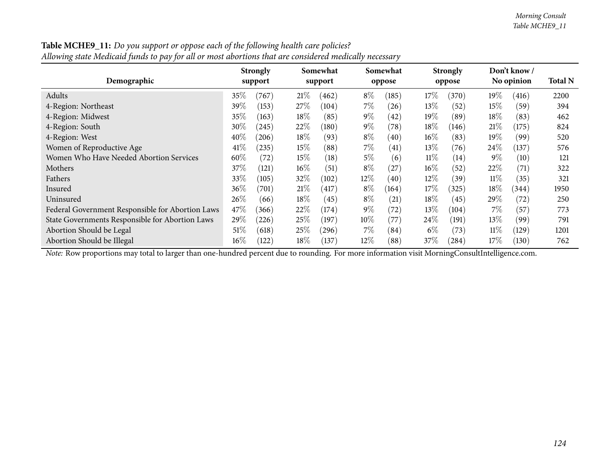| Demographic                                      | <b>Strongly</b><br>support |                 | Somewhat<br>support |       |        | Somewhat<br>oppose |        | <b>Strongly</b><br>oppose |        | Don't know /<br>No opinion |      |
|--------------------------------------------------|----------------------------|-----------------|---------------------|-------|--------|--------------------|--------|---------------------------|--------|----------------------------|------|
| Adults                                           | 35%                        | (767)           | 21%                 | (462) | $8\%$  | (185)              | $17\%$ | (370)                     | $19\%$ | (416)                      | 2200 |
| 4-Region: Northeast                              | 39\%                       | (153)           | $27\%$              | (104) | $7\%$  | (26)               | $13\%$ | (52)                      | 15%    | (59)                       | 394  |
| 4-Region: Midwest                                | $35\%$                     | (163)           | $18\%$              | (85)  | $9\%$  | (42)               | $19\%$ | (89)                      | $18\%$ | (83)                       | 462  |
| 4-Region: South                                  | $30\%$                     | (245)           | $22\%$              | (180) | $9\%$  | (78)               | $18\%$ | (146)                     | 21%    | (175)                      | 824  |
| 4-Region: West                                   | $40\%$                     | (206)           | $18\%$              | (93)  | $8\%$  | (40)               | $16\%$ | (83)                      | $19\%$ | (99)                       | 520  |
| Women of Reproductive Age                        | 41%                        | (235)           | 15%                 | (88)  | $7\%$  | (41)               | $13\%$ | (76)                      | $24\%$ | (137)                      | 576  |
| Women Who Have Needed Abortion Services          | 60\%                       | (72)            | 15%                 | (18)  | $5\%$  | (6)                | $11\%$ | (14)                      | $9\%$  | (10)                       | 121  |
| Mothers                                          | 37%                        | (121)           | $16\%$              | (51)  | $8\%$  | $^{'}27$           | $16\%$ | (52)                      | 22\%   | (71)                       | 322  |
| Fathers                                          | 33%                        | (105)           | $32\%$              | (102) | $12\%$ | (40)               | $12\%$ | (39)                      | $11\%$ | (35)                       | 321  |
| Insured                                          | $36\%$                     | $^{\prime}701)$ | 21%                 | (417) | $8\%$  | (164)              | $17\%$ | (325)                     | $18\%$ | (344)                      | 1950 |
| Uninsured                                        | 26%                        | (66)            | $18\%$              | (45)  | $8\%$  | (21)               | $18\%$ | (45)                      | $29\%$ | (72)                       | 250  |
| Federal Government Responsible for Abortion Laws | $47\%$                     | (366)           | 22%                 | (174) | $9\%$  | (72)               | $13\%$ | (104)                     | 7%     | (57)                       | 773  |
| State Governments Responsible for Abortion Laws  | $29\%$                     | (226)           | 25\%                | (197) | $10\%$ | (77)               | $24\%$ | (191)                     | $13\%$ | (99)                       | 791  |
| Abortion Should be Legal                         | 51%                        | (618)           | $25\%$              | (296) | $7\%$  | (84)               | $6\%$  | (73)                      | $11\%$ | (129)                      | 1201 |
| Abortion Should be Illegal                       | $16\%$                     | (122)           | $18\%$              | (137) | $12\%$ | (88)               | $37\%$ | (284)                     | $17\%$ | (130)                      | 762  |

**Table MCHE9\_11:** Do you support or oppose each of the following health care policies?  $\,$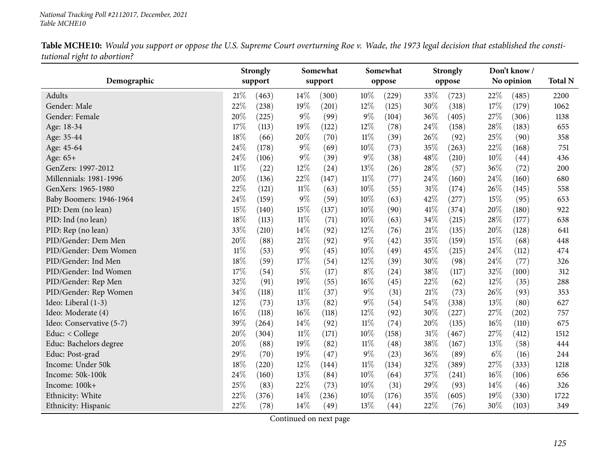|                          |        | <b>Strongly</b> |        | Somewhat |        | Somewhat |        | <b>Strongly</b> |        | Don't know / |                |
|--------------------------|--------|-----------------|--------|----------|--------|----------|--------|-----------------|--------|--------------|----------------|
| Demographic              |        | support         |        | support  |        | oppose   |        | oppose          |        | No opinion   | <b>Total N</b> |
| Adults                   | 21%    | (463)           | 14\%   | (300)    | 10%    | (229)    | 33%    | (723)           | 22%    | (485)        | 2200           |
| Gender: Male             | 22%    | (238)           | 19%    | (201)    | 12%    | (125)    | 30%    | (318)           | 17%    | (179)        | 1062           |
| Gender: Female           | 20%    | (225)           | $9\%$  | (99)     | $9\%$  | (104)    | 36%    | (405)           | 27%    | (306)        | 1138           |
| Age: 18-34               | 17%    | (113)           | 19%    | (122)    | 12%    | (78)     | 24\%   | (158)           | 28\%   | (183)        | 655            |
| Age: 35-44               | 18%    | (66)            | 20%    | (70)     | $11\%$ | (39)     | 26%    | (92)            | 25%    | (90)         | 358            |
| Age: 45-64               | 24%    | (178)           | $9\%$  | (69)     | 10%    | (73)     | 35%    | (263)           | 22%    | (168)        | 751            |
| Age: 65+                 | 24%    | (106)           | $9\%$  | (39)     | $9\%$  | (38)     | 48%    | (210)           | 10%    | (44)         | 436            |
| GenZers: 1997-2012       | $11\%$ | (22)            | 12%    | (24)     | 13%    | (26)     | 28%    | (57)            | 36%    | (72)         | 200            |
| Millennials: 1981-1996   | 20%    | (136)           | 22%    | (147)    | $11\%$ | (77)     | 24%    | (160)           | 24%    | (160)        | 680            |
| GenXers: 1965-1980       | 22%    | (121)           | 11%    | (63)     | 10%    | (55)     | 31%    | (174)           | 26\%   | (145)        | 558            |
| Baby Boomers: 1946-1964  | 24%    | (159)           | $9\%$  | (59)     | 10%    | (63)     | 42%    | (277)           | 15%    | (95)         | 653            |
| PID: Dem (no lean)       | 15%    | (140)           | 15%    | (137)    | 10%    | (90)     | 41%    | (374)           | 20%    | (180)        | 922            |
| PID: Ind (no lean)       | 18%    | (113)           | $11\%$ | (71)     | 10%    | (63)     | 34%    | (215)           | 28%    | (177)        | 638            |
| PID: Rep (no lean)       | 33%    | (210)           | 14%    | (92)     | 12%    | (76)     | 21%    | (135)           | 20%    | (128)        | 641            |
| PID/Gender: Dem Men      | 20%    | (88)            | 21%    | (92)     | 9%     | (42)     | 35%    | (159)           | 15%    | (68)         | 448            |
| PID/Gender: Dem Women    | $11\%$ | (53)            | $9\%$  | (45)     | 10%    | (49)     | 45%    | (215)           | $24\%$ | (112)        | 474            |
| PID/Gender: Ind Men      | 18%    | (59)            | 17%    | (54)     | 12%    | (39)     | 30%    | (98)            | 24%    | (77)         | 326            |
| PID/Gender: Ind Women    | 17%    | (54)            | $5\%$  | (17)     | $8\%$  | (24)     | 38%    | (117)           | 32%    | (100)        | 312            |
| PID/Gender: Rep Men      | 32%    | (91)            | 19%    | (55)     | 16%    | (45)     | 22%    | (62)            | 12%    | (35)         | 288            |
| PID/Gender: Rep Women    | 34%    | (118)           | $11\%$ | (37)     | $9\%$  | (31)     | 21%    | (73)            | 26%    | (93)         | 353            |
| Ideo: Liberal (1-3)      | 12%    | (73)            | 13%    | (82)     | $9\%$  | (54)     | 54%    | (338)           | 13%    | (80)         | 627            |
| Ideo: Moderate (4)       | 16%    | (118)           | $16\%$ | (118)    | 12%    | (92)     | 30%    | (227)           | 27%    | (202)        | 757            |
| Ideo: Conservative (5-7) | 39%    | (264)           | 14\%   | (92)     | $11\%$ | (74)     | 20%    | (135)           | 16%    | (110)        | 675            |
| Educ: < College          | $20\%$ | (304)           | $11\%$ | (171)    | 10%    | (158)    | $31\%$ | (467)           | 27%    | (412)        | 1512           |
| Educ: Bachelors degree   | 20%    | (88)            | 19%    | (82)     | $11\%$ | (48)     | 38%    | (167)           | 13%    | (58)         | 444            |
| Educ: Post-grad          | 29%    | (70)            | 19%    | (47)     | $9\%$  | (23)     | 36%    | (89)            | $6\%$  | (16)         | 244            |
| Income: Under 50k        | $18\%$ | (220)           | 12\%   | (144)    | $11\%$ | (134)    | 32%    | (389)           | 27%    | (333)        | 1218           |
| Income: 50k-100k         | 24%    | (160)           | 13%    | (84)     | 10%    | (64)     | 37%    | (241)           | 16%    | (106)        | 656            |
| Income: 100k+            | 25%    | (83)            | 22%    | (73)     | 10%    | (31)     | 29%    | (93)            | 14%    | (46)         | 326            |
| Ethnicity: White         | 22%    | (376)           | 14%    | (236)    | 10%    | (176)    | 35%    | (605)           | 19%    | (330)        | 1722           |
| Ethnicity: Hispanic      | 22%    | (78)            | 14%    | (49)     | 13%    | (44)     | 22%    | (76)            | 30%    | (103)        | 349            |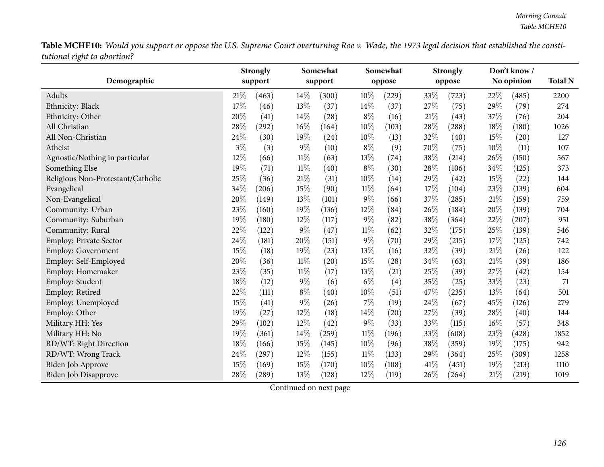|                                   |       | <b>Strongly</b> |        | Somewhat |        | Somewhat |      | <b>Strongly</b> |        | Don't know/ |                |
|-----------------------------------|-------|-----------------|--------|----------|--------|----------|------|-----------------|--------|-------------|----------------|
| Demographic                       |       | support         |        | support  |        | oppose   |      | oppose          |        | No opinion  | <b>Total N</b> |
| Adults                            | 21%   | (463)           | 14\%   | (300)    | $10\%$ | (229)    | 33%  | (723)           | 22\%   | (485)       | 2200           |
| Ethnicity: Black                  | 17%   | (46)            | 13%    | (37)     | 14%    | (37)     | 27%  | (75)            | 29%    | (79)        | 274            |
| Ethnicity: Other                  | 20%   | (41)            | 14%    | (28)     | $8\%$  | (16)     | 21%  | (43)            | 37%    | (76)        | 204            |
| All Christian                     | 28%   | (292)           | 16%    | (164)    | 10%    | (103)    | 28%  | (288)           | 18%    | (180)       | 1026           |
| All Non-Christian                 | 24%   | (30)            | 19%    | (24)     | 10%    | (13)     | 32%  | (40)            | 15%    | (20)        | 127            |
| Atheist                           | $3\%$ | (3)             | $9\%$  | (10)     | $8\%$  | (9)      | 70%  | (75)            | 10%    | (11)        | 107            |
| Agnostic/Nothing in particular    | 12%   | (66)            | $11\%$ | (63)     | 13%    | (74)     | 38\% | (214)           | 26%    | (150)       | 567            |
| Something Else                    | 19%   | (71)            | $11\%$ | (40)     | $8\%$  | (30)     | 28%  | (106)           | 34%    | (125)       | 373            |
| Religious Non-Protestant/Catholic | 25%   | (36)            | 21%    | (31)     | 10%    | (14)     | 29%  | (42)            | 15%    | (22)        | 144            |
| Evangelical                       | 34%   | (206)           | 15%    | (90)     | $11\%$ | (64)     | 17%  | (104)           | 23%    | (139)       | 604            |
| Non-Evangelical                   | 20%   | (149)           | 13%    | (101)    | $9\%$  | (66)     | 37\% | (285)           | 21%    | (159)       | 759            |
| Community: Urban                  | 23%   | (160)           | 19%    | (136)    | 12%    | (84)     | 26%  | (184)           | 20%    | (139)       | 704            |
| Community: Suburban               | 19%   | (180)           | 12%    | (117)    | $9\%$  | (82)     | 38%  | (364)           | 22%    | (207)       | 951            |
| Community: Rural                  | 22%   | (122)           | $9\%$  | (47)     | $11\%$ | (62)     | 32%  | (175)           | 25%    | (139)       | 546            |
| Employ: Private Sector            | 24%   | (181)           | 20%    | (151)    | $9\%$  | (70)     | 29%  | (215)           | 17%    | (125)       | 742            |
| Employ: Government                | 15%   | (18)            | 19%    | (23)     | 13%    | (16)     | 32%  | (39)            | 21%    | (26)        | 122            |
| Employ: Self-Employed             | 20%   | (36)            | $11\%$ | (20)     | 15%    | (28)     | 34\% | (63)            | 21\%   | (39)        | 186            |
| Employ: Homemaker                 | 23%   | (35)            | $11\%$ | (17)     | 13%    | (21)     | 25%  | (39)            | 27%    | (42)        | 154            |
| Employ: Student                   | 18%   | (12)            | $9\%$  | (6)      | $6\%$  | (4)      | 35%  | (25)            | 33%    | (23)        | 71             |
| Employ: Retired                   | 22%   | (111)           | $8\%$  | (40)     | 10%    | (51)     | 47%  | (235)           | 13%    | (64)        | 501            |
| Employ: Unemployed                | 15%   | (41)            | $9\%$  | (26)     | $7\%$  | (19)     | 24\% | (67)            | 45%    | (126)       | 279            |
| Employ: Other                     | 19%   | (27)            | 12%    | (18)     | 14%    | (20)     | 27%  | (39)            | 28%    | (40)        | 144            |
| Military HH: Yes                  | 29%   | (102)           | 12%    | (42)     | $9\%$  | (33)     | 33%  | (115)           | $16\%$ | (57)        | 348            |
| Military HH: No                   | 19%   | (361)           | 14\%   | (259)    | $11\%$ | (196)    | 33%  | (608)           | 23%    | (428)       | 1852           |
| RD/WT: Right Direction            | 18%   | (166)           | 15%    | (145)    | 10%    | (96)     | 38%  | (359)           | 19%    | (175)       | 942            |
| RD/WT: Wrong Track                | 24%   | (297)           | 12%    | (155)    | 11%    | (133)    | 29%  | (364)           | 25%    | (309)       | 1258           |
| Biden Job Approve                 | 15%   | (169)           | 15%    | (170)    | 10%    | (108)    | 41\% | (451)           | 19%    | (213)       | 1110           |
| Biden Job Disapprove              | 28%   | (289)           | 13%    | (128)    | 12%    | (119)    | 26%  | (264)           | 21%    | (219)       | 1019           |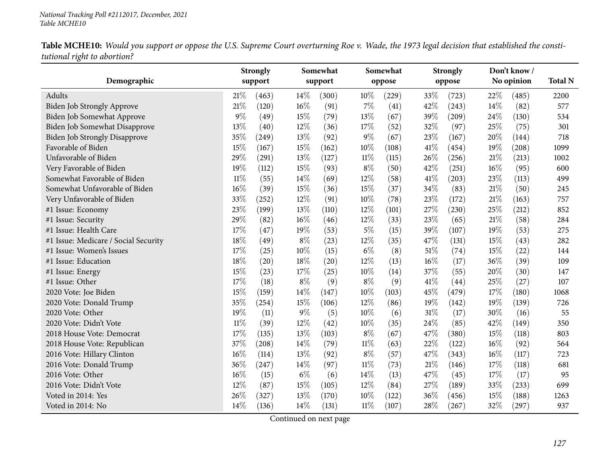|                                      |        | <b>Strongly</b> |        | Somewhat |        | Somewhat |        | <b>Strongly</b> |      | Don't know / |                |
|--------------------------------------|--------|-----------------|--------|----------|--------|----------|--------|-----------------|------|--------------|----------------|
| Demographic                          |        | support         |        | support  |        | oppose   |        | oppose          |      | No opinion   | <b>Total N</b> |
| Adults                               | 21%    | (463)           | 14%    | (300)    | 10%    | (229)    | 33%    | (723)           | 22%  | (485)        | 2200           |
| Biden Job Strongly Approve           | 21%    | (120)           | 16%    | (91)     | 7%     | (41)     | 42%    | (243)           | 14%  | (82)         | 577            |
| Biden Job Somewhat Approve           | 9%     | (49)            | 15%    | (79)     | $13\%$ | (67)     | 39%    | (209)           | 24\% | (130)        | 534            |
| <b>Biden Job Somewhat Disapprove</b> | 13%    | (40)            | 12%    | (36)     | 17%    | (52)     | 32%    | (97)            | 25%  | (75)         | 301            |
| <b>Biden Job Strongly Disapprove</b> | 35%    | (249)           | 13%    | (92)     | 9%     | (67)     | 23%    | (167)           | 20%  | (144)        | 718            |
| Favorable of Biden                   | 15%    | (167)           | 15%    | (162)    | 10%    | (108)    | 41\%   | (454)           | 19%  | (208)        | 1099           |
| Unfavorable of Biden                 | 29%    | (291)           | 13%    | (127)    | $11\%$ | (115)    | 26%    | (256)           | 21%  | (213)        | 1002           |
| Very Favorable of Biden              | 19%    | (112)           | 15%    | (93)     | $8\%$  | (50)     | 42%    | (251)           | 16%  | (95)         | 600            |
| Somewhat Favorable of Biden          | $11\%$ | (55)            | 14%    | (69)     | 12%    | (58)     | 41\%   | (203)           | 23%  | (113)        | 499            |
| Somewhat Unfavorable of Biden        | 16%    | (39)            | 15%    | (36)     | 15%    | (37)     | 34%    | (83)            | 21%  | (50)         | 245            |
| Very Unfavorable of Biden            | 33%    | (252)           | 12%    | (91)     | 10%    | (78)     | 23%    | (172)           | 21%  | (163)        | 757            |
| #1 Issue: Economy                    | 23%    | (199)           | 13%    | (110)    | 12%    | (101)    | 27%    | (230)           | 25%  | (212)        | 852            |
| #1 Issue: Security                   | 29%    | (82)            | 16%    | (46)     | 12%    | (33)     | 23%    | (65)            | 21%  | (58)         | 284            |
| #1 Issue: Health Care                | 17%    | (47)            | 19%    | (53)     | $5\%$  | (15)     | 39%    | (107)           | 19%  | (53)         | 275            |
| #1 Issue: Medicare / Social Security | 18%    | (49)            | $8\%$  | (23)     | 12%    | (35)     | 47%    | (131)           | 15%  | (43)         | 282            |
| #1 Issue: Women's Issues             | 17%    | (25)            | $10\%$ | (15)     | $6\%$  | (8)      | $51\%$ | (74)            | 15%  | (22)         | 144            |
| #1 Issue: Education                  | 18%    | (20)            | 18%    | (20)     | 12%    | (13)     | 16%    | (17)            | 36%  | (39)         | 109            |
| #1 Issue: Energy                     | 15%    | (23)            | 17%    | (25)     | 10%    | (14)     | 37%    | (55)            | 20%  | (30)         | 147            |
| #1 Issue: Other                      | 17%    | (18)            | $8\%$  | (9)      | $8\%$  | (9)      | 41\%   | (44)            | 25%  | (27)         | 107            |
| 2020 Vote: Joe Biden                 | 15%    | (159)           | 14%    | (147)    | 10%    | (103)    | 45%    | (479)           | 17%  | (180)        | 1068           |
| 2020 Vote: Donald Trump              | 35%    | (254)           | 15%    | (106)    | 12%    | (86)     | 19%    | (142)           | 19%  | (139)        | 726            |
| 2020 Vote: Other                     | 19%    | (11)            | $9\%$  | (5)      | 10%    | (6)      | $31\%$ | (17)            | 30%  | (16)         | 55             |
| 2020 Vote: Didn't Vote               | $11\%$ | (39)            | 12%    | (42)     | 10%    | (35)     | 24%    | (85)            | 42%  | (149)        | 350            |
| 2018 House Vote: Democrat            | 17%    | (135)           | 13%    | (103)    | $8\%$  | (67)     | 47%    | (380)           | 15%  | (118)        | 803            |
| 2018 House Vote: Republican          | 37%    | (208)           | 14%    | (79)     | $11\%$ | (63)     | 22%    | (122)           | 16%  | (92)         | 564            |
| 2016 Vote: Hillary Clinton           | 16%    | (114)           | 13%    | (92)     | $8\%$  | (57)     | 47%    | (343)           | 16%  | (117)        | 723            |
| 2016 Vote: Donald Trump              | 36%    | (247)           | 14%    | (97)     | 11%    | (73)     | 21\%   | (146)           | 17\% | (118)        | 681            |
| 2016 Vote: Other                     | 16%    | (15)            | $6\%$  | (6)      | 14\%   | (13)     | 47%    | (45)            | 17%  | (17)         | 95             |
| 2016 Vote: Didn't Vote               | 12%    | (87)            | 15%    | (105)    | 12%    | (84)     | 27%    | (189)           | 33%  | (233)        | 699            |
| Voted in 2014: Yes                   | 26%    | (327)           | 13%    | (170)    | 10%    | (122)    | 36%    | (456)           | 15%  | (188)        | 1263           |
| Voted in 2014: No                    | 14%    | (136)           | 14\%   | (131)    | $11\%$ | (107)    | 28%    | (267)           | 32%  | (297)        | 937            |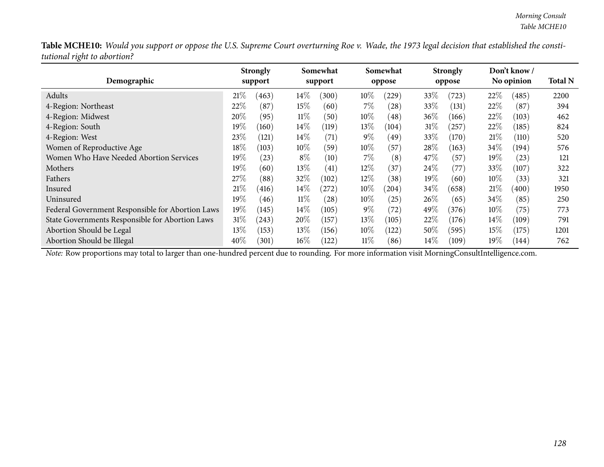| Demographic                                      |         | <b>Strongly</b><br>support |        | Somewhat<br>support |        | Somewhat<br>oppose |        | <b>Strongly</b><br>oppose |        | Don't know /<br>No opinion | <b>Total N</b> |
|--------------------------------------------------|---------|----------------------------|--------|---------------------|--------|--------------------|--------|---------------------------|--------|----------------------------|----------------|
|                                                  |         |                            |        |                     |        |                    |        |                           |        |                            |                |
| Adults                                           | 21%     | (463)                      | $14\%$ | (300)               | $10\%$ | (229)              | 33%    | (723)                     | 22%    | (485)                      | 2200           |
| 4-Region: Northeast                              | 22\%    | (87)                       | 15%    | (60)                | $7\%$  | $^{'}28$           | 33%    | (131)                     | 22%    | (87)                       | 394            |
| 4-Region: Midwest                                | 20%     | (95)                       | $11\%$ | (50)                | $10\%$ | (48)               | $36\%$ | (166)                     | 22\%   | (103)                      | 462            |
| 4-Region: South                                  | 19%     | (160)                      | $14\%$ | $\left(119\right)$  | $13\%$ | (104)              | $31\%$ | (257)                     | 22\%   | (185)                      | 824            |
| 4-Region: West                                   | 23\%    | (121)                      | $14\%$ | (71)                | $9\%$  | (49)               | 33\%   | (170)                     | 21%    | (110)                      | 520            |
| Women of Reproductive Age                        | 18\%    | (103)                      | $10\%$ | (59`                | $10\%$ | (57)               | 28\%   | (163)                     | $34\%$ | (194)                      | 576            |
| Women Who Have Needed Abortion Services          | 19 $\%$ | (23)                       | $8\%$  | (10)                | $7\%$  | (8)                | 47\%   | (57)                      | $19\%$ | (23)                       | 121            |
| Mothers                                          | $19\%$  | (60)                       | $13\%$ | (41)                | $12\%$ | $\left(37\right)$  | 24\%   | (77                       | 33\%   | (107)                      | 322            |
| Fathers                                          | 27%     | (88)                       | 32\%   | (102)               | $12\%$ | (38)               | $19\%$ | (60)                      | $10\%$ | (33)                       | 321            |
| Insured                                          | 21%     | (416)                      | $14\%$ | (272)               | $10\%$ | (204)              | 34\%   | (658)                     | 21%    | (400)                      | 1950           |
| Uninsured                                        | $19\%$  | (46)                       | $11\%$ | (28)                | $10\%$ | 25                 | 26%    | (65)                      | 34\%   | (85)                       | 250            |
| Federal Government Responsible for Abortion Laws | $19\%$  | (145)                      | $14\%$ | (105)               | $9\%$  | (72)               | 49%    | (376)                     | $10\%$ | (75)                       | 773            |
| State Governments Responsible for Abortion Laws  | $31\%$  | (243)                      | $20\%$ | (157)               | $13\%$ | (105)              | 22%    | (176)                     | $14\%$ | (109)                      | 791            |
| Abortion Should be Legal                         | $13\%$  | (153)                      | $13\%$ | (156)               | $10\%$ | $\left(122\right)$ | $50\%$ | (595)                     | $15\%$ | (175)                      | 1201           |
| Abortion Should be Illegal                       | $40\%$  | (301)                      | $16\%$ | (122)               | 11%    | (86)               | $14\%$ | (109)                     | $19\%$ | (144)                      | 762            |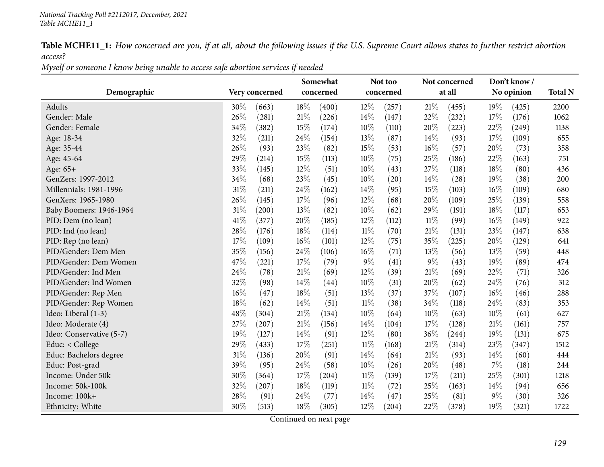Table MCHE11\_1: How concerned are you, if at all, about the following issues if the U.S. Supreme Court allows states to further restrict abortion *access?*

Myself or someone I know being unable to access safe abortion services if needed

|                          |        |                |        | Somewhat  |        | Not too   |        | Not concerned |        | Don't know/ |                |
|--------------------------|--------|----------------|--------|-----------|--------|-----------|--------|---------------|--------|-------------|----------------|
| Demographic              |        | Very concerned |        | concerned |        | concerned |        | at all        |        | No opinion  | <b>Total N</b> |
| Adults                   | 30%    | (663)          | 18%    | (400)     | $12\%$ | (257)     | 21%    | (455)         | $19\%$ | (425)       | 2200           |
| Gender: Male             | 26%    | (281)          | 21%    | (226)     | 14%    | (147)     | 22%    | (232)         | 17%    | (176)       | 1062           |
| Gender: Female           | 34%    | (382)          | 15%    | (174)     | 10%    | (110)     | 20%    | (223)         | 22%    | (249)       | 1138           |
| Age: 18-34               | 32%    | (211)          | 24%    | (154)     | 13\%   | (87)      | 14\%   | (93)          | 17%    | (109)       | 655            |
| Age: 35-44               | 26%    | (93)           | 23%    | (82)      | 15%    | (53)      | $16\%$ | (57)          | 20%    | (73)        | 358            |
| Age: 45-64               | 29%    | (214)          | 15%    | (113)     | 10%    | (75)      | 25%    | (186)         | 22%    | (163)       | 751            |
| Age: 65+                 | 33%    | (145)          | 12%    | (51)      | 10%    | (43)      | 27%    | (118)         | 18%    | (80)        | 436            |
| GenZers: 1997-2012       | 34%    | (68)           | 23%    | (45)      | 10%    | (20)      | $14\%$ | (28)          | 19%    | (38)        | 200            |
| Millennials: 1981-1996   | 31%    | (211)          | 24%    | (162)     | 14%    | (95)      | 15%    | (103)         | 16%    | (109)       | 680            |
| GenXers: 1965-1980       | 26%    | (145)          | 17\%   | (96)      | $12\%$ | (68)      | 20%    | (109)         | 25\%   | (139)       | 558            |
| Baby Boomers: 1946-1964  | 31%    | (200)          | 13%    | (82)      | 10%    | (62)      | 29%    | (191)         | 18%    | (117)       | 653            |
| PID: Dem (no lean)       | 41\%   | (377)          | 20%    | (185)     | 12%    | (112)     | $11\%$ | (99)          | 16%    | (149)       | 922            |
| PID: Ind (no lean)       | 28%    | (176)          | 18%    | (114)     | $11\%$ | (70)      | $21\%$ | (131)         | 23%    | (147)       | 638            |
| PID: Rep (no lean)       | 17%    | (109)          | 16%    | (101)     | 12%    | (75)      | 35%    | (225)         | 20%    | (129)       | 641            |
| PID/Gender: Dem Men      | 35%    | (156)          | 24%    | (106)     | 16%    | (71)      | 13%    | (56)          | 13%    | (59)        | 448            |
| PID/Gender: Dem Women    | 47%    | (221)          | 17%    | (79)      | $9\%$  | (41)      | $9\%$  | (43)          | 19%    | (89)        | 474            |
| PID/Gender: Ind Men      | 24\%   | (78)           | 21%    | (69)      | $12\%$ | (39)      | 21\%   | (69)          | 22\%   | (71)        | 326            |
| PID/Gender: Ind Women    | 32%    | (98)           | 14%    | (44)      | 10%    | (31)      | 20%    | (62)          | 24\%   | (76)        | 312            |
| PID/Gender: Rep Men      | $16\%$ | (47)           | 18%    | (51)      | 13%    | (37)      | 37%    | (107)         | 16%    | (46)        | 288            |
| PID/Gender: Rep Women    | 18%    | (62)           | 14%    | (51)      | 11%    | (38)      | 34%    | (118)         | 24\%   | (83)        | 353            |
| Ideo: Liberal (1-3)      | 48%    | (304)          | $21\%$ | (134)     | 10%    | (64)      | $10\%$ | (63)          | $10\%$ | (61)        | 627            |
| Ideo: Moderate (4)       | 27%    | (207)          | 21%    | (156)     | 14%    | (104)     | 17%    | (128)         | $21\%$ | (161)       | 757            |
| Ideo: Conservative (5-7) | 19%    | (127)          | 14\%   | (91)      | $12\%$ | (80)      | 36%    | (244)         | 19%    | (131)       | 675            |
| Educ: < College          | 29%    | (433)          | 17%    | (251)     | $11\%$ | (168)     | $21\%$ | (314)         | 23\%   | (347)       | 1512           |
| Educ: Bachelors degree   | 31%    | (136)          | 20%    | (91)      | 14%    | (64)      | 21%    | (93)          | 14\%   | (60)        | 444            |
| Educ: Post-grad          | 39%    | (95)           | 24%    | (58)      | 10%    | (26)      | 20%    | (48)          | 7%     | (18)        | 244            |
| Income: Under 50k        | 30%    | (364)          | 17%    | (204)     | 11%    | (139)     | $17\%$ | (211)         | 25\%   | (301)       | 1218           |
| Income: 50k-100k         | 32%    | (207)          | 18%    | (119)     | 11%    | (72)      | 25%    | (163)         | 14\%   | (94)        | 656            |
| Income: 100k+            | 28%    | (91)           | 24%    | (77)      | 14%    | (47)      | 25%    | (81)          | $9\%$  | (30)        | 326            |
| Ethnicity: White         | 30%    | (513)          | 18%    | (305)     | 12%    | (204)     | 22%    | (378)         | 19%    | (321)       | 1722           |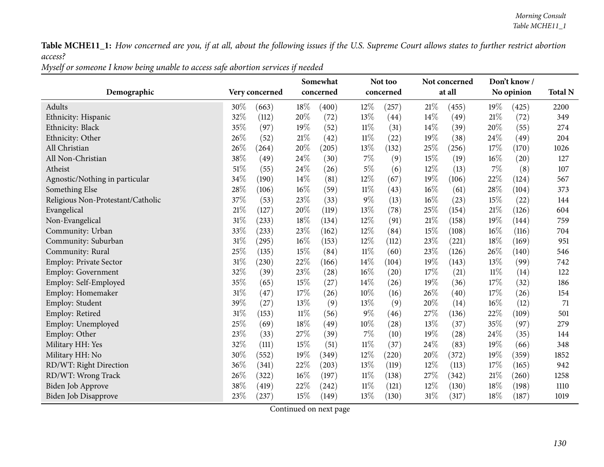| Myself or someone I know being unable to access safe abortion services if needed |  |
|----------------------------------------------------------------------------------|--|
|----------------------------------------------------------------------------------|--|

|                                   |        |                |        | Somewhat  |        | Not too   |        | Not concerned |     | Don't know/ |                |
|-----------------------------------|--------|----------------|--------|-----------|--------|-----------|--------|---------------|-----|-------------|----------------|
| Demographic                       |        | Very concerned |        | concerned |        | concerned |        | at all        |     | No opinion  | <b>Total N</b> |
| Adults                            | 30%    | (663)          | 18%    | (400)     | $12\%$ | (257)     | 21%    | (455)         | 19% | (425)       | 2200           |
| Ethnicity: Hispanic               | 32%    | (112)          | 20%    | (72)      | 13%    | (44)      | 14%    | (49)          | 21% | (72)        | 349            |
| Ethnicity: Black                  | 35%    | (97)           | 19%    | (52)      | 11%    | (31)      | 14\%   | (39)          | 20% | (55)        | 274            |
| Ethnicity: Other                  | 26%    | (52)           | 21%    | (42)      | $11\%$ | (22)      | 19%    | (38)          | 24% | (49)        | 204            |
| All Christian                     | 26%    | (264)          | 20%    | (205)     | 13%    | (132)     | 25%    | (256)         | 17% | (170)       | 1026           |
| All Non-Christian                 | 38%    | (49)           | 24%    | (30)      | 7%     | (9)       | 15%    | (19)          | 16% | (20)        | 127            |
| Atheist                           | 51%    | (55)           | 24%    | (26)      | 5%     | (6)       | 12%    | (13)          | 7%  | (8)         | 107            |
| Agnostic/Nothing in particular    | 34%    | (190)          | 14\%   | (81)      | 12%    | (67)      | 19%    | (106)         | 22% | (124)       | 567            |
| Something Else                    | 28%    | (106)          | 16%    | (59)      | $11\%$ | (43)      | 16%    | (61)          | 28% | (104)       | 373            |
| Religious Non-Protestant/Catholic | 37%    | (53)           | 23\%   | (33)      | 9%     | (13)      | 16%    | (23)          | 15% | (22)        | 144            |
| Evangelical                       | 21\%   | (127)          | 20%    | (119)     | 13%    | (78)      | 25%    | (154)         | 21% | (126)       | 604            |
| Non-Evangelical                   | 31%    | (233)          | 18%    | (134)     | 12%    | (91)      | 21%    | (158)         | 19% | (144)       | 759            |
| Community: Urban                  | 33%    | (233)          | 23\%   | (162)     | 12%    | (84)      | 15%    | (108)         | 16% | (116)       | 704            |
| Community: Suburban               | $31\%$ | (295)          | 16%    | (153)     | $12\%$ | (112)     | 23%    | (221)         | 18% | (169)       | 951            |
| Community: Rural                  | 25%    | (135)          | 15%    | (84)      | $11\%$ | (60)      | 23%    | (126)         | 26% | (140)       | 546            |
| <b>Employ: Private Sector</b>     | 31%    | (230)          | 22%    | (166)     | 14\%   | (104)     | 19%    | (143)         | 13% | (99)        | 742            |
| <b>Employ: Government</b>         | 32%    | (39)           | 23%    | (28)      | 16%    | (20)      | 17%    | (21)          | 11% | (14)        | 122            |
| Employ: Self-Employed             | 35%    | (65)           | 15%    | (27)      | 14\%   | (26)      | 19%    | (36)          | 17% | (32)        | 186            |
| Employ: Homemaker                 | 31%    | (47)           | 17%    | (26)      | 10%    | (16)      | 26%    | (40)          | 17% | (26)        | 154            |
| Employ: Student                   | 39%    | (27)           | 13%    | (9)       | 13%    | (9)       | 20%    | (14)          | 16% | (12)        | $71\,$         |
| Employ: Retired                   | 31%    | (153)          | $11\%$ | (56)      | $9\%$  | (46)      | 27%    | (136)         | 22% | (109)       | 501            |
| Employ: Unemployed                | 25%    | (69)           | 18%    | (49)      | 10%    | (28)      | 13%    | (37)          | 35% | (97)        | 279            |
| Employ: Other                     | 23%    | (33)           | 27%    | (39)      | $7\%$  | (10)      | 19%    | (28)          | 24% | (35)        | 144            |
| Military HH: Yes                  | 32%    | (111)          | 15%    | (51)      | $11\%$ | (37)      | 24%    | (83)          | 19% | (66)        | 348            |
| Military HH: No                   | 30%    | (552)          | 19%    | (349)     | 12%    | (220)     | 20%    | (372)         | 19% | (359)       | 1852           |
| RD/WT: Right Direction            | 36%    | (341)          | 22%    | (203)     | 13%    | (119)     | 12%    | (113)         | 17% | (165)       | 942            |
| RD/WT: Wrong Track                | 26%    | (322)          | 16%    | (197)     | 11%    | (138)     | $27\%$ | (342)         | 21% | (260)       | 1258           |
| Biden Job Approve                 | 38%    | (419)          | 22%    | (242)     | $11\%$ | (121)     | 12%    | (130)         | 18% | (198)       | 1110           |
| Biden Job Disapprove              | 23%    | (237)          | 15%    | (149)     | 13%    | (130)     | $31\%$ | (317)         | 18% | (187)       | 1019           |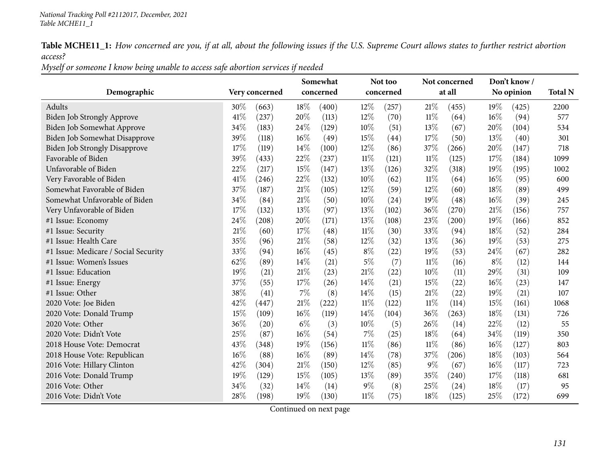Myself or someone I know being unable to access safe abortion services if needed

|                                      |                |       |        | Somewhat  |        | Not too   |        | Not concerned       |        | Don't know / |                |
|--------------------------------------|----------------|-------|--------|-----------|--------|-----------|--------|---------------------|--------|--------------|----------------|
| Demographic                          | Very concerned |       |        | concerned |        | concerned |        | at all              |        | No opinion   | <b>Total N</b> |
| Adults                               | 30%            | (663) | 18%    | (400)     | 12%    | (257)     | $21\%$ | (455)               | 19%    | (425)        | 2200           |
| Biden Job Strongly Approve           | 41%            | (237) | 20%    | (113)     | 12%    | (70)      | $11\%$ | (64)                | 16%    | (94)         | 577            |
| Biden Job Somewhat Approve           | 34%            | (183) | 24%    | (129)     | 10%    | (51)      | 13%    | (67)                | 20%    | (104)        | 534            |
| Biden Job Somewhat Disapprove        | 39%            | (118) | 16%    | (49)      | 15%    | (44)      | 17%    | (50)                | 13%    | (40)         | 301            |
| <b>Biden Job Strongly Disapprove</b> | 17%            | (119) | 14%    | (100)     | $12\%$ | (86)      | 37\%   | (266)               | 20%    | (147)        | 718            |
| Favorable of Biden                   | 39%            | (433) | 22%    | (237)     | $11\%$ | (121)     | $11\%$ | (125)               | 17%    | (184)        | 1099           |
| Unfavorable of Biden                 | 22%            | (217) | 15%    | (147)     | 13\%   | (126)     | 32%    | (318)               | $19\%$ | (195)        | 1002           |
| Very Favorable of Biden              | 41%            | (246) | 22%    | (132)     | 10%    | (62)      | $11\%$ | (64)                | $16\%$ | (95)         | 600            |
| Somewhat Favorable of Biden          | 37%            | (187) | 21%    | (105)     | 12%    | (59)      | 12%    | (60)                | 18%    | (89)         | 499            |
| Somewhat Unfavorable of Biden        | 34%            | (84)  | 21%    | (50)      | 10%    | (24)      | 19%    | (48)                | $16\%$ | (39)         | 245            |
| Very Unfavorable of Biden            | 17%            | (132) | 13\%   | (97)      | 13\%   | (102)     | 36%    | (270)               | 21%    | (156)        | 757            |
| #1 Issue: Economy                    | 24%            | (208) | 20%    | (171)     | 13%    | (108)     | 23%    | $\left( 200\right)$ | 19%    | (166)        | 852            |
| #1 Issue: Security                   | 21%            | (60)  | 17%    | (48)      | $11\%$ | (30)      | 33%    | (94)                | 18%    | (52)         | 284            |
| #1 Issue: Health Care                | 35%            | (96)  | 21\%   | (58)      | 12%    | (32)      | 13%    | (36)                | 19%    | (53)         | 275            |
| #1 Issue: Medicare / Social Security | 33%            | (94)  | 16%    | (45)      | $8\%$  | (22)      | 19%    | (53)                | 24\%   | (67)         | 282            |
| #1 Issue: Women's Issues             | 62%            | (89)  | 14%    | (21)      | $5\%$  | (7)       | $11\%$ | (16)                | $8\%$  | (12)         | 144            |
| #1 Issue: Education                  | 19%            | (21)  | 21%    | (23)      | 21\%   | (22)      | $10\%$ | (11)                | 29%    | (31)         | 109            |
| #1 Issue: Energy                     | 37%            | (55)  | 17%    | (26)      | 14%    | (21)      | 15%    | (22)                | 16%    | (23)         | 147            |
| #1 Issue: Other                      | 38%            | (41)  | 7%     | (8)       | 14\%   | (15)      | 21%    | (22)                | 19%    | (21)         | 107            |
| 2020 Vote: Joe Biden                 | 42%            | (447) | $21\%$ | (222)     | $11\%$ | (122)     | $11\%$ | (114)               | 15%    | (161)        | 1068           |
| 2020 Vote: Donald Trump              | 15%            | (109) | 16%    | (119)     | 14%    | (104)     | 36\%   | (263)               | 18%    | (131)        | 726            |
| 2020 Vote: Other                     | 36%            | (20)  | $6\%$  | (3)       | 10%    | (5)       | 26\%   | (14)                | 22%    | (12)         | 55             |
| 2020 Vote: Didn't Vote               | 25%            | (87)  | 16%    | (54)      | $7\%$  | (25)      | 18%    | (64)                | 34%    | (119)        | 350            |
| 2018 House Vote: Democrat            | 43%            | (348) | 19%    | (156)     | $11\%$ | (86)      | $11\%$ | (86)                | 16%    | (127)        | 803            |
| 2018 House Vote: Republican          | 16%            | (88)  | 16%    | (89)      | 14%    | (78)      | 37%    | (206)               | 18%    | (103)        | 564            |
| 2016 Vote: Hillary Clinton           | 42%            | (304) | 21%    | (150)     | 12%    | (85)      | $9\%$  | (67)                | 16%    | (117)        | 723            |
| 2016 Vote: Donald Trump              | 19%            | (129) | 15%    | (105)     | 13%    | (89)      | 35%    | (240)               | 17\%   | (118)        | 681            |
| 2016 Vote: Other                     | 34%            | (32)  | 14%    | (14)      | $9\%$  | (8)       | 25%    | (24)                | 18%    | (17)         | 95             |
| 2016 Vote: Didn't Vote               | 28%            | (198) | 19%    | (130)     | $11\%$ | (75)      | 18%    | (125)               | 25%    | (172)        | 699            |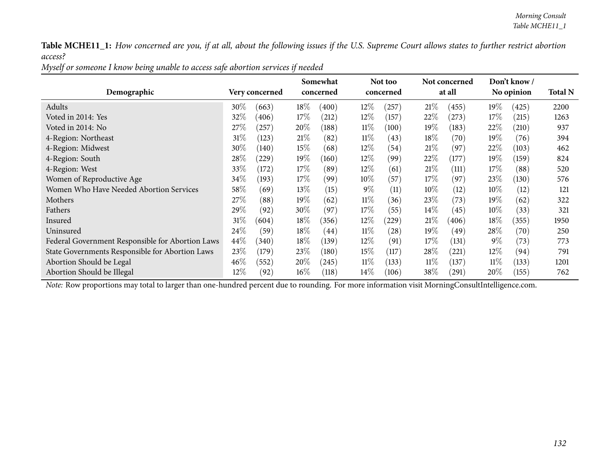| Myself or someone I know being unable to access safe abortion services if needed |  |
|----------------------------------------------------------------------------------|--|
|----------------------------------------------------------------------------------|--|

|                                                  |         |                |         | Somewhat  |        | Not too   |        | Not concerned |        | Don't know / |                |
|--------------------------------------------------|---------|----------------|---------|-----------|--------|-----------|--------|---------------|--------|--------------|----------------|
| Demographic                                      |         | Very concerned |         | concerned |        | concerned |        | at all        |        | No opinion   | <b>Total N</b> |
| Adults                                           | $30\%$  | (663)          | $18\%$  | (400)     | $12\%$ | (257)     | 21%    | (455)         | $19\%$ | (425)        | 2200           |
| Voted in 2014: Yes                               | 32\%    | (406)          | 17%     | (212)     | $12\%$ | (157)     | 22\%   | (273)         | 17\%   | (215)        | 1263           |
| Voted in 2014: No                                | 27%     | 257            | 20%     | (188)     | $11\%$ | (100)     | 19%    | (183)         | 22\%   | (210)        | 937            |
| 4-Region: Northeast                              | $31\%$  | (123)          | 21%     | (82)      | $11\%$ | (43)      | 18\%   | (70)          | $19\%$ | (76)         | 394            |
| 4-Region: Midwest                                | $30\%$  | (140)          | 15\%    | (68)      | $12\%$ | (54)      | 21\%   | (97)          | 22\%   | (103)        | 462            |
| 4-Region: South                                  | $28\%$  | (229)          | 19 $\%$ | (160)     | $12\%$ | (99)      | $22\%$ | (177)         | $19\%$ | (159)        | 824            |
| 4-Region: West                                   | 33\%    | (172)          | 17%     | (89)      | $12\%$ | (61)      | 21%    | (111)         | 17%    | (88)         | 520            |
| Women of Reproductive Age                        | $34\%$  | (193)          | 17%     | (99)      | $10\%$ | (57)      | 17%    | (97)          | 23\%   | (130)        | 576            |
| Women Who Have Needed Abortion Services          | $58\%$  | (69)           | 13\%    | (15)      | $9\%$  | (11)      | $10\%$ | (12)          | $10\%$ | (12)         | 121            |
| Mothers                                          | $27\%$  | (88)           | 19%     | (62)      | $11\%$ | (36)      | 23\%   | (73)          | $19\%$ | (62)         | 322            |
| Fathers                                          | 29 $\%$ | (92)           | $30\%$  | (97)      | $17\%$ | (55)      | $14\%$ | (45)          | $10\%$ | (33)         | 321            |
| Insured                                          | $31\%$  | (604)          | $18\%$  | (356)     | $12\%$ | (229)     | 21\%   | (406)         | 18\%   | (355)        | 1950           |
| Uninsured                                        | $24\%$  | (59)           | $18\%$  | (44)      | $11\%$ | (28)      | 19%    | (49)          | $28\%$ | (70)         | 250            |
| Federal Government Responsible for Abortion Laws | $44\%$  | (340)          | $18\%$  | (139)     | $12\%$ | (91)      | 17%    | (131)         | $9\%$  | (73)         | 773            |
| State Governments Responsible for Abortion Laws  | 23\%    | (179)          | 23\%    | (180)     | $15\%$ | (117)     | $28\%$ | (221)         | $12\%$ | (94)         | 791            |
| Abortion Should be Legal                         | $46\%$  | (552)          | 20%     | (245)     | $11\%$ | (133)     | $11\%$ | (137)         | $11\%$ | (133)        | 1201           |
| Abortion Should be Illegal                       | $12\%$  | (92)           | $16\%$  | (118)     | $14\%$ | (106)     | 38\%   | (291)         | $20\%$ | (155)        | 762            |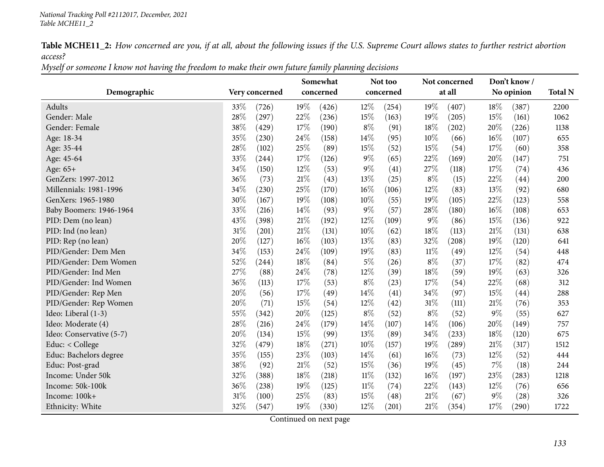Myself or someone I know not having the freedom to make their own future family planning decisions

|                          |                 | Somewhat      | Not too         | Not concerned   | Don't know/     |                |
|--------------------------|-----------------|---------------|-----------------|-----------------|-----------------|----------------|
| Demographic              | Very concerned  | concerned     | concerned       | at all          | No opinion      | <b>Total N</b> |
| Adults                   | 33%<br>(726)    | 19%<br>(426)  | $12\%$<br>(254) | 19%<br>(407)    | 18%<br>(387)    | 2200           |
| Gender: Male             | 28%<br>(297)    | 22%<br>(236)  | 15%<br>(163)    | 19%<br>(205)    | 15%<br>(161)    | 1062           |
| Gender: Female           | 38%<br>(429)    | 17\%<br>(190) | $8\%$<br>(91)   | 18%<br>(202)    | 20%<br>(226)    | 1138           |
| Age: 18-34               | 35%<br>(230)    | 24%<br>(158)  | 14\%<br>(95)    | $10\%$<br>(66)  | $16\%$<br>(107) | 655            |
| Age: 35-44               | 28%<br>(102)    | 25%<br>(89)   | 15%<br>(52)     | 15%<br>(54)     | 17%<br>(60)     | 358            |
| Age: 45-64               | 33%<br>(244)    | 17%<br>(126)  | $9\%$<br>(65)   | 22%<br>(169)    | 20%<br>(147)    | 751            |
| Age: 65+                 | 34%<br>(150)    | 12%<br>(53)   | $9\%$<br>(41)   | 27\%<br>(118)   | 17%<br>(74)     | 436            |
| GenZers: 1997-2012       | 36%<br>(73)     | 21%<br>(43)   | 13%<br>(25)     | $8\%$<br>(15)   | 22%<br>(44)     | 200            |
| Millennials: 1981-1996   | 34%<br>(230)    | 25%<br>(170)  | 16%<br>(106)    | 12%<br>(83)     | 13\%<br>(92)    | 680            |
| GenXers: 1965-1980       | 30%<br>(167)    | 19%<br>(108)  | 10%<br>(55)     | 19%<br>(105)    | 22%<br>(123)    | 558            |
| Baby Boomers: 1946-1964  | 33%<br>(216)    | 14%<br>(93)   | $9\%$<br>(57)   | 28\%<br>(180)   | $16\%$<br>(108) | 653            |
| PID: Dem (no lean)       | 43%<br>(398)    | 21%<br>(192)  | 12%<br>(109)    | $9\%$<br>(86)   | 15%<br>(136)    | 922            |
| PID: Ind (no lean)       | 31%<br>(201)    | 21\%<br>(131) | 10%<br>(62)     | 18%<br>(113)    | 21%<br>(131)    | 638            |
| PID: Rep (no lean)       | 20%<br>(127)    | 16%<br>(103)  | 13\%<br>(83)    | 32%<br>(208)    | 19%<br>(120)    | 641            |
| PID/Gender: Dem Men      | 34%<br>(153)    | 24%<br>(109)  | 19%<br>(83)     | $11\%$<br>(49)  | 12%<br>(54)     | 448            |
| PID/Gender: Dem Women    | 52%<br>(244)    | 18%<br>(84)   | $5\%$<br>(26)   | $8\%$<br>(37)   | 17%<br>(82)     | 474            |
| PID/Gender: Ind Men      | 27%<br>(88)     | 24\%<br>(78)  | 12%<br>(39)     | $18\%$<br>(59)  | 19%<br>(63)     | 326            |
| PID/Gender: Ind Women    | 36%<br>(113)    | 17%<br>(53)   | $8\%$<br>(23)   | 17%<br>(54)     | 22%<br>(68)     | 312            |
| PID/Gender: Rep Men      | 20%<br>(56)     | 17%<br>(49)   | 14\%<br>(41)    | 34%<br>(97)     | 15%<br>(44)     | 288            |
| PID/Gender: Rep Women    | 20%<br>(71)     | 15%<br>(54)   | 12%<br>(42)     | $31\%$<br>(111) | $21\%$<br>(76)  | 353            |
| Ideo: Liberal (1-3)      | 55%<br>(342)    | 20%<br>(125)  | $8\%$<br>(52)   | $8\%$<br>(52)   | $9\%$<br>(55)   | 627            |
| Ideo: Moderate (4)       | $28\%$<br>(216) | 24%<br>(179)  | 14%<br>(107)    | 14%<br>(106)    | 20%<br>(149)    | 757            |
| Ideo: Conservative (5-7) | $20\%$<br>(134) | 15%<br>(99)   | 13%<br>(89)     | 34\%<br>(233)   | 18%<br>(120)    | 675            |
| Educ: < College          | 32%<br>(479)    | 18%<br>(271)  | 10%<br>(157)    | 19%<br>(289)    | 21%<br>(317)    | 1512           |
| Educ: Bachelors degree   | 35%<br>(155)    | 23%<br>(103)  | 14%<br>(61)     | $16\%$<br>(73)  | 12%<br>(52)     | 444            |
| Educ: Post-grad          | 38%<br>(92)     | 21%<br>(52)   | 15%<br>(36)     | 19%<br>(45)     | 7%<br>(18)      | 244            |
| Income: Under 50k        | 32%<br>(388)    | 18%<br>(218)  | $11\%$<br>(132) | $16\%$<br>(197) | 23\%<br>(283)   | 1218           |
| Income: 50k-100k         | 36%<br>(238)    | 19%<br>(125)  | $11\%$<br>(74)  | 22%<br>(143)    | $12\%$<br>(76)  | 656            |
| Income: 100k+            | 31%<br>(100)    | 25%<br>(83)   | 15%<br>(48)     | 21%<br>(67)     | $9\%$<br>(28)   | 326            |
| Ethnicity: White         | 32%<br>(547)    | 19%<br>(330)  | 12%<br>(201)    | $21\%$<br>(354) | $17\%$<br>(290) | 1722           |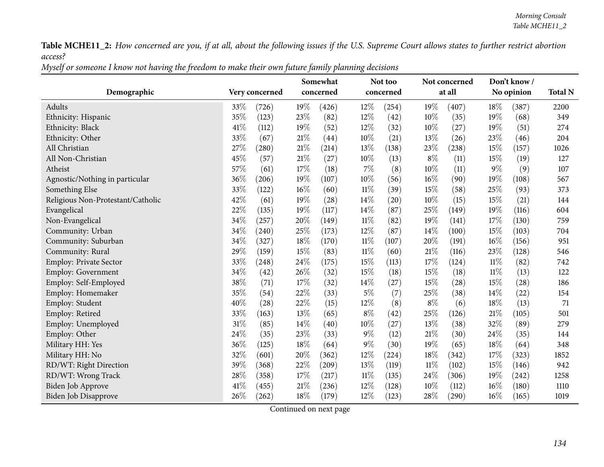| Myself or someone I know not having the freedom to make their own future family planning decisions |
|----------------------------------------------------------------------------------------------------|
|----------------------------------------------------------------------------------------------------|

|                                   |                | Somewhat        | Not too         | Not concerned   | Don't know/    |                |
|-----------------------------------|----------------|-----------------|-----------------|-----------------|----------------|----------------|
| Demographic                       | Very concerned | concerned       | concerned       | at all          | No opinion     | <b>Total N</b> |
| Adults                            | 33\%<br>(726)  | 19%<br>(426)    | 12%<br>(254)    | 19%<br>(407)    | 18%<br>(387)   | 2200           |
| Ethnicity: Hispanic               | 35%<br>(123)   | 23%<br>(82)     | 12%<br>(42)     | 10%<br>(35)     | 19%<br>(68)    | 349            |
| Ethnicity: Black                  | 41\%<br>(112)  | 19%<br>(52)     | 12%<br>(32)     | 10%<br>(27)     | 19%<br>(51)    | 274            |
| Ethnicity: Other                  | 33%<br>(67)    | 21%<br>(44)     | 10%<br>(21)     | 13%<br>(26)     | 23%<br>(46)    | 204            |
| All Christian                     | 27%<br>(280)   | $21\%$<br>(214) | 13%<br>(138)    | $23\%$<br>(238) | 15%<br>(157)   | 1026           |
| All Non-Christian                 | 45%<br>(57)    | 21%<br>(27)     | 10%<br>(13)     | $8\%$<br>(11)   | 15%<br>(19)    | 127            |
| Atheist                           | 57%<br>(61)    | 17%<br>(18)     | 7%<br>(8)       | 10%<br>(11)     | $9\%$<br>(9)   | 107            |
| Agnostic/Nothing in particular    | 36%<br>(206)   | 19%<br>(107)    | 10%<br>(56)     | $16\%$<br>(90)  | 19%<br>(108)   | 567            |
| Something Else                    | 33%<br>(122)   | 16%<br>(60)     | $11\%$<br>(39)  | 15%<br>(58)     | 25%<br>(93)    | 373            |
| Religious Non-Protestant/Catholic | 42%<br>(61)    | 19%<br>(28)     | 14%<br>(20)     | 10%<br>(15)     | 15%<br>(21)    | 144            |
| Evangelical                       | 22%<br>(135)   | 19%<br>(117)    | 14%<br>(87)     | 25%<br>(149)    | 19%<br>(116)   | 604            |
| Non-Evangelical                   | 34%<br>(257)   | 20%<br>(149)    | $11\%$<br>(82)  | 19%<br>(141)    | 17%<br>(130)   | 759            |
| Community: Urban                  | 34%<br>(240)   | 25%<br>(173)    | 12%<br>(87)     | $14\%$<br>(100) | 15%<br>(103)   | 704            |
| Community: Suburban               | 34%<br>(327)   | 18%<br>(170)    | $11\%$<br>(107) | 20%<br>(191)    | 16%<br>(156)   | 951            |
| Community: Rural                  | 29%<br>(159)   | 15%<br>(83)     | $11\%$<br>(60)  | 21%<br>(116)    | 23%<br>(128)   | 546            |
| Employ: Private Sector            | 33%<br>(248)   | 24%<br>(175)    | 15%<br>(113)    | 17%<br>(124)    | $11\%$<br>(82) | 742            |
| <b>Employ: Government</b>         | 34%<br>(42)    | 26%<br>(32)     | 15%<br>(18)     | 15%<br>(18)     | $11\%$<br>(13) | 122            |
| Employ: Self-Employed             | 38%<br>(71)    | 17%<br>(32)     | 14%<br>(27)     | 15%<br>(28)     | 15%<br>(28)    | 186            |
| Employ: Homemaker                 | 35%<br>(54)    | 22%<br>(33)     | 5%<br>(7)       | 25%<br>(38)     | 14%<br>(22)    | 154            |
| Employ: Student                   | 40%<br>(28)    | 22%<br>(15)     | 12%<br>(8)      | $8\%$<br>(6)    | 18%<br>(13)    | 71             |
| Employ: Retired                   | 33%<br>(163)   | 13%<br>(65)     | $8\%$<br>(42)   | 25%<br>(126)    | 21%<br>(105)   | 501            |
| Employ: Unemployed                | 31%<br>(85)    | 14%<br>(40)     | 10%<br>(27)     | 13%<br>(38)     | 32%<br>(89)    | 279            |
| Employ: Other                     | 24%<br>(35)    | 23%<br>(33)     | 9%<br>(12)      | 21%<br>(30)     | 24%<br>(35)    | 144            |
| Military HH: Yes                  | 36%<br>(125)   | 18%<br>(64)     | 9%<br>(30)      | 19%<br>(65)     | 18%<br>(64)    | 348            |
| Military HH: No                   | 32%<br>(601)   | 20%<br>(362)    | 12%<br>(224)    | 18%<br>(342)    | 17%<br>(323)   | 1852           |
| RD/WT: Right Direction            | 39%<br>(368)   | 22%<br>(209)    | 13%<br>(119)    | 11%<br>(102)    | 15%<br>(146)   | 942            |
| RD/WT: Wrong Track                | 28%<br>(358)   | 17%<br>(217)    | $11\%$<br>(135) | 24\%<br>(306)   | 19%<br>(242)   | 1258           |
| Biden Job Approve                 | 41%<br>(455)   | 21%<br>(236)    | 12%<br>(128)    | 10%<br>(112)    | 16%<br>(180)   | 1110           |
| Biden Job Disapprove              | 26%<br>(262)   | 18%<br>(179)    | 12%<br>(123)    | 28%<br>(290)    | 16%<br>(165)   | 1019           |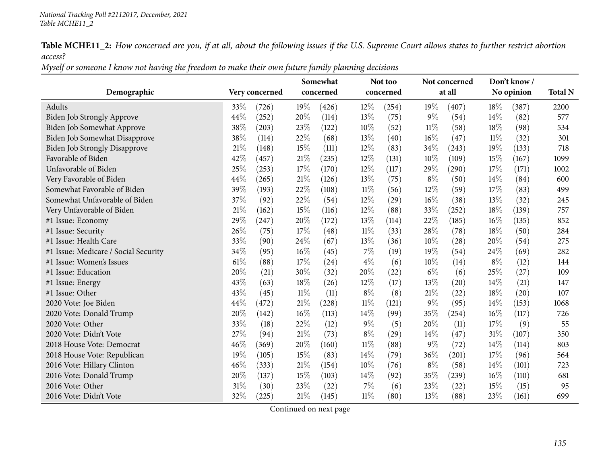Myself or someone I know not having the freedom to make their own future family planning decisions

|                                      |                |        | Somewhat  |        | Not too   |        | Not concerned       |        | Don't know/ |                |
|--------------------------------------|----------------|--------|-----------|--------|-----------|--------|---------------------|--------|-------------|----------------|
| Demographic                          | Very concerned |        | concerned |        | concerned |        | at all              |        | No opinion  | <b>Total N</b> |
| Adults                               | 33%<br>(726)   | 19%    | (426)     | $12\%$ | (254)     | 19%    | (407)               | 18%    | (387)       | 2200           |
| Biden Job Strongly Approve           | 44%<br>(252)   | 20%    | (114)     | 13%    | (75)      | $9\%$  | (54)                | 14%    | (82)        | 577            |
| Biden Job Somewhat Approve           | 38%<br>(203)   | 23%    | (122)     | 10%    | (52)      | $11\%$ | (58)                | 18\%   | (98)        | 534            |
| Biden Job Somewhat Disapprove        | 38%<br>(114)   | 22%    | (68)      | 13%    | (40)      | $16\%$ | (47)                | $11\%$ | (32)        | 301            |
| <b>Biden Job Strongly Disapprove</b> | 21%<br>(148)   | 15%    | (111)     | $12\%$ | (83)      | 34%    | (243)               | 19%    | (133)       | 718            |
| Favorable of Biden                   | 42%<br>(457)   | 21%    | (235)     | 12%    | (131)     | $10\%$ | (109)               | 15%    | (167)       | 1099           |
| Unfavorable of Biden                 | 25%<br>(253)   | 17%    | (170)     | $12\%$ | (117)     | 29%    | $\left( 290\right)$ | 17\%   | (171)       | 1002           |
| Very Favorable of Biden              | 44%<br>(265)   | 21\%   | (126)     | 13%    | (75)      | $8\%$  | (50)                | $14\%$ | (84)        | 600            |
| Somewhat Favorable of Biden          | 39%<br>(193)   | 22%    | (108)     | $11\%$ | (56)      | 12%    | (59)                | 17%    | (83)        | 499            |
| Somewhat Unfavorable of Biden        | 37%<br>(92)    | 22%    | (54)      | 12%    | (29)      | $16\%$ | (38)                | 13\%   | (32)        | 245            |
| Very Unfavorable of Biden            | 21%<br>(162)   | 15%    | (116)     | $12\%$ | (88)      | 33%    | (252)               | 18%    | (139)       | 757            |
| #1 Issue: Economy                    | 29%<br>(247)   | 20%    | (172)     | 13%    | (114)     | 22%    | (185)               | 16%    | (135)       | 852            |
| #1 Issue: Security                   | 26%<br>(75)    | 17%    | (48)      | $11\%$ | (33)      | 28\%   | (78)                | 18\%   | (50)        | 284            |
| #1 Issue: Health Care                | 33%<br>(90)    | 24%    | (67)      | 13%    | (36)      | $10\%$ | (28)                | 20%    | (54)        | 275            |
| #1 Issue: Medicare / Social Security | 34%<br>(95)    | 16%    | (45)      | $7\%$  | (19)      | 19%    | (54)                | 24\%   | (69)        | 282            |
| #1 Issue: Women's Issues             | 61%<br>(88)    | 17%    | (24)      | $4\%$  | (6)       | 10%    | (14)                | $8\%$  | (12)        | 144            |
| #1 Issue: Education                  | 20%<br>(21)    | 30%    | (32)      | 20%    | (22)      | $6\%$  | (6)                 | 25\%   | (27)        | 109            |
| #1 Issue: Energy                     | 43%<br>(63)    | 18%    | (26)      | 12%    | (17)      | 13%    | (20)                | $14\%$ | (21)        | 147            |
| #1 Issue: Other                      | 43%<br>(45)    | $11\%$ | (11)      | $8\%$  | (8)       | $21\%$ | (22)                | 18\%   | (20)        | 107            |
| 2020 Vote: Joe Biden                 | 44%<br>(472)   | 21%    | (228)     | $11\%$ | (121)     | $9\%$  | (95)                | 14\%   | (153)       | 1068           |
| 2020 Vote: Donald Trump              | 20%<br>(142)   | 16%    | (113)     | 14%    | (99)      | 35%    | (254)               | $16\%$ | (117)       | 726            |
| 2020 Vote: Other                     | 33%<br>(18)    | 22%    | (12)      | $9\%$  | (5)       | 20%    | (11)                | 17%    | (9)         | 55             |
| 2020 Vote: Didn't Vote               | 27%<br>(94)    | 21%    | (73)      | $8\%$  | (29)      | $14\%$ | (47)                | 31%    | (107)       | 350            |
| 2018 House Vote: Democrat            | 46%<br>(369)   | 20%    | (160)     | $11\%$ | (88)      | $9\%$  | (72)                | $14\%$ | (114)       | 803            |
| 2018 House Vote: Republican          | 19%<br>(105)   | 15%    | (83)      | 14%    | (79)      | 36%    | (201)               | 17%    | (96)        | 564            |
| 2016 Vote: Hillary Clinton           | 46%<br>(333)   | 21%    | (154)     | 10%    | (76)      | $8\%$  | (58)                | 14%    | (101)       | 723            |
| 2016 Vote: Donald Trump              | 20%<br>(137)   | 15%    | (103)     | 14\%   | (92)      | 35\%   | (239)               | $16\%$ | (110)       | 681            |
| 2016 Vote: Other                     | 31%<br>(30)    | 23%    | (22)      | $7\%$  | (6)       | 23%    | (22)                | 15%    | (15)        | 95             |
| 2016 Vote: Didn't Vote               | 32%<br>(225)   | 21%    | (145)     | $11\%$ | (80)      | 13%    | (88)                | 23%    | (161)       | 699            |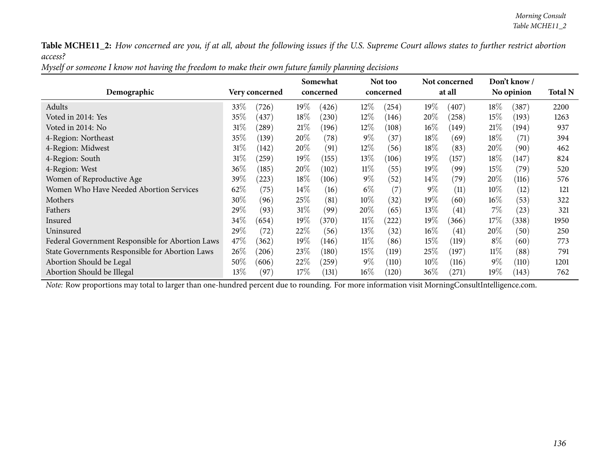| Myself or someone I know not having the freedom to make their own future family planning decisions |
|----------------------------------------------------------------------------------------------------|
|----------------------------------------------------------------------------------------------------|

|                                                  |                      |        | Somewhat  |        | Not too   |        | Not concerned |        | Don't know/ |                |
|--------------------------------------------------|----------------------|--------|-----------|--------|-----------|--------|---------------|--------|-------------|----------------|
| Demographic                                      | Very concerned       |        | concerned |        | concerned |        | at all        |        | No opinion  | <b>Total N</b> |
| Adults                                           | 33\%<br>(726)        | $19\%$ | (426)     | $12\%$ | (254)     | $19\%$ | (407)         | 18\%   | (387)       | 2200           |
| Voted in 2014: Yes                               | 35\%<br>437          | $18\%$ | (230)     | $12\%$ | (146)     | 20%    | (258)         | 15%    | (193)       | 1263           |
| Voted in 2014: No                                | $31\%$<br>(289)      | 21%    | (196)     | $12\%$ | (108)     | $16\%$ | (149)         | 21%    | (194)       | 937            |
| 4-Region: Northeast                              | 35%<br>(139)         | 20%    | (78)      | $9\%$  | (37       | 18%    | (69)          | 18\%   | (71)        | 394            |
| 4-Region: Midwest                                | $31\%$<br>(142)      | 20%    | (91)      | $12\%$ | (56)      | $18\%$ | (83)          | $20\%$ | (90)        | 462            |
| 4-Region: South                                  | $31\%$<br>$^{'}259)$ | 19%    | (155)     | $13\%$ | (106)     | $19\%$ | (157)         | $18\%$ | (147)       | 824            |
| 4-Region: West                                   | $36\%$<br>(185)      | 20%    | (102)     | $11\%$ | (55)      | 19%    | (99)          | $15\%$ | (79`        | 520            |
| Women of Reproductive Age                        | 39\%<br>(223)        | $18\%$ | (106)     | $9\%$  | (52)      | $14\%$ | (79)          | $20\%$ | (116)       | 576            |
| Women Who Have Needed Abortion Services          | 62\%<br>(75)         | $14\%$ | (16)      | $6\%$  | (7)       | $9\%$  | (11)          | $10\%$ | (12)        | 121            |
| Mothers                                          | 30%<br>(96)          | 25\%   | (81)      | $10\%$ | (32)      | $19\%$ | (60)          | $16\%$ | (53)        | 322            |
| Fathers                                          | $29\%$<br>(93)       | 31%    | (99)      | $20\%$ | (65)      | 13%    | (41)          | 7%     | (23)        | 321            |
| Insured                                          | $34\%$<br>(654)      | 19%    | (370)     | $11\%$ | (222)     | 19%    | (366)         | 17\%   | (338)       | 1950           |
| Uninsured                                        | $29\%$<br>(72)       | 22%    | (56)      | 13\%   | (32)      | $16\%$ | (41)          | $20\%$ | (50)        | 250            |
| Federal Government Responsible for Abortion Laws | 47\%<br>(362)        | 19%    | (146)     | $11\%$ | (86)      | 15%    | (119)         | $8\%$  | (60)        | 773            |
| State Governments Responsible for Abortion Laws  | $26\%$<br>(206)      | 23%    | (180)     | $15\%$ | (119)     | $25\%$ | (197)         | $11\%$ | (88)        | 791            |
| Abortion Should be Legal                         | $50\%$<br>(606)      | 22%    | (259)     | $9\%$  | (110)     | $10\%$ | (116)         | $9\%$  | (110)       | 1201           |
| Abortion Should be Illegal                       | 13\%<br>(97`         | $17\%$ | (131)     | $16\%$ | (120)     | 36%    | (271)         | $19\%$ | (143)       | 762            |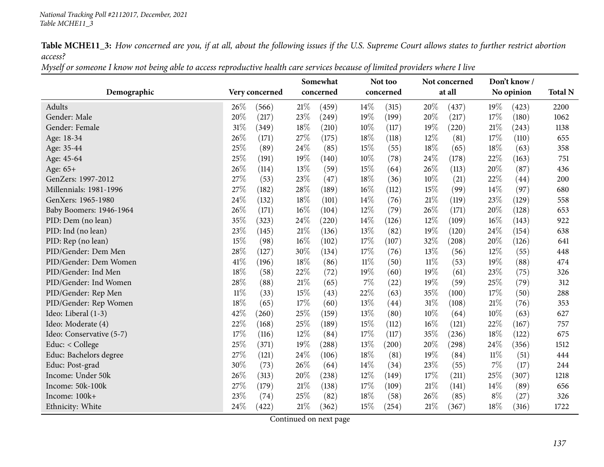Myself or someone I know not being able to access reproductive health care services because of limited providers where I live

|                          |                 | Somewhat        | Not too         | Not concerned   | Don't know/     |                |
|--------------------------|-----------------|-----------------|-----------------|-----------------|-----------------|----------------|
| Demographic              | Very concerned  | concerned       | concerned       | at all          | No opinion      | <b>Total N</b> |
| <b>Adults</b>            | 26\%<br>(566)   | 21%<br>(459)    | 14%<br>(315)    | 20%<br>(437)    | 19%<br>(423)    | 2200           |
| Gender: Male             | 20%<br>(217)    | 23%<br>(249)    | 19%<br>(199)    | 20%<br>(217)    | 17%<br>(180)    | 1062           |
| Gender: Female           | 31%<br>(349)    | 18%<br>(210)    | 10%<br>(117)    | 19%<br>(220)    | 21%<br>(243)    | 1138           |
| Age: 18-34               | 26%<br>(171)    | 27%<br>(175)    | 18%<br>(118)    | 12%<br>(81)     | 17%<br>(110)    | 655            |
| Age: 35-44               | 25%<br>(89)     | 24%<br>(85)     | 15%<br>(55)     | 18%<br>(65)     | 18%<br>(63)     | 358            |
| Age: 45-64               | 25%<br>(191)    | 19%<br>(140)    | 10%<br>(78)     | 24%<br>(178)    | 22%<br>(163)    | 751            |
| Age: 65+                 | 26%<br>(114)    | 13%<br>(59)     | 15%<br>(64)     | 26%<br>(113)    | 20%<br>(87)     | 436            |
| GenZers: 1997-2012       | 27%<br>(53)     | 23%<br>(47)     | 18%<br>(36)     | 10%<br>(21)     | 22%<br>(44)     | 200            |
| Millennials: 1981-1996   | 27%<br>(182)    | 28%<br>(189)    | 16%<br>(112)    | 15%<br>(99)     | $14\%$<br>(97)  | 680            |
| GenXers: 1965-1980       | 24%<br>(132)    | 18%<br>(101)    | 14\%<br>(76)    | $21\%$<br>(119) | 23\%<br>(129)   | 558            |
| Baby Boomers: 1946-1964  | 26%<br>(171)    | $16\%$<br>(104) | $12\%$<br>(79)  | 26%<br>(171)    | 20%<br>(128)    | 653            |
| PID: Dem (no lean)       | 35%<br>(323)    | 24%<br>(220)    | 14%<br>(126)    | 12%<br>(109)    | 16%<br>(143)    | 922            |
| PID: Ind (no lean)       | $23\%$<br>(145) | 21%<br>(136)    | 13%<br>(82)     | 19%<br>(120)    | 24%<br>(154)    | 638            |
| PID: Rep (no lean)       | 15%<br>(98)     | 16%<br>(102)    | 17%<br>(107)    | 32%<br>(208)    | 20%<br>(126)    | 641            |
| PID/Gender: Dem Men      | 28%<br>(127)    | 30%<br>(134)    | 17%<br>(76)     | 13%<br>(56)     | 12%<br>(55)     | 448            |
| PID/Gender: Dem Women    | 41\%<br>(196)   | 18%<br>(86)     | $11\%$<br>(50)  | $11\%$<br>(53)  | 19%<br>(88)     | 474            |
| PID/Gender: Ind Men      | 18%<br>(58)     | 22%<br>(72)     | 19%<br>(60)     | 19%<br>(61)     | 23\%<br>(75)    | 326            |
| PID/Gender: Ind Women    | 28%<br>(88)     | 21%<br>(65)     | $7\%$<br>(22)   | 19%<br>(59)     | 25%<br>(79)     | 312            |
| PID/Gender: Rep Men      | $11\%$<br>(33)  | 15%<br>(43)     | 22%<br>(63)     | 35%<br>(100)    | 17%<br>(50)     | 288            |
| PID/Gender: Rep Women    | 18%<br>(65)     | 17%<br>(60)     | 13%<br>(44)     | $31\%$<br>(108) | 21%<br>(76)     | 353            |
| Ideo: Liberal (1-3)      | 42%<br>(260)    | 25%<br>(159)    | 13%<br>(80)     | $10\%$<br>(64)  | $10\%$<br>(63)  | 627            |
| Ideo: Moderate (4)       | 22%<br>(168)    | 25%<br>(189)    | 15%<br>(112)    | $16\%$<br>(121) | 22%<br>(167)    | 757            |
| Ideo: Conservative (5-7) | 17%<br>(116)    | 12%<br>(84)     | 17%<br>(117)    | 35%<br>(236)    | 18%<br>(122)    | 675            |
| Educ: < College          | 25%<br>(371)    | 19%<br>(288)    | 13%<br>(200)    | 20%<br>(298)    | 24%<br>(356)    | 1512           |
| Educ: Bachelors degree   | 27%<br>(121)    | 24%<br>(106)    | 18%<br>(81)     | 19%<br>(84)     | $11\%$<br>(51)  | 444            |
| Educ: Post-grad          | 30%<br>(73)     | 26%<br>(64)     | 14%<br>(34)     | 23%<br>(55)     | 7%<br>(17)      | 244            |
| Income: Under 50k        | 26%<br>(313)    | 20%<br>(238)    | $12\%$<br>(149) | 17%<br>(211)    | 25\%<br>(307)   | 1218           |
| Income: 50k-100k         | 27%<br>(179)    | 21%<br>(138)    | 17%<br>(109)    | $21\%$<br>(141) | $14\%$<br>(89)  | 656            |
| Income: 100k+            | 23%<br>(74)     | 25%<br>(82)     | 18%<br>(58)     | $26\%$<br>(85)  | $8\%$<br>(27)   | 326            |
| Ethnicity: White         | 24%<br>(422)    | $21\%$<br>(362) | 15%<br>(254)    | $21\%$<br>(367) | $18\%$<br>(316) | 1722           |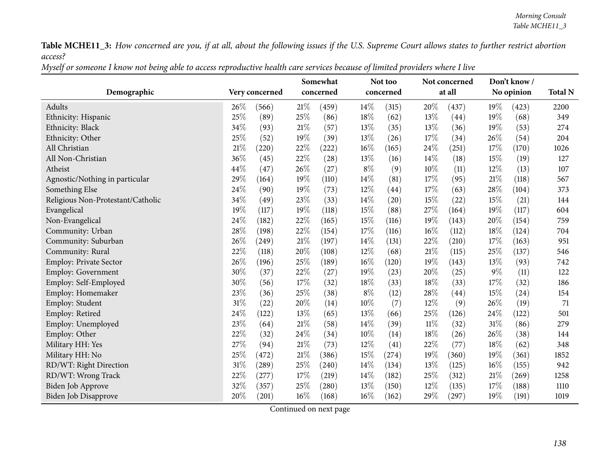| Myself or someone I know not being able to access reproductive health care services because of limited providers where I live |
|-------------------------------------------------------------------------------------------------------------------------------|
|-------------------------------------------------------------------------------------------------------------------------------|

| Demographic                       |      | Very concerned |        | Somewhat<br>concerned |        | Not too<br>concerned |        | Not concerned<br>at all |       | Don't know/<br>No opinion | <b>Total N</b> |
|-----------------------------------|------|----------------|--------|-----------------------|--------|----------------------|--------|-------------------------|-------|---------------------------|----------------|
| Adults                            | 26%  | (566)          | 21%    | (459)                 | 14%    | (315)                | 20%    | (437)                   | 19%   | (423)                     | 2200           |
| Ethnicity: Hispanic               | 25%  | (89)           | 25%    | (86)                  | 18%    | (62)                 | 13%    | (44)                    | 19%   | (68)                      | 349            |
| Ethnicity: Black                  | 34%  | (93)           | 21%    | (57)                  | 13%    | (35)                 | 13%    | (36)                    | 19%   | (53)                      | 274            |
| Ethnicity: Other                  | 25%  | (52)           | 19%    | (39)                  | 13%    | (26)                 | 17%    | (34)                    | 26%   | (54)                      | 204            |
| All Christian                     | 21\% | (220)          | 22%    | (222)                 | 16%    | (165)                | 24%    | (251)                   | 17%   | (170)                     | 1026           |
| All Non-Christian                 | 36%  | (45)           | $22\%$ | (28)                  | 13%    | (16)                 | 14%    | (18)                    | 15%   | (19)                      | 127            |
| Atheist                           | 44%  | (47)           | 26%    | (27)                  | $8\%$  | (9)                  | 10%    | (11)                    | 12%   | (13)                      | 107            |
| Agnostic/Nothing in particular    | 29%  | (164)          | 19%    | (110)                 | 14%    | (81)                 | 17%    | (95)                    | 21%   | (118)                     | 567            |
| Something Else                    | 24%  | (90)           | 19%    | (73)                  | 12%    | (44)                 | 17%    | (63)                    | 28%   | (104)                     | 373            |
| Religious Non-Protestant/Catholic | 34%  | (49)           | 23%    | (33)                  | 14%    | (20)                 | 15%    | (22)                    | 15%   | (21)                      | 144            |
| Evangelical                       | 19%  | (117)          | 19%    | (118)                 | 15%    | (88)                 | 27%    | (164)                   | 19%   | (117)                     | 604            |
| Non-Evangelical                   | 24%  | (182)          | 22%    | (165)                 | 15%    | (116)                | 19%    | (143)                   | 20%   | (154)                     | 759            |
| Community: Urban                  | 28%  | (198)          | 22%    | (154)                 | 17%    | (116)                | $16\%$ | (112)                   | 18%   | (124)                     | 704            |
| Community: Suburban               | 26%  | (249)          | $21\%$ | (197)                 | 14%    | (131)                | 22%    | (210)                   | 17%   | (163)                     | 951            |
| Community: Rural                  | 22%  | (118)          | 20%    | (108)                 | $12\%$ | (68)                 | 21\%   | (115)                   | 25%   | (137)                     | 546            |
| <b>Employ: Private Sector</b>     | 26%  | (196)          | 25%    | (189)                 | 16%    | (120)                | 19%    | (143)                   | 13%   | (93)                      | 742            |
| <b>Employ: Government</b>         | 30%  | (37)           | 22%    | (27)                  | 19%    | (23)                 | 20%    | (25)                    | $9\%$ | (11)                      | 122            |
| Employ: Self-Employed             | 30%  | (56)           | 17%    | (32)                  | 18%    | (33)                 | 18%    | (33)                    | 17%   | (32)                      | 186            |
| Employ: Homemaker                 | 23%  | (36)           | 25%    | (38)                  | $8\%$  | (12)                 | 28%    | (44)                    | 15%   | (24)                      | 154            |
| Employ: Student                   | 31%  | (22)           | 20%    | (14)                  | 10%    | (7)                  | 12%    | (9)                     | 26%   | (19)                      | 71             |
| Employ: Retired                   | 24%  | (122)          | 13%    | (65)                  | 13%    | (66)                 | 25%    | (126)                   | 24%   | (122)                     | 501            |
| Employ: Unemployed                | 23%  | (64)           | 21%    | (58)                  | 14%    | (39)                 | $11\%$ | (32)                    | 31%   | (86)                      | 279            |
| Employ: Other                     | 22%  | (32)           | 24%    | (34)                  | 10%    | (14)                 | 18%    | (26)                    | 26%   | (38)                      | 144            |
| Military HH: Yes                  | 27%  | (94)           | 21%    | (73)                  | 12%    | (41)                 | 22%    | (77)                    | 18%   | (62)                      | 348            |
| Military HH: No                   | 25%  | (472)          | 21%    | (386)                 | 15%    | (274)                | 19%    | (360)                   | 19%   | (361)                     | 1852           |
| RD/WT: Right Direction            | 31%  | (289)          | 25%    | (240)                 | 14%    | (134)                | 13%    | (125)                   | 16%   | (155)                     | 942            |
| RD/WT: Wrong Track                | 22%  | (277)          | 17%    | (219)                 | 14%    | (182)                | 25%    | (312)                   | 21%   | (269)                     | 1258           |
| Biden Job Approve                 | 32%  | (357)          | 25%    | (280)                 | 13%    | (150)                | 12%    | (135)                   | 17%   | (188)                     | 1110           |
| <b>Biden Job Disapprove</b>       | 20%  | (201)          | 16%    | (168)                 | 16%    | (162)                | 29%    | (297)                   | 19%   | (191)                     | 1019           |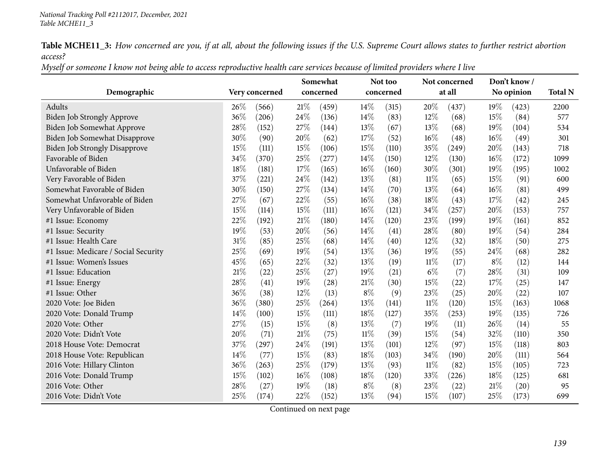Myself or someone I know not being able to access reproductive health care services because of limited providers where I live

|                                      |     |                |        | Somewhat  |        | Not too   |        | Not concerned |        | Don't know/ | <b>Total N</b> |
|--------------------------------------|-----|----------------|--------|-----------|--------|-----------|--------|---------------|--------|-------------|----------------|
| Demographic                          |     | Very concerned |        | concerned |        | concerned |        | at all        |        | No opinion  |                |
| Adults                               | 26% | (566)          | 21%    | (459)     | 14%    | (315)     | 20%    | (437)         | $19\%$ | (423)       | 2200           |
| <b>Biden Job Strongly Approve</b>    | 36% | (206)          | 24%    | (136)     | 14%    | (83)      | 12%    | (68)          | 15%    | (84)        | 577            |
| Biden Job Somewhat Approve           | 28% | (152)          | 27%    | (144)     | 13%    | (67)      | 13%    | (68)          | 19%    | (104)       | 534            |
| Biden Job Somewhat Disapprove        | 30% | (90)           | 20%    | (62)      | 17%    | (52)      | $16\%$ | (48)          | $16\%$ | (49)        | 301            |
| <b>Biden Job Strongly Disapprove</b> | 15% | (111)          | 15%    | (106)     | 15%    | (110)     | 35%    | (249)         | 20%    | (143)       | 718            |
| Favorable of Biden                   | 34% | (370)          | 25%    | (277)     | 14%    | (150)     | 12%    | (130)         | 16%    | (172)       | 1099           |
| Unfavorable of Biden                 | 18% | (181)          | 17%    | (165)     | 16%    | (160)     | 30%    | (301)         | 19%    | (195)       | 1002           |
| Very Favorable of Biden              | 37% | (221)          | 24\%   | (142)     | 13%    | (81)      | $11\%$ | (65)          | 15%    | (91)        | 600            |
| Somewhat Favorable of Biden          | 30% | (150)          | 27%    | (134)     | 14%    | (70)      | 13%    | (64)          | $16\%$ | (81)        | 499            |
| Somewhat Unfavorable of Biden        | 27% | (67)           | 22%    | (55)      | 16%    | (38)      | $18\%$ | (43)          | 17%    | (42)        | 245            |
| Very Unfavorable of Biden            | 15% | (114)          | 15%    | (111)     | $16\%$ | (121)     | 34%    | (257)         | 20%    | (153)       | 757            |
| #1 Issue: Economy                    | 22% | (192)          | 21%    | (180)     | 14%    | (120)     | 23%    | (199)         | 19%    | (161)       | 852            |
| #1 Issue: Security                   | 19% | (53)           | 20%    | (56)      | 14%    | (41)      | 28\%   | (80)          | 19%    | (54)        | 284            |
| #1 Issue: Health Care                | 31% | (85)           | 25%    | (68)      | 14%    | (40)      | 12%    | (32)          | 18%    | (50)        | 275            |
| #1 Issue: Medicare / Social Security | 25% | (69)           | 19%    | (54)      | 13%    | (36)      | 19%    | (55)          | 24%    | (68)        | 282            |
| #1 Issue: Women's Issues             | 45% | (65)           | $22\%$ | (32)      | 13%    | (19)      | $11\%$ | (17)          | $8\%$  | (12)        | 144            |
| #1 Issue: Education                  | 21% | (22)           | 25%    | (27)      | 19%    | (21)      | $6\%$  | (7)           | 28\%   | (31)        | 109            |
| #1 Issue: Energy                     | 28% | (41)           | 19%    | (28)      | 21%    | (30)      | $15\%$ | (22)          | 17%    | (25)        | 147            |
| #1 Issue: Other                      | 36% | (38)           | 12%    | (13)      | $8\%$  | (9)       | 23\%   | (25)          | 20%    | (22)        | 107            |
| 2020 Vote: Joe Biden                 | 36% | (380)          | 25%    | (264)     | 13%    | (141)     | $11\%$ | (120)         | 15%    | (163)       | 1068           |
| 2020 Vote: Donald Trump              | 14% | (100)          | 15%    | (111)     | 18%    | (127)     | 35%    | (253)         | 19%    | (135)       | 726            |
| 2020 Vote: Other                     | 27% | (15)           | 15%    | (8)       | 13%    | (7)       | 19%    | (11)          | 26\%   | (14)        | 55             |
| 2020 Vote: Didn't Vote               | 20% | (71)           | 21%    | (75)      | 11%    | (39)      | 15%    | (54)          | 32%    | (110)       | 350            |
| 2018 House Vote: Democrat            | 37% | (297)          | 24%    | (191)     | 13%    | (101)     | 12%    | (97)          | 15%    | (118)       | 803            |
| 2018 House Vote: Republican          | 14% | (77)           | 15%    | (83)      | 18%    | (103)     | $34\%$ | (190)         | 20%    | (111)       | 564            |
| 2016 Vote: Hillary Clinton           | 36% | (263)          | 25%    | (179)     | 13%    | (93)      | $11\%$ | (82)          | 15%    | (105)       | 723            |
| 2016 Vote: Donald Trump              | 15% | (102)          | 16%    | (108)     | 18%    | (120)     | 33%    | (226)         | 18\%   | (125)       | 681            |
| 2016 Vote: Other                     | 28% | (27)           | 19%    | (18)      | $8\%$  | (8)       | 23%    | (22)          | 21%    | (20)        | 95             |
| 2016 Vote: Didn't Vote               | 25% | (174)          | 22%    | (152)     | 13%    | (94)      | 15%    | (107)         | 25%    | (173)       | 699            |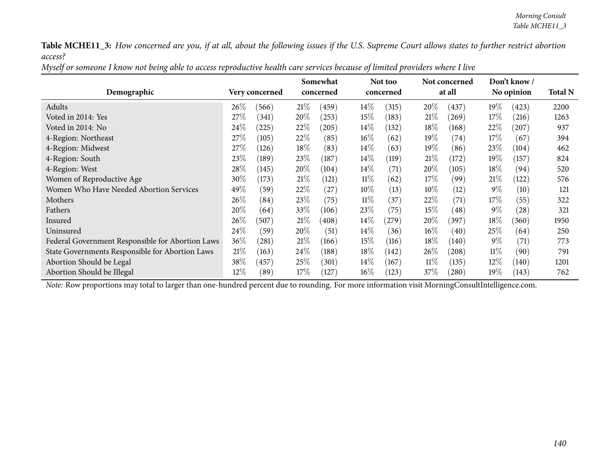| Myself or someone I know not being able to access reproductive health care services because of limited providers where I live |
|-------------------------------------------------------------------------------------------------------------------------------|
|-------------------------------------------------------------------------------------------------------------------------------|

|                                                  |                          |  |           | Somewhat |        | Not too   |        | Not concerned      |        | Don't know / |      |
|--------------------------------------------------|--------------------------|--|-----------|----------|--------|-----------|--------|--------------------|--------|--------------|------|
| Demographic                                      | Very concerned           |  | concerned |          |        | concerned |        | at all             |        | No opinion   |      |
| Adults                                           | $26\%$<br>(566)          |  | 21%       | (459)    | $14\%$ | (315)     | 20%    | (437)              | $19\%$ | (423)        | 2200 |
| Voted in 2014: Yes                               | 27%<br>(341)             |  | 20%       | (253)    | $15\%$ | (183)     | 21%    | (269)              | 17%    | (216)        | 1263 |
| Voted in 2014: No                                | 24%<br>(225)             |  | 22%       | (205)    | $14\%$ | (132)     | 18%    | (168)              | $22\%$ | $^{'}207)$   | 937  |
| 4-Region: Northeast                              | $27\%$<br>(105)          |  | 22%       | (85)     | $16\%$ | (62)      | 19%    | $\left( 74\right)$ | 17\%   | (67          | 394  |
| 4-Region: Midwest                                | 27\%<br>(126)            |  | 18%       | (83)     | $14\%$ | (63)      | 19%    | (86)               | 23\%   | (104)        | 462  |
| 4-Region: South                                  | 23\%<br>$^{\prime}$ 189) |  | 23\%      | (187)    | $14\%$ | (119)     | 21%    | (172)              | $19\%$ | (157)        | 824  |
| 4-Region: West                                   | 28\%<br>(145)            |  | 20%       | (104)    | $14\%$ | (71)      | 20%    | (105)              | $18\%$ | (94)         | 520  |
| Women of Reproductive Age                        | 30%<br>(173)             |  | 21%       | (121)    | $11\%$ | (62)      | 17\%   | (99)               | 21%    | (122)        | 576  |
| Women Who Have Needed Abortion Services          | 49 $\%$<br>(59)          |  | 22\%      | (27)     | $10\%$ | (13)      | $10\%$ | (12)               | $9\%$  | (10)         | 121  |
| Mothers                                          | $26\%$<br>(84)           |  | 23%       | (75)     | $11\%$ | (37)      | 22%    | (71)               | 17\%   | (55)         | 322  |
| Fathers                                          | 20\%<br>(64)             |  | 33\%      | (106)    | 23\%   | (75)      | 15%    | (48)               | $9\%$  | (28)         | 321  |
| Insured                                          | $26\%$<br>(507)          |  | 21%       | (408)    | $14\%$ | (279)     | 20%    | (397)              | 18\%   | (360)        | 1950 |
| Uninsured                                        | $24\%$<br>(59)           |  | 20%       | (51)     | $14\%$ | (36)      | $16\%$ | (40)               | 25\%   | (64)         | 250  |
| Federal Government Responsible for Abortion Laws | $36\%$<br>(281)          |  | 21%       | (166)    | $15\%$ | (116)     | $18\%$ | (140)              | $9\%$  | (71)         | 773  |
| State Governments Responsible for Abortion Laws  | 21%<br>(163)             |  | 24\%      | (188)    | $18\%$ | (142)     | $26\%$ | (208)              | $11\%$ | (90)         | 791  |
| Abortion Should be Legal                         | $38\%$<br>(457)          |  | 25%       | (301)    | $14\%$ | (167)     | $11\%$ | (135)              | $12\%$ | (140)        | 1201 |
| Abortion Should be Illegal                       | 12%<br>(89`              |  | $17\%$    | (127)    | $16\%$ | (123)     | 37\%   | (280)              | $19\%$ | (143)        | 762  |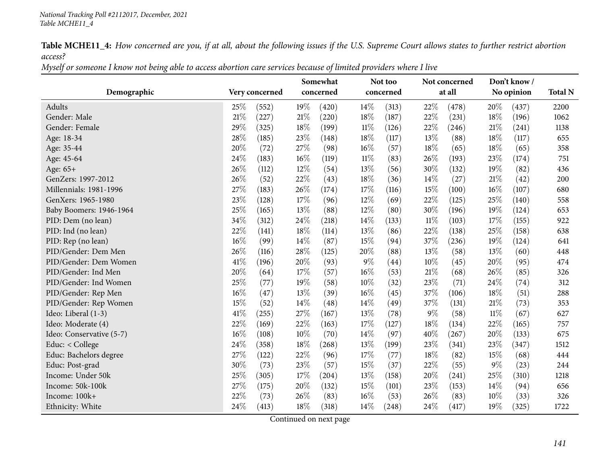Myself or someone I know not being able to access abortion care services because of limited providers where I live

|                          |        |                | Somewhat  |       |        | Not too   |        | Not concerned |        | Don't know/ |                |
|--------------------------|--------|----------------|-----------|-------|--------|-----------|--------|---------------|--------|-------------|----------------|
| Demographic              |        | Very concerned | concerned |       |        | concerned |        | at all        |        | No opinion  | <b>Total N</b> |
| Adults                   | 25\%   | (552)          | 19%       | (420) | 14\%   | (313)     | 22%    | (478)         | 20%    | (437)       | 2200           |
| Gender: Male             | 21%    | (227)          | 21%       | (220) | 18%    | (187)     | 22%    | (231)         | 18%    | (196)       | 1062           |
| Gender: Female           | 29%    | (325)          | 18%       | (199) | $11\%$ | (126)     | 22%    | (246)         | 21%    | (241)       | 1138           |
| Age: 18-34               | 28%    | (185)          | 23%       | (148) | 18%    | (117)     | 13%    | (88)          | $18\%$ | (117)       | 655            |
| Age: 35-44               | 20%    | (72)           | 27%       | (98)  | 16%    | (57)      | 18%    | (65)          | 18%    | (65)        | 358            |
| Age: 45-64               | 24%    | (183)          | 16%       | (119) | $11\%$ | (83)      | 26\%   | (193)         | 23%    | (174)       | 751            |
| Age: 65+                 | 26%    | (112)          | 12%       | (54)  | 13%    | (56)      | 30%    | (132)         | 19%    | (82)        | 436            |
| GenZers: 1997-2012       | 26%    | (52)           | 22%       | (43)  | 18%    | (36)      | 14%    | (27)          | $21\%$ | (42)        | 200            |
| Millennials: 1981-1996   | 27%    | (183)          | 26%       | (174) | 17%    | (116)     | 15%    | (100)         | $16\%$ | (107)       | 680            |
| GenXers: 1965-1980       | 23%    | (128)          | 17\%      | (96)  | 12%    | (69)      | 22%    | (125)         | 25\%   | (140)       | 558            |
| Baby Boomers: 1946-1964  | 25%    | (165)          | 13%       | (88)  | 12%    | (80)      | 30%    | (196)         | 19%    | (124)       | 653            |
| PID: Dem (no lean)       | 34%    | (312)          | 24\%      | (218) | 14\%   | (133)     | 11%    | (103)         | 17%    | (155)       | 922            |
| PID: Ind (no lean)       | 22%    | (141)          | 18%       | (114) | 13%    | (86)      | 22%    | (138)         | 25%    | (158)       | 638            |
| PID: Rep (no lean)       | 16%    | (99)           | 14%       | (87)  | 15%    | (94)      | 37%    | (236)         | 19%    | (124)       | 641            |
| PID/Gender: Dem Men      | 26%    | (116)          | 28%       | (125) | 20%    | (88)      | 13%    | (58)          | 13%    | (60)        | 448            |
| PID/Gender: Dem Women    | 41\%   | (196)          | 20%       | (93)  | $9\%$  | (44)      | $10\%$ | (45)          | 20%    | (95)        | 474            |
| PID/Gender: Ind Men      | 20%    | (64)           | 17\%      | (57)  | 16%    | (53)      | 21%    | (68)          | 26\%   | (85)        | 326            |
| PID/Gender: Ind Women    | 25%    | (77)           | 19%       | (58)  | 10%    | (32)      | 23%    | (71)          | 24%    | (74)        | 312            |
| PID/Gender: Rep Men      | 16%    | (47)           | 13%       | (39)  | 16%    | (45)      | 37%    | (106)         | 18%    | (51)        | 288            |
| PID/Gender: Rep Women    | 15%    | (52)           | 14%       | (48)  | 14%    | (49)      | 37%    | (131)         | $21\%$ | (73)        | 353            |
| Ideo: Liberal (1-3)      | 41\%   | (255)          | 27%       | (167) | 13%    | (78)      | $9\%$  | (58)          | $11\%$ | (67)        | 627            |
| Ideo: Moderate (4)       | 22%    | (169)          | 22%       | (163) | 17%    | (127)     | 18%    | (134)         | 22%    | (165)       | 757            |
| Ideo: Conservative (5-7) | $16\%$ | (108)          | 10%       | (70)  | 14%    | (97)      | 40%    | (267)         | 20%    | (133)       | 675            |
| Educ: < College          | 24%    | (358)          | 18%       | (268) | 13%    | (199)     | 23%    | (341)         | 23\%   | (347)       | 1512           |
| Educ: Bachelors degree   | 27%    | (122)          | 22%       | (96)  | 17%    | (77)      | 18%    | (82)          | 15%    | (68)        | 444            |
| Educ: Post-grad          | 30%    | (73)           | 23%       | (57)  | 15%    | (37)      | 22%    | (55)          | 9%     | (23)        | 244            |
| Income: Under 50k        | 25%    | (305)          | 17%       | (204) | 13\%   | (158)     | 20%    | (241)         | 25%    | (310)       | 1218           |
| Income: 50k-100k         | 27%    | (175)          | 20%       | (132) | 15%    | (101)     | 23%    | (153)         | 14\%   | (94)        | 656            |
| Income: 100k+            | 22%    | (73)           | 26%       | (83)  | 16%    | (53)      | 26%    | (83)          | 10%    | (33)        | 326            |
| Ethnicity: White         | 24%    | (413)          | 18%       | (318) | 14%    | (248)     | 24\%   | (417)         | 19%    | (325)       | 1722           |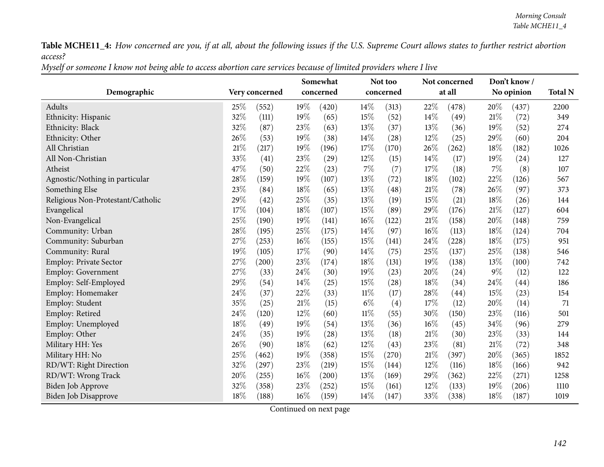Myself or someone I know not being able to access abortion care services because of limited providers where I live

|                                   |                | Somewhat        |            | Not too   |      | Not concerned |            | Don't know/ |                |
|-----------------------------------|----------------|-----------------|------------|-----------|------|---------------|------------|-------------|----------------|
| Demographic                       | Very concerned | concerned       |            | concerned |      | at all        | No opinion |             | <b>Total N</b> |
| Adults                            | 25%<br>(552)   | 19%<br>(420)    | $14\%$     | (313)     | 22%  | (478)         | 20%        | (437)       | 2200           |
| Ethnicity: Hispanic               | 32%<br>(111)   | 19%<br>(65)     | 15%        | (52)      | 14%  | (49)          | $21\%$     | (72)        | 349            |
| Ethnicity: Black                  | 32%<br>(87)    | 23%<br>(63)     | 13%        | (37)      | 13%  | (36)          | 19%        | (52)        | 274            |
| Ethnicity: Other                  | 26%<br>(53)    | 19%<br>(38)     | $14\%$     | (28)      | 12%  | (25)          | 29%        | (60)        | 204            |
| All Christian                     | 21%<br>(217)   | 19%<br>(196)    | 17%        | (170)     | 26%  | (262)         | 18%        | (182)       | 1026           |
| All Non-Christian                 | 33%<br>(41)    | 23%<br>(29)     | 12%        | (15)      | 14%  | (17)          | 19%        | (24)        | 127            |
| Atheist                           | 47%<br>(50)    | 22%<br>(23)     | 7%         | (7)       | 17%  | (18)          | $7\%$      | (8)         | 107            |
| Agnostic/Nothing in particular    | 28%<br>(159)   | 19%<br>(107)    | 13%        | (72)      | 18%  | (102)         | $22\%$     | (126)       | 567            |
| Something Else                    | 23%<br>(84)    | 18%<br>(65)     | 13%        | (48)      | 21%  | (78)          | 26%        | (97)        | 373            |
| Religious Non-Protestant/Catholic | 29%<br>(42)    | 25%<br>(35)     | 13\%       | (19)      | 15%  | (21)          | 18%        | (26)        | 144            |
| Evangelical                       | 17%<br>(104)   | 18%<br>(107)    | 15%        | (89)      | 29%  | (176)         | 21\%       | (127)       | 604            |
| Non-Evangelical                   | 25%<br>(190)   | 19%<br>(141)    | 16%        | (122)     | 21%  | (158)         | 20%        | (148)       | 759            |
| Community: Urban                  | 28%<br>(195)   | 25%<br>(175)    | $14\%$     | (97)      | 16%  | (113)         | 18%        | (124)       | 704            |
| Community: Suburban               | 27%<br>(253)   | 16%<br>(155)    | 15%        | (141)     | 24%  | (228)         | 18%        | (175)       | 951            |
| Community: Rural                  | 19%<br>(105)   | 17%<br>(90)     | 14%        | (75)      | 25%  | (137)         | 25%        | (138)       | 546            |
| <b>Employ: Private Sector</b>     | 27%<br>(200)   | 23%<br>(174)    | 18%        | (131)     | 19%  | (138)         | 13%        | (100)       | 742            |
| <b>Employ: Government</b>         | 27%<br>(33)    | 24%<br>(30)     | 19%        | (23)      | 20%  | (24)          | 9%         | (12)        | 122            |
| Employ: Self-Employed             | 29%<br>(54)    | 14%<br>(25)     | 15%        | (28)      | 18%  | (34)          | 24%        | (44)        | 186            |
| Employ: Homemaker                 | 24%<br>(37)    | 22%<br>(33)     | $11\%$     | (17)      | 28%  | (44)          | 15%        | (23)        | 154            |
| Employ: Student                   | 35%<br>(25)    | 21%             | 6%<br>(15) | (4)       | 17%  | (12)          | 20%        | (14)        | 71             |
| Employ: Retired                   | 24%<br>(120)   | 12%<br>(60)     | $11\%$     | (55)      | 30%  | (150)         | 23%        | (116)       | 501            |
| Employ: Unemployed                | 18%<br>(49)    | 19%<br>(54)     | 13%        | (36)      | 16%  | (45)          | 34%        | (96)        | 279            |
| Employ: Other                     | 24\%<br>(35)   | 19%<br>(28)     | 13%        | (18)      | 21\% | (30)          | 23%        | (33)        | 144            |
| Military HH: Yes                  | 26%<br>(90)    | 18%<br>(62)     | $12\%$     | (43)      | 23%  | (81)          | $21\%$     | (72)        | 348            |
| Military HH: No                   | 25%<br>(462)   | 19%<br>(358)    | 15%        | (270)     | 21%  | (397)         | 20%        | (365)       | 1852           |
| RD/WT: Right Direction            | 32%<br>(297)   | 23%<br>(219)    | 15%        | (144)     | 12%  | (116)         | 18%        | (166)       | 942            |
| RD/WT: Wrong Track                | 20%<br>(255)   | $16\%$<br>(200) | 13\%       | (169)     | 29%  | (362)         | 22%        | (271)       | 1258           |
| Biden Job Approve                 | 32%<br>(358)   | 23%<br>(252)    | 15%        | (161)     | 12%  | (133)         | 19%        | (206)       | 1110           |
| Biden Job Disapprove              | 18%<br>(188)   | 16%<br>(159)    | 14%        | (147)     | 33%  | (338)         | 18%        | (187)       | 1019           |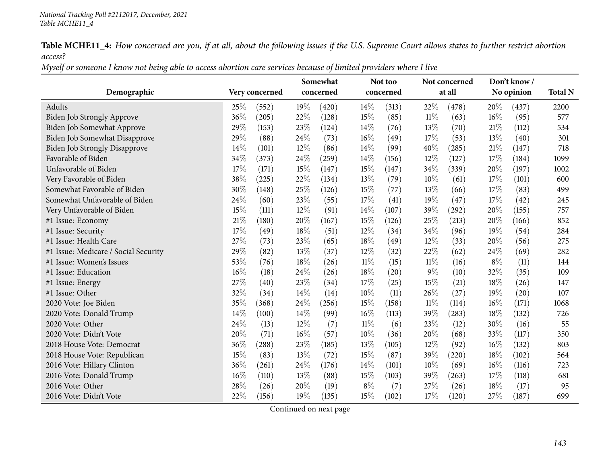Myself or someone I know not being able to access abortion care services because of limited providers where I live

|                                      |        |                | Somewhat |           |        | Not too   |        | Not concerned |        | Don't know/ |      |
|--------------------------------------|--------|----------------|----------|-----------|--------|-----------|--------|---------------|--------|-------------|------|
| Demographic                          |        | Very concerned |          | concerned |        | concerned |        | at all        |        | No opinion  |      |
| Adults                               | 25%    | (552)          | 19%      | (420)     | 14\%   | (313)     | 22\%   | (478)         | 20%    | (437)       | 2200 |
| Biden Job Strongly Approve           | $36\%$ | (205)          | 22%      | (128)     | 15%    | (85)      | $11\%$ | (63)          | 16%    | (95)        | 577  |
| Biden Job Somewhat Approve           | 29%    | (153)          | 23%      | (124)     | 14\%   | (76)      | 13%    | (70)          | $21\%$ | (112)       | 534  |
| Biden Job Somewhat Disapprove        | 29%    | (88)           | 24%      | (73)      | 16%    | (49)      | 17%    | (53)          | 13\%   | (40)        | 301  |
| <b>Biden Job Strongly Disapprove</b> | 14%    | (101)          | 12%      | (86)      | 14%    | (99)      | 40%    | (285)         | 21\%   | (147)       | 718  |
| Favorable of Biden                   | 34%    | (373)          | 24%      | (259)     | 14\%   | (156)     | 12%    | (127)         | 17%    | (184)       | 1099 |
| Unfavorable of Biden                 | 17%    | (171)          | 15%      | (147)     | 15%    | (147)     | 34%    | (339)         | 20%    | (197)       | 1002 |
| Very Favorable of Biden              | 38%    | (225)          | 22%      | (134)     | 13\%   | (79)      | $10\%$ | (61)          | 17%    | (101)       | 600  |
| Somewhat Favorable of Biden          | 30%    | (148)          | 25%      | (126)     | 15%    | (77)      | 13%    | (66)          | 17\%   | (83)        | 499  |
| Somewhat Unfavorable of Biden        | 24%    | (60)           | 23%      | (55)      | 17\%   | (41)      | 19%    | (47)          | 17%    | (42)        | 245  |
| Very Unfavorable of Biden            | 15%    | (111)          | 12%      | (91)      | 14%    | (107)     | 39%    | (292)         | 20%    | (155)       | 757  |
| #1 Issue: Economy                    | 21%    | (180)          | 20%      | (167)     | 15%    | (126)     | 25\%   | (213)         | 20%    | (166)       | 852  |
| #1 Issue: Security                   | 17%    | (49)           | 18%      | (51)      | $12\%$ | (34)      | $34\%$ | (96)          | $19\%$ | (54)        | 284  |
| #1 Issue: Health Care                | 27%    | (73)           | 23%      | (65)      | 18%    | (49)      | 12%    | (33)          | 20%    | (56)        | 275  |
| #1 Issue: Medicare / Social Security | 29%    | (82)           | 13%      | (37)      | $12\%$ | (32)      | 22\%   | (62)          | 24\%   | (69)        | 282  |
| #1 Issue: Women's Issues             | 53%    | (76)           | 18%      | (26)      | $11\%$ | (15)      | $11\%$ | (16)          | $8\%$  | (11)        | 144  |
| #1 Issue: Education                  | 16%    | (18)           | 24%      | (26)      | 18%    | (20)      | $9\%$  | (10)          | 32%    | (35)        | 109  |
| #1 Issue: Energy                     | 27%    | (40)           | 23%      | (34)      | 17%    | (25)      | 15%    | (21)          | 18%    | (26)        | 147  |
| #1 Issue: Other                      | 32%    | (34)           | 14\%     | (14)      | 10%    | (11)      | 26%    | (27)          | 19%    | (20)        | 107  |
| 2020 Vote: Joe Biden                 | 35%    | (368)          | 24%      | (256)     | 15%    | (158)     | $11\%$ | (114)         | 16%    | (171)       | 1068 |
| 2020 Vote: Donald Trump              | 14%    | (100)          | 14%      | (99)      | 16%    | (113)     | 39%    | (283)         | 18\%   | (132)       | 726  |
| 2020 Vote: Other                     | 24%    | (13)           | 12%      | (7)       | $11\%$ | (6)       | 23%    | (12)          | 30%    | (16)        | 55   |
| 2020 Vote: Didn't Vote               | 20%    | (71)           | 16%      | (57)      | 10%    | (36)      | 20%    | (68)          | 33%    | (117)       | 350  |
| 2018 House Vote: Democrat            | 36%    | (288)          | 23%      | (185)     | 13%    | (105)     | $12\%$ | (92)          | $16\%$ | (132)       | 803  |
| 2018 House Vote: Republican          | 15%    | (83)           | 13%      | (72)      | 15%    | (87)      | 39%    | (220)         | 18%    | (102)       | 564  |
| 2016 Vote: Hillary Clinton           | 36%    | (261)          | 24%      | (176)     | 14%    | (101)     | $10\%$ | (69)          | 16%    | (116)       | 723  |
| 2016 Vote: Donald Trump              | 16%    | (110)          | 13%      | (88)      | 15%    | (103)     | 39%    | (263)         | 17\%   | (118)       | 681  |
| 2016 Vote: Other                     | 28%    | (26)           | 20%      | (19)      | $8\%$  | (7)       | 27%    | (26)          | 18%    | (17)        | 95   |
| 2016 Vote: Didn't Vote               | 22%    | (156)          | 19%      | (135)     | 15%    | (102)     | 17%    | (120)         | 27%    | (187)       | 699  |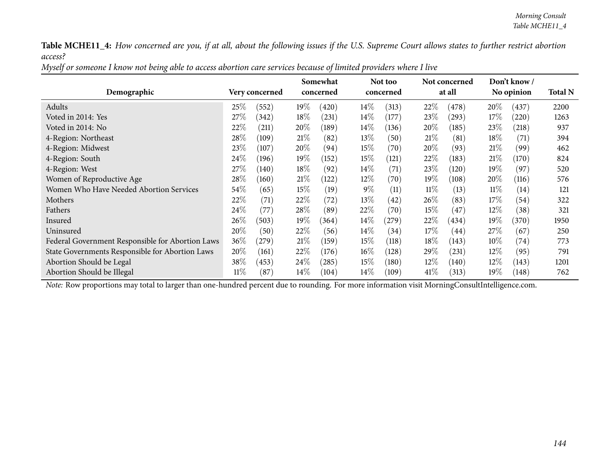| Myself or someone I know not being able to access abortion care services because of limited providers where I live |
|--------------------------------------------------------------------------------------------------------------------|
|--------------------------------------------------------------------------------------------------------------------|

|                                                  |        |                |         | Somewhat  |        | Not too            |        | Not concerned |        | Don't know /       |      |
|--------------------------------------------------|--------|----------------|---------|-----------|--------|--------------------|--------|---------------|--------|--------------------|------|
| Demographic                                      |        | Very concerned |         | concerned |        | concerned          |        | at all        |        | No opinion         |      |
| Adults                                           | $25\%$ | (552)          | 19 $\%$ | (420)     | $14\%$ | (313)              | 22%    | (478)         | 20%    | (437)              | 2200 |
| Voted in 2014: Yes                               | 27%    | (342)          | $18\%$  | (231)     | $14\%$ | (177)              | 23\%   | (293)         | $17\%$ | $^{'}220)$         | 1263 |
| Voted in 2014: No                                | 22%    | (211)          | 20\%    | (189)     | $14\%$ | (136)              | 20%    | (185)         | 23\%   | (218)              | 937  |
| 4-Region: Northeast                              | $28\%$ | (109)          | 21%     | (82)      | $13\%$ | (50)               | 21%    | (81)          | $18\%$ | (71)               | 394  |
| 4-Region: Midwest                                | 23\%   | (107)          | 20%     | (94)      | $15\%$ | (70)               | 20%    | (93)          | 21%    | (99)               | 462  |
| 4-Region: South                                  | $24\%$ | (196)          | 19%     | (152)     | $15\%$ | (121)              | 22%    | (183)         | 21%    | (170)              | 824  |
| 4-Region: West                                   | 27%    | (140)          | $18\%$  | (92)      | $14\%$ | (71)               | 23\%   | (120)         | $19\%$ | (97)               | 520  |
| Women of Reproductive Age                        | $28\%$ | (160)          | 21%     | (122)     | $12\%$ | $\left( 70\right)$ | 19%    | (108)         | 20%    | (116)              | 576  |
| Women Who Have Needed Abortion Services          | $54\%$ | (65)           | 15%     | (19)      | $9\%$  | (11)               | $11\%$ | (13)          | $11\%$ | (14)               | 121  |
| Mothers                                          | $22\%$ | (71)           | 22%     | (72)      | $13\%$ | (42)               | 26\%   | (83)          | 17%    | (54)               | 322  |
| Fathers                                          | $24\%$ | (77`           | 28\%    | (89)      | 22%    | (70)               | $15\%$ | (47)          | $12\%$ | (38)               | 321  |
| Insured                                          | $26\%$ | (503)          | $19\%$  | (364)     | $14\%$ | (279)              | 22%    | (434)         | $19\%$ | (370)              | 1950 |
| Uninsured                                        | $20\%$ | (50)           | 22%     | (56)      | $14\%$ | (34)               | $17\%$ | (44)          | 27%    | (67)               | 250  |
| Federal Government Responsible for Abortion Laws | 36\%   | $^{'}279)$     | 21%     | (159)     | $15\%$ | (118)              | 18\%   | (143)         | $10\%$ | $\left( 74\right)$ | 773  |
| State Governments Responsible for Abortion Laws  | $20\%$ | (161)          | 22\%    | (176)     | $16\%$ | (128)              | 29\%   | (231)         | $12\%$ | (95)               | 791  |
| Abortion Should be Legal                         | 38\%   | (453)          | 24\%    | (285)     | $15\%$ | (180)              | $12\%$ | (140)         | $12\%$ | (143)              | 1201 |
| Abortion Should be Illegal                       | $11\%$ | (87            | $14\%$  | (104)     | $14\%$ | (109)              | 41\%   | (313)         | $19\%$ | (148)              | 762  |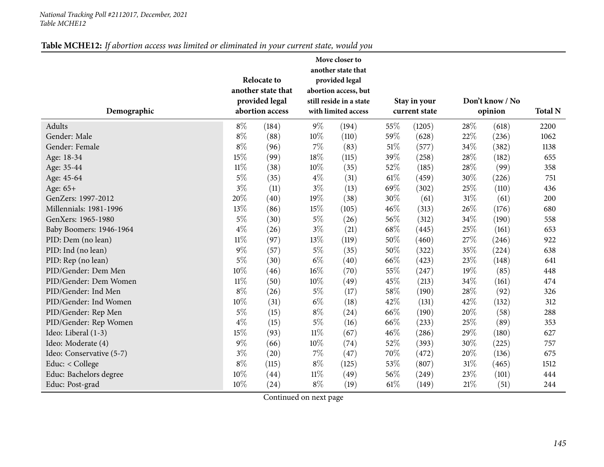#### *National Tracking Poll #2112017, December, <sup>2021</sup> Table MCHE12*

## Table MCHE12: If abortion access was limited or eliminated in your current state, would you

|                          |        | <b>Relocate to</b><br>another state that<br>provided legal |        | Move closer to<br>another state that<br>provided legal<br>abortion access, but<br>still reside in a state |        | Stay in your  |        | Don't know / No |                |
|--------------------------|--------|------------------------------------------------------------|--------|-----------------------------------------------------------------------------------------------------------|--------|---------------|--------|-----------------|----------------|
| Demographic              |        | abortion access                                            |        | with limited access                                                                                       |        | current state |        | opinion         | <b>Total N</b> |
| Adults                   | $8\%$  | (184)                                                      | $9\%$  | (194)                                                                                                     | 55%    | (1205)        | 28%    | (618)           | 2200           |
| Gender: Male             | $8\%$  | (88)                                                       | 10%    | (110)                                                                                                     | 59%    | (628)         | 22%    | (236)           | 1062           |
| Gender: Female           | $8\%$  | (96)                                                       | $7\%$  | (83)                                                                                                      | $51\%$ | (577)         | 34%    | (382)           | 1138           |
| Age: 18-34               | 15%    | (99)                                                       | 18%    | (115)                                                                                                     | 39%    | (258)         | 28%    | (182)           | 655            |
| Age: 35-44               | $11\%$ | (38)                                                       | 10%    | (35)                                                                                                      | 52%    | (185)         | 28%    | (99)            | 358            |
| Age: 45-64               | $5\%$  | (35)                                                       | $4\%$  | (31)                                                                                                      | $61\%$ | (459)         | 30%    | (226)           | 751            |
| Age: 65+                 | $3\%$  | (11)                                                       | $3\%$  | (13)                                                                                                      | 69%    | (302)         | 25%    | (110)           | 436            |
| GenZers: 1997-2012       | 20%    | (40)                                                       | 19%    | (38)                                                                                                      | 30%    | (61)          | $31\%$ | (61)            | 200            |
| Millennials: 1981-1996   | 13%    | (86)                                                       | 15%    | (105)                                                                                                     | 46%    | (313)         | 26%    | (176)           | 680            |
| GenXers: 1965-1980       | $5\%$  | (30)                                                       | $5\%$  | (26)                                                                                                      | 56%    | (312)         | 34%    | (190)           | 558            |
| Baby Boomers: 1946-1964  | $4\%$  | (26)                                                       | $3\%$  | (21)                                                                                                      | 68%    | (445)         | 25%    | (161)           | 653            |
| PID: Dem (no lean)       | $11\%$ | (97)                                                       | 13%    | (119)                                                                                                     | 50%    | (460)         | 27\%   | (246)           | 922            |
| PID: Ind (no lean)       | $9\%$  | (57)                                                       | $5\%$  | (35)                                                                                                      | 50%    | (322)         | 35%    | (224)           | 638            |
| PID: Rep (no lean)       | $5\%$  | (30)                                                       | $6\%$  | (40)                                                                                                      | 66%    | (423)         | 23%    | (148)           | 641            |
| PID/Gender: Dem Men      | $10\%$ | (46)                                                       | $16\%$ | (70)                                                                                                      | 55%    | (247)         | 19%    | (85)            | 448            |
| PID/Gender: Dem Women    | $11\%$ | (50)                                                       | 10%    | (49)                                                                                                      | 45%    | (213)         | 34%    | (161)           | 474            |
| PID/Gender: Ind Men      | $8\%$  | (26)                                                       | $5\%$  | (17)                                                                                                      | 58%    | (190)         | 28\%   | (92)            | 326            |
| PID/Gender: Ind Women    | 10%    | (31)                                                       | $6\%$  | (18)                                                                                                      | 42%    | (131)         | 42%    | (132)           | 312            |
| PID/Gender: Rep Men      | $5\%$  | (15)                                                       | $8\%$  | (24)                                                                                                      | 66%    | (190)         | 20%    | (58)            | 288            |
| PID/Gender: Rep Women    | $4\%$  | (15)                                                       | $5\%$  | (16)                                                                                                      | 66%    | (233)         | 25%    | (89)            | 353            |
| Ideo: Liberal (1-3)      | 15%    | (93)                                                       | $11\%$ | (67)                                                                                                      | 46%    | (286)         | 29%    | (180)           | 627            |
| Ideo: Moderate (4)       | $9\%$  | (66)                                                       | 10%    | (74)                                                                                                      | 52%    | (393)         | 30%    | (225)           | 757            |
| Ideo: Conservative (5-7) | $3\%$  | (20)                                                       | $7\%$  | (47)                                                                                                      | 70%    | (472)         | 20%    | (136)           | 675            |
| Educ: < College          | $8\%$  | (115)                                                      | $8\%$  | (125)                                                                                                     | 53%    | (807)         | $31\%$ | (465)           | 1512           |
| Educ: Bachelors degree   | 10%    | (44)                                                       | $11\%$ | (49)                                                                                                      | 56%    | (249)         | 23%    | (101)           | 444            |
| Educ: Post-grad          | 10%    | (24)                                                       | $8\%$  | (19)                                                                                                      | 61\%   | (149)         | 21%    | (51)            | 244            |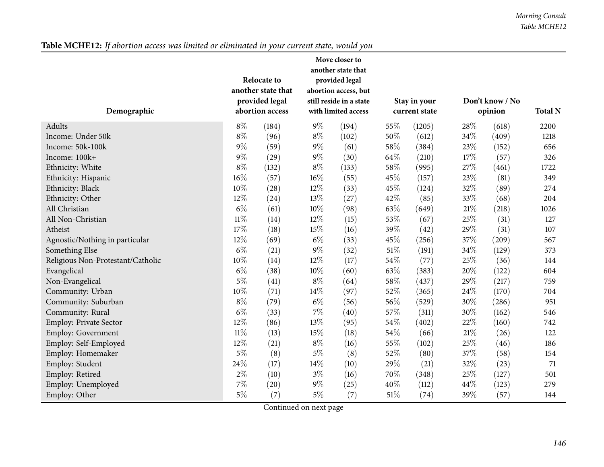Table MCHE12: If abortion access was limited or eliminated in your current state, would you

| Demographic                       |        | <b>Relocate to</b><br>another state that<br>provided legal<br>abortion access |       | Move closer to<br>another state that<br>provided legal<br>abortion access, but<br>still reside in a state<br>with limited access |        | Stay in your<br>current state |     | Don't know / No<br>opinion | <b>Total N</b> |
|-----------------------------------|--------|-------------------------------------------------------------------------------|-------|----------------------------------------------------------------------------------------------------------------------------------|--------|-------------------------------|-----|----------------------------|----------------|
| Adults                            | $8\%$  | (184)                                                                         | $9\%$ | (194)                                                                                                                            | 55%    | (1205)                        | 28% | (618)                      | 2200           |
| Income: Under 50k                 | $8\%$  | (96)                                                                          | $8\%$ | (102)                                                                                                                            | 50%    | (612)                         | 34% | (409)                      | 1218           |
| Income: 50k-100k                  | $9\%$  | (59)                                                                          | $9\%$ | (61)                                                                                                                             | 58%    | (384)                         | 23% | (152)                      | 656            |
| Income: 100k+                     | $9\%$  | (29)                                                                          | $9\%$ | (30)                                                                                                                             | 64%    | (210)                         | 17% | (57)                       | 326            |
| Ethnicity: White                  | $8\%$  | (132)                                                                         | $8\%$ | (133)                                                                                                                            | 58%    | (995)                         | 27% | (461)                      | 1722           |
| Ethnicity: Hispanic               | $16\%$ | (57)                                                                          | 16%   | (55)                                                                                                                             | 45%    | (157)                         | 23% | (81)                       | 349            |
| Ethnicity: Black                  | $10\%$ | (28)                                                                          | 12%   | (33)                                                                                                                             | 45%    | (124)                         | 32% | (89)                       | 274            |
| Ethnicity: Other                  | 12%    | (24)                                                                          | 13%   | (27)                                                                                                                             | 42%    | (85)                          | 33% | (68)                       | 204            |
| All Christian                     | $6\%$  | (61)                                                                          | 10%   | (98)                                                                                                                             | 63%    | (649)                         | 21% | (218)                      | 1026           |
| All Non-Christian                 | $11\%$ | (14)                                                                          | 12%   | (15)                                                                                                                             | 53%    | (67)                          | 25% | (31)                       | 127            |
| Atheist                           | $17\%$ | (18)                                                                          | 15%   | (16)                                                                                                                             | 39%    | (42)                          | 29% | (31)                       | 107            |
| Agnostic/Nothing in particular    | 12%    | (69)                                                                          | $6\%$ | (33)                                                                                                                             | 45%    | (256)                         | 37% | (209)                      | 567            |
| Something Else                    | $6\%$  | (21)                                                                          | 9%    | (32)                                                                                                                             | 51%    | (191)                         | 34% | (129)                      | 373            |
| Religious Non-Protestant/Catholic | 10%    | (14)                                                                          | 12%   | (17)                                                                                                                             | 54%    | (77)                          | 25% | (36)                       | 144            |
| Evangelical                       | $6\%$  | (38)                                                                          | 10%   | (60)                                                                                                                             | 63%    | (383)                         | 20% | (122)                      | 604            |
| Non-Evangelical                   | $5\%$  | (41)                                                                          | $8\%$ | (64)                                                                                                                             | 58%    | (437)                         | 29% | (217)                      | 759            |
| Community: Urban                  | 10%    | (71)                                                                          | 14%   | (97)                                                                                                                             | 52%    | (365)                         | 24% | (170)                      | 704            |
| Community: Suburban               | $8\%$  | (79)                                                                          | $6\%$ | (56)                                                                                                                             | 56%    | (529)                         | 30% | (286)                      | 951            |
| Community: Rural                  | $6\%$  | (33)                                                                          | 7%    | (40)                                                                                                                             | 57%    | (311)                         | 30% | (162)                      | 546            |
| Employ: Private Sector            | 12%    | (86)                                                                          | 13%   | (95)                                                                                                                             | 54%    | (402)                         | 22% | (160)                      | 742            |
| Employ: Government                | $11\%$ | (13)                                                                          | 15%   | (18)                                                                                                                             | 54%    | (66)                          | 21% | (26)                       | 122            |
| Employ: Self-Employed             | 12%    | (21)                                                                          | $8\%$ | (16)                                                                                                                             | 55%    | (102)                         | 25% | (46)                       | 186            |
| Employ: Homemaker                 | $5\%$  | (8)                                                                           | $5\%$ | (8)                                                                                                                              | 52%    | (80)                          | 37% | (58)                       | 154            |
| Employ: Student                   | 24\%   | (17)                                                                          | 14%   | (10)                                                                                                                             | 29%    | (21)                          | 32% | (23)                       | 71             |
| Employ: Retired                   | $2\%$  | (10)                                                                          | $3\%$ | (16)                                                                                                                             | 70%    | (348)                         | 25% | (127)                      | 501            |
| Employ: Unemployed                | $7\%$  | (20)                                                                          | $9\%$ | (25)                                                                                                                             | 40%    | (112)                         | 44% | (123)                      | 279            |
| Employ: Other                     | $5\%$  | (7)                                                                           | $5\%$ | (7)                                                                                                                              | $51\%$ | (74)                          | 39% | (57)                       | 144            |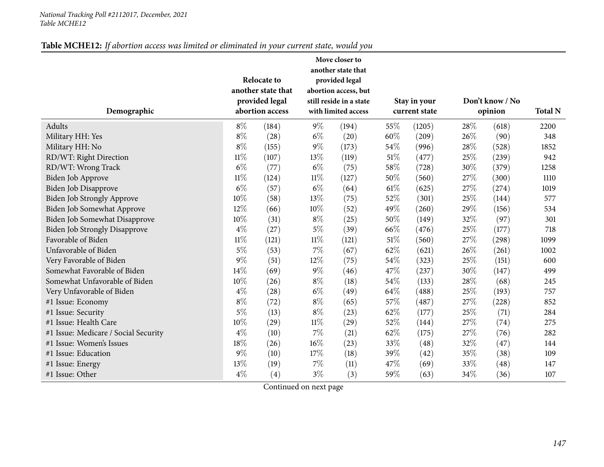#### *National Tracking Poll #2112017, December, <sup>2021</sup> Table MCHE12*

## Table MCHE12: If abortion access was limited or eliminated in your current state, would you

| Demographic                          |        | <b>Relocate to</b><br>another state that<br>provided legal<br>abortion access |        | Move closer to<br>another state that<br>provided legal<br>abortion access, but<br>still reside in a state<br>with limited access |        | Stay in your<br>current state |      | Don't know / No<br>opinion | <b>Total N</b> |
|--------------------------------------|--------|-------------------------------------------------------------------------------|--------|----------------------------------------------------------------------------------------------------------------------------------|--------|-------------------------------|------|----------------------------|----------------|
| Adults                               | $8\%$  | (184)                                                                         | $9\%$  | (194)                                                                                                                            | 55%    | (1205)                        | 28\% | (618)                      | 2200           |
| Military HH: Yes                     | $8\%$  | (28)                                                                          | $6\%$  | (20)                                                                                                                             | 60%    | (209)                         | 26%  | (90)                       | 348            |
| Military HH: No                      | $8\%$  | (155)                                                                         | $9\%$  | (173)                                                                                                                            | 54\%   | (996)                         | 28%  | (528)                      | 1852           |
| RD/WT: Right Direction               | $11\%$ | (107)                                                                         | 13\%   | (119)                                                                                                                            | $51\%$ | (477)                         | 25%  | (239)                      | 942            |
| RD/WT: Wrong Track                   | $6\%$  | (77)                                                                          | $6\%$  | (75)                                                                                                                             | 58%    | (728)                         | 30%  | (379)                      | 1258           |
| <b>Biden Job Approve</b>             | $11\%$ | (124)                                                                         | $11\%$ | (127)                                                                                                                            | 50%    | (560)                         | 27%  | (300)                      | 1110           |
| <b>Biden Job Disapprove</b>          | $6\%$  | (57)                                                                          | $6\%$  | (64)                                                                                                                             | 61\%   | (625)                         | 27%  | (274)                      | 1019           |
| Biden Job Strongly Approve           | 10%    | (58)                                                                          | 13%    | (75)                                                                                                                             | 52%    | (301)                         | 25%  | (144)                      | 577            |
| Biden Job Somewhat Approve           | 12%    | (66)                                                                          | $10\%$ | (52)                                                                                                                             | 49%    | (260)                         | 29%  | (156)                      | 534            |
| Biden Job Somewhat Disapprove        | 10%    | (31)                                                                          | $8\%$  | (25)                                                                                                                             | 50%    | (149)                         | 32%  | (97)                       | 301            |
| <b>Biden Job Strongly Disapprove</b> | $4\%$  | (27)                                                                          | $5\%$  | (39)                                                                                                                             | 66%    | (476)                         | 25%  | (177)                      | 718            |
| Favorable of Biden                   | $11\%$ | (121)                                                                         | $11\%$ | (121)                                                                                                                            | $51\%$ | (560)                         | 27%  | (298)                      | 1099           |
| Unfavorable of Biden                 | $5\%$  | (53)                                                                          | 7%     | (67)                                                                                                                             | 62%    | (621)                         | 26%  | (261)                      | 1002           |
| Very Favorable of Biden              | $9\%$  | (51)                                                                          | $12\%$ | (75)                                                                                                                             | 54%    | (323)                         | 25%  | (151)                      | 600            |
| Somewhat Favorable of Biden          | 14%    | (69)                                                                          | $9\%$  | (46)                                                                                                                             | 47%    | (237)                         | 30%  | (147)                      | 499            |
| Somewhat Unfavorable of Biden        | 10%    | (26)                                                                          | $8\%$  | (18)                                                                                                                             | 54%    | (133)                         | 28\% | (68)                       | 245            |
| Very Unfavorable of Biden            | $4\%$  | (28)                                                                          | $6\%$  | (49)                                                                                                                             | 64\%   | (488)                         | 25%  | (193)                      | 757            |
| #1 Issue: Economy                    | $8\%$  | (72)                                                                          | $8\%$  | (65)                                                                                                                             | 57%    | (487)                         | 27%  | (228)                      | 852            |
| #1 Issue: Security                   | $5\%$  | (13)                                                                          | $8\%$  | (23)                                                                                                                             | 62%    | (177)                         | 25%  | (71)                       | 284            |
| #1 Issue: Health Care                | 10%    | (29)                                                                          | $11\%$ | (29)                                                                                                                             | 52%    | (144)                         | 27%  | (74)                       | 275            |
| #1 Issue: Medicare / Social Security | $4\%$  | (10)                                                                          | $7\%$  | (21)                                                                                                                             | 62%    | (175)                         | 27%  | (76)                       | 282            |
| #1 Issue: Women's Issues             | 18%    | (26)                                                                          | $16\%$ | (23)                                                                                                                             | 33%    | (48)                          | 32%  | (47)                       | 144            |
| #1 Issue: Education                  | $9\%$  | (10)                                                                          | 17%    | (18)                                                                                                                             | 39%    | (42)                          | 35%  | (38)                       | 109            |
| #1 Issue: Energy                     | 13%    | (19)                                                                          | $7\%$  | (11)                                                                                                                             | 47%    | (69)                          | 33%  | (48)                       | 147            |
| #1 Issue: Other                      | $4\%$  | (4)                                                                           | $3\%$  | (3)                                                                                                                              | 59%    | (63)                          | 34%  | (36)                       | 107            |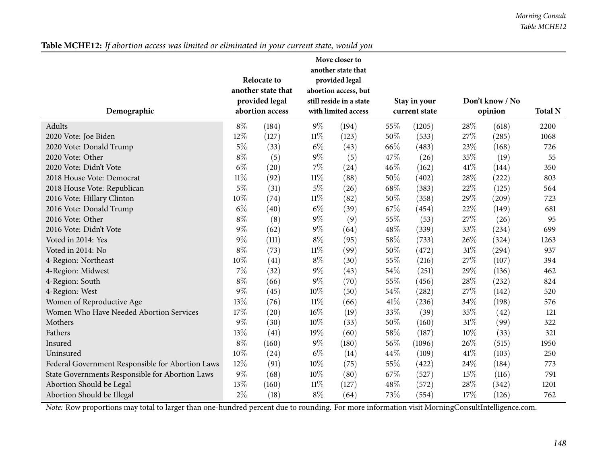| Table MCHE12: If abortion access was limited or eliminated in your current state, would you |  |  |  |  |  |  |  |  |
|---------------------------------------------------------------------------------------------|--|--|--|--|--|--|--|--|
|---------------------------------------------------------------------------------------------|--|--|--|--|--|--|--|--|

| Demographic                                      |        | <b>Relocate to</b><br>another state that<br>provided legal<br>abortion access |        | Move closer to<br>another state that<br>provided legal<br>abortion access, but<br>still reside in a state<br>with limited access |      | Stay in your<br>current state |        | Don't know / No<br>opinion | <b>Total N</b> |
|--------------------------------------------------|--------|-------------------------------------------------------------------------------|--------|----------------------------------------------------------------------------------------------------------------------------------|------|-------------------------------|--------|----------------------------|----------------|
| Adults                                           | $8\%$  | (184)                                                                         | $9\%$  | (194)                                                                                                                            | 55%  | (1205)                        | 28%    | (618)                      | 2200           |
| 2020 Vote: Joe Biden                             | 12%    | (127)                                                                         | $11\%$ | (123)                                                                                                                            | 50%  | (533)                         | 27%    | (285)                      | 1068           |
| 2020 Vote: Donald Trump                          | $5\%$  | (33)                                                                          | $6\%$  | (43)                                                                                                                             | 66%  | (483)                         | 23%    | (168)                      | 726            |
| 2020 Vote: Other                                 | $8\%$  | (5)                                                                           | $9\%$  | (5)                                                                                                                              | 47%  | (26)                          | 35%    | (19)                       | 55             |
| 2020 Vote: Didn't Vote                           | $6\%$  | (20)                                                                          | $7\%$  | (24)                                                                                                                             | 46%  | (162)                         | 41\%   | (144)                      | 350            |
| 2018 House Vote: Democrat                        | $11\%$ | (92)                                                                          | $11\%$ | (88)                                                                                                                             | 50%  | (402)                         | 28%    | (222)                      | 803            |
| 2018 House Vote: Republican                      | $5\%$  | (31)                                                                          | $5\%$  | (26)                                                                                                                             | 68%  | (383)                         | 22%    | (125)                      | 564            |
| 2016 Vote: Hillary Clinton                       | 10%    | (74)                                                                          | $11\%$ | (82)                                                                                                                             | 50%  | (358)                         | 29%    | (209)                      | 723            |
| 2016 Vote: Donald Trump                          | $6\%$  | (40)                                                                          | $6\%$  | (39)                                                                                                                             | 67%  | (454)                         | 22%    | (149)                      | 681            |
| 2016 Vote: Other                                 | $8\%$  | (8)                                                                           | $9\%$  | (9)                                                                                                                              | 55%  | (53)                          | 27%    | (26)                       | 95             |
| 2016 Vote: Didn't Vote                           | $9\%$  | (62)                                                                          | $9\%$  | (64)                                                                                                                             | 48%  | (339)                         | 33%    | (234)                      | 699            |
| Voted in 2014: Yes                               | $9\%$  | (111)                                                                         | $8\%$  | (95)                                                                                                                             | 58%  | (733)                         | 26%    | (324)                      | 1263           |
| Voted in 2014: No                                | $8\%$  | (73)                                                                          | $11\%$ | (99)                                                                                                                             | 50%  | (472)                         | $31\%$ | (294)                      | 937            |
| 4-Region: Northeast                              | 10%    | (41)                                                                          | $8\%$  | (30)                                                                                                                             | 55%  | (216)                         | 27%    | (107)                      | 394            |
| 4-Region: Midwest                                | $7\%$  | (32)                                                                          | $9\%$  | (43)                                                                                                                             | 54%  | (251)                         | 29%    | (136)                      | 462            |
| 4-Region: South                                  | $8\%$  | (66)                                                                          | $9\%$  | (70)                                                                                                                             | 55%  | (456)                         | 28%    | (232)                      | 824            |
| 4-Region: West                                   | $9\%$  | (45)                                                                          | 10%    | (50)                                                                                                                             | 54%  | (282)                         | 27%    | (142)                      | 520            |
| Women of Reproductive Age                        | 13%    | (76)                                                                          | $11\%$ | (66)                                                                                                                             | 41\% | (236)                         | 34%    | (198)                      | 576            |
| Women Who Have Needed Abortion Services          | 17%    | (20)                                                                          | $16\%$ | (19)                                                                                                                             | 33%  | (39)                          | 35%    | (42)                       | 121            |
| Mothers                                          | $9\%$  | (30)                                                                          | 10%    | (33)                                                                                                                             | 50%  | (160)                         | 31%    | (99)                       | 322            |
| Fathers                                          | 13%    | (41)                                                                          | 19%    | (60)                                                                                                                             | 58%  | (187)                         | 10%    | (33)                       | 321            |
| Insured                                          | $8\%$  | (160)                                                                         | $9\%$  | (180)                                                                                                                            | 56%  | (1096)                        | 26%    | (515)                      | 1950           |
| Uninsured                                        | 10%    | (24)                                                                          | $6\%$  | (14)                                                                                                                             | 44%  | (109)                         | 41\%   | (103)                      | 250            |
| Federal Government Responsible for Abortion Laws | 12%    | (91)                                                                          | 10%    | (75)                                                                                                                             | 55%  | (422)                         | 24%    | (184)                      | 773            |
| State Governments Responsible for Abortion Laws  | $9\%$  | (68)                                                                          | $10\%$ | (80)                                                                                                                             | 67%  | (527)                         | 15%    | (116)                      | 791            |
| Abortion Should be Legal                         | 13%    | (160)                                                                         | $11\%$ | (127)                                                                                                                            | 48%  | (572)                         | 28\%   | (342)                      | 1201           |
| Abortion Should be Illegal                       | $2\%$  | (18)                                                                          | $8\%$  | (64)                                                                                                                             | 73%  | (554)                         | 17%    | (126)                      | 762            |

*Note:* Row proportions may total to larger than one-hundred percen<sup>t</sup> due to rounding. For more information visit [MorningConsultIntelligence.com](https://morningconsultintelligence.com).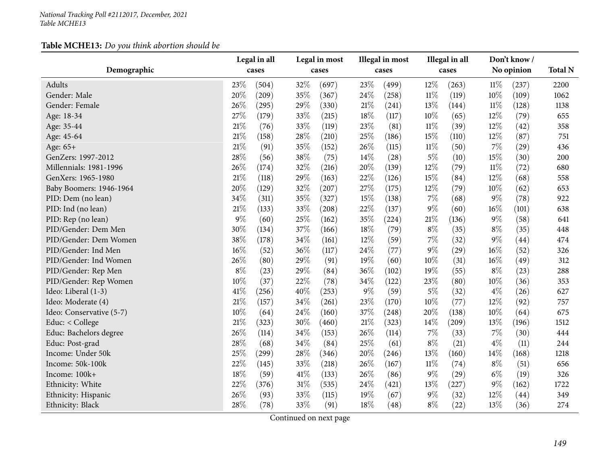|                          |       | Legal in all |      | Legal in most |        | Illegal in most |        | Illegal in all |        | Don't know/ |                |
|--------------------------|-------|--------------|------|---------------|--------|-----------------|--------|----------------|--------|-------------|----------------|
| Demographic              |       | cases        |      | cases         |        | cases           |        | cases          |        | No opinion  | <b>Total N</b> |
| Adults                   | 23%   | (504)        | 32%  | (697)         | 23%    | (499)           | 12%    | (263)          | $11\%$ | (237)       | 2200           |
| Gender: Male             | 20%   | (209)        | 35%  | (367)         | 24%    | (258)           | $11\%$ | (119)          | 10%    | (109)       | 1062           |
| Gender: Female           | 26%   | (295)        | 29%  | (330)         | 21%    | (241)           | 13%    | (144)          | $11\%$ | (128)       | 1138           |
| Age: 18-34               | 27%   | (179)        | 33%  | (215)         | 18%    | (117)           | $10\%$ | (65)           | 12%    | (79)        | 655            |
| Age: 35-44               | 21%   | (76)         | 33%  | (119)         | 23\%   | (81)            | $11\%$ | (39)           | 12%    | (42)        | 358            |
| Age: 45-64               | 21%   | (158)        | 28%  | (210)         | 25%    | (186)           | 15%    | (110)          | 12%    | (87)        | 751            |
| Age: 65+                 | 21%   | (91)         | 35%  | (152)         | 26\%   | (115)           | $11\%$ | (50)           | $7\%$  | (29)        | 436            |
| GenZers: 1997-2012       | 28%   | (56)         | 38%  | (75)          | $14\%$ | (28)            | $5\%$  | (10)           | 15%    | (30)        | 200            |
| Millennials: 1981-1996   | 26%   | (174)        | 32%  | (216)         | 20%    | (139)           | 12%    | (79)           | $11\%$ | (72)        | 680            |
| GenXers: 1965-1980       | 21%   | (118)        | 29%  | (163)         | 22%    | (126)           | 15%    | (84)           | 12%    | (68)        | 558            |
| Baby Boomers: 1946-1964  | 20%   | (129)        | 32%  | (207)         | 27%    | (175)           | 12\%   | (79)           | $10\%$ | (62)        | 653            |
| PID: Dem (no lean)       | 34%   | (311)        | 35%  | (327)         | 15%    | (138)           | $7\%$  | (68)           | 9%     | (78)        | 922            |
| PID: Ind (no lean)       | 21%   | (133)        | 33%  | (208)         | 22%    | (137)           | $9\%$  | (60)           | 16%    | (101)       | 638            |
| PID: Rep (no lean)       | $9\%$ | (60)         | 25%  | (162)         | 35%    | (224)           | 21%    | (136)          | $9\%$  | (58)        | 641            |
| PID/Gender: Dem Men      | 30%   | (134)        | 37%  | (166)         | 18%    | (79)            | $8\%$  | (35)           | $8\%$  | (35)        | 448            |
| PID/Gender: Dem Women    | 38%   | (178)        | 34%  | (161)         | 12%    | (59)            | $7\%$  | (32)           | $9\%$  | (44)        | 474            |
| PID/Gender: Ind Men      | 16%   | (52)         | 36%  | (117)         | 24%    | (77)            | $9\%$  | (29)           | 16%    | (52)        | 326            |
| PID/Gender: Ind Women    | 26%   | (80)         | 29%  | (91)          | 19%    | (60)            | $10\%$ | (31)           | $16\%$ | (49)        | 312            |
| PID/Gender: Rep Men      | $8\%$ | (23)         | 29%  | (84)          | 36%    | (102)           | 19%    | (55)           | $8\%$  | (23)        | 288            |
| PID/Gender: Rep Women    | 10%   | (37)         | 22%  | (78)          | 34\%   | (122)           | 23\%   | (80)           | $10\%$ | (36)        | 353            |
| Ideo: Liberal (1-3)      | 41\%  | (256)        | 40%  | (253)         | $9\%$  | (59)            | $5\%$  | (32)           | $4\%$  | (26)        | 627            |
| Ideo: Moderate (4)       | 21%   | (157)        | 34%  | (261)         | 23%    | (170)           | $10\%$ | (77)           | $12\%$ | (92)        | 757            |
| Ideo: Conservative (5-7) | 10%   | (64)         | 24%  | (160)         | 37%    | (248)           | 20%    | (138)          | $10\%$ | (64)        | 675            |
| Educ: < College          | 21%   | (323)        | 30%  | (460)         | 21%    | (323)           | 14%    | (209)          | 13%    | (196)       | 1512           |
| Educ: Bachelors degree   | 26%   | (114)        | 34%  | (153)         | 26%    | (114)           | 7%     | (33)           | 7%     | (30)        | 444            |
| Educ: Post-grad          | 28%   | (68)         | 34%  | (84)          | 25%    | (61)            | $8\%$  | (21)           | $4\%$  | (11)        | 244            |
| Income: Under 50k        | 25%   | (299)        | 28\% | (346)         | 20%    | (246)           | 13\%   | (160)          | 14\%   | (168)       | 1218           |
| Income: 50k-100k         | 22%   | (145)        | 33%  | (218)         | 26\%   | (167)           | $11\%$ | (74)           | $8\%$  | (51)        | 656            |
| Income: 100k+            | 18%   | (59)         | 41\% | (133)         | 26%    | (86)            | $9\%$  | (29)           | $6\%$  | (19)        | 326            |
| Ethnicity: White         | 22%   | (376)        | 31%  | (535)         | 24%    | (421)           | 13\%   | (227)          | 9%     | (162)       | 1722           |
| Ethnicity: Hispanic      | 26%   | (93)         | 33%  | (115)         | 19%    | (67)            | $9\%$  | (32)           | 12%    | (44)        | 349            |
| Ethnicity: Black         | 28%   | (78)         | 33%  | (91)          | 18%    | (48)            | $8\%$  | (22)           | 13%    | (36)        | 274            |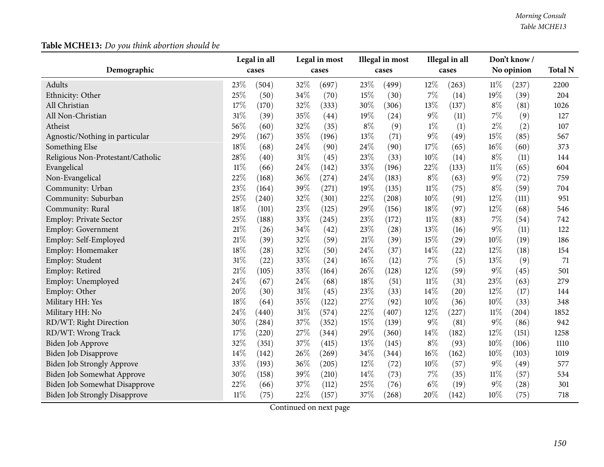| Demographic                          | Legal in all<br>cases | Legal in most<br>cases | Illegal in most<br>cases | Illegal in all<br>cases | Don't know/<br>No opinion     | <b>Total N</b> |
|--------------------------------------|-----------------------|------------------------|--------------------------|-------------------------|-------------------------------|----------------|
|                                      |                       |                        |                          |                         |                               |                |
| Adults                               | 23%<br>(504)          | 32%<br>(697)           | 23\%<br>(499)            | 12%<br>(263)            | $11\%$<br>(237)               | 2200           |
| Ethnicity: Other                     | $25\%$<br>(50)        | 34%<br>(70)            | 15%<br>(30)              | $7\%$<br>(14)           | 19%<br>(39)                   | 204            |
| All Christian                        | 17%<br>(170)          | 32%<br>(333)           | 30%<br>(306)             | 13%<br>(137)            | $8\%$<br>(81)                 | 1026           |
| All Non-Christian                    | $31\%$<br>(39)        | 35%<br>(44)            | 19%<br>(24)              | $9\%$<br>(11)           | $7\%$<br>(9)                  | 127            |
| Atheist                              | 56%<br>(60)           | 32%<br>(35)            | $8\%$<br>(9)             | $1\%$<br>(1)            | $2\%$<br>(2)                  | 107            |
| Agnostic/Nothing in particular       | 29%<br>(167)          | 35%<br>(196)           | 13%<br>(71)              | $9\%$<br>(49)           | 15%<br>(85)                   | 567            |
| Something Else                       | 18%<br>(68)           | 24\%<br>(90)           | 24\%<br>(90)             | 17%<br>(65)             | $16\%$<br>(60)                | 373            |
| Religious Non-Protestant/Catholic    | 28%<br>(40)           | 31%<br>(45)            | 23%<br>(33)              | 10%<br>(14)             | $8\%$<br>(11)                 | 144            |
| Evangelical                          | $11\%$<br>(66)        | 24%<br>(142)           | 33%<br>(196)             | 22%<br>(133)            | $11\%$<br>(65)                | 604            |
| Non-Evangelical                      | 22%<br>(168)          | 36%<br>(274)           | 24\%<br>(183)            | $8\%$<br>(63)           | $9\%$<br>(72)                 | 759            |
| Community: Urban                     | 23%<br>(164)          | 39%<br>(271)           | 19%<br>(135)             | $11\%$<br>(75)          | $8\%$<br>(59)                 | 704            |
| Community: Suburban                  | 25%<br>(240)          | 32%<br>(301)           | 22%<br>(208)             | 10%<br>(91)             | 12%<br>(111)                  | 951            |
| Community: Rural                     | 18%<br>(101)          | 23%<br>(125)           | 29%<br>(156)             | 18%<br>(97)             | 12%<br>(68)                   | 546            |
| <b>Employ: Private Sector</b>        | 25%<br>(188)          | 33%<br>(245)           | 23\%<br>(172)            | $11\%$<br>(83)          | $7\%$<br>(54)                 | 742            |
| <b>Employ: Government</b>            | 21%<br>(26)           | 34%<br>(42)            | 23%<br>(28)              | $13\%$<br>(16)          | $9\%$<br>(11)                 | 122            |
| Employ: Self-Employed                | $21\%$<br>(39)        | 32%<br>(59)            | $21\%$<br>(39)           | 15%<br>(29)             | 10%<br>(19)                   | 186            |
| Employ: Homemaker                    | 18%<br>(28)           | 32%<br>(50)            | 24\%<br>(37)             | 14%<br>(22)             | 12%<br>(18)                   | 154            |
| Employ: Student                      | 31%<br>(22)           | 33%<br>(24)            | 16%<br>(12)              | $7\%$<br>(5)            | 13%<br>(9)                    | 71             |
| Employ: Retired                      | 21%<br>(105)          | 33%<br>(164)           | 26%<br>(128)             | 12%<br>(59)             | 9%<br>(45)                    | 501            |
| Employ: Unemployed                   | 24%<br>(67)           | 24%<br>(68)            | 18%<br>(51)              | $11\%$<br>(31)          | 23%<br>(63)                   | 279            |
| Employ: Other                        | 20%<br>(30)           | 31%<br>(45)            | 23%<br>(33)              | 14%<br>(20)             | 12%<br>(17)                   | 144            |
| Military HH: Yes                     | 18%<br>(64)           | 35%<br>(122)           | 27%<br>(92)              | 10%<br>(36)             | 10%<br>(33)                   | 348            |
| Military HH: No                      | 24%<br>(440)          | $31\%$<br>(574)        | 22%<br>(407)             | $12\%$<br>(227)         | $11\%$<br>$\left( 204\right)$ | 1852           |
| RD/WT: Right Direction               | 30%<br>(284)          | 37%<br>(352)           | 15%<br>(139)             | $9\%$<br>(81)           | $9\%$<br>(86)                 | 942            |
| RD/WT: Wrong Track                   | 17%<br>(220)          | 27%<br>(344)           | 29%<br>(360)             | 14%<br>(182)            | 12%<br>(151)                  | 1258           |
| Biden Job Approve                    | 32%<br>(351)          | 37%<br>(415)           | 13%<br>(145)             | $8\%$<br>(93)           | 10%<br>(106)                  | 1110           |
| Biden Job Disapprove                 | 14%<br>(142)          | 26%<br>(269)           | 34\%<br>(344)            | $16\%$<br>(162)         | $10\%$<br>(103)               | 1019           |
| <b>Biden Job Strongly Approve</b>    | 33%<br>(193)          | 36%<br>(205)           | $12\%$<br>(72)           | $10\%$<br>(57)          | $9\%$<br>(49)                 | 577            |
| Biden Job Somewhat Approve           | 30%<br>(158)          | 39%<br>(210)           | 14%<br>(73)              | $7\%$<br>(35)           | $11\%$<br>(57)                | 534            |
| Biden Job Somewhat Disapprove        | 22%<br>(66)           | 37%<br>(112)           | 25%<br>(76)              | $6\%$<br>(19)           | 9%<br>(28)                    | 301            |
| <b>Biden Job Strongly Disapprove</b> | $11\%$<br>(75)        | 22%<br>(157)           | 37%<br>(268)             | 20%<br>(142)            | 10%<br>(75)                   | 718            |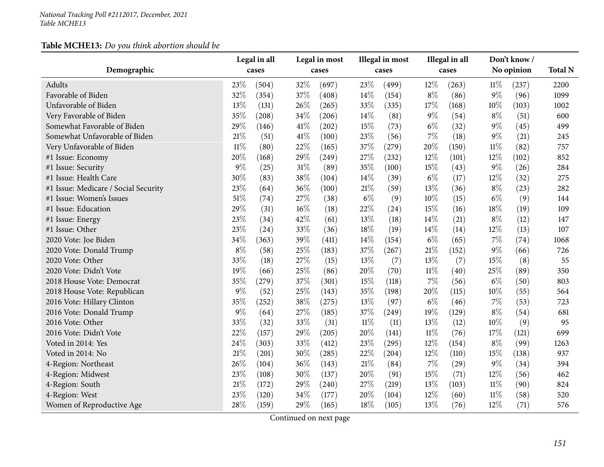|                                      |        | Legal in all |      | Legal in most |        | Illegal in most |        | Illegal in all |        | Don't know / |                |
|--------------------------------------|--------|--------------|------|---------------|--------|-----------------|--------|----------------|--------|--------------|----------------|
| Demographic                          |        | cases        |      | cases         |        | cases           |        | cases          |        | No opinion   | <b>Total N</b> |
| Adults                               | 23%    | (504)        | 32%  | (697)         | 23%    | (499)           | 12%    | (263)          | 11%    | (237)        | 2200           |
| Favorable of Biden                   | 32%    | (354)        | 37%  | (408)         | 14%    | (154)           | $8\%$  | (86)           | $9\%$  | (96)         | 1099           |
| Unfavorable of Biden                 | 13%    | (131)        | 26%  | (265)         | 33%    | (335)           | 17%    | (168)          | 10%    | (103)        | 1002           |
| Very Favorable of Biden              | 35%    | (208)        | 34%  | (206)         | 14%    | (81)            | 9%     | (54)           | $8\%$  | (51)         | 600            |
| Somewhat Favorable of Biden          | 29%    | (146)        | 41\% | (202)         | 15%    | (73)            | $6\%$  | (32)           | $9\%$  | (45)         | 499            |
| Somewhat Unfavorable of Biden        | 21%    | (51)         | 41\% | (100)         | 23%    | (56)            | 7%     | (18)           | $9\%$  | (21)         | 245            |
| Very Unfavorable of Biden            | $11\%$ | (80)         | 22%  | (165)         | 37%    | (279)           | 20%    | (150)          | $11\%$ | (82)         | 757            |
| #1 Issue: Economy                    | 20%    | (168)        | 29%  | (249)         | 27%    | (232)           | 12%    | (101)          | 12%    | (102)        | 852            |
| #1 Issue: Security                   | 9%     | (25)         | 31%  | (89)          | 35%    | (100)           | 15%    | (43)           | $9\%$  | (26)         | 284            |
| #1 Issue: Health Care                | 30%    | (83)         | 38%  | (104)         | 14%    | (39)            | $6\%$  | (17)           | $12\%$ | (32)         | 275            |
| #1 Issue: Medicare / Social Security | 23%    | (64)         | 36%  | (100)         | $21\%$ | (59)            | 13%    | (36)           | $8\%$  | (23)         | 282            |
| #1 Issue: Women's Issues             | 51%    | (74)         | 27%  | (38)          | $6\%$  | (9)             | 10%    | (15)           | $6\%$  | (9)          | 144            |
| #1 Issue: Education                  | $29\%$ | (31)         | 16%  | (18)          | 22%    | (24)            | 15%    | (16)           | 18%    | (19)         | 109            |
| #1 Issue: Energy                     | 23%    | (34)         | 42%  | (61)          | 13%    | (18)            | 14%    | (21)           | $8\%$  | (12)         | 147            |
| #1 Issue: Other                      | 23%    | (24)         | 33%  | (36)          | 18%    | (19)            | 14\%   | (14)           | 12%    | (13)         | 107            |
| 2020 Vote: Joe Biden                 | 34%    | (363)        | 39%  | (411)         | 14%    | (154)           | $6\%$  | (65)           | 7%     | (74)         | 1068           |
| 2020 Vote: Donald Trump              | $8\%$  | (58)         | 25%  | (183)         | 37%    | (267)           | 21%    | (152)          | $9\%$  | (66)         | 726            |
| 2020 Vote: Other                     | 33%    | (18)         | 27%  | (15)          | 13%    | (7)             | 13%    | (7)            | 15%    | (8)          | 55             |
| 2020 Vote: Didn't Vote               | 19%    | (66)         | 25%  | (86)          | 20%    | (70)            | $11\%$ | (40)           | 25%    | (89)         | 350            |
| 2018 House Vote: Democrat            | 35%    | (279)        | 37%  | (301)         | 15%    | (118)           | 7%     | (56)           | $6\%$  | (50)         | 803            |
| 2018 House Vote: Republican          | 9%     | (52)         | 25%  | (143)         | 35%    | (198)           | 20%    | (115)          | 10%    | (55)         | 564            |
| 2016 Vote: Hillary Clinton           | 35%    | (252)        | 38%  | (275)         | 13%    | (97)            | $6\%$  | (46)           | 7%     | (53)         | 723            |
| 2016 Vote: Donald Trump              | 9%     | (64)         | 27%  | (185)         | 37%    | (249)           | 19%    | (129)          | $8\%$  | (54)         | 681            |
| 2016 Vote: Other                     | 33%    | (32)         | 33%  | (31)          | $11\%$ | (11)            | 13%    | (12)           | 10%    | (9)          | 95             |
| 2016 Vote: Didn't Vote               | 22%    | (157)        | 29%  | (205)         | 20%    | (141)           | 11%    | (76)           | 17%    | (121)        | 699            |
| Voted in 2014: Yes                   | 24%    | (303)        | 33%  | (412)         | 23%    | (295)           | 12%    | (154)          | $8\%$  | (99)         | 1263           |
| Voted in 2014: No                    | 21%    | (201)        | 30%  | (285)         | 22%    | (204)           | 12%    | (110)          | 15%    | (138)        | 937            |
| 4-Region: Northeast                  | 26%    | (104)        | 36%  | (143)         | 21%    | (84)            | 7%     | (29)           | $9\%$  | (34)         | 394            |
| 4-Region: Midwest                    | 23%    | (108)        | 30%  | (137)         | 20%    | (91)            | 15%    | (71)           | 12%    | (56)         | 462            |
| 4-Region: South                      | 21%    | (172)        | 29%  | (240)         | 27%    | (219)           | 13%    | (103)          | $11\%$ | (90)         | 824            |
| 4-Region: West                       | 23%    | (120)        | 34%  | (177)         | 20%    | (104)           | 12%    | (60)           | 11%    | (58)         | 520            |
| Women of Reproductive Age            | 28%    | (159)        | 29%  | (165)         | 18%    | (105)           | 13%    | (76)           | 12%    | (71)         | 576            |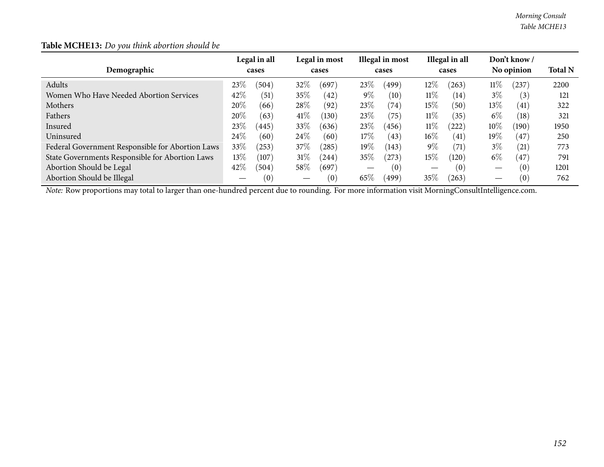| Demographic                                                                                                                                           |         | Legal in all<br>cases |      | Legal in most<br>cases |        | Illegal in most<br>cases |        | Illegal in all<br>cases |        | Don't know /<br>No opinion | <b>Total N</b> |
|-------------------------------------------------------------------------------------------------------------------------------------------------------|---------|-----------------------|------|------------------------|--------|--------------------------|--------|-------------------------|--------|----------------------------|----------------|
| Adults                                                                                                                                                | 23%     | (504)                 | 32%  | (697)                  | 23\%   | (499)                    | $12\%$ | (263)                   | $11\%$ | (237)                      | 2200           |
| Women Who Have Needed Abortion Services                                                                                                               | 42\%    | (51)                  | 35%  | (42)                   | $9\%$  | $\left(10\right)$        | $11\%$ | (14)                    | $3\%$  | (3)                        | 121            |
| Mothers                                                                                                                                               | 20%     | (66)                  | 28\% | (92)                   | 23\%   | (74)                     | $15\%$ | (50)                    | $13\%$ | (41)                       | 322            |
| Fathers                                                                                                                                               | 20%     | (63)                  | 41%  | (130)                  | 23\%   | (75)                     | $11\%$ | (35)                    | $6\%$  | (18)                       | 321            |
| Insured                                                                                                                                               | 23\%    | (445)                 | 33%  | (636)                  | 23\%   | (456)                    | $11\%$ | (222)                   | $10\%$ | (190)                      | 1950           |
| Uninsured                                                                                                                                             | 24%     | (60)                  | 24\% | (60)                   | $17\%$ | (43)                     | $16\%$ | (41)                    | $19\%$ | 47                         | 250            |
| Federal Government Responsible for Abortion Laws                                                                                                      | 33\%    | (253)                 | 37\% | (285)                  | $19\%$ | (143)                    | 9%     | (71)                    | $3\%$  | (21)                       | 773            |
| State Governments Responsible for Abortion Laws                                                                                                       | 13 $\%$ | (107)                 | 31%  | (244)                  | 35%    | (273)                    | $15\%$ | (120)                   | $6\%$  | (47)                       | 791            |
| Abortion Should be Legal                                                                                                                              | 42%     | (504)                 | 58\% | (697)                  |        | (0)                      |        | (0)                     |        | (0)                        | 1201           |
| Abortion Should be Illegal                                                                                                                            |         | (0)                   |      | (0)                    | 65\%   | (499)                    | 35\%   | (263)                   |        | (0)                        | 762            |
| <i>Note:</i> Row proportions may total to larger than one-hundred percent due to rounding. For more information visit MorningConsultIntelligence.com. |         |                       |      |                        |        |                          |        |                         |        |                            |                |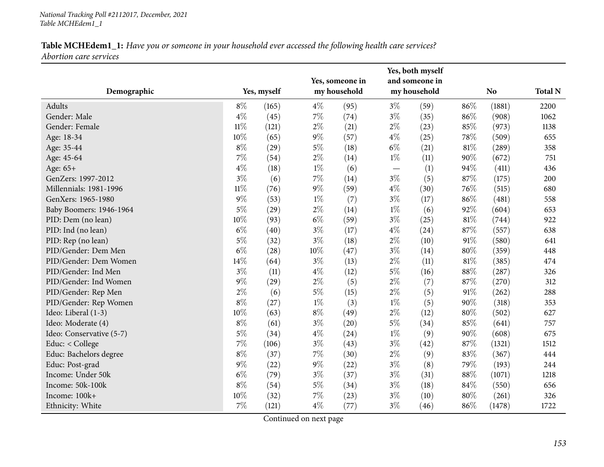| Demographic              | Yes, myself |       |        | Yes, someone in<br>my household |       | Yes, both myself<br>and someone in<br>my household |        | N <sub>o</sub> | <b>Total N</b> |
|--------------------------|-------------|-------|--------|---------------------------------|-------|----------------------------------------------------|--------|----------------|----------------|
| Adults                   | $8\%$       | (165) | $4\%$  | (95)                            | $3\%$ | (59)                                               | 86%    | (1881)         | 2200           |
| Gender: Male             | $4\%$       | (45)  | $7\%$  | (74)                            | $3\%$ | (35)                                               | 86%    | (908)          | 1062           |
| Gender: Female           | $11\%$      | (121) | $2\%$  | (21)                            | $2\%$ | (23)                                               | 85%    | (973)          | 1138           |
| Age: 18-34               | 10%         | (65)  | $9\%$  | (57)                            | $4\%$ | (25)                                               | 78%    | (509)          | 655            |
| Age: 35-44               | $8\%$       | (29)  | $5\%$  | (18)                            | $6\%$ | (21)                                               | 81%    | (289)          | 358            |
| Age: 45-64               | 7%          | (54)  | $2\%$  | (14)                            | $1\%$ | (11)                                               | 90%    | (672)          | 751            |
| Age: 65+                 | $4\%$       | (18)  | $1\%$  | (6)                             |       | (1)                                                | 94%    | (411)          | 436            |
| GenZers: 1997-2012       | $3\%$       | (6)   | $7\%$  | (14)                            | $3\%$ | (5)                                                | 87%    | (175)          | 200            |
| Millennials: 1981-1996   | $11\%$      | (76)  | $9\%$  | (59)                            | $4\%$ | (30)                                               | 76%    | (515)          | 680            |
| GenXers: 1965-1980       | $9\%$       | (53)  | $1\%$  | (7)                             | $3\%$ | (17)                                               | 86%    | (481)          | 558            |
| Baby Boomers: 1946-1964  | $5\%$       | (29)  | $2\%$  | (14)                            | $1\%$ | (6)                                                | 92%    | (604)          | 653            |
| PID: Dem (no lean)       | 10%         | (93)  | $6\%$  | (59)                            | $3\%$ | (25)                                               | 81%    | (744)          | 922            |
| PID: Ind (no lean)       | $6\%$       | (40)  | $3\%$  | (17)                            | $4\%$ | (24)                                               | 87%    | (557)          | 638            |
| PID: Rep (no lean)       | $5\%$       | (32)  | $3\%$  | (18)                            | $2\%$ | (10)                                               | 91%    | (580)          | 641            |
| PID/Gender: Dem Men      | $6\%$       | (28)  | $10\%$ | (47)                            | $3\%$ | (14)                                               | $80\%$ | (359)          | 448            |
| PID/Gender: Dem Women    | $14\%$      | (64)  | $3\%$  | (13)                            | $2\%$ | (11)                                               | $81\%$ | (385)          | 474            |
| PID/Gender: Ind Men      | $3\%$       | (11)  | $4\%$  | (12)                            | $5\%$ | (16)                                               | $88\%$ | (287)          | 326            |
| PID/Gender: Ind Women    | $9\%$       | (29)  | $2\%$  | (5)                             | $2\%$ | (7)                                                | 87%    | (270)          | 312            |
| PID/Gender: Rep Men      | $2\%$       | (6)   | $5\%$  | (15)                            | $2\%$ | (5)                                                | 91%    | (262)          | 288            |
| PID/Gender: Rep Women    | $8\%$       | (27)  | $1\%$  | (3)                             | $1\%$ | (5)                                                | 90%    | (318)          | 353            |
| Ideo: Liberal (1-3)      | 10%         | (63)  | $8\%$  | (49)                            | $2\%$ | (12)                                               | $80\%$ | (502)          | 627            |
| Ideo: Moderate (4)       | $8\%$       | (61)  | $3\%$  | (20)                            | $5\%$ | (34)                                               | 85%    | (641)          | 757            |
| Ideo: Conservative (5-7) | $5\%$       | (34)  | $4\%$  | (24)                            | $1\%$ | (9)                                                | 90%    | (608)          | 675            |
| Educ: < College          | $7\%$       | (106) | $3\%$  | (43)                            | $3\%$ | (42)                                               | 87%    | (1321)         | 1512           |
| Educ: Bachelors degree   | $8\%$       | (37)  | $7\%$  | (30)                            | $2\%$ | (9)                                                | 83%    | (367)          | 444            |
| Educ: Post-grad          | $9\%$       | (22)  | $9\%$  | (22)                            | $3\%$ | (8)                                                | 79%    | (193)          | 244            |
| Income: Under 50k        | $6\%$       | (79)  | $3\%$  | (37)                            | $3\%$ | (31)                                               | $88\%$ | (1071)         | 1218           |
| Income: 50k-100k         | $8\%$       | (54)  | $5\%$  | (34)                            | $3\%$ | (18)                                               | 84%    | (550)          | 656            |
| Income: 100k+            | 10%         | (32)  | $7\%$  | (23)                            | $3\%$ | (10)                                               | 80%    | (261)          | 326            |
| Ethnicity: White         | 7%          | (121) | $4\%$  | (77)                            | $3\%$ | (46)                                               | 86%    | (1478)         | 1722           |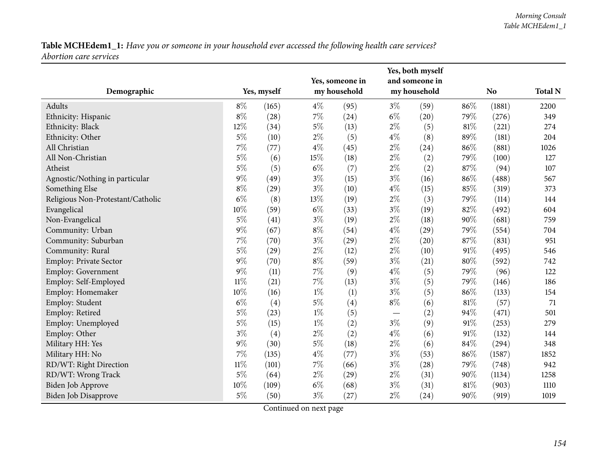| Demographic                       | Yes, myself |       |       | Yes, someone in<br>my household |       | Yes, both myself<br>and someone in<br>my household |        | N <sub>o</sub> |      |
|-----------------------------------|-------------|-------|-------|---------------------------------|-------|----------------------------------------------------|--------|----------------|------|
| Adults                            | $8\%$       | (165) | $4\%$ | (95)                            | $3\%$ | (59)                                               | 86%    | (1881)         | 2200 |
| Ethnicity: Hispanic               | $8\%$       | (28)  | 7%    | (24)                            | $6\%$ | (20)                                               | 79%    | (276)          | 349  |
| Ethnicity: Black                  | 12%         | (34)  | $5\%$ | (13)                            | $2\%$ | (5)                                                | 81%    | (221)          | 274  |
| Ethnicity: Other                  | 5%          | (10)  | $2\%$ | (5)                             | $4\%$ | (8)                                                | 89%    | (181)          | 204  |
| All Christian                     | 7%          | (77)  | $4\%$ | (45)                            | $2\%$ | (24)                                               | 86%    | (881)          | 1026 |
| All Non-Christian                 | $5\%$       | (6)   | 15%   | (18)                            | $2\%$ | (2)                                                | 79%    | (100)          | 127  |
| Atheist                           | $5\%$       | (5)   | $6\%$ | (7)                             | $2\%$ | (2)                                                | 87%    | (94)           | 107  |
| Agnostic/Nothing in particular    | $9\%$       | (49)  | $3\%$ | (15)                            | $3\%$ | (16)                                               | 86%    | (488)          | 567  |
| Something Else                    | $8\%$       | (29)  | $3\%$ | (10)                            | $4\%$ | (15)                                               | 85%    | (319)          | 373  |
| Religious Non-Protestant/Catholic | $6\%$       | (8)   | 13%   | (19)                            | $2\%$ | (3)                                                | 79%    | (114)          | 144  |
| Evangelical                       | $10\%$      | (59)  | $6\%$ | (33)                            | $3\%$ | (19)                                               | 82%    | (492)          | 604  |
| Non-Evangelical                   | $5\%$       | (41)  | $3\%$ | (19)                            | $2\%$ | (18)                                               | 90%    | (681)          | 759  |
| Community: Urban                  | $9\%$       | (67)  | $8\%$ | (54)                            | $4\%$ | (29)                                               | 79%    | (554)          | 704  |
| Community: Suburban               | 7%          | (70)  | $3\%$ | (29)                            | $2\%$ | (20)                                               | 87%    | (831)          | 951  |
| Community: Rural                  | 5%          | (29)  | $2\%$ | (12)                            | $2\%$ | (10)                                               | 91%    | (495)          | 546  |
| Employ: Private Sector            | 9%          | (70)  | $8\%$ | (59)                            | $3\%$ | (21)                                               | $80\%$ | (592)          | 742  |
| Employ: Government                | 9%          | (11)  | $7\%$ | (9)                             | $4\%$ | (5)                                                | 79%    | (96)           | 122  |
| Employ: Self-Employed             | $11\%$      | (21)  | $7\%$ | (13)                            | $3\%$ | (5)                                                | 79%    | (146)          | 186  |
| Employ: Homemaker                 | 10%         | (16)  | $1\%$ | (1)                             | $3\%$ | (5)                                                | 86%    | (133)          | 154  |
| Employ: Student                   | $6\%$       | (4)   | $5\%$ | (4)                             | $8\%$ | (6)                                                | 81%    | (57)           | 71   |
| Employ: Retired                   | $5\%$       | (23)  | $1\%$ | (5)                             |       | (2)                                                | 94%    | (471)          | 501  |
| Employ: Unemployed                | $5\%$       | (15)  | $1\%$ | (2)                             | $3\%$ | (9)                                                | 91%    | (253)          | 279  |
| Employ: Other                     | $3\%$       | (4)   | $2\%$ | (2)                             | $4\%$ | (6)                                                | 91%    | (132)          | 144  |
| Military HH: Yes                  | $9\%$       | (30)  | $5\%$ | (18)                            | $2\%$ | (6)                                                | 84%    | (294)          | 348  |
| Military HH: No                   | 7%          | (135) | $4\%$ | (77)                            | $3\%$ | (53)                                               | 86%    | (1587)         | 1852 |
| RD/WT: Right Direction            | $11\%$      | (101) | $7\%$ | (66)                            | $3\%$ | (28)                                               | 79%    | (748)          | 942  |
| RD/WT: Wrong Track                | $5\%$       | (64)  | $2\%$ | (29)                            | $2\%$ | (31)                                               | 90%    | (1134)         | 1258 |
| Biden Job Approve                 | 10%         | (109) | $6\%$ | (68)                            | $3\%$ | (31)                                               | 81%    | (903)          | 1110 |
| <b>Biden Job Disapprove</b>       | $5\%$       | (50)  | $3\%$ | (27)                            | $2\%$ | (24)                                               | 90%    | (919)          | 1019 |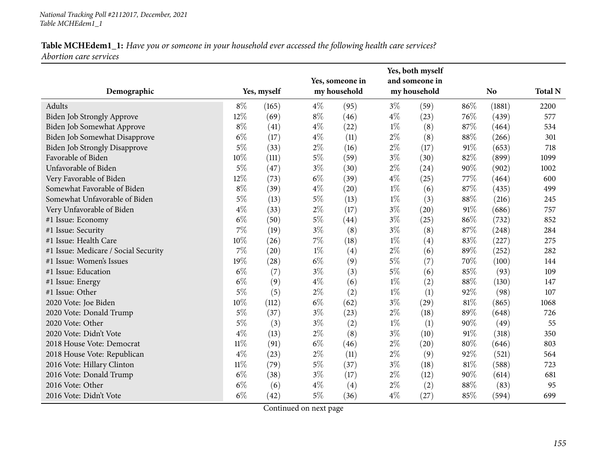| Demographic                          |        | Yes, myself |       | Yes, someone in<br>my household |       | Yes, both myself<br>and someone in<br>my household |     | <b>No</b> | <b>Total N</b> |
|--------------------------------------|--------|-------------|-------|---------------------------------|-------|----------------------------------------------------|-----|-----------|----------------|
| Adults                               | $8\%$  | (165)       | $4\%$ | (95)                            | $3\%$ | (59)                                               | 86% | (1881)    | 2200           |
| Biden Job Strongly Approve           | 12%    | (69)        | $8\%$ | (46)                            | $4\%$ | (23)                                               | 76% | (439)     | 577            |
| Biden Job Somewhat Approve           | $8\%$  | (41)        | $4\%$ | (22)                            | $1\%$ | (8)                                                | 87% | (464)     | 534            |
| Biden Job Somewhat Disapprove        | $6\%$  | (17)        | $4\%$ | (11)                            | $2\%$ | (8)                                                | 88% | (266)     | 301            |
| <b>Biden Job Strongly Disapprove</b> | $5\%$  | (33)        | $2\%$ | (16)                            | $2\%$ | (17)                                               | 91% | (653)     | 718            |
| Favorable of Biden                   | 10%    | (111)       | $5\%$ | (59)                            | $3\%$ | (30)                                               | 82% | (899)     | 1099           |
| Unfavorable of Biden                 | $5\%$  | (47)        | $3\%$ | (30)                            | $2\%$ | (24)                                               | 90% | (902)     | 1002           |
| Very Favorable of Biden              | 12%    | (73)        | $6\%$ | (39)                            | $4\%$ | (25)                                               | 77% | (464)     | 600            |
| Somewhat Favorable of Biden          | $8\%$  | (39)        | $4\%$ | (20)                            | $1\%$ | (6)                                                | 87% | (435)     | 499            |
| Somewhat Unfavorable of Biden        | $5\%$  | (13)        | $5\%$ | (13)                            | $1\%$ | (3)                                                | 88% | (216)     | 245            |
| Very Unfavorable of Biden            | $4\%$  | (33)        | $2\%$ | (17)                            | $3\%$ | (20)                                               | 91% | (686)     | 757            |
| #1 Issue: Economy                    | $6\%$  | (50)        | $5\%$ | (44)                            | $3\%$ | (25)                                               | 86% | (732)     | 852            |
| #1 Issue: Security                   | 7%     | (19)        | $3\%$ | (8)                             | $3\%$ | (8)                                                | 87% | (248)     | 284            |
| #1 Issue: Health Care                | 10%    | (26)        | $7\%$ | (18)                            | $1\%$ | (4)                                                | 83% | (227)     | 275            |
| #1 Issue: Medicare / Social Security | 7%     | (20)        | $1\%$ | (4)                             | $2\%$ | (6)                                                | 89% | (252)     | 282            |
| #1 Issue: Women's Issues             | 19%    | (28)        | $6\%$ | (9)                             | $5\%$ | (7)                                                | 70% | (100)     | 144            |
| #1 Issue: Education                  | $6\%$  | (7)         | $3\%$ | (3)                             | $5\%$ | (6)                                                | 85% | (93)      | 109            |
| #1 Issue: Energy                     | $6\%$  | (9)         | $4\%$ | (6)                             | $1\%$ | (2)                                                | 88% | (130)     | 147            |
| #1 Issue: Other                      | $5\%$  | (5)         | $2\%$ | (2)                             | $1\%$ | (1)                                                | 92% | (98)      | 107            |
| 2020 Vote: Joe Biden                 | 10%    | (112)       | $6\%$ | (62)                            | $3\%$ | (29)                                               | 81% | (865)     | 1068           |
| 2020 Vote: Donald Trump              | $5\%$  | (37)        | $3\%$ | (23)                            | $2\%$ | (18)                                               | 89% | (648)     | 726            |
| 2020 Vote: Other                     | $5\%$  | (3)         | $3\%$ | (2)                             | $1\%$ | (1)                                                | 90% | (49)      | 55             |
| 2020 Vote: Didn't Vote               | $4\%$  | (13)        | $2\%$ | (8)                             | $3\%$ | (10)                                               | 91% | (318)     | 350            |
| 2018 House Vote: Democrat            | $11\%$ | (91)        | $6\%$ | (46)                            | $2\%$ | (20)                                               | 80% | (646)     | 803            |
| 2018 House Vote: Republican          | $4\%$  | (23)        | $2\%$ | (11)                            | $2\%$ | (9)                                                | 92% | (521)     | 564            |
| 2016 Vote: Hillary Clinton           | $11\%$ | (79)        | $5\%$ | (37)                            | $3\%$ | (18)                                               | 81% | (588)     | 723            |
| 2016 Vote: Donald Trump              | $6\%$  | (38)        | $3\%$ | (17)                            | $2\%$ | (12)                                               | 90% | (614)     | 681            |
| 2016 Vote: Other                     | $6\%$  | (6)         | $4\%$ | (4)                             | $2\%$ | (2)                                                | 88% | (83)      | 95             |
| 2016 Vote: Didn't Vote               | $6\%$  | (42)        | 5%    | (36)                            | $4\%$ | (27)                                               | 85% | (594)     | 699            |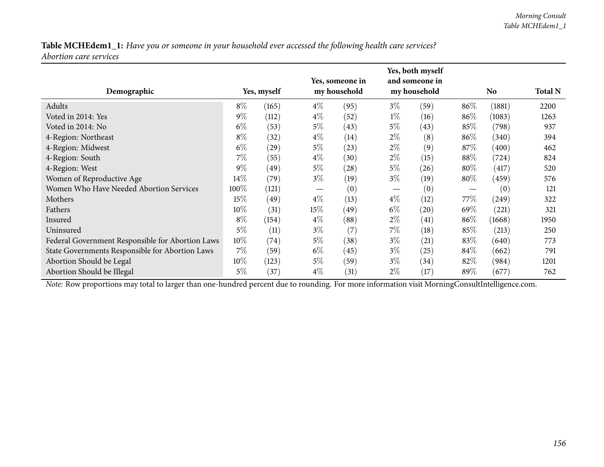| Demographic                                      | Yes, myself |       |                   | Yes, someone in<br>my household |                               | Yes, both myself<br>and someone in<br>my household |        | No.    |      |
|--------------------------------------------------|-------------|-------|-------------------|---------------------------------|-------------------------------|----------------------------------------------------|--------|--------|------|
| Adults                                           | $8\%$       | (165) | $4\%$             | (95)                            | $3\%$                         | (59)                                               | $86\%$ | (1881) | 2200 |
| Voted in 2014: Yes                               | $9\%$       | (112) | $4\%$             | (52)                            | $1\%$                         | (16)                                               | 86\%   | (1083) | 1263 |
| Voted in 2014: No                                | $6\%$       | (53)  | $5\%$             | (43)                            | $5\%$                         | (43)                                               | 85%    | (798)  | 937  |
| 4-Region: Northeast                              | $8\%$       | (32)  | $4\%$             | (14)                            | $2\%$                         | (8)                                                | 86\%   | (340)  | 394  |
| 4-Region: Midwest                                | $6\%$       | (29)  | $5\%$             | (23)                            | $2\%$                         | (9)                                                | 87\%   | (400)  | 462  |
| 4-Region: South                                  | 7%          | (55)  | $4\%$             | (30)                            | $2\%$                         | (15)                                               | 88\%   | (724)  | 824  |
| 4-Region: West                                   | $9\%$       | (49)  | $5\%$             | $\left( 28\right)$              | $5\%$                         | $^{(26)}$                                          | $80\%$ | (417)  | 520  |
| Women of Reproductive Age                        | $14\%$      | (79)  | $3\%$             | (19)                            | $3\%$                         | (19)                                               | 80%    | (459)  | 576  |
| Women Who Have Needed Abortion Services          | 100%        | (121) | $\hspace{0.05cm}$ | (0)                             | $\overbrace{\phantom{aaaaa}}$ | (0)                                                |        | (0)    | 121  |
| Mothers                                          | 15%         | (49)  | $4\%$             | (13)                            | $4\%$                         | (12)                                               | 77\%   | (249)  | 322  |
| Fathers                                          | 10%         | (31)  | 15%               | (49)                            | $6\%$                         | (20)                                               | 69%    | (221)  | 321  |
| Insured                                          | $8\%$       | (154) | $4\%$             | (88)                            | $2\%$                         | $\left( 41\right)$                                 | 86\%   | (1668) | 1950 |
| Uninsured                                        | 5%          | (11)  | $3\%$             | (7)                             | $7\%$                         | (18)                                               | $85\%$ | (213)  | 250  |
| Federal Government Responsible for Abortion Laws | $10\%$      | (74)  | $5\%$             | (38)                            | $3\%$                         | (21)                                               | 83\%   | (640)  | 773  |
| State Governments Responsible for Abortion Laws  | 7%          | (59)  | $6\%$             | (45)                            | $3\%$                         | (25)                                               | $84\%$ | (662)  | 791  |
| Abortion Should be Legal                         | 10%         | (123) | $5\%$             | (59)                            | $3\%$                         | (34)                                               | 82\%   | (984)  | 1201 |
| Abortion Should be Illegal                       | 5%          | (37)  | $4\%$             | (31)                            | $2\%$                         | (17)                                               | 89%    | (677)  | 762  |

*Note:* Row proportions may total to larger than one-hundred percen<sup>t</sup> due to rounding. For more information visit [MorningConsultIntelligence.com](https://morningconsultintelligence.com).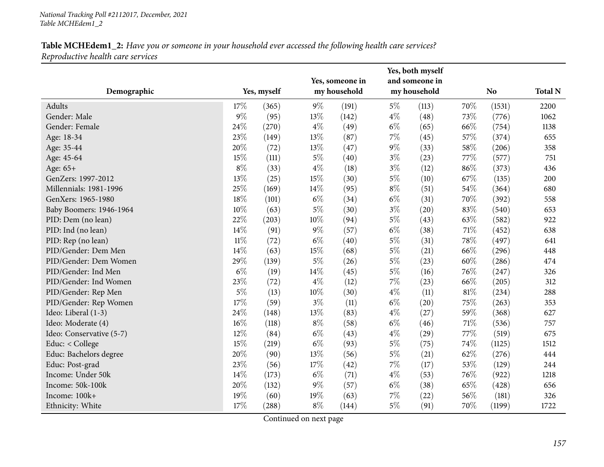| Demographic              |              | Yes, myself |        | Yes, someone in<br>my household |       | Yes, both myself<br>and someone in<br>my household |        | N <sub>o</sub> | <b>Total N</b> |
|--------------------------|--------------|-------------|--------|---------------------------------|-------|----------------------------------------------------|--------|----------------|----------------|
|                          |              |             |        |                                 |       |                                                    |        |                |                |
| Adults<br>Gender: Male   | 17%<br>$9\%$ | (365)       | $9\%$  | (191)                           | $5\%$ | (113)                                              | 70%    | (1531)         | 2200           |
|                          |              | (95)        | 13%    | (142)                           | $4\%$ | (48)                                               | 73%    | (776)          | 1062           |
| Gender: Female           | 24%          | (270)       | $4\%$  | (49)                            | $6\%$ | (65)                                               | 66%    | (754)          | 1138           |
| Age: 18-34               | 23%          | (149)       | 13%    | (87)                            | $7\%$ | (45)                                               | 57%    | (374)          | 655            |
| Age: 35-44               | 20%          | (72)        | 13%    | (47)                            | $9\%$ | (33)                                               | 58%    | (206)          | 358            |
| Age: 45-64               | 15%          | (111)       | $5\%$  | (40)                            | $3\%$ | (23)                                               | 77%    | (577)          | 751            |
| Age: 65+                 | $8\%$        | (33)        | $4\%$  | (18)                            | $3\%$ | (12)                                               | 86%    | (373)          | 436            |
| GenZers: 1997-2012       | 13%          | (25)        | 15%    | (30)                            | $5\%$ | (10)                                               | 67%    | (135)          | 200            |
| Millennials: 1981-1996   | 25%          | (169)       | 14%    | (95)                            | $8\%$ | (51)                                               | 54%    | (364)          | 680            |
| GenXers: 1965-1980       | 18%          | (101)       | $6\%$  | (34)                            | $6\%$ | (31)                                               | 70%    | (392)          | 558            |
| Baby Boomers: 1946-1964  | 10%          | (63)        | $5\%$  | (30)                            | $3\%$ | (20)                                               | 83%    | (540)          | 653            |
| PID: Dem (no lean)       | 22%          | (203)       | 10%    | (94)                            | $5\%$ | (43)                                               | 63%    | (582)          | 922            |
| PID: Ind (no lean)       | 14\%         | (91)        | $9\%$  | (57)                            | $6\%$ | (38)                                               | $71\%$ | (452)          | 638            |
| PID: Rep (no lean)       | $11\%$       | (72)        | $6\%$  | (40)                            | $5\%$ | (31)                                               | 78%    | (497)          | 641            |
| PID/Gender: Dem Men      | 14%          | (63)        | $15\%$ | (68)                            | $5\%$ | (21)                                               | 66%    | (296)          | 448            |
| PID/Gender: Dem Women    | 29%          | (139)       | $5\%$  | (26)                            | $5\%$ | (23)                                               | 60%    | (286)          | 474            |
| PID/Gender: Ind Men      | $6\%$        | (19)        | 14%    | (45)                            | $5\%$ | (16)                                               | 76%    | (247)          | 326            |
| PID/Gender: Ind Women    | 23%          | (72)        | $4\%$  | (12)                            | $7\%$ | (23)                                               | 66%    | (205)          | 312            |
| PID/Gender: Rep Men      | $5\%$        | (13)        | 10%    | (30)                            | $4\%$ | (11)                                               | $81\%$ | (234)          | 288            |
| PID/Gender: Rep Women    | 17%          | (59)        | $3\%$  | (11)                            | $6\%$ | (20)                                               | 75%    | (263)          | 353            |
| Ideo: Liberal (1-3)      | 24%          | (148)       | 13%    | (83)                            | $4\%$ | (27)                                               | 59%    | (368)          | 627            |
| Ideo: Moderate (4)       | 16%          | (118)       | $8\%$  | (58)                            | $6\%$ | (46)                                               | $71\%$ | (536)          | 757            |
| Ideo: Conservative (5-7) | 12%          | (84)        | $6\%$  | (43)                            | $4\%$ | (29)                                               | 77%    | (519)          | 675            |
| Educ: < College          | 15%          | (219)       | $6\%$  | (93)                            | $5\%$ | (75)                                               | 74%    | (1125)         | 1512           |
| Educ: Bachelors degree   | 20%          | (90)        | 13%    | (56)                            | $5\%$ | (21)                                               | 62%    | (276)          | 444            |
| Educ: Post-grad          | 23%          | (56)        | 17%    | (42)                            | $7\%$ | (17)                                               | 53%    | (129)          | 244            |
| Income: Under 50k        | 14%          | (173)       | $6\%$  | (71)                            | $4\%$ | (53)                                               | 76%    | (922)          | 1218           |
| Income: 50k-100k         | 20%          | (132)       | $9\%$  | (57)                            | $6\%$ | (38)                                               | 65%    | (428)          | 656            |
| Income: 100k+            | 19%          | (60)        | 19%    | (63)                            | $7\%$ | (22)                                               | 56%    | (181)          | 326            |
| Ethnicity: White         | 17%          | (288)       | $8\%$  | (144)                           | $5\%$ | (91)                                               | 70%    | (1199)         | 1722           |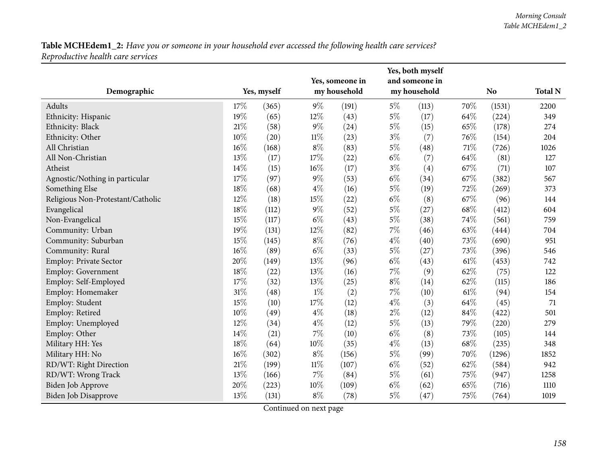| Demographic                       |        | Yes, myself |        | Yes, someone in<br>my household |       | Yes, both myself<br>and someone in<br>my household |        | N <sub>o</sub> | <b>Total N</b> |
|-----------------------------------|--------|-------------|--------|---------------------------------|-------|----------------------------------------------------|--------|----------------|----------------|
|                                   |        |             |        |                                 |       |                                                    |        |                |                |
| Adults                            | 17%    | (365)       | $9\%$  | (191)                           | $5\%$ | (113)                                              | 70%    | (1531)         | 2200           |
| Ethnicity: Hispanic               | 19%    | (65)        | 12%    | (43)                            | $5\%$ | (17)                                               | 64%    | (224)          | 349            |
| Ethnicity: Black                  | 21\%   | (58)        | $9\%$  | (24)                            | $5\%$ | (15)                                               | 65%    | (178)          | 274            |
| Ethnicity: Other                  | 10%    | (20)        | $11\%$ | (23)                            | $3\%$ | (7)                                                | 76%    | (154)          | 204            |
| All Christian                     | $16\%$ | (168)       | $8\%$  | (83)                            | $5\%$ | (48)                                               | 71%    | (726)          | 1026           |
| All Non-Christian                 | 13%    | (17)        | 17%    | (22)                            | $6\%$ | (7)                                                | 64%    | (81)           | 127            |
| Atheist                           | 14%    | (15)        | $16\%$ | (17)                            | $3\%$ | (4)                                                | 67%    | (71)           | 107            |
| Agnostic/Nothing in particular    | 17%    | (97)        | $9\%$  | (53)                            | $6\%$ | (34)                                               | 67%    | (382)          | 567            |
| Something Else                    | 18%    | (68)        | $4\%$  | (16)                            | $5\%$ | (19)                                               | 72%    | (269)          | 373            |
| Religious Non-Protestant/Catholic | 12%    | (18)        | 15%    | (22)                            | $6\%$ | (8)                                                | 67%    | (96)           | 144            |
| Evangelical                       | $18\%$ | (112)       | $9\%$  | (52)                            | $5\%$ | (27)                                               | 68%    | (412)          | 604            |
| Non-Evangelical                   | $15\%$ | (117)       | $6\%$  | (43)                            | $5\%$ | (38)                                               | 74%    | (561)          | 759            |
| Community: Urban                  | 19%    | (131)       | 12%    | (82)                            | $7\%$ | (46)                                               | 63%    | (444)          | 704            |
| Community: Suburban               | 15%    | (145)       | $8\%$  | (76)                            | $4\%$ | (40)                                               | 73%    | (690)          | 951            |
| Community: Rural                  | $16\%$ | (89)        | $6\%$  | (33)                            | $5\%$ | (27)                                               | 73%    | (396)          | 546            |
| <b>Employ: Private Sector</b>     | 20%    | (149)       | 13%    | (96)                            | $6\%$ | (43)                                               | $61\%$ | (453)          | 742            |
| <b>Employ: Government</b>         | $18\%$ | (22)        | 13%    | (16)                            | $7\%$ | (9)                                                | 62%    | (75)           | 122            |
| Employ: Self-Employed             | 17%    | (32)        | 13%    | (25)                            | $8\%$ | (14)                                               | 62%    | (115)          | 186            |
| Employ: Homemaker                 | 31%    | (48)        | $1\%$  | (2)                             | $7\%$ | (10)                                               | 61\%   | (94)           | 154            |
| Employ: Student                   | 15%    | (10)        | 17%    | (12)                            | $4\%$ | (3)                                                | 64%    | (45)           | 71             |
| Employ: Retired                   | 10%    | (49)        | $4\%$  | (18)                            | $2\%$ | (12)                                               | 84%    | (422)          | 501            |
| Employ: Unemployed                | 12%    | (34)        | $4\%$  | (12)                            | $5\%$ | (13)                                               | 79%    | (220)          | 279            |
| Employ: Other                     | 14%    | (21)        | $7\%$  | (10)                            | $6\%$ | (8)                                                | 73%    | (105)          | 144            |
| Military HH: Yes                  | 18%    | (64)        | 10%    | (35)                            | $4\%$ | (13)                                               | 68\%   | (235)          | 348            |
| Military HH: No                   | $16\%$ | (302)       | $8\%$  | (156)                           | $5\%$ | (99)                                               | 70%    | (1296)         | 1852           |
| RD/WT: Right Direction            | $21\%$ | (199)       | $11\%$ | (107)                           | $6\%$ | (52)                                               | 62%    | (584)          | 942            |
| RD/WT: Wrong Track                | 13%    | (166)       | $7\%$  | (84)                            | $5\%$ | (61)                                               | 75%    | (947)          | 1258           |
| Biden Job Approve                 | 20%    | (223)       | 10%    | (109)                           | $6\%$ | (62)                                               | 65%    | (716)          | 1110           |
| Biden Job Disapprove              | 13%    | (131)       | $8\%$  | (78)                            | $5\%$ | (47)                                               | 75%    | (764)          | 1019           |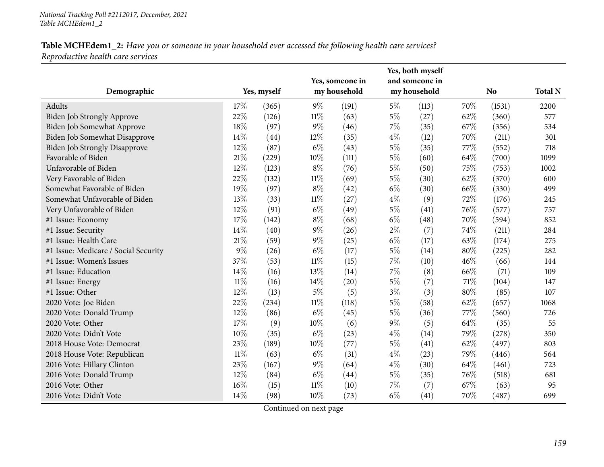| Demographic                          |        | Yes, myself |        | Yes, someone in<br>my household |       | Yes, both myself<br>and someone in<br>my household |      | <b>No</b> | <b>Total N</b> |
|--------------------------------------|--------|-------------|--------|---------------------------------|-------|----------------------------------------------------|------|-----------|----------------|
| Adults                               | 17%    | (365)       | $9\%$  | (191)                           | $5\%$ | (113)                                              | 70%  | (1531)    | 2200           |
| Biden Job Strongly Approve           | 22%    | (126)       | $11\%$ | (63)                            | $5\%$ | (27)                                               | 62%  | (360)     | 577            |
| Biden Job Somewhat Approve           | 18%    | (97)        | $9\%$  | (46)                            | $7\%$ | (35)                                               | 67%  | (356)     | 534            |
| Biden Job Somewhat Disapprove        | 14%    | (44)        | 12%    | (35)                            | $4\%$ | (12)                                               | 70%  | (211)     | 301            |
| <b>Biden Job Strongly Disapprove</b> | 12%    | (87)        | $6\%$  | (43)                            | $5\%$ | (35)                                               | 77%  | (552)     | 718            |
| Favorable of Biden                   | $21\%$ | (229)       | 10%    | (111)                           | $5\%$ | (60)                                               | 64%  | (700)     | 1099           |
| Unfavorable of Biden                 | 12%    | (123)       | $8\%$  | (76)                            | $5\%$ | (50)                                               | 75%  | (753)     | 1002           |
| Very Favorable of Biden              | 22%    | (132)       | $11\%$ | (69)                            | $5\%$ | (30)                                               | 62%  | (370)     | 600            |
| Somewhat Favorable of Biden          | 19%    | (97)        | $8\%$  | (42)                            | $6\%$ | (30)                                               | 66%  | (330)     | 499            |
| Somewhat Unfavorable of Biden        | 13%    | (33)        | $11\%$ | (27)                            | $4\%$ | (9)                                                | 72%  | (176)     | 245            |
| Very Unfavorable of Biden            | 12%    | (91)        | $6\%$  | (49)                            | $5\%$ | (41)                                               | 76%  | (577)     | 757            |
| #1 Issue: Economy                    | 17%    | (142)       | $8\%$  | (68)                            | $6\%$ | (48)                                               | 70%  | (594)     | 852            |
| #1 Issue: Security                   | 14%    | (40)        | $9\%$  | (26)                            | $2\%$ | (7)                                                | 74%  | (211)     | 284            |
| #1 Issue: Health Care                | 21\%   | (59)        | $9\%$  | (25)                            | $6\%$ | (17)                                               | 63%  | (174)     | 275            |
| #1 Issue: Medicare / Social Security | $9\%$  | (26)        | $6\%$  | (17)                            | $5\%$ | (14)                                               | 80%  | (225)     | 282            |
| #1 Issue: Women's Issues             | 37%    | (53)        | $11\%$ | (15)                            | $7\%$ | (10)                                               | 46%  | (66)      | 144            |
| #1 Issue: Education                  | 14\%   | (16)        | 13%    | (14)                            | $7\%$ | (8)                                                | 66%  | (71)      | 109            |
| #1 Issue: Energy                     | $11\%$ | (16)        | 14%    | (20)                            | $5\%$ | (7)                                                | 71\% | (104)     | 147            |
| #1 Issue: Other                      | $12\%$ | (13)        | $5\%$  | (5)                             | $3\%$ | (3)                                                | 80%  | (85)      | 107            |
| 2020 Vote: Joe Biden                 | 22%    | (234)       | $11\%$ | (118)                           | $5\%$ | (58)                                               | 62%  | (657)     | 1068           |
| 2020 Vote: Donald Trump              | 12%    | (86)        | $6\%$  | (45)                            | $5\%$ | (36)                                               | 77%  | (560)     | 726            |
| 2020 Vote: Other                     | 17%    | (9)         | 10%    | (6)                             | $9\%$ | (5)                                                | 64%  | (35)      | 55             |
| 2020 Vote: Didn't Vote               | 10%    | (35)        | $6\%$  | (23)                            | $4\%$ | (14)                                               | 79%  | (278)     | 350            |
| 2018 House Vote: Democrat            | 23%    | (189)       | 10%    | (77)                            | $5\%$ | (41)                                               | 62%  | (497)     | 803            |
| 2018 House Vote: Republican          | $11\%$ | (63)        | $6\%$  | (31)                            | $4\%$ | (23)                                               | 79%  | (446)     | 564            |
| 2016 Vote: Hillary Clinton           | 23%    | (167)       | $9\%$  | (64)                            | $4\%$ | (30)                                               | 64%  | (461)     | 723            |
| 2016 Vote: Donald Trump              | 12%    | (84)        | $6\%$  | (44)                            | $5\%$ | (35)                                               | 76%  | (518)     | 681            |
| 2016 Vote: Other                     | $16\%$ | (15)        | $11\%$ | (10)                            | 7%    | (7)                                                | 67%  | (63)      | 95             |
| 2016 Vote: Didn't Vote               | 14%    | (98)        | 10%    | (73)                            | $6\%$ | (41)                                               | 70%  | (487)     | 699            |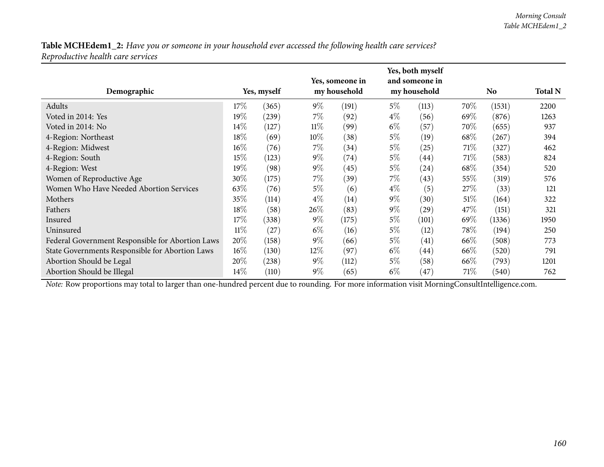| Demographic                                      | Yes, myself |       |        | Yes, someone in<br>my household |       | Yes, both myself<br>and someone in<br>my household |        | <b>No</b> |      |
|--------------------------------------------------|-------------|-------|--------|---------------------------------|-------|----------------------------------------------------|--------|-----------|------|
| Adults                                           | 17%         | (365) | $9\%$  | (191)                           | $5\%$ | (113)                                              | 70\%   | (1531)    | 2200 |
| Voted in 2014: Yes                               | 19%         | (239) | $7\%$  | (92)                            | $4\%$ | (56)                                               | 69%    | (876)     | 1263 |
| Voted in 2014: No                                | 14%         | (127) | $11\%$ | (99)                            | $6\%$ | (57)                                               | 70\%   | (655)     | 937  |
| 4-Region: Northeast                              | 18%         | (69)  | $10\%$ | (38)                            | $5\%$ | (19)                                               | 68\%   | (267)     | 394  |
| 4-Region: Midwest                                | $16\%$      | (76)  | $7\%$  | (34)                            | $5\%$ | (25)                                               | 71\%   | (327)     | 462  |
| 4-Region: South                                  | 15%         | (123) | $9\%$  | (74)                            | $5\%$ | (44)                                               | 71\%   | (583)     | 824  |
| 4-Region: West                                   | 19%         | (98)  | $9\%$  | (45)                            | $5\%$ | $\left( 24\right)$                                 | 68\%   | (354)     | 520  |
| Women of Reproductive Age                        | 30%         | (175) | $7\%$  | (39)                            | $7\%$ | (43)                                               | 55%    | (319)     | 576  |
| Women Who Have Needed Abortion Services          | 63%         | (76)  | $5\%$  | (6)                             | $4\%$ | (5)                                                | 27\%   | (33)      | 121  |
| Mothers                                          | 35%         | (114) | $4\%$  | (14)                            | $9\%$ | (30)                                               | $51\%$ | (164)     | 322  |
| Fathers                                          | 18%         | (58)  | 26\%   | (83)                            | $9\%$ | (29)                                               | 47\%   | (151)     | 321  |
| Insured                                          | 17%         | (338) | $9\%$  | (175)                           | $5\%$ | (101)                                              | 69%    | (1336)    | 1950 |
| Uninsured                                        | $11\%$      | (27)  | $6\%$  | (16)                            | $5\%$ | (12)                                               | $78\%$ | (194)     | 250  |
| Federal Government Responsible for Abortion Laws | 20%         | (158) | $9\%$  | (66)                            | $5\%$ | (41)                                               | 66\%   | (508)     | 773  |
| State Governments Responsible for Abortion Laws  | $16\%$      | (130) | $12\%$ | (97)                            | $6\%$ | (44)                                               | 66\%   | (520)     | 791  |
| Abortion Should be Legal                         | 20%         | (238) | $9\%$  | (112)                           | $5\%$ | (58)                                               | $66\%$ | (793)     | 1201 |
| Abortion Should be Illegal                       | 14%         | (110) | $9\%$  | (65)                            | $6\%$ | (47)                                               | 71%    | (540)     | 762  |

*Note:* Row proportions may total to larger than one-hundred percen<sup>t</sup> due to rounding. For more information visit [MorningConsultIntelligence.com](https://morningconsultintelligence.com).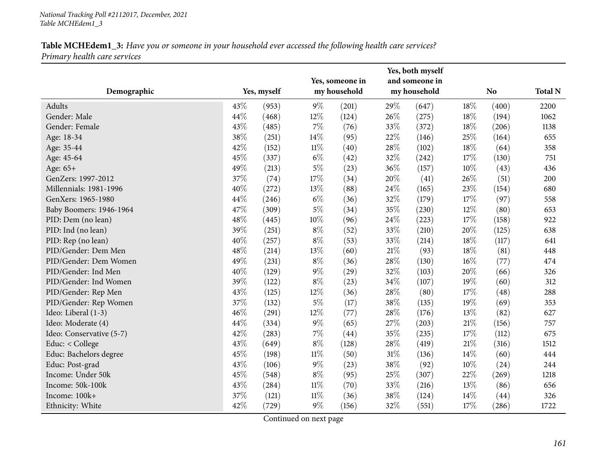|                          |     |             |        | Yes, someone in |        | Yes, both myself<br>and someone in |        |                |                |
|--------------------------|-----|-------------|--------|-----------------|--------|------------------------------------|--------|----------------|----------------|
| Demographic              |     | Yes, myself |        | my household    |        | my household                       |        | N <sub>o</sub> | <b>Total N</b> |
| Adults                   | 43% | (953)       | $9\%$  | (201)           | 29%    | (647)                              | 18%    | (400)          | 2200           |
| Gender: Male             | 44% | (468)       | 12%    | (124)           | 26%    | (275)                              | 18%    | (194)          | 1062           |
| Gender: Female           | 43% | (485)       | $7\%$  | (76)            | 33%    | (372)                              | 18%    | (206)          | 1138           |
| Age: 18-34               | 38% | (251)       | 14%    | (95)            | 22%    | (146)                              | 25%    | (164)          | 655            |
| Age: 35-44               | 42% | (152)       | $11\%$ | (40)            | 28%    | (102)                              | 18%    | (64)           | 358            |
| Age: 45-64               | 45% | (337)       | $6\%$  | (42)            | 32%    | (242)                              | 17%    | (130)          | 751            |
| Age: 65+                 | 49% | (213)       | $5\%$  | (23)            | 36%    | (157)                              | 10%    | (43)           | 436            |
| GenZers: 1997-2012       | 37% | (74)        | 17%    | (34)            | 20%    | (41)                               | 26%    | (51)           | 200            |
| Millennials: 1981-1996   | 40% | (272)       | 13%    | (88)            | 24%    | (165)                              | 23%    | (154)          | 680            |
| GenXers: 1965-1980       | 44% | (246)       | $6\%$  | (36)            | 32%    | (179)                              | 17%    | (97)           | 558            |
| Baby Boomers: 1946-1964  | 47% | (309)       | $5\%$  | (34)            | 35%    | (230)                              | $12\%$ | (80)           | 653            |
| PID: Dem (no lean)       | 48% | (445)       | 10%    | (96)            | 24\%   | (223)                              | $17\%$ | (158)          | 922            |
| PID: Ind (no lean)       | 39% | (251)       | $8\%$  | (52)            | 33%    | (210)                              | 20%    | (125)          | 638            |
| PID: Rep (no lean)       | 40% | (257)       | $8\%$  | (53)            | 33%    | (214)                              | 18%    | (117)          | 641            |
| PID/Gender: Dem Men      | 48% | (214)       | 13%    | (60)            | $21\%$ | (93)                               | 18%    | (81)           | 448            |
| PID/Gender: Dem Women    | 49% | (231)       | $8\%$  | (36)            | 28\%   | (130)                              | 16%    | (77)           | 474            |
| PID/Gender: Ind Men      | 40% | (129)       | $9\%$  | (29)            | 32%    | (103)                              | 20%    | (66)           | 326            |
| PID/Gender: Ind Women    | 39% | (122)       | $8\%$  | (23)            | $34\%$ | (107)                              | 19%    | (60)           | 312            |
| PID/Gender: Rep Men      | 43% | (125)       | 12%    | (36)            | 28%    | (80)                               | 17%    | (48)           | 288            |
| PID/Gender: Rep Women    | 37% | (132)       | $5\%$  | (17)            | 38%    | (135)                              | 19%    | (69)           | 353            |
| Ideo: Liberal (1-3)      | 46% | (291)       | 12%    | (77)            | 28\%   | (176)                              | 13%    | (82)           | 627            |
| Ideo: Moderate (4)       | 44% | (334)       | $9\%$  | (65)            | 27\%   | (203)                              | 21%    | (156)          | 757            |
| Ideo: Conservative (5-7) | 42% | (283)       | $7\%$  | (44)            | 35%    | (235)                              | 17%    | (112)          | 675            |
| Educ: < College          | 43% | (649)       | $8\%$  | (128)           | 28%    | (419)                              | 21%    | (316)          | 1512           |
| Educ: Bachelors degree   | 45% | (198)       | $11\%$ | (50)            | $31\%$ | (136)                              | 14%    | (60)           | 444            |
| Educ: Post-grad          | 43% | (106)       | $9\%$  | (23)            | 38\%   | (92)                               | 10%    | (24)           | 244            |
| Income: Under 50k        | 45% | (548)       | $8\%$  | (95)            | 25%    | (307)                              | 22%    | (269)          | 1218           |
| Income: 50k-100k         | 43% | (284)       | $11\%$ | (70)            | $33\%$ | (216)                              | 13%    | (86)           | 656            |
| Income: 100k+            | 37% | (121)       | 11%    | (36)            | 38%    | (124)                              | 14%    | (44)           | 326            |
| Ethnicity: White         | 42% | (729)       | $9\%$  | (156)           | 32%    | (551)                              | 17%    | (286)          | 1722           |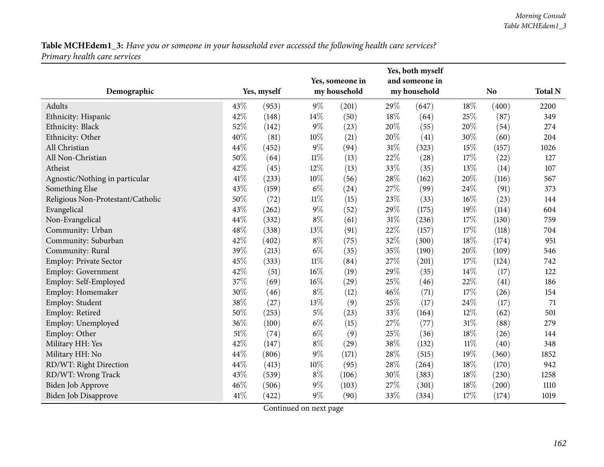|                                   | Yes, someone in |             |        |              |        | Yes, both myself<br>and someone in |        |                |                |
|-----------------------------------|-----------------|-------------|--------|--------------|--------|------------------------------------|--------|----------------|----------------|
| Demographic                       |                 | Yes, myself |        | my household |        | my household                       |        | N <sub>o</sub> | <b>Total N</b> |
| Adults                            | 43%             | (953)       | $9\%$  | (201)        | 29%    | (647)                              | 18%    | (400)          | 2200           |
| Ethnicity: Hispanic               | 42%             | (148)       | 14%    | (50)         | $18\%$ | (64)                               | 25%    | (87)           | 349            |
| Ethnicity: Black                  | 52%             | (142)       | $9\%$  | (23)         | 20%    | (55)                               | 20%    | (54)           | 274            |
| Ethnicity: Other                  | 40%             | (81)        | 10%    | (21)         | 20%    | (41)                               | 30%    | (60)           | 204            |
| All Christian                     | 44%             | (452)       | $9\%$  | (94)         | 31%    | (323)                              | 15%    | (157)          | 1026           |
| All Non-Christian                 | 50%             | (64)        | $11\%$ | (13)         | 22%    | (28)                               | 17%    | (22)           | 127            |
| Atheist                           | 42%             | (45)        | 12%    | (13)         | 33%    | (35)                               | 13%    | (14)           | 107            |
| Agnostic/Nothing in particular    | 41\%            | (233)       | 10%    | (56)         | 28%    | (162)                              | 20%    | (116)          | 567            |
| Something Else                    | 43%             | (159)       | $6\%$  | (24)         | 27%    | (99)                               | 24%    | (91)           | 373            |
| Religious Non-Protestant/Catholic | 50%             | (72)        | $11\%$ | (15)         | 23%    | (33)                               | 16%    | (23)           | 144            |
| Evangelical                       | 43%             | (262)       | $9\%$  | (52)         | $29\%$ | (175)                              | 19%    | (114)          | 604            |
| Non-Evangelical                   | 44%             | (332)       | $8\%$  | (61)         | $31\%$ | (236)                              | 17%    | (130)          | 759            |
| Community: Urban                  | 48%             | (338)       | 13%    | (91)         | 22%    | (157)                              | 17%    | (118)          | 704            |
| Community: Suburban               | 42%             | (402)       | $8\%$  | (75)         | 32%    | (300)                              | 18%    | (174)          | 951            |
| Community: Rural                  | 39%             | (213)       | $6\%$  | (35)         | 35%    | (190)                              | 20%    | (109)          | 546            |
| Employ: Private Sector            | 45%             | (333)       | $11\%$ | (84)         | 27%    | (201)                              | 17%    | (124)          | 742            |
| <b>Employ: Government</b>         | 42%             | (51)        | $16\%$ | (19)         | 29%    | (35)                               | 14%    | (17)           | 122            |
| Employ: Self-Employed             | 37%             | (69)        | $16\%$ | (29)         | 25%    | (46)                               | 22%    | (41)           | 186            |
| Employ: Homemaker                 | 30%             | (46)        | $8\%$  | (12)         | 46%    | (71)                               | 17%    | (26)           | 154            |
| Employ: Student                   | 38%             | (27)        | 13%    | (9)          | 25%    | (17)                               | 24%    | (17)           | 71             |
| Employ: Retired                   | 50%             | (253)       | $5\%$  | (23)         | 33%    | (164)                              | 12%    | (62)           | 501            |
| Employ: Unemployed                | 36%             | (100)       | $6\%$  | (15)         | 27\%   | (77)                               | $31\%$ | (88)           | 279            |
| Employ: Other                     | 51%             | (74)        | $6\%$  | (9)          | 25%    | (36)                               | 18%    | (26)           | 144            |
| Military HH: Yes                  | 42%             | (147)       | $8\%$  | (29)         | 38%    | (132)                              | $11\%$ | (40)           | 348            |
| Military HH: No                   | 44%             | (806)       | $9\%$  | (171)        | 28%    | (515)                              | 19%    | (360)          | 1852           |
| RD/WT: Right Direction            | 44%             | (413)       | 10%    | (95)         | 28\%   | (264)                              | 18%    | (170)          | 942            |
| RD/WT: Wrong Track                | 43%             | (539)       | $8\%$  | (106)        | 30%    | (383)                              | 18%    | (230)          | 1258           |
| <b>Biden Job Approve</b>          | 46%             | (506)       | $9\%$  | (103)        | 27%    | (301)                              | 18%    | (200)          | 1110           |
| Biden Job Disapprove              | 41%             | (422)       | $9\%$  | (90)         | 33%    | (334)                              | 17%    | (174)          | 1019           |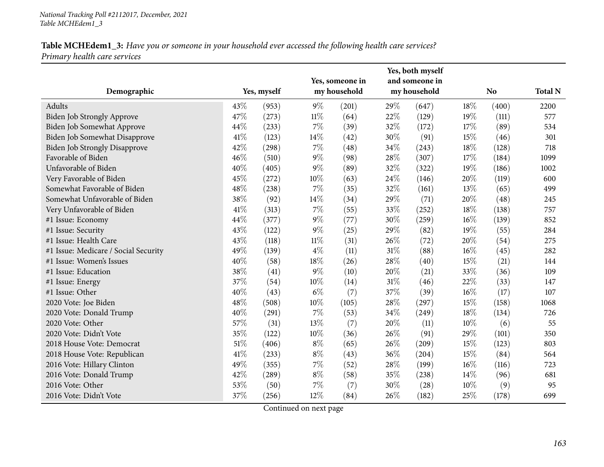| Demographic                          |        | Yes, myself |        | Yes, someone in<br>my household |        | Yes, both myself<br>and someone in<br>my household |      | <b>No</b> | <b>Total N</b> |
|--------------------------------------|--------|-------------|--------|---------------------------------|--------|----------------------------------------------------|------|-----------|----------------|
| Adults                               | 43%    | (953)       | $9\%$  | (201)                           | 29\%   | (647)                                              | 18%  | (400)     | 2200           |
| Biden Job Strongly Approve           | 47%    | (273)       | $11\%$ | (64)                            | 22%    | (129)                                              | 19%  | (111)     | 577            |
| Biden Job Somewhat Approve           | 44%    | (233)       | $7\%$  | (39)                            | 32%    | (172)                                              | 17%  | (89)      | 534            |
| Biden Job Somewhat Disapprove        | $41\%$ | (123)       | 14%    | (42)                            | 30%    | (91)                                               | 15%  | (46)      | 301            |
| <b>Biden Job Strongly Disapprove</b> | 42%    | (298)       | $7\%$  | (48)                            | 34%    | (243)                                              | 18%  | (128)     | 718            |
| Favorable of Biden                   | 46%    | (510)       | $9\%$  | (98)                            | 28%    | (307)                                              | 17%  | (184)     | 1099           |
| Unfavorable of Biden                 | 40%    | (405)       | $9\%$  | (89)                            | 32%    | (322)                                              | 19%  | (186)     | 1002           |
| Very Favorable of Biden              | 45%    | (272)       | 10%    | (63)                            | 24\%   | (146)                                              | 20%  | (119)     | 600            |
| Somewhat Favorable of Biden          | 48%    | (238)       | $7\%$  | (35)                            | 32%    | (161)                                              | 13\% | (65)      | 499            |
| Somewhat Unfavorable of Biden        | 38%    | (92)        | 14%    | (34)                            | 29%    | (71)                                               | 20%  | (48)      | 245            |
| Very Unfavorable of Biden            | 41\%   | (313)       | $7\%$  | (55)                            | 33%    | (252)                                              | 18%  | (138)     | 757            |
| #1 Issue: Economy                    | 44%    | (377)       | $9\%$  | (77)                            | 30%    | (259)                                              | 16%  | (139)     | 852            |
| #1 Issue: Security                   | 43%    | (122)       | $9\%$  | (25)                            | 29%    | (82)                                               | 19%  | (55)      | 284            |
| #1 Issue: Health Care                | 43%    | (118)       | $11\%$ | (31)                            | 26%    | (72)                                               | 20%  | (54)      | 275            |
| #1 Issue: Medicare / Social Security | 49%    | (139)       | $4\%$  | (11)                            | $31\%$ | (88)                                               | 16%  | (45)      | 282            |
| #1 Issue: Women's Issues             | 40%    | (58)        | 18%    | (26)                            | 28%    | (40)                                               | 15%  | (21)      | 144            |
| #1 Issue: Education                  | 38%    | (41)        | 9%     | (10)                            | 20%    | (21)                                               | 33%  | (36)      | 109            |
| #1 Issue: Energy                     | 37%    | (54)        | 10%    | (14)                            | 31%    | (46)                                               | 22%  | (33)      | 147            |
| #1 Issue: Other                      | 40%    | (43)        | $6\%$  | (7)                             | 37%    | (39)                                               | 16%  | (17)      | 107            |
| 2020 Vote: Joe Biden                 | 48%    | (508)       | 10%    | (105)                           | 28%    | (297)                                              | 15%  | (158)     | 1068           |
| 2020 Vote: Donald Trump              | 40%    | (291)       | $7\%$  | (53)                            | 34%    | (249)                                              | 18%  | (134)     | 726            |
| 2020 Vote: Other                     | 57%    | (31)        | 13%    | (7)                             | 20%    | (11)                                               | 10%  | (6)       | 55             |
| 2020 Vote: Didn't Vote               | 35%    | (122)       | 10%    | (36)                            | 26%    | (91)                                               | 29%  | (101)     | 350            |
| 2018 House Vote: Democrat            | 51%    | (406)       | $8\%$  | (65)                            | 26%    | (209)                                              | 15%  | (123)     | 803            |
| 2018 House Vote: Republican          | $41\%$ | (233)       | $8\%$  | (43)                            | 36%    | (204)                                              | 15%  | (84)      | 564            |
| 2016 Vote: Hillary Clinton           | 49%    | (355)       | $7\%$  | (52)                            | 28%    | (199)                                              | 16%  | (116)     | 723            |
| 2016 Vote: Donald Trump              | 42%    | (289)       | $8\%$  | (58)                            | 35%    | (238)                                              | 14%  | (96)      | 681            |
| 2016 Vote: Other                     | 53%    | (50)        | $7\%$  | (7)                             | 30%    | (28)                                               | 10%  | (9)       | 95             |
| 2016 Vote: Didn't Vote               | 37%    | (256)       | 12%    | (84)                            | 26%    | (182)                                              | 25%  | (178)     | 699            |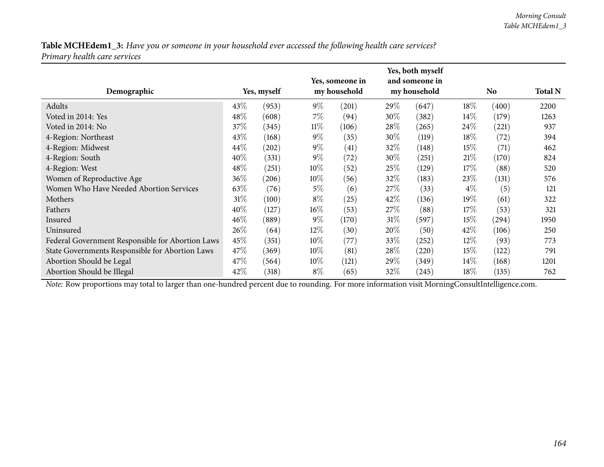|                                                  |        |             |        | Yes, someone in |        | Yes, both myself<br>and someone in |        |                |                |
|--------------------------------------------------|--------|-------------|--------|-----------------|--------|------------------------------------|--------|----------------|----------------|
| Demographic                                      |        | Yes, myself |        | my household    |        | my household                       |        | N <sub>0</sub> | <b>Total N</b> |
| Adults                                           | 43\%   | (953)       | $9\%$  | (201)           | 29\%   | (647)                              | 18\%   | (400)          | 2200           |
| Voted in 2014: Yes                               | 48\%   | (608)       | $7\%$  | (94)            | 30%    | (382)                              | $14\%$ | (179)          | 1263           |
| Voted in 2014: No                                | 37\%   | (345)       | $11\%$ | (106)           | 28\%   | (265)                              | 24\%   | (221)          | 937            |
| 4-Region: Northeast                              | 43\%   | (168)       | $9\%$  | (35)            | 30%    | (119)                              | 18\%   | (72)           | 394            |
| 4-Region: Midwest                                | 44\%   | (202)       | $9\%$  | (41)            | 32%    | (148)                              | 15\%   | (71)           | 462            |
| 4-Region: South                                  | 40%    | (331)       | $9\%$  | (72)            | 30%    | (251)                              | 21%    | (170)          | 824            |
| 4-Region: West                                   | 48%    | (251)       | $10\%$ | (52)            | 25\%   | (129)                              | 17%    | (88)           | 520            |
| Women of Reproductive Age                        | 36%    | (206)       | $10\%$ | (56)            | 32\%   | (183)                              | 23\%   | (131)          | 576            |
| Women Who Have Needed Abortion Services          | 63\%   | (76)        | $5\%$  | (6)             | 27\%   | (33)                               | $4\%$  | (5)            | 121            |
| Mothers                                          | $31\%$ | (100)       | $8\%$  | (25)            | 42%    | (136)                              | $19\%$ | (61)           | 322            |
| Fathers                                          | 40%    | (127)       | $16\%$ | (53)            | 27\%   | (88)                               | 17%    | (53)           | 321            |
| Insured                                          | $46\%$ | (889)       | $9\%$  | (170)           | $31\%$ | (597)                              | 15%    | (294)          | 1950           |
| Uninsured                                        | 26\%   | (64)        | $12\%$ | (30)            | 20\%   | (50)                               | $42\%$ | (106)          | 250            |
| Federal Government Responsible for Abortion Laws | 45%    | (351)       | $10\%$ | (77)            | 33\%   | (252)                              | $12\%$ | (93)           | 773            |
| State Governments Responsible for Abortion Laws  | 47\%   | (369)       | $10\%$ | (81)            | 28\%   | (220)                              | $15\%$ | (122)          | 791            |
| Abortion Should be Legal                         | 47\%   | (564)       | $10\%$ | (121)           | 29%    | (349)                              | $14\%$ | (168)          | 1201           |
| Abortion Should be Illegal                       | 42\%   | (318)       | $8\%$  | (65)            | 32\%   | (245)                              | 18%    | (135)          | 762            |

*Note:* Row proportions may total to larger than one-hundred percen<sup>t</sup> due to rounding. For more information visit [MorningConsultIntelligence.com](https://morningconsultintelligence.com).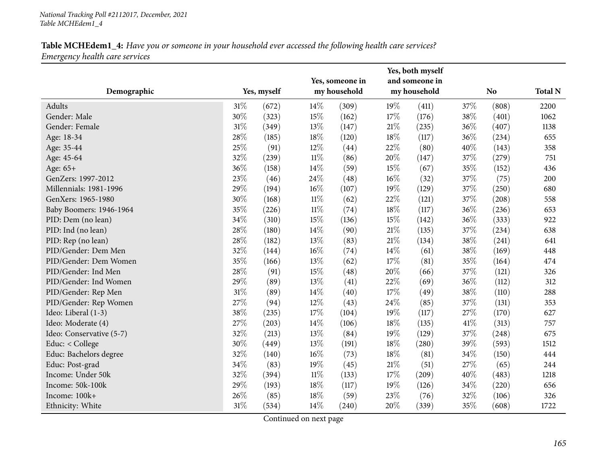| Demographic              |     | Yes, myself |        | Yes, someone in<br>my household |        | Yes, both myself<br>and someone in<br>my household |        | N <sub>o</sub> | <b>Total N</b> |
|--------------------------|-----|-------------|--------|---------------------------------|--------|----------------------------------------------------|--------|----------------|----------------|
| Adults                   | 31% | (672)       | 14%    | (309)                           | 19%    | (411)                                              | 37%    | (808)          | 2200           |
| Gender: Male             | 30% | (323)       | 15%    | (162)                           | 17%    | (176)                                              | 38%    | (401)          | 1062           |
| Gender: Female           | 31% | (349)       | 13%    | (147)                           | $21\%$ | (235)                                              | 36%    | (407)          | 1138           |
| Age: 18-34               | 28% | (185)       | 18%    | (120)                           | $18\%$ | (117)                                              | 36%    | (234)          | 655            |
| Age: 35-44               | 25% | (91)        | 12%    | (44)                            | 22%    | (80)                                               | 40%    | (143)          | 358            |
| Age: 45-64               | 32% | (239)       | $11\%$ | (86)                            | 20%    | (147)                                              | 37%    | (279)          | 751            |
| Age: 65+                 | 36% | (158)       | 14%    | (59)                            | 15%    | (67)                                               | 35%    | (152)          | 436            |
| GenZers: 1997-2012       | 23% | (46)        | 24%    | (48)                            | $16\%$ | (32)                                               | 37%    | (75)           | 200            |
| Millennials: 1981-1996   | 29% | (194)       | $16\%$ | (107)                           | 19%    | (129)                                              | 37%    | (250)          | 680            |
| GenXers: 1965-1980       | 30% | (168)       | $11\%$ | (62)                            | 22%    | (121)                                              | $37\%$ | (208)          | 558            |
| Baby Boomers: 1946-1964  | 35% | (226)       | $11\%$ | (74)                            | 18%    | (117)                                              | 36%    | (236)          | 653            |
| PID: Dem (no lean)       | 34% | (310)       | 15%    | (136)                           | 15%    | (142)                                              | 36%    | (333)          | 922            |
| PID: Ind (no lean)       | 28% | (180)       | 14%    | (90)                            | $21\%$ | (135)                                              | 37%    | (234)          | 638            |
| PID: Rep (no lean)       | 28% | (182)       | 13%    | (83)                            | $21\%$ | (134)                                              | 38%    | (241)          | 641            |
| PID/Gender: Dem Men      | 32% | (144)       | $16\%$ | (74)                            | 14%    | (61)                                               | 38%    | (169)          | 448            |
| PID/Gender: Dem Women    | 35% | (166)       | 13%    | (62)                            | 17%    | (81)                                               | 35%    | (164)          | 474            |
| PID/Gender: Ind Men      | 28% | (91)        | 15%    | (48)                            | 20%    | (66)                                               | 37%    | (121)          | 326            |
| PID/Gender: Ind Women    | 29% | (89)        | 13%    | (41)                            | 22%    | (69)                                               | 36%    | (112)          | 312            |
| PID/Gender: Rep Men      | 31% | (89)        | 14%    | (40)                            | 17%    | (49)                                               | 38%    | (110)          | 288            |
| PID/Gender: Rep Women    | 27% | (94)        | 12%    | (43)                            | 24\%   | (85)                                               | 37%    | (131)          | 353            |
| Ideo: Liberal (1-3)      | 38% | (235)       | 17%    | (104)                           | 19%    | (117)                                              | 27%    | (170)          | 627            |
| Ideo: Moderate (4)       | 27% | (203)       | 14%    | (106)                           | 18%    | (135)                                              | 41\%   | (313)          | 757            |
| Ideo: Conservative (5-7) | 32% | (213)       | 13%    | (84)                            | 19%    | (129)                                              | 37%    | (248)          | 675            |
| Educ: $<$ College        | 30% | (449)       | 13%    | (191)                           | 18%    | (280)                                              | 39%    | (593)          | 1512           |
| Educ: Bachelors degree   | 32% | (140)       | $16\%$ | (73)                            | $18\%$ | (81)                                               | 34%    | (150)          | 444            |
| Educ: Post-grad          | 34% | (83)        | 19%    | (45)                            | $21\%$ | (51)                                               | 27%    | (65)           | 244            |
| Income: Under 50k        | 32% | (394)       | $11\%$ | (133)                           | $17\%$ | (209)                                              | 40%    | (483)          | 1218           |
| Income: 50k-100k         | 29% | (193)       | 18%    | (117)                           | 19%    | (126)                                              | 34%    | (220)          | 656            |
| Income: 100k+            | 26% | (85)        | 18%    | (59)                            | 23%    | (76)                                               | 32%    | (106)          | 326            |
| Ethnicity: White         | 31% | (534)       | 14%    | (240)                           | 20%    | (339)                                              | 35%    | (608)          | 1722           |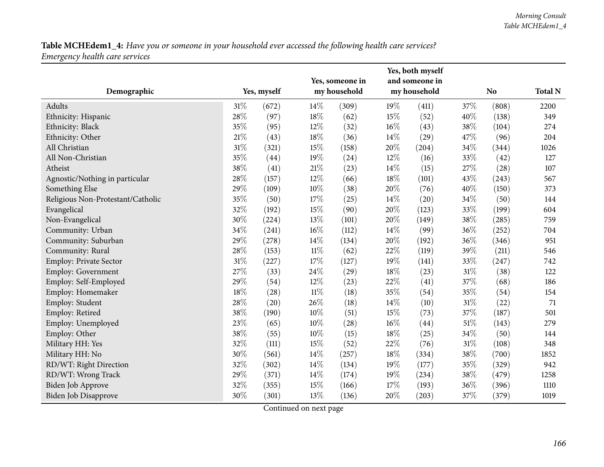| Demographic                       |     | Yes, myself |        | Yes, someone in<br>my household |        | Yes, both myself<br>and someone in<br>my household |        | N <sub>o</sub> | <b>Total N</b> |
|-----------------------------------|-----|-------------|--------|---------------------------------|--------|----------------------------------------------------|--------|----------------|----------------|
|                                   |     |             |        |                                 |        |                                                    |        |                |                |
| Adults                            | 31% | (672)       | 14\%   | (309)                           | 19%    | (411)                                              | 37%    | (808)          | 2200           |
| Ethnicity: Hispanic               | 28% | (97)        | 18%    | (62)                            | 15%    | (52)                                               | 40%    | (138)          | 349            |
| Ethnicity: Black                  | 35% | (95)        | 12%    | (32)                            | $16\%$ | (43)                                               | 38%    | (104)          | 274            |
| Ethnicity: Other                  | 21% | (43)        | 18%    | (36)                            | 14%    | (29)                                               | 47%    | (96)           | 204            |
| All Christian                     | 31% | (321)       | 15%    | (158)                           | 20%    | (204)                                              | 34%    | (344)          | 1026           |
| All Non-Christian                 | 35% | (44)        | 19%    | (24)                            | 12%    | (16)                                               | 33%    | (42)           | 127            |
| Atheist                           | 38% | (41)        | $21\%$ | (23)                            | 14\%   | (15)                                               | 27%    | (28)           | 107            |
| Agnostic/Nothing in particular    | 28% | (157)       | 12%    | (66)                            | 18%    | (101)                                              | 43%    | (243)          | 567            |
| Something Else                    | 29% | (109)       | $10\%$ | (38)                            | 20%    | (76)                                               | 40%    | (150)          | 373            |
| Religious Non-Protestant/Catholic | 35% | (50)        | 17%    | (25)                            | 14%    | (20)                                               | 34%    | (50)           | 144            |
| Evangelical                       | 32% | (192)       | 15%    | (90)                            | 20%    | (123)                                              | 33%    | (199)          | 604            |
| Non-Evangelical                   | 30% | (224)       | 13%    | (101)                           | 20%    | (149)                                              | 38%    | (285)          | 759            |
| Community: Urban                  | 34% | (241)       | $16\%$ | (112)                           | 14\%   | (99)                                               | 36%    | (252)          | 704            |
| Community: Suburban               | 29% | (278)       | 14%    | (134)                           | 20%    | (192)                                              | 36%    | (346)          | 951            |
| Community: Rural                  | 28% | (153)       | $11\%$ | (62)                            | 22%    | (119)                                              | 39%    | (211)          | 546            |
| Employ: Private Sector            | 31% | (227)       | 17%    | (127)                           | 19%    | (141)                                              | 33%    | (247)          | 742            |
| <b>Employ: Government</b>         | 27% | (33)        | 24%    | (29)                            | 18%    | (23)                                               | 31%    | (38)           | 122            |
| Employ: Self-Employed             | 29% | (54)        | 12%    | (23)                            | 22%    | (41)                                               | 37%    | (68)           | 186            |
| Employ: Homemaker                 | 18% | (28)        | $11\%$ | (18)                            | 35%    | (54)                                               | 35%    | (54)           | 154            |
| Employ: Student                   | 28% | (20)        | 26%    | (18)                            | 14\%   | (10)                                               | $31\%$ | (22)           | 71             |
| Employ: Retired                   | 38% | (190)       | 10%    | (51)                            | 15%    | (73)                                               | 37%    | (187)          | 501            |
| Employ: Unemployed                | 23% | (65)        | 10%    | (28)                            | $16\%$ | (44)                                               | $51\%$ | (143)          | 279            |
| Employ: Other                     | 38% | (55)        | 10%    | (15)                            | 18%    | (25)                                               | 34%    | (50)           | 144            |
| Military HH: Yes                  | 32% | (111)       | 15%    | (52)                            | 22%    | (76)                                               | $31\%$ | (108)          | 348            |
| Military HH: No                   | 30% | (561)       | 14%    | (257)                           | $18\%$ | (334)                                              | 38%    | (700)          | 1852           |
| RD/WT: Right Direction            | 32% | (302)       | 14%    | (134)                           | 19%    | (177)                                              | 35%    | (329)          | 942            |
| RD/WT: Wrong Track                | 29% | (371)       | 14%    | (174)                           | 19%    | (234)                                              | 38%    | (479)          | 1258           |
| Biden Job Approve                 | 32% | (355)       | 15%    | (166)                           | 17%    | (193)                                              | 36%    | (396)          | 1110           |
| Biden Job Disapprove              | 30% | (301)       | 13%    | (136)                           | 20%    | (203)                                              | 37%    | (379)          | 1019           |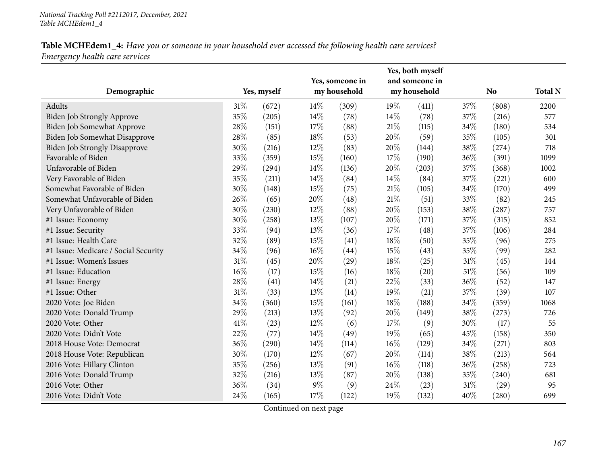|                                      |        |             |        | Yes, someone in |        | Yes, both myself<br>and someone in |        |           |                |
|--------------------------------------|--------|-------------|--------|-----------------|--------|------------------------------------|--------|-----------|----------------|
| Demographic                          |        | Yes, myself |        | my household    |        | my household                       |        | <b>No</b> | <b>Total N</b> |
| Adults                               | $31\%$ | (672)       | 14\%   | (309)           | 19%    | (411)                              | 37%    | (808)     | 2200           |
| Biden Job Strongly Approve           | 35%    | (205)       | 14%    | (78)            | 14%    | (78)                               | 37%    | (216)     | 577            |
| Biden Job Somewhat Approve           | 28%    | (151)       | 17%    | (88)            | 21%    | (115)                              | 34%    | (180)     | 534            |
| Biden Job Somewhat Disapprove        | 28\%   | (85)        | 18%    | (53)            | 20%    | (59)                               | 35%    | (105)     | 301            |
| <b>Biden Job Strongly Disapprove</b> | 30%    | (216)       | 12%    | (83)            | 20%    | (144)                              | 38%    | (274)     | 718            |
| Favorable of Biden                   | 33%    | (359)       | 15%    | (160)           | 17%    | (190)                              | 36%    | (391)     | 1099           |
| Unfavorable of Biden                 | 29%    | (294)       | 14%    | (136)           | 20%    | (203)                              | 37%    | (368)     | 1002           |
| Very Favorable of Biden              | 35%    | (211)       | 14\%   | (84)            | 14%    | (84)                               | 37%    | (221)     | 600            |
| Somewhat Favorable of Biden          | 30%    | (148)       | 15%    | (75)            | $21\%$ | (105)                              | 34%    | (170)     | 499            |
| Somewhat Unfavorable of Biden        | 26%    | (65)        | 20%    | (48)            | 21\%   | (51)                               | 33%    | (82)      | 245            |
| Very Unfavorable of Biden            | 30%    | (230)       | 12%    | (88)            | 20%    | (153)                              | 38%    | (287)     | 757            |
| #1 Issue: Economy                    | 30%    | (258)       | 13%    | (107)           | 20%    | (171)                              | 37%    | (315)     | 852            |
| #1 Issue: Security                   | 33%    | (94)        | 13%    | (36)            | 17%    | (48)                               | 37%    | (106)     | 284            |
| #1 Issue: Health Care                | 32%    | (89)        | 15%    | (41)            | 18%    | (50)                               | 35%    | (96)      | 275            |
| #1 Issue: Medicare / Social Security | 34%    | (96)        | $16\%$ | (44)            | 15%    | (43)                               | 35%    | (99)      | 282            |
| #1 Issue: Women's Issues             | 31\%   | (45)        | 20%    | (29)            | 18%    | (25)                               | 31%    | (45)      | 144            |
| #1 Issue: Education                  | $16\%$ | (17)        | 15%    | (16)            | 18%    | (20)                               | $51\%$ | (56)      | 109            |
| #1 Issue: Energy                     | 28%    | (41)        | 14\%   | (21)            | 22%    | (33)                               | 36%    | (52)      | 147            |
| #1 Issue: Other                      | $31\%$ | (33)        | 13%    | (14)            | 19%    | (21)                               | 37%    | (39)      | 107            |
| 2020 Vote: Joe Biden                 | 34\%   | (360)       | 15%    | (161)           | 18%    | (188)                              | 34%    | (359)     | 1068           |
| 2020 Vote: Donald Trump              | 29%    | (213)       | 13%    | (92)            | 20%    | (149)                              | 38%    | (273)     | 726            |
| 2020 Vote: Other                     | 41\%   | (23)        | 12%    | (6)             | 17%    | (9)                                | 30%    | (17)      | 55             |
| 2020 Vote: Didn't Vote               | 22%    | (77)        | 14%    | (49)            | 19%    | (65)                               | 45%    | (158)     | 350            |
| 2018 House Vote: Democrat            | 36%    | (290)       | 14%    | (114)           | 16%    | (129)                              | 34%    | (271)     | 803            |
| 2018 House Vote: Republican          | 30%    | (170)       | 12%    | (67)            | 20%    | (114)                              | 38%    | (213)     | 564            |
| 2016 Vote: Hillary Clinton           | 35%    | (256)       | 13%    | (91)            | 16%    | (118)                              | 36%    | (258)     | 723            |
| 2016 Vote: Donald Trump              | 32%    | (216)       | 13%    | (87)            | 20%    | (138)                              | 35%    | (240)     | 681            |
| 2016 Vote: Other                     | 36%    | (34)        | $9\%$  | (9)             | 24%    | (23)                               | 31%    | (29)      | 95             |
| 2016 Vote: Didn't Vote               | 24%    | (165)       | 17%    | (122)           | 19%    | (132)                              | 40%    | (280)     | 699            |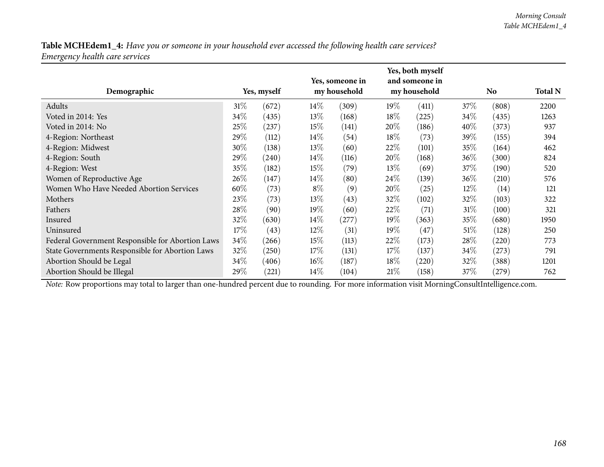| Demographic                                      |      | Yes, myself |        | Yes, someone in<br>my household |        | Yes, both myself<br>and someone in<br>my household |        | No    | <b>Total N</b> |
|--------------------------------------------------|------|-------------|--------|---------------------------------|--------|----------------------------------------------------|--------|-------|----------------|
| Adults                                           | 31%  | (672)       | $14\%$ | (309)                           | 19%    | (411)                                              | 37%    | (808) | 2200           |
| Voted in 2014: Yes                               | 34\% | (435)       | 13\%   | (168)                           | $18\%$ | (225)                                              | $34\%$ | (435) | 1263           |
| Voted in 2014: No                                | 25%  | (237)       | 15%    | (141)                           | 20%    | (186)                                              | 40%    | (373) | 937            |
| 4-Region: Northeast                              | 29%  | (112)       | $14\%$ | (54)                            | $18\%$ | (73)                                               | 39\%   | (155) | 394            |
| 4-Region: Midwest                                | 30%  | (138)       | 13\%   | (60)                            | 22\%   | (101)                                              | 35\%   | (164) | 462            |
| 4-Region: South                                  | 29%  | (240)       | $14\%$ | (116)                           | 20%    | (168)                                              | $36\%$ | (300) | 824            |
| 4-Region: West                                   | 35%  | (182)       | 15%    | (79)                            | 13\%   | (69)                                               | 37\%   | (190) | 520            |
| Women of Reproductive Age                        | 26%  | (147)       | $14\%$ | (80)                            | 24\%   | (139)                                              | $36\%$ | (210) | 576            |
| Women Who Have Needed Abortion Services          | 60%  | (73)        | $8\%$  | (9)                             | 20%    | (25)                                               | $12\%$ | (14)  | 121            |
| Mothers                                          | 23%  | (73)        | 13\%   | (43)                            | 32%    | (102)                                              | $32\%$ | (103) | 322            |
| Fathers                                          | 28%  | (90)        | 19%    | (60)                            | 22\%   | (71)                                               | 31%    | (100) | 321            |
| Insured                                          | 32%  | (630)       | $14\%$ | (277)                           | 19%    | (363)                                              | 35%    | (680) | 1950           |
| Uninsured                                        | 17%  | (43)        | $12\%$ | (31)                            | 19%    | (47)                                               | 51%    | (128) | 250            |
| Federal Government Responsible for Abortion Laws | 34\% | (266)       | 15%    | (113)                           | 22\%   | (173)                                              | 28\%   | (220) | 773            |
| State Governments Responsible for Abortion Laws  | 32%  | (250)       | 17%    | (131)                           | 17%    | (137)                                              | $34\%$ | (273) | 791            |
| Abortion Should be Legal                         | 34\% | (406)       | $16\%$ | (187)                           | $18\%$ | (220)                                              | 32%    | (388) | 1201           |
| Abortion Should be Illegal                       | 29%  | (221)       | $14\%$ | (104)                           | 21%    | (158)                                              | 37%    | (279) | 762            |

*Note:* Row proportions may total to larger than one-hundred percen<sup>t</sup> due to rounding. For more information visit [MorningConsultIntelligence.com](https://morningconsultintelligence.com).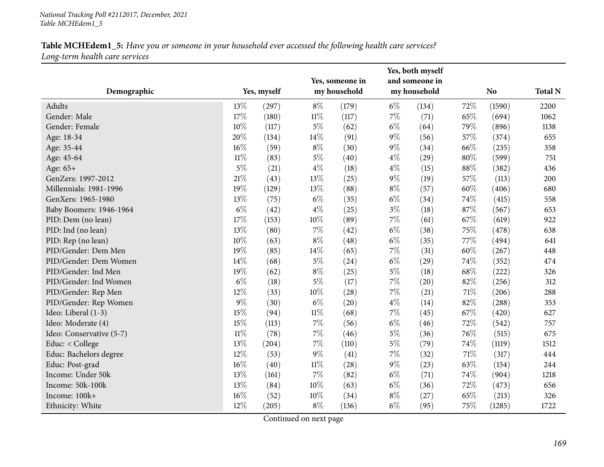|                          |        |             |        | Yes, someone in |       | Yes, both myself<br>and someone in |        |                |                |
|--------------------------|--------|-------------|--------|-----------------|-------|------------------------------------|--------|----------------|----------------|
| Demographic              |        | Yes, myself |        | my household    |       | my household                       |        | N <sub>o</sub> | <b>Total N</b> |
| Adults                   | 13%    | (297)       | $8\%$  | (179)           | $6\%$ | (134)                              | 72%    | (1590)         | 2200           |
| Gender: Male             | 17%    | (180)       | $11\%$ | (117)           | $7\%$ | (71)                               | 65%    | (694)          | 1062           |
| Gender: Female           | 10%    | (117)       | $5\%$  | (62)            | $6\%$ | (64)                               | 79%    | (896)          | 1138           |
| Age: 18-34               | 20%    | (134)       | 14%    | (91)            | $9\%$ | (56)                               | 57%    | (374)          | 655            |
| Age: 35-44               | 16%    | (59)        | $8\%$  | (30)            | $9\%$ | (34)                               | 66%    | (235)          | 358            |
| Age: 45-64               | $11\%$ | (83)        | $5\%$  | (40)            | $4\%$ | (29)                               | $80\%$ | (599)          | 751            |
| Age: 65+                 | 5%     | (21)        | $4\%$  | (18)            | $4\%$ | (15)                               | 88%    | (382)          | 436            |
| GenZers: 1997-2012       | 21\%   | (43)        | 13%    | (25)            | $9\%$ | (19)                               | 57%    | (113)          | 200            |
| Millennials: 1981-1996   | 19%    | (129)       | 13%    | (88)            | $8\%$ | (57)                               | 60%    | (406)          | 680            |
| GenXers: 1965-1980       | 13%    | (75)        | $6\%$  | (35)            | $6\%$ | (34)                               | 74%    | (415)          | 558            |
| Baby Boomers: 1946-1964  | $6\%$  | (42)        | $4\%$  | (25)            | $3\%$ | (18)                               | 87%    | (567)          | 653            |
| PID: Dem (no lean)       | 17%    | (153)       | 10%    | (89)            | $7\%$ | (61)                               | 67%    | (619)          | 922            |
| PID: Ind (no lean)       | 13%    | (80)        | $7\%$  | (42)            | $6\%$ | (38)                               | 75%    | (478)          | 638            |
| PID: Rep (no lean)       | 10%    | (63)        | $8\%$  | (48)            | $6\%$ | (35)                               | 77%    | (494)          | 641            |
| PID/Gender: Dem Men      | 19%    | (85)        | 14%    | (65)            | $7\%$ | (31)                               | 60%    | (267)          | 448            |
| PID/Gender: Dem Women    | 14%    | (68)        | $5\%$  | (24)            | $6\%$ | (29)                               | 74%    | (352)          | 474            |
| PID/Gender: Ind Men      | 19%    | (62)        | $8\%$  | (25)            | $5\%$ | (18)                               | 68%    | (222)          | 326            |
| PID/Gender: Ind Women    | $6\%$  | (18)        | $5\%$  | (17)            | 7%    | (20)                               | 82%    | (256)          | 312            |
| PID/Gender: Rep Men      | 12%    | (33)        | 10%    | (28)            | $7\%$ | (21)                               | $71\%$ | (206)          | 288            |
| PID/Gender: Rep Women    | 9%     | (30)        | $6\%$  | (20)            | $4\%$ | (14)                               | 82%    | (288)          | 353            |
| Ideo: Liberal (1-3)      | 15%    | (94)        | $11\%$ | (68)            | 7%    | (45)                               | 67%    | (420)          | 627            |
| Ideo: Moderate (4)       | 15%    | (113)       | 7%     | (56)            | $6\%$ | (46)                               | 72%    | (542)          | 757            |
| Ideo: Conservative (5-7) | $11\%$ | (78)        | $7\%$  | (46)            | $5\%$ | (36)                               | 76%    | (515)          | 675            |
| Educ: < College          | 13%    | (204)       | $7\%$  | (110)           | $5\%$ | (79)                               | 74%    | (1119)         | 1512           |
| Educ: Bachelors degree   | 12%    | (53)        | $9\%$  | (41)            | $7\%$ | (32)                               | $71\%$ | (317)          | 444            |
| Educ: Post-grad          | $16\%$ | (40)        | $11\%$ | (28)            | $9\%$ | (23)                               | 63%    | (154)          | 244            |
| Income: Under 50k        | 13%    | (161)       | $7\%$  | (82)            | $6\%$ | (71)                               | 74%    | (904)          | 1218           |
| Income: 50k-100k         | 13%    | (84)        | 10%    | (63)            | $6\%$ | (36)                               | 72%    | (473)          | 656            |
| Income: 100k+            | $16\%$ | (52)        | 10%    | (34)            | $8\%$ | (27)                               | 65%    | (213)          | 326            |
| Ethnicity: White         | 12%    | (205)       | $8\%$  | (136)           | $6\%$ | (95)                               | 75%    | (1285)         | 1722           |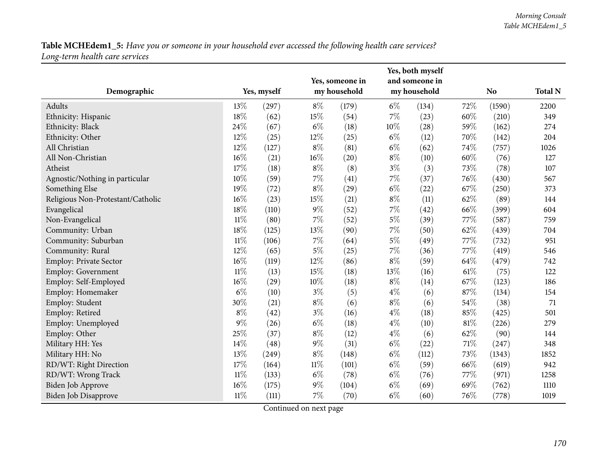| Demographic                       |        | Yes, myself |        | Yes, someone in<br>my household |       | Yes, both myself<br>and someone in<br>my household |        | N <sub>o</sub> | <b>Total N</b> |
|-----------------------------------|--------|-------------|--------|---------------------------------|-------|----------------------------------------------------|--------|----------------|----------------|
| Adults                            | 13%    | (297)       | $8\%$  | (179)                           | $6\%$ | (134)                                              | 72%    | (1590)         | 2200           |
| Ethnicity: Hispanic               | 18%    | (62)        | 15%    | (54)                            | $7\%$ | (23)                                               | 60%    | (210)          | 349            |
| Ethnicity: Black                  | 24%    | (67)        | $6\%$  | (18)                            | 10%   | (28)                                               | 59%    | (162)          | 274            |
| Ethnicity: Other                  | 12%    | (25)        | 12%    | (25)                            | $6\%$ | (12)                                               | 70%    | (142)          | 204            |
| All Christian                     | 12%    | (127)       | $8\%$  | (81)                            | $6\%$ | (62)                                               | 74%    | (757)          | 1026           |
| All Non-Christian                 | 16%    | (21)        | 16%    | (20)                            | $8\%$ | (10)                                               | 60%    | (76)           | 127            |
| Atheist                           | 17%    | (18)        | $8\%$  | (8)                             | $3\%$ | (3)                                                | 73%    | (78)           | 107            |
| Agnostic/Nothing in particular    | 10%    | (59)        | 7%     | (41)                            | $7\%$ | (37)                                               | 76\%   | (430)          | 567            |
| Something Else                    | 19%    | (72)        | $8\%$  | (29)                            | $6\%$ | (22)                                               | 67%    | (250)          | 373            |
| Religious Non-Protestant/Catholic | $16\%$ | (23)        | 15%    | (21)                            | $8\%$ | (11)                                               | 62%    | (89)           | 144            |
| Evangelical                       | $18\%$ | (110)       | $9\%$  | (52)                            | $7\%$ | (42)                                               | 66%    | (399)          | 604            |
| Non-Evangelical                   | $11\%$ | (80)        | $7\%$  | (52)                            | $5\%$ | (39)                                               | 77%    | (587)          | 759            |
| Community: Urban                  | 18%    | (125)       | 13%    | (90)                            | $7\%$ | (50)                                               | 62%    | (439)          | 704            |
| Community: Suburban               | $11\%$ | (106)       | 7%     | (64)                            | $5\%$ | (49)                                               | 77%    | (732)          | 951            |
| Community: Rural                  | 12%    | (65)        | $5\%$  | (25)                            | $7\%$ | (36)                                               | 77%    | (419)          | 546            |
| Employ: Private Sector            | 16%    | (119)       | 12%    | (86)                            | $8\%$ | (59)                                               | 64%    | (479)          | 742            |
| <b>Employ: Government</b>         | $11\%$ | (13)        | 15%    | (18)                            | 13%   | (16)                                               | 61\%   | (75)           | 122            |
| Employ: Self-Employed             | 16%    | (29)        | $10\%$ | (18)                            | $8\%$ | (14)                                               | 67%    | (123)          | 186            |
| Employ: Homemaker                 | $6\%$  | (10)        | $3\%$  | (5)                             | $4\%$ | (6)                                                | 87%    | (134)          | 154            |
| Employ: Student                   | 30%    | (21)        | $8\%$  | (6)                             | $8\%$ | (6)                                                | 54%    | (38)           | 71             |
| Employ: Retired                   | $8\%$  | (42)        | $3\%$  | (16)                            | $4\%$ | (18)                                               | 85%    | (425)          | 501            |
| Employ: Unemployed                | 9%     | (26)        | $6\%$  | (18)                            | $4\%$ | (10)                                               | 81%    | (226)          | 279            |
| Employ: Other                     | 25%    | (37)        | $8\%$  | (12)                            | $4\%$ | (6)                                                | 62%    | (90)           | 144            |
| Military HH: Yes                  | 14%    | (48)        | $9\%$  | (31)                            | $6\%$ | (22)                                               | $71\%$ | (247)          | 348            |
| Military HH: No                   | 13%    | (249)       | $8\%$  | (148)                           | $6\%$ | (112)                                              | 73%    | (1343)         | 1852           |
| RD/WT: Right Direction            | 17%    | (164)       | $11\%$ | (101)                           | $6\%$ | (59)                                               | 66%    | (619)          | 942            |
| RD/WT: Wrong Track                | $11\%$ | (133)       | $6\%$  | (78)                            | $6\%$ | (76)                                               | 77%    | (971)          | 1258           |
| Biden Job Approve                 | 16%    | (175)       | $9\%$  | (104)                           | $6\%$ | (69)                                               | 69%    | (762)          | 1110           |
| <b>Biden Job Disapprove</b>       | $11\%$ | (111)       | $7\%$  | (70)                            | $6\%$ | (60)                                               | 76%    | (778)          | 1019           |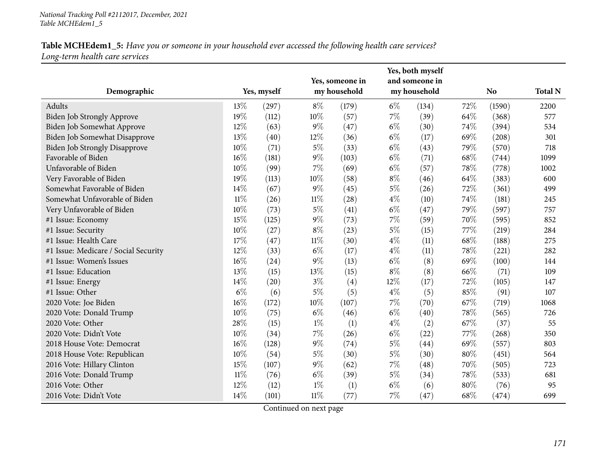| Demographic                          |        | Yes, myself |        | Yes, someone in<br>my household |       | Yes, both myself<br>and someone in<br>my household |      | <b>No</b> | <b>Total N</b> |
|--------------------------------------|--------|-------------|--------|---------------------------------|-------|----------------------------------------------------|------|-----------|----------------|
| Adults                               | 13%    | (297)       | $8\%$  | (179)                           | $6\%$ | (134)                                              | 72%  | (1590)    | 2200           |
| Biden Job Strongly Approve           | 19%    | (112)       | $10\%$ | (57)                            | $7\%$ | (39)                                               | 64%  | (368)     | 577            |
| Biden Job Somewhat Approve           | 12%    | (63)        | $9\%$  | (47)                            | $6\%$ | (30)                                               | 74%  | (394)     | 534            |
| Biden Job Somewhat Disapprove        | 13%    | (40)        | 12%    | (36)                            | $6\%$ | (17)                                               | 69%  | (208)     | 301            |
| <b>Biden Job Strongly Disapprove</b> | 10%    | (71)        | $5\%$  | (33)                            | $6\%$ | (43)                                               | 79%  | (570)     | 718            |
| Favorable of Biden                   | $16\%$ | (181)       | $9\%$  | (103)                           | $6\%$ | (71)                                               | 68%  | (744)     | 1099           |
| Unfavorable of Biden                 | 10%    | (99)        | $7\%$  | (69)                            | $6\%$ | (57)                                               | 78%  | (778)     | 1002           |
| Very Favorable of Biden              | 19%    | (113)       | 10%    | (58)                            | $8\%$ | (46)                                               | 64\% | (383)     | 600            |
| Somewhat Favorable of Biden          | 14\%   | (67)        | $9\%$  | (45)                            | $5\%$ | (26)                                               | 72%  | (361)     | 499            |
| Somewhat Unfavorable of Biden        | $11\%$ | (26)        | $11\%$ | (28)                            | $4\%$ | (10)                                               | 74%  | (181)     | 245            |
| Very Unfavorable of Biden            | 10%    | (73)        | $5\%$  | (41)                            | $6\%$ | (47)                                               | 79%  | (597)     | 757            |
| #1 Issue: Economy                    | 15%    | (125)       | $9\%$  | (73)                            | $7\%$ | (59)                                               | 70%  | (595)     | 852            |
| #1 Issue: Security                   | 10%    | (27)        | $8\%$  | (23)                            | $5\%$ | (15)                                               | 77%  | (219)     | 284            |
| #1 Issue: Health Care                | 17%    | (47)        | $11\%$ | (30)                            | $4\%$ | (11)                                               | 68%  | (188)     | 275            |
| #1 Issue: Medicare / Social Security | 12%    | (33)        | $6\%$  | (17)                            | $4\%$ | (11)                                               | 78%  | (221)     | 282            |
| #1 Issue: Women's Issues             | $16\%$ | (24)        | $9\%$  | (13)                            | $6\%$ | (8)                                                | 69%  | (100)     | 144            |
| #1 Issue: Education                  | 13%    | (15)        | 13%    | (15)                            | $8\%$ | (8)                                                | 66%  | (71)      | 109            |
| #1 Issue: Energy                     | 14%    | (20)        | $3\%$  | (4)                             | 12%   | (17)                                               | 72%  | (105)     | 147            |
| #1 Issue: Other                      | $6\%$  | (6)         | $5\%$  | (5)                             | $4\%$ | (5)                                                | 85%  | (91)      | 107            |
| 2020 Vote: Joe Biden                 | $16\%$ | (172)       | 10%    | (107)                           | 7%    | (70)                                               | 67\% | (719)     | 1068           |
| 2020 Vote: Donald Trump              | 10%    | (75)        | $6\%$  | (46)                            | $6\%$ | (40)                                               | 78%  | (565)     | 726            |
| 2020 Vote: Other                     | 28%    | (15)        | $1\%$  | (1)                             | $4\%$ | (2)                                                | 67%  | (37)      | 55             |
| 2020 Vote: Didn't Vote               | 10%    | (34)        | $7\%$  | (26)                            | $6\%$ | (22)                                               | 77%  | (268)     | 350            |
| 2018 House Vote: Democrat            | $16\%$ | (128)       | $9\%$  | (74)                            | $5\%$ | (44)                                               | 69%  | (557)     | 803            |
| 2018 House Vote: Republican          | 10%    | (54)        | $5\%$  | (30)                            | $5\%$ | (30)                                               | 80%  | (451)     | 564            |
| 2016 Vote: Hillary Clinton           | 15%    | (107)       | $9\%$  | (62)                            | $7\%$ | (48)                                               | 70%  | (505)     | 723            |
| 2016 Vote: Donald Trump              | $11\%$ | (76)        | $6\%$  | (39)                            | $5\%$ | (34)                                               | 78\% | (533)     | 681            |
| 2016 Vote: Other                     | 12%    | (12)        | $1\%$  | (1)                             | $6\%$ | (6)                                                | 80%  | (76)      | 95             |
| 2016 Vote: Didn't Vote               | 14%    | (101)       | $11\%$ | (77)                            | $7\%$ | (47)                                               | 68%  | (474)     | 699            |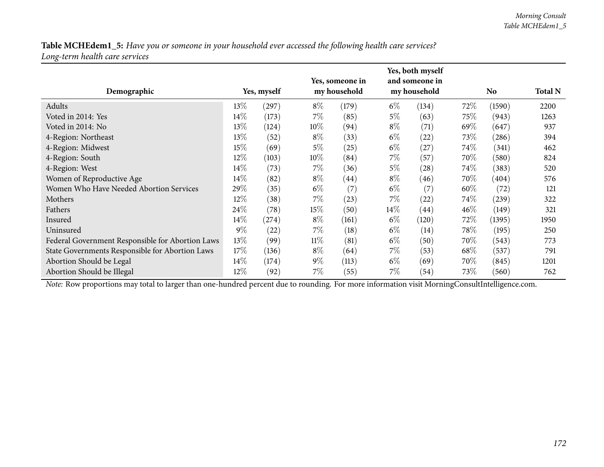| Demographic                                      |        | Yes, myself |        | Yes, someone in<br>my household |        | Yes, both myself<br>and someone in<br>my household |        | No     | <b>Total N</b> |
|--------------------------------------------------|--------|-------------|--------|---------------------------------|--------|----------------------------------------------------|--------|--------|----------------|
| Adults                                           | $13\%$ | (297)       | $8\%$  | (179)                           | $6\%$  | (134)                                              | $72\%$ | (1590) | 2200           |
| Voted in 2014: Yes                               | 14%    | (173)       | $7\%$  | (85)                            | $5\%$  | (63)                                               | 75\%   | (943)  | 1263           |
| Voted in 2014: No                                | 13%    | (124)       | $10\%$ | (94)                            | $8\%$  | (71)                                               | 69\%   | (647)  | 937            |
| 4-Region: Northeast                              | 13%    | (52)        | $8\%$  | (33)                            | $6\%$  | $^{(22)}$                                          | 73\%   | (286)  | 394            |
| 4-Region: Midwest                                | 15%    | (69)        | $5\%$  | (25)                            | $6\%$  | (27)                                               | 74%    | (341)  | 462            |
| 4-Region: South                                  | $12\%$ | (103)       | $10\%$ | (84)                            | $7\%$  | (57)                                               | 70\%   | (580)  | 824            |
| 4-Region: West                                   | 14%    | (73)        | $7\%$  | (36)                            | $5\%$  | (28)                                               | 74\%   | (383)  | 520            |
| Women of Reproductive Age                        | $14\%$ | (82)        | $8\%$  | (44)                            | $8\%$  | (46)                                               | 70\%   | (404)  | 576            |
| Women Who Have Needed Abortion Services          | 29%    | (35)        | $6\%$  | (7)                             | $6\%$  | $\left( 7\right)$                                  | $60\%$ | (72)   | 121            |
| Mothers                                          | 12%    | (38)        | $7\%$  | (23)                            | $7\%$  | (22)                                               | 74\%   | (239)  | 322            |
| Fathers                                          | 24%    | (78)        | 15%    | (50)                            | $14\%$ | (44)                                               | $46\%$ | (149)  | 321            |
| Insured                                          | $14\%$ | (274)       | $8\%$  | (161)                           | $6\%$  | (120)                                              | 72\%   | (1395) | 1950           |
| Uninsured                                        | $9\%$  | (22)        | $7\%$  | (18)                            | $6\%$  | $\left(14\right)$                                  | $78\%$ | (195)  | 250            |
| Federal Government Responsible for Abortion Laws | 13\%   | (99)        | $11\%$ | (81)                            | $6\%$  | (50)                                               | 70\%   | (543)  | 773            |
| State Governments Responsible for Abortion Laws  | 17%    | (136)       | $8\%$  | (64)                            | $7\%$  | (53)                                               | 68\%   | (537)  | 791            |
| Abortion Should be Legal                         | $14\%$ | (174)       | $9\%$  | (113)                           | $6\%$  | (69)                                               | 70\%   | (845)  | 1201           |
| Abortion Should be Illegal                       | $12\%$ | (92)        | $7\%$  | (55)                            | $7\%$  | (54)                                               | 73\%   | (560)  | 762            |

*Note:* Row proportions may total to larger than one-hundred percen<sup>t</sup> due to rounding. For more information visit [MorningConsultIntelligence.com](https://morningconsultintelligence.com).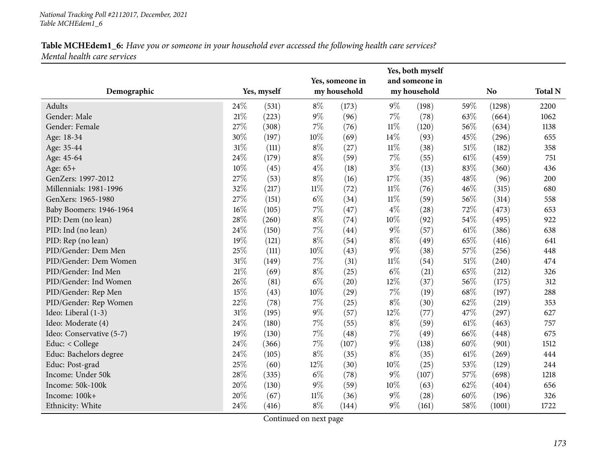| Demographic              |        | Yes, myself |        | Yes, someone in<br>my household |        | Yes, both myself<br>and someone in<br>my household |        | N <sub>o</sub> | <b>Total N</b> |
|--------------------------|--------|-------------|--------|---------------------------------|--------|----------------------------------------------------|--------|----------------|----------------|
| Adults                   | 24\%   | (531)       | $8\%$  | (173)                           | $9\%$  | (198)                                              | 59%    | (1298)         | 2200           |
| Gender: Male             | $21\%$ | (223)       | $9\%$  | (96)                            | $7\%$  | (78)                                               | 63%    | (664)          | 1062           |
| Gender: Female           | 27%    | (308)       | $7\%$  | (76)                            | $11\%$ | (120)                                              | 56%    | (634)          | 1138           |
| Age: 18-34               | 30%    | (197)       | 10%    | (69)                            | $14\%$ | (93)                                               | 45%    | (296)          | 655            |
| Age: 35-44               | 31%    | (111)       | $8\%$  | (27)                            | $11\%$ | (38)                                               | $51\%$ | (182)          | 358            |
| Age: 45-64               | 24%    | (179)       | $8\%$  | (59)                            | $7\%$  | (55)                                               | 61\%   | (459)          | 751            |
| Age: $65+$               | 10%    | (45)        | $4\%$  | (18)                            | $3\%$  | (13)                                               | 83%    | (360)          | 436            |
| GenZers: 1997-2012       | 27%    | (53)        | $8\%$  | (16)                            | $17\%$ | (35)                                               | 48%    | (96)           | 200            |
| Millennials: 1981-1996   | 32%    | (217)       | $11\%$ | (72)                            | $11\%$ | (76)                                               | 46%    | (315)          | 680            |
| GenXers: 1965-1980       | 27%    | (151)       | $6\%$  | (34)                            | $11\%$ | (59)                                               | 56%    | (314)          | 558            |
| Baby Boomers: 1946-1964  | $16\%$ | (105)       | $7\%$  | (47)                            | $4\%$  | (28)                                               | 72%    | (473)          | 653            |
| PID: Dem (no lean)       | 28\%   | (260)       | $8\%$  | (74)                            | 10%    | (92)                                               | 54%    | (495)          | 922            |
| PID: Ind (no lean)       | 24%    | (150)       | $7\%$  | (44)                            | $9\%$  | (57)                                               | 61\%   | (386)          | 638            |
| PID: Rep (no lean)       | 19%    | (121)       | $8\%$  | (54)                            | $8\%$  | (49)                                               | 65%    | (416)          | 641            |
| PID/Gender: Dem Men      | 25%    | (111)       | 10%    | (43)                            | $9\%$  | (38)                                               | 57%    | (256)          | 448            |
| PID/Gender: Dem Women    | $31\%$ | (149)       | $7\%$  | (31)                            | $11\%$ | (54)                                               | $51\%$ | (240)          | 474            |
| PID/Gender: Ind Men      | 21%    | (69)        | $8\%$  | (25)                            | $6\%$  | (21)                                               | 65%    | (212)          | 326            |
| PID/Gender: Ind Women    | 26%    | (81)        | $6\%$  | (20)                            | 12%    | (37)                                               | 56%    | (175)          | 312            |
| PID/Gender: Rep Men      | 15%    | (43)        | $10\%$ | (29)                            | $7\%$  | (19)                                               | 68%    | (197)          | 288            |
| PID/Gender: Rep Women    | 22%    | (78)        | $7\%$  | (25)                            | $8\%$  | (30)                                               | 62%    | (219)          | 353            |
| Ideo: Liberal (1-3)      | $31\%$ | (195)       | $9\%$  | (57)                            | $12\%$ | (77)                                               | 47%    | (297)          | 627            |
| Ideo: Moderate (4)       | 24%    | (180)       | $7\%$  | (55)                            | $8\%$  | (59)                                               | 61%    | (463)          | 757            |
| Ideo: Conservative (5-7) | 19%    | (130)       | 7%     | (48)                            | $7\%$  | (49)                                               | 66%    | (448)          | 675            |
| Educ: < College          | 24%    | (366)       | $7\%$  | (107)                           | $9\%$  | (138)                                              | 60%    | (901)          | 1512           |
| Educ: Bachelors degree   | 24%    | (105)       | $8\%$  | (35)                            | $8\%$  | (35)                                               | 61\%   | (269)          | 444            |
| Educ: Post-grad          | 25%    | (60)        | 12%    | (30)                            | $10\%$ | (25)                                               | 53%    | (129)          | 244            |
| Income: Under 50k        | 28\%   | (335)       | $6\%$  | (78)                            | $9\%$  | (107)                                              | 57%    | (698)          | 1218           |
| Income: 50k-100k         | 20%    | (130)       | $9\%$  | (59)                            | 10%    | (63)                                               | 62%    | (404)          | 656            |
| Income: 100k+            | 20%    | (67)        | $11\%$ | (36)                            | $9\%$  | (28)                                               | 60%    | (196)          | 326            |
| Ethnicity: White         | 24%    | (416)       | $8\%$  | (144)                           | $9\%$  | (161)                                              | 58\%   | (1001)         | 1722           |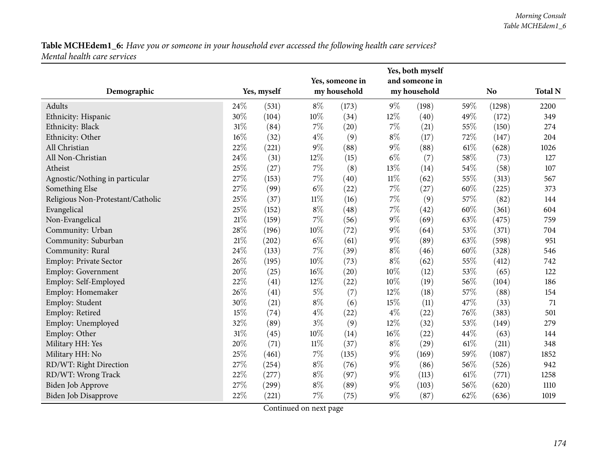| Demographic                       |        | Yes, myself |        | Yes, someone in<br>my household |        | Yes, both myself<br>and someone in<br>my household |        | <b>No</b> | <b>Total N</b> |
|-----------------------------------|--------|-------------|--------|---------------------------------|--------|----------------------------------------------------|--------|-----------|----------------|
| Adults                            | 24\%   | (531)       | $8\%$  | (173)                           | $9\%$  | (198)                                              | 59%    | (1298)    | 2200           |
| Ethnicity: Hispanic               | 30%    | (104)       | 10%    | (34)                            | 12%    | (40)                                               | 49%    | (172)     | 349            |
| Ethnicity: Black                  | $31\%$ | (84)        | $7\%$  | (20)                            | $7\%$  | (21)                                               | 55%    | (150)     | 274            |
| Ethnicity: Other                  | $16\%$ | (32)        | $4\%$  | (9)                             | $8\%$  | (17)                                               | 72%    | (147)     | 204            |
| All Christian                     | 22%    | (221)       | $9\%$  | (88)                            | $9\%$  | (88)                                               | 61\%   | (628)     | 1026           |
| All Non-Christian                 | 24%    | (31)        | 12%    | (15)                            | $6\%$  | (7)                                                | 58%    | (73)      | 127            |
| Atheist                           | 25%    | (27)        | $7\%$  | (8)                             | 13%    | (14)                                               | 54%    | (58)      | 107            |
| Agnostic/Nothing in particular    | 27%    | (153)       | $7\%$  | (40)                            | $11\%$ | (62)                                               | 55%    | (313)     | 567            |
| Something Else                    | 27%    | (99)        | $6\%$  | (22)                            | 7%     | (27)                                               | 60%    | (225)     | 373            |
| Religious Non-Protestant/Catholic | 25%    | (37)        | $11\%$ | (16)                            | $7\%$  | (9)                                                | 57%    | (82)      | 144            |
| Evangelical                       | 25%    | (152)       | $8\%$  | (48)                            | $7\%$  | (42)                                               | $60\%$ | (361)     | 604            |
| Non-Evangelical                   | $21\%$ | (159)       | $7\%$  | (56)                            | $9\%$  | (69)                                               | 63%    | (475)     | 759            |
| Community: Urban                  | 28\%   | (196)       | 10%    | (72)                            | $9\%$  | (64)                                               | 53%    | (371)     | 704            |
| Community: Suburban               | 21\%   | (202)       | $6\%$  | (61)                            | $9\%$  | (89)                                               | 63%    | (598)     | 951            |
| Community: Rural                  | 24\%   | (133)       | $7\%$  | (39)                            | $8\%$  | (46)                                               | 60%    | (328)     | 546            |
| Employ: Private Sector            | 26%    | (195)       | 10%    | (73)                            | $8\%$  | (62)                                               | 55%    | (412)     | 742            |
| <b>Employ: Government</b>         | 20%    | (25)        | 16%    | (20)                            | 10%    | (12)                                               | 53%    | (65)      | 122            |
| Employ: Self-Employed             | 22%    | (41)        | 12%    | (22)                            | 10%    | (19)                                               | 56%    | (104)     | 186            |
| Employ: Homemaker                 | 26%    | (41)        | $5\%$  | (7)                             | 12%    | (18)                                               | 57%    | (88)      | 154            |
| Employ: Student                   | 30%    | (21)        | $8\%$  | (6)                             | 15%    | (11)                                               | 47%    | (33)      | 71             |
| Employ: Retired                   | 15%    | (74)        | $4\%$  | (22)                            | $4\%$  | (22)                                               | 76%    | (383)     | 501            |
| Employ: Unemployed                | 32%    | (89)        | $3\%$  | (9)                             | 12%    | (32)                                               | 53%    | (149)     | 279            |
| Employ: Other                     | 31%    | (45)        | 10%    | (14)                            | 16%    | (22)                                               | 44%    | (63)      | 144            |
| Military HH: Yes                  | 20%    | (71)        | $11\%$ | (37)                            | $8\%$  | (29)                                               | $61\%$ | (211)     | 348            |
| Military HH: No                   | 25%    | (461)       | $7\%$  | (135)                           | $9\%$  | (169)                                              | 59%    | (1087)    | 1852           |
| RD/WT: Right Direction            | 27%    | (254)       | $8\%$  | (76)                            | $9\%$  | (86)                                               | 56%    | (526)     | 942            |
| RD/WT: Wrong Track                | 22%    | (277)       | $8\%$  | (97)                            | $9\%$  | (113)                                              | $61\%$ | (771)     | 1258           |
| Biden Job Approve                 | 27%    | (299)       | $8\%$  | (89)                            | $9\%$  | (103)                                              | 56%    | (620)     | 1110           |
| Biden Job Disapprove              | 22%    | (221)       | $7\%$  | (75)                            | $9\%$  | (87)                                               | 62%    | (636)     | 1019           |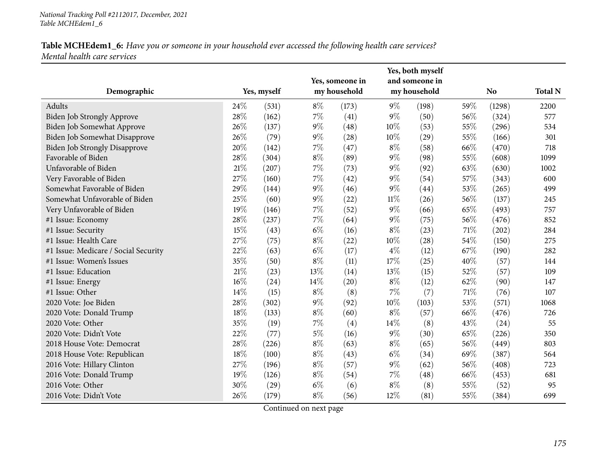| Demographic                          |        | Yes, myself |       | Yes, someone in<br>my household |        | Yes, both myself<br>and someone in<br>my household |     | <b>No</b> | <b>Total N</b> |
|--------------------------------------|--------|-------------|-------|---------------------------------|--------|----------------------------------------------------|-----|-----------|----------------|
| Adults                               | 24\%   | (531)       | $8\%$ | (173)                           | $9\%$  | (198)                                              | 59% | (1298)    | 2200           |
| Biden Job Strongly Approve           | 28%    | (162)       | 7%    | (41)                            | $9\%$  | (50)                                               | 56% | (324)     | 577            |
| Biden Job Somewhat Approve           | 26%    | (137)       | $9\%$ | (48)                            | 10%    | (53)                                               | 55% | (296)     | 534            |
| Biden Job Somewhat Disapprove        | 26%    | (79)        | $9\%$ | (28)                            | 10%    | (29)                                               | 55% | (166)     | 301            |
| <b>Biden Job Strongly Disapprove</b> | 20%    | (142)       | $7\%$ | (47)                            | $8\%$  | (58)                                               | 66% | (470)     | 718            |
| Favorable of Biden                   | 28%    | (304)       | $8\%$ | (89)                            | $9\%$  | (98)                                               | 55% | (608)     | 1099           |
| Unfavorable of Biden                 | $21\%$ | (207)       | 7%    | (73)                            | $9\%$  | (92)                                               | 63% | (630)     | 1002           |
| Very Favorable of Biden              | 27%    | (160)       | $7\%$ | (42)                            | $9\%$  | (54)                                               | 57% | (343)     | 600            |
| Somewhat Favorable of Biden          | 29%    | (144)       | $9\%$ | (46)                            | $9\%$  | (44)                                               | 53% | (265)     | 499            |
| Somewhat Unfavorable of Biden        | 25%    | (60)        | $9\%$ | (22)                            | $11\%$ | (26)                                               | 56% | (137)     | 245            |
| Very Unfavorable of Biden            | 19%    | (146)       | 7%    | (52)                            | $9\%$  | (66)                                               | 65% | (493)     | 757            |
| #1 Issue: Economy                    | 28\%   | (237)       | $7\%$ | (64)                            | $9\%$  | (75)                                               | 56% | (476)     | 852            |
| #1 Issue: Security                   | 15%    | (43)        | $6\%$ | (16)                            | $8\%$  | (23)                                               | 71% | (202)     | 284            |
| #1 Issue: Health Care                | 27%    | (75)        | $8\%$ | (22)                            | 10%    | (28)                                               | 54% | (150)     | 275            |
| #1 Issue: Medicare / Social Security | 22%    | (63)        | $6\%$ | (17)                            | $4\%$  | (12)                                               | 67% | (190)     | 282            |
| #1 Issue: Women's Issues             | 35%    | (50)        | $8\%$ | (11)                            | 17%    | (25)                                               | 40% | (57)      | 144            |
| #1 Issue: Education                  | 21%    | (23)        | 13%   | (14)                            | 13%    | (15)                                               | 52% | (57)      | 109            |
| #1 Issue: Energy                     | $16\%$ | (24)        | 14%   | (20)                            | $8\%$  | (12)                                               | 62% | (90)      | 147            |
| #1 Issue: Other                      | 14%    | (15)        | $8\%$ | (8)                             | $7\%$  | (7)                                                | 71% | (76)      | 107            |
| 2020 Vote: Joe Biden                 | 28\%   | (302)       | $9\%$ | (92)                            | 10%    | (103)                                              | 53% | (571)     | 1068           |
| 2020 Vote: Donald Trump              | 18%    | (133)       | $8\%$ | (60)                            | $8\%$  | (57)                                               | 66% | (476)     | 726            |
| 2020 Vote: Other                     | 35%    | (19)        | $7\%$ | (4)                             | 14%    | (8)                                                | 43% | (24)      | 55             |
| 2020 Vote: Didn't Vote               | 22%    | (77)        | $5\%$ | (16)                            | $9\%$  | (30)                                               | 65% | (226)     | 350            |
| 2018 House Vote: Democrat            | 28\%   | (226)       | $8\%$ | (63)                            | $8\%$  | (65)                                               | 56% | (449)     | 803            |
| 2018 House Vote: Republican          | 18%    | (100)       | $8\%$ | (43)                            | $6\%$  | (34)                                               | 69% | (387)     | 564            |
| 2016 Vote: Hillary Clinton           | 27%    | (196)       | $8\%$ | (57)                            | $9\%$  | (62)                                               | 56% | (408)     | 723            |
| 2016 Vote: Donald Trump              | 19%    | (126)       | $8\%$ | (54)                            | $7\%$  | (48)                                               | 66% | (453)     | 681            |
| 2016 Vote: Other                     | 30%    | (29)        | $6\%$ | (6)                             | $8\%$  | (8)                                                | 55% | (52)      | 95             |
| 2016 Vote: Didn't Vote               | 26%    | (179)       | $8\%$ | (56)                            | 12%    | (81)                                               | 55% | (384)     | 699            |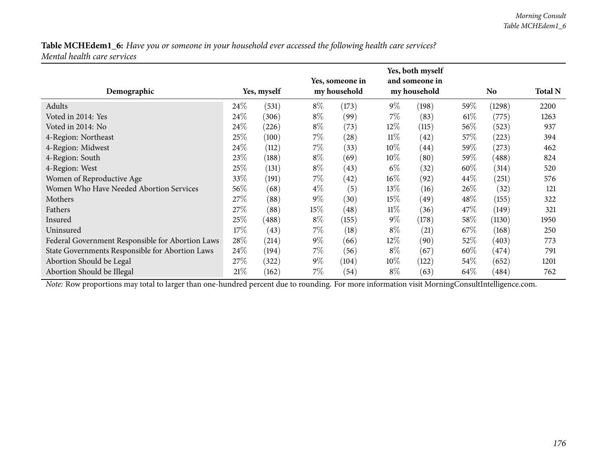| Demographic                                      |        | Yes, myself |       | Yes, someone in<br>my household |        | Yes, both myself<br>and someone in<br>my household |        | <b>No</b> | <b>Total N</b> |
|--------------------------------------------------|--------|-------------|-------|---------------------------------|--------|----------------------------------------------------|--------|-----------|----------------|
| Adults                                           | 24\%   | (531)       | $8\%$ | (173)                           | $9\%$  | (198)                                              | $59\%$ | (1298)    | 2200           |
| Voted in 2014: Yes                               | 24\%   |             | $8\%$ |                                 | $7\%$  |                                                    |        |           |                |
|                                                  |        | (306)       |       | (99)                            |        | (83)                                               | $61\%$ | (775)     | 1263           |
| Voted in 2014: No                                | 24\%   | (226)       | $8\%$ | (73)                            | $12\%$ | (115)                                              | $56\%$ | (523)     | 937            |
| 4-Region: Northeast                              | 25%    | (100)       | $7\%$ | $\left( 28\right)$              | $11\%$ | (42)                                               | 57\%   | (223)     | 394            |
| 4-Region: Midwest                                | 24\%   | (112)       | $7\%$ | (33)                            | $10\%$ | (44)                                               | $59\%$ | (273)     | 462            |
| 4-Region: South                                  | 23%    | (188)       | $8\%$ | (69)                            | 10%    | (80)                                               | $59\%$ | (488)     | 824            |
| 4-Region: West                                   | 25%    | (131)       | $8\%$ | (43)                            | $6\%$  | (32)                                               | $60\%$ | (314)     | 520            |
| Women of Reproductive Age                        | 33%    | (191)       | $7\%$ | (42)                            | $16\%$ | (92)                                               | 44%    | (251)     | 576            |
| Women Who Have Needed Abortion Services          | $56\%$ | (68)        | $4\%$ | (5)                             | 13\%   | (16)                                               | $26\%$ | (32)      | 121            |
| Mothers                                          | 27\%   | (88)        | $9\%$ | (30)                            | $15\%$ | (49)                                               | 48\%   | (155)     | 322            |
| Fathers                                          | 27\%   | (88)        | 15%   | $\left( 48\right)$              | $11\%$ | (36)                                               | 47%    | (149)     | 321            |
| Insured                                          | 25%    | (488)       | $8\%$ | (155)                           | $9\%$  | (178)                                              | 58\%   | (1130)    | 1950           |
| Uninsured                                        | 17%    | (43)        | $7\%$ | (18)                            | $8\%$  | (21)                                               | 67\%   | (168)     | 250            |
| Federal Government Responsible for Abortion Laws | 28%    | (214)       | $9\%$ | (66)                            | $12\%$ | (90)                                               | 52\%   | (403)     | 773            |
| State Governments Responsible for Abortion Laws  | 24\%   | (194)       | $7\%$ | (56)                            | $8\%$  | (67)                                               | $60\%$ | (474)     | 791            |
| Abortion Should be Legal                         | 27\%   | (322)       | $9\%$ | (104)                           | $10\%$ | (122)                                              | $54\%$ | (652)     | 1201           |
| Abortion Should be Illegal                       | 21%    | (162)       | $7\%$ | (54)                            | $8\%$  | (63)                                               | 64\%   | (484)     | 762            |

*Note:* Row proportions may total to larger than one-hundred percen<sup>t</sup> due to rounding. For more information visit [MorningConsultIntelligence.com](https://morningconsultintelligence.com).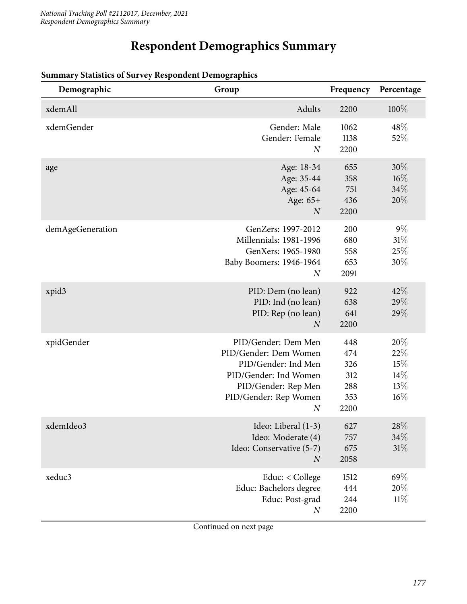# **Respondent Demographics Summary**

| Demographic       | Group                                                                                                                                                            | Frequency                                      | Percentage                                |
|-------------------|------------------------------------------------------------------------------------------------------------------------------------------------------------------|------------------------------------------------|-------------------------------------------|
| xdemAll           | Adults                                                                                                                                                           | 2200                                           | 100%                                      |
| xdemGender        | Gender: Male<br>Gender: Female<br>$\overline{N}$                                                                                                                 | 1062<br>1138<br>2200                           | 48\%<br>52%                               |
| age               | Age: 18-34<br>Age: 35-44<br>Age: 45-64<br>Age: 65+<br>$\boldsymbol{N}$                                                                                           | 655<br>358<br>751<br>436<br>2200               | $30\%$<br>$16\%$<br>34%<br>20%            |
| demAgeGeneration  | GenZers: 1997-2012<br>Millennials: 1981-1996<br>GenXers: 1965-1980<br>Baby Boomers: 1946-1964<br>$\boldsymbol{N}$                                                | 200<br>680<br>558<br>653<br>2091               | $9\%$<br>31%<br>25\%<br>30%               |
| xpid <sub>3</sub> | PID: Dem (no lean)<br>PID: Ind (no lean)<br>PID: Rep (no lean)<br>$\overline{N}$                                                                                 | 922<br>638<br>641<br>2200                      | 42%<br>29%<br>29%                         |
| xpidGender        | PID/Gender: Dem Men<br>PID/Gender: Dem Women<br>PID/Gender: Ind Men<br>PID/Gender: Ind Women<br>PID/Gender: Rep Men<br>PID/Gender: Rep Women<br>$\boldsymbol{N}$ | 448<br>474<br>326<br>312<br>288<br>353<br>2200 | 20%<br>22%<br>15%<br>14%<br>13%<br>$16\%$ |
| xdemIdeo3         | Ideo: Liberal (1-3)<br>Ideo: Moderate (4)<br>Ideo: Conservative (5-7)<br>$\boldsymbol{N}$                                                                        | 627<br>757<br>675<br>2058                      | 28\%<br>34%<br>31%                        |
| xeduc3            | Educ: < College<br>Educ: Bachelors degree<br>Educ: Post-grad<br>$\boldsymbol{N}$                                                                                 | 1512<br>444<br>244<br>2200                     | 69%<br>20%<br>11%                         |

#### **Summary Statistics of Survey Respondent Demographics**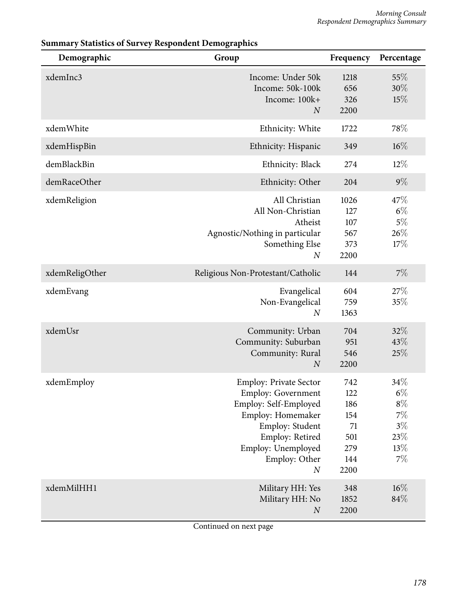| Demographic    | Group                                                                                                                                                                                                     | Frequency                                                   | Percentage                                                        |
|----------------|-----------------------------------------------------------------------------------------------------------------------------------------------------------------------------------------------------------|-------------------------------------------------------------|-------------------------------------------------------------------|
| xdemInc3       | Income: Under 50k<br>Income: 50k-100k<br>Income: 100k+<br>$\boldsymbol{N}$                                                                                                                                | 1218<br>656<br>326<br>2200                                  | 55\%<br>30%<br>15%                                                |
| xdemWhite      | Ethnicity: White                                                                                                                                                                                          | 1722                                                        | 78%                                                               |
| xdemHispBin    | Ethnicity: Hispanic                                                                                                                                                                                       | 349                                                         | $16\%$                                                            |
| demBlackBin    | Ethnicity: Black                                                                                                                                                                                          | 274                                                         | $12\%$                                                            |
| demRaceOther   | Ethnicity: Other                                                                                                                                                                                          | 204                                                         | $9\%$                                                             |
| xdemReligion   | All Christian<br>All Non-Christian<br>Atheist<br>Agnostic/Nothing in particular<br>Something Else<br>$\boldsymbol{N}$                                                                                     | 1026<br>127<br>107<br>567<br>373<br>2200                    | 47\%<br>$6\%$<br>$5\%$<br>26%<br>17%                              |
| xdemReligOther | Religious Non-Protestant/Catholic                                                                                                                                                                         | 144                                                         | 7%                                                                |
| xdemEvang      | Evangelical<br>Non-Evangelical<br>$\boldsymbol{N}$                                                                                                                                                        | 604<br>759<br>1363                                          | 27%<br>35%                                                        |
| xdemUsr        | Community: Urban<br>Community: Suburban<br>Community: Rural<br>$\boldsymbol{N}$                                                                                                                           | 704<br>951<br>546<br>2200                                   | 32%<br>43%<br>25%                                                 |
| xdemEmploy     | <b>Employ: Private Sector</b><br><b>Employ: Government</b><br>Employ: Self-Employed<br>Employ: Homemaker<br>Employ: Student<br>Employ: Retired<br>Employ: Unemployed<br>Employ: Other<br>$\boldsymbol{N}$ | 742<br>122<br>186<br>154<br>71<br>501<br>279<br>144<br>2200 | 34%<br>$6\%$<br>$8\%$<br>$7\%$<br>$3\%$<br>$23\%$<br>13%<br>$7\%$ |
| xdemMilHH1     | Military HH: Yes<br>Military HH: No<br>$\boldsymbol{N}$                                                                                                                                                   | 348<br>1852<br>2200                                         | $16\%$<br>84%                                                     |

## **Summary Statistics of Survey Respondent Demographics**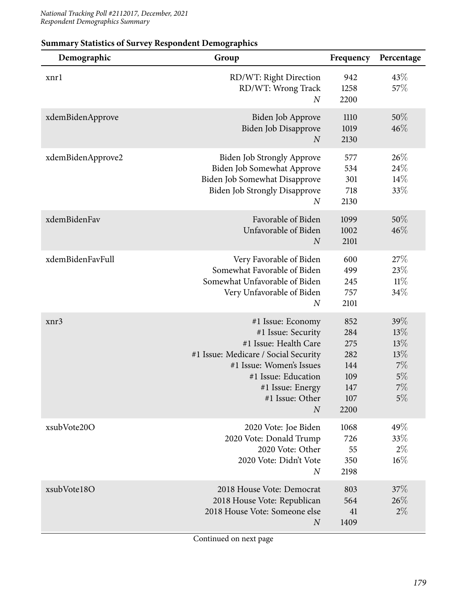| Demographic       | Group                                                                                                                                                                                                                  | Frequency                                                    | Percentage                                             |
|-------------------|------------------------------------------------------------------------------------------------------------------------------------------------------------------------------------------------------------------------|--------------------------------------------------------------|--------------------------------------------------------|
| xnrl              | RD/WT: Right Direction<br>RD/WT: Wrong Track<br>$\overline{N}$                                                                                                                                                         | 942<br>1258<br>2200                                          | 43%<br>57%                                             |
| xdemBidenApprove  | Biden Job Approve<br>Biden Job Disapprove<br>$\boldsymbol{N}$                                                                                                                                                          | 1110<br>1019<br>2130                                         | $50\%$<br>46%                                          |
| xdemBidenApprove2 | <b>Biden Job Strongly Approve</b><br>Biden Job Somewhat Approve<br>Biden Job Somewhat Disapprove<br><b>Biden Job Strongly Disapprove</b><br>$\boldsymbol{N}$                                                           | 577<br>534<br>301<br>718<br>2130                             | 26%<br>24%<br>14%<br>33%                               |
| xdemBidenFav      | Favorable of Biden<br>Unfavorable of Biden<br>$\overline{N}$                                                                                                                                                           | 1099<br>1002<br>2101                                         | $50\%$<br>46%                                          |
| xdemBidenFavFull  | Very Favorable of Biden<br>Somewhat Favorable of Biden<br>Somewhat Unfavorable of Biden<br>Very Unfavorable of Biden<br>$\boldsymbol{N}$                                                                               | 600<br>499<br>245<br>757<br>2101                             | 27%<br>23\%<br>$11\%$<br>34%                           |
| xnr3              | #1 Issue: Economy<br>#1 Issue: Security<br>#1 Issue: Health Care<br>#1 Issue: Medicare / Social Security<br>#1 Issue: Women's Issues<br>#1 Issue: Education<br>#1 Issue: Energy<br>#1 Issue: Other<br>$\boldsymbol{N}$ | 852<br>284<br>275<br>282<br>144<br>109<br>147<br>107<br>2200 | 39%<br>13%<br>13%<br>13%<br>7%<br>$5\%$<br>$7\%$<br>5% |
| xsubVote20O       | 2020 Vote: Joe Biden<br>2020 Vote: Donald Trump<br>2020 Vote: Other<br>2020 Vote: Didn't Vote<br>$\overline{N}$                                                                                                        | 1068<br>726<br>55<br>350<br>2198                             | 49%<br>33\%<br>$2\%$<br>16%                            |
| xsubVote18O       | 2018 House Vote: Democrat<br>2018 House Vote: Republican<br>2018 House Vote: Someone else<br>$\overline{N}$                                                                                                            | 803<br>564<br>41<br>1409                                     | 37%<br>26%<br>$2\%$                                    |

## **Summary Statistics of Survey Respondent Demographics**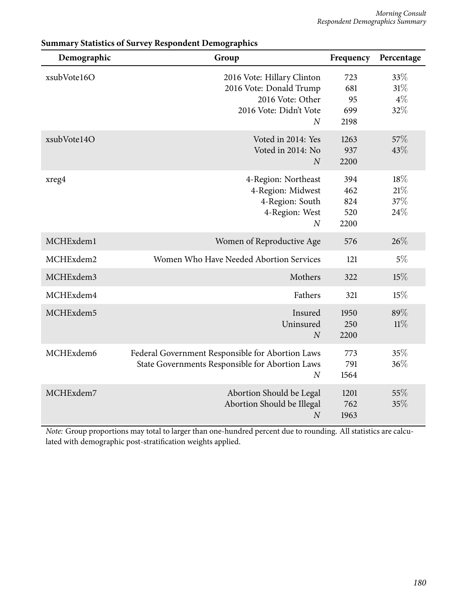| Demographic | Group                                                                                                                   | Frequency                        | Percentage                 |
|-------------|-------------------------------------------------------------------------------------------------------------------------|----------------------------------|----------------------------|
| xsubVote16O | 2016 Vote: Hillary Clinton<br>2016 Vote: Donald Trump<br>2016 Vote: Other<br>2016 Vote: Didn't Vote<br>$\boldsymbol{N}$ | 723<br>681<br>95<br>699<br>2198  | 33%<br>31%<br>$4\%$<br>32% |
| xsubVote14O | Voted in 2014: Yes<br>Voted in 2014: No<br>$\boldsymbol{N}$                                                             | 1263<br>937<br>2200              | 57%<br>43%                 |
| xreg4       | 4-Region: Northeast<br>4-Region: Midwest<br>4-Region: South<br>4-Region: West<br>$\overline{N}$                         | 394<br>462<br>824<br>520<br>2200 | 18%<br>21%<br>37%<br>24\%  |
| MCHExdem1   | Women of Reproductive Age                                                                                               | 576                              | 26\%                       |
| MCHExdem2   | Women Who Have Needed Abortion Services                                                                                 | 121                              | $5\%$                      |
| MCHExdem3   | Mothers                                                                                                                 | 322                              | 15%                        |
| MCHExdem4   | Fathers                                                                                                                 | 321                              | 15%                        |
| MCHExdem5   | Insured<br>Uninsured<br>N                                                                                               | 1950<br>250<br>2200              | 89%<br>$11\%$              |
| MCHExdem6   | Federal Government Responsible for Abortion Laws<br>State Governments Responsible for Abortion Laws<br>$\overline{N}$   | 773<br>791<br>1564               | 35%<br>36%                 |
| MCHExdem7   | Abortion Should be Legal<br>Abortion Should be Illegal<br>$\overline{N}$                                                | 1201<br>762<br>1963              | 55%<br>35%                 |

## **Summary Statistics of Survey Respondent Demographics**

*Note:* Group proportions may total to larger than one-hundred percent due to rounding. All statistics are calculated with demographic post-stratification weights applied.